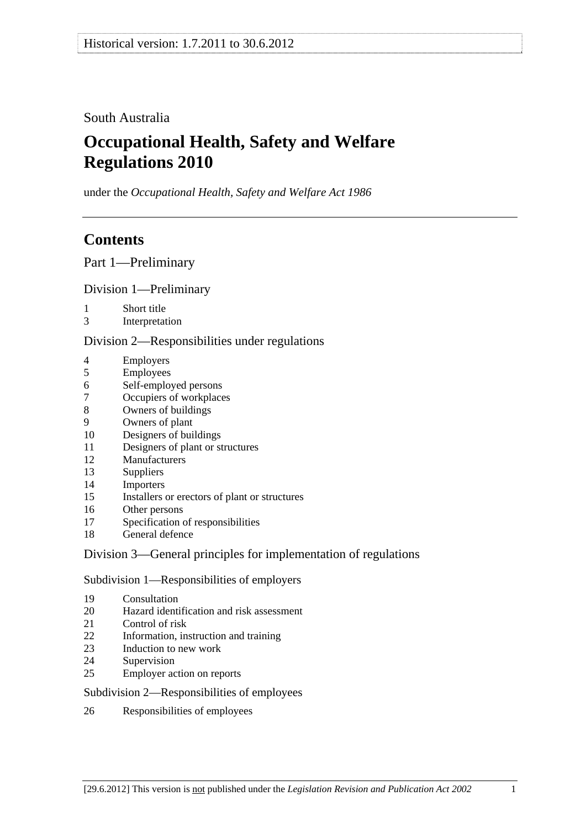## South Australia

# **Occupational Health, Safety and Welfare Regulations 2010**

under the *Occupational Health, Safety and Welfare Act 1986*

# **Contents**

Part 1—Preliminary

## Division 1—Preliminary

- 1 Short title
- 3 Interpretation

## Division 2—Responsibilities under regulations

- 4 Employers
- 5 Employees
- 6 Self-employed persons
- 7 Occupiers of workplaces
- 8 Owners of buildings
- 9 Owners of plant
- 10 Designers of buildings
- 11 Designers of plant or structures
- 12 Manufacturers
- 13 Suppliers
- 14 Importers
- 15 Installers or erectors of plant or structures
- 16 Other persons
- 17 Specification of responsibilities
- 18 General defence

## Division 3—General principles for implementation of regulations

## Subdivision 1—Responsibilities of employers

- 19 Consultation
- 20 Hazard identification and risk assessment
- 21 Control of risk
- 22 Information, instruction and training
- 23 Induction to new work
- 24 Supervision
- 25 Employer action on reports

## Subdivision 2—Responsibilities of employees

26 Responsibilities of employees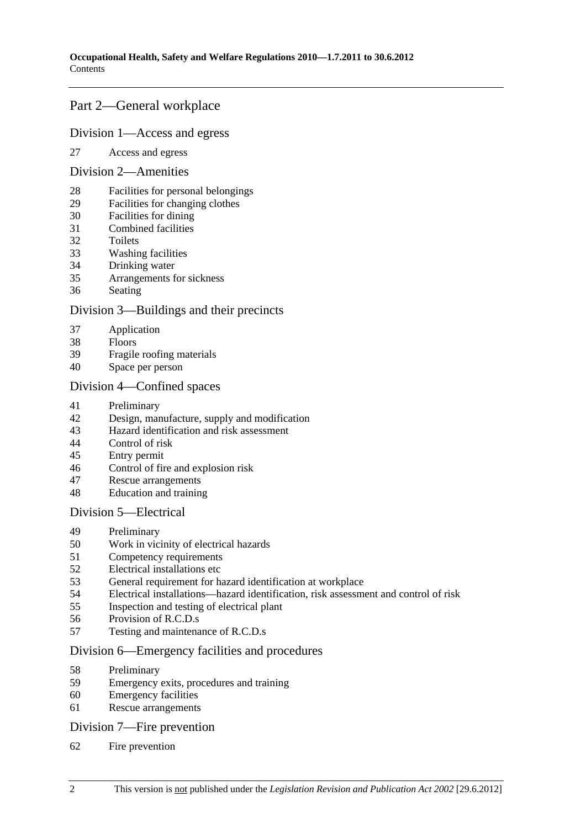## Part 2—General workplace

#### Division 1—Access and egress

27 Access and egress

#### Division 2—Amenities

- 28 Facilities for personal belongings
- 29 Facilities for changing clothes
- 30 Facilities for dining
- 31 Combined facilities
- 32 Toilets
- 33 Washing facilities
- 34 Drinking water
- 35 Arrangements for sickness
- 36 Seating

## Division 3—Buildings and their precincts

- 37 Application
- 38 Floors
- 39 Fragile roofing materials
- 40 Space per person

## Division 4—Confined spaces

- 41 Preliminary
- 42 Design, manufacture, supply and modification
- 43 Hazard identification and risk assessment
- 44 Control of risk
- 45 Entry permit
- 46 Control of fire and explosion risk
- 47 Rescue arrangements
- 48 Education and training

## Division 5—Electrical

- 49 Preliminary
- 50 Work in vicinity of electrical hazards
- 51 Competency requirements
- 52 Electrical installations etc
- 53 General requirement for hazard identification at workplace
- 54 Electrical installations—hazard identification, risk assessment and control of risk
- 55 Inspection and testing of electrical plant
- 56 Provision of R.C.D.s
- 57 Testing and maintenance of R.C.D.s

## Division 6—Emergency facilities and procedures

- 58 Preliminary
- 59 Emergency exits, procedures and training
- 60 Emergency facilities
- 61 Rescue arrangements

## Division 7—Fire prevention

62 Fire prevention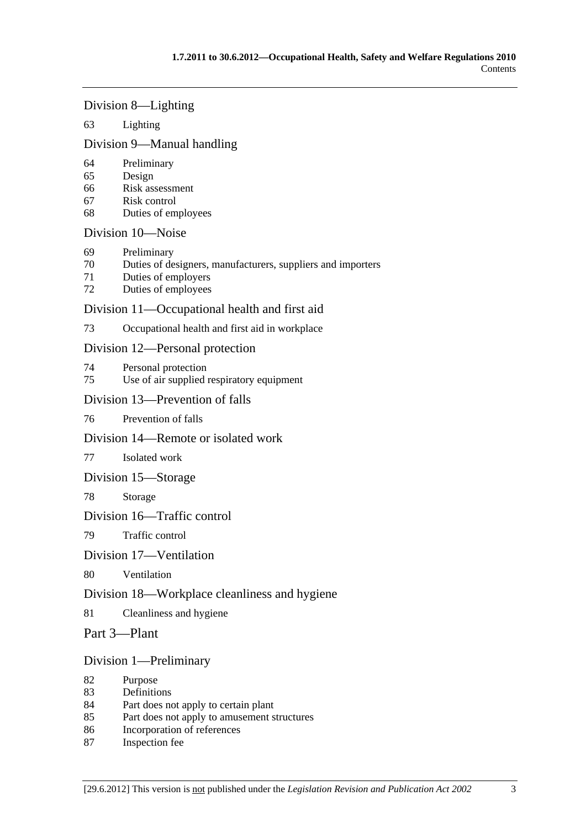## Division 8—Lighting

## 63 Lighting

## Division 9—Manual handling

- 64 Preliminary
- 65 Design
- 66 Risk assessment
- 67 Risk control
- 68 Duties of employees

## Division 10—Noise

- 69 Preliminary
- 70 Duties of designers, manufacturers, suppliers and importers
- 71 Duties of employers
- 72 Duties of employees

## Division 11—Occupational health and first aid

73 Occupational health and first aid in workplace

## Division 12—Personal protection

- 74 Personal protection
- 75 Use of air supplied respiratory equipment

## Division 13—Prevention of falls

## 76 Prevention of falls

## Division 14—Remote or isolated work

## 77 Isolated work

## Division 15—Storage

78 Storage

## Division 16—Traffic control

79 Traffic control

## Division 17—Ventilation

80 Ventilation

## Division 18—Workplace cleanliness and hygiene

81 Cleanliness and hygiene

## Part 3—Plant

## Division 1—Preliminary

- 82 Purpose
- 83 Definitions
- 84 Part does not apply to certain plant
- 85 Part does not apply to amusement structures
- 86 Incorporation of references
- 87 Inspection fee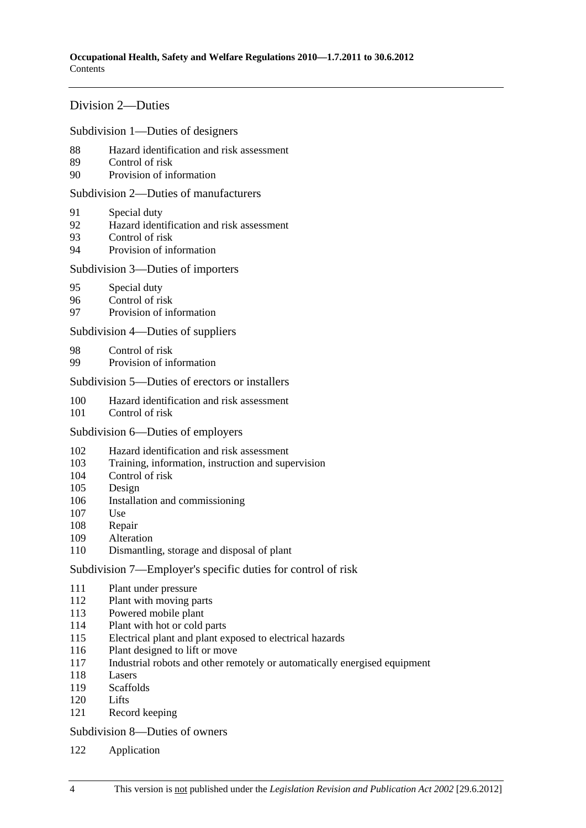## Division 2—Duties

Subdivision 1—Duties of designers

- 88 Hazard identification and risk assessment
- 89 Control of risk
- 90 Provision of information

Subdivision 2—Duties of manufacturers

- 91 Special duty
- 92 Hazard identification and risk assessment
- 93 Control of risk
- 94 Provision of information

#### Subdivision 3—Duties of importers

- 95 Special duty
- 96 Control of risk
- 97 Provision of information

Subdivision 4—Duties of suppliers

- 98 Control of risk
- 99 Provision of information

Subdivision 5—Duties of erectors or installers

- 100 Hazard identification and risk assessment
- 101 Control of risk

#### Subdivision 6—Duties of employers

- 102 Hazard identification and risk assessment
- 103 Training, information, instruction and supervision
- 104 Control of risk
- 105 Design
- 106 Installation and commissioning
- 107 Use
- 108 Repair
- 109 Alteration
- 110 Dismantling, storage and disposal of plant

Subdivision 7—Employer's specific duties for control of risk

- 111 Plant under pressure
- 112 Plant with moving parts
- 113 Powered mobile plant
- 114 Plant with hot or cold parts
- 115 Electrical plant and plant exposed to electrical hazards
- 116 Plant designed to lift or move
- 117 Industrial robots and other remotely or automatically energised equipment
- 118 Lasers
- 119 Scaffolds
- 120 Lifts
- 121 Record keeping

Subdivision 8—Duties of owners

122 Application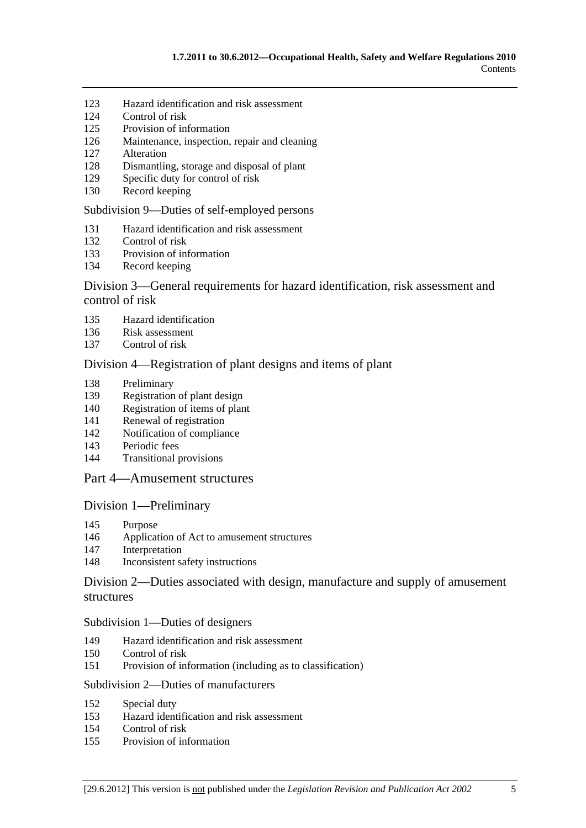- 123 Hazard identification and risk assessment
- 124 Control of risk
- 125 Provision of information
- 126 Maintenance, inspection, repair and cleaning
- 127 Alteration
- 128 Dismantling, storage and disposal of plant
- 129 Specific duty for control of risk
- 130 Record keeping

Subdivision 9—Duties of self-employed persons

- 131 Hazard identification and risk assessment
- 132 Control of risk
- 133 Provision of information
- 134 Record keeping

## Division 3—General requirements for hazard identification, risk assessment and control of risk

- 135 Hazard identification
- 136 Risk assessment
- 137 Control of risk

#### Division 4—Registration of plant designs and items of plant

- 138 Preliminary
- 139 Registration of plant design
- 140 Registration of items of plant
- 141 Renewal of registration
- 142 Notification of compliance
- 143 Periodic fees
- 144 Transitional provisions

## Part 4—Amusement structures

#### Division 1—Preliminary

- 145 Purpose
- 146 Application of Act to amusement structures
- 147 Interpretation
- 148 Inconsistent safety instructions

## Division 2—Duties associated with design, manufacture and supply of amusement structures

#### Subdivision 1—Duties of designers

- 149 Hazard identification and risk assessment
- 150 Control of risk
- 151 Provision of information (including as to classification)

#### Subdivision 2—Duties of manufacturers

- 152 Special duty
- 153 Hazard identification and risk assessment
- 154 Control of risk
- 155 Provision of information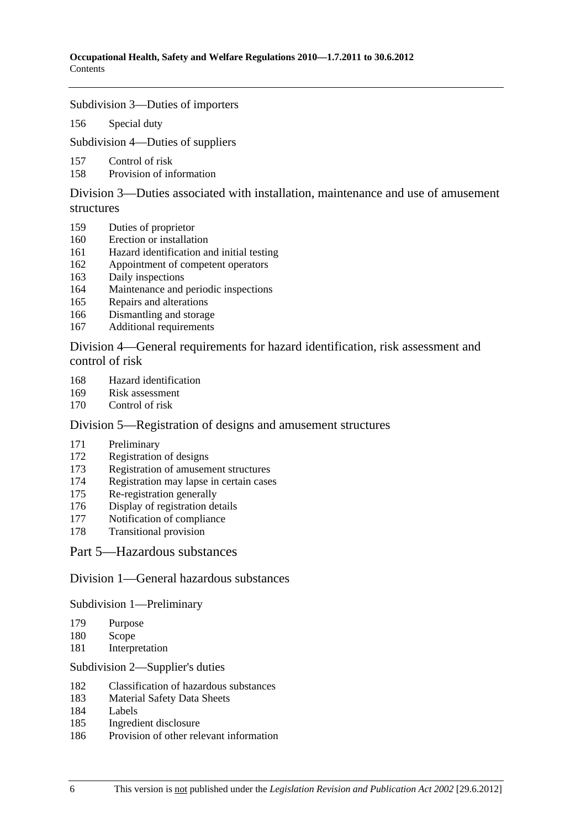#### Subdivision 3—Duties of importers

156 Special duty

Subdivision 4—Duties of suppliers

- 157 Control of risk
- 158 Provision of information

Division 3—Duties associated with installation, maintenance and use of amusement structures

- 159 Duties of proprietor
- 160 Erection or installation
- 161 Hazard identification and initial testing
- 162 Appointment of competent operators
- 163 Daily inspections
- 164 Maintenance and periodic inspections
- 165 Repairs and alterations
- 166 Dismantling and storage
- 167 Additional requirements

Division 4—General requirements for hazard identification, risk assessment and control of risk

- 168 Hazard identification
- 169 Risk assessment
- 170 Control of risk

## Division 5—Registration of designs and amusement structures

- 171 Preliminary
- 172 Registration of designs
- 173 Registration of amusement structures
- 174 Registration may lapse in certain cases
- 175 Re-registration generally
- 176 Display of registration details
- 177 Notification of compliance
- 178 Transitional provision

Part 5—Hazardous substances

## Division 1—General hazardous substances

Subdivision 1—Preliminary

- 179 Purpose
- 180 Scope
- 181 Interpretation

#### Subdivision 2—Supplier's duties

- 182 Classification of hazardous substances
- 183 Material Safety Data Sheets
- 184 Labels
- 185 Ingredient disclosure
- 186 Provision of other relevant information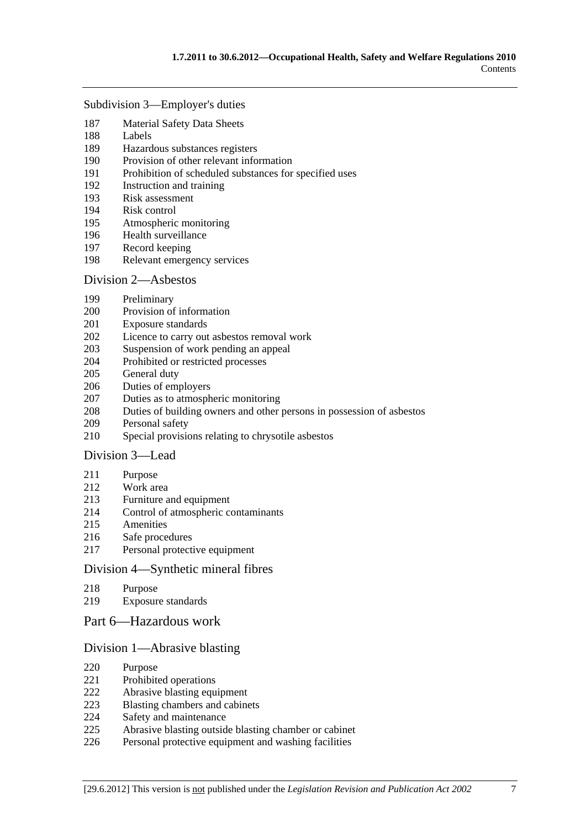#### Subdivision 3—Employer's duties

- 187 Material Safety Data Sheets
- 188 Labels
- 189 Hazardous substances registers
- 190 Provision of other relevant information
- 191 Prohibition of scheduled substances for specified uses
- 192 Instruction and training
- 193 Risk assessment
- 194 Risk control
- 195 Atmospheric monitoring
- 196 Health surveillance
- 197 Record keeping
- 198 Relevant emergency services

#### Division 2—Asbestos

- 199 Preliminary
- 200 Provision of information
- 201 Exposure standards
- 202 Licence to carry out asbestos removal work
- 203 Suspension of work pending an appeal
- 204 Prohibited or restricted processes
- 205 General duty
- 206 Duties of employers
- 207 Duties as to atmospheric monitoring
- 208 Duties of building owners and other persons in possession of asbestos
- 209 Personal safety
- 210 Special provisions relating to chrysotile asbestos

## Division 3—Lead

- 211 Purpose
- 212 Work area
- 213 Furniture and equipment
- 214 Control of atmospheric contaminants
- 215 Amenities
- 216 Safe procedures
- 217 Personal protective equipment

## Division 4—Synthetic mineral fibres

- 218 Purpose
- 219 Exposure standards
- Part 6—Hazardous work

## Division 1—Abrasive blasting

- 220 Purpose
- 221 Prohibited operations
- 222 Abrasive blasting equipment
- 223 Blasting chambers and cabinets
- 224 Safety and maintenance
- 225 Abrasive blasting outside blasting chamber or cabinet
- 226 Personal protective equipment and washing facilities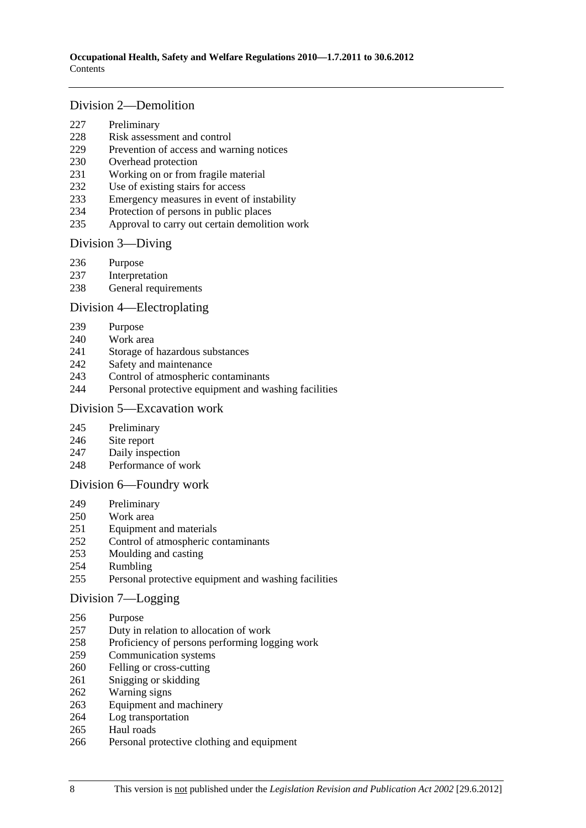## Division 2—Demolition

- 227 Preliminary
- 228 Risk assessment and control
- 229 Prevention of access and warning notices
- 230 Overhead protection
- 231 Working on or from fragile material
- 232 Use of existing stairs for access
- 233 Emergency measures in event of instability
- 234 Protection of persons in public places
- 235 Approval to carry out certain demolition work

## Division 3—Diving

- 236 Purpose
- 237 Interpretation
- 238 General requirements

## Division 4—Electroplating

- 239 Purpose
- 240 Work area
- 241 Storage of hazardous substances
- 242 Safety and maintenance
- 243 Control of atmospheric contaminants
- 244 Personal protective equipment and washing facilities

#### Division 5—Excavation work

- 245 Preliminary
- 246 Site report
- 247 Daily inspection
- 248 Performance of work

## Division 6—Foundry work

- 249 Preliminary
- 250 Work area
- 251 Equipment and materials
- 252 Control of atmospheric contaminants
- 253 Moulding and casting
- 254 Rumbling
- 255 Personal protective equipment and washing facilities

## Division 7—Logging

- 256 Purpose
- 257 Duty in relation to allocation of work
- 258 Proficiency of persons performing logging work
- 259 Communication systems
- 260 Felling or cross-cutting
- 261 Snigging or skidding
- 262 Warning signs
- 263 Equipment and machinery
- 264 Log transportation
- 265 Haul roads
- 266 Personal protective clothing and equipment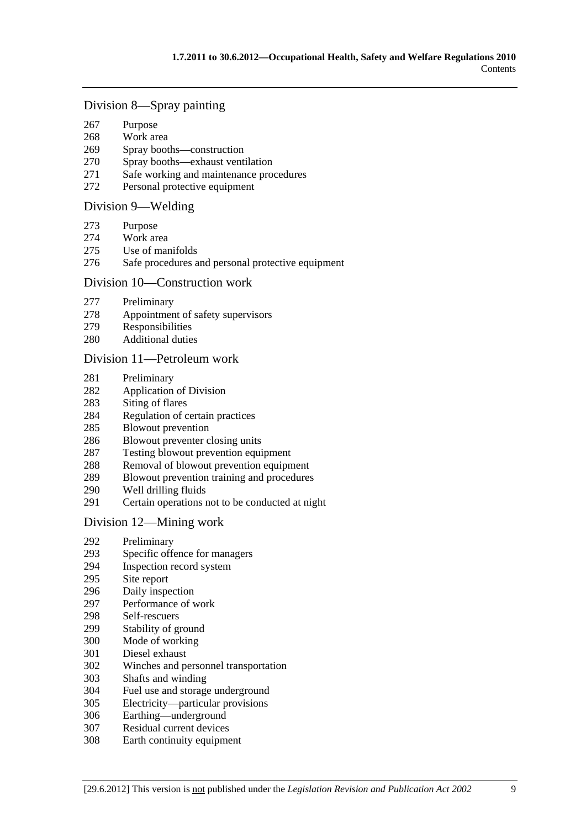## Division 8—Spray painting

- 267 Purpose
- 268 Work area
- 269 Spray booths—construction
- 270 Spray booths—exhaust ventilation
- 271 Safe working and maintenance procedures
- 272 Personal protective equipment

#### Division 9—Welding

- 273 Purpose
- 274 Work area
- 275 Use of manifolds
- 276 Safe procedures and personal protective equipment

#### Division 10—Construction work

- 277 Preliminary
- 278 Appointment of safety supervisors
- 279 Responsibilities
- 280 Additional duties

#### Division 11—Petroleum work

- 281 Preliminary
- 282 Application of Division
- 283 Siting of flares
- 284 Regulation of certain practices
- 285 Blowout prevention
- 286 Blowout preventer closing units
- 287 Testing blowout prevention equipment
- 288 Removal of blowout prevention equipment
- 289 Blowout prevention training and procedures
- 290 Well drilling fluids
- 291 Certain operations not to be conducted at night

## Division 12—Mining work

- 292 Preliminary
- 293 Specific offence for managers
- 294 Inspection record system
- 295 Site report
- 296 Daily inspection
- 297 Performance of work
- 298 Self-rescuers
- 299 Stability of ground
- 300 Mode of working
- 301 Diesel exhaust
- 302 Winches and personnel transportation
- 303 Shafts and winding
- 304 Fuel use and storage underground
- 305 Electricity—particular provisions
- 306 Earthing—underground
- 307 Residual current devices
- 308 Earth continuity equipment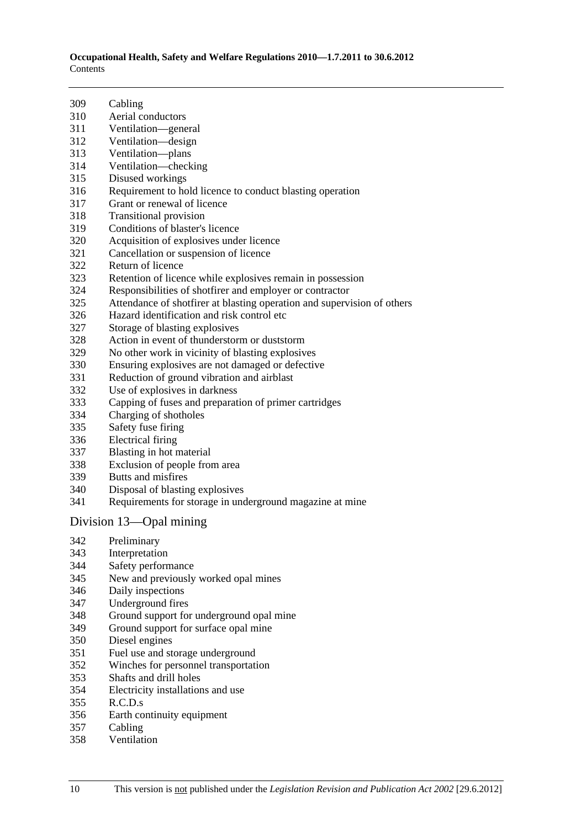**Occupational Health, Safety and Welfare Regulations 2010—1.7.2011 to 30.6.2012**  Contents

| 309 | Cabling                                                                 |
|-----|-------------------------------------------------------------------------|
| 310 | Aerial conductors                                                       |
| 311 | Ventilation-general                                                     |
| 312 | Ventilation—design                                                      |
| 313 | Ventilation-plans                                                       |
| 314 | Ventilation-checking                                                    |
| 315 | Disused workings                                                        |
| 316 | Requirement to hold licence to conduct blasting operation               |
| 317 | Grant or renewal of licence                                             |
| 318 | Transitional provision                                                  |
| 319 | Conditions of blaster's licence                                         |
| 320 | Acquisition of explosives under licence                                 |
| 321 | Cancellation or suspension of licence                                   |
| 322 | Return of licence                                                       |
| 323 | Retention of licence while explosives remain in possession              |
| 324 | Responsibilities of shotfirer and employer or contractor                |
| 325 | Attendance of shotfirer at blasting operation and supervision of others |
| 326 | Hazard identification and risk control etc.                             |
| 327 | Storage of blasting explosives                                          |
| 328 | Action in event of thunderstorm or duststorm                            |
| 329 | No other work in vicinity of blasting explosives                        |
| 330 | Ensuring explosives are not damaged or defective                        |
| 331 | Reduction of ground vibration and airblast                              |
| 332 | Use of explosives in darkness                                           |
| 333 | Capping of fuses and preparation of primer cartridges                   |
| 334 | Charging of shotholes                                                   |
| 335 | Safety fuse firing                                                      |
| 336 | <b>Electrical firing</b>                                                |
| 337 | Blasting in hot material                                                |
| 338 | Exclusion of people from area                                           |
| 339 | Butts and misfires                                                      |
| 340 | Disposal of blasting explosives                                         |
| 341 | Requirements for storage in underground magazine at mine                |
|     | Division 13-Opal mining                                                 |
| 342 | Preliminary                                                             |
| 343 | Interpretation                                                          |
| 344 | Safety performance                                                      |
| 345 | New and previously worked opal mines                                    |
| 346 | Daily inspections                                                       |
| 347 | Underground fires                                                       |
| 348 | Ground support for underground opal mine                                |

- 349 Ground support for surface opal mine
- 350 Diesel engines
- 351 Fuel use and storage underground
- 352 Winches for personnel transportation
- 353 Shafts and drill holes
- 354 Electricity installations and use
- 355 R.C.D.s
- 356 Earth continuity equipment
- 357 Cabling
- 358 Ventilation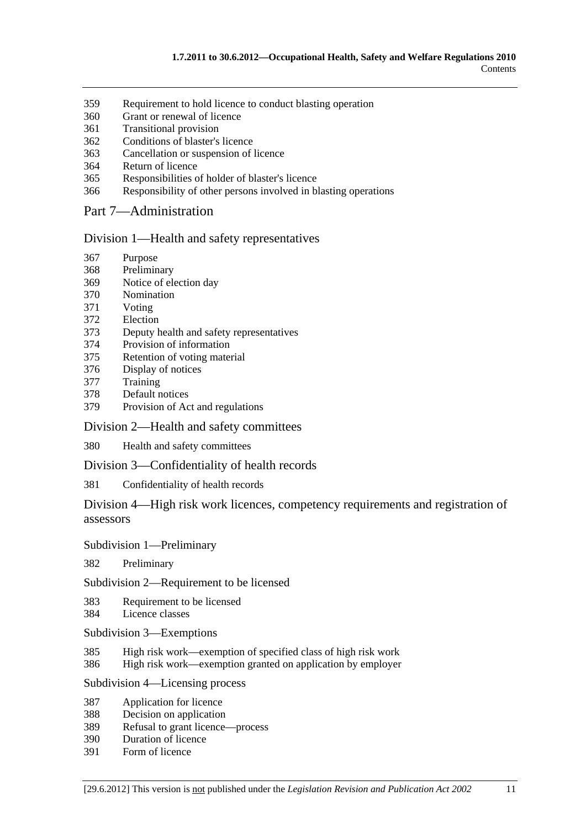- 359 Requirement to hold licence to conduct blasting operation
- 360 Grant or renewal of licence
- 361 Transitional provision
- 362 Conditions of blaster's licence
- 363 Cancellation or suspension of licence
- 364 Return of licence
- 365 Responsibilities of holder of blaster's licence
- 366 Responsibility of other persons involved in blasting operations

## Part 7—Administration

#### Division 1—Health and safety representatives

- 367 Purpose
- 368 Preliminary
- 369 Notice of election day
- 370 Nomination
- 371 Voting
- 372 Election
- 373 Deputy health and safety representatives
- 374 Provision of information
- 375 Retention of voting material
- 376 Display of notices
- 377 Training
- 378 Default notices
- 379 Provision of Act and regulations

#### Division 2—Health and safety committees

380 Health and safety committees

Division 3—Confidentiality of health records

381 Confidentiality of health records

Division 4—High risk work licences, competency requirements and registration of assessors

#### Subdivision 1—Preliminary

382 Preliminary

Subdivision 2—Requirement to be licensed

383 Requirement to be licensed

- 384 Licence classes
- Subdivision 3—Exemptions
- 385 High risk work—exemption of specified class of high risk work
- 386 High risk work—exemption granted on application by employer

## Subdivision 4—Licensing process

- 387 Application for licence
- 388 Decision on application
- 389 Refusal to grant licence—process
- 390 Duration of licence
- 391 Form of licence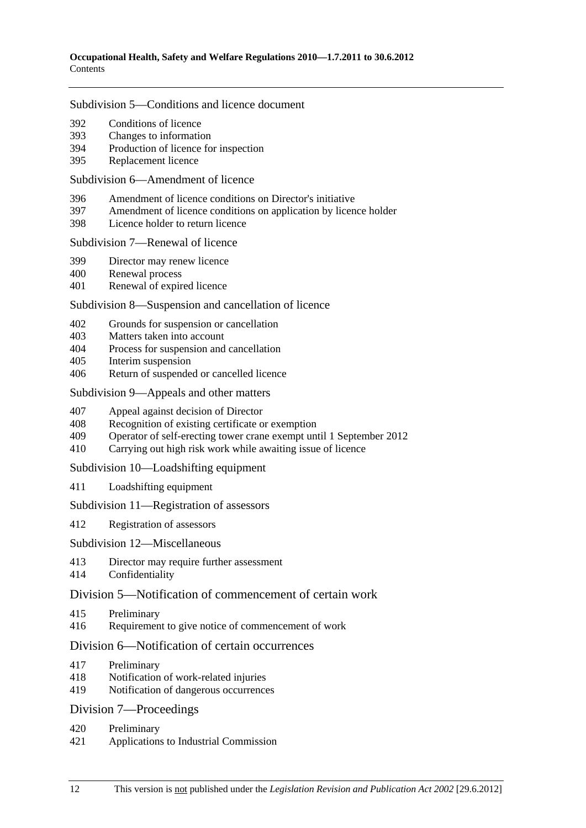#### Subdivision 5—Conditions and licence document

- 392 Conditions of licence
- 393 Changes to information
- 394 Production of licence for inspection
- 395 Replacement licence

#### Subdivision 6—Amendment of licence

- 396 Amendment of licence conditions on Director's initiative
- 397 Amendment of licence conditions on application by licence holder
- 398 Licence holder to return licence

#### Subdivision 7—Renewal of licence

- 399 Director may renew licence
- 400 Renewal process
- 401 Renewal of expired licence

## Subdivision 8—Suspension and cancellation of licence

- 402 Grounds for suspension or cancellation
- 403 Matters taken into account
- 404 Process for suspension and cancellation
- 405 Interim suspension
- 406 Return of suspended or cancelled licence

#### Subdivision 9—Appeals and other matters

- 407 Appeal against decision of Director
- 408 Recognition of existing certificate or exemption
- 409 Operator of self-erecting tower crane exempt until 1 September 2012
- 410 Carrying out high risk work while awaiting issue of licence

## Subdivision 10—Loadshifting equipment

411 Loadshifting equipment

## Subdivision 11—Registration of assessors

412 Registration of assessors

## Subdivision 12—Miscellaneous

- 413 Director may require further assessment
- 414 Confidentiality

## Division 5—Notification of commencement of certain work

- 415 Preliminary
- 416 Requirement to give notice of commencement of work

## Division 6—Notification of certain occurrences

- 417 Preliminary
- 418 Notification of work-related injuries
- 419 Notification of dangerous occurrences

## Division 7—Proceedings

- 420 Preliminary
- 421 Applications to Industrial Commission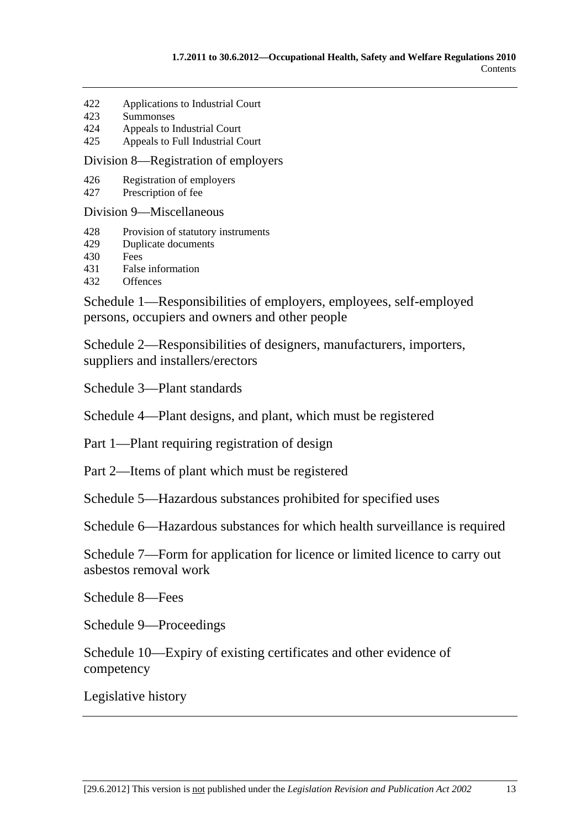- 422 Applications to Industrial Court
- 423 Summonses
- 424 Appeals to Industrial Court
- 425 Appeals to Full Industrial Court

Division 8—Registration of employers

- 426 Registration of employers
- 427 Prescription of fee

Division 9—Miscellaneous

- 428 Provision of statutory instruments
- 429 Duplicate documents
- 430 Fees
- 431 False information
- 432 Offences

Schedule 1—Responsibilities of employers, employees, self-employed persons, occupiers and owners and other people

Schedule 2—Responsibilities of designers, manufacturers, importers, suppliers and installers/erectors

Schedule 3—Plant standards

Schedule 4—Plant designs, and plant, which must be registered

Part 1—Plant requiring registration of design

Part 2—Items of plant which must be registered

Schedule 5—Hazardous substances prohibited for specified uses

Schedule 6—Hazardous substances for which health surveillance is required

Schedule 7—Form for application for licence or limited licence to carry out asbestos removal work

Schedule 8—Fees

Schedule 9—Proceedings

Schedule 10—Expiry of existing certificates and other evidence of competency

Legislative history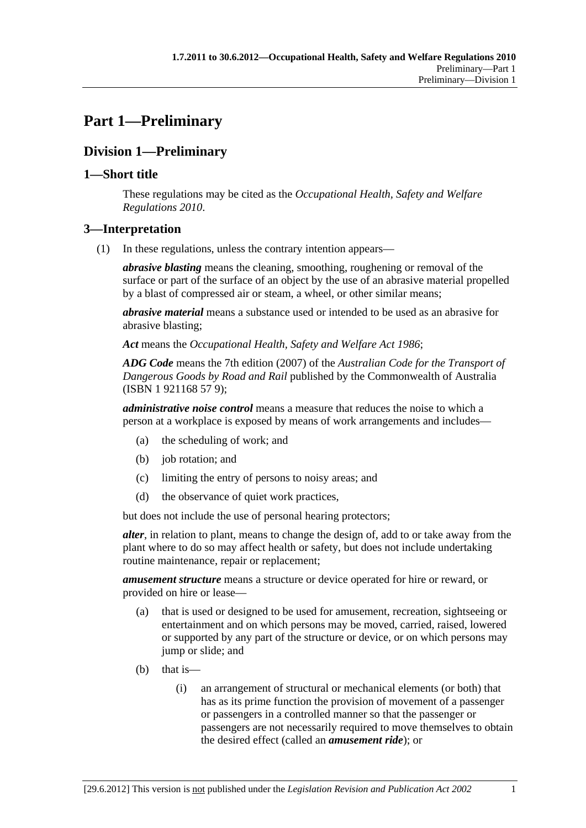# **Part 1—Preliminary**

# **Division 1—Preliminary**

## **1—Short title**

These regulations may be cited as the *Occupational Health, Safety and Welfare Regulations 2010*.

## **3—Interpretation**

(1) In these regulations, unless the contrary intention appears—

*abrasive blasting* means the cleaning, smoothing, roughening or removal of the surface or part of the surface of an object by the use of an abrasive material propelled by a blast of compressed air or steam, a wheel, or other similar means;

*abrasive material* means a substance used or intended to be used as an abrasive for abrasive blasting;

*Act* means the *Occupational Health, Safety and Welfare Act 1986*;

*ADG Code* means the 7th edition (2007) of the *Australian Code for the Transport of Dangerous Goods by Road and Rail* published by the Commonwealth of Australia (ISBN 1 921168 57 9);

*administrative noise control* means a measure that reduces the noise to which a person at a workplace is exposed by means of work arrangements and includes—

- (a) the scheduling of work; and
- (b) job rotation; and
- (c) limiting the entry of persons to noisy areas; and
- (d) the observance of quiet work practices,

but does not include the use of personal hearing protectors;

*alter*, in relation to plant, means to change the design of, add to or take away from the plant where to do so may affect health or safety, but does not include undertaking routine maintenance, repair or replacement;

*amusement structure* means a structure or device operated for hire or reward, or provided on hire or lease—

- (a) that is used or designed to be used for amusement, recreation, sightseeing or entertainment and on which persons may be moved, carried, raised, lowered or supported by any part of the structure or device, or on which persons may jump or slide; and
- $(b)$  that is—
	- (i) an arrangement of structural or mechanical elements (or both) that has as its prime function the provision of movement of a passenger or passengers in a controlled manner so that the passenger or passengers are not necessarily required to move themselves to obtain the desired effect (called an *amusement ride*); or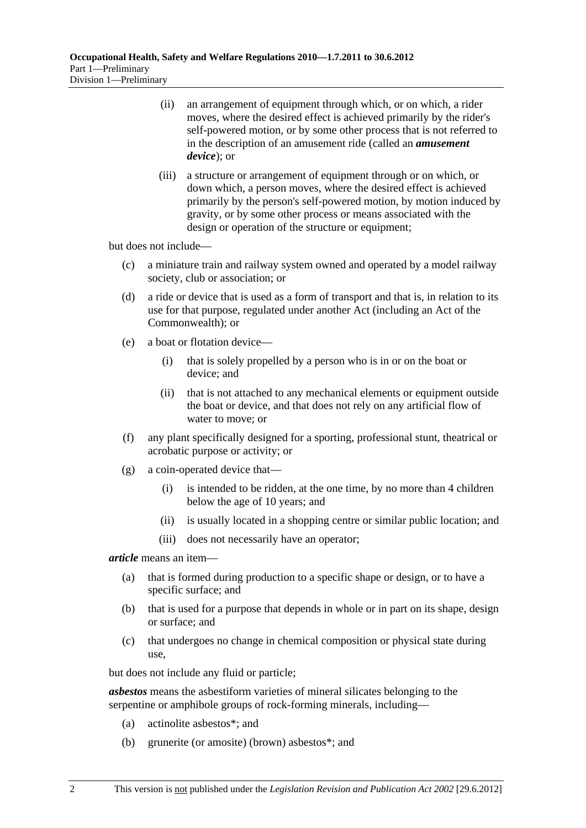- (ii) an arrangement of equipment through which, or on which, a rider moves, where the desired effect is achieved primarily by the rider's self-powered motion, or by some other process that is not referred to in the description of an amusement ride (called an *amusement device*); or
- (iii) a structure or arrangement of equipment through or on which, or down which, a person moves, where the desired effect is achieved primarily by the person's self-powered motion, by motion induced by gravity, or by some other process or means associated with the design or operation of the structure or equipment;

but does not include—

- (c) a miniature train and railway system owned and operated by a model railway society, club or association; or
- (d) a ride or device that is used as a form of transport and that is, in relation to its use for that purpose, regulated under another Act (including an Act of the Commonwealth); or
- (e) a boat or flotation device—
	- (i) that is solely propelled by a person who is in or on the boat or device; and
	- (ii) that is not attached to any mechanical elements or equipment outside the boat or device, and that does not rely on any artificial flow of water to move; or
- (f) any plant specifically designed for a sporting, professional stunt, theatrical or acrobatic purpose or activity; or
- (g) a coin-operated device that—
	- (i) is intended to be ridden, at the one time, by no more than 4 children below the age of 10 years; and
	- (ii) is usually located in a shopping centre or similar public location; and
	- (iii) does not necessarily have an operator;

#### *article* means an item—

- (a) that is formed during production to a specific shape or design, or to have a specific surface; and
- (b) that is used for a purpose that depends in whole or in part on its shape, design or surface; and
- (c) that undergoes no change in chemical composition or physical state during use,

but does not include any fluid or particle;

*asbestos* means the asbestiform varieties of mineral silicates belonging to the serpentine or amphibole groups of rock-forming minerals, including—

- (a) actinolite asbestos\*; and
- (b) grunerite (or amosite) (brown) asbestos\*; and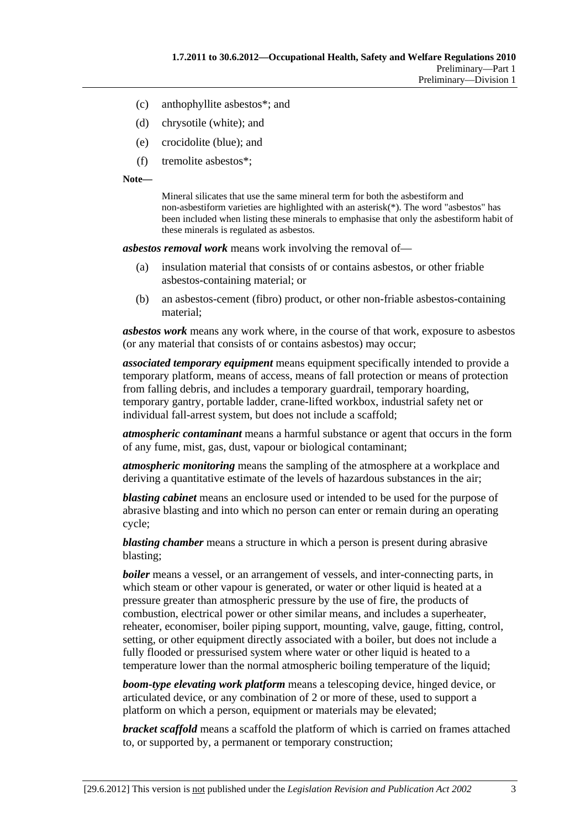- (c) anthophyllite asbestos\*; and
- (d) chrysotile (white); and
- (e) crocidolite (blue); and
- (f) tremolite asbestos\*;

**Note—** 

Mineral silicates that use the same mineral term for both the asbestiform and non-asbestiform varieties are highlighted with an asterisk(\*). The word "asbestos" has been included when listing these minerals to emphasise that only the asbestiform habit of these minerals is regulated as asbestos.

*asbestos removal work* means work involving the removal of—

- (a) insulation material that consists of or contains asbestos, or other friable asbestos-containing material; or
- (b) an asbestos-cement (fibro) product, or other non-friable asbestos-containing material;

*asbestos work* means any work where, in the course of that work, exposure to asbestos (or any material that consists of or contains asbestos) may occur;

*associated temporary equipment* means equipment specifically intended to provide a temporary platform, means of access, means of fall protection or means of protection from falling debris, and includes a temporary guardrail, temporary hoarding, temporary gantry, portable ladder, crane-lifted workbox, industrial safety net or individual fall-arrest system, but does not include a scaffold;

*atmospheric contaminant* means a harmful substance or agent that occurs in the form of any fume, mist, gas, dust, vapour or biological contaminant;

*atmospheric monitoring* means the sampling of the atmosphere at a workplace and deriving a quantitative estimate of the levels of hazardous substances in the air;

*blasting cabinet* means an enclosure used or intended to be used for the purpose of abrasive blasting and into which no person can enter or remain during an operating cycle;

*blasting chamber* means a structure in which a person is present during abrasive blasting;

*boiler* means a vessel, or an arrangement of vessels, and inter-connecting parts, in which steam or other vapour is generated, or water or other liquid is heated at a pressure greater than atmospheric pressure by the use of fire, the products of combustion, electrical power or other similar means, and includes a superheater, reheater, economiser, boiler piping support, mounting, valve, gauge, fitting, control, setting, or other equipment directly associated with a boiler, but does not include a fully flooded or pressurised system where water or other liquid is heated to a temperature lower than the normal atmospheric boiling temperature of the liquid;

*boom-type elevating work platform* means a telescoping device, hinged device, or articulated device, or any combination of 2 or more of these, used to support a platform on which a person, equipment or materials may be elevated;

*bracket scaffold* means a scaffold the platform of which is carried on frames attached to, or supported by, a permanent or temporary construction;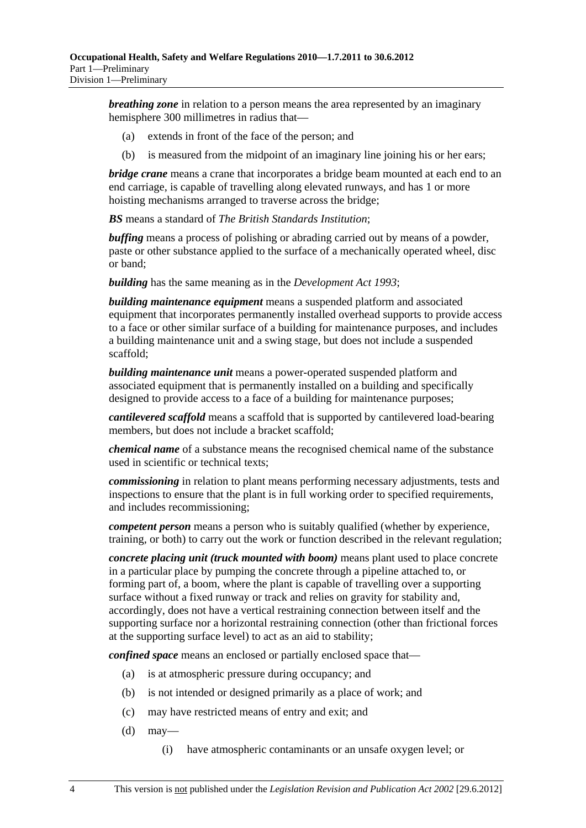*breathing zone* in relation to a person means the area represented by an imaginary hemisphere 300 millimetres in radius that—

- (a) extends in front of the face of the person; and
- (b) is measured from the midpoint of an imaginary line joining his or her ears;

*bridge crane* means a crane that incorporates a bridge beam mounted at each end to an end carriage, is capable of travelling along elevated runways, and has 1 or more hoisting mechanisms arranged to traverse across the bridge;

*BS* means a standard of *The British Standards Institution*;

*buffing* means a process of polishing or abrading carried out by means of a powder, paste or other substance applied to the surface of a mechanically operated wheel, disc or band;

*building* has the same meaning as in the *Development Act 1993*;

*building maintenance equipment* means a suspended platform and associated equipment that incorporates permanently installed overhead supports to provide access to a face or other similar surface of a building for maintenance purposes, and includes a building maintenance unit and a swing stage, but does not include a suspended scaffold;

*building maintenance unit* means a power-operated suspended platform and associated equipment that is permanently installed on a building and specifically designed to provide access to a face of a building for maintenance purposes;

*cantilevered scaffold* means a scaffold that is supported by cantilevered load-bearing members, but does not include a bracket scaffold;

*chemical name* of a substance means the recognised chemical name of the substance used in scientific or technical texts;

*commissioning* in relation to plant means performing necessary adjustments, tests and inspections to ensure that the plant is in full working order to specified requirements, and includes recommissioning;

*competent person* means a person who is suitably qualified (whether by experience, training, or both) to carry out the work or function described in the relevant regulation;

*concrete placing unit (truck mounted with boom)* means plant used to place concrete in a particular place by pumping the concrete through a pipeline attached to, or forming part of, a boom, where the plant is capable of travelling over a supporting surface without a fixed runway or track and relies on gravity for stability and, accordingly, does not have a vertical restraining connection between itself and the supporting surface nor a horizontal restraining connection (other than frictional forces at the supporting surface level) to act as an aid to stability;

*confined space* means an enclosed or partially enclosed space that—

- (a) is at atmospheric pressure during occupancy; and
- (b) is not intended or designed primarily as a place of work; and
- (c) may have restricted means of entry and exit; and
- $(d)$  may—
	- (i) have atmospheric contaminants or an unsafe oxygen level; or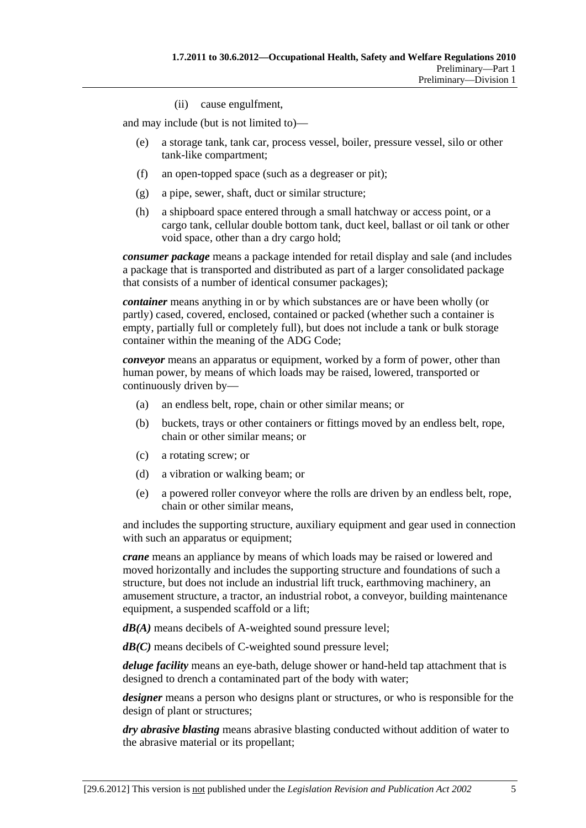(ii) cause engulfment,

and may include (but is not limited to)—

- (e) a storage tank, tank car, process vessel, boiler, pressure vessel, silo or other tank-like compartment;
- (f) an open-topped space (such as a degreaser or pit);
- (g) a pipe, sewer, shaft, duct or similar structure;
- (h) a shipboard space entered through a small hatchway or access point, or a cargo tank, cellular double bottom tank, duct keel, ballast or oil tank or other void space, other than a dry cargo hold;

*consumer package* means a package intended for retail display and sale (and includes a package that is transported and distributed as part of a larger consolidated package that consists of a number of identical consumer packages);

*container* means anything in or by which substances are or have been wholly (or partly) cased, covered, enclosed, contained or packed (whether such a container is empty, partially full or completely full), but does not include a tank or bulk storage container within the meaning of the ADG Code;

*conveyor* means an apparatus or equipment, worked by a form of power, other than human power, by means of which loads may be raised, lowered, transported or continuously driven by—

- (a) an endless belt, rope, chain or other similar means; or
- (b) buckets, trays or other containers or fittings moved by an endless belt, rope, chain or other similar means; or
- (c) a rotating screw; or
- (d) a vibration or walking beam; or
- (e) a powered roller conveyor where the rolls are driven by an endless belt, rope, chain or other similar means,

and includes the supporting structure, auxiliary equipment and gear used in connection with such an apparatus or equipment;

*crane* means an appliance by means of which loads may be raised or lowered and moved horizontally and includes the supporting structure and foundations of such a structure, but does not include an industrial lift truck, earthmoving machinery, an amusement structure, a tractor, an industrial robot, a conveyor, building maintenance equipment, a suspended scaffold or a lift;

*dB(A)* means decibels of A-weighted sound pressure level;

*dB(C)* means decibels of C-weighted sound pressure level;

*deluge facility* means an eye-bath, deluge shower or hand-held tap attachment that is designed to drench a contaminated part of the body with water;

*designer* means a person who designs plant or structures, or who is responsible for the design of plant or structures;

*dry abrasive blasting* means abrasive blasting conducted without addition of water to the abrasive material or its propellant;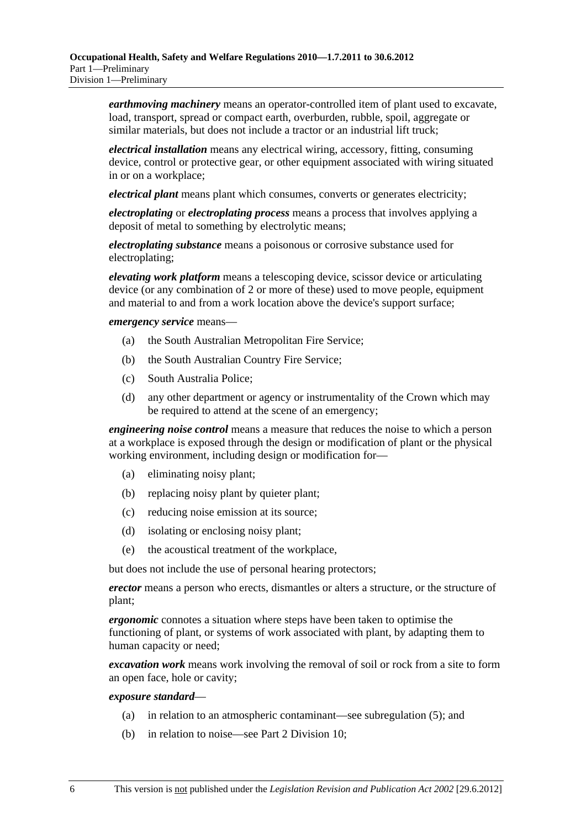*earthmoving machinery* means an operator-controlled item of plant used to excavate, load, transport, spread or compact earth, overburden, rubble, spoil, aggregate or similar materials, but does not include a tractor or an industrial lift truck;

*electrical installation* means any electrical wiring, accessory, fitting, consuming device, control or protective gear, or other equipment associated with wiring situated in or on a workplace;

*electrical plant* means plant which consumes, converts or generates electricity;

*electroplating* or *electroplating process* means a process that involves applying a deposit of metal to something by electrolytic means;

*electroplating substance* means a poisonous or corrosive substance used for electroplating;

*elevating work platform* means a telescoping device, scissor device or articulating device (or any combination of 2 or more of these) used to move people, equipment and material to and from a work location above the device's support surface;

*emergency service* means—

- (a) the South Australian Metropolitan Fire Service;
- (b) the South Australian Country Fire Service;
- (c) South Australia Police;
- (d) any other department or agency or instrumentality of the Crown which may be required to attend at the scene of an emergency;

*engineering noise control* means a measure that reduces the noise to which a person at a workplace is exposed through the design or modification of plant or the physical working environment, including design or modification for—

- (a) eliminating noisy plant;
- (b) replacing noisy plant by quieter plant;
- (c) reducing noise emission at its source;
- (d) isolating or enclosing noisy plant;
- (e) the acoustical treatment of the workplace,

but does not include the use of personal hearing protectors;

*erector* means a person who erects, dismantles or alters a structure, or the structure of plant;

*ergonomic* connotes a situation where steps have been taken to optimise the functioning of plant, or systems of work associated with plant, by adapting them to human capacity or need;

*excavation work* means work involving the removal of soil or rock from a site to form an open face, hole or cavity;

#### *exposure standard*—

- (a) in relation to an atmospheric contaminant—see subregulation (5); and
- (b) in relation to noise—see Part 2 Division 10;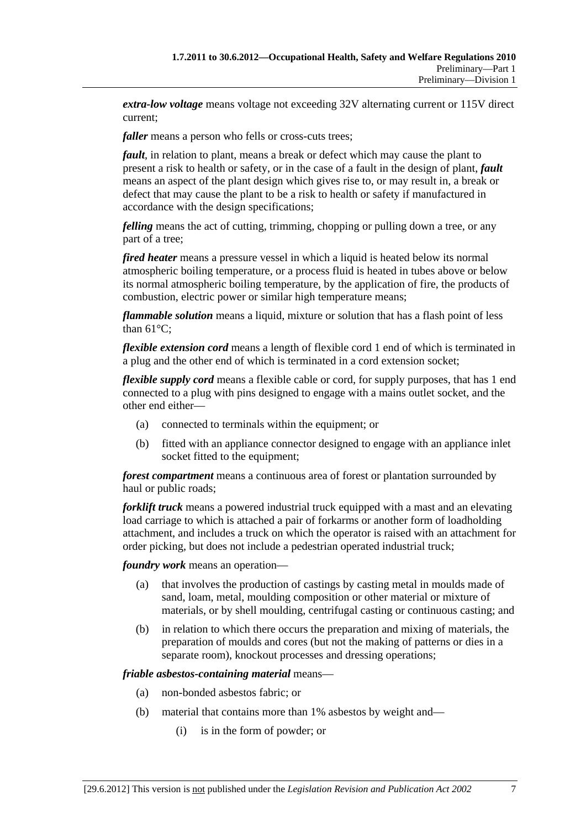*extra-low voltage* means voltage not exceeding 32V alternating current or 115V direct current;

*faller* means a person who fells or cross-cuts trees;

*fault*, in relation to plant, means a break or defect which may cause the plant to present a risk to health or safety, or in the case of a fault in the design of plant, *fault* means an aspect of the plant design which gives rise to, or may result in, a break or defect that may cause the plant to be a risk to health or safety if manufactured in accordance with the design specifications;

*felling* means the act of cutting, trimming, chopping or pulling down a tree, or any part of a tree;

*fired heater* means a pressure vessel in which a liquid is heated below its normal atmospheric boiling temperature, or a process fluid is heated in tubes above or below its normal atmospheric boiling temperature, by the application of fire, the products of combustion, electric power or similar high temperature means;

*flammable solution* means a liquid, mixture or solution that has a flash point of less than  $61^{\circ}$ C:

*flexible extension cord* means a length of flexible cord 1 end of which is terminated in a plug and the other end of which is terminated in a cord extension socket;

*flexible supply cord* means a flexible cable or cord, for supply purposes, that has 1 end connected to a plug with pins designed to engage with a mains outlet socket, and the other end either—

- (a) connected to terminals within the equipment; or
- (b) fitted with an appliance connector designed to engage with an appliance inlet socket fitted to the equipment;

*forest compartment* means a continuous area of forest or plantation surrounded by haul or public roads;

*forklift truck* means a powered industrial truck equipped with a mast and an elevating load carriage to which is attached a pair of forkarms or another form of loadholding attachment, and includes a truck on which the operator is raised with an attachment for order picking, but does not include a pedestrian operated industrial truck;

*foundry work* means an operation—

- (a) that involves the production of castings by casting metal in moulds made of sand, loam, metal, moulding composition or other material or mixture of materials, or by shell moulding, centrifugal casting or continuous casting; and
- (b) in relation to which there occurs the preparation and mixing of materials, the preparation of moulds and cores (but not the making of patterns or dies in a separate room), knockout processes and dressing operations;

*friable asbestos-containing material* means—

- (a) non-bonded asbestos fabric; or
- (b) material that contains more than 1% asbestos by weight and—
	- (i) is in the form of powder; or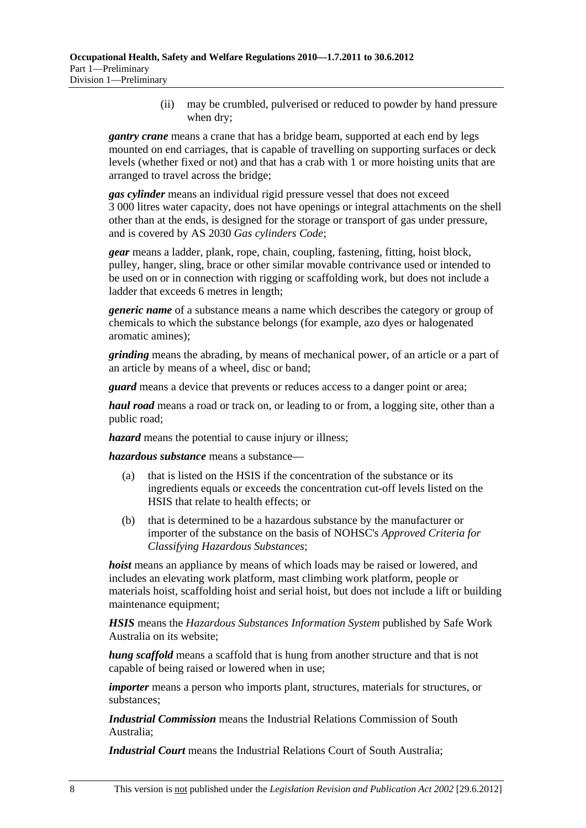(ii) may be crumbled, pulverised or reduced to powder by hand pressure when dry;

*gantry crane* means a crane that has a bridge beam, supported at each end by legs mounted on end carriages, that is capable of travelling on supporting surfaces or deck levels (whether fixed or not) and that has a crab with 1 or more hoisting units that are arranged to travel across the bridge;

*gas cylinder* means an individual rigid pressure vessel that does not exceed 3 000 litres water capacity, does not have openings or integral attachments on the shell other than at the ends, is designed for the storage or transport of gas under pressure, and is covered by AS 2030 *Gas cylinders Code*;

*gear* means a ladder, plank, rope, chain, coupling, fastening, fitting, hoist block, pulley, hanger, sling, brace or other similar movable contrivance used or intended to be used on or in connection with rigging or scaffolding work, but does not include a ladder that exceeds 6 metres in length;

*generic name* of a substance means a name which describes the category or group of chemicals to which the substance belongs (for example, azo dyes or halogenated aromatic amines);

*grinding* means the abrading, by means of mechanical power, of an article or a part of an article by means of a wheel, disc or band;

*guard* means a device that prevents or reduces access to a danger point or area;

*haul road* means a road or track on, or leading to or from, a logging site, other than a public road;

*hazard* means the potential to cause injury or illness;

*hazardous substance* means a substance—

- (a) that is listed on the HSIS if the concentration of the substance or its ingredients equals or exceeds the concentration cut-off levels listed on the HSIS that relate to health effects; or
- (b) that is determined to be a hazardous substance by the manufacturer or importer of the substance on the basis of NOHSC's *Approved Criteria for Classifying Hazardous Substances*;

*hoist* means an appliance by means of which loads may be raised or lowered, and includes an elevating work platform, mast climbing work platform, people or materials hoist, scaffolding hoist and serial hoist, but does not include a lift or building maintenance equipment;

*HSIS* means the *Hazardous Substances Information System* published by Safe Work Australia on its website;

*hung scaffold* means a scaffold that is hung from another structure and that is not capable of being raised or lowered when in use;

*importer* means a person who imports plant, structures, materials for structures, or substances;

*Industrial Commission* means the Industrial Relations Commission of South Australia;

*Industrial Court* means the Industrial Relations Court of South Australia;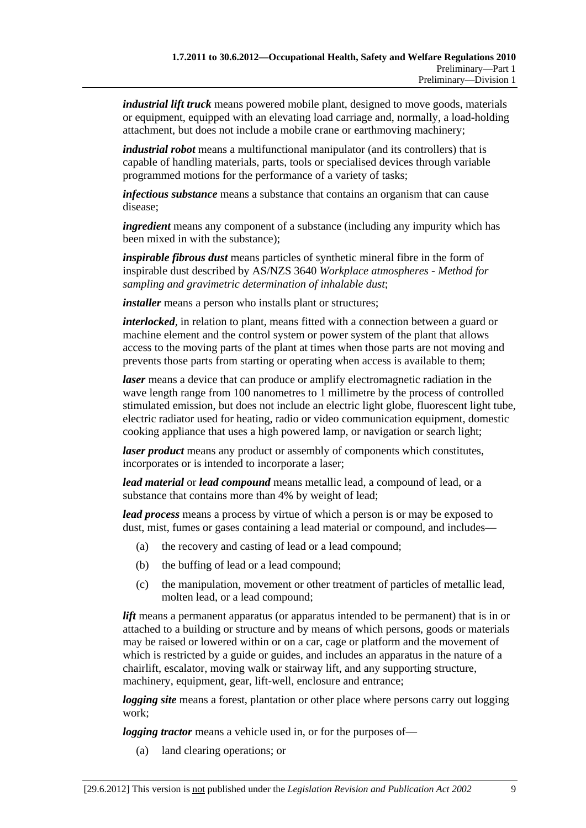*industrial lift truck* means powered mobile plant, designed to move goods, materials or equipment, equipped with an elevating load carriage and, normally, a load-holding attachment, but does not include a mobile crane or earthmoving machinery;

*industrial robot* means a multifunctional manipulator (and its controllers) that is capable of handling materials, parts, tools or specialised devices through variable programmed motions for the performance of a variety of tasks;

*infectious substance* means a substance that contains an organism that can cause disease;

*ingredient* means any component of a substance (including any impurity which has been mixed in with the substance);

*inspirable fibrous dust* means particles of synthetic mineral fibre in the form of inspirable dust described by AS/NZS 3640 *Workplace atmospheres - Method for sampling and gravimetric determination of inhalable dust*;

*installer* means a person who installs plant or structures;

*interlocked*, in relation to plant, means fitted with a connection between a guard or machine element and the control system or power system of the plant that allows access to the moving parts of the plant at times when those parts are not moving and prevents those parts from starting or operating when access is available to them;

*laser* means a device that can produce or amplify electromagnetic radiation in the wave length range from 100 nanometres to 1 millimetre by the process of controlled stimulated emission, but does not include an electric light globe, fluorescent light tube, electric radiator used for heating, radio or video communication equipment, domestic cooking appliance that uses a high powered lamp, or navigation or search light;

*laser product* means any product or assembly of components which constitutes, incorporates or is intended to incorporate a laser;

*lead material* or *lead compound* means metallic lead, a compound of lead, or a substance that contains more than 4% by weight of lead;

*lead process* means a process by virtue of which a person is or may be exposed to dust, mist, fumes or gases containing a lead material or compound, and includes—

- (a) the recovery and casting of lead or a lead compound;
- (b) the buffing of lead or a lead compound;
- (c) the manipulation, movement or other treatment of particles of metallic lead, molten lead, or a lead compound;

*lift* means a permanent apparatus (or apparatus intended to be permanent) that is in or attached to a building or structure and by means of which persons, goods or materials may be raised or lowered within or on a car, cage or platform and the movement of which is restricted by a guide or guides, and includes an apparatus in the nature of a chairlift, escalator, moving walk or stairway lift, and any supporting structure, machinery, equipment, gear, lift-well, enclosure and entrance;

*logging site* means a forest, plantation or other place where persons carry out logging work;

*logging tractor* means a vehicle used in, or for the purposes of—

(a) land clearing operations; or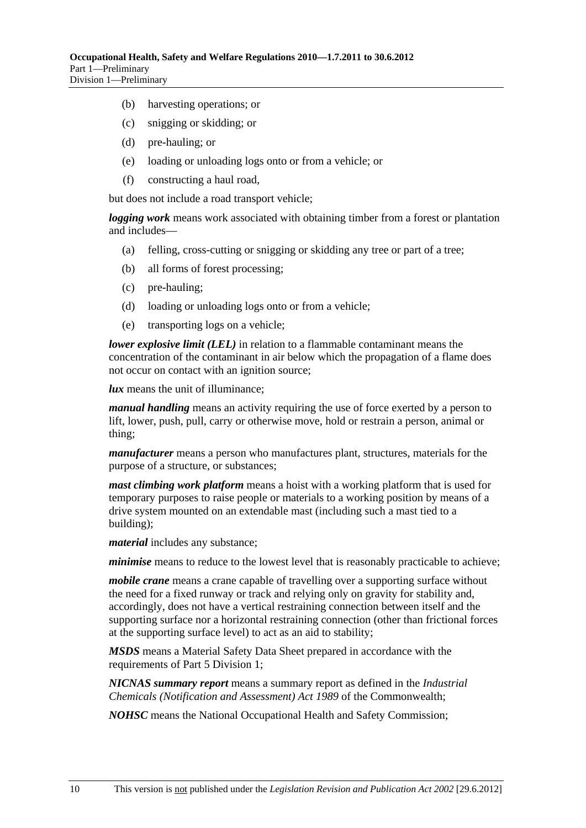- (b) harvesting operations; or
- (c) snigging or skidding; or
- (d) pre-hauling; or
- (e) loading or unloading logs onto or from a vehicle; or
- (f) constructing a haul road,

but does not include a road transport vehicle;

*logging work* means work associated with obtaining timber from a forest or plantation and includes—

- (a) felling, cross-cutting or snigging or skidding any tree or part of a tree;
- (b) all forms of forest processing;
- (c) pre-hauling;
- (d) loading or unloading logs onto or from a vehicle;
- (e) transporting logs on a vehicle;

*lower explosive limit (LEL)* in relation to a flammable contaminant means the concentration of the contaminant in air below which the propagation of a flame does not occur on contact with an ignition source;

*lux* means the unit of illuminance;

*manual handling* means an activity requiring the use of force exerted by a person to lift, lower, push, pull, carry or otherwise move, hold or restrain a person, animal or thing;

*manufacturer* means a person who manufactures plant, structures, materials for the purpose of a structure, or substances;

*mast climbing work platform* means a hoist with a working platform that is used for temporary purposes to raise people or materials to a working position by means of a drive system mounted on an extendable mast (including such a mast tied to a building);

*material* includes any substance;

*minimise* means to reduce to the lowest level that is reasonably practicable to achieve;

*mobile crane* means a crane capable of travelling over a supporting surface without the need for a fixed runway or track and relying only on gravity for stability and, accordingly, does not have a vertical restraining connection between itself and the supporting surface nor a horizontal restraining connection (other than frictional forces at the supporting surface level) to act as an aid to stability;

*MSDS* means a Material Safety Data Sheet prepared in accordance with the requirements of Part 5 Division 1;

*NICNAS summary report* means a summary report as defined in the *Industrial Chemicals (Notification and Assessment) Act 1989* of the Commonwealth;

*NOHSC* means the National Occupational Health and Safety Commission;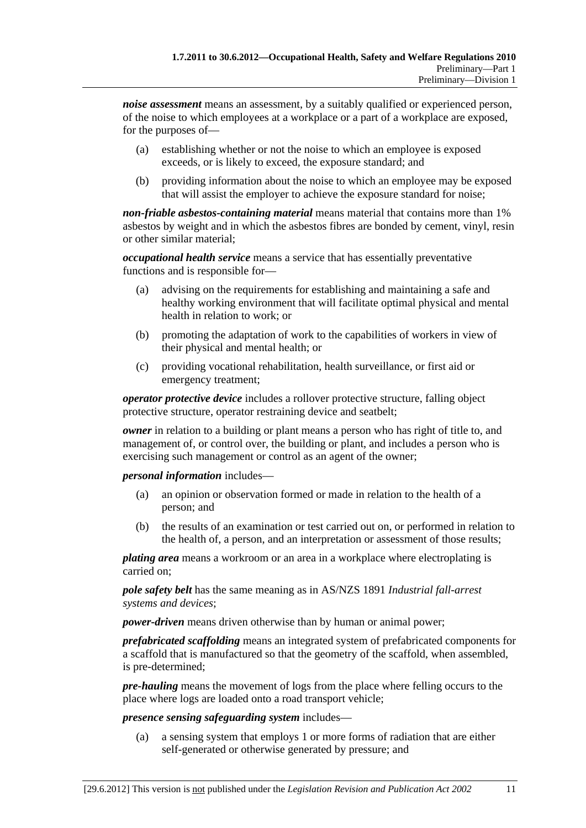*noise assessment* means an assessment, by a suitably qualified or experienced person, of the noise to which employees at a workplace or a part of a workplace are exposed, for the purposes of—

- (a) establishing whether or not the noise to which an employee is exposed exceeds, or is likely to exceed, the exposure standard; and
- (b) providing information about the noise to which an employee may be exposed that will assist the employer to achieve the exposure standard for noise;

*non-friable asbestos-containing material* means material that contains more than 1% asbestos by weight and in which the asbestos fibres are bonded by cement, vinyl, resin or other similar material;

*occupational health service* means a service that has essentially preventative functions and is responsible for—

- (a) advising on the requirements for establishing and maintaining a safe and healthy working environment that will facilitate optimal physical and mental health in relation to work; or
- (b) promoting the adaptation of work to the capabilities of workers in view of their physical and mental health; or
- (c) providing vocational rehabilitation, health surveillance, or first aid or emergency treatment;

*operator protective device* includes a rollover protective structure, falling object protective structure, operator restraining device and seatbelt;

*owner* in relation to a building or plant means a person who has right of title to, and management of, or control over, the building or plant, and includes a person who is exercising such management or control as an agent of the owner;

*personal information* includes—

- (a) an opinion or observation formed or made in relation to the health of a person; and
- (b) the results of an examination or test carried out on, or performed in relation to the health of, a person, and an interpretation or assessment of those results;

*plating area* means a workroom or an area in a workplace where electroplating is carried on;

*pole safety belt* has the same meaning as in AS/NZS 1891 *Industrial fall-arrest systems and devices*;

*power-driven* means driven otherwise than by human or animal power;

*prefabricated scaffolding* means an integrated system of prefabricated components for a scaffold that is manufactured so that the geometry of the scaffold, when assembled, is pre-determined;

*pre-hauling* means the movement of logs from the place where felling occurs to the place where logs are loaded onto a road transport vehicle;

*presence sensing safeguarding system* includes—

 (a) a sensing system that employs 1 or more forms of radiation that are either self-generated or otherwise generated by pressure; and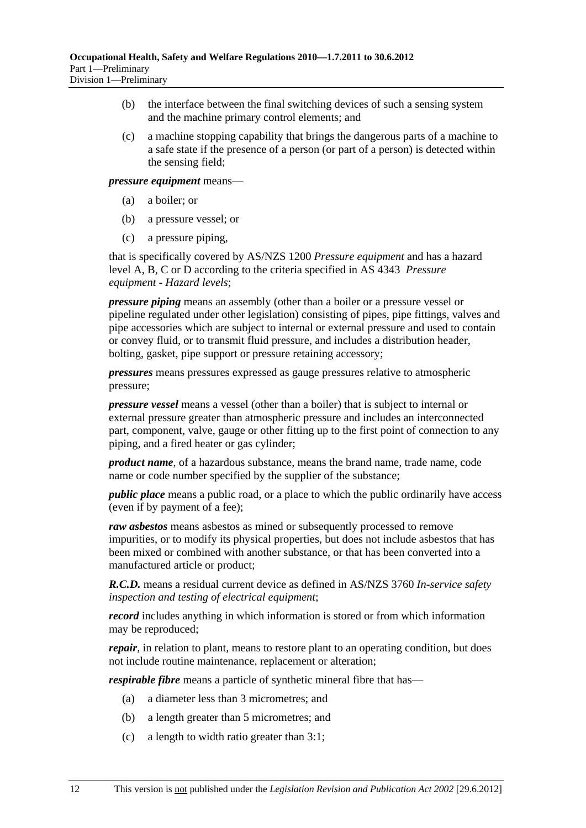- (b) the interface between the final switching devices of such a sensing system and the machine primary control elements; and
- (c) a machine stopping capability that brings the dangerous parts of a machine to a safe state if the presence of a person (or part of a person) is detected within the sensing field;

*pressure equipment* means—

- (a) a boiler; or
- (b) a pressure vessel; or
- (c) a pressure piping,

that is specifically covered by AS/NZS 1200 *Pressure equipment* and has a hazard level A, B, C or D according to the criteria specified in AS 4343 *Pressure equipment - Hazard levels*;

*pressure piping* means an assembly (other than a boiler or a pressure vessel or pipeline regulated under other legislation) consisting of pipes, pipe fittings, valves and pipe accessories which are subject to internal or external pressure and used to contain or convey fluid, or to transmit fluid pressure, and includes a distribution header, bolting, gasket, pipe support or pressure retaining accessory;

*pressures* means pressures expressed as gauge pressures relative to atmospheric pressure;

*pressure vessel* means a vessel (other than a boiler) that is subject to internal or external pressure greater than atmospheric pressure and includes an interconnected part, component, valve, gauge or other fitting up to the first point of connection to any piping, and a fired heater or gas cylinder;

*product name*, of a hazardous substance, means the brand name, trade name, code name or code number specified by the supplier of the substance;

*public place* means a public road, or a place to which the public ordinarily have access (even if by payment of a fee);

*raw asbestos* means asbestos as mined or subsequently processed to remove impurities, or to modify its physical properties, but does not include asbestos that has been mixed or combined with another substance, or that has been converted into a manufactured article or product;

*R.C.D.* means a residual current device as defined in AS/NZS 3760 *In-service safety inspection and testing of electrical equipment*;

*record* includes anything in which information is stored or from which information may be reproduced;

*repair*, in relation to plant, means to restore plant to an operating condition, but does not include routine maintenance, replacement or alteration;

*respirable fibre* means a particle of synthetic mineral fibre that has—

- (a) a diameter less than 3 micrometres; and
- (b) a length greater than 5 micrometres; and
- (c) a length to width ratio greater than 3:1;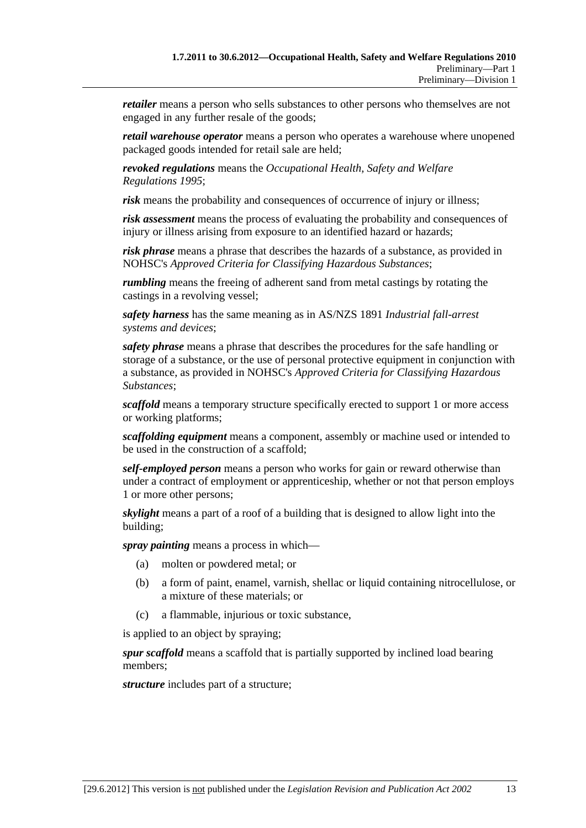*retailer* means a person who sells substances to other persons who themselves are not engaged in any further resale of the goods;

*retail warehouse operator* means a person who operates a warehouse where unopened packaged goods intended for retail sale are held;

*revoked regulations* means the *Occupational Health, Safety and Welfare Regulations 1995*;

*risk* means the probability and consequences of occurrence of injury or illness;

*risk assessment* means the process of evaluating the probability and consequences of injury or illness arising from exposure to an identified hazard or hazards;

*risk phrase* means a phrase that describes the hazards of a substance, as provided in NOHSC's *Approved Criteria for Classifying Hazardous Substances*;

*rumbling* means the freeing of adherent sand from metal castings by rotating the castings in a revolving vessel;

*safety harness* has the same meaning as in AS/NZS 1891 *Industrial fall-arrest systems and devices*;

*safety phrase* means a phrase that describes the procedures for the safe handling or storage of a substance, or the use of personal protective equipment in conjunction with a substance, as provided in NOHSC's *Approved Criteria for Classifying Hazardous Substances*;

*scaffold* means a temporary structure specifically erected to support 1 or more access or working platforms;

*scaffolding equipment* means a component, assembly or machine used or intended to be used in the construction of a scaffold;

*self-employed person* means a person who works for gain or reward otherwise than under a contract of employment or apprenticeship, whether or not that person employs 1 or more other persons;

*skylight* means a part of a roof of a building that is designed to allow light into the building;

*spray painting* means a process in which—

- (a) molten or powdered metal; or
- (b) a form of paint, enamel, varnish, shellac or liquid containing nitrocellulose, or a mixture of these materials; or
- (c) a flammable, injurious or toxic substance,

is applied to an object by spraying;

*spur scaffold* means a scaffold that is partially supported by inclined load bearing members;

*structure* includes part of a structure;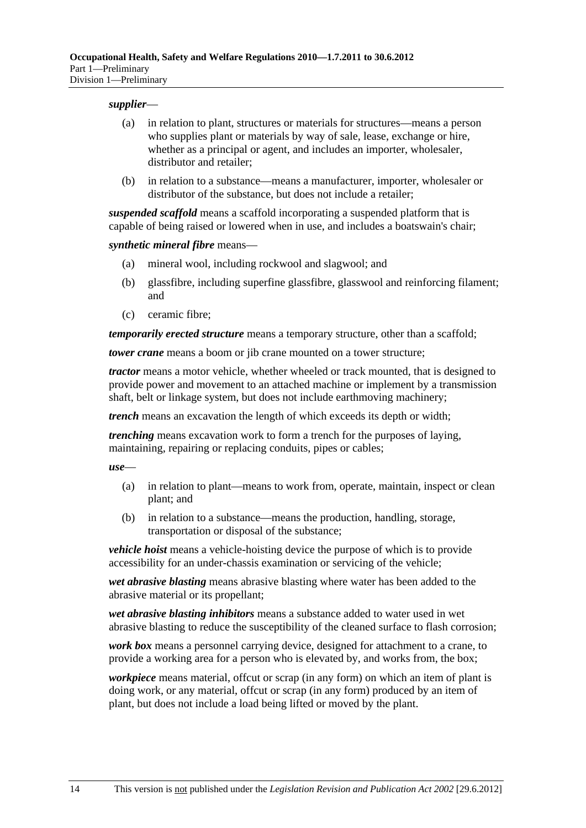#### *supplier*—

- (a) in relation to plant, structures or materials for structures—means a person who supplies plant or materials by way of sale, lease, exchange or hire, whether as a principal or agent, and includes an importer, wholesaler, distributor and retailer:
- (b) in relation to a substance—means a manufacturer, importer, wholesaler or distributor of the substance, but does not include a retailer;

*suspended scaffold* means a scaffold incorporating a suspended platform that is capable of being raised or lowered when in use, and includes a boatswain's chair;

*synthetic mineral fibre* means—

- (a) mineral wool, including rockwool and slagwool; and
- (b) glassfibre, including superfine glassfibre, glasswool and reinforcing filament; and
- (c) ceramic fibre;

*temporarily erected structure* means a temporary structure, other than a scaffold;

*tower crane* means a boom or jib crane mounted on a tower structure;

*tractor* means a motor vehicle, whether wheeled or track mounted, that is designed to provide power and movement to an attached machine or implement by a transmission shaft, belt or linkage system, but does not include earthmoving machinery;

*trench* means an excavation the length of which exceeds its depth or width;

*trenching* means excavation work to form a trench for the purposes of laying, maintaining, repairing or replacing conduits, pipes or cables;

*use*—

- (a) in relation to plant—means to work from, operate, maintain, inspect or clean plant; and
- (b) in relation to a substance—means the production, handling, storage, transportation or disposal of the substance;

*vehicle hoist* means a vehicle-hoisting device the purpose of which is to provide accessibility for an under-chassis examination or servicing of the vehicle;

*wet abrasive blasting* means abrasive blasting where water has been added to the abrasive material or its propellant;

*wet abrasive blasting inhibitors* means a substance added to water used in wet abrasive blasting to reduce the susceptibility of the cleaned surface to flash corrosion;

*work box* means a personnel carrying device, designed for attachment to a crane, to provide a working area for a person who is elevated by, and works from, the box;

*workpiece* means material, offcut or scrap (in any form) on which an item of plant is doing work, or any material, offcut or scrap (in any form) produced by an item of plant, but does not include a load being lifted or moved by the plant.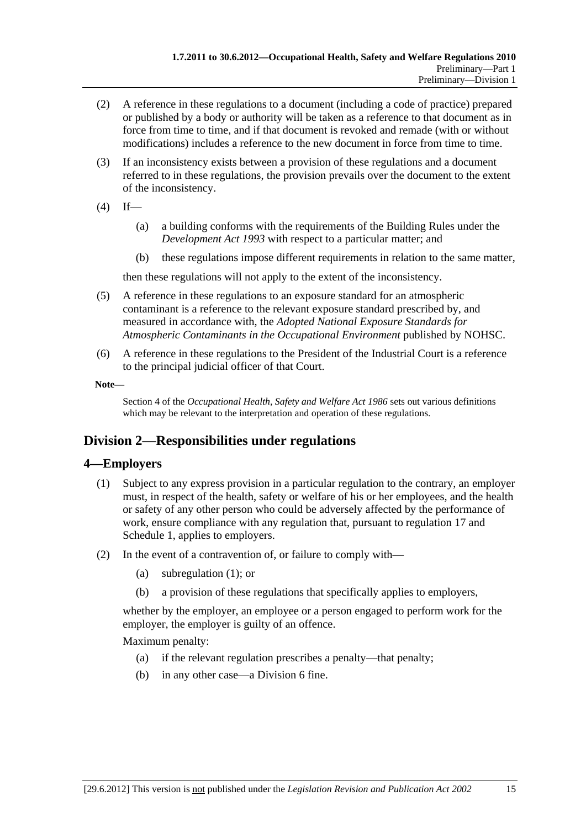- (2) A reference in these regulations to a document (including a code of practice) prepared or published by a body or authority will be taken as a reference to that document as in force from time to time, and if that document is revoked and remade (with or without modifications) includes a reference to the new document in force from time to time.
- (3) If an inconsistency exists between a provision of these regulations and a document referred to in these regulations, the provision prevails over the document to the extent of the inconsistency.
- $(4)$  If—
	- (a) a building conforms with the requirements of the Building Rules under the *Development Act 1993* with respect to a particular matter; and
	- (b) these regulations impose different requirements in relation to the same matter,

then these regulations will not apply to the extent of the inconsistency.

- (5) A reference in these regulations to an exposure standard for an atmospheric contaminant is a reference to the relevant exposure standard prescribed by, and measured in accordance with, the *Adopted National Exposure Standards for Atmospheric Contaminants in the Occupational Environment* published by NOHSC.
- (6) A reference in these regulations to the President of the Industrial Court is a reference to the principal judicial officer of that Court.
- **Note—**

Section 4 of the *Occupational Health, Safety and Welfare Act 1986* sets out various definitions which may be relevant to the interpretation and operation of these regulations.

## **Division 2—Responsibilities under regulations**

## **4—Employers**

- (1) Subject to any express provision in a particular regulation to the contrary, an employer must, in respect of the health, safety or welfare of his or her employees, and the health or safety of any other person who could be adversely affected by the performance of work, ensure compliance with any regulation that, pursuant to regulation 17 and Schedule 1, applies to employers.
- (2) In the event of a contravention of, or failure to comply with—
	- (a) subregulation (1); or
	- (b) a provision of these regulations that specifically applies to employers,

whether by the employer, an employee or a person engaged to perform work for the employer, the employer is guilty of an offence.

Maximum penalty:

- (a) if the relevant regulation prescribes a penalty—that penalty;
- (b) in any other case—a Division 6 fine.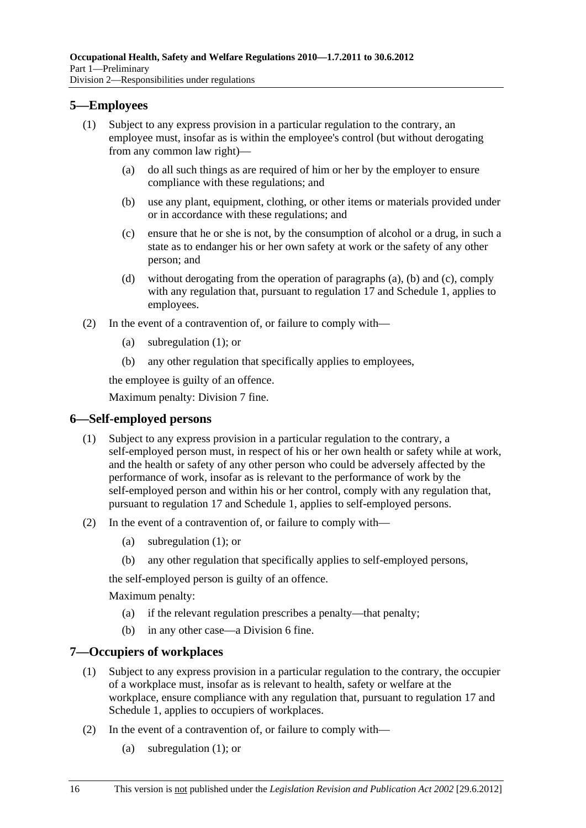## **5—Employees**

- (1) Subject to any express provision in a particular regulation to the contrary, an employee must, insofar as is within the employee's control (but without derogating from any common law right)—
	- (a) do all such things as are required of him or her by the employer to ensure compliance with these regulations; and
	- (b) use any plant, equipment, clothing, or other items or materials provided under or in accordance with these regulations; and
	- (c) ensure that he or she is not, by the consumption of alcohol or a drug, in such a state as to endanger his or her own safety at work or the safety of any other person; and
	- (d) without derogating from the operation of paragraphs (a), (b) and (c), comply with any regulation that, pursuant to regulation 17 and Schedule 1, applies to employees.
- (2) In the event of a contravention of, or failure to comply with—
	- (a) subregulation (1); or
	- (b) any other regulation that specifically applies to employees,

the employee is guilty of an offence.

Maximum penalty: Division 7 fine.

## **6—Self-employed persons**

- (1) Subject to any express provision in a particular regulation to the contrary, a self-employed person must, in respect of his or her own health or safety while at work, and the health or safety of any other person who could be adversely affected by the performance of work, insofar as is relevant to the performance of work by the self-employed person and within his or her control, comply with any regulation that, pursuant to regulation 17 and Schedule 1, applies to self-employed persons.
- (2) In the event of a contravention of, or failure to comply with—
	- (a) subregulation (1); or
	- (b) any other regulation that specifically applies to self-employed persons,

the self-employed person is guilty of an offence.

Maximum penalty:

- (a) if the relevant regulation prescribes a penalty—that penalty;
- (b) in any other case—a Division 6 fine.

## **7—Occupiers of workplaces**

- (1) Subject to any express provision in a particular regulation to the contrary, the occupier of a workplace must, insofar as is relevant to health, safety or welfare at the workplace, ensure compliance with any regulation that, pursuant to regulation 17 and Schedule 1, applies to occupiers of workplaces.
- (2) In the event of a contravention of, or failure to comply with—
	- (a) subregulation (1); or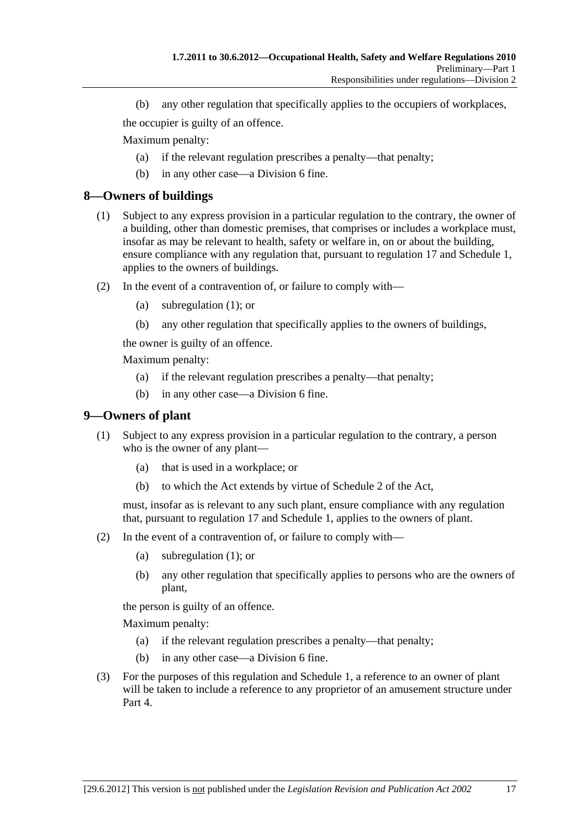(b) any other regulation that specifically applies to the occupiers of workplaces,

the occupier is guilty of an offence.

Maximum penalty:

- (a) if the relevant regulation prescribes a penalty—that penalty;
- (b) in any other case—a Division 6 fine.

## **8—Owners of buildings**

- (1) Subject to any express provision in a particular regulation to the contrary, the owner of a building, other than domestic premises, that comprises or includes a workplace must, insofar as may be relevant to health, safety or welfare in, on or about the building, ensure compliance with any regulation that, pursuant to regulation 17 and Schedule 1, applies to the owners of buildings.
- (2) In the event of a contravention of, or failure to comply with—
	- (a) subregulation (1); or
	- (b) any other regulation that specifically applies to the owners of buildings,

the owner is guilty of an offence.

Maximum penalty:

- (a) if the relevant regulation prescribes a penalty—that penalty;
- (b) in any other case—a Division 6 fine.

## **9—Owners of plant**

- (1) Subject to any express provision in a particular regulation to the contrary, a person who is the owner of any plant—
	- (a) that is used in a workplace; or
	- (b) to which the Act extends by virtue of Schedule 2 of the Act,

must, insofar as is relevant to any such plant, ensure compliance with any regulation that, pursuant to regulation 17 and Schedule 1, applies to the owners of plant.

- (2) In the event of a contravention of, or failure to comply with—
	- (a) subregulation (1); or
	- (b) any other regulation that specifically applies to persons who are the owners of plant,

the person is guilty of an offence.

Maximum penalty:

- (a) if the relevant regulation prescribes a penalty—that penalty;
- (b) in any other case—a Division 6 fine.
- (3) For the purposes of this regulation and Schedule 1, a reference to an owner of plant will be taken to include a reference to any proprietor of an amusement structure under Part 4.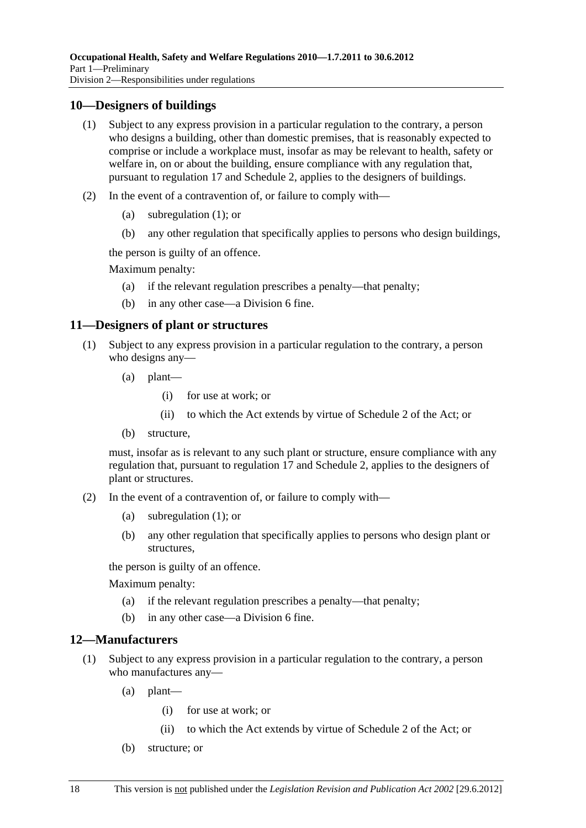## **10—Designers of buildings**

- (1) Subject to any express provision in a particular regulation to the contrary, a person who designs a building, other than domestic premises, that is reasonably expected to comprise or include a workplace must, insofar as may be relevant to health, safety or welfare in, on or about the building, ensure compliance with any regulation that, pursuant to regulation 17 and Schedule 2, applies to the designers of buildings.
- (2) In the event of a contravention of, or failure to comply with—
	- (a) subregulation (1); or
	- (b) any other regulation that specifically applies to persons who design buildings,

the person is guilty of an offence.

Maximum penalty:

- (a) if the relevant regulation prescribes a penalty—that penalty;
- (b) in any other case—a Division 6 fine.

## **11—Designers of plant or structures**

- (1) Subject to any express provision in a particular regulation to the contrary, a person who designs any—
	- (a) plant—
		- (i) for use at work; or
		- (ii) to which the Act extends by virtue of Schedule 2 of the Act; or
	- (b) structure,

must, insofar as is relevant to any such plant or structure, ensure compliance with any regulation that, pursuant to regulation 17 and Schedule 2, applies to the designers of plant or structures.

- (2) In the event of a contravention of, or failure to comply with—
	- (a) subregulation (1); or
	- (b) any other regulation that specifically applies to persons who design plant or structures,

the person is guilty of an offence.

Maximum penalty:

- (a) if the relevant regulation prescribes a penalty—that penalty;
- (b) in any other case—a Division 6 fine.

## **12—Manufacturers**

- (1) Subject to any express provision in a particular regulation to the contrary, a person who manufactures any—
	- (a) plant—
		- (i) for use at work; or
		- (ii) to which the Act extends by virtue of Schedule 2 of the Act; or
	- (b) structure; or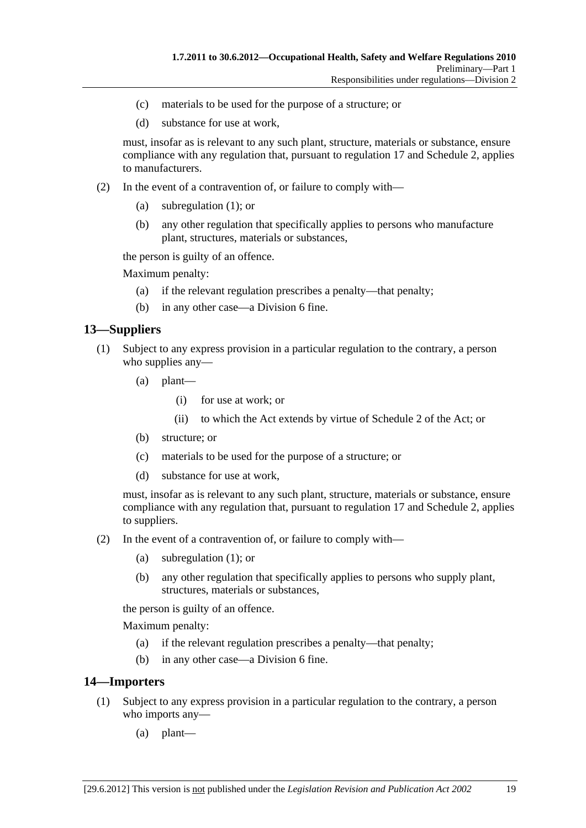- (c) materials to be used for the purpose of a structure; or
- (d) substance for use at work,

must, insofar as is relevant to any such plant, structure, materials or substance, ensure compliance with any regulation that, pursuant to regulation 17 and Schedule 2, applies to manufacturers.

- (2) In the event of a contravention of, or failure to comply with—
	- (a) subregulation (1); or
	- (b) any other regulation that specifically applies to persons who manufacture plant, structures, materials or substances,

the person is guilty of an offence.

Maximum penalty:

- (a) if the relevant regulation prescribes a penalty—that penalty;
- (b) in any other case—a Division 6 fine.

## **13—Suppliers**

- (1) Subject to any express provision in a particular regulation to the contrary, a person who supplies any-
	- (a) plant—
		- (i) for use at work; or
		- (ii) to which the Act extends by virtue of Schedule 2 of the Act; or
	- (b) structure; or
	- (c) materials to be used for the purpose of a structure; or
	- (d) substance for use at work,

must, insofar as is relevant to any such plant, structure, materials or substance, ensure compliance with any regulation that, pursuant to regulation 17 and Schedule 2, applies to suppliers.

- (2) In the event of a contravention of, or failure to comply with—
	- (a) subregulation (1); or
	- (b) any other regulation that specifically applies to persons who supply plant, structures, materials or substances,

the person is guilty of an offence.

Maximum penalty:

- (a) if the relevant regulation prescribes a penalty—that penalty;
- (b) in any other case—a Division 6 fine.

## **14—Importers**

- (1) Subject to any express provision in a particular regulation to the contrary, a person who imports any—
	- (a) plant—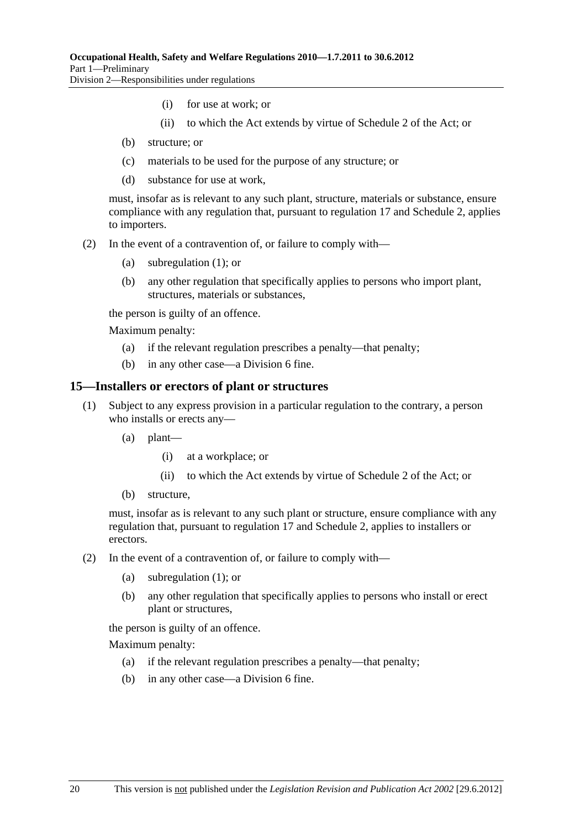- (i) for use at work; or
- (ii) to which the Act extends by virtue of Schedule 2 of the Act; or
- (b) structure; or
- (c) materials to be used for the purpose of any structure; or
- (d) substance for use at work,

must, insofar as is relevant to any such plant, structure, materials or substance, ensure compliance with any regulation that, pursuant to regulation 17 and Schedule 2, applies to importers.

- (2) In the event of a contravention of, or failure to comply with—
	- (a) subregulation (1); or
	- (b) any other regulation that specifically applies to persons who import plant, structures, materials or substances,

the person is guilty of an offence.

Maximum penalty:

- (a) if the relevant regulation prescribes a penalty—that penalty;
- (b) in any other case—a Division 6 fine.

#### **15—Installers or erectors of plant or structures**

- (1) Subject to any express provision in a particular regulation to the contrary, a person who installs or erects any—
	- (a) plant—
		- (i) at a workplace; or
		- (ii) to which the Act extends by virtue of Schedule 2 of the Act; or
	- (b) structure,

must, insofar as is relevant to any such plant or structure, ensure compliance with any regulation that, pursuant to regulation 17 and Schedule 2, applies to installers or erectors.

- (2) In the event of a contravention of, or failure to comply with—
	- (a) subregulation (1); or
	- (b) any other regulation that specifically applies to persons who install or erect plant or structures,

the person is guilty of an offence.

Maximum penalty:

- (a) if the relevant regulation prescribes a penalty—that penalty;
- (b) in any other case—a Division 6 fine.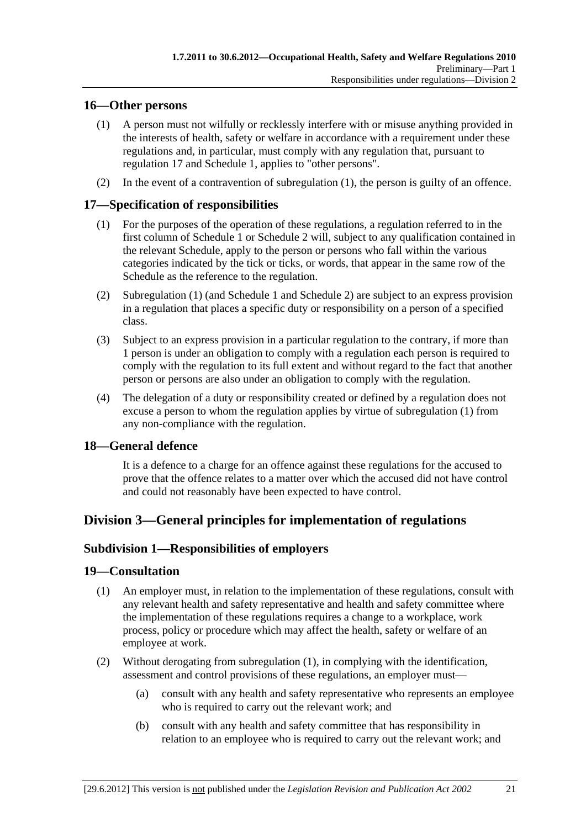## **16—Other persons**

- (1) A person must not wilfully or recklessly interfere with or misuse anything provided in the interests of health, safety or welfare in accordance with a requirement under these regulations and, in particular, must comply with any regulation that, pursuant to regulation 17 and Schedule 1, applies to "other persons".
- (2) In the event of a contravention of subregulation (1), the person is guilty of an offence.

## **17—Specification of responsibilities**

- (1) For the purposes of the operation of these regulations, a regulation referred to in the first column of Schedule 1 or Schedule 2 will, subject to any qualification contained in the relevant Schedule, apply to the person or persons who fall within the various categories indicated by the tick or ticks, or words, that appear in the same row of the Schedule as the reference to the regulation.
- (2) Subregulation (1) (and Schedule 1 and Schedule 2) are subject to an express provision in a regulation that places a specific duty or responsibility on a person of a specified class.
- (3) Subject to an express provision in a particular regulation to the contrary, if more than 1 person is under an obligation to comply with a regulation each person is required to comply with the regulation to its full extent and without regard to the fact that another person or persons are also under an obligation to comply with the regulation.
- (4) The delegation of a duty or responsibility created or defined by a regulation does not excuse a person to whom the regulation applies by virtue of subregulation (1) from any non-compliance with the regulation.

## **18—General defence**

It is a defence to a charge for an offence against these regulations for the accused to prove that the offence relates to a matter over which the accused did not have control and could not reasonably have been expected to have control.

## **Division 3—General principles for implementation of regulations**

## **Subdivision 1—Responsibilities of employers**

## **19—Consultation**

- (1) An employer must, in relation to the implementation of these regulations, consult with any relevant health and safety representative and health and safety committee where the implementation of these regulations requires a change to a workplace, work process, policy or procedure which may affect the health, safety or welfare of an employee at work.
- (2) Without derogating from subregulation (1), in complying with the identification, assessment and control provisions of these regulations, an employer must—
	- (a) consult with any health and safety representative who represents an employee who is required to carry out the relevant work; and
	- (b) consult with any health and safety committee that has responsibility in relation to an employee who is required to carry out the relevant work; and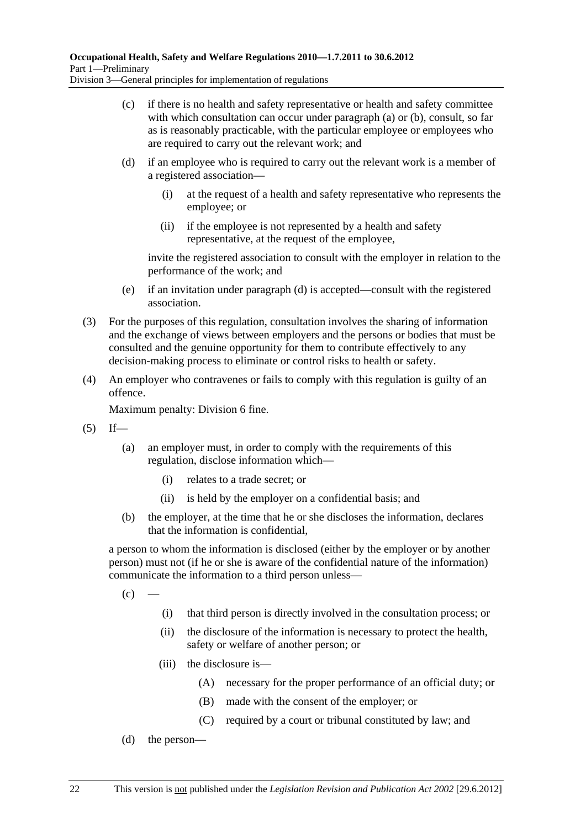- (c) if there is no health and safety representative or health and safety committee with which consultation can occur under paragraph (a) or (b), consult, so far as is reasonably practicable, with the particular employee or employees who are required to carry out the relevant work; and
- (d) if an employee who is required to carry out the relevant work is a member of a registered association—
	- (i) at the request of a health and safety representative who represents the employee; or
	- (ii) if the employee is not represented by a health and safety representative, at the request of the employee,

invite the registered association to consult with the employer in relation to the performance of the work; and

- (e) if an invitation under paragraph (d) is accepted—consult with the registered association.
- (3) For the purposes of this regulation, consultation involves the sharing of information and the exchange of views between employers and the persons or bodies that must be consulted and the genuine opportunity for them to contribute effectively to any decision-making process to eliminate or control risks to health or safety.
- (4) An employer who contravenes or fails to comply with this regulation is guilty of an offence.

Maximum penalty: Division 6 fine.

- $(5)$  If—
	- (a) an employer must, in order to comply with the requirements of this regulation, disclose information which—
		- (i) relates to a trade secret; or
		- (ii) is held by the employer on a confidential basis; and
	- (b) the employer, at the time that he or she discloses the information, declares that the information is confidential,

a person to whom the information is disclosed (either by the employer or by another person) must not (if he or she is aware of the confidential nature of the information) communicate the information to a third person unless—

 $(c)$  —

- (i) that third person is directly involved in the consultation process; or
- (ii) the disclosure of the information is necessary to protect the health, safety or welfare of another person; or
- (iii) the disclosure is—
	- (A) necessary for the proper performance of an official duty; or
	- (B) made with the consent of the employer; or
	- (C) required by a court or tribunal constituted by law; and
- (d) the person—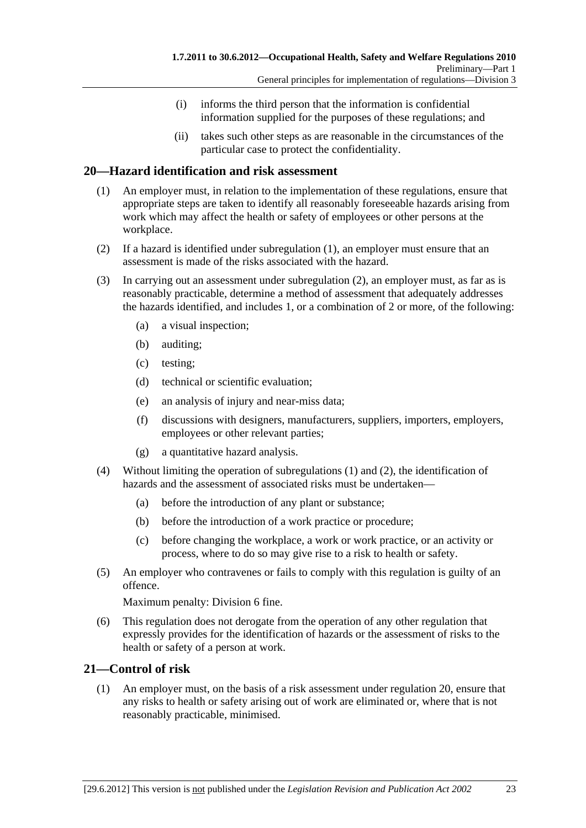- (i) informs the third person that the information is confidential information supplied for the purposes of these regulations; and
- (ii) takes such other steps as are reasonable in the circumstances of the particular case to protect the confidentiality.

# **20—Hazard identification and risk assessment**

- (1) An employer must, in relation to the implementation of these regulations, ensure that appropriate steps are taken to identify all reasonably foreseeable hazards arising from work which may affect the health or safety of employees or other persons at the workplace.
- (2) If a hazard is identified under subregulation (1), an employer must ensure that an assessment is made of the risks associated with the hazard.
- (3) In carrying out an assessment under subregulation (2), an employer must, as far as is reasonably practicable, determine a method of assessment that adequately addresses the hazards identified, and includes 1, or a combination of 2 or more, of the following:
	- (a) a visual inspection;
	- (b) auditing;
	- (c) testing;
	- (d) technical or scientific evaluation;
	- (e) an analysis of injury and near-miss data;
	- (f) discussions with designers, manufacturers, suppliers, importers, employers, employees or other relevant parties;
	- (g) a quantitative hazard analysis.
- (4) Without limiting the operation of subregulations (1) and (2), the identification of hazards and the assessment of associated risks must be undertaken—
	- (a) before the introduction of any plant or substance;
	- (b) before the introduction of a work practice or procedure;
	- (c) before changing the workplace, a work or work practice, or an activity or process, where to do so may give rise to a risk to health or safety.
- (5) An employer who contravenes or fails to comply with this regulation is guilty of an offence.

Maximum penalty: Division 6 fine.

 (6) This regulation does not derogate from the operation of any other regulation that expressly provides for the identification of hazards or the assessment of risks to the health or safety of a person at work.

# **21—Control of risk**

 (1) An employer must, on the basis of a risk assessment under regulation 20, ensure that any risks to health or safety arising out of work are eliminated or, where that is not reasonably practicable, minimised.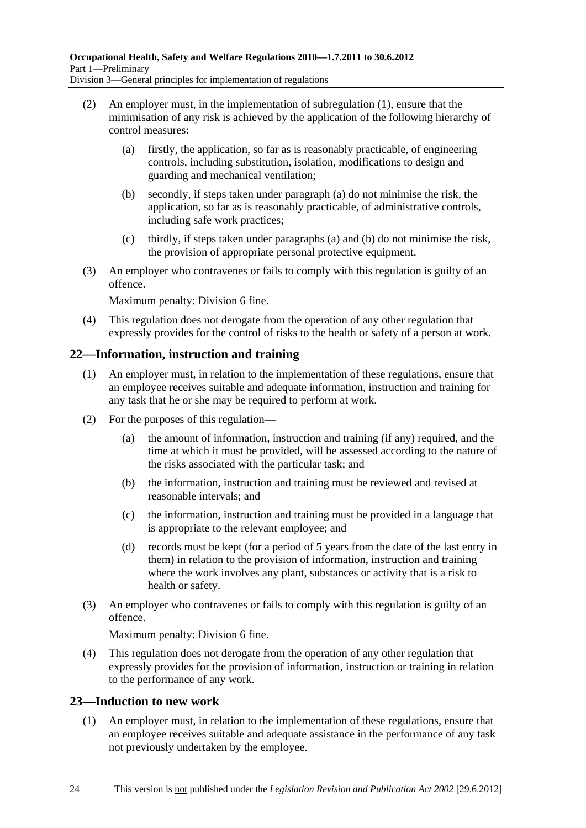- (2) An employer must, in the implementation of subregulation (1), ensure that the minimisation of any risk is achieved by the application of the following hierarchy of control measures:
	- (a) firstly, the application, so far as is reasonably practicable, of engineering controls, including substitution, isolation, modifications to design and guarding and mechanical ventilation;
	- (b) secondly, if steps taken under paragraph (a) do not minimise the risk, the application, so far as is reasonably practicable, of administrative controls, including safe work practices;
	- (c) thirdly, if steps taken under paragraphs (a) and (b) do not minimise the risk, the provision of appropriate personal protective equipment.
- (3) An employer who contravenes or fails to comply with this regulation is guilty of an offence.

Maximum penalty: Division 6 fine.

 (4) This regulation does not derogate from the operation of any other regulation that expressly provides for the control of risks to the health or safety of a person at work.

# **22—Information, instruction and training**

- (1) An employer must, in relation to the implementation of these regulations, ensure that an employee receives suitable and adequate information, instruction and training for any task that he or she may be required to perform at work.
- (2) For the purposes of this regulation—
	- (a) the amount of information, instruction and training (if any) required, and the time at which it must be provided, will be assessed according to the nature of the risks associated with the particular task; and
	- (b) the information, instruction and training must be reviewed and revised at reasonable intervals; and
	- (c) the information, instruction and training must be provided in a language that is appropriate to the relevant employee; and
	- (d) records must be kept (for a period of 5 years from the date of the last entry in them) in relation to the provision of information, instruction and training where the work involves any plant, substances or activity that is a risk to health or safety.
- (3) An employer who contravenes or fails to comply with this regulation is guilty of an offence.

Maximum penalty: Division 6 fine.

 (4) This regulation does not derogate from the operation of any other regulation that expressly provides for the provision of information, instruction or training in relation to the performance of any work.

# **23—Induction to new work**

 (1) An employer must, in relation to the implementation of these regulations, ensure that an employee receives suitable and adequate assistance in the performance of any task not previously undertaken by the employee.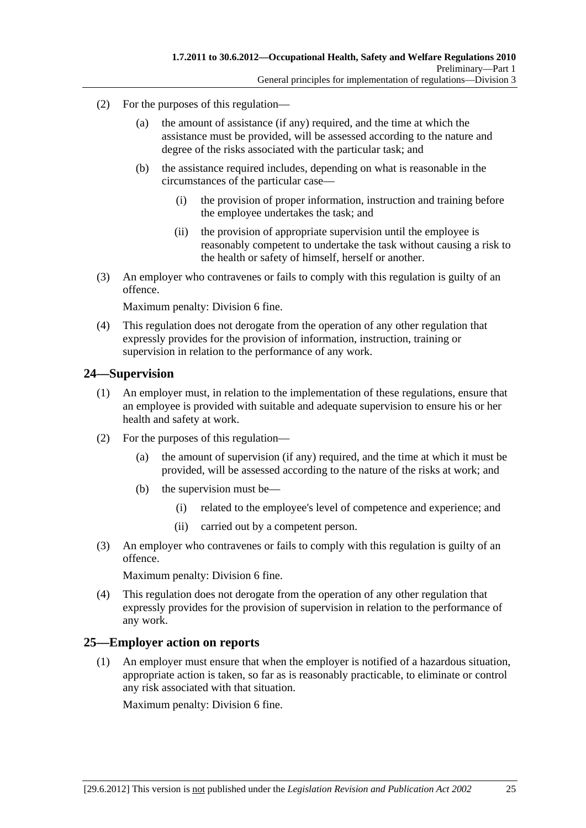- (2) For the purposes of this regulation—
	- (a) the amount of assistance (if any) required, and the time at which the assistance must be provided, will be assessed according to the nature and degree of the risks associated with the particular task; and
	- (b) the assistance required includes, depending on what is reasonable in the circumstances of the particular case—
		- (i) the provision of proper information, instruction and training before the employee undertakes the task; and
		- (ii) the provision of appropriate supervision until the employee is reasonably competent to undertake the task without causing a risk to the health or safety of himself, herself or another.
- (3) An employer who contravenes or fails to comply with this regulation is guilty of an offence.

Maximum penalty: Division 6 fine.

 (4) This regulation does not derogate from the operation of any other regulation that expressly provides for the provision of information, instruction, training or supervision in relation to the performance of any work.

### **24—Supervision**

- (1) An employer must, in relation to the implementation of these regulations, ensure that an employee is provided with suitable and adequate supervision to ensure his or her health and safety at work.
- (2) For the purposes of this regulation—
	- (a) the amount of supervision (if any) required, and the time at which it must be provided, will be assessed according to the nature of the risks at work; and
	- (b) the supervision must be—
		- (i) related to the employee's level of competence and experience; and
		- (ii) carried out by a competent person.
- (3) An employer who contravenes or fails to comply with this regulation is guilty of an offence.

Maximum penalty: Division 6 fine.

 (4) This regulation does not derogate from the operation of any other regulation that expressly provides for the provision of supervision in relation to the performance of any work.

# **25—Employer action on reports**

 (1) An employer must ensure that when the employer is notified of a hazardous situation, appropriate action is taken, so far as is reasonably practicable, to eliminate or control any risk associated with that situation.

Maximum penalty: Division 6 fine.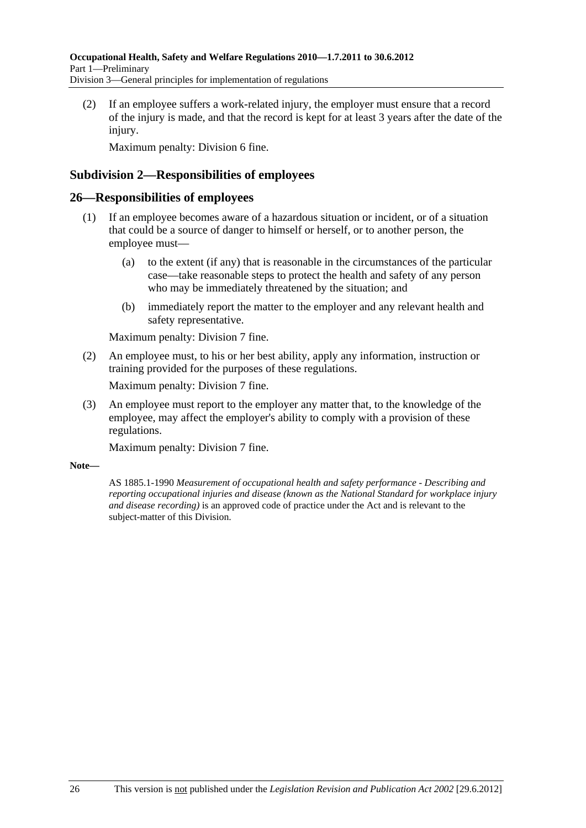(2) If an employee suffers a work-related injury, the employer must ensure that a record of the injury is made, and that the record is kept for at least 3 years after the date of the injury.

Maximum penalty: Division 6 fine.

# **Subdivision 2—Responsibilities of employees**

### **26—Responsibilities of employees**

- (1) If an employee becomes aware of a hazardous situation or incident, or of a situation that could be a source of danger to himself or herself, or to another person, the employee must—
	- (a) to the extent (if any) that is reasonable in the circumstances of the particular case—take reasonable steps to protect the health and safety of any person who may be immediately threatened by the situation; and
	- (b) immediately report the matter to the employer and any relevant health and safety representative.

Maximum penalty: Division 7 fine.

 (2) An employee must, to his or her best ability, apply any information, instruction or training provided for the purposes of these regulations.

Maximum penalty: Division 7 fine.

 (3) An employee must report to the employer any matter that, to the knowledge of the employee, may affect the employer's ability to comply with a provision of these regulations.

Maximum penalty: Division 7 fine.

#### **Note—**

AS 1885.1-1990 *Measurement of occupational health and safety performance - Describing and reporting occupational injuries and disease (known as the National Standard for workplace injury and disease recording)* is an approved code of practice under the Act and is relevant to the subject-matter of this Division.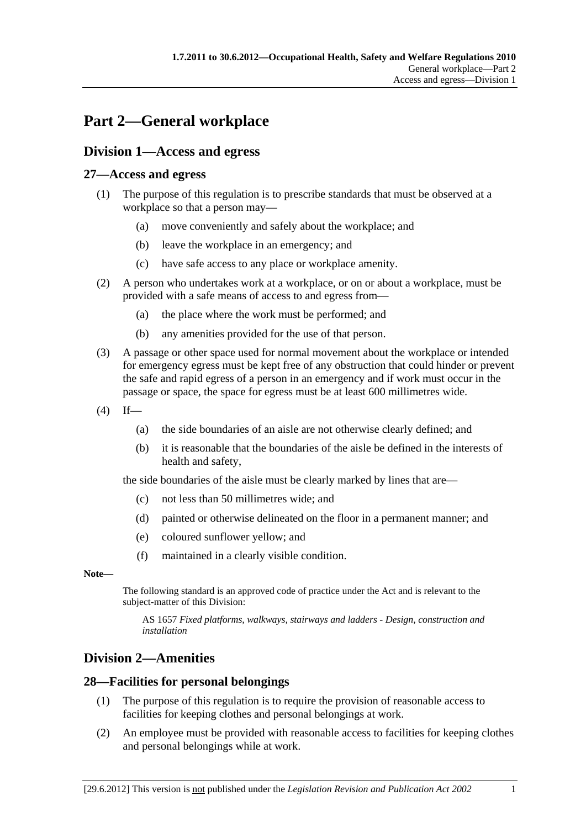# **Part 2—General workplace**

# **Division 1—Access and egress**

# **27—Access and egress**

- (1) The purpose of this regulation is to prescribe standards that must be observed at a workplace so that a person may—
	- (a) move conveniently and safely about the workplace; and
	- (b) leave the workplace in an emergency; and
	- (c) have safe access to any place or workplace amenity.
- (2) A person who undertakes work at a workplace, or on or about a workplace, must be provided with a safe means of access to and egress from—
	- (a) the place where the work must be performed; and
	- (b) any amenities provided for the use of that person.
- (3) A passage or other space used for normal movement about the workplace or intended for emergency egress must be kept free of any obstruction that could hinder or prevent the safe and rapid egress of a person in an emergency and if work must occur in the passage or space, the space for egress must be at least 600 millimetres wide.
- $(4)$  If—
	- (a) the side boundaries of an aisle are not otherwise clearly defined; and
	- (b) it is reasonable that the boundaries of the aisle be defined in the interests of health and safety,

the side boundaries of the aisle must be clearly marked by lines that are—

- (c) not less than 50 millimetres wide; and
- (d) painted or otherwise delineated on the floor in a permanent manner; and
- (e) coloured sunflower yellow; and
- (f) maintained in a clearly visible condition.

#### **Note—**

The following standard is an approved code of practice under the Act and is relevant to the subject-matter of this Division:

AS 1657 *Fixed platforms, walkways, stairways and ladders - Design, construction and installation*

# **Division 2—Amenities**

# **28—Facilities for personal belongings**

- (1) The purpose of this regulation is to require the provision of reasonable access to facilities for keeping clothes and personal belongings at work.
- (2) An employee must be provided with reasonable access to facilities for keeping clothes and personal belongings while at work.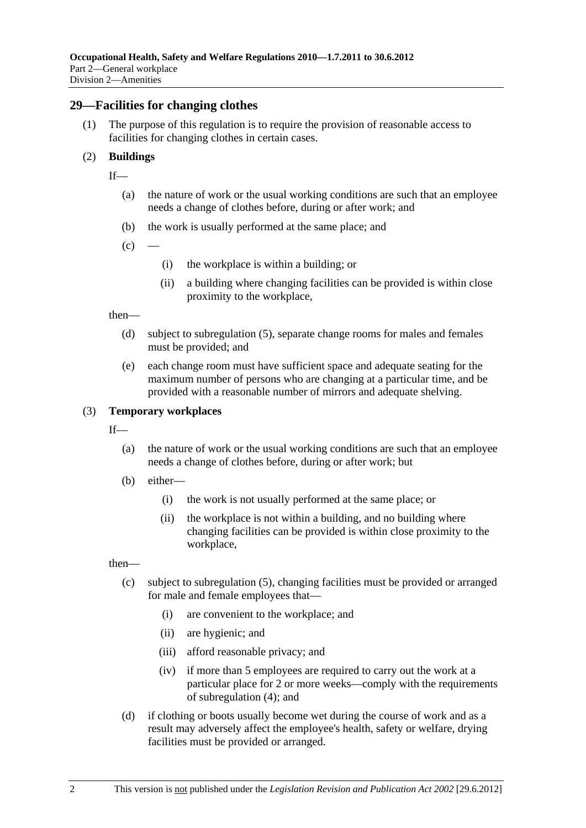#### **29—Facilities for changing clothes**

 (1) The purpose of this regulation is to require the provision of reasonable access to facilities for changing clothes in certain cases.

#### (2) **Buildings**

- $If$ <sub>—</sub>
	- (a) the nature of work or the usual working conditions are such that an employee needs a change of clothes before, during or after work; and
	- (b) the work is usually performed at the same place; and
	- $(c)$
- (i) the workplace is within a building; or
- (ii) a building where changing facilities can be provided is within close proximity to the workplace,

then—

- (d) subject to subregulation (5), separate change rooms for males and females must be provided; and
- (e) each change room must have sufficient space and adequate seating for the maximum number of persons who are changing at a particular time, and be provided with a reasonable number of mirrors and adequate shelving.

#### (3) **Temporary workplaces**

- If—
	- (a) the nature of work or the usual working conditions are such that an employee needs a change of clothes before, during or after work; but
	- (b) either—
		- (i) the work is not usually performed at the same place; or
		- (ii) the workplace is not within a building, and no building where changing facilities can be provided is within close proximity to the workplace,

then—

- (c) subject to subregulation (5), changing facilities must be provided or arranged for male and female employees that—
	- (i) are convenient to the workplace; and
	- (ii) are hygienic; and
	- (iii) afford reasonable privacy; and
	- (iv) if more than 5 employees are required to carry out the work at a particular place for 2 or more weeks—comply with the requirements of subregulation (4); and
- (d) if clothing or boots usually become wet during the course of work and as a result may adversely affect the employee's health, safety or welfare, drying facilities must be provided or arranged.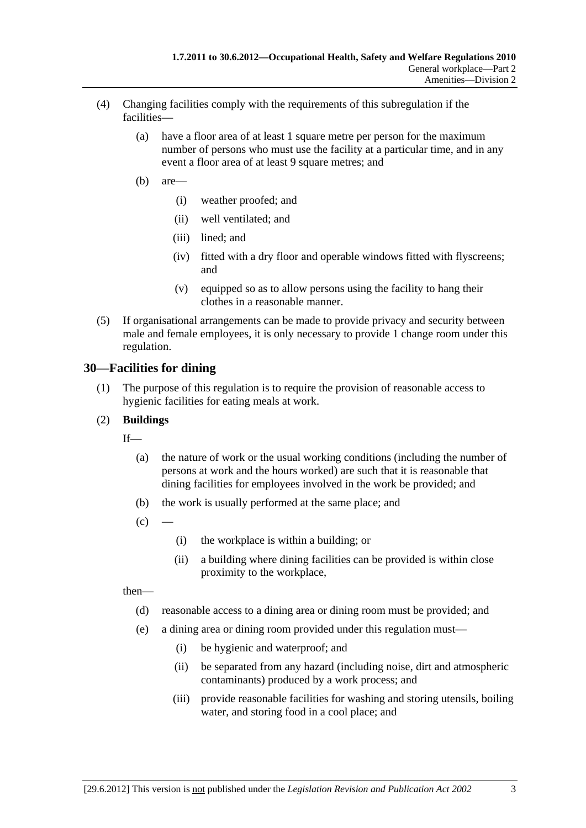- (4) Changing facilities comply with the requirements of this subregulation if the facilities—
	- (a) have a floor area of at least 1 square metre per person for the maximum number of persons who must use the facility at a particular time, and in any event a floor area of at least 9 square metres; and
	- (b) are—
		- (i) weather proofed; and
		- (ii) well ventilated; and
		- (iii) lined; and
		- (iv) fitted with a dry floor and operable windows fitted with flyscreens; and
		- (v) equipped so as to allow persons using the facility to hang their clothes in a reasonable manner.
- (5) If organisational arrangements can be made to provide privacy and security between male and female employees, it is only necessary to provide 1 change room under this regulation.

# **30—Facilities for dining**

 (1) The purpose of this regulation is to require the provision of reasonable access to hygienic facilities for eating meals at work.

### (2) **Buildings**

 $If$ 

- (a) the nature of work or the usual working conditions (including the number of persons at work and the hours worked) are such that it is reasonable that dining facilities for employees involved in the work be provided; and
- (b) the work is usually performed at the same place; and
- $(c)$
- (i) the workplace is within a building; or
- (ii) a building where dining facilities can be provided is within close proximity to the workplace,

then—

- (d) reasonable access to a dining area or dining room must be provided; and
- (e) a dining area or dining room provided under this regulation must—
	- (i) be hygienic and waterproof; and
	- (ii) be separated from any hazard (including noise, dirt and atmospheric contaminants) produced by a work process; and
	- (iii) provide reasonable facilities for washing and storing utensils, boiling water, and storing food in a cool place; and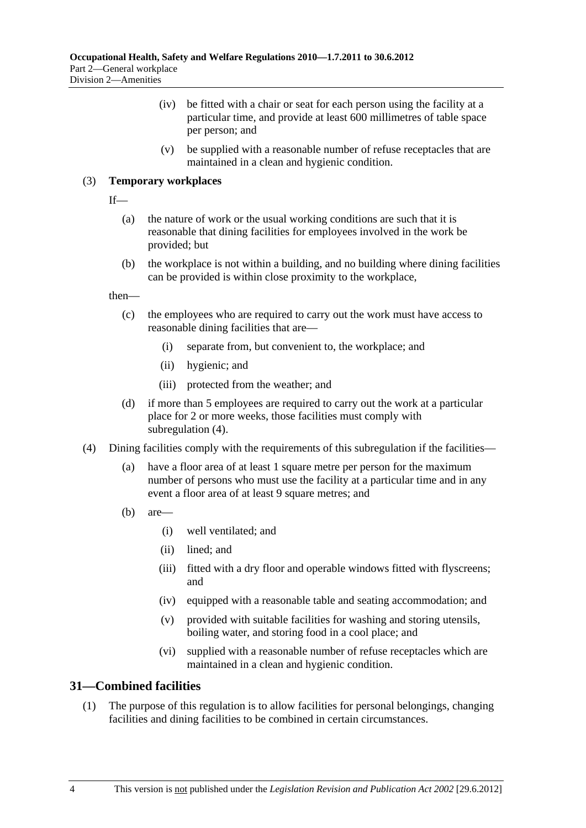- (iv) be fitted with a chair or seat for each person using the facility at a particular time, and provide at least 600 millimetres of table space per person; and
- (v) be supplied with a reasonable number of refuse receptacles that are maintained in a clean and hygienic condition.

### (3) **Temporary workplaces**

 $If$ <sub>—</sub>

- (a) the nature of work or the usual working conditions are such that it is reasonable that dining facilities for employees involved in the work be provided; but
- (b) the workplace is not within a building, and no building where dining facilities can be provided is within close proximity to the workplace,

then—

- (c) the employees who are required to carry out the work must have access to reasonable dining facilities that are—
	- (i) separate from, but convenient to, the workplace; and
	- (ii) hygienic; and
	- (iii) protected from the weather; and
- (d) if more than 5 employees are required to carry out the work at a particular place for 2 or more weeks, those facilities must comply with subregulation (4).
- (4) Dining facilities comply with the requirements of this subregulation if the facilities—
	- (a) have a floor area of at least 1 square metre per person for the maximum number of persons who must use the facility at a particular time and in any event a floor area of at least 9 square metres; and
	- (b) are—
		- (i) well ventilated; and
		- (ii) lined; and
		- (iii) fitted with a dry floor and operable windows fitted with flyscreens; and
		- (iv) equipped with a reasonable table and seating accommodation; and
		- (v) provided with suitable facilities for washing and storing utensils, boiling water, and storing food in a cool place; and
		- (vi) supplied with a reasonable number of refuse receptacles which are maintained in a clean and hygienic condition.

# **31—Combined facilities**

 (1) The purpose of this regulation is to allow facilities for personal belongings, changing facilities and dining facilities to be combined in certain circumstances.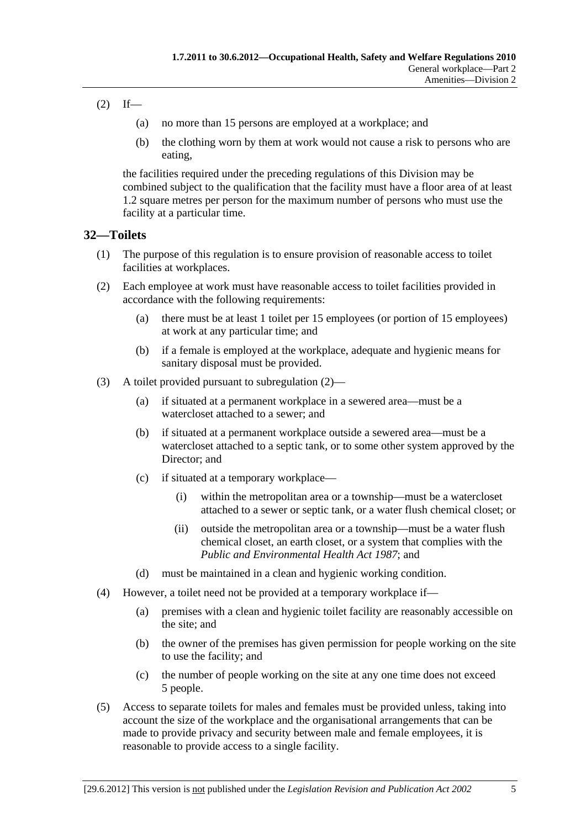# $(2)$  If—

- (a) no more than 15 persons are employed at a workplace; and
- (b) the clothing worn by them at work would not cause a risk to persons who are eating,

the facilities required under the preceding regulations of this Division may be combined subject to the qualification that the facility must have a floor area of at least 1.2 square metres per person for the maximum number of persons who must use the facility at a particular time.

# **32—Toilets**

- (1) The purpose of this regulation is to ensure provision of reasonable access to toilet facilities at workplaces.
- (2) Each employee at work must have reasonable access to toilet facilities provided in accordance with the following requirements:
	- (a) there must be at least 1 toilet per 15 employees (or portion of 15 employees) at work at any particular time; and
	- (b) if a female is employed at the workplace, adequate and hygienic means for sanitary disposal must be provided.
- (3) A toilet provided pursuant to subregulation (2)—
	- (a) if situated at a permanent workplace in a sewered area—must be a watercloset attached to a sewer; and
	- (b) if situated at a permanent workplace outside a sewered area—must be a watercloset attached to a septic tank, or to some other system approved by the Director; and
	- (c) if situated at a temporary workplace—
		- (i) within the metropolitan area or a township—must be a watercloset attached to a sewer or septic tank, or a water flush chemical closet; or
		- (ii) outside the metropolitan area or a township—must be a water flush chemical closet, an earth closet, or a system that complies with the *Public and Environmental Health Act 1987*; and
	- (d) must be maintained in a clean and hygienic working condition.
- (4) However, a toilet need not be provided at a temporary workplace if—
	- (a) premises with a clean and hygienic toilet facility are reasonably accessible on the site; and
	- (b) the owner of the premises has given permission for people working on the site to use the facility; and
	- (c) the number of people working on the site at any one time does not exceed 5 people.
- (5) Access to separate toilets for males and females must be provided unless, taking into account the size of the workplace and the organisational arrangements that can be made to provide privacy and security between male and female employees, it is reasonable to provide access to a single facility.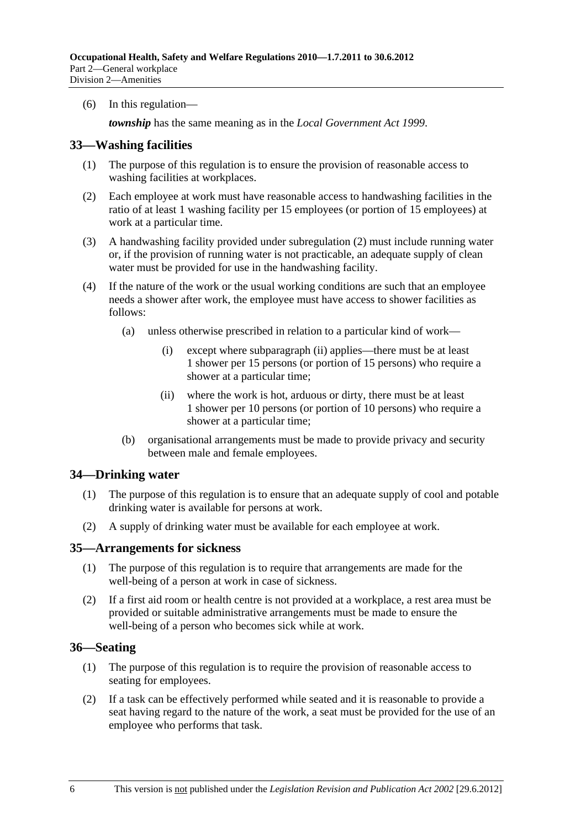(6) In this regulation—

*township* has the same meaning as in the *Local Government Act 1999*.

### **33—Washing facilities**

- (1) The purpose of this regulation is to ensure the provision of reasonable access to washing facilities at workplaces.
- (2) Each employee at work must have reasonable access to handwashing facilities in the ratio of at least 1 washing facility per 15 employees (or portion of 15 employees) at work at a particular time.
- (3) A handwashing facility provided under subregulation (2) must include running water or, if the provision of running water is not practicable, an adequate supply of clean water must be provided for use in the handwashing facility.
- (4) If the nature of the work or the usual working conditions are such that an employee needs a shower after work, the employee must have access to shower facilities as follows:
	- (a) unless otherwise prescribed in relation to a particular kind of work—
		- (i) except where subparagraph (ii) applies—there must be at least 1 shower per 15 persons (or portion of 15 persons) who require a shower at a particular time;
		- (ii) where the work is hot, arduous or dirty, there must be at least 1 shower per 10 persons (or portion of 10 persons) who require a shower at a particular time;
	- (b) organisational arrangements must be made to provide privacy and security between male and female employees.

#### **34—Drinking water**

- (1) The purpose of this regulation is to ensure that an adequate supply of cool and potable drinking water is available for persons at work.
- (2) A supply of drinking water must be available for each employee at work.

#### **35—Arrangements for sickness**

- (1) The purpose of this regulation is to require that arrangements are made for the well-being of a person at work in case of sickness.
- (2) If a first aid room or health centre is not provided at a workplace, a rest area must be provided or suitable administrative arrangements must be made to ensure the well-being of a person who becomes sick while at work.

#### **36—Seating**

- (1) The purpose of this regulation is to require the provision of reasonable access to seating for employees.
- (2) If a task can be effectively performed while seated and it is reasonable to provide a seat having regard to the nature of the work, a seat must be provided for the use of an employee who performs that task.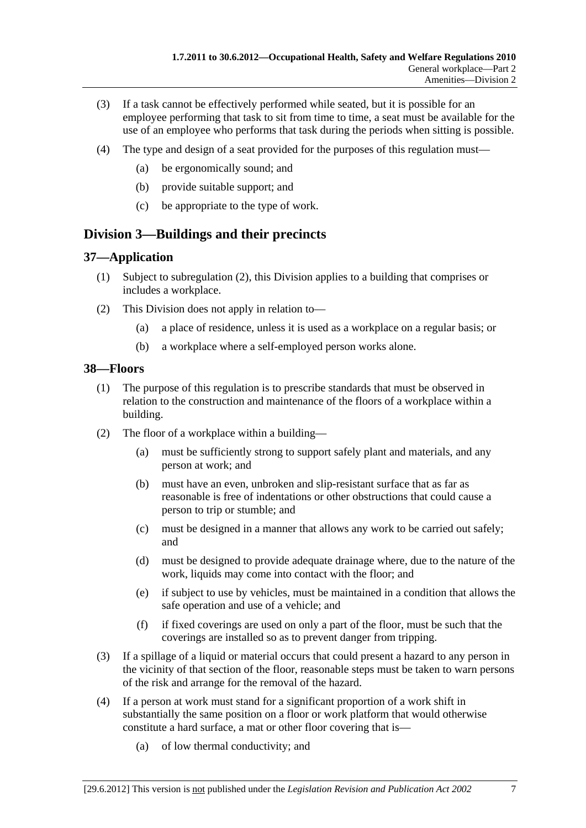- (3) If a task cannot be effectively performed while seated, but it is possible for an employee performing that task to sit from time to time, a seat must be available for the use of an employee who performs that task during the periods when sitting is possible.
- (4) The type and design of a seat provided for the purposes of this regulation must—
	- (a) be ergonomically sound; and
	- (b) provide suitable support; and
	- (c) be appropriate to the type of work.

# **Division 3—Buildings and their precincts**

# **37—Application**

- (1) Subject to subregulation (2), this Division applies to a building that comprises or includes a workplace.
- (2) This Division does not apply in relation to—
	- (a) a place of residence, unless it is used as a workplace on a regular basis; or
	- (b) a workplace where a self-employed person works alone.

### **38—Floors**

- (1) The purpose of this regulation is to prescribe standards that must be observed in relation to the construction and maintenance of the floors of a workplace within a building.
- (2) The floor of a workplace within a building—
	- (a) must be sufficiently strong to support safely plant and materials, and any person at work; and
	- (b) must have an even, unbroken and slip-resistant surface that as far as reasonable is free of indentations or other obstructions that could cause a person to trip or stumble; and
	- (c) must be designed in a manner that allows any work to be carried out safely; and
	- (d) must be designed to provide adequate drainage where, due to the nature of the work, liquids may come into contact with the floor; and
	- (e) if subject to use by vehicles, must be maintained in a condition that allows the safe operation and use of a vehicle; and
	- (f) if fixed coverings are used on only a part of the floor, must be such that the coverings are installed so as to prevent danger from tripping.
- (3) If a spillage of a liquid or material occurs that could present a hazard to any person in the vicinity of that section of the floor, reasonable steps must be taken to warn persons of the risk and arrange for the removal of the hazard.
- (4) If a person at work must stand for a significant proportion of a work shift in substantially the same position on a floor or work platform that would otherwise constitute a hard surface, a mat or other floor covering that is—
	- (a) of low thermal conductivity; and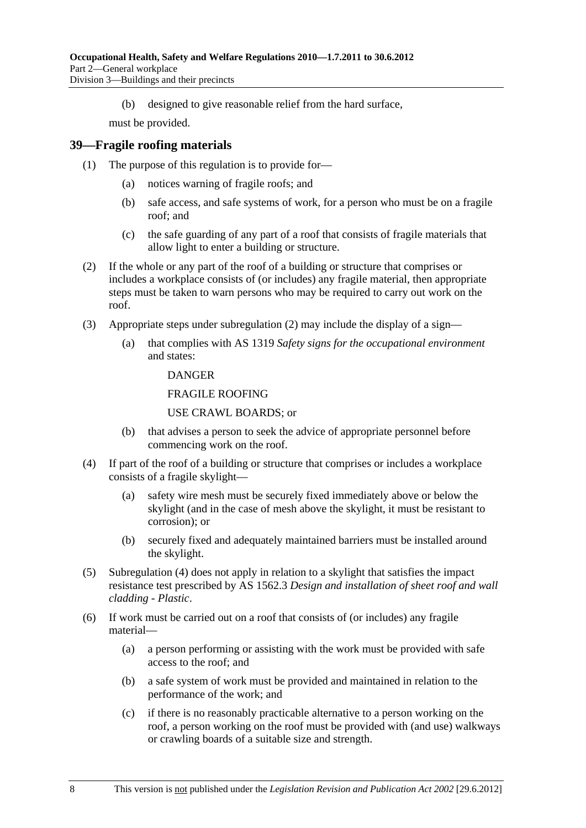(b) designed to give reasonable relief from the hard surface,

must be provided.

### **39—Fragile roofing materials**

- (1) The purpose of this regulation is to provide for—
	- (a) notices warning of fragile roofs; and
	- (b) safe access, and safe systems of work, for a person who must be on a fragile roof; and
	- (c) the safe guarding of any part of a roof that consists of fragile materials that allow light to enter a building or structure.
- (2) If the whole or any part of the roof of a building or structure that comprises or includes a workplace consists of (or includes) any fragile material, then appropriate steps must be taken to warn persons who may be required to carry out work on the roof.
- (3) Appropriate steps under subregulation (2) may include the display of a sign—
	- (a) that complies with AS 1319 *Safety signs for the occupational environment* and states:

#### DANGER

#### FRAGILE ROOFING

#### USE CRAWL BOARDS; or

- (b) that advises a person to seek the advice of appropriate personnel before commencing work on the roof.
- (4) If part of the roof of a building or structure that comprises or includes a workplace consists of a fragile skylight—
	- (a) safety wire mesh must be securely fixed immediately above or below the skylight (and in the case of mesh above the skylight, it must be resistant to corrosion); or
	- (b) securely fixed and adequately maintained barriers must be installed around the skylight.
- (5) Subregulation (4) does not apply in relation to a skylight that satisfies the impact resistance test prescribed by AS 1562.3 *Design and installation of sheet roof and wall cladding - Plastic*.
- (6) If work must be carried out on a roof that consists of (or includes) any fragile material—
	- (a) a person performing or assisting with the work must be provided with safe access to the roof; and
	- (b) a safe system of work must be provided and maintained in relation to the performance of the work; and
	- (c) if there is no reasonably practicable alternative to a person working on the roof, a person working on the roof must be provided with (and use) walkways or crawling boards of a suitable size and strength.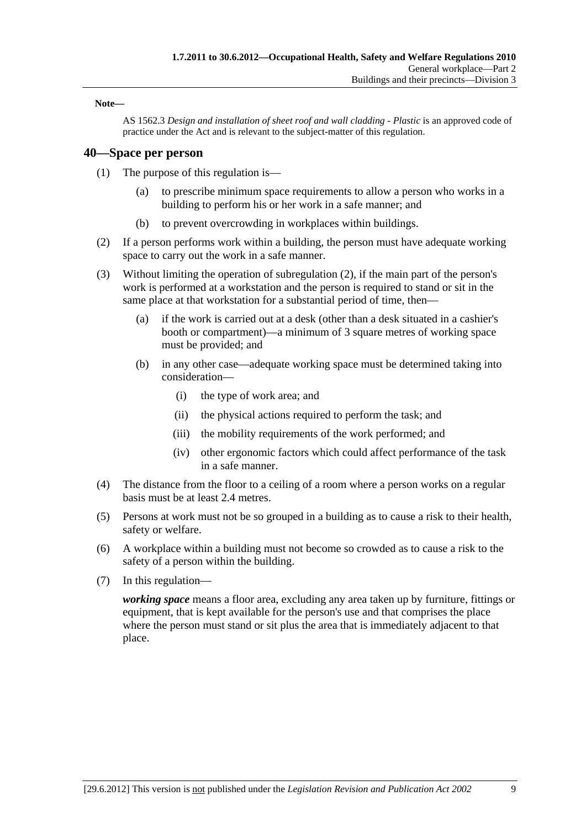#### **Note—**

AS 1562.3 *Design and installation of sheet roof and wall cladding - Plastic* is an approved code of practice under the Act and is relevant to the subject-matter of this regulation.

#### **40—Space per person**

- (1) The purpose of this regulation is—
	- (a) to prescribe minimum space requirements to allow a person who works in a building to perform his or her work in a safe manner; and
	- (b) to prevent overcrowding in workplaces within buildings.
- (2) If a person performs work within a building, the person must have adequate working space to carry out the work in a safe manner.
- (3) Without limiting the operation of subregulation (2), if the main part of the person's work is performed at a workstation and the person is required to stand or sit in the same place at that workstation for a substantial period of time, then—
	- (a) if the work is carried out at a desk (other than a desk situated in a cashier's booth or compartment)—a minimum of 3 square metres of working space must be provided; and
	- (b) in any other case—adequate working space must be determined taking into consideration—
		- (i) the type of work area; and
		- (ii) the physical actions required to perform the task; and
		- (iii) the mobility requirements of the work performed; and
		- (iv) other ergonomic factors which could affect performance of the task in a safe manner.
- (4) The distance from the floor to a ceiling of a room where a person works on a regular basis must be at least 2.4 metres.
- (5) Persons at work must not be so grouped in a building as to cause a risk to their health, safety or welfare.
- (6) A workplace within a building must not become so crowded as to cause a risk to the safety of a person within the building.
- (7) In this regulation—

*working space* means a floor area, excluding any area taken up by furniture, fittings or equipment, that is kept available for the person's use and that comprises the place where the person must stand or sit plus the area that is immediately adjacent to that place.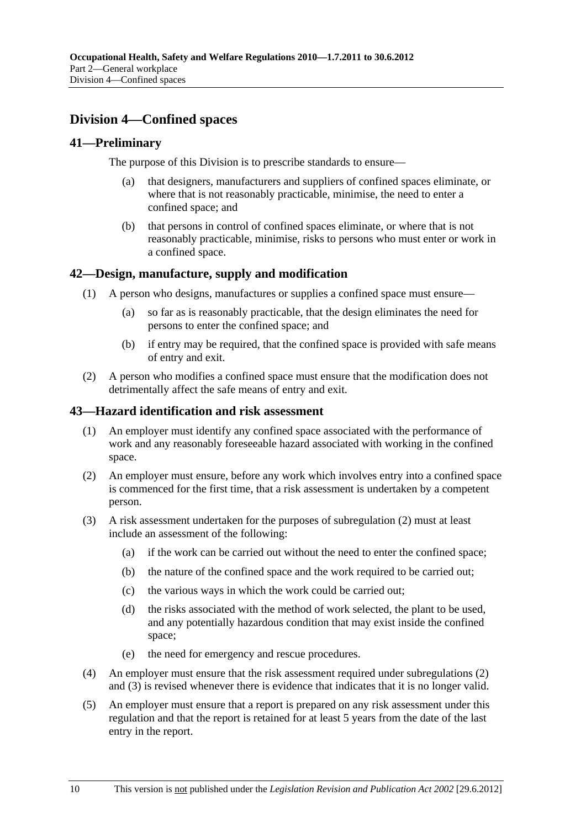# **Division 4—Confined spaces**

# **41—Preliminary**

The purpose of this Division is to prescribe standards to ensure—

- (a) that designers, manufacturers and suppliers of confined spaces eliminate, or where that is not reasonably practicable, minimise, the need to enter a confined space; and
- (b) that persons in control of confined spaces eliminate, or where that is not reasonably practicable, minimise, risks to persons who must enter or work in a confined space.

# **42—Design, manufacture, supply and modification**

- (1) A person who designs, manufactures or supplies a confined space must ensure—
	- (a) so far as is reasonably practicable, that the design eliminates the need for persons to enter the confined space; and
	- (b) if entry may be required, that the confined space is provided with safe means of entry and exit.
- (2) A person who modifies a confined space must ensure that the modification does not detrimentally affect the safe means of entry and exit.

#### **43—Hazard identification and risk assessment**

- (1) An employer must identify any confined space associated with the performance of work and any reasonably foreseeable hazard associated with working in the confined space.
- (2) An employer must ensure, before any work which involves entry into a confined space is commenced for the first time, that a risk assessment is undertaken by a competent person.
- (3) A risk assessment undertaken for the purposes of subregulation (2) must at least include an assessment of the following:
	- (a) if the work can be carried out without the need to enter the confined space;
	- (b) the nature of the confined space and the work required to be carried out;
	- (c) the various ways in which the work could be carried out;
	- (d) the risks associated with the method of work selected, the plant to be used, and any potentially hazardous condition that may exist inside the confined space;
	- (e) the need for emergency and rescue procedures.
- (4) An employer must ensure that the risk assessment required under subregulations (2) and (3) is revised whenever there is evidence that indicates that it is no longer valid.
- (5) An employer must ensure that a report is prepared on any risk assessment under this regulation and that the report is retained for at least 5 years from the date of the last entry in the report.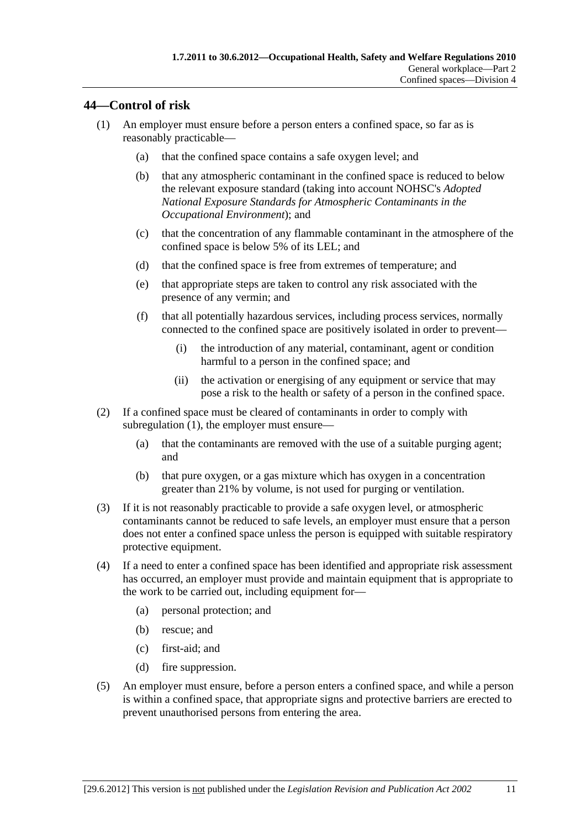# **44—Control of risk**

- (1) An employer must ensure before a person enters a confined space, so far as is reasonably practicable—
	- (a) that the confined space contains a safe oxygen level; and
	- (b) that any atmospheric contaminant in the confined space is reduced to below the relevant exposure standard (taking into account NOHSC's *Adopted National Exposure Standards for Atmospheric Contaminants in the Occupational Environment*); and
	- (c) that the concentration of any flammable contaminant in the atmosphere of the confined space is below 5% of its LEL; and
	- (d) that the confined space is free from extremes of temperature; and
	- (e) that appropriate steps are taken to control any risk associated with the presence of any vermin; and
	- (f) that all potentially hazardous services, including process services, normally connected to the confined space are positively isolated in order to prevent—
		- (i) the introduction of any material, contaminant, agent or condition harmful to a person in the confined space; and
		- (ii) the activation or energising of any equipment or service that may pose a risk to the health or safety of a person in the confined space.
- (2) If a confined space must be cleared of contaminants in order to comply with subregulation (1), the employer must ensure—
	- (a) that the contaminants are removed with the use of a suitable purging agent; and
	- (b) that pure oxygen, or a gas mixture which has oxygen in a concentration greater than 21% by volume, is not used for purging or ventilation.
- (3) If it is not reasonably practicable to provide a safe oxygen level, or atmospheric contaminants cannot be reduced to safe levels, an employer must ensure that a person does not enter a confined space unless the person is equipped with suitable respiratory protective equipment.
- (4) If a need to enter a confined space has been identified and appropriate risk assessment has occurred, an employer must provide and maintain equipment that is appropriate to the work to be carried out, including equipment for—
	- (a) personal protection; and
	- (b) rescue; and
	- (c) first-aid; and
	- (d) fire suppression.
- (5) An employer must ensure, before a person enters a confined space, and while a person is within a confined space, that appropriate signs and protective barriers are erected to prevent unauthorised persons from entering the area.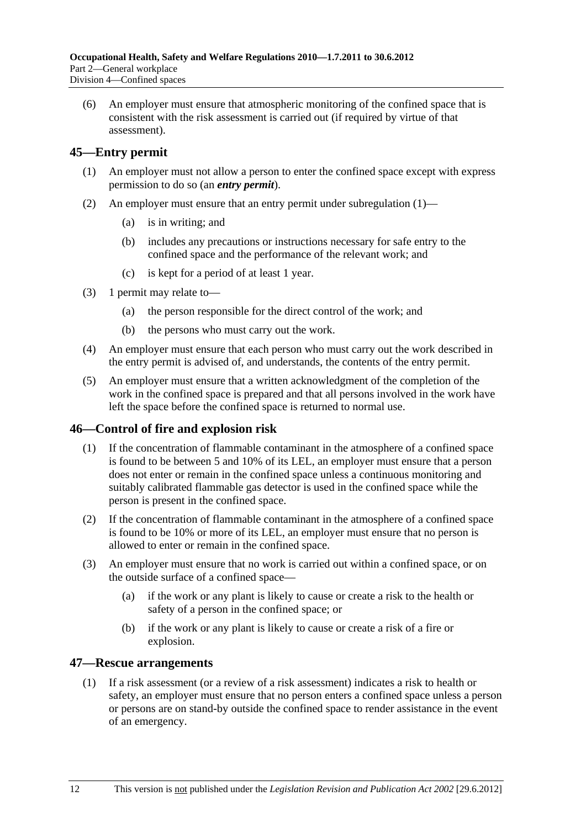(6) An employer must ensure that atmospheric monitoring of the confined space that is consistent with the risk assessment is carried out (if required by virtue of that assessment).

# **45—Entry permit**

- (1) An employer must not allow a person to enter the confined space except with express permission to do so (an *entry permit*).
- (2) An employer must ensure that an entry permit under subregulation (1)—
	- (a) is in writing; and
	- (b) includes any precautions or instructions necessary for safe entry to the confined space and the performance of the relevant work; and
	- (c) is kept for a period of at least 1 year.
- (3) 1 permit may relate to—
	- (a) the person responsible for the direct control of the work; and
	- (b) the persons who must carry out the work.
- (4) An employer must ensure that each person who must carry out the work described in the entry permit is advised of, and understands, the contents of the entry permit.
- (5) An employer must ensure that a written acknowledgment of the completion of the work in the confined space is prepared and that all persons involved in the work have left the space before the confined space is returned to normal use.

# **46—Control of fire and explosion risk**

- (1) If the concentration of flammable contaminant in the atmosphere of a confined space is found to be between 5 and 10% of its LEL, an employer must ensure that a person does not enter or remain in the confined space unless a continuous monitoring and suitably calibrated flammable gas detector is used in the confined space while the person is present in the confined space.
- (2) If the concentration of flammable contaminant in the atmosphere of a confined space is found to be 10% or more of its LEL, an employer must ensure that no person is allowed to enter or remain in the confined space.
- (3) An employer must ensure that no work is carried out within a confined space, or on the outside surface of a confined space—
	- (a) if the work or any plant is likely to cause or create a risk to the health or safety of a person in the confined space; or
	- (b) if the work or any plant is likely to cause or create a risk of a fire or explosion.

#### **47—Rescue arrangements**

 (1) If a risk assessment (or a review of a risk assessment) indicates a risk to health or safety, an employer must ensure that no person enters a confined space unless a person or persons are on stand-by outside the confined space to render assistance in the event of an emergency.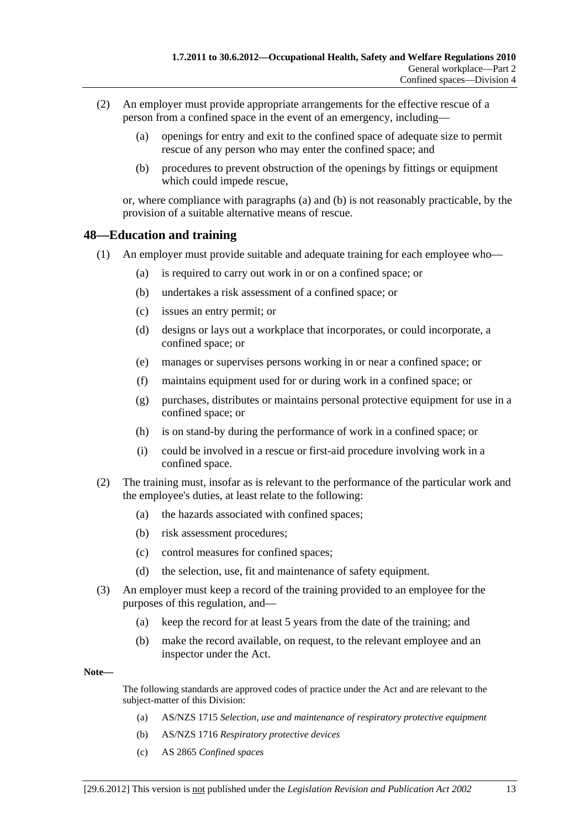- (2) An employer must provide appropriate arrangements for the effective rescue of a person from a confined space in the event of an emergency, including—
	- (a) openings for entry and exit to the confined space of adequate size to permit rescue of any person who may enter the confined space; and
	- (b) procedures to prevent obstruction of the openings by fittings or equipment which could impede rescue,

or, where compliance with paragraphs (a) and (b) is not reasonably practicable, by the provision of a suitable alternative means of rescue.

# **48—Education and training**

- (1) An employer must provide suitable and adequate training for each employee who—
	- (a) is required to carry out work in or on a confined space; or
	- (b) undertakes a risk assessment of a confined space; or
	- (c) issues an entry permit; or
	- (d) designs or lays out a workplace that incorporates, or could incorporate, a confined space; or
	- (e) manages or supervises persons working in or near a confined space; or
	- (f) maintains equipment used for or during work in a confined space; or
	- (g) purchases, distributes or maintains personal protective equipment for use in a confined space; or
	- (h) is on stand-by during the performance of work in a confined space; or
	- (i) could be involved in a rescue or first-aid procedure involving work in a confined space.
- (2) The training must, insofar as is relevant to the performance of the particular work and the employee's duties, at least relate to the following:
	- (a) the hazards associated with confined spaces;
	- (b) risk assessment procedures;
	- (c) control measures for confined spaces;
	- (d) the selection, use, fit and maintenance of safety equipment.
- (3) An employer must keep a record of the training provided to an employee for the purposes of this regulation, and—
	- (a) keep the record for at least 5 years from the date of the training; and
	- (b) make the record available, on request, to the relevant employee and an inspector under the Act.

**Note—** 

The following standards are approved codes of practice under the Act and are relevant to the subject-matter of this Division:

- (a) AS/NZS 1715 *Selection, use and maintenance of respiratory protective equipment*
- (b) AS/NZS 1716 *Respiratory protective devices*
- (c) AS 2865 *Confined spaces*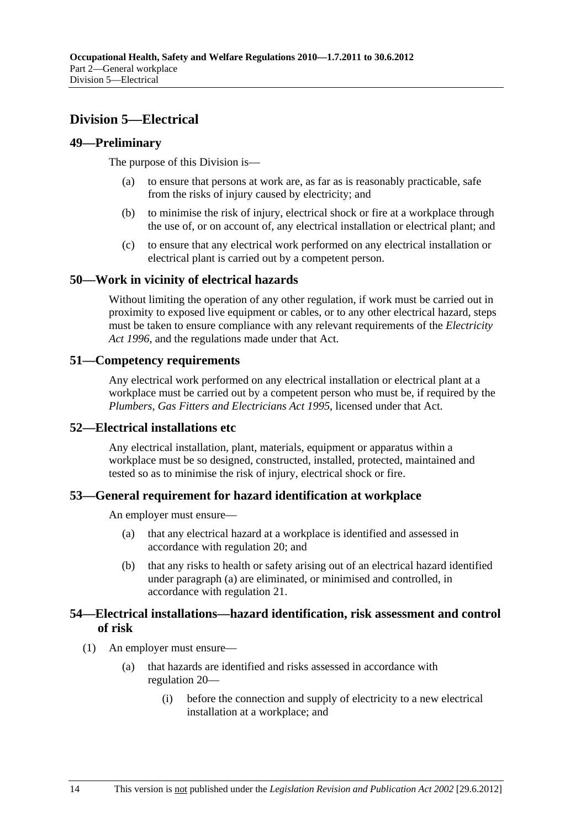# **Division 5—Electrical**

# **49—Preliminary**

The purpose of this Division is—

- (a) to ensure that persons at work are, as far as is reasonably practicable, safe from the risks of injury caused by electricity; and
- (b) to minimise the risk of injury, electrical shock or fire at a workplace through the use of, or on account of, any electrical installation or electrical plant; and
- (c) to ensure that any electrical work performed on any electrical installation or electrical plant is carried out by a competent person.

### **50—Work in vicinity of electrical hazards**

Without limiting the operation of any other regulation, if work must be carried out in proximity to exposed live equipment or cables, or to any other electrical hazard, steps must be taken to ensure compliance with any relevant requirements of the *Electricity Act 1996*, and the regulations made under that Act.

### **51—Competency requirements**

Any electrical work performed on any electrical installation or electrical plant at a workplace must be carried out by a competent person who must be, if required by the *Plumbers, Gas Fitters and Electricians Act 1995*, licensed under that Act.

#### **52—Electrical installations etc**

Any electrical installation, plant, materials, equipment or apparatus within a workplace must be so designed, constructed, installed, protected, maintained and tested so as to minimise the risk of injury, electrical shock or fire.

# **53—General requirement for hazard identification at workplace**

An employer must ensure—

- (a) that any electrical hazard at a workplace is identified and assessed in accordance with regulation 20; and
- (b) that any risks to health or safety arising out of an electrical hazard identified under paragraph (a) are eliminated, or minimised and controlled, in accordance with regulation 21.

### **54—Electrical installations—hazard identification, risk assessment and control of risk**

(1) An employer must ensure—

- (a) that hazards are identified and risks assessed in accordance with regulation 20—
	- (i) before the connection and supply of electricity to a new electrical installation at a workplace; and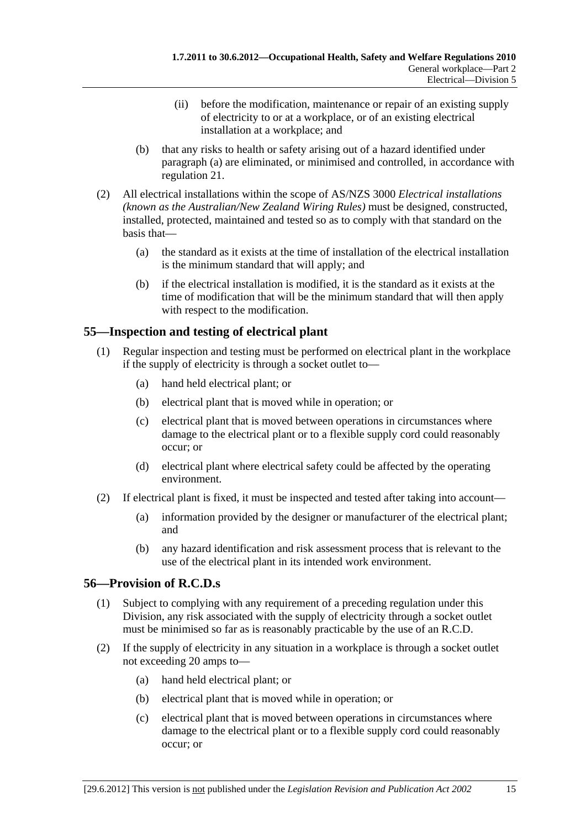- (ii) before the modification, maintenance or repair of an existing supply of electricity to or at a workplace, or of an existing electrical installation at a workplace; and
- (b) that any risks to health or safety arising out of a hazard identified under paragraph (a) are eliminated, or minimised and controlled, in accordance with regulation 21.
- (2) All electrical installations within the scope of AS/NZS 3000 *Electrical installations (known as the Australian/New Zealand Wiring Rules)* must be designed, constructed, installed, protected, maintained and tested so as to comply with that standard on the basis that—
	- (a) the standard as it exists at the time of installation of the electrical installation is the minimum standard that will apply; and
	- (b) if the electrical installation is modified, it is the standard as it exists at the time of modification that will be the minimum standard that will then apply with respect to the modification.

# **55—Inspection and testing of electrical plant**

- (1) Regular inspection and testing must be performed on electrical plant in the workplace if the supply of electricity is through a socket outlet to—
	- (a) hand held electrical plant; or
	- (b) electrical plant that is moved while in operation; or
	- (c) electrical plant that is moved between operations in circumstances where damage to the electrical plant or to a flexible supply cord could reasonably occur; or
	- (d) electrical plant where electrical safety could be affected by the operating environment.
- (2) If electrical plant is fixed, it must be inspected and tested after taking into account—
	- (a) information provided by the designer or manufacturer of the electrical plant; and
	- (b) any hazard identification and risk assessment process that is relevant to the use of the electrical plant in its intended work environment.

# **56—Provision of R.C.D.s**

- (1) Subject to complying with any requirement of a preceding regulation under this Division, any risk associated with the supply of electricity through a socket outlet must be minimised so far as is reasonably practicable by the use of an R.C.D.
- (2) If the supply of electricity in any situation in a workplace is through a socket outlet not exceeding 20 amps to—
	- (a) hand held electrical plant; or
	- (b) electrical plant that is moved while in operation; or
	- (c) electrical plant that is moved between operations in circumstances where damage to the electrical plant or to a flexible supply cord could reasonably occur; or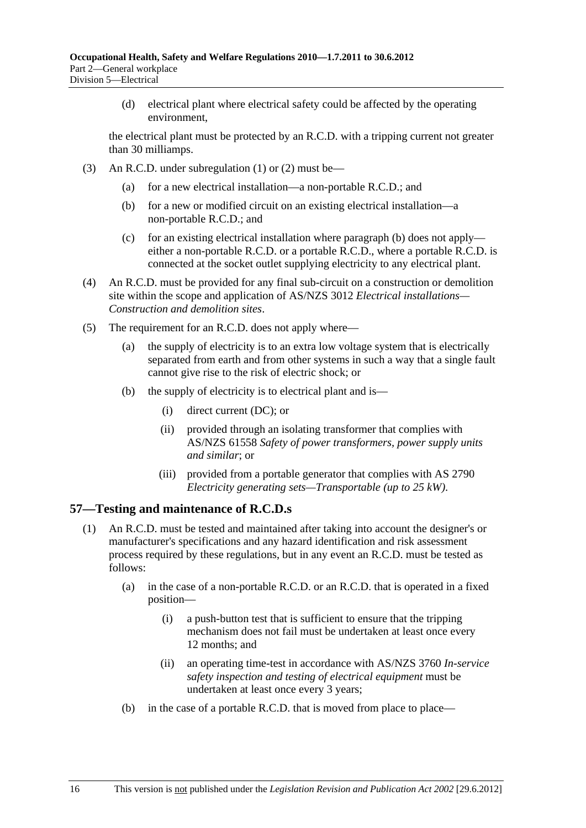(d) electrical plant where electrical safety could be affected by the operating environment,

the electrical plant must be protected by an R.C.D. with a tripping current not greater than 30 milliamps.

- (3) An R.C.D. under subregulation (1) or (2) must be—
	- (a) for a new electrical installation—a non-portable R.C.D.; and
	- (b) for a new or modified circuit on an existing electrical installation—a non-portable R.C.D.; and
	- (c) for an existing electrical installation where paragraph (b) does not apply either a non-portable R.C.D. or a portable R.C.D., where a portable R.C.D. is connected at the socket outlet supplying electricity to any electrical plant.
- (4) An R.C.D. must be provided for any final sub-circuit on a construction or demolition site within the scope and application of AS/NZS 3012 *Electrical installations— Construction and demolition sites*.
- (5) The requirement for an R.C.D. does not apply where—
	- (a) the supply of electricity is to an extra low voltage system that is electrically separated from earth and from other systems in such a way that a single fault cannot give rise to the risk of electric shock; or
	- (b) the supply of electricity is to electrical plant and is—
		- (i) direct current (DC); or
		- (ii) provided through an isolating transformer that complies with AS/NZS 61558 *Safety of power transformers, power supply units and similar*; or
		- (iii) provided from a portable generator that complies with AS 2790 *Electricity generating sets—Transportable (up to 25 kW)*.

#### **57—Testing and maintenance of R.C.D.s**

- (1) An R.C.D. must be tested and maintained after taking into account the designer's or manufacturer's specifications and any hazard identification and risk assessment process required by these regulations, but in any event an R.C.D. must be tested as follows:
	- (a) in the case of a non-portable R.C.D. or an R.C.D. that is operated in a fixed position—
		- (i) a push-button test that is sufficient to ensure that the tripping mechanism does not fail must be undertaken at least once every 12 months; and
		- (ii) an operating time-test in accordance with AS/NZS 3760 *In-service safety inspection and testing of electrical equipment* must be undertaken at least once every 3 years;
	- (b) in the case of a portable R.C.D. that is moved from place to place—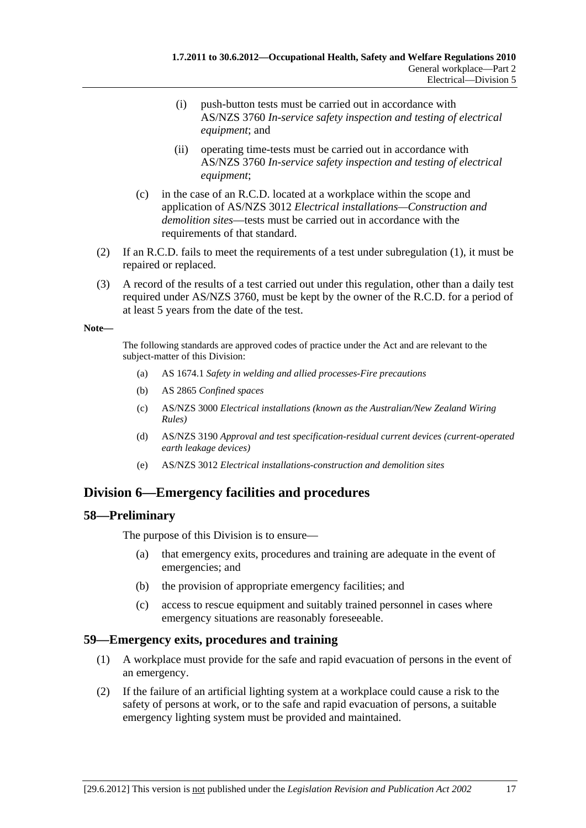- (i) push-button tests must be carried out in accordance with AS/NZS 3760 *In-service safety inspection and testing of electrical equipment*; and
- (ii) operating time-tests must be carried out in accordance with AS/NZS 3760 *In-service safety inspection and testing of electrical equipment*;
- (c) in the case of an R.C.D. located at a workplace within the scope and application of AS/NZS 3012 *Electrical installations—Construction and demolition sites*—tests must be carried out in accordance with the requirements of that standard.
- (2) If an R.C.D. fails to meet the requirements of a test under subregulation (1), it must be repaired or replaced.
- (3) A record of the results of a test carried out under this regulation, other than a daily test required under AS/NZS 3760, must be kept by the owner of the R.C.D. for a period of at least 5 years from the date of the test.

#### **Note—**

The following standards are approved codes of practice under the Act and are relevant to the subject-matter of this Division:

- (a) AS 1674.1 *Safety in welding and allied processes-Fire precautions*
- (b) AS 2865 *Confined spaces*
- (c) AS/NZS 3000 *Electrical installations (known as the Australian/New Zealand Wiring Rules)*
- (d) AS/NZS 3190 *Approval and test specification-residual current devices (current-operated earth leakage devices)*
- (e) AS/NZS 3012 *Electrical installations-construction and demolition sites*

# **Division 6—Emergency facilities and procedures**

# **58—Preliminary**

The purpose of this Division is to ensure—

- (a) that emergency exits, procedures and training are adequate in the event of emergencies; and
- (b) the provision of appropriate emergency facilities; and
- (c) access to rescue equipment and suitably trained personnel in cases where emergency situations are reasonably foreseeable.

# **59—Emergency exits, procedures and training**

- (1) A workplace must provide for the safe and rapid evacuation of persons in the event of an emergency.
- (2) If the failure of an artificial lighting system at a workplace could cause a risk to the safety of persons at work, or to the safe and rapid evacuation of persons, a suitable emergency lighting system must be provided and maintained.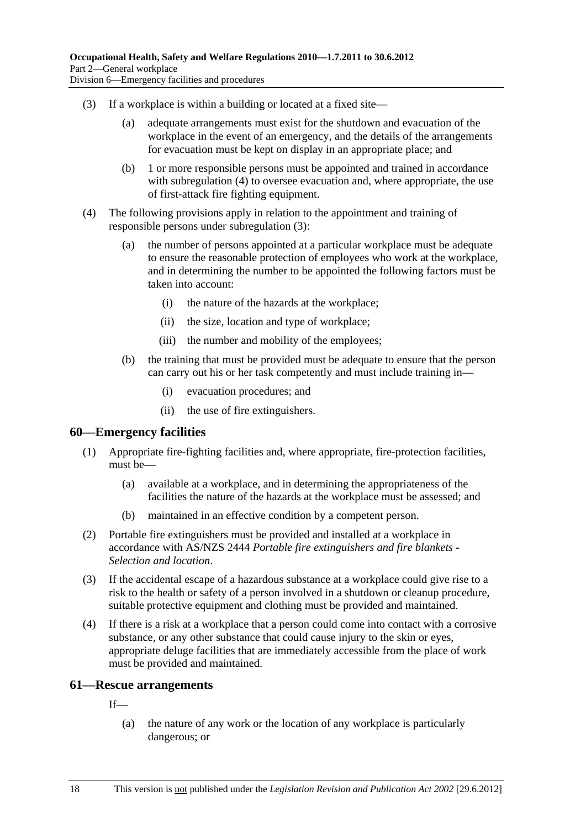- (3) If a workplace is within a building or located at a fixed site—
	- (a) adequate arrangements must exist for the shutdown and evacuation of the workplace in the event of an emergency, and the details of the arrangements for evacuation must be kept on display in an appropriate place; and
	- (b) 1 or more responsible persons must be appointed and trained in accordance with subregulation (4) to oversee evacuation and, where appropriate, the use of first-attack fire fighting equipment.
- (4) The following provisions apply in relation to the appointment and training of responsible persons under subregulation (3):
	- (a) the number of persons appointed at a particular workplace must be adequate to ensure the reasonable protection of employees who work at the workplace, and in determining the number to be appointed the following factors must be taken into account:
		- (i) the nature of the hazards at the workplace;
		- (ii) the size, location and type of workplace;
		- (iii) the number and mobility of the employees;
	- (b) the training that must be provided must be adequate to ensure that the person can carry out his or her task competently and must include training in—
		- (i) evacuation procedures; and
		- (ii) the use of fire extinguishers.

#### **60—Emergency facilities**

- (1) Appropriate fire-fighting facilities and, where appropriate, fire-protection facilities, must be—
	- (a) available at a workplace, and in determining the appropriateness of the facilities the nature of the hazards at the workplace must be assessed; and
	- (b) maintained in an effective condition by a competent person.
- (2) Portable fire extinguishers must be provided and installed at a workplace in accordance with AS/NZS 2444 *Portable fire extinguishers and fire blankets - Selection and location*.
- (3) If the accidental escape of a hazardous substance at a workplace could give rise to a risk to the health or safety of a person involved in a shutdown or cleanup procedure, suitable protective equipment and clothing must be provided and maintained.
- (4) If there is a risk at a workplace that a person could come into contact with a corrosive substance, or any other substance that could cause injury to the skin or eyes, appropriate deluge facilities that are immediately accessible from the place of work must be provided and maintained.

#### **61—Rescue arrangements**

If—

 (a) the nature of any work or the location of any workplace is particularly dangerous; or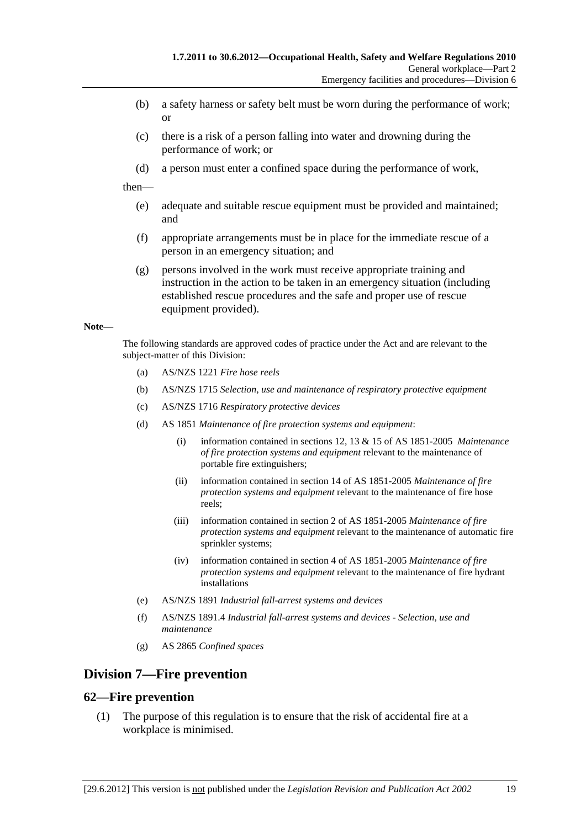- (b) a safety harness or safety belt must be worn during the performance of work; or
- (c) there is a risk of a person falling into water and drowning during the performance of work; or
- (d) a person must enter a confined space during the performance of work,

then—

- (e) adequate and suitable rescue equipment must be provided and maintained; and
- (f) appropriate arrangements must be in place for the immediate rescue of a person in an emergency situation; and
- (g) persons involved in the work must receive appropriate training and instruction in the action to be taken in an emergency situation (including established rescue procedures and the safe and proper use of rescue equipment provided).

#### **Note—**

The following standards are approved codes of practice under the Act and are relevant to the subject-matter of this Division:

- (a) AS/NZS 1221 *Fire hose reels*
- (b) AS/NZS 1715 *Selection, use and maintenance of respiratory protective equipment*
- (c) AS/NZS 1716 *Respiratory protective devices*
- (d) AS 1851 *Maintenance of fire protection systems and equipment*:
	- (i) information contained in sections 12, 13 & 15 of AS 1851-2005 *Maintenance of fire protection systems and equipment* relevant to the maintenance of portable fire extinguishers;
	- (ii) information contained in section 14 of AS 1851-2005 *Maintenance of fire protection systems and equipment* relevant to the maintenance of fire hose reels;
	- (iii) information contained in section 2 of AS 1851-2005 *Maintenance of fire protection systems and equipment* relevant to the maintenance of automatic fire sprinkler systems;
	- (iv) information contained in section 4 of AS 1851-2005 *Maintenance of fire protection systems and equipment* relevant to the maintenance of fire hydrant installations
- (e) AS/NZS 1891 *Industrial fall-arrest systems and devices*
- (f) AS/NZS 1891.4 *Industrial fall-arrest systems and devices Selection, use and maintenance*
- (g) AS 2865 *Confined spaces*

# **Division 7—Fire prevention**

#### **62—Fire prevention**

 (1) The purpose of this regulation is to ensure that the risk of accidental fire at a workplace is minimised.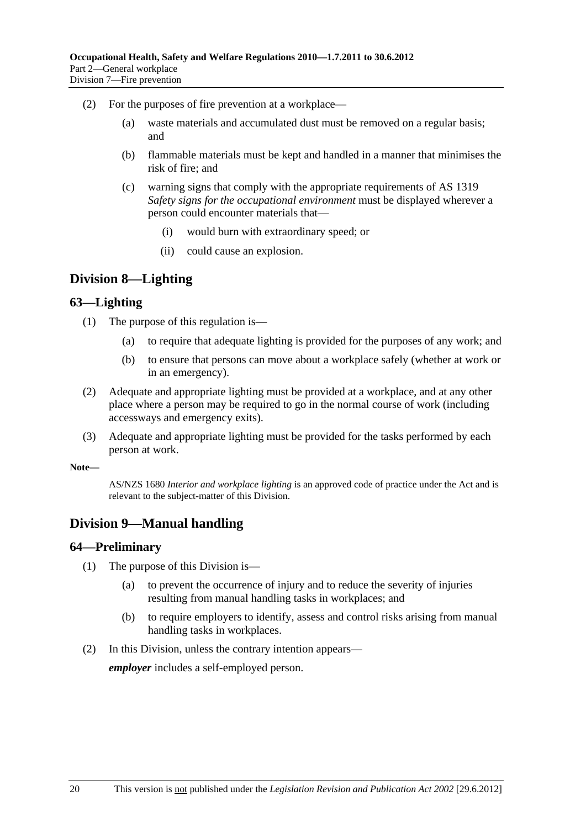- (2) For the purposes of fire prevention at a workplace—
	- (a) waste materials and accumulated dust must be removed on a regular basis; and
	- (b) flammable materials must be kept and handled in a manner that minimises the risk of fire; and
	- (c) warning signs that comply with the appropriate requirements of AS 1319 *Safety signs for the occupational environment* must be displayed wherever a person could encounter materials that—
		- (i) would burn with extraordinary speed; or
		- (ii) could cause an explosion.

# **Division 8—Lighting**

### **63—Lighting**

- (1) The purpose of this regulation is—
	- (a) to require that adequate lighting is provided for the purposes of any work; and
	- (b) to ensure that persons can move about a workplace safely (whether at work or in an emergency).
- (2) Adequate and appropriate lighting must be provided at a workplace, and at any other place where a person may be required to go in the normal course of work (including accessways and emergency exits).
- (3) Adequate and appropriate lighting must be provided for the tasks performed by each person at work.

#### **Note—**

AS/NZS 1680 *Interior and workplace lighting* is an approved code of practice under the Act and is relevant to the subject-matter of this Division.

# **Division 9—Manual handling**

#### **64—Preliminary**

- (1) The purpose of this Division is—
	- (a) to prevent the occurrence of injury and to reduce the severity of injuries resulting from manual handling tasks in workplaces; and
	- (b) to require employers to identify, assess and control risks arising from manual handling tasks in workplaces.
- (2) In this Division, unless the contrary intention appears—

*employer* includes a self-employed person.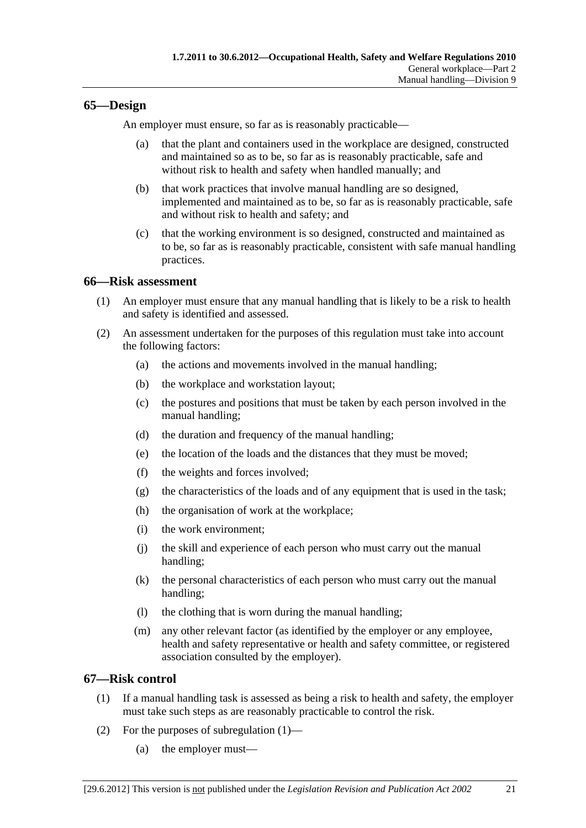# **65—Design**

An employer must ensure, so far as is reasonably practicable—

- (a) that the plant and containers used in the workplace are designed, constructed and maintained so as to be, so far as is reasonably practicable, safe and without risk to health and safety when handled manually; and
- (b) that work practices that involve manual handling are so designed, implemented and maintained as to be, so far as is reasonably practicable, safe and without risk to health and safety; and
- (c) that the working environment is so designed, constructed and maintained as to be, so far as is reasonably practicable, consistent with safe manual handling practices.

### **66—Risk assessment**

- (1) An employer must ensure that any manual handling that is likely to be a risk to health and safety is identified and assessed.
- (2) An assessment undertaken for the purposes of this regulation must take into account the following factors:
	- (a) the actions and movements involved in the manual handling;
	- (b) the workplace and workstation layout;
	- (c) the postures and positions that must be taken by each person involved in the manual handling;
	- (d) the duration and frequency of the manual handling;
	- (e) the location of the loads and the distances that they must be moved;
	- (f) the weights and forces involved;
	- (g) the characteristics of the loads and of any equipment that is used in the task;
	- (h) the organisation of work at the workplace;
	- (i) the work environment;
	- (j) the skill and experience of each person who must carry out the manual handling;
	- (k) the personal characteristics of each person who must carry out the manual handling;
	- (l) the clothing that is worn during the manual handling;
	- (m) any other relevant factor (as identified by the employer or any employee, health and safety representative or health and safety committee, or registered association consulted by the employer).

# **67—Risk control**

- (1) If a manual handling task is assessed as being a risk to health and safety, the employer must take such steps as are reasonably practicable to control the risk.
- (2) For the purposes of subregulation (1)—
	- (a) the employer must—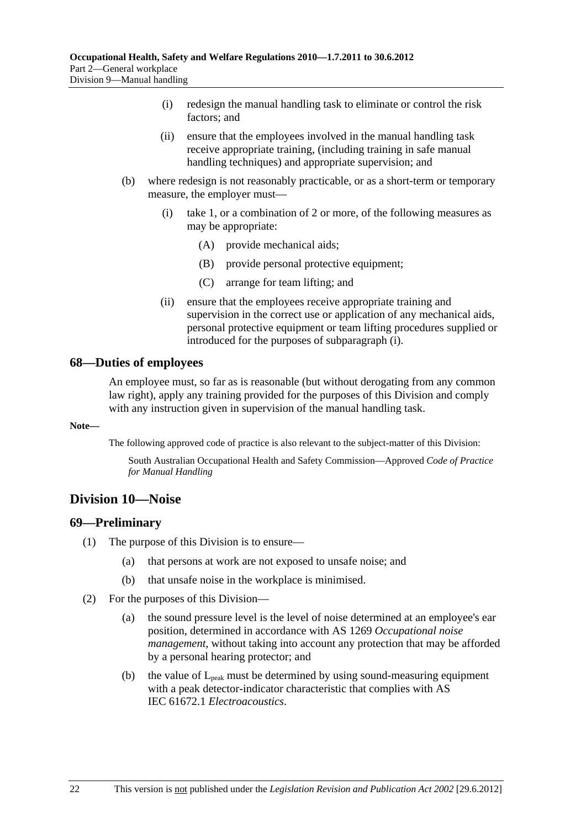- (i) redesign the manual handling task to eliminate or control the risk factors; and
- (ii) ensure that the employees involved in the manual handling task receive appropriate training, (including training in safe manual handling techniques) and appropriate supervision; and
- (b) where redesign is not reasonably practicable, or as a short-term or temporary measure, the employer must—
	- (i) take 1, or a combination of 2 or more, of the following measures as may be appropriate:
		- (A) provide mechanical aids;
		- (B) provide personal protective equipment;
		- (C) arrange for team lifting; and
	- (ii) ensure that the employees receive appropriate training and supervision in the correct use or application of any mechanical aids, personal protective equipment or team lifting procedures supplied or introduced for the purposes of subparagraph (i).

### **68—Duties of employees**

An employee must, so far as is reasonable (but without derogating from any common law right), apply any training provided for the purposes of this Division and comply with any instruction given in supervision of the manual handling task.

#### **Note—**

The following approved code of practice is also relevant to the subject-matter of this Division:

South Australian Occupational Health and Safety Commission—Approved *Code of Practice for Manual Handling*

# **Division 10—Noise**

#### **69—Preliminary**

- (1) The purpose of this Division is to ensure—
	- (a) that persons at work are not exposed to unsafe noise; and
	- (b) that unsafe noise in the workplace is minimised.
- (2) For the purposes of this Division—
	- (a) the sound pressure level is the level of noise determined at an employee's ear position, determined in accordance with AS 1269 *Occupational noise management*, without taking into account any protection that may be afforded by a personal hearing protector; and
	- (b) the value of  $L_{peak}$  must be determined by using sound-measuring equipment with a peak detector-indicator characteristic that complies with AS IEC 61672.1 *Electroacoustics*.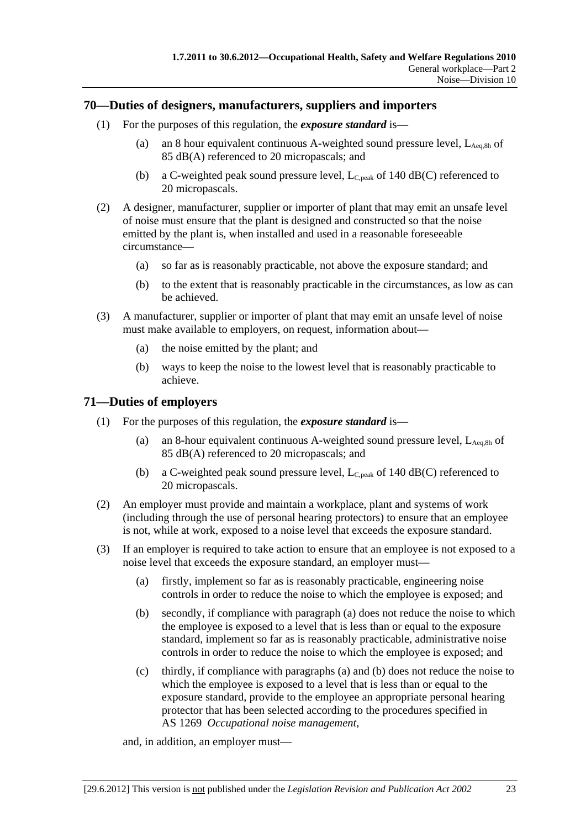### **70—Duties of designers, manufacturers, suppliers and importers**

- (1) For the purposes of this regulation, the *exposure standard* is—
	- (a) an 8 hour equivalent continuous A-weighted sound pressure level,  $L_{\text{Aea,8h}}$  of 85 dB(A) referenced to 20 micropascals; and
	- (b) a C-weighted peak sound pressure level,  $L_{C,peak}$  of 140 dB(C) referenced to 20 micropascals.
- (2) A designer, manufacturer, supplier or importer of plant that may emit an unsafe level of noise must ensure that the plant is designed and constructed so that the noise emitted by the plant is, when installed and used in a reasonable foreseeable circumstance—
	- (a) so far as is reasonably practicable, not above the exposure standard; and
	- (b) to the extent that is reasonably practicable in the circumstances, as low as can be achieved.
- (3) A manufacturer, supplier or importer of plant that may emit an unsafe level of noise must make available to employers, on request, information about—
	- (a) the noise emitted by the plant; and
	- (b) ways to keep the noise to the lowest level that is reasonably practicable to achieve.

# **71—Duties of employers**

- (1) For the purposes of this regulation, the *exposure standard* is—
	- (a) an 8-hour equivalent continuous A-weighted sound pressure level,  $L_{Aea,8h}$  of 85 dB(A) referenced to 20 micropascals; and
	- (b) a C-weighted peak sound pressure level,  $L_{C,peak}$  of 140 dB(C) referenced to 20 micropascals.
- (2) An employer must provide and maintain a workplace, plant and systems of work (including through the use of personal hearing protectors) to ensure that an employee is not, while at work, exposed to a noise level that exceeds the exposure standard.
- (3) If an employer is required to take action to ensure that an employee is not exposed to a noise level that exceeds the exposure standard, an employer must—
	- (a) firstly, implement so far as is reasonably practicable, engineering noise controls in order to reduce the noise to which the employee is exposed; and
	- (b) secondly, if compliance with paragraph (a) does not reduce the noise to which the employee is exposed to a level that is less than or equal to the exposure standard, implement so far as is reasonably practicable, administrative noise controls in order to reduce the noise to which the employee is exposed; and
	- (c) thirdly, if compliance with paragraphs (a) and (b) does not reduce the noise to which the employee is exposed to a level that is less than or equal to the exposure standard, provide to the employee an appropriate personal hearing protector that has been selected according to the procedures specified in AS 1269 *Occupational noise management*,

and, in addition, an employer must—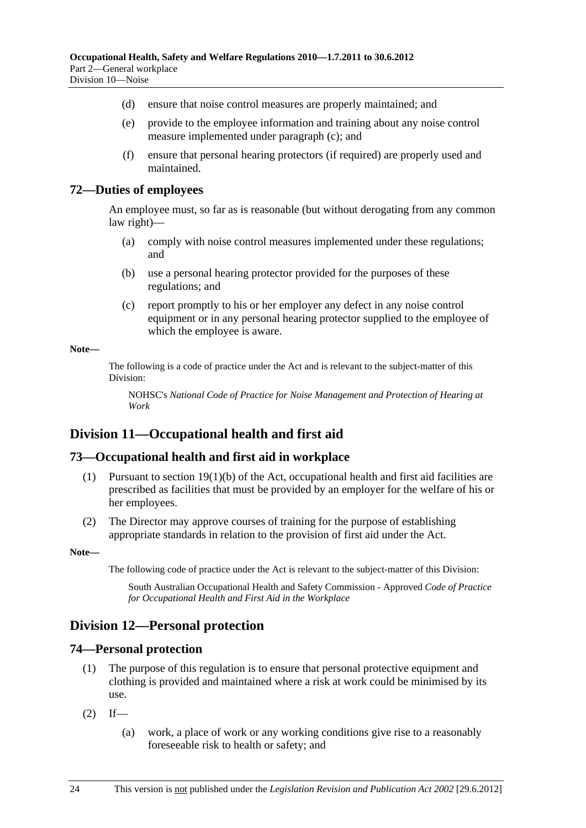- (d) ensure that noise control measures are properly maintained; and
- (e) provide to the employee information and training about any noise control measure implemented under paragraph (c); and
- (f) ensure that personal hearing protectors (if required) are properly used and maintained.

### **72—Duties of employees**

An employee must, so far as is reasonable (but without derogating from any common law right)—

- (a) comply with noise control measures implemented under these regulations; and
- (b) use a personal hearing protector provided for the purposes of these regulations; and
- (c) report promptly to his or her employer any defect in any noise control equipment or in any personal hearing protector supplied to the employee of which the employee is aware.

#### **Note—**

The following is a code of practice under the Act and is relevant to the subject-matter of this Division:

NOHSC's *National Code of Practice for Noise Management and Protection of Hearing at Work*

# **Division 11—Occupational health and first aid**

# **73—Occupational health and first aid in workplace**

- (1) Pursuant to section 19(1)(b) of the Act, occupational health and first aid facilities are prescribed as facilities that must be provided by an employer for the welfare of his or her employees.
- (2) The Director may approve courses of training for the purpose of establishing appropriate standards in relation to the provision of first aid under the Act.

**Note—** 

The following code of practice under the Act is relevant to the subject-matter of this Division:

South Australian Occupational Health and Safety Commission - Approved *Code of Practice for Occupational Health and First Aid in the Workplace*

# **Division 12—Personal protection**

# **74—Personal protection**

- (1) The purpose of this regulation is to ensure that personal protective equipment and clothing is provided and maintained where a risk at work could be minimised by its use.
- $(2)$  If—
	- (a) work, a place of work or any working conditions give rise to a reasonably foreseeable risk to health or safety; and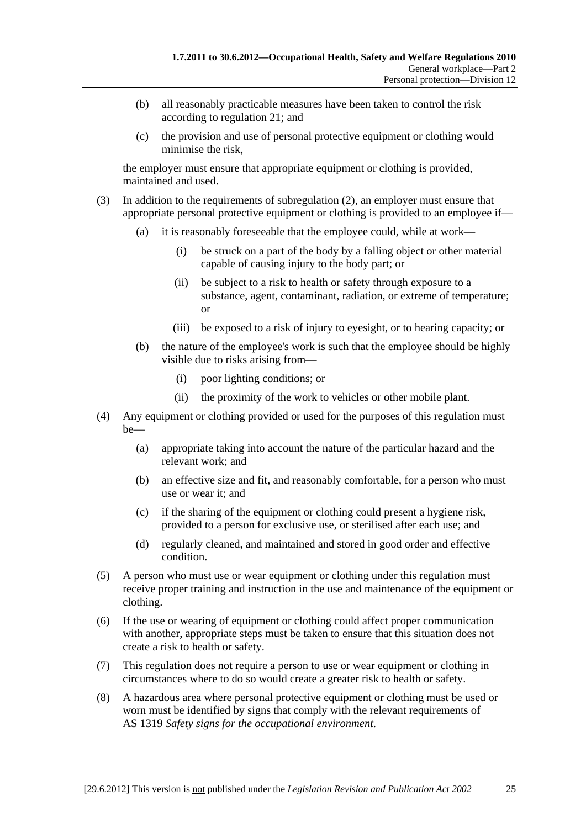- (b) all reasonably practicable measures have been taken to control the risk according to regulation 21; and
- (c) the provision and use of personal protective equipment or clothing would minimise the risk,

the employer must ensure that appropriate equipment or clothing is provided, maintained and used.

- (3) In addition to the requirements of subregulation (2), an employer must ensure that appropriate personal protective equipment or clothing is provided to an employee if—
	- (a) it is reasonably foreseeable that the employee could, while at work—
		- (i) be struck on a part of the body by a falling object or other material capable of causing injury to the body part; or
		- (ii) be subject to a risk to health or safety through exposure to a substance, agent, contaminant, radiation, or extreme of temperature; or
		- (iii) be exposed to a risk of injury to eyesight, or to hearing capacity; or
	- (b) the nature of the employee's work is such that the employee should be highly visible due to risks arising from—
		- (i) poor lighting conditions; or
		- (ii) the proximity of the work to vehicles or other mobile plant.
- (4) Any equipment or clothing provided or used for the purposes of this regulation must be—
	- (a) appropriate taking into account the nature of the particular hazard and the relevant work; and
	- (b) an effective size and fit, and reasonably comfortable, for a person who must use or wear it; and
	- (c) if the sharing of the equipment or clothing could present a hygiene risk, provided to a person for exclusive use, or sterilised after each use; and
	- (d) regularly cleaned, and maintained and stored in good order and effective condition.
- (5) A person who must use or wear equipment or clothing under this regulation must receive proper training and instruction in the use and maintenance of the equipment or clothing.
- (6) If the use or wearing of equipment or clothing could affect proper communication with another, appropriate steps must be taken to ensure that this situation does not create a risk to health or safety.
- (7) This regulation does not require a person to use or wear equipment or clothing in circumstances where to do so would create a greater risk to health or safety.
- (8) A hazardous area where personal protective equipment or clothing must be used or worn must be identified by signs that comply with the relevant requirements of AS 1319 *Safety signs for the occupational environment*.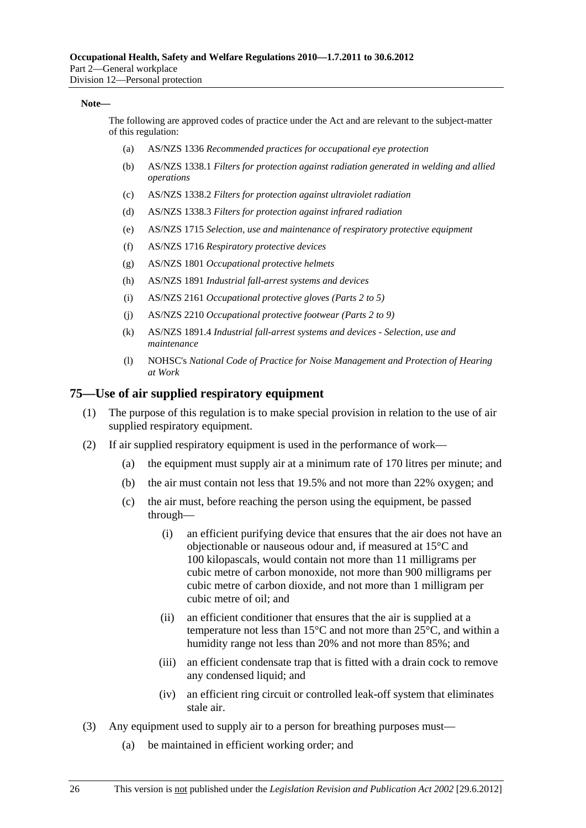#### **Note—**

The following are approved codes of practice under the Act and are relevant to the subject-matter of this regulation:

- (a) AS/NZS 1336 *Recommended practices for occupational eye protection*
- (b) AS/NZS 1338.1 *Filters for protection against radiation generated in welding and allied operations*
- (c) AS/NZS 1338.2 *Filters for protection against ultraviolet radiation*
- (d) AS/NZS 1338.3 *Filters for protection against infrared radiation*
- (e) AS/NZS 1715 *Selection, use and maintenance of respiratory protective equipment*
- (f) AS/NZS 1716 *Respiratory protective devices*
- (g) AS/NZS 1801 *Occupational protective helmets*
- (h) AS/NZS 1891 *Industrial fall-arrest systems and devices*
- (i) AS/NZS 2161 *Occupational protective gloves (Parts 2 to 5)*
- (j) AS/NZS 2210 *Occupational protective footwear (Parts 2 to 9)*
- (k) AS/NZS 1891.4 *Industrial fall-arrest systems and devices Selection, use and maintenance*
- (l) NOHSC's *National Code of Practice for Noise Management and Protection of Hearing at Work*

#### **75—Use of air supplied respiratory equipment**

- (1) The purpose of this regulation is to make special provision in relation to the use of air supplied respiratory equipment.
- (2) If air supplied respiratory equipment is used in the performance of work—
	- (a) the equipment must supply air at a minimum rate of 170 litres per minute; and
	- (b) the air must contain not less that 19.5% and not more than 22% oxygen; and
	- (c) the air must, before reaching the person using the equipment, be passed through—
		- (i) an efficient purifying device that ensures that the air does not have an objectionable or nauseous odour and, if measured at 15°C and 100 kilopascals, would contain not more than 11 milligrams per cubic metre of carbon monoxide, not more than 900 milligrams per cubic metre of carbon dioxide, and not more than 1 milligram per cubic metre of oil; and
		- (ii) an efficient conditioner that ensures that the air is supplied at a temperature not less than 15°C and not more than 25°C, and within a humidity range not less than 20% and not more than 85%; and
		- (iii) an efficient condensate trap that is fitted with a drain cock to remove any condensed liquid; and
		- (iv) an efficient ring circuit or controlled leak-off system that eliminates stale air.
- (3) Any equipment used to supply air to a person for breathing purposes must—
	- (a) be maintained in efficient working order; and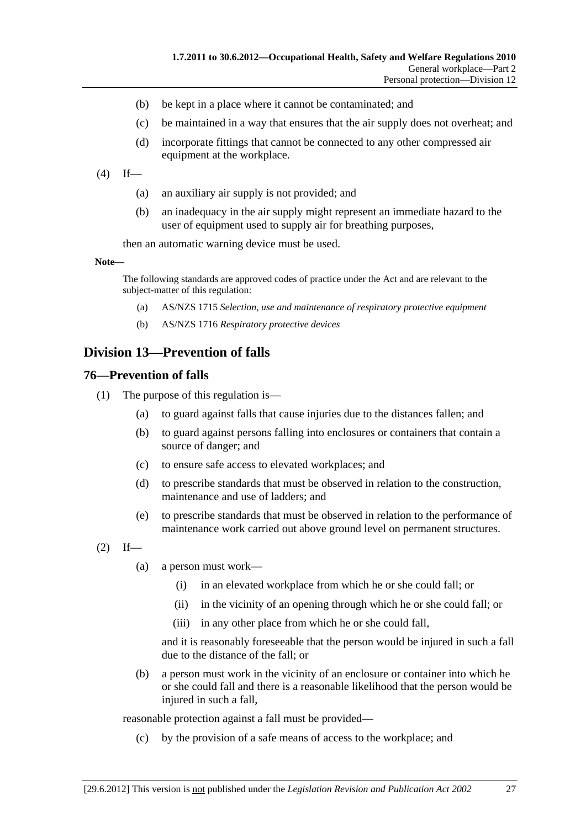- (b) be kept in a place where it cannot be contaminated; and
- (c) be maintained in a way that ensures that the air supply does not overheat; and
- (d) incorporate fittings that cannot be connected to any other compressed air equipment at the workplace.
- $(4)$  If—
	- (a) an auxiliary air supply is not provided; and
	- (b) an inadequacy in the air supply might represent an immediate hazard to the user of equipment used to supply air for breathing purposes,

then an automatic warning device must be used.

**Note—** 

The following standards are approved codes of practice under the Act and are relevant to the subject-matter of this regulation:

- (a) AS/NZS 1715 *Selection, use and maintenance of respiratory protective equipment*
- (b) AS/NZS 1716 *Respiratory protective devices*

# **Division 13—Prevention of falls**

#### **76—Prevention of falls**

- (1) The purpose of this regulation is—
	- (a) to guard against falls that cause injuries due to the distances fallen; and
	- (b) to guard against persons falling into enclosures or containers that contain a source of danger; and
	- (c) to ensure safe access to elevated workplaces; and
	- (d) to prescribe standards that must be observed in relation to the construction, maintenance and use of ladders; and
	- (e) to prescribe standards that must be observed in relation to the performance of maintenance work carried out above ground level on permanent structures.
- $(2)$  If—
	- (a) a person must work—
		- (i) in an elevated workplace from which he or she could fall; or
		- (ii) in the vicinity of an opening through which he or she could fall; or
		- (iii) in any other place from which he or she could fall,

and it is reasonably foreseeable that the person would be injured in such a fall due to the distance of the fall; or

 (b) a person must work in the vicinity of an enclosure or container into which he or she could fall and there is a reasonable likelihood that the person would be injured in such a fall,

reasonable protection against a fall must be provided—

(c) by the provision of a safe means of access to the workplace; and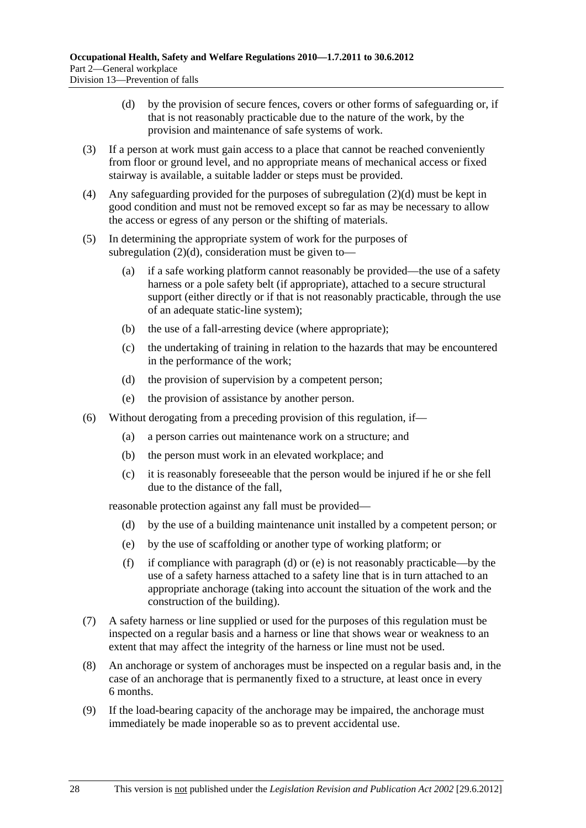- (d) by the provision of secure fences, covers or other forms of safeguarding or, if that is not reasonably practicable due to the nature of the work, by the provision and maintenance of safe systems of work.
- (3) If a person at work must gain access to a place that cannot be reached conveniently from floor or ground level, and no appropriate means of mechanical access or fixed stairway is available, a suitable ladder or steps must be provided.
- (4) Any safeguarding provided for the purposes of subregulation (2)(d) must be kept in good condition and must not be removed except so far as may be necessary to allow the access or egress of any person or the shifting of materials.
- (5) In determining the appropriate system of work for the purposes of subregulation  $(2)(d)$ , consideration must be given to—
	- (a) if a safe working platform cannot reasonably be provided—the use of a safety harness or a pole safety belt (if appropriate), attached to a secure structural support (either directly or if that is not reasonably practicable, through the use of an adequate static-line system);
	- (b) the use of a fall-arresting device (where appropriate);
	- (c) the undertaking of training in relation to the hazards that may be encountered in the performance of the work;
	- (d) the provision of supervision by a competent person;
	- (e) the provision of assistance by another person.
- (6) Without derogating from a preceding provision of this regulation, if—
	- (a) a person carries out maintenance work on a structure; and
	- (b) the person must work in an elevated workplace; and
	- (c) it is reasonably foreseeable that the person would be injured if he or she fell due to the distance of the fall,

reasonable protection against any fall must be provided—

- (d) by the use of a building maintenance unit installed by a competent person; or
- (e) by the use of scaffolding or another type of working platform; or
- (f) if compliance with paragraph (d) or (e) is not reasonably practicable—by the use of a safety harness attached to a safety line that is in turn attached to an appropriate anchorage (taking into account the situation of the work and the construction of the building).
- (7) A safety harness or line supplied or used for the purposes of this regulation must be inspected on a regular basis and a harness or line that shows wear or weakness to an extent that may affect the integrity of the harness or line must not be used.
- (8) An anchorage or system of anchorages must be inspected on a regular basis and, in the case of an anchorage that is permanently fixed to a structure, at least once in every 6 months.
- (9) If the load-bearing capacity of the anchorage may be impaired, the anchorage must immediately be made inoperable so as to prevent accidental use.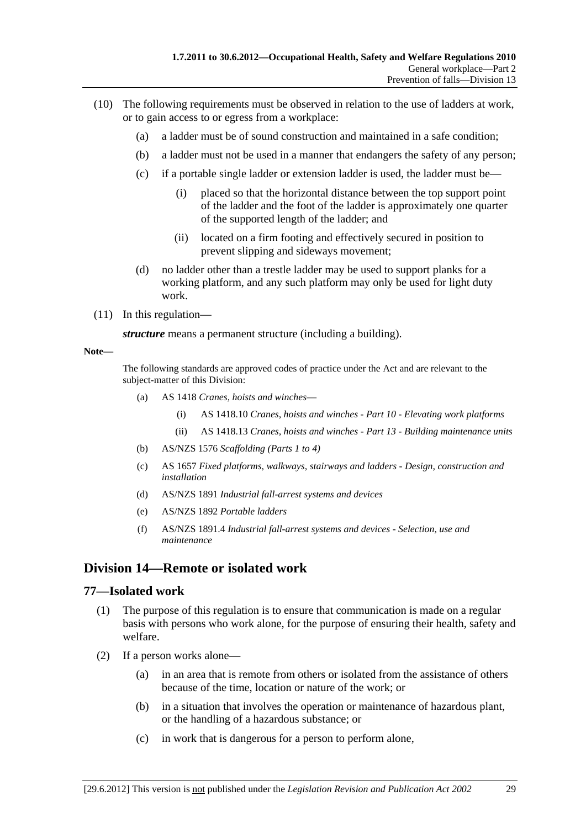- (10) The following requirements must be observed in relation to the use of ladders at work, or to gain access to or egress from a workplace:
	- (a) a ladder must be of sound construction and maintained in a safe condition;
	- (b) a ladder must not be used in a manner that endangers the safety of any person;
	- (c) if a portable single ladder or extension ladder is used, the ladder must be—
		- (i) placed so that the horizontal distance between the top support point of the ladder and the foot of the ladder is approximately one quarter of the supported length of the ladder; and
		- (ii) located on a firm footing and effectively secured in position to prevent slipping and sideways movement;
	- (d) no ladder other than a trestle ladder may be used to support planks for a working platform, and any such platform may only be used for light duty work.
- (11) In this regulation—

*structure* means a permanent structure (including a building).

#### **Note—**

The following standards are approved codes of practice under the Act and are relevant to the subject-matter of this Division:

- (a) AS 1418 *Cranes, hoists and winches*
	- (i) AS 1418.10 *Cranes, hoists and winches Part 10 Elevating work platforms*
	- (ii) AS 1418.13 *Cranes, hoists and winches Part 13 Building maintenance units*
- (b) AS/NZS 1576 *Scaffolding (Parts 1 to 4)*
- (c) AS 1657 *Fixed platforms, walkways, stairways and ladders Design, construction and installation*
- (d) AS/NZS 1891 *Industrial fall-arrest systems and devices*
- (e) AS/NZS 1892 *Portable ladders*
- (f) AS/NZS 1891.4 *Industrial fall-arrest systems and devices Selection, use and maintenance*

# **Division 14—Remote or isolated work**

#### **77—Isolated work**

- (1) The purpose of this regulation is to ensure that communication is made on a regular basis with persons who work alone, for the purpose of ensuring their health, safety and welfare.
- (2) If a person works alone—
	- (a) in an area that is remote from others or isolated from the assistance of others because of the time, location or nature of the work; or
	- (b) in a situation that involves the operation or maintenance of hazardous plant, or the handling of a hazardous substance; or
	- (c) in work that is dangerous for a person to perform alone,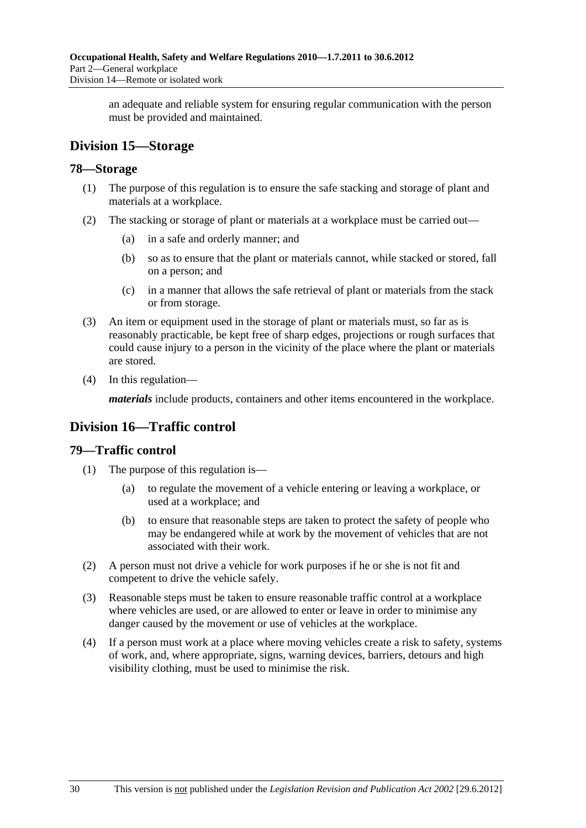an adequate and reliable system for ensuring regular communication with the person must be provided and maintained.

# **Division 15—Storage**

# **78—Storage**

- (1) The purpose of this regulation is to ensure the safe stacking and storage of plant and materials at a workplace.
- (2) The stacking or storage of plant or materials at a workplace must be carried out—
	- (a) in a safe and orderly manner; and
	- (b) so as to ensure that the plant or materials cannot, while stacked or stored, fall on a person; and
	- (c) in a manner that allows the safe retrieval of plant or materials from the stack or from storage.
- (3) An item or equipment used in the storage of plant or materials must, so far as is reasonably practicable, be kept free of sharp edges, projections or rough surfaces that could cause injury to a person in the vicinity of the place where the plant or materials are stored.
- (4) In this regulation—

*materials* include products, containers and other items encountered in the workplace.

# **Division 16—Traffic control**

# **79—Traffic control**

- (1) The purpose of this regulation is—
	- (a) to regulate the movement of a vehicle entering or leaving a workplace, or used at a workplace; and
	- (b) to ensure that reasonable steps are taken to protect the safety of people who may be endangered while at work by the movement of vehicles that are not associated with their work.
- (2) A person must not drive a vehicle for work purposes if he or she is not fit and competent to drive the vehicle safely.
- (3) Reasonable steps must be taken to ensure reasonable traffic control at a workplace where vehicles are used, or are allowed to enter or leave in order to minimise any danger caused by the movement or use of vehicles at the workplace.
- (4) If a person must work at a place where moving vehicles create a risk to safety, systems of work, and, where appropriate, signs, warning devices, barriers, detours and high visibility clothing, must be used to minimise the risk.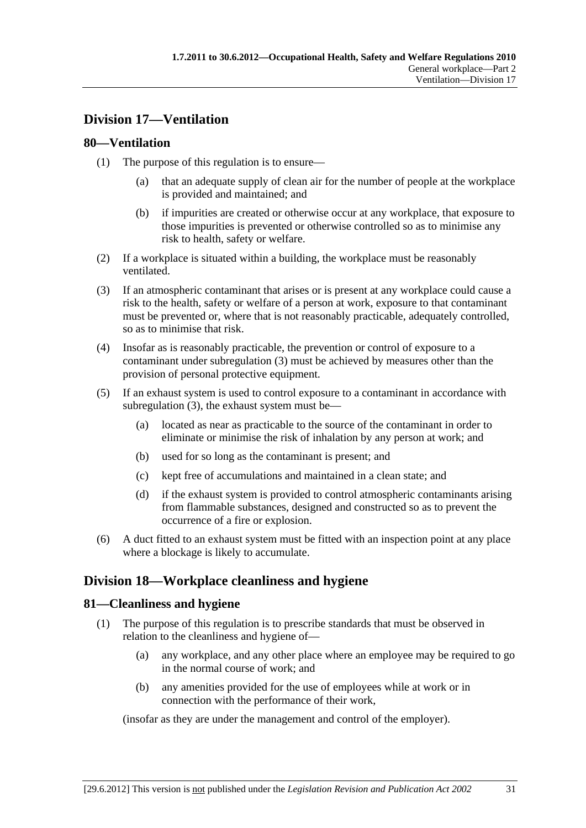# **Division 17—Ventilation**

# **80—Ventilation**

- (1) The purpose of this regulation is to ensure—
	- (a) that an adequate supply of clean air for the number of people at the workplace is provided and maintained; and
	- (b) if impurities are created or otherwise occur at any workplace, that exposure to those impurities is prevented or otherwise controlled so as to minimise any risk to health, safety or welfare.
- (2) If a workplace is situated within a building, the workplace must be reasonably ventilated.
- (3) If an atmospheric contaminant that arises or is present at any workplace could cause a risk to the health, safety or welfare of a person at work, exposure to that contaminant must be prevented or, where that is not reasonably practicable, adequately controlled, so as to minimise that risk.
- (4) Insofar as is reasonably practicable, the prevention or control of exposure to a contaminant under subregulation (3) must be achieved by measures other than the provision of personal protective equipment.
- (5) If an exhaust system is used to control exposure to a contaminant in accordance with subregulation (3), the exhaust system must be—
	- (a) located as near as practicable to the source of the contaminant in order to eliminate or minimise the risk of inhalation by any person at work; and
	- (b) used for so long as the contaminant is present; and
	- (c) kept free of accumulations and maintained in a clean state; and
	- (d) if the exhaust system is provided to control atmospheric contaminants arising from flammable substances, designed and constructed so as to prevent the occurrence of a fire or explosion.
- (6) A duct fitted to an exhaust system must be fitted with an inspection point at any place where a blockage is likely to accumulate.

# **Division 18—Workplace cleanliness and hygiene**

# **81—Cleanliness and hygiene**

- (1) The purpose of this regulation is to prescribe standards that must be observed in relation to the cleanliness and hygiene of—
	- (a) any workplace, and any other place where an employee may be required to go in the normal course of work; and
	- (b) any amenities provided for the use of employees while at work or in connection with the performance of their work,

(insofar as they are under the management and control of the employer).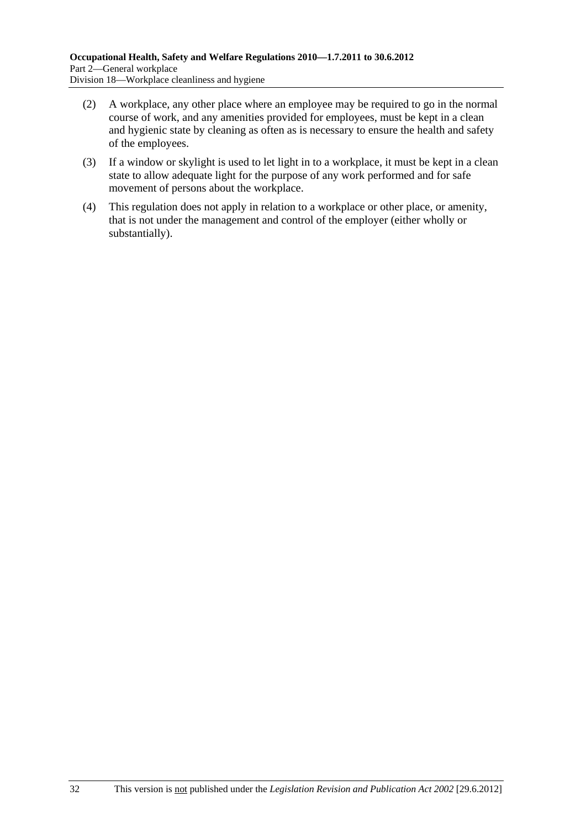- (2) A workplace, any other place where an employee may be required to go in the normal course of work, and any amenities provided for employees, must be kept in a clean and hygienic state by cleaning as often as is necessary to ensure the health and safety of the employees.
- (3) If a window or skylight is used to let light in to a workplace, it must be kept in a clean state to allow adequate light for the purpose of any work performed and for safe movement of persons about the workplace.
- (4) This regulation does not apply in relation to a workplace or other place, or amenity, that is not under the management and control of the employer (either wholly or substantially).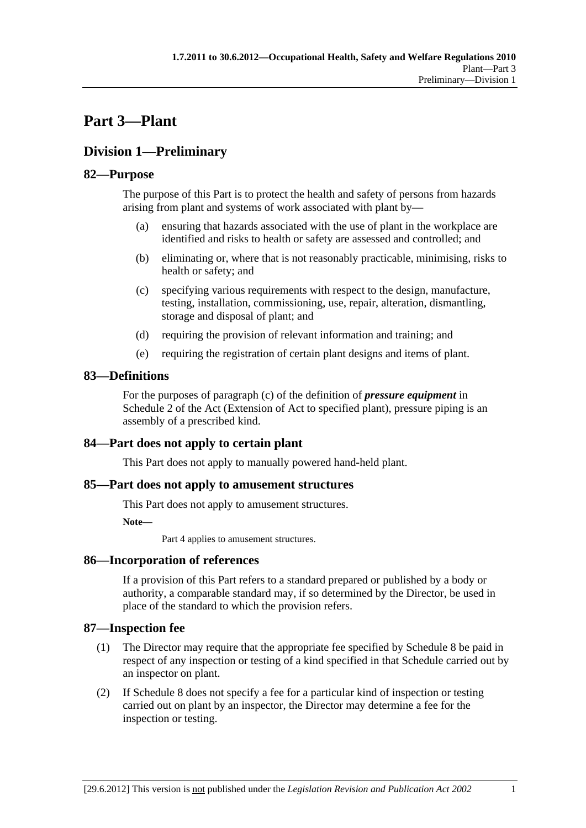# **Part 3—Plant**

## **Division 1—Preliminary**

### **82—Purpose**

The purpose of this Part is to protect the health and safety of persons from hazards arising from plant and systems of work associated with plant by—

- (a) ensuring that hazards associated with the use of plant in the workplace are identified and risks to health or safety are assessed and controlled; and
- (b) eliminating or, where that is not reasonably practicable, minimising, risks to health or safety; and
- (c) specifying various requirements with respect to the design, manufacture, testing, installation, commissioning, use, repair, alteration, dismantling, storage and disposal of plant; and
- (d) requiring the provision of relevant information and training; and
- (e) requiring the registration of certain plant designs and items of plant.

### **83—Definitions**

For the purposes of paragraph (c) of the definition of *pressure equipment* in Schedule 2 of the Act (Extension of Act to specified plant), pressure piping is an assembly of a prescribed kind.

### **84—Part does not apply to certain plant**

This Part does not apply to manually powered hand-held plant.

#### **85—Part does not apply to amusement structures**

This Part does not apply to amusement structures.

**Note—** 

Part 4 applies to amusement structures.

#### **86—Incorporation of references**

If a provision of this Part refers to a standard prepared or published by a body or authority, a comparable standard may, if so determined by the Director, be used in place of the standard to which the provision refers.

#### **87—Inspection fee**

- (1) The Director may require that the appropriate fee specified by Schedule 8 be paid in respect of any inspection or testing of a kind specified in that Schedule carried out by an inspector on plant.
- (2) If Schedule 8 does not specify a fee for a particular kind of inspection or testing carried out on plant by an inspector, the Director may determine a fee for the inspection or testing.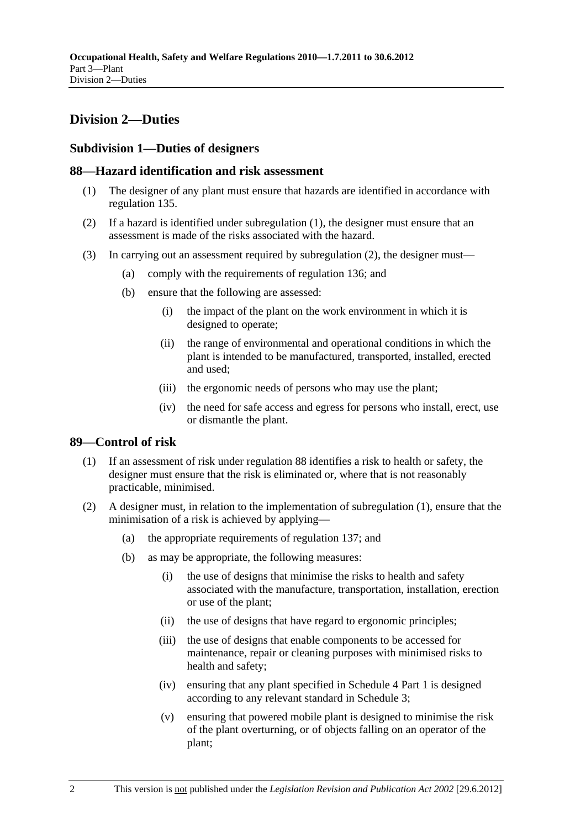## **Division 2—Duties**

### **Subdivision 1—Duties of designers**

#### **88—Hazard identification and risk assessment**

- (1) The designer of any plant must ensure that hazards are identified in accordance with regulation 135.
- (2) If a hazard is identified under subregulation (1), the designer must ensure that an assessment is made of the risks associated with the hazard.
- (3) In carrying out an assessment required by subregulation (2), the designer must—
	- (a) comply with the requirements of regulation 136; and
	- (b) ensure that the following are assessed:
		- (i) the impact of the plant on the work environment in which it is designed to operate;
		- (ii) the range of environmental and operational conditions in which the plant is intended to be manufactured, transported, installed, erected and used;
		- (iii) the ergonomic needs of persons who may use the plant;
		- (iv) the need for safe access and egress for persons who install, erect, use or dismantle the plant.

#### **89—Control of risk**

- (1) If an assessment of risk under regulation 88 identifies a risk to health or safety, the designer must ensure that the risk is eliminated or, where that is not reasonably practicable, minimised.
- (2) A designer must, in relation to the implementation of subregulation (1), ensure that the minimisation of a risk is achieved by applying—
	- (a) the appropriate requirements of regulation 137; and
	- (b) as may be appropriate, the following measures:
		- (i) the use of designs that minimise the risks to health and safety associated with the manufacture, transportation, installation, erection or use of the plant;
		- (ii) the use of designs that have regard to ergonomic principles;
		- (iii) the use of designs that enable components to be accessed for maintenance, repair or cleaning purposes with minimised risks to health and safety;
		- (iv) ensuring that any plant specified in Schedule 4 Part 1 is designed according to any relevant standard in Schedule 3;
		- (v) ensuring that powered mobile plant is designed to minimise the risk of the plant overturning, or of objects falling on an operator of the plant;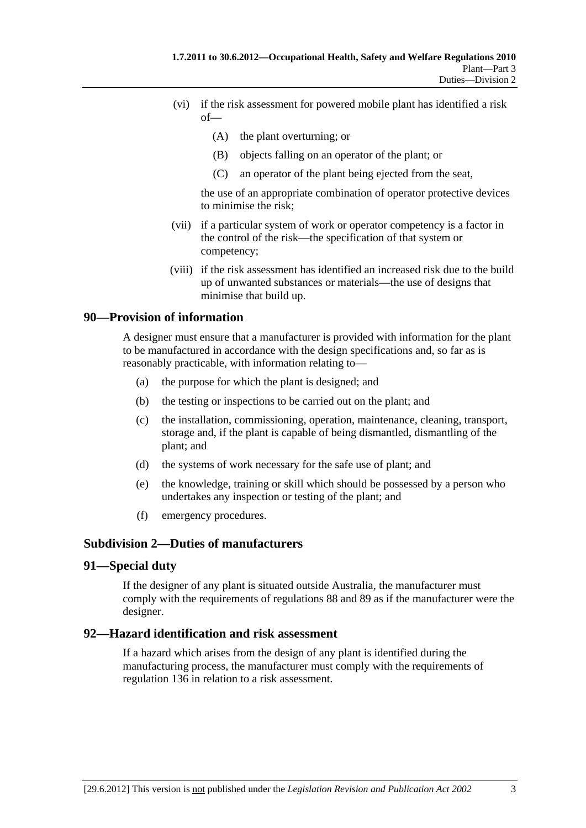- (vi) if the risk assessment for powered mobile plant has identified a risk  $of$ 
	- (A) the plant overturning; or
	- (B) objects falling on an operator of the plant; or
	- (C) an operator of the plant being ejected from the seat,

the use of an appropriate combination of operator protective devices to minimise the risk;

- (vii) if a particular system of work or operator competency is a factor in the control of the risk—the specification of that system or competency;
- (viii) if the risk assessment has identified an increased risk due to the build up of unwanted substances or materials—the use of designs that minimise that build up.

#### **90—Provision of information**

A designer must ensure that a manufacturer is provided with information for the plant to be manufactured in accordance with the design specifications and, so far as is reasonably practicable, with information relating to—

- (a) the purpose for which the plant is designed; and
- (b) the testing or inspections to be carried out on the plant; and
- (c) the installation, commissioning, operation, maintenance, cleaning, transport, storage and, if the plant is capable of being dismantled, dismantling of the plant; and
- (d) the systems of work necessary for the safe use of plant; and
- (e) the knowledge, training or skill which should be possessed by a person who undertakes any inspection or testing of the plant; and
- (f) emergency procedures.

#### **Subdivision 2—Duties of manufacturers**

#### **91—Special duty**

If the designer of any plant is situated outside Australia, the manufacturer must comply with the requirements of regulations 88 and 89 as if the manufacturer were the designer.

#### **92—Hazard identification and risk assessment**

If a hazard which arises from the design of any plant is identified during the manufacturing process, the manufacturer must comply with the requirements of regulation 136 in relation to a risk assessment.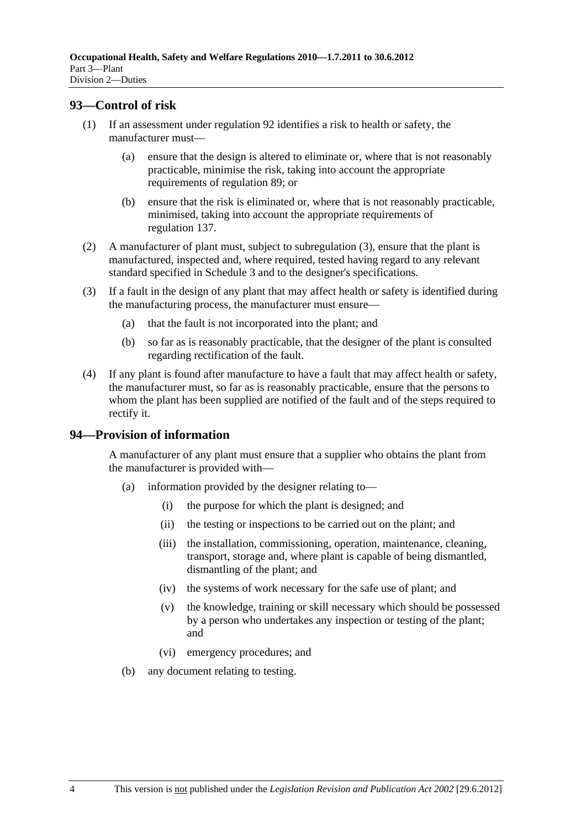#### **93—Control of risk**

- (1) If an assessment under regulation 92 identifies a risk to health or safety, the manufacturer must—
	- (a) ensure that the design is altered to eliminate or, where that is not reasonably practicable, minimise the risk, taking into account the appropriate requirements of regulation 89; or
	- (b) ensure that the risk is eliminated or, where that is not reasonably practicable, minimised, taking into account the appropriate requirements of regulation 137.
- (2) A manufacturer of plant must, subject to subregulation (3), ensure that the plant is manufactured, inspected and, where required, tested having regard to any relevant standard specified in Schedule 3 and to the designer's specifications.
- (3) If a fault in the design of any plant that may affect health or safety is identified during the manufacturing process, the manufacturer must ensure—
	- (a) that the fault is not incorporated into the plant; and
	- (b) so far as is reasonably practicable, that the designer of the plant is consulted regarding rectification of the fault.
- (4) If any plant is found after manufacture to have a fault that may affect health or safety, the manufacturer must, so far as is reasonably practicable, ensure that the persons to whom the plant has been supplied are notified of the fault and of the steps required to rectify it.

#### **94—Provision of information**

A manufacturer of any plant must ensure that a supplier who obtains the plant from the manufacturer is provided with—

- (a) information provided by the designer relating to—
	- (i) the purpose for which the plant is designed; and
	- (ii) the testing or inspections to be carried out on the plant; and
	- (iii) the installation, commissioning, operation, maintenance, cleaning, transport, storage and, where plant is capable of being dismantled, dismantling of the plant; and
	- (iv) the systems of work necessary for the safe use of plant; and
	- (v) the knowledge, training or skill necessary which should be possessed by a person who undertakes any inspection or testing of the plant; and
	- (vi) emergency procedures; and
- (b) any document relating to testing.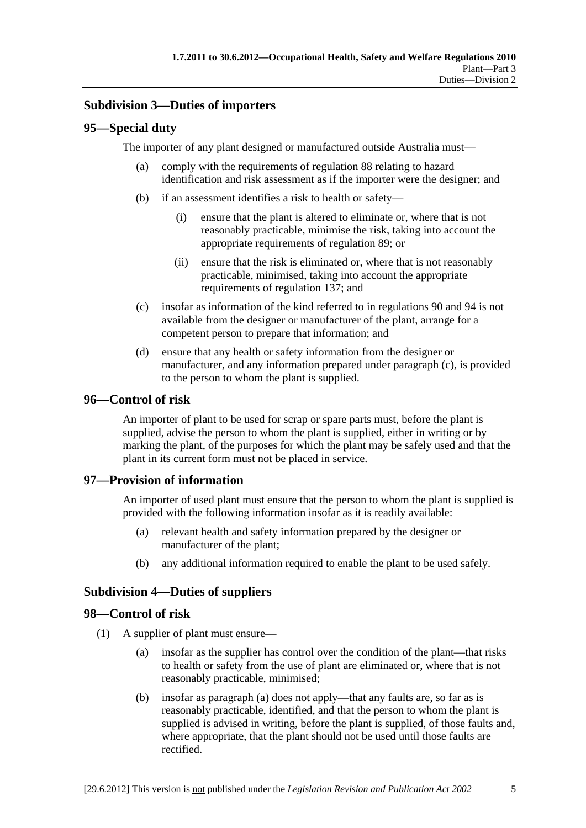### **Subdivision 3—Duties of importers**

#### **95—Special duty**

The importer of any plant designed or manufactured outside Australia must—

- (a) comply with the requirements of regulation 88 relating to hazard identification and risk assessment as if the importer were the designer; and
- (b) if an assessment identifies a risk to health or safety—
	- (i) ensure that the plant is altered to eliminate or, where that is not reasonably practicable, minimise the risk, taking into account the appropriate requirements of regulation 89; or
	- (ii) ensure that the risk is eliminated or, where that is not reasonably practicable, minimised, taking into account the appropriate requirements of regulation 137; and
- (c) insofar as information of the kind referred to in regulations 90 and 94 is not available from the designer or manufacturer of the plant, arrange for a competent person to prepare that information; and
- (d) ensure that any health or safety information from the designer or manufacturer, and any information prepared under paragraph (c), is provided to the person to whom the plant is supplied.

### **96—Control of risk**

An importer of plant to be used for scrap or spare parts must, before the plant is supplied, advise the person to whom the plant is supplied, either in writing or by marking the plant, of the purposes for which the plant may be safely used and that the plant in its current form must not be placed in service.

### **97—Provision of information**

An importer of used plant must ensure that the person to whom the plant is supplied is provided with the following information insofar as it is readily available:

- (a) relevant health and safety information prepared by the designer or manufacturer of the plant;
- (b) any additional information required to enable the plant to be used safely.

### **Subdivision 4—Duties of suppliers**

#### **98—Control of risk**

- (1) A supplier of plant must ensure—
	- (a) insofar as the supplier has control over the condition of the plant—that risks to health or safety from the use of plant are eliminated or, where that is not reasonably practicable, minimised;
	- (b) insofar as paragraph (a) does not apply—that any faults are, so far as is reasonably practicable, identified, and that the person to whom the plant is supplied is advised in writing, before the plant is supplied, of those faults and, where appropriate, that the plant should not be used until those faults are rectified.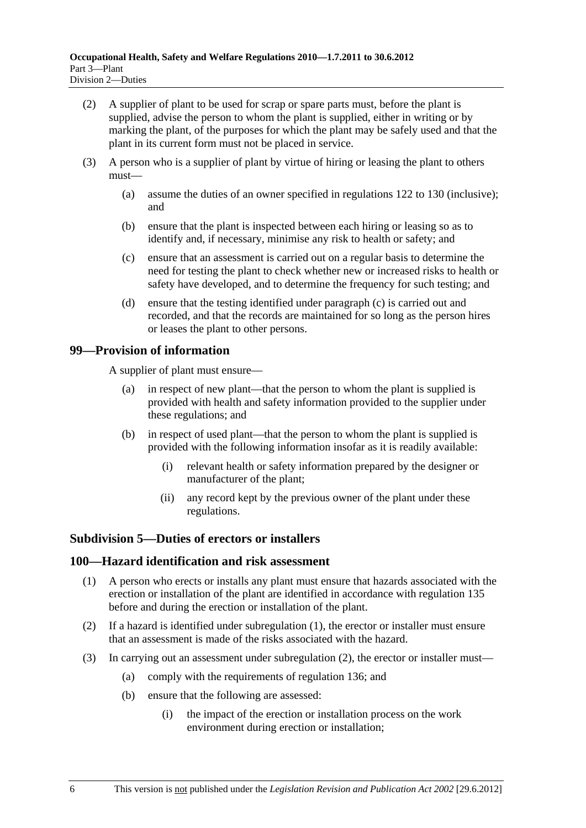- (2) A supplier of plant to be used for scrap or spare parts must, before the plant is supplied, advise the person to whom the plant is supplied, either in writing or by marking the plant, of the purposes for which the plant may be safely used and that the plant in its current form must not be placed in service.
- (3) A person who is a supplier of plant by virtue of hiring or leasing the plant to others must—
	- (a) assume the duties of an owner specified in regulations 122 to 130 (inclusive); and
	- (b) ensure that the plant is inspected between each hiring or leasing so as to identify and, if necessary, minimise any risk to health or safety; and
	- (c) ensure that an assessment is carried out on a regular basis to determine the need for testing the plant to check whether new or increased risks to health or safety have developed, and to determine the frequency for such testing; and
	- (d) ensure that the testing identified under paragraph (c) is carried out and recorded, and that the records are maintained for so long as the person hires or leases the plant to other persons.

### **99—Provision of information**

A supplier of plant must ensure—

- (a) in respect of new plant—that the person to whom the plant is supplied is provided with health and safety information provided to the supplier under these regulations; and
- (b) in respect of used plant—that the person to whom the plant is supplied is provided with the following information insofar as it is readily available:
	- (i) relevant health or safety information prepared by the designer or manufacturer of the plant;
	- (ii) any record kept by the previous owner of the plant under these regulations.

#### **Subdivision 5—Duties of erectors or installers**

#### **100—Hazard identification and risk assessment**

- (1) A person who erects or installs any plant must ensure that hazards associated with the erection or installation of the plant are identified in accordance with regulation 135 before and during the erection or installation of the plant.
- (2) If a hazard is identified under subregulation (1), the erector or installer must ensure that an assessment is made of the risks associated with the hazard.
- (3) In carrying out an assessment under subregulation (2), the erector or installer must—
	- (a) comply with the requirements of regulation 136; and
	- (b) ensure that the following are assessed:
		- (i) the impact of the erection or installation process on the work environment during erection or installation;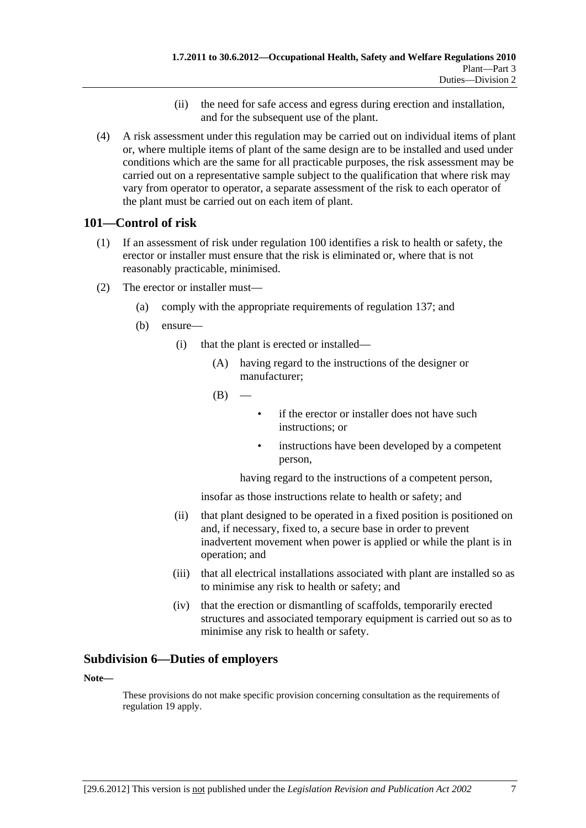- (ii) the need for safe access and egress during erection and installation, and for the subsequent use of the plant.
- (4) A risk assessment under this regulation may be carried out on individual items of plant or, where multiple items of plant of the same design are to be installed and used under conditions which are the same for all practicable purposes, the risk assessment may be carried out on a representative sample subject to the qualification that where risk may vary from operator to operator, a separate assessment of the risk to each operator of the plant must be carried out on each item of plant.

### **101—Control of risk**

- (1) If an assessment of risk under regulation 100 identifies a risk to health or safety, the erector or installer must ensure that the risk is eliminated or, where that is not reasonably practicable, minimised.
- (2) The erector or installer must—
	- (a) comply with the appropriate requirements of regulation 137; and
	- (b) ensure—
		- (i) that the plant is erected or installed—
			- (A) having regard to the instructions of the designer or manufacturer;
			- $(B)$
- if the erector or installer does not have such instructions; or
- instructions have been developed by a competent person,

having regard to the instructions of a competent person,

insofar as those instructions relate to health or safety; and

- (ii) that plant designed to be operated in a fixed position is positioned on and, if necessary, fixed to, a secure base in order to prevent inadvertent movement when power is applied or while the plant is in operation; and
- (iii) that all electrical installations associated with plant are installed so as to minimise any risk to health or safety; and
- (iv) that the erection or dismantling of scaffolds, temporarily erected structures and associated temporary equipment is carried out so as to minimise any risk to health or safety.

### **Subdivision 6—Duties of employers**

**Note—** 

These provisions do not make specific provision concerning consultation as the requirements of regulation 19 apply.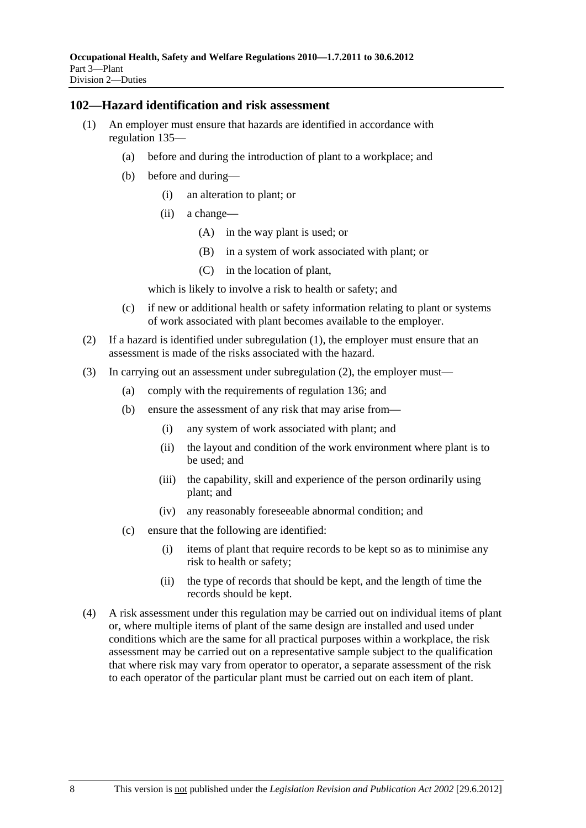#### **102—Hazard identification and risk assessment**

- (1) An employer must ensure that hazards are identified in accordance with regulation 135—
	- (a) before and during the introduction of plant to a workplace; and
	- (b) before and during—
		- (i) an alteration to plant; or
		- (ii) a change—
			- (A) in the way plant is used; or
			- (B) in a system of work associated with plant; or
			- (C) in the location of plant,

which is likely to involve a risk to health or safety; and

- (c) if new or additional health or safety information relating to plant or systems of work associated with plant becomes available to the employer.
- (2) If a hazard is identified under subregulation (1), the employer must ensure that an assessment is made of the risks associated with the hazard.
- (3) In carrying out an assessment under subregulation (2), the employer must—
	- (a) comply with the requirements of regulation 136; and
	- (b) ensure the assessment of any risk that may arise from—
		- (i) any system of work associated with plant; and
		- (ii) the layout and condition of the work environment where plant is to be used; and
		- (iii) the capability, skill and experience of the person ordinarily using plant; and
		- (iv) any reasonably foreseeable abnormal condition; and
	- (c) ensure that the following are identified:
		- (i) items of plant that require records to be kept so as to minimise any risk to health or safety;
		- (ii) the type of records that should be kept, and the length of time the records should be kept.
- (4) A risk assessment under this regulation may be carried out on individual items of plant or, where multiple items of plant of the same design are installed and used under conditions which are the same for all practical purposes within a workplace, the risk assessment may be carried out on a representative sample subject to the qualification that where risk may vary from operator to operator, a separate assessment of the risk to each operator of the particular plant must be carried out on each item of plant.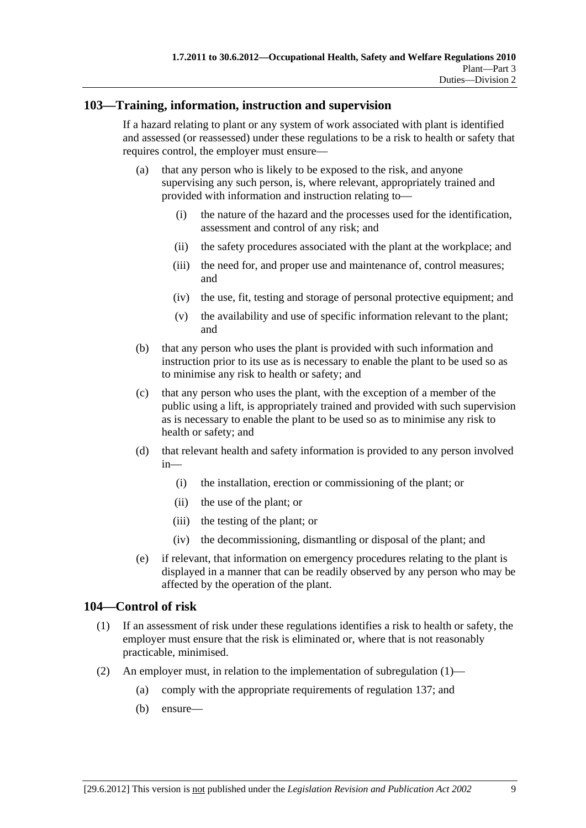#### **103—Training, information, instruction and supervision**

If a hazard relating to plant or any system of work associated with plant is identified and assessed (or reassessed) under these regulations to be a risk to health or safety that requires control, the employer must ensure—

- (a) that any person who is likely to be exposed to the risk, and anyone supervising any such person, is, where relevant, appropriately trained and provided with information and instruction relating to—
	- (i) the nature of the hazard and the processes used for the identification, assessment and control of any risk; and
	- (ii) the safety procedures associated with the plant at the workplace; and
	- (iii) the need for, and proper use and maintenance of, control measures; and
	- (iv) the use, fit, testing and storage of personal protective equipment; and
	- (v) the availability and use of specific information relevant to the plant; and
- (b) that any person who uses the plant is provided with such information and instruction prior to its use as is necessary to enable the plant to be used so as to minimise any risk to health or safety; and
- (c) that any person who uses the plant, with the exception of a member of the public using a lift, is appropriately trained and provided with such supervision as is necessary to enable the plant to be used so as to minimise any risk to health or safety; and
- (d) that relevant health and safety information is provided to any person involved in—
	- (i) the installation, erection or commissioning of the plant; or
	- (ii) the use of the plant; or
	- (iii) the testing of the plant; or
	- (iv) the decommissioning, dismantling or disposal of the plant; and
- (e) if relevant, that information on emergency procedures relating to the plant is displayed in a manner that can be readily observed by any person who may be affected by the operation of the plant.

#### **104—Control of risk**

- (1) If an assessment of risk under these regulations identifies a risk to health or safety, the employer must ensure that the risk is eliminated or, where that is not reasonably practicable, minimised.
- (2) An employer must, in relation to the implementation of subregulation  $(1)$ 
	- (a) comply with the appropriate requirements of regulation 137; and
	- (b) ensure—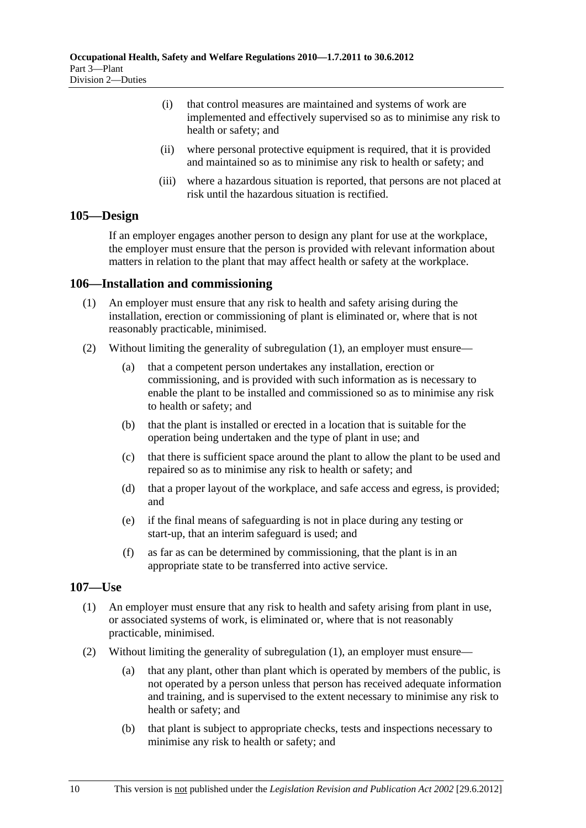- (i) that control measures are maintained and systems of work are implemented and effectively supervised so as to minimise any risk to health or safety; and
- (ii) where personal protective equipment is required, that it is provided and maintained so as to minimise any risk to health or safety; and
- (iii) where a hazardous situation is reported, that persons are not placed at risk until the hazardous situation is rectified.

#### **105—Design**

If an employer engages another person to design any plant for use at the workplace, the employer must ensure that the person is provided with relevant information about matters in relation to the plant that may affect health or safety at the workplace.

#### **106—Installation and commissioning**

- (1) An employer must ensure that any risk to health and safety arising during the installation, erection or commissioning of plant is eliminated or, where that is not reasonably practicable, minimised.
- (2) Without limiting the generality of subregulation (1), an employer must ensure—
	- (a) that a competent person undertakes any installation, erection or commissioning, and is provided with such information as is necessary to enable the plant to be installed and commissioned so as to minimise any risk to health or safety; and
	- (b) that the plant is installed or erected in a location that is suitable for the operation being undertaken and the type of plant in use; and
	- (c) that there is sufficient space around the plant to allow the plant to be used and repaired so as to minimise any risk to health or safety; and
	- (d) that a proper layout of the workplace, and safe access and egress, is provided; and
	- (e) if the final means of safeguarding is not in place during any testing or start-up, that an interim safeguard is used; and
	- (f) as far as can be determined by commissioning, that the plant is in an appropriate state to be transferred into active service.

#### **107—Use**

- (1) An employer must ensure that any risk to health and safety arising from plant in use, or associated systems of work, is eliminated or, where that is not reasonably practicable, minimised.
- (2) Without limiting the generality of subregulation (1), an employer must ensure—
	- (a) that any plant, other than plant which is operated by members of the public, is not operated by a person unless that person has received adequate information and training, and is supervised to the extent necessary to minimise any risk to health or safety; and
	- (b) that plant is subject to appropriate checks, tests and inspections necessary to minimise any risk to health or safety; and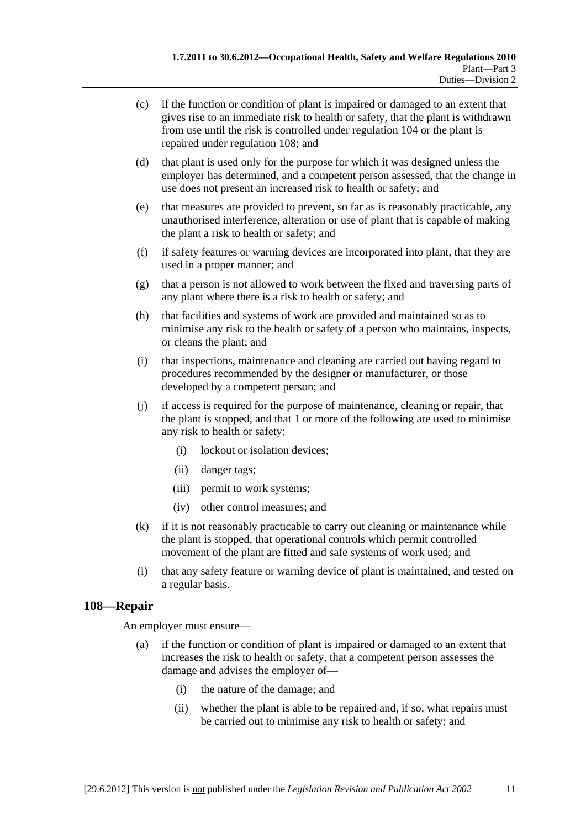- (c) if the function or condition of plant is impaired or damaged to an extent that gives rise to an immediate risk to health or safety, that the plant is withdrawn from use until the risk is controlled under regulation 104 or the plant is repaired under regulation 108; and
- (d) that plant is used only for the purpose for which it was designed unless the employer has determined, and a competent person assessed, that the change in use does not present an increased risk to health or safety; and
- (e) that measures are provided to prevent, so far as is reasonably practicable, any unauthorised interference, alteration or use of plant that is capable of making the plant a risk to health or safety; and
- (f) if safety features or warning devices are incorporated into plant, that they are used in a proper manner; and
- (g) that a person is not allowed to work between the fixed and traversing parts of any plant where there is a risk to health or safety; and
- (h) that facilities and systems of work are provided and maintained so as to minimise any risk to the health or safety of a person who maintains, inspects, or cleans the plant; and
- (i) that inspections, maintenance and cleaning are carried out having regard to procedures recommended by the designer or manufacturer, or those developed by a competent person; and
- (j) if access is required for the purpose of maintenance, cleaning or repair, that the plant is stopped, and that 1 or more of the following are used to minimise any risk to health or safety:
	- (i) lockout or isolation devices;
	- (ii) danger tags;
	- (iii) permit to work systems;
	- (iv) other control measures; and
- (k) if it is not reasonably practicable to carry out cleaning or maintenance while the plant is stopped, that operational controls which permit controlled movement of the plant are fitted and safe systems of work used; and
- (l) that any safety feature or warning device of plant is maintained, and tested on a regular basis.

#### **108—Repair**

An employer must ensure—

- (a) if the function or condition of plant is impaired or damaged to an extent that increases the risk to health or safety, that a competent person assesses the damage and advises the employer of—
	- (i) the nature of the damage; and
	- (ii) whether the plant is able to be repaired and, if so, what repairs must be carried out to minimise any risk to health or safety; and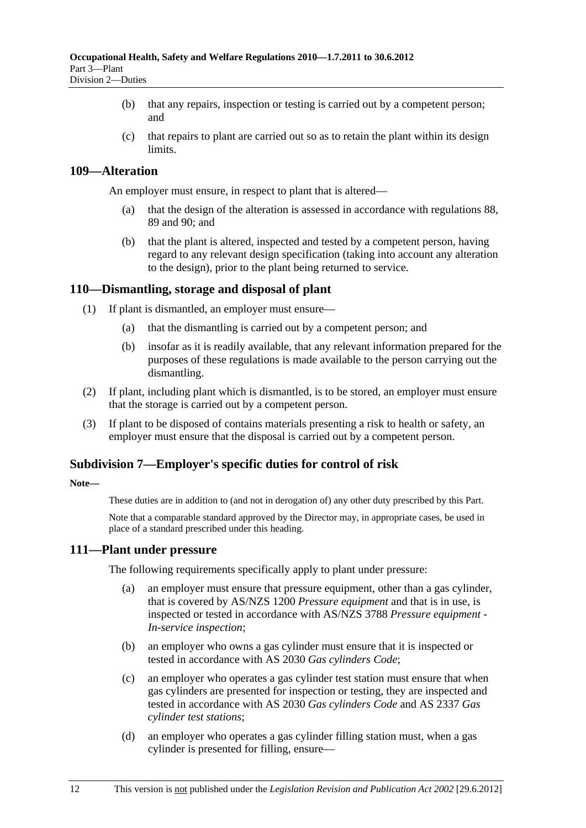- (b) that any repairs, inspection or testing is carried out by a competent person; and
- (c) that repairs to plant are carried out so as to retain the plant within its design **limits**

#### **109—Alteration**

An employer must ensure, in respect to plant that is altered—

- (a) that the design of the alteration is assessed in accordance with regulations 88, 89 and 90; and
- (b) that the plant is altered, inspected and tested by a competent person, having regard to any relevant design specification (taking into account any alteration to the design), prior to the plant being returned to service.

### **110—Dismantling, storage and disposal of plant**

- (1) If plant is dismantled, an employer must ensure—
	- (a) that the dismantling is carried out by a competent person; and
	- (b) insofar as it is readily available, that any relevant information prepared for the purposes of these regulations is made available to the person carrying out the dismantling.
- (2) If plant, including plant which is dismantled, is to be stored, an employer must ensure that the storage is carried out by a competent person.
- (3) If plant to be disposed of contains materials presenting a risk to health or safety, an employer must ensure that the disposal is carried out by a competent person.

#### **Subdivision 7—Employer's specific duties for control of risk**

#### **Note—**

These duties are in addition to (and not in derogation of) any other duty prescribed by this Part.

Note that a comparable standard approved by the Director may, in appropriate cases, be used in place of a standard prescribed under this heading.

#### **111—Plant under pressure**

The following requirements specifically apply to plant under pressure:

- (a) an employer must ensure that pressure equipment, other than a gas cylinder, that is covered by AS/NZS 1200 *Pressure equipment* and that is in use, is inspected or tested in accordance with AS/NZS 3788 *Pressure equipment - In-service inspection*;
- (b) an employer who owns a gas cylinder must ensure that it is inspected or tested in accordance with AS 2030 *Gas cylinders Code*;
- (c) an employer who operates a gas cylinder test station must ensure that when gas cylinders are presented for inspection or testing, they are inspected and tested in accordance with AS 2030 *Gas cylinders Code* and AS 2337 *Gas cylinder test stations*;
- (d) an employer who operates a gas cylinder filling station must, when a gas cylinder is presented for filling, ensure—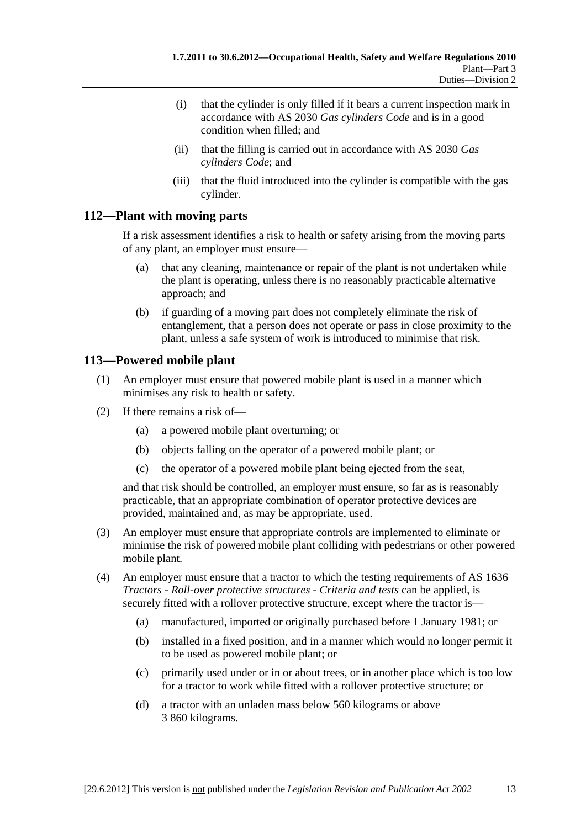- (i) that the cylinder is only filled if it bears a current inspection mark in accordance with AS 2030 *Gas cylinders Code* and is in a good condition when filled; and
- (ii) that the filling is carried out in accordance with AS 2030 *Gas cylinders Code*; and
- (iii) that the fluid introduced into the cylinder is compatible with the gas cylinder.

### **112—Plant with moving parts**

If a risk assessment identifies a risk to health or safety arising from the moving parts of any plant, an employer must ensure—

- (a) that any cleaning, maintenance or repair of the plant is not undertaken while the plant is operating, unless there is no reasonably practicable alternative approach; and
- (b) if guarding of a moving part does not completely eliminate the risk of entanglement, that a person does not operate or pass in close proximity to the plant, unless a safe system of work is introduced to minimise that risk.

### **113—Powered mobile plant**

- (1) An employer must ensure that powered mobile plant is used in a manner which minimises any risk to health or safety.
- (2) If there remains a risk of—
	- (a) a powered mobile plant overturning; or
	- (b) objects falling on the operator of a powered mobile plant; or
	- (c) the operator of a powered mobile plant being ejected from the seat,

and that risk should be controlled, an employer must ensure, so far as is reasonably practicable, that an appropriate combination of operator protective devices are provided, maintained and, as may be appropriate, used.

- (3) An employer must ensure that appropriate controls are implemented to eliminate or minimise the risk of powered mobile plant colliding with pedestrians or other powered mobile plant.
- (4) An employer must ensure that a tractor to which the testing requirements of AS 1636 *Tractors - Roll-over protective structures - Criteria and tests* can be applied, is securely fitted with a rollover protective structure, except where the tractor is—
	- (a) manufactured, imported or originally purchased before 1 January 1981; or
	- (b) installed in a fixed position, and in a manner which would no longer permit it to be used as powered mobile plant; or
	- (c) primarily used under or in or about trees, or in another place which is too low for a tractor to work while fitted with a rollover protective structure; or
	- (d) a tractor with an unladen mass below 560 kilograms or above 3 860 kilograms.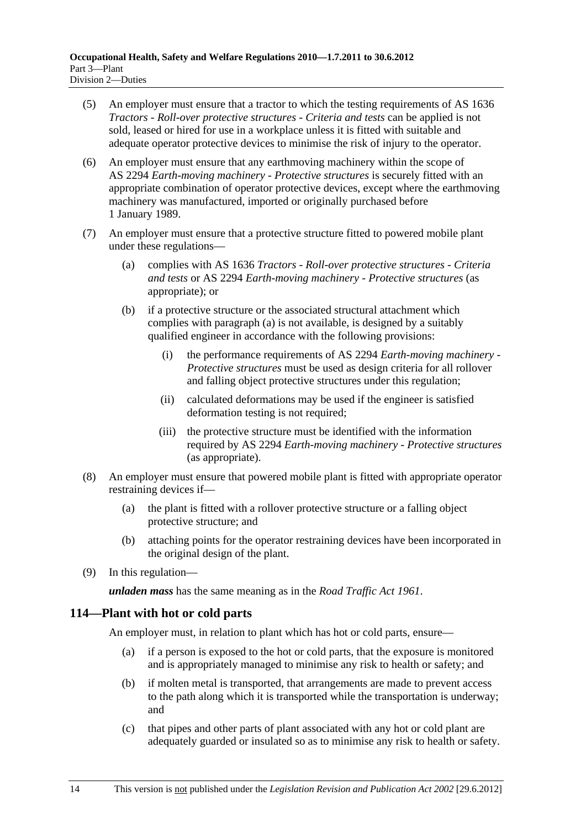- (5) An employer must ensure that a tractor to which the testing requirements of AS 1636 *Tractors - Roll-over protective structures - Criteria and tests* can be applied is not sold, leased or hired for use in a workplace unless it is fitted with suitable and adequate operator protective devices to minimise the risk of injury to the operator.
- (6) An employer must ensure that any earthmoving machinery within the scope of AS 2294 *Earth-moving machinery - Protective structures* is securely fitted with an appropriate combination of operator protective devices, except where the earthmoving machinery was manufactured, imported or originally purchased before 1 January 1989.
- (7) An employer must ensure that a protective structure fitted to powered mobile plant under these regulations—
	- (a) complies with AS 1636 *Tractors Roll-over protective structures Criteria and tests* or AS 2294 *Earth-moving machinery - Protective structures* (as appropriate); or
	- (b) if a protective structure or the associated structural attachment which complies with paragraph (a) is not available, is designed by a suitably qualified engineer in accordance with the following provisions:
		- (i) the performance requirements of AS 2294 *Earth-moving machinery Protective structures* must be used as design criteria for all rollover and falling object protective structures under this regulation;
		- (ii) calculated deformations may be used if the engineer is satisfied deformation testing is not required;
		- (iii) the protective structure must be identified with the information required by AS 2294 *Earth-moving machinery - Protective structures* (as appropriate).
- (8) An employer must ensure that powered mobile plant is fitted with appropriate operator restraining devices if—
	- (a) the plant is fitted with a rollover protective structure or a falling object protective structure; and
	- (b) attaching points for the operator restraining devices have been incorporated in the original design of the plant.
- (9) In this regulation—

*unladen mass* has the same meaning as in the *Road Traffic Act 1961*.

### **114—Plant with hot or cold parts**

An employer must, in relation to plant which has hot or cold parts, ensure—

- (a) if a person is exposed to the hot or cold parts, that the exposure is monitored and is appropriately managed to minimise any risk to health or safety; and
- (b) if molten metal is transported, that arrangements are made to prevent access to the path along which it is transported while the transportation is underway; and
- (c) that pipes and other parts of plant associated with any hot or cold plant are adequately guarded or insulated so as to minimise any risk to health or safety.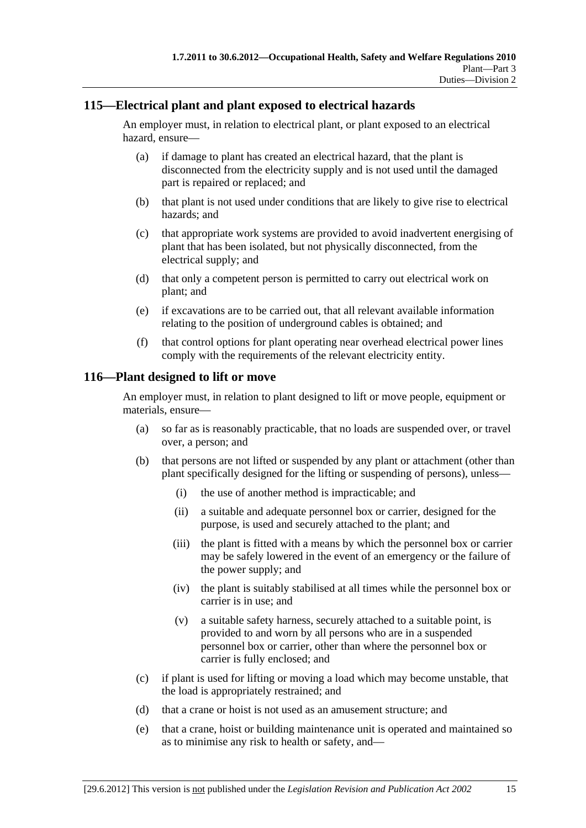### **115—Electrical plant and plant exposed to electrical hazards**

An employer must, in relation to electrical plant, or plant exposed to an electrical hazard, ensure—

- (a) if damage to plant has created an electrical hazard, that the plant is disconnected from the electricity supply and is not used until the damaged part is repaired or replaced; and
- (b) that plant is not used under conditions that are likely to give rise to electrical hazards; and
- (c) that appropriate work systems are provided to avoid inadvertent energising of plant that has been isolated, but not physically disconnected, from the electrical supply; and
- (d) that only a competent person is permitted to carry out electrical work on plant; and
- (e) if excavations are to be carried out, that all relevant available information relating to the position of underground cables is obtained; and
- (f) that control options for plant operating near overhead electrical power lines comply with the requirements of the relevant electricity entity.

#### **116—Plant designed to lift or move**

An employer must, in relation to plant designed to lift or move people, equipment or materials, ensure—

- (a) so far as is reasonably practicable, that no loads are suspended over, or travel over, a person; and
- (b) that persons are not lifted or suspended by any plant or attachment (other than plant specifically designed for the lifting or suspending of persons), unless—
	- (i) the use of another method is impracticable; and
	- (ii) a suitable and adequate personnel box or carrier, designed for the purpose, is used and securely attached to the plant; and
	- (iii) the plant is fitted with a means by which the personnel box or carrier may be safely lowered in the event of an emergency or the failure of the power supply; and
	- (iv) the plant is suitably stabilised at all times while the personnel box or carrier is in use; and
	- (v) a suitable safety harness, securely attached to a suitable point, is provided to and worn by all persons who are in a suspended personnel box or carrier, other than where the personnel box or carrier is fully enclosed; and
- (c) if plant is used for lifting or moving a load which may become unstable, that the load is appropriately restrained; and
- (d) that a crane or hoist is not used as an amusement structure; and
- (e) that a crane, hoist or building maintenance unit is operated and maintained so as to minimise any risk to health or safety, and—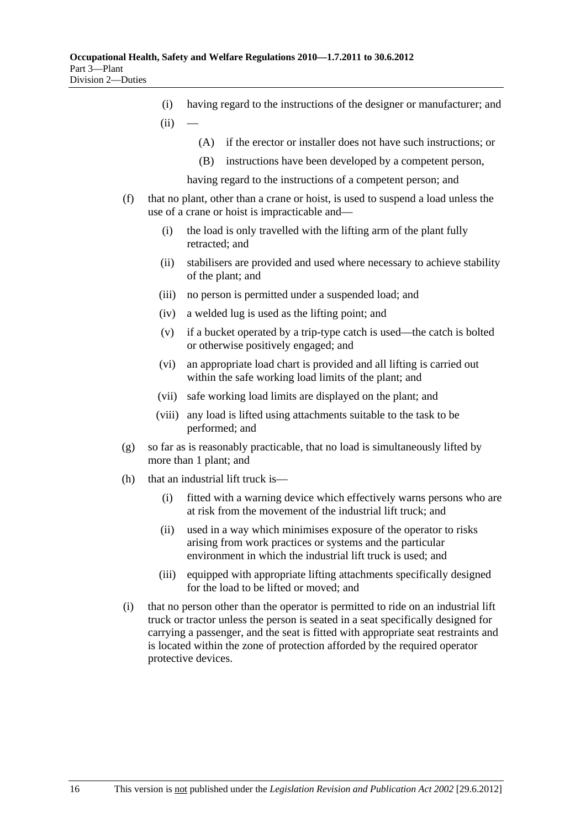- (i) having regard to the instructions of the designer or manufacturer; and  $(ii)$ 
	- (A) if the erector or installer does not have such instructions; or
	- (B) instructions have been developed by a competent person,

having regard to the instructions of a competent person; and

- (f) that no plant, other than a crane or hoist, is used to suspend a load unless the use of a crane or hoist is impracticable and—
	- (i) the load is only travelled with the lifting arm of the plant fully retracted; and
	- (ii) stabilisers are provided and used where necessary to achieve stability of the plant; and
	- (iii) no person is permitted under a suspended load; and
	- (iv) a welded lug is used as the lifting point; and
	- (v) if a bucket operated by a trip-type catch is used—the catch is bolted or otherwise positively engaged; and
	- (vi) an appropriate load chart is provided and all lifting is carried out within the safe working load limits of the plant; and
	- (vii) safe working load limits are displayed on the plant; and
	- (viii) any load is lifted using attachments suitable to the task to be performed; and
- (g) so far as is reasonably practicable, that no load is simultaneously lifted by more than 1 plant; and
- (h) that an industrial lift truck is—
	- (i) fitted with a warning device which effectively warns persons who are at risk from the movement of the industrial lift truck; and
	- (ii) used in a way which minimises exposure of the operator to risks arising from work practices or systems and the particular environment in which the industrial lift truck is used; and
	- (iii) equipped with appropriate lifting attachments specifically designed for the load to be lifted or moved; and
- (i) that no person other than the operator is permitted to ride on an industrial lift truck or tractor unless the person is seated in a seat specifically designed for carrying a passenger, and the seat is fitted with appropriate seat restraints and is located within the zone of protection afforded by the required operator protective devices.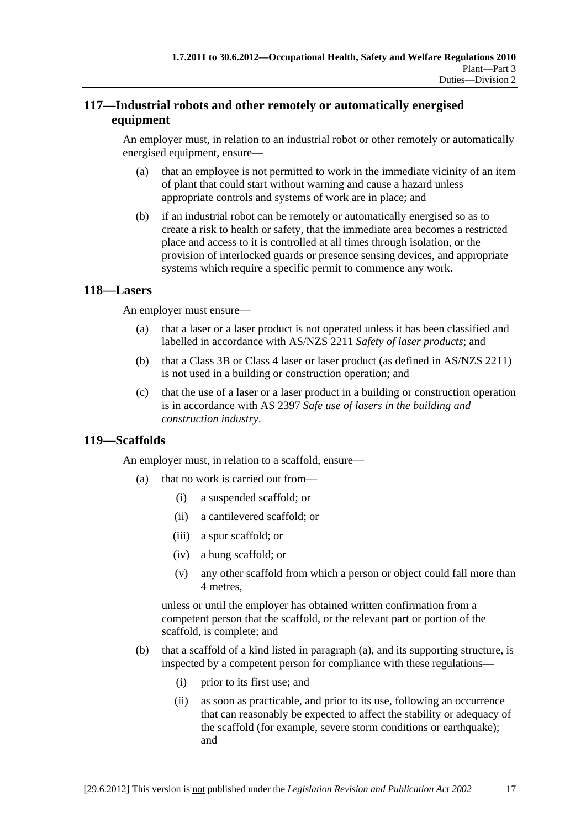## **117—Industrial robots and other remotely or automatically energised equipment**

An employer must, in relation to an industrial robot or other remotely or automatically energised equipment, ensure—

- (a) that an employee is not permitted to work in the immediate vicinity of an item of plant that could start without warning and cause a hazard unless appropriate controls and systems of work are in place; and
- (b) if an industrial robot can be remotely or automatically energised so as to create a risk to health or safety, that the immediate area becomes a restricted place and access to it is controlled at all times through isolation, or the provision of interlocked guards or presence sensing devices, and appropriate systems which require a specific permit to commence any work.

### **118—Lasers**

An employer must ensure—

- (a) that a laser or a laser product is not operated unless it has been classified and labelled in accordance with AS/NZS 2211 *Safety of laser products*; and
- (b) that a Class 3B or Class 4 laser or laser product (as defined in AS/NZS 2211) is not used in a building or construction operation; and
- (c) that the use of a laser or a laser product in a building or construction operation is in accordance with AS 2397 *Safe use of lasers in the building and construction industry*.

#### **119—Scaffolds**

An employer must, in relation to a scaffold, ensure—

- (a) that no work is carried out from—
	- (i) a suspended scaffold; or
	- (ii) a cantilevered scaffold; or
	- (iii) a spur scaffold; or
	- (iv) a hung scaffold; or
	- (v) any other scaffold from which a person or object could fall more than 4 metres,

unless or until the employer has obtained written confirmation from a competent person that the scaffold, or the relevant part or portion of the scaffold, is complete; and

- (b) that a scaffold of a kind listed in paragraph (a), and its supporting structure, is inspected by a competent person for compliance with these regulations—
	- (i) prior to its first use; and
	- (ii) as soon as practicable, and prior to its use, following an occurrence that can reasonably be expected to affect the stability or adequacy of the scaffold (for example, severe storm conditions or earthquake); and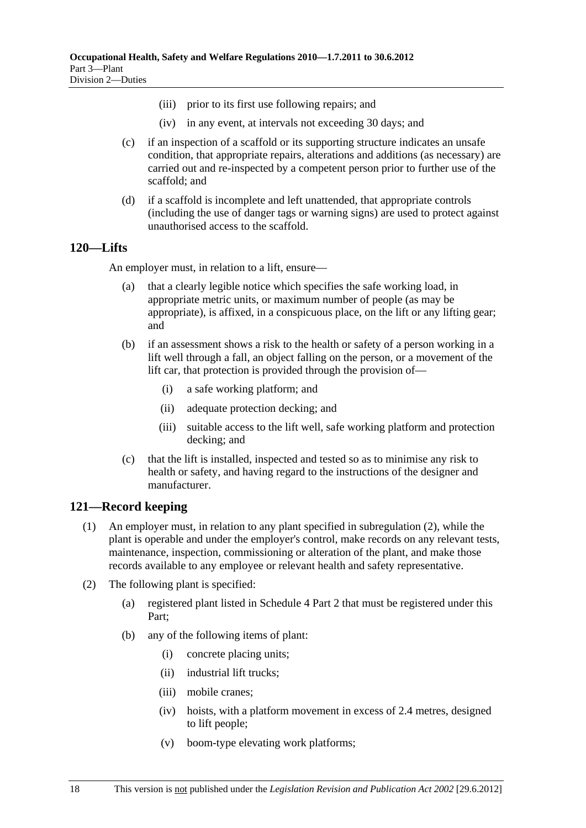- (iii) prior to its first use following repairs; and
- (iv) in any event, at intervals not exceeding 30 days; and
- (c) if an inspection of a scaffold or its supporting structure indicates an unsafe condition, that appropriate repairs, alterations and additions (as necessary) are carried out and re-inspected by a competent person prior to further use of the scaffold; and
- (d) if a scaffold is incomplete and left unattended, that appropriate controls (including the use of danger tags or warning signs) are used to protect against unauthorised access to the scaffold.

#### **120—Lifts**

An employer must, in relation to a lift, ensure—

- (a) that a clearly legible notice which specifies the safe working load, in appropriate metric units, or maximum number of people (as may be appropriate), is affixed, in a conspicuous place, on the lift or any lifting gear; and
- (b) if an assessment shows a risk to the health or safety of a person working in a lift well through a fall, an object falling on the person, or a movement of the lift car, that protection is provided through the provision of—
	- (i) a safe working platform; and
	- (ii) adequate protection decking; and
	- (iii) suitable access to the lift well, safe working platform and protection decking; and
- (c) that the lift is installed, inspected and tested so as to minimise any risk to health or safety, and having regard to the instructions of the designer and manufacturer.

#### **121—Record keeping**

- (1) An employer must, in relation to any plant specified in subregulation (2), while the plant is operable and under the employer's control, make records on any relevant tests, maintenance, inspection, commissioning or alteration of the plant, and make those records available to any employee or relevant health and safety representative.
- (2) The following plant is specified:
	- (a) registered plant listed in Schedule 4 Part 2 that must be registered under this Part;
	- (b) any of the following items of plant:
		- (i) concrete placing units;
		- (ii) industrial lift trucks;
		- (iii) mobile cranes;
		- (iv) hoists, with a platform movement in excess of 2.4 metres, designed to lift people;
		- (v) boom-type elevating work platforms;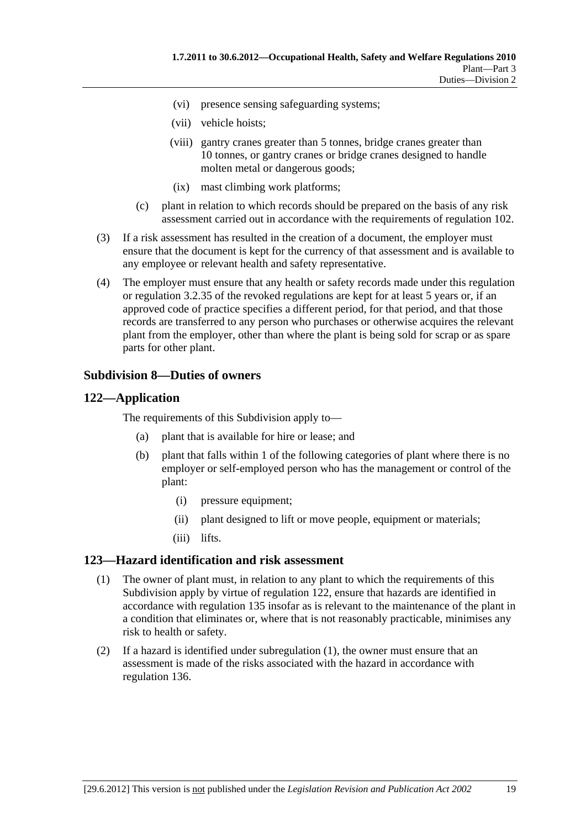- (vi) presence sensing safeguarding systems;
- (vii) vehicle hoists;
- (viii) gantry cranes greater than 5 tonnes, bridge cranes greater than 10 tonnes, or gantry cranes or bridge cranes designed to handle molten metal or dangerous goods;
- (ix) mast climbing work platforms;
- (c) plant in relation to which records should be prepared on the basis of any risk assessment carried out in accordance with the requirements of regulation 102.
- (3) If a risk assessment has resulted in the creation of a document, the employer must ensure that the document is kept for the currency of that assessment and is available to any employee or relevant health and safety representative.
- (4) The employer must ensure that any health or safety records made under this regulation or regulation 3.2.35 of the revoked regulations are kept for at least 5 years or, if an approved code of practice specifies a different period, for that period, and that those records are transferred to any person who purchases or otherwise acquires the relevant plant from the employer, other than where the plant is being sold for scrap or as spare parts for other plant.

#### **Subdivision 8—Duties of owners**

#### **122—Application**

The requirements of this Subdivision apply to—

- (a) plant that is available for hire or lease; and
- (b) plant that falls within 1 of the following categories of plant where there is no employer or self-employed person who has the management or control of the plant:
	- (i) pressure equipment;
	- (ii) plant designed to lift or move people, equipment or materials;
	- (iii) lifts.

#### **123—Hazard identification and risk assessment**

- (1) The owner of plant must, in relation to any plant to which the requirements of this Subdivision apply by virtue of regulation 122, ensure that hazards are identified in accordance with regulation 135 insofar as is relevant to the maintenance of the plant in a condition that eliminates or, where that is not reasonably practicable, minimises any risk to health or safety.
- (2) If a hazard is identified under subregulation (1), the owner must ensure that an assessment is made of the risks associated with the hazard in accordance with regulation 136.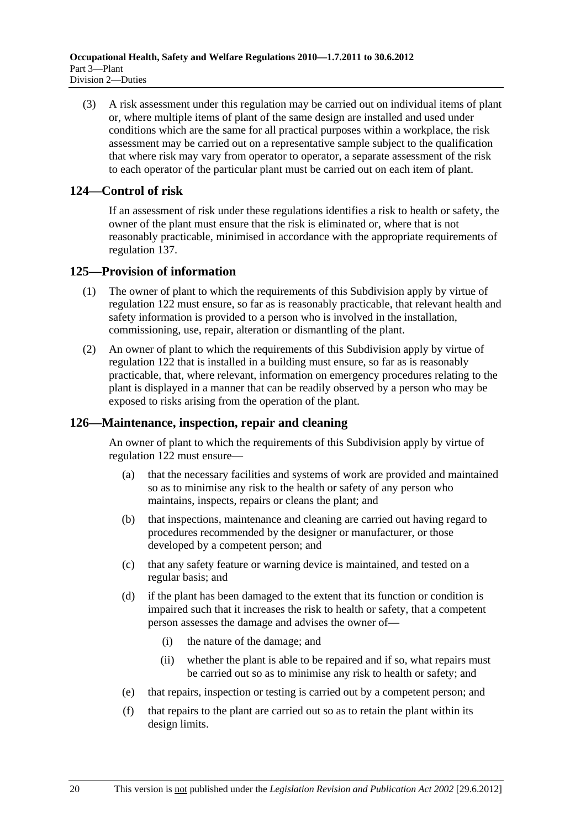(3) A risk assessment under this regulation may be carried out on individual items of plant or, where multiple items of plant of the same design are installed and used under conditions which are the same for all practical purposes within a workplace, the risk assessment may be carried out on a representative sample subject to the qualification that where risk may vary from operator to operator, a separate assessment of the risk to each operator of the particular plant must be carried out on each item of plant.

#### **124—Control of risk**

If an assessment of risk under these regulations identifies a risk to health or safety, the owner of the plant must ensure that the risk is eliminated or, where that is not reasonably practicable, minimised in accordance with the appropriate requirements of regulation 137.

#### **125—Provision of information**

- (1) The owner of plant to which the requirements of this Subdivision apply by virtue of regulation 122 must ensure, so far as is reasonably practicable, that relevant health and safety information is provided to a person who is involved in the installation, commissioning, use, repair, alteration or dismantling of the plant.
- (2) An owner of plant to which the requirements of this Subdivision apply by virtue of regulation 122 that is installed in a building must ensure, so far as is reasonably practicable, that, where relevant, information on emergency procedures relating to the plant is displayed in a manner that can be readily observed by a person who may be exposed to risks arising from the operation of the plant.

#### **126—Maintenance, inspection, repair and cleaning**

An owner of plant to which the requirements of this Subdivision apply by virtue of regulation 122 must ensure—

- (a) that the necessary facilities and systems of work are provided and maintained so as to minimise any risk to the health or safety of any person who maintains, inspects, repairs or cleans the plant; and
- (b) that inspections, maintenance and cleaning are carried out having regard to procedures recommended by the designer or manufacturer, or those developed by a competent person; and
- (c) that any safety feature or warning device is maintained, and tested on a regular basis; and
- (d) if the plant has been damaged to the extent that its function or condition is impaired such that it increases the risk to health or safety, that a competent person assesses the damage and advises the owner of—
	- (i) the nature of the damage; and
	- (ii) whether the plant is able to be repaired and if so, what repairs must be carried out so as to minimise any risk to health or safety; and
- (e) that repairs, inspection or testing is carried out by a competent person; and
- (f) that repairs to the plant are carried out so as to retain the plant within its design limits.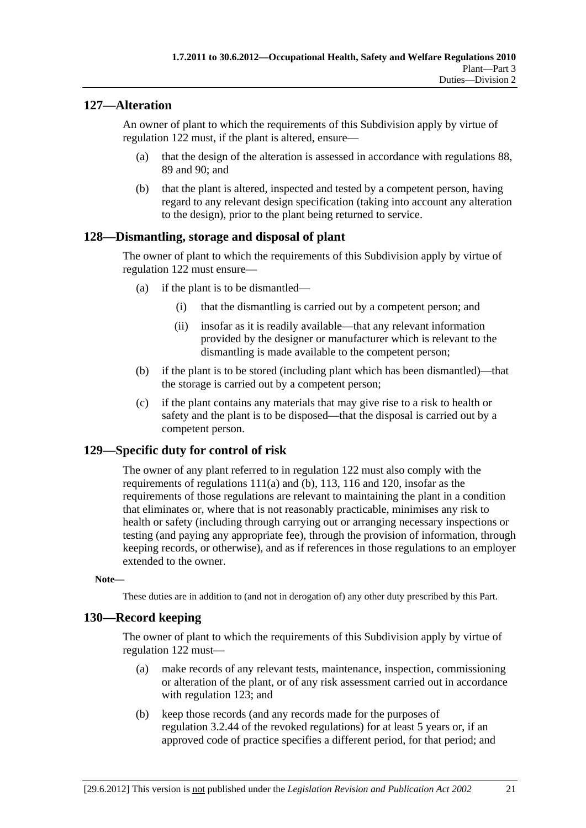### **127—Alteration**

An owner of plant to which the requirements of this Subdivision apply by virtue of regulation 122 must, if the plant is altered, ensure—

- (a) that the design of the alteration is assessed in accordance with regulations 88, 89 and 90; and
- (b) that the plant is altered, inspected and tested by a competent person, having regard to any relevant design specification (taking into account any alteration to the design), prior to the plant being returned to service.

#### **128—Dismantling, storage and disposal of plant**

The owner of plant to which the requirements of this Subdivision apply by virtue of regulation 122 must ensure—

- (a) if the plant is to be dismantled—
	- (i) that the dismantling is carried out by a competent person; and
	- (ii) insofar as it is readily available—that any relevant information provided by the designer or manufacturer which is relevant to the dismantling is made available to the competent person;
- (b) if the plant is to be stored (including plant which has been dismantled)—that the storage is carried out by a competent person;
- (c) if the plant contains any materials that may give rise to a risk to health or safety and the plant is to be disposed—that the disposal is carried out by a competent person.

#### **129—Specific duty for control of risk**

The owner of any plant referred to in regulation 122 must also comply with the requirements of regulations 111(a) and (b), 113, 116 and 120, insofar as the requirements of those regulations are relevant to maintaining the plant in a condition that eliminates or, where that is not reasonably practicable, minimises any risk to health or safety (including through carrying out or arranging necessary inspections or testing (and paying any appropriate fee), through the provision of information, through keeping records, or otherwise), and as if references in those regulations to an employer extended to the owner.

#### **Note—**

These duties are in addition to (and not in derogation of) any other duty prescribed by this Part.

#### **130—Record keeping**

The owner of plant to which the requirements of this Subdivision apply by virtue of regulation 122 must—

- (a) make records of any relevant tests, maintenance, inspection, commissioning or alteration of the plant, or of any risk assessment carried out in accordance with regulation 123; and
- (b) keep those records (and any records made for the purposes of regulation 3.2.44 of the revoked regulations) for at least 5 years or, if an approved code of practice specifies a different period, for that period; and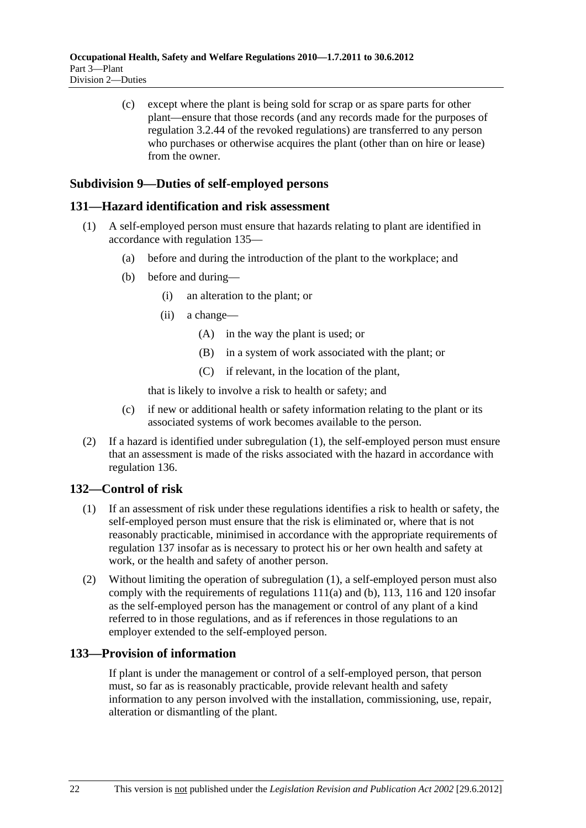(c) except where the plant is being sold for scrap or as spare parts for other plant—ensure that those records (and any records made for the purposes of regulation 3.2.44 of the revoked regulations) are transferred to any person who purchases or otherwise acquires the plant (other than on hire or lease) from the owner.

### **Subdivision 9—Duties of self-employed persons**

#### **131—Hazard identification and risk assessment**

- (1) A self-employed person must ensure that hazards relating to plant are identified in accordance with regulation 135—
	- (a) before and during the introduction of the plant to the workplace; and
	- (b) before and during—
		- (i) an alteration to the plant; or
		- (ii) a change—
			- (A) in the way the plant is used; or
			- (B) in a system of work associated with the plant; or
			- (C) if relevant, in the location of the plant,

that is likely to involve a risk to health or safety; and

- (c) if new or additional health or safety information relating to the plant or its associated systems of work becomes available to the person.
- (2) If a hazard is identified under subregulation (1), the self-employed person must ensure that an assessment is made of the risks associated with the hazard in accordance with regulation 136.

#### **132—Control of risk**

- (1) If an assessment of risk under these regulations identifies a risk to health or safety, the self-employed person must ensure that the risk is eliminated or, where that is not reasonably practicable, minimised in accordance with the appropriate requirements of regulation 137 insofar as is necessary to protect his or her own health and safety at work, or the health and safety of another person.
- (2) Without limiting the operation of subregulation (1), a self-employed person must also comply with the requirements of regulations 111(a) and (b), 113, 116 and 120 insofar as the self-employed person has the management or control of any plant of a kind referred to in those regulations, and as if references in those regulations to an employer extended to the self-employed person.

#### **133—Provision of information**

If plant is under the management or control of a self-employed person, that person must, so far as is reasonably practicable, provide relevant health and safety information to any person involved with the installation, commissioning, use, repair, alteration or dismantling of the plant.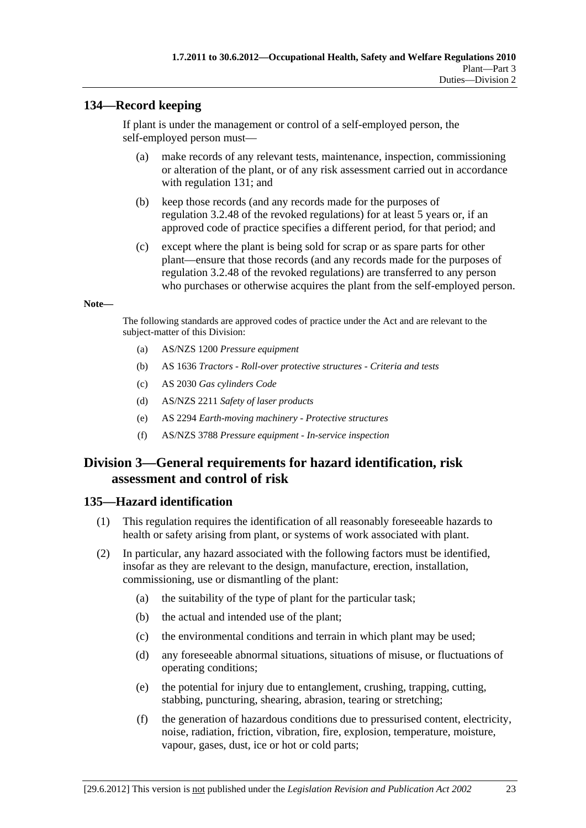### **134—Record keeping**

If plant is under the management or control of a self-employed person, the self-employed person must—

- (a) make records of any relevant tests, maintenance, inspection, commissioning or alteration of the plant, or of any risk assessment carried out in accordance with regulation 131; and
- (b) keep those records (and any records made for the purposes of regulation 3.2.48 of the revoked regulations) for at least 5 years or, if an approved code of practice specifies a different period, for that period; and
- (c) except where the plant is being sold for scrap or as spare parts for other plant—ensure that those records (and any records made for the purposes of regulation 3.2.48 of the revoked regulations) are transferred to any person who purchases or otherwise acquires the plant from the self-employed person.

#### **Note—**

The following standards are approved codes of practice under the Act and are relevant to the subject-matter of this Division:

- (a) AS/NZS 1200 *Pressure equipment*
- (b) AS 1636 *Tractors Roll-over protective structures Criteria and tests*
- (c) AS 2030 *Gas cylinders Code*
- (d) AS/NZS 2211 *Safety of laser products*
- (e) AS 2294 *Earth-moving machinery Protective structures*
- (f) AS/NZS 3788 *Pressure equipment In-service inspection*

## **Division 3—General requirements for hazard identification, risk assessment and control of risk**

#### **135—Hazard identification**

- (1) This regulation requires the identification of all reasonably foreseeable hazards to health or safety arising from plant, or systems of work associated with plant.
- (2) In particular, any hazard associated with the following factors must be identified, insofar as they are relevant to the design, manufacture, erection, installation, commissioning, use or dismantling of the plant:
	- (a) the suitability of the type of plant for the particular task;
	- (b) the actual and intended use of the plant;
	- (c) the environmental conditions and terrain in which plant may be used;
	- (d) any foreseeable abnormal situations, situations of misuse, or fluctuations of operating conditions;
	- (e) the potential for injury due to entanglement, crushing, trapping, cutting, stabbing, puncturing, shearing, abrasion, tearing or stretching;
	- (f) the generation of hazardous conditions due to pressurised content, electricity, noise, radiation, friction, vibration, fire, explosion, temperature, moisture, vapour, gases, dust, ice or hot or cold parts;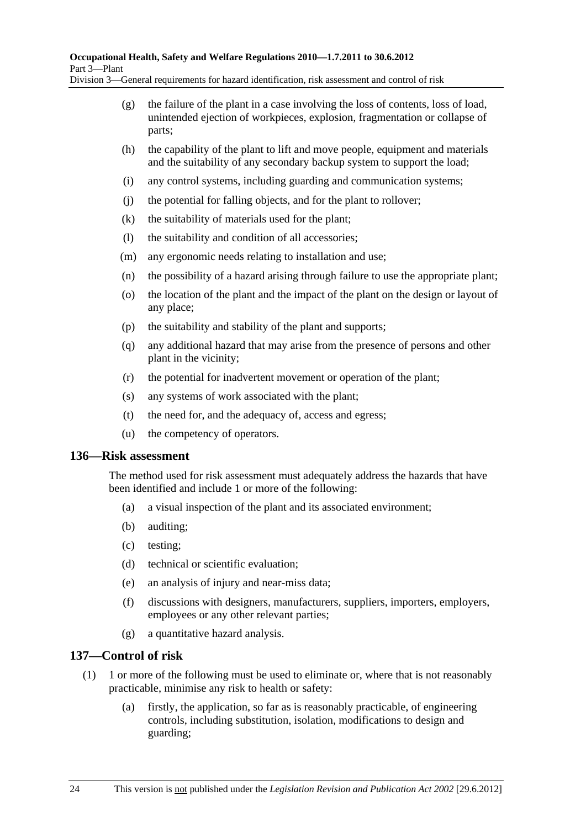Division 3—General requirements for hazard identification, risk assessment and control of risk

- (g) the failure of the plant in a case involving the loss of contents, loss of load, unintended ejection of workpieces, explosion, fragmentation or collapse of parts;
- (h) the capability of the plant to lift and move people, equipment and materials and the suitability of any secondary backup system to support the load;
- (i) any control systems, including guarding and communication systems;
- (j) the potential for falling objects, and for the plant to rollover;
- (k) the suitability of materials used for the plant;
- (l) the suitability and condition of all accessories;
- (m) any ergonomic needs relating to installation and use;
- (n) the possibility of a hazard arising through failure to use the appropriate plant;
- (o) the location of the plant and the impact of the plant on the design or layout of any place;
- (p) the suitability and stability of the plant and supports;
- (q) any additional hazard that may arise from the presence of persons and other plant in the vicinity;
- (r) the potential for inadvertent movement or operation of the plant;
- (s) any systems of work associated with the plant;
- (t) the need for, and the adequacy of, access and egress;
- (u) the competency of operators.

#### **136—Risk assessment**

The method used for risk assessment must adequately address the hazards that have been identified and include 1 or more of the following:

- (a) a visual inspection of the plant and its associated environment;
- (b) auditing;
- (c) testing;
- (d) technical or scientific evaluation;
- (e) an analysis of injury and near-miss data;
- (f) discussions with designers, manufacturers, suppliers, importers, employers, employees or any other relevant parties;
- (g) a quantitative hazard analysis.

### **137—Control of risk**

- (1) 1 or more of the following must be used to eliminate or, where that is not reasonably practicable, minimise any risk to health or safety:
	- (a) firstly, the application, so far as is reasonably practicable, of engineering controls, including substitution, isolation, modifications to design and guarding;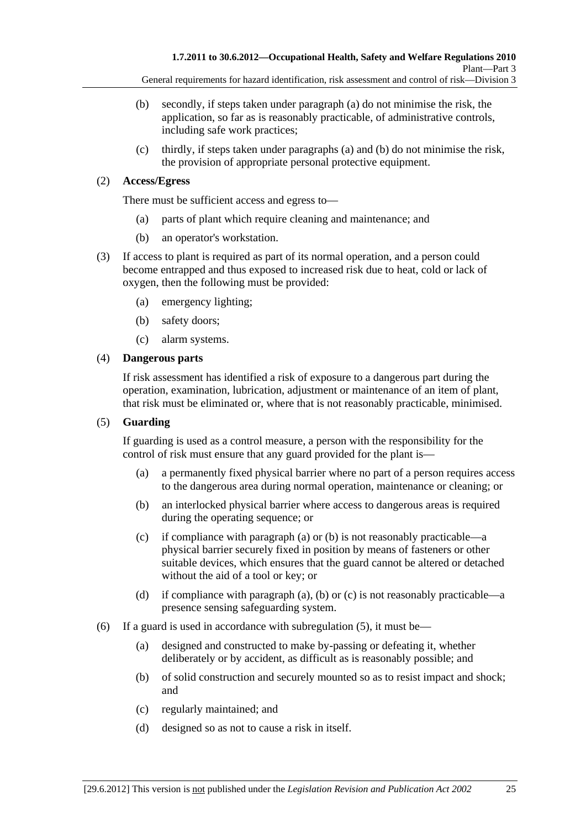- (b) secondly, if steps taken under paragraph (a) do not minimise the risk, the application, so far as is reasonably practicable, of administrative controls, including safe work practices;
- (c) thirdly, if steps taken under paragraphs (a) and (b) do not minimise the risk, the provision of appropriate personal protective equipment.

#### (2) **Access/Egress**

There must be sufficient access and egress to—

- (a) parts of plant which require cleaning and maintenance; and
- (b) an operator's workstation.
- (3) If access to plant is required as part of its normal operation, and a person could become entrapped and thus exposed to increased risk due to heat, cold or lack of oxygen, then the following must be provided:
	- (a) emergency lighting;
	- (b) safety doors;
	- (c) alarm systems.

#### (4) **Dangerous parts**

If risk assessment has identified a risk of exposure to a dangerous part during the operation, examination, lubrication, adjustment or maintenance of an item of plant, that risk must be eliminated or, where that is not reasonably practicable, minimised.

#### (5) **Guarding**

If guarding is used as a control measure, a person with the responsibility for the control of risk must ensure that any guard provided for the plant is—

- (a) a permanently fixed physical barrier where no part of a person requires access to the dangerous area during normal operation, maintenance or cleaning; or
- (b) an interlocked physical barrier where access to dangerous areas is required during the operating sequence; or
- (c) if compliance with paragraph (a) or (b) is not reasonably practicable—a physical barrier securely fixed in position by means of fasteners or other suitable devices, which ensures that the guard cannot be altered or detached without the aid of a tool or key; or
- (d) if compliance with paragraph (a), (b) or (c) is not reasonably practicable—a presence sensing safeguarding system.
- (6) If a guard is used in accordance with subregulation  $(5)$ , it must be—
	- (a) designed and constructed to make by-passing or defeating it, whether deliberately or by accident, as difficult as is reasonably possible; and
	- (b) of solid construction and securely mounted so as to resist impact and shock; and
	- (c) regularly maintained; and
	- (d) designed so as not to cause a risk in itself.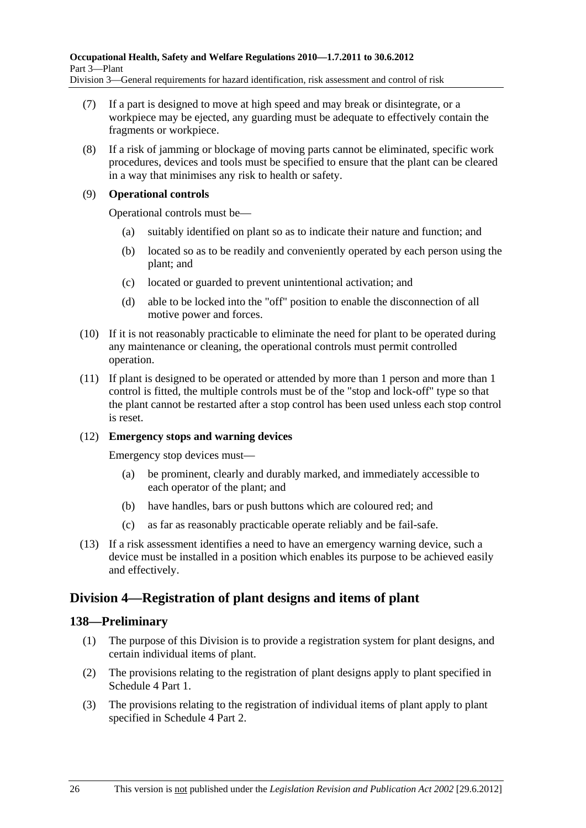Division 3—General requirements for hazard identification, risk assessment and control of risk

- (7) If a part is designed to move at high speed and may break or disintegrate, or a workpiece may be ejected, any guarding must be adequate to effectively contain the fragments or workpiece.
- (8) If a risk of jamming or blockage of moving parts cannot be eliminated, specific work procedures, devices and tools must be specified to ensure that the plant can be cleared in a way that minimises any risk to health or safety.

#### (9) **Operational controls**

Operational controls must be—

- (a) suitably identified on plant so as to indicate their nature and function; and
- (b) located so as to be readily and conveniently operated by each person using the plant; and
- (c) located or guarded to prevent unintentional activation; and
- (d) able to be locked into the "off" position to enable the disconnection of all motive power and forces.
- (10) If it is not reasonably practicable to eliminate the need for plant to be operated during any maintenance or cleaning, the operational controls must permit controlled operation.
- (11) If plant is designed to be operated or attended by more than 1 person and more than 1 control is fitted, the multiple controls must be of the "stop and lock-off" type so that the plant cannot be restarted after a stop control has been used unless each stop control is reset.

#### (12) **Emergency stops and warning devices**

Emergency stop devices must—

- (a) be prominent, clearly and durably marked, and immediately accessible to each operator of the plant; and
- (b) have handles, bars or push buttons which are coloured red; and
- (c) as far as reasonably practicable operate reliably and be fail-safe.
- (13) If a risk assessment identifies a need to have an emergency warning device, such a device must be installed in a position which enables its purpose to be achieved easily and effectively.

## **Division 4—Registration of plant designs and items of plant**

### **138—Preliminary**

- (1) The purpose of this Division is to provide a registration system for plant designs, and certain individual items of plant.
- (2) The provisions relating to the registration of plant designs apply to plant specified in Schedule 4 Part 1.
- (3) The provisions relating to the registration of individual items of plant apply to plant specified in Schedule 4 Part 2.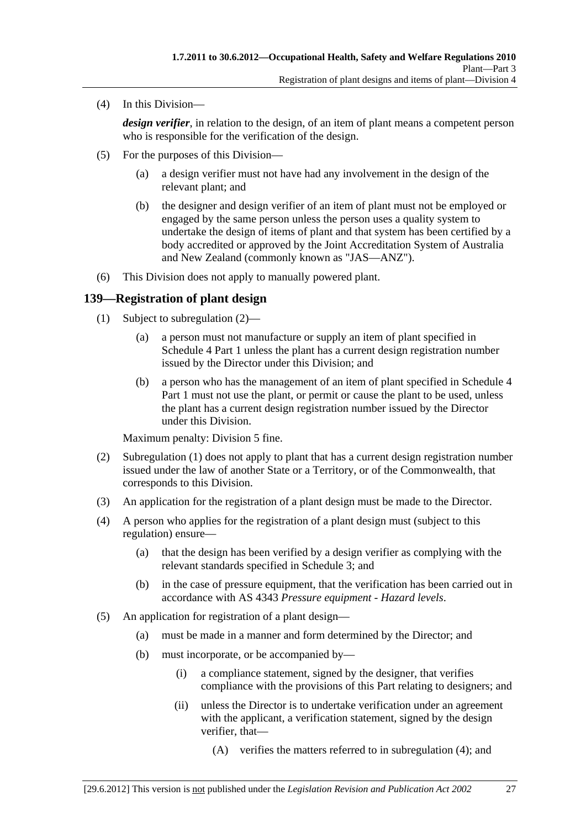(4) In this Division—

*design verifier*, in relation to the design, of an item of plant means a competent person who is responsible for the verification of the design.

- (5) For the purposes of this Division—
	- (a) a design verifier must not have had any involvement in the design of the relevant plant; and
	- (b) the designer and design verifier of an item of plant must not be employed or engaged by the same person unless the person uses a quality system to undertake the design of items of plant and that system has been certified by a body accredited or approved by the Joint Accreditation System of Australia and New Zealand (commonly known as "JAS—ANZ").
- (6) This Division does not apply to manually powered plant.

#### **139—Registration of plant design**

- (1) Subject to subregulation (2)—
	- (a) a person must not manufacture or supply an item of plant specified in Schedule 4 Part 1 unless the plant has a current design registration number issued by the Director under this Division; and
	- (b) a person who has the management of an item of plant specified in Schedule 4 Part 1 must not use the plant, or permit or cause the plant to be used, unless the plant has a current design registration number issued by the Director under this Division.

Maximum penalty: Division 5 fine.

- (2) Subregulation (1) does not apply to plant that has a current design registration number issued under the law of another State or a Territory, or of the Commonwealth, that corresponds to this Division.
- (3) An application for the registration of a plant design must be made to the Director.
- (4) A person who applies for the registration of a plant design must (subject to this regulation) ensure—
	- (a) that the design has been verified by a design verifier as complying with the relevant standards specified in Schedule 3; and
	- (b) in the case of pressure equipment, that the verification has been carried out in accordance with AS 4343 *Pressure equipment - Hazard levels*.
- (5) An application for registration of a plant design—
	- (a) must be made in a manner and form determined by the Director; and
	- (b) must incorporate, or be accompanied by—
		- (i) a compliance statement, signed by the designer, that verifies compliance with the provisions of this Part relating to designers; and
		- (ii) unless the Director is to undertake verification under an agreement with the applicant, a verification statement, signed by the design verifier, that—
			- (A) verifies the matters referred to in subregulation (4); and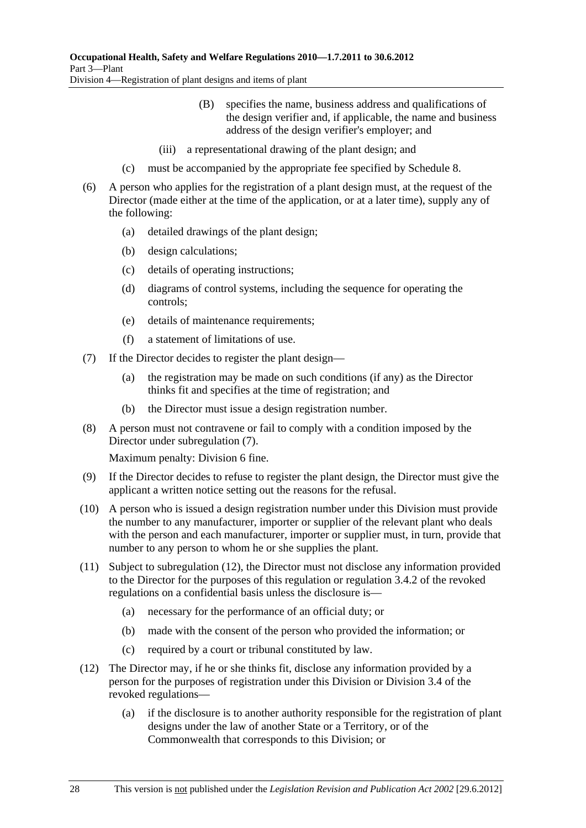- (B) specifies the name, business address and qualifications of the design verifier and, if applicable, the name and business address of the design verifier's employer; and
- (iii) a representational drawing of the plant design; and
- (c) must be accompanied by the appropriate fee specified by Schedule 8.
- (6) A person who applies for the registration of a plant design must, at the request of the Director (made either at the time of the application, or at a later time), supply any of the following:
	- (a) detailed drawings of the plant design;
	- (b) design calculations;
	- (c) details of operating instructions;
	- (d) diagrams of control systems, including the sequence for operating the controls;
	- (e) details of maintenance requirements;
	- (f) a statement of limitations of use.
- (7) If the Director decides to register the plant design—
	- (a) the registration may be made on such conditions (if any) as the Director thinks fit and specifies at the time of registration; and
	- (b) the Director must issue a design registration number.
- (8) A person must not contravene or fail to comply with a condition imposed by the Director under subregulation (7).

Maximum penalty: Division 6 fine.

- (9) If the Director decides to refuse to register the plant design, the Director must give the applicant a written notice setting out the reasons for the refusal.
- (10) A person who is issued a design registration number under this Division must provide the number to any manufacturer, importer or supplier of the relevant plant who deals with the person and each manufacturer, importer or supplier must, in turn, provide that number to any person to whom he or she supplies the plant.
- (11) Subject to subregulation (12), the Director must not disclose any information provided to the Director for the purposes of this regulation or regulation 3.4.2 of the revoked regulations on a confidential basis unless the disclosure is—
	- (a) necessary for the performance of an official duty; or
	- (b) made with the consent of the person who provided the information; or
	- (c) required by a court or tribunal constituted by law.
- (12) The Director may, if he or she thinks fit, disclose any information provided by a person for the purposes of registration under this Division or Division 3.4 of the revoked regulations—
	- (a) if the disclosure is to another authority responsible for the registration of plant designs under the law of another State or a Territory, or of the Commonwealth that corresponds to this Division; or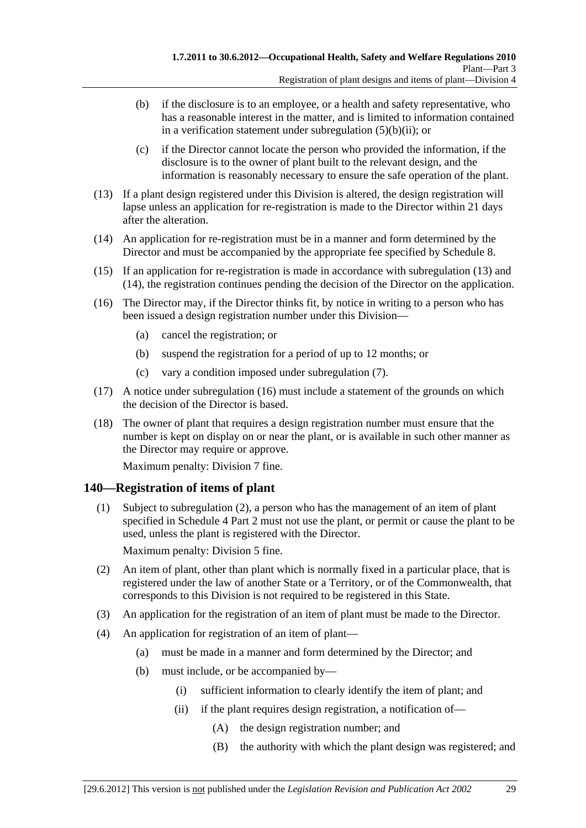- (b) if the disclosure is to an employee, or a health and safety representative, who has a reasonable interest in the matter, and is limited to information contained in a verification statement under subregulation  $(5)(b)(ii)$ ; or
- (c) if the Director cannot locate the person who provided the information, if the disclosure is to the owner of plant built to the relevant design, and the information is reasonably necessary to ensure the safe operation of the plant.
- (13) If a plant design registered under this Division is altered, the design registration will lapse unless an application for re-registration is made to the Director within 21 days after the alteration.
- (14) An application for re-registration must be in a manner and form determined by the Director and must be accompanied by the appropriate fee specified by Schedule 8.
- (15) If an application for re-registration is made in accordance with subregulation (13) and (14), the registration continues pending the decision of the Director on the application.
- (16) The Director may, if the Director thinks fit, by notice in writing to a person who has been issued a design registration number under this Division—
	- (a) cancel the registration; or
	- (b) suspend the registration for a period of up to 12 months; or
	- (c) vary a condition imposed under subregulation (7).
- (17) A notice under subregulation (16) must include a statement of the grounds on which the decision of the Director is based.
- (18) The owner of plant that requires a design registration number must ensure that the number is kept on display on or near the plant, or is available in such other manner as the Director may require or approve.

Maximum penalty: Division 7 fine.

### **140—Registration of items of plant**

 (1) Subject to subregulation (2), a person who has the management of an item of plant specified in Schedule 4 Part 2 must not use the plant, or permit or cause the plant to be used, unless the plant is registered with the Director.

Maximum penalty: Division 5 fine.

- (2) An item of plant, other than plant which is normally fixed in a particular place, that is registered under the law of another State or a Territory, or of the Commonwealth, that corresponds to this Division is not required to be registered in this State.
- (3) An application for the registration of an item of plant must be made to the Director.
- (4) An application for registration of an item of plant—
	- (a) must be made in a manner and form determined by the Director; and
	- (b) must include, or be accompanied by—
		- (i) sufficient information to clearly identify the item of plant; and
		- (ii) if the plant requires design registration, a notification of—
			- (A) the design registration number; and
			- (B) the authority with which the plant design was registered; and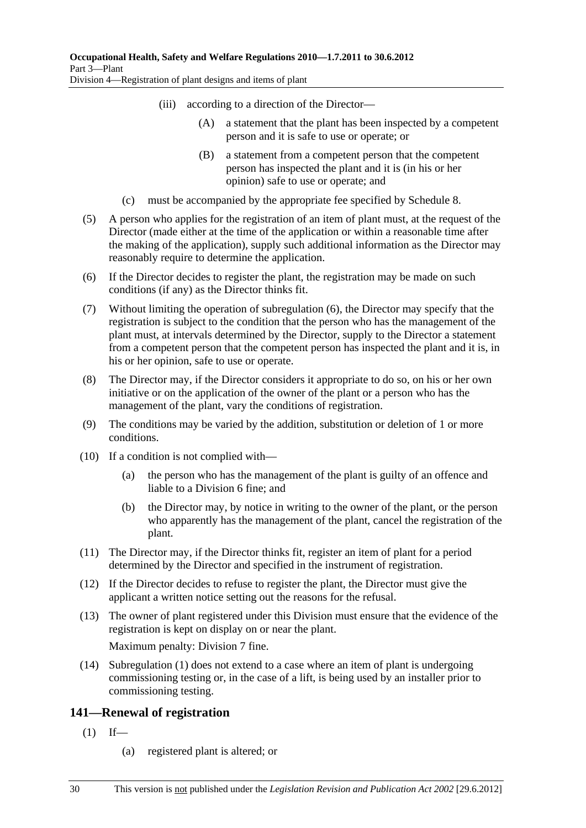- (iii) according to a direction of the Director—
	- (A) a statement that the plant has been inspected by a competent person and it is safe to use or operate; or
	- (B) a statement from a competent person that the competent person has inspected the plant and it is (in his or her opinion) safe to use or operate; and
- (c) must be accompanied by the appropriate fee specified by Schedule 8.
- (5) A person who applies for the registration of an item of plant must, at the request of the Director (made either at the time of the application or within a reasonable time after the making of the application), supply such additional information as the Director may reasonably require to determine the application.
- (6) If the Director decides to register the plant, the registration may be made on such conditions (if any) as the Director thinks fit.
- (7) Without limiting the operation of subregulation (6), the Director may specify that the registration is subject to the condition that the person who has the management of the plant must, at intervals determined by the Director, supply to the Director a statement from a competent person that the competent person has inspected the plant and it is, in his or her opinion, safe to use or operate.
- (8) The Director may, if the Director considers it appropriate to do so, on his or her own initiative or on the application of the owner of the plant or a person who has the management of the plant, vary the conditions of registration.
- (9) The conditions may be varied by the addition, substitution or deletion of 1 or more conditions.
- (10) If a condition is not complied with—
	- (a) the person who has the management of the plant is guilty of an offence and liable to a Division 6 fine; and
	- (b) the Director may, by notice in writing to the owner of the plant, or the person who apparently has the management of the plant, cancel the registration of the plant.
- (11) The Director may, if the Director thinks fit, register an item of plant for a period determined by the Director and specified in the instrument of registration.
- (12) If the Director decides to refuse to register the plant, the Director must give the applicant a written notice setting out the reasons for the refusal.
- (13) The owner of plant registered under this Division must ensure that the evidence of the registration is kept on display on or near the plant.

Maximum penalty: Division 7 fine.

 (14) Subregulation (1) does not extend to a case where an item of plant is undergoing commissioning testing or, in the case of a lift, is being used by an installer prior to commissioning testing.

#### **141—Renewal of registration**

- $(1)$  If—
	- (a) registered plant is altered; or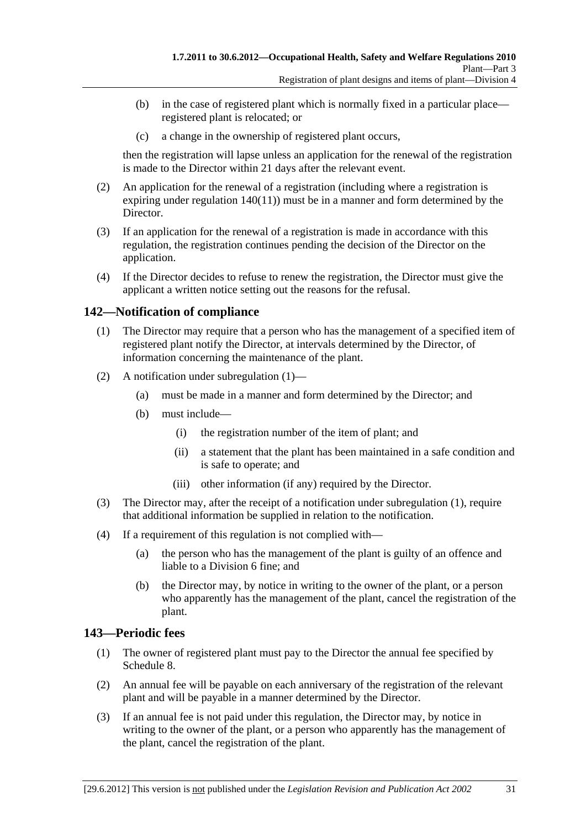- (b) in the case of registered plant which is normally fixed in a particular place registered plant is relocated; or
- (c) a change in the ownership of registered plant occurs,

then the registration will lapse unless an application for the renewal of the registration is made to the Director within 21 days after the relevant event.

- (2) An application for the renewal of a registration (including where a registration is expiring under regulation 140(11)) must be in a manner and form determined by the Director.
- (3) If an application for the renewal of a registration is made in accordance with this regulation, the registration continues pending the decision of the Director on the application.
- (4) If the Director decides to refuse to renew the registration, the Director must give the applicant a written notice setting out the reasons for the refusal.

### **142—Notification of compliance**

- (1) The Director may require that a person who has the management of a specified item of registered plant notify the Director, at intervals determined by the Director, of information concerning the maintenance of the plant.
- (2) A notification under subregulation (1)—
	- (a) must be made in a manner and form determined by the Director; and
	- (b) must include—
		- (i) the registration number of the item of plant; and
		- (ii) a statement that the plant has been maintained in a safe condition and is safe to operate; and
		- (iii) other information (if any) required by the Director.
- (3) The Director may, after the receipt of a notification under subregulation (1), require that additional information be supplied in relation to the notification.
- (4) If a requirement of this regulation is not complied with—
	- (a) the person who has the management of the plant is guilty of an offence and liable to a Division 6 fine; and
	- (b) the Director may, by notice in writing to the owner of the plant, or a person who apparently has the management of the plant, cancel the registration of the plant.

#### **143—Periodic fees**

- (1) The owner of registered plant must pay to the Director the annual fee specified by Schedule 8.
- (2) An annual fee will be payable on each anniversary of the registration of the relevant plant and will be payable in a manner determined by the Director.
- (3) If an annual fee is not paid under this regulation, the Director may, by notice in writing to the owner of the plant, or a person who apparently has the management of the plant, cancel the registration of the plant.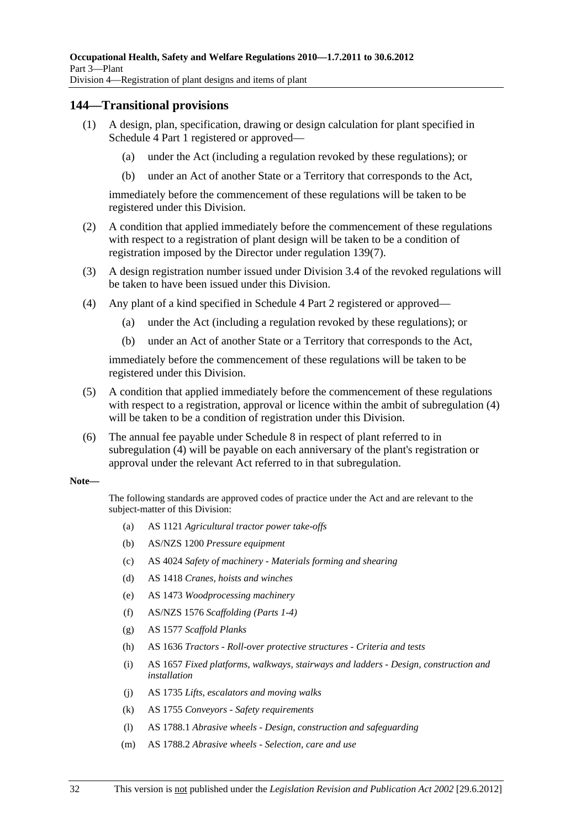#### **144—Transitional provisions**

- (1) A design, plan, specification, drawing or design calculation for plant specified in Schedule 4 Part 1 registered or approved—
	- (a) under the Act (including a regulation revoked by these regulations); or
	- (b) under an Act of another State or a Territory that corresponds to the Act,

immediately before the commencement of these regulations will be taken to be registered under this Division.

- (2) A condition that applied immediately before the commencement of these regulations with respect to a registration of plant design will be taken to be a condition of registration imposed by the Director under regulation 139(7).
- (3) A design registration number issued under Division 3.4 of the revoked regulations will be taken to have been issued under this Division.
- (4) Any plant of a kind specified in Schedule 4 Part 2 registered or approved—
	- (a) under the Act (including a regulation revoked by these regulations); or
	- (b) under an Act of another State or a Territory that corresponds to the Act,

immediately before the commencement of these regulations will be taken to be registered under this Division.

- (5) A condition that applied immediately before the commencement of these regulations with respect to a registration, approval or licence within the ambit of subregulation (4) will be taken to be a condition of registration under this Division.
- (6) The annual fee payable under Schedule 8 in respect of plant referred to in subregulation (4) will be payable on each anniversary of the plant's registration or approval under the relevant Act referred to in that subregulation.

#### **Note—**

The following standards are approved codes of practice under the Act and are relevant to the subject-matter of this Division:

- (a) AS 1121 *Agricultural tractor power take-offs*
- (b) AS/NZS 1200 *Pressure equipment*
- (c) AS 4024 *Safety of machinery Materials forming and shearing*
- (d) AS 1418 *Cranes, hoists and winches*
- (e) AS 1473 *Woodprocessing machinery*
- (f) AS/NZS 1576 *Scaffolding (Parts 1-4)*
- (g) AS 1577 *Scaffold Planks*
- (h) AS 1636 *Tractors Roll-over protective structures Criteria and tests*
- (i) AS 1657 *Fixed platforms, walkways, stairways and ladders Design, construction and installation*
- (j) AS 1735 *Lifts, escalators and moving walks*
- (k) AS 1755 *Conveyors Safety requirements*
- (l) AS 1788.1 *Abrasive wheels Design, construction and safeguarding*
- (m) AS 1788.2 *Abrasive wheels Selection, care and use*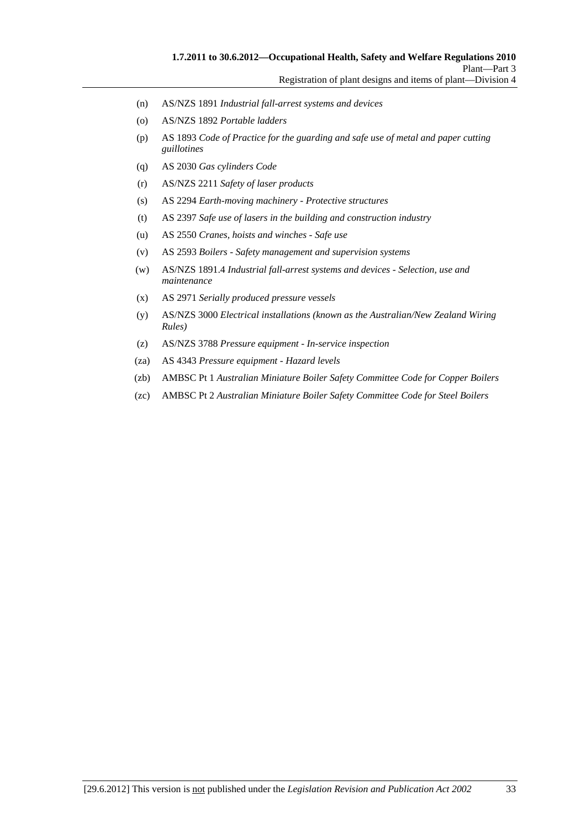- (n) AS/NZS 1891 *Industrial fall-arrest systems and devices*
- (o) AS/NZS 1892 *Portable ladders*
- (p) AS 1893 *Code of Practice for the guarding and safe use of metal and paper cutting guillotines*
- (q) AS 2030 *Gas cylinders Code*
- (r) AS/NZS 2211 *Safety of laser products*
- (s) AS 2294 *Earth-moving machinery Protective structures*
- (t) AS 2397 *Safe use of lasers in the building and construction industry*
- (u) AS 2550 *Cranes, hoists and winches Safe use*
- (v) AS 2593 *Boilers Safety management and supervision systems*
- (w) AS/NZS 1891.4 *Industrial fall-arrest systems and devices Selection, use and maintenance*
- (x) AS 2971 *Serially produced pressure vessels*
- (y) AS/NZS 3000 *Electrical installations (known as the Australian/New Zealand Wiring Rules)*
- (z) AS/NZS 3788 *Pressure equipment In-service inspection*
- (za) AS 4343 *Pressure equipment Hazard levels*
- (zb) AMBSC Pt 1 *Australian Miniature Boiler Safety Committee Code for Copper Boilers*
- (zc) AMBSC Pt 2 *Australian Miniature Boiler Safety Committee Code for Steel Boilers*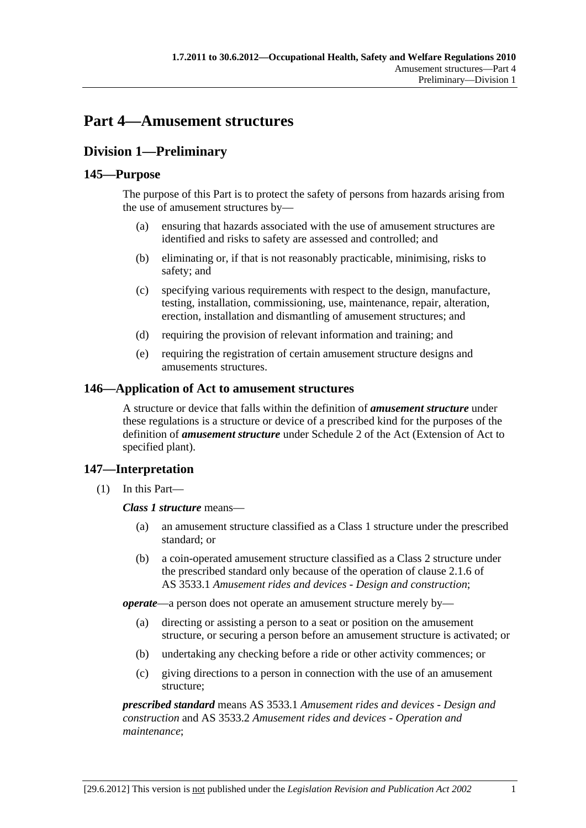# **Part 4—Amusement structures**

## **Division 1—Preliminary**

### **145—Purpose**

The purpose of this Part is to protect the safety of persons from hazards arising from the use of amusement structures by—

- (a) ensuring that hazards associated with the use of amusement structures are identified and risks to safety are assessed and controlled; and
- (b) eliminating or, if that is not reasonably practicable, minimising, risks to safety; and
- (c) specifying various requirements with respect to the design, manufacture, testing, installation, commissioning, use, maintenance, repair, alteration, erection, installation and dismantling of amusement structures; and
- (d) requiring the provision of relevant information and training; and
- (e) requiring the registration of certain amusement structure designs and amusements structures.

#### **146—Application of Act to amusement structures**

A structure or device that falls within the definition of *amusement structure* under these regulations is a structure or device of a prescribed kind for the purposes of the definition of *amusement structure* under Schedule 2 of the Act (Extension of Act to specified plant).

#### **147—Interpretation**

(1) In this Part—

#### *Class 1 structure* means—

- (a) an amusement structure classified as a Class 1 structure under the prescribed standard; or
- (b) a coin-operated amusement structure classified as a Class 2 structure under the prescribed standard only because of the operation of clause 2.1.6 of AS 3533.1 *Amusement rides and devices - Design and construction*;

*operate*—a person does not operate an amusement structure merely by—

- (a) directing or assisting a person to a seat or position on the amusement structure, or securing a person before an amusement structure is activated; or
- (b) undertaking any checking before a ride or other activity commences; or
- (c) giving directions to a person in connection with the use of an amusement structure;

*prescribed standard* means AS 3533.1 *Amusement rides and devices - Design and construction* and AS 3533.2 *Amusement rides and devices - Operation and maintenance*;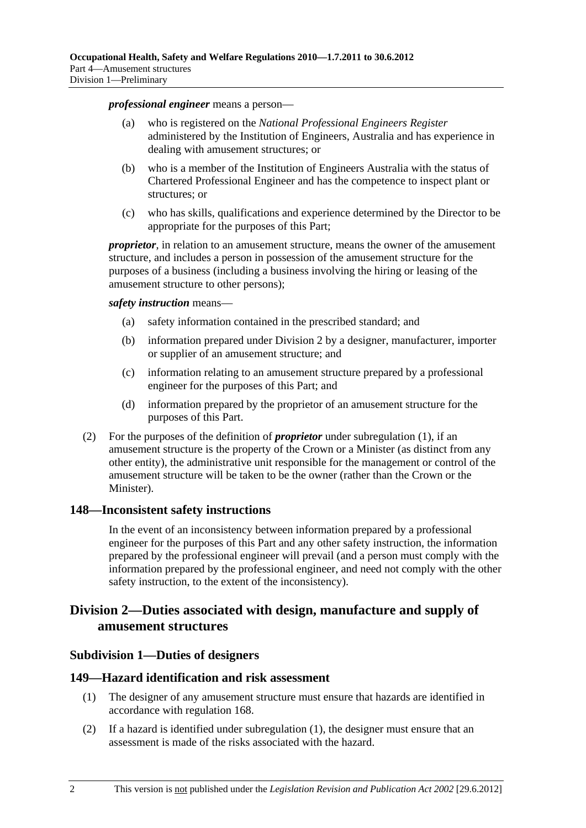#### *professional engineer* means a person—

- (a) who is registered on the *National Professional Engineers Register* administered by the Institution of Engineers, Australia and has experience in dealing with amusement structures; or
- (b) who is a member of the Institution of Engineers Australia with the status of Chartered Professional Engineer and has the competence to inspect plant or structures; or
- (c) who has skills, qualifications and experience determined by the Director to be appropriate for the purposes of this Part;

*proprietor*, in relation to an amusement structure, means the owner of the amusement structure, and includes a person in possession of the amusement structure for the purposes of a business (including a business involving the hiring or leasing of the amusement structure to other persons);

#### *safety instruction* means—

- (a) safety information contained in the prescribed standard; and
- (b) information prepared under Division 2 by a designer, manufacturer, importer or supplier of an amusement structure; and
- (c) information relating to an amusement structure prepared by a professional engineer for the purposes of this Part; and
- (d) information prepared by the proprietor of an amusement structure for the purposes of this Part.
- (2) For the purposes of the definition of *proprietor* under subregulation (1), if an amusement structure is the property of the Crown or a Minister (as distinct from any other entity), the administrative unit responsible for the management or control of the amusement structure will be taken to be the owner (rather than the Crown or the Minister).

#### **148—Inconsistent safety instructions**

In the event of an inconsistency between information prepared by a professional engineer for the purposes of this Part and any other safety instruction, the information prepared by the professional engineer will prevail (and a person must comply with the information prepared by the professional engineer, and need not comply with the other safety instruction, to the extent of the inconsistency).

### **Division 2—Duties associated with design, manufacture and supply of amusement structures**

#### **Subdivision 1—Duties of designers**

#### **149—Hazard identification and risk assessment**

- (1) The designer of any amusement structure must ensure that hazards are identified in accordance with regulation 168.
- (2) If a hazard is identified under subregulation (1), the designer must ensure that an assessment is made of the risks associated with the hazard.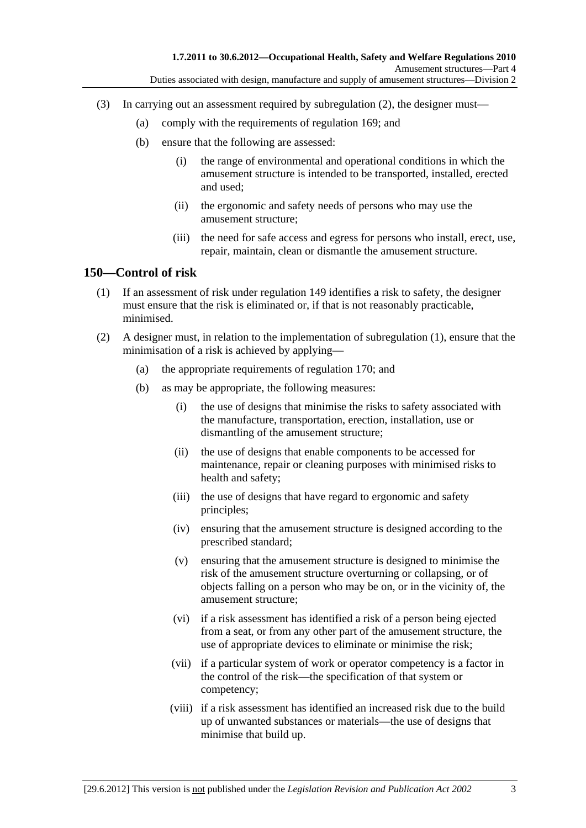- (3) In carrying out an assessment required by subregulation (2), the designer must—
	- (a) comply with the requirements of regulation 169; and
	- (b) ensure that the following are assessed:
		- (i) the range of environmental and operational conditions in which the amusement structure is intended to be transported, installed, erected and used;
		- (ii) the ergonomic and safety needs of persons who may use the amusement structure;
		- (iii) the need for safe access and egress for persons who install, erect, use, repair, maintain, clean or dismantle the amusement structure.

### **150—Control of risk**

- (1) If an assessment of risk under regulation 149 identifies a risk to safety, the designer must ensure that the risk is eliminated or, if that is not reasonably practicable, minimised.
- (2) A designer must, in relation to the implementation of subregulation (1), ensure that the minimisation of a risk is achieved by applying—
	- (a) the appropriate requirements of regulation 170; and
	- (b) as may be appropriate, the following measures:
		- (i) the use of designs that minimise the risks to safety associated with the manufacture, transportation, erection, installation, use or dismantling of the amusement structure;
		- (ii) the use of designs that enable components to be accessed for maintenance, repair or cleaning purposes with minimised risks to health and safety;
		- (iii) the use of designs that have regard to ergonomic and safety principles;
		- (iv) ensuring that the amusement structure is designed according to the prescribed standard;
		- (v) ensuring that the amusement structure is designed to minimise the risk of the amusement structure overturning or collapsing, or of objects falling on a person who may be on, or in the vicinity of, the amusement structure;
		- (vi) if a risk assessment has identified a risk of a person being ejected from a seat, or from any other part of the amusement structure, the use of appropriate devices to eliminate or minimise the risk;
		- (vii) if a particular system of work or operator competency is a factor in the control of the risk—the specification of that system or competency;
		- (viii) if a risk assessment has identified an increased risk due to the build up of unwanted substances or materials—the use of designs that minimise that build up.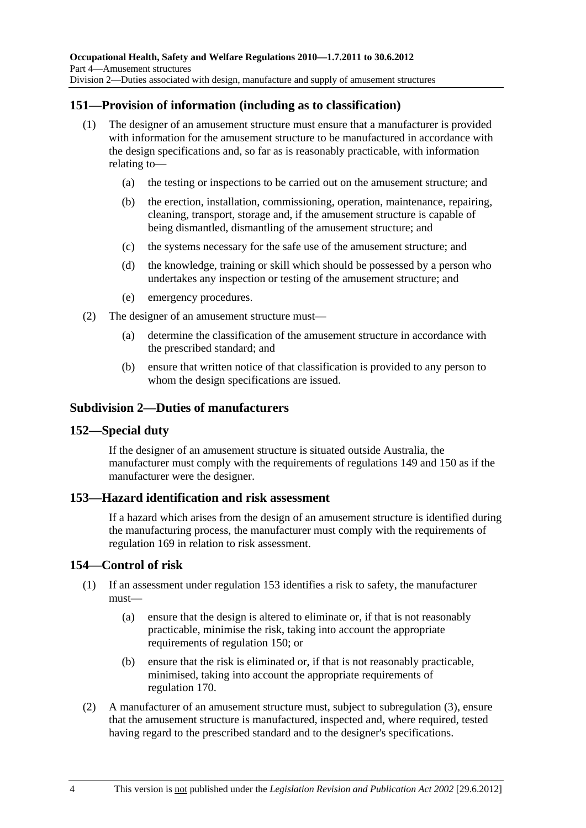## **151—Provision of information (including as to classification)**

- (1) The designer of an amusement structure must ensure that a manufacturer is provided with information for the amusement structure to be manufactured in accordance with the design specifications and, so far as is reasonably practicable, with information relating to—
	- (a) the testing or inspections to be carried out on the amusement structure; and
	- (b) the erection, installation, commissioning, operation, maintenance, repairing, cleaning, transport, storage and, if the amusement structure is capable of being dismantled, dismantling of the amusement structure; and
	- (c) the systems necessary for the safe use of the amusement structure; and
	- (d) the knowledge, training or skill which should be possessed by a person who undertakes any inspection or testing of the amusement structure; and
	- (e) emergency procedures.
- (2) The designer of an amusement structure must—
	- (a) determine the classification of the amusement structure in accordance with the prescribed standard; and
	- (b) ensure that written notice of that classification is provided to any person to whom the design specifications are issued.

### **Subdivision 2—Duties of manufacturers**

### **152—Special duty**

If the designer of an amusement structure is situated outside Australia, the manufacturer must comply with the requirements of regulations 149 and 150 as if the manufacturer were the designer.

### **153—Hazard identification and risk assessment**

If a hazard which arises from the design of an amusement structure is identified during the manufacturing process, the manufacturer must comply with the requirements of regulation 169 in relation to risk assessment.

## **154—Control of risk**

- (1) If an assessment under regulation 153 identifies a risk to safety, the manufacturer must—
	- (a) ensure that the design is altered to eliminate or, if that is not reasonably practicable, minimise the risk, taking into account the appropriate requirements of regulation 150; or
	- (b) ensure that the risk is eliminated or, if that is not reasonably practicable, minimised, taking into account the appropriate requirements of regulation 170.
- (2) A manufacturer of an amusement structure must, subject to subregulation (3), ensure that the amusement structure is manufactured, inspected and, where required, tested having regard to the prescribed standard and to the designer's specifications.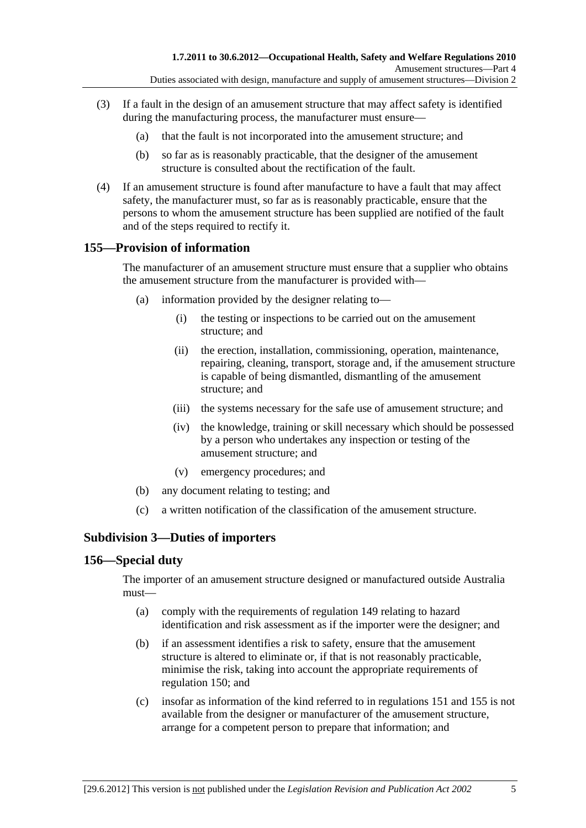- (3) If a fault in the design of an amusement structure that may affect safety is identified during the manufacturing process, the manufacturer must ensure—
	- (a) that the fault is not incorporated into the amusement structure; and
	- (b) so far as is reasonably practicable, that the designer of the amusement structure is consulted about the rectification of the fault.
- (4) If an amusement structure is found after manufacture to have a fault that may affect safety, the manufacturer must, so far as is reasonably practicable, ensure that the persons to whom the amusement structure has been supplied are notified of the fault and of the steps required to rectify it.

## **155—Provision of information**

The manufacturer of an amusement structure must ensure that a supplier who obtains the amusement structure from the manufacturer is provided with—

- (a) information provided by the designer relating to—
	- (i) the testing or inspections to be carried out on the amusement structure; and
	- (ii) the erection, installation, commissioning, operation, maintenance, repairing, cleaning, transport, storage and, if the amusement structure is capable of being dismantled, dismantling of the amusement structure; and
	- (iii) the systems necessary for the safe use of amusement structure; and
	- (iv) the knowledge, training or skill necessary which should be possessed by a person who undertakes any inspection or testing of the amusement structure; and
	- (v) emergency procedures; and
- (b) any document relating to testing; and
- (c) a written notification of the classification of the amusement structure.

## **Subdivision 3—Duties of importers**

### **156—Special duty**

The importer of an amusement structure designed or manufactured outside Australia must—

- (a) comply with the requirements of regulation 149 relating to hazard identification and risk assessment as if the importer were the designer; and
- (b) if an assessment identifies a risk to safety, ensure that the amusement structure is altered to eliminate or, if that is not reasonably practicable, minimise the risk, taking into account the appropriate requirements of regulation 150; and
- (c) insofar as information of the kind referred to in regulations 151 and 155 is not available from the designer or manufacturer of the amusement structure, arrange for a competent person to prepare that information; and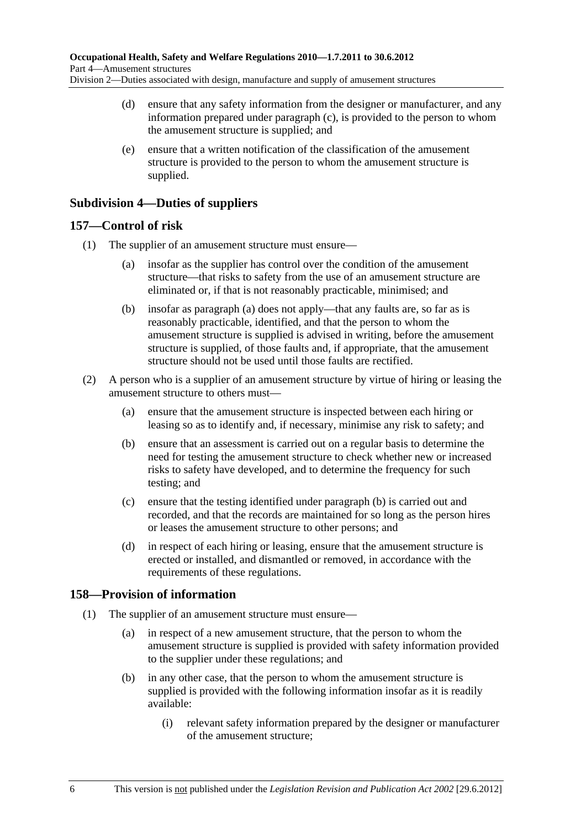- (d) ensure that any safety information from the designer or manufacturer, and any information prepared under paragraph (c), is provided to the person to whom the amusement structure is supplied; and
- (e) ensure that a written notification of the classification of the amusement structure is provided to the person to whom the amusement structure is supplied.

## **Subdivision 4—Duties of suppliers**

## **157—Control of risk**

- (1) The supplier of an amusement structure must ensure—
	- (a) insofar as the supplier has control over the condition of the amusement structure—that risks to safety from the use of an amusement structure are eliminated or, if that is not reasonably practicable, minimised; and
	- (b) insofar as paragraph (a) does not apply—that any faults are, so far as is reasonably practicable, identified, and that the person to whom the amusement structure is supplied is advised in writing, before the amusement structure is supplied, of those faults and, if appropriate, that the amusement structure should not be used until those faults are rectified.
- (2) A person who is a supplier of an amusement structure by virtue of hiring or leasing the amusement structure to others must—
	- (a) ensure that the amusement structure is inspected between each hiring or leasing so as to identify and, if necessary, minimise any risk to safety; and
	- (b) ensure that an assessment is carried out on a regular basis to determine the need for testing the amusement structure to check whether new or increased risks to safety have developed, and to determine the frequency for such testing; and
	- (c) ensure that the testing identified under paragraph (b) is carried out and recorded, and that the records are maintained for so long as the person hires or leases the amusement structure to other persons; and
	- (d) in respect of each hiring or leasing, ensure that the amusement structure is erected or installed, and dismantled or removed, in accordance with the requirements of these regulations.

## **158—Provision of information**

- (1) The supplier of an amusement structure must ensure—
	- (a) in respect of a new amusement structure, that the person to whom the amusement structure is supplied is provided with safety information provided to the supplier under these regulations; and
	- (b) in any other case, that the person to whom the amusement structure is supplied is provided with the following information insofar as it is readily available:
		- (i) relevant safety information prepared by the designer or manufacturer of the amusement structure;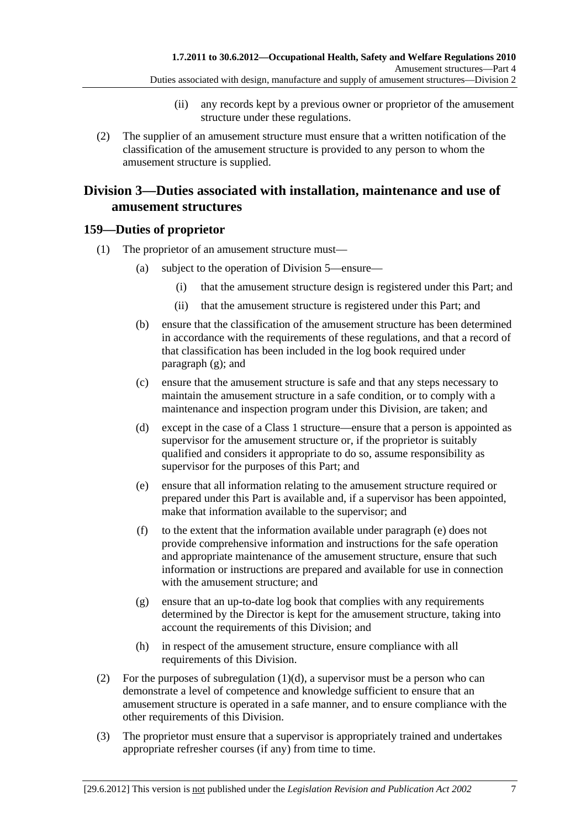- (ii) any records kept by a previous owner or proprietor of the amusement structure under these regulations.
- (2) The supplier of an amusement structure must ensure that a written notification of the classification of the amusement structure is provided to any person to whom the amusement structure is supplied.

## **Division 3—Duties associated with installation, maintenance and use of amusement structures**

## **159—Duties of proprietor**

- (1) The proprietor of an amusement structure must—
	- (a) subject to the operation of Division 5—ensure—
		- (i) that the amusement structure design is registered under this Part; and
		- (ii) that the amusement structure is registered under this Part; and
	- (b) ensure that the classification of the amusement structure has been determined in accordance with the requirements of these regulations, and that a record of that classification has been included in the log book required under paragraph (g); and
	- (c) ensure that the amusement structure is safe and that any steps necessary to maintain the amusement structure in a safe condition, or to comply with a maintenance and inspection program under this Division, are taken; and
	- (d) except in the case of a Class 1 structure—ensure that a person is appointed as supervisor for the amusement structure or, if the proprietor is suitably qualified and considers it appropriate to do so, assume responsibility as supervisor for the purposes of this Part; and
	- (e) ensure that all information relating to the amusement structure required or prepared under this Part is available and, if a supervisor has been appointed, make that information available to the supervisor; and
	- (f) to the extent that the information available under paragraph (e) does not provide comprehensive information and instructions for the safe operation and appropriate maintenance of the amusement structure, ensure that such information or instructions are prepared and available for use in connection with the amusement structure; and
	- (g) ensure that an up-to-date log book that complies with any requirements determined by the Director is kept for the amusement structure, taking into account the requirements of this Division; and
	- (h) in respect of the amusement structure, ensure compliance with all requirements of this Division.
- (2) For the purposes of subregulation  $(1)(d)$ , a supervisor must be a person who can demonstrate a level of competence and knowledge sufficient to ensure that an amusement structure is operated in a safe manner, and to ensure compliance with the other requirements of this Division.
- (3) The proprietor must ensure that a supervisor is appropriately trained and undertakes appropriate refresher courses (if any) from time to time.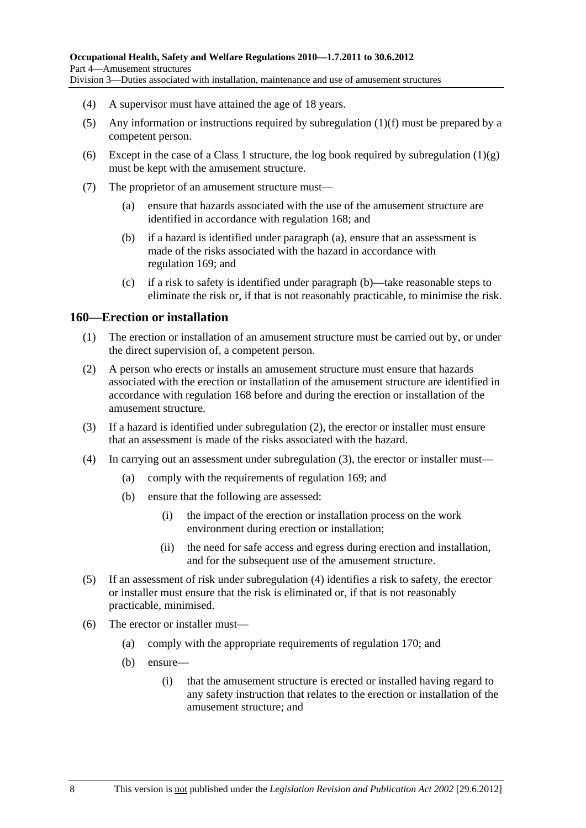- (4) A supervisor must have attained the age of 18 years.
- (5) Any information or instructions required by subregulation (1)(f) must be prepared by a competent person.
- (6) Except in the case of a Class 1 structure, the log book required by subregulation  $(1)(g)$ must be kept with the amusement structure.
- (7) The proprietor of an amusement structure must—
	- (a) ensure that hazards associated with the use of the amusement structure are identified in accordance with regulation 168; and
	- (b) if a hazard is identified under paragraph (a), ensure that an assessment is made of the risks associated with the hazard in accordance with regulation 169; and
	- (c) if a risk to safety is identified under paragraph (b)—take reasonable steps to eliminate the risk or, if that is not reasonably practicable, to minimise the risk.

## **160—Erection or installation**

- (1) The erection or installation of an amusement structure must be carried out by, or under the direct supervision of, a competent person.
- (2) A person who erects or installs an amusement structure must ensure that hazards associated with the erection or installation of the amusement structure are identified in accordance with regulation 168 before and during the erection or installation of the amusement structure.
- (3) If a hazard is identified under subregulation (2), the erector or installer must ensure that an assessment is made of the risks associated with the hazard.
- (4) In carrying out an assessment under subregulation (3), the erector or installer must—
	- (a) comply with the requirements of regulation 169; and
	- (b) ensure that the following are assessed:
		- (i) the impact of the erection or installation process on the work environment during erection or installation;
		- (ii) the need for safe access and egress during erection and installation, and for the subsequent use of the amusement structure.
- (5) If an assessment of risk under subregulation (4) identifies a risk to safety, the erector or installer must ensure that the risk is eliminated or, if that is not reasonably practicable, minimised.
- (6) The erector or installer must—
	- (a) comply with the appropriate requirements of regulation 170; and
	- (b) ensure—
		- (i) that the amusement structure is erected or installed having regard to any safety instruction that relates to the erection or installation of the amusement structure; and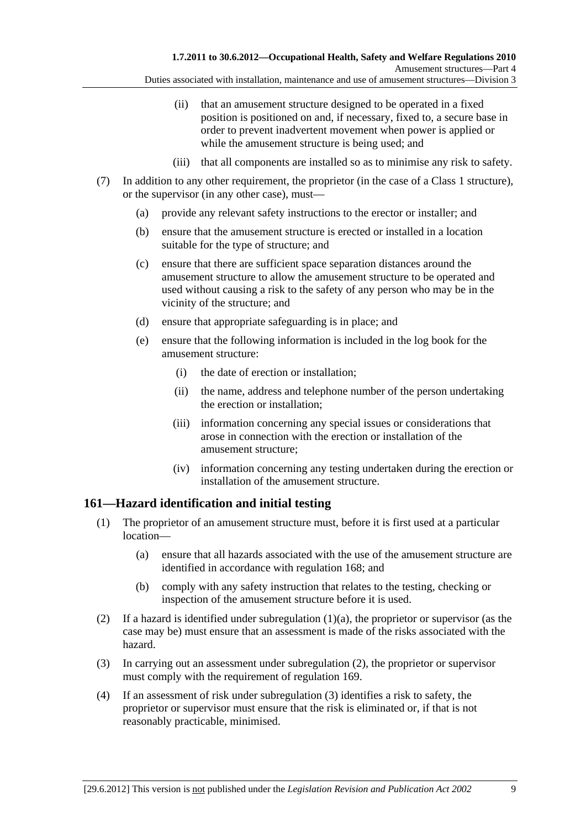Duties associated with installation, maintenance and use of amusement structures—Division 3

- (ii) that an amusement structure designed to be operated in a fixed position is positioned on and, if necessary, fixed to, a secure base in order to prevent inadvertent movement when power is applied or while the amusement structure is being used; and
- (iii) that all components are installed so as to minimise any risk to safety.
- (7) In addition to any other requirement, the proprietor (in the case of a Class 1 structure), or the supervisor (in any other case), must—
	- (a) provide any relevant safety instructions to the erector or installer; and
	- (b) ensure that the amusement structure is erected or installed in a location suitable for the type of structure; and
	- (c) ensure that there are sufficient space separation distances around the amusement structure to allow the amusement structure to be operated and used without causing a risk to the safety of any person who may be in the vicinity of the structure; and
	- (d) ensure that appropriate safeguarding is in place; and
	- (e) ensure that the following information is included in the log book for the amusement structure:
		- (i) the date of erection or installation;
		- (ii) the name, address and telephone number of the person undertaking the erection or installation;
		- (iii) information concerning any special issues or considerations that arose in connection with the erection or installation of the amusement structure;
		- (iv) information concerning any testing undertaken during the erection or installation of the amusement structure.

# **161—Hazard identification and initial testing**

- (1) The proprietor of an amusement structure must, before it is first used at a particular location—
	- (a) ensure that all hazards associated with the use of the amusement structure are identified in accordance with regulation 168; and
	- (b) comply with any safety instruction that relates to the testing, checking or inspection of the amusement structure before it is used.
- (2) If a hazard is identified under subregulation (1)(a), the proprietor or supervisor (as the case may be) must ensure that an assessment is made of the risks associated with the hazard.
- (3) In carrying out an assessment under subregulation (2), the proprietor or supervisor must comply with the requirement of regulation 169.
- (4) If an assessment of risk under subregulation (3) identifies a risk to safety, the proprietor or supervisor must ensure that the risk is eliminated or, if that is not reasonably practicable, minimised.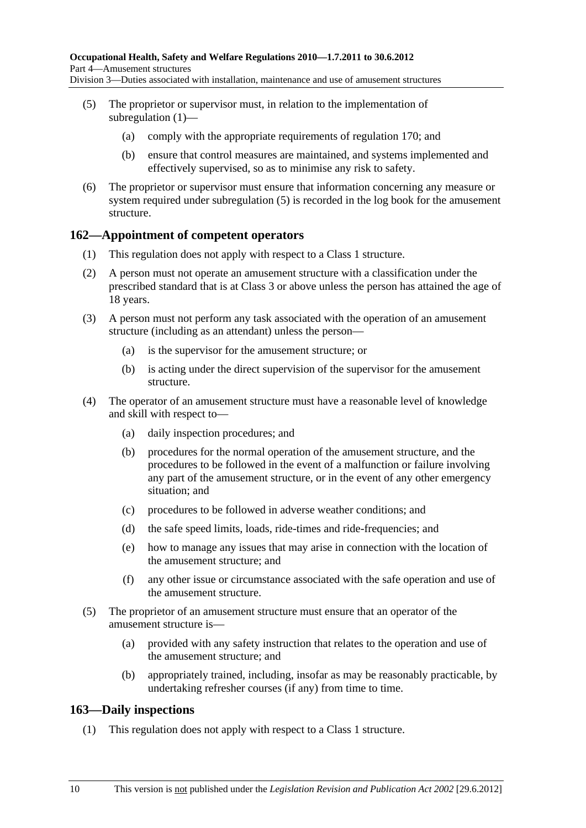- (5) The proprietor or supervisor must, in relation to the implementation of subregulation (1)—
	- (a) comply with the appropriate requirements of regulation 170; and
	- (b) ensure that control measures are maintained, and systems implemented and effectively supervised, so as to minimise any risk to safety.
- (6) The proprietor or supervisor must ensure that information concerning any measure or system required under subregulation (5) is recorded in the log book for the amusement structure.

## **162—Appointment of competent operators**

- (1) This regulation does not apply with respect to a Class 1 structure.
- (2) A person must not operate an amusement structure with a classification under the prescribed standard that is at Class 3 or above unless the person has attained the age of 18 years.
- (3) A person must not perform any task associated with the operation of an amusement structure (including as an attendant) unless the person—
	- (a) is the supervisor for the amusement structure; or
	- (b) is acting under the direct supervision of the supervisor for the amusement structure.
- (4) The operator of an amusement structure must have a reasonable level of knowledge and skill with respect to—
	- (a) daily inspection procedures; and
	- (b) procedures for the normal operation of the amusement structure, and the procedures to be followed in the event of a malfunction or failure involving any part of the amusement structure, or in the event of any other emergency situation; and
	- (c) procedures to be followed in adverse weather conditions; and
	- (d) the safe speed limits, loads, ride-times and ride-frequencies; and
	- (e) how to manage any issues that may arise in connection with the location of the amusement structure; and
	- (f) any other issue or circumstance associated with the safe operation and use of the amusement structure.
- (5) The proprietor of an amusement structure must ensure that an operator of the amusement structure is—
	- (a) provided with any safety instruction that relates to the operation and use of the amusement structure; and
	- (b) appropriately trained, including, insofar as may be reasonably practicable, by undertaking refresher courses (if any) from time to time.

## **163—Daily inspections**

(1) This regulation does not apply with respect to a Class 1 structure.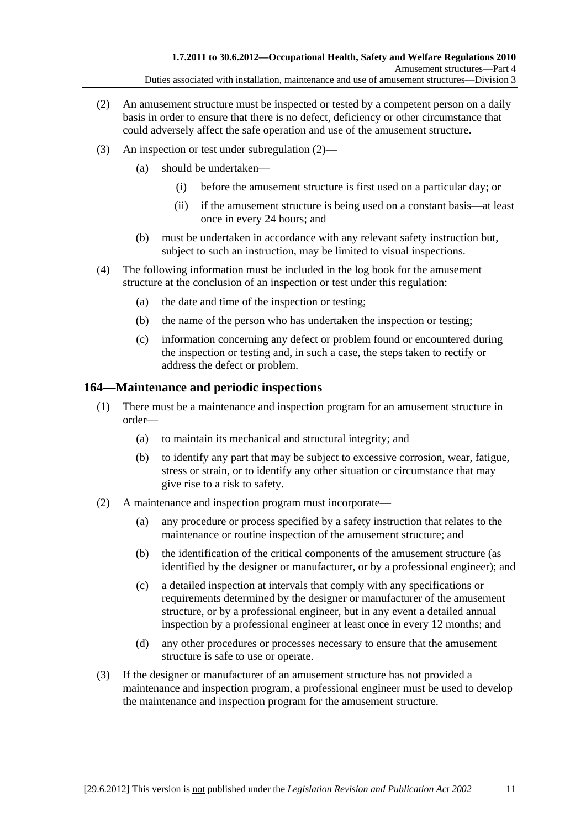- (2) An amusement structure must be inspected or tested by a competent person on a daily basis in order to ensure that there is no defect, deficiency or other circumstance that could adversely affect the safe operation and use of the amusement structure.
- (3) An inspection or test under subregulation (2)—
	- (a) should be undertaken—
		- (i) before the amusement structure is first used on a particular day; or
		- (ii) if the amusement structure is being used on a constant basis—at least once in every 24 hours; and
	- (b) must be undertaken in accordance with any relevant safety instruction but, subject to such an instruction, may be limited to visual inspections.
- (4) The following information must be included in the log book for the amusement structure at the conclusion of an inspection or test under this regulation:
	- (a) the date and time of the inspection or testing;
	- (b) the name of the person who has undertaken the inspection or testing;
	- (c) information concerning any defect or problem found or encountered during the inspection or testing and, in such a case, the steps taken to rectify or address the defect or problem.

## **164—Maintenance and periodic inspections**

- (1) There must be a maintenance and inspection program for an amusement structure in order—
	- (a) to maintain its mechanical and structural integrity; and
	- (b) to identify any part that may be subject to excessive corrosion, wear, fatigue, stress or strain, or to identify any other situation or circumstance that may give rise to a risk to safety.
- (2) A maintenance and inspection program must incorporate—
	- (a) any procedure or process specified by a safety instruction that relates to the maintenance or routine inspection of the amusement structure; and
	- (b) the identification of the critical components of the amusement structure (as identified by the designer or manufacturer, or by a professional engineer); and
	- (c) a detailed inspection at intervals that comply with any specifications or requirements determined by the designer or manufacturer of the amusement structure, or by a professional engineer, but in any event a detailed annual inspection by a professional engineer at least once in every 12 months; and
	- (d) any other procedures or processes necessary to ensure that the amusement structure is safe to use or operate.
- (3) If the designer or manufacturer of an amusement structure has not provided a maintenance and inspection program, a professional engineer must be used to develop the maintenance and inspection program for the amusement structure.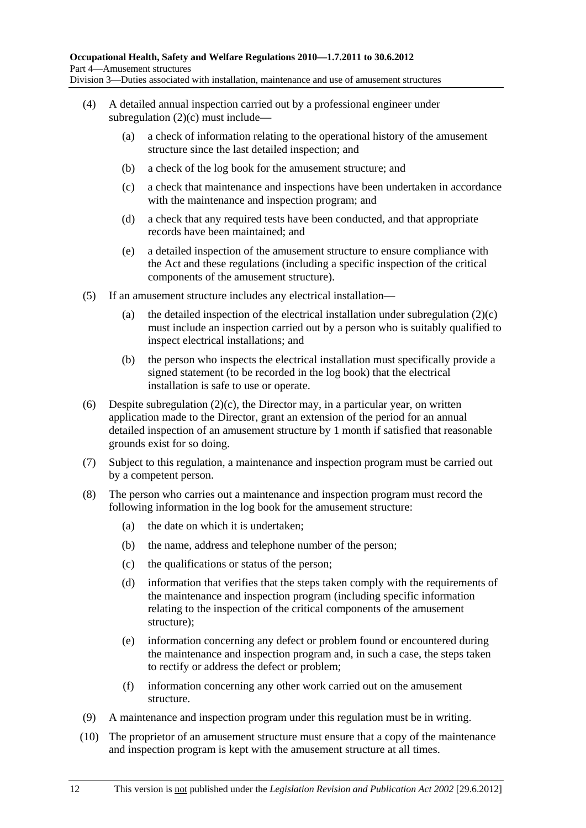- (4) A detailed annual inspection carried out by a professional engineer under subregulation (2)(c) must include—
	- (a) a check of information relating to the operational history of the amusement structure since the last detailed inspection; and
	- (b) a check of the log book for the amusement structure; and
	- (c) a check that maintenance and inspections have been undertaken in accordance with the maintenance and inspection program; and
	- (d) a check that any required tests have been conducted, and that appropriate records have been maintained; and
	- (e) a detailed inspection of the amusement structure to ensure compliance with the Act and these regulations (including a specific inspection of the critical components of the amusement structure).
- (5) If an amusement structure includes any electrical installation—
	- (a) the detailed inspection of the electrical installation under subregulation  $(2)(c)$ must include an inspection carried out by a person who is suitably qualified to inspect electrical installations; and
	- (b) the person who inspects the electrical installation must specifically provide a signed statement (to be recorded in the log book) that the electrical installation is safe to use or operate.
- (6) Despite subregulation  $(2)(c)$ , the Director may, in a particular year, on written application made to the Director, grant an extension of the period for an annual detailed inspection of an amusement structure by 1 month if satisfied that reasonable grounds exist for so doing.
- (7) Subject to this regulation, a maintenance and inspection program must be carried out by a competent person.
- (8) The person who carries out a maintenance and inspection program must record the following information in the log book for the amusement structure:
	- (a) the date on which it is undertaken;
	- (b) the name, address and telephone number of the person;
	- (c) the qualifications or status of the person;
	- (d) information that verifies that the steps taken comply with the requirements of the maintenance and inspection program (including specific information relating to the inspection of the critical components of the amusement structure);
	- (e) information concerning any defect or problem found or encountered during the maintenance and inspection program and, in such a case, the steps taken to rectify or address the defect or problem;
	- (f) information concerning any other work carried out on the amusement structure.
- (9) A maintenance and inspection program under this regulation must be in writing.
- (10) The proprietor of an amusement structure must ensure that a copy of the maintenance and inspection program is kept with the amusement structure at all times.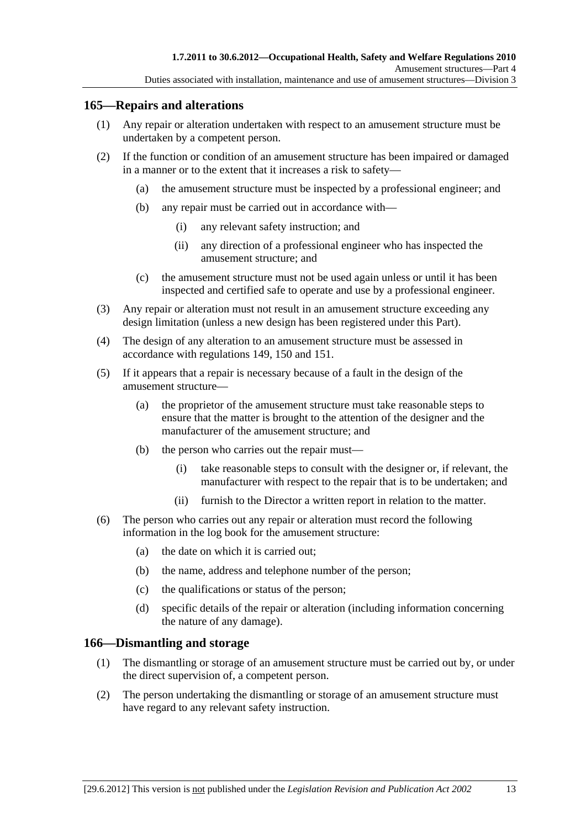## **165—Repairs and alterations**

- (1) Any repair or alteration undertaken with respect to an amusement structure must be undertaken by a competent person.
- (2) If the function or condition of an amusement structure has been impaired or damaged in a manner or to the extent that it increases a risk to safety—
	- (a) the amusement structure must be inspected by a professional engineer; and
	- (b) any repair must be carried out in accordance with—
		- (i) any relevant safety instruction; and
		- (ii) any direction of a professional engineer who has inspected the amusement structure; and
	- (c) the amusement structure must not be used again unless or until it has been inspected and certified safe to operate and use by a professional engineer.
- (3) Any repair or alteration must not result in an amusement structure exceeding any design limitation (unless a new design has been registered under this Part).
- (4) The design of any alteration to an amusement structure must be assessed in accordance with regulations 149, 150 and 151.
- (5) If it appears that a repair is necessary because of a fault in the design of the amusement structure—
	- (a) the proprietor of the amusement structure must take reasonable steps to ensure that the matter is brought to the attention of the designer and the manufacturer of the amusement structure; and
	- (b) the person who carries out the repair must—
		- (i) take reasonable steps to consult with the designer or, if relevant, the manufacturer with respect to the repair that is to be undertaken; and
		- (ii) furnish to the Director a written report in relation to the matter.
- (6) The person who carries out any repair or alteration must record the following information in the log book for the amusement structure:
	- (a) the date on which it is carried out;
	- (b) the name, address and telephone number of the person;
	- (c) the qualifications or status of the person;
	- (d) specific details of the repair or alteration (including information concerning the nature of any damage).

## **166—Dismantling and storage**

- (1) The dismantling or storage of an amusement structure must be carried out by, or under the direct supervision of, a competent person.
- (2) The person undertaking the dismantling or storage of an amusement structure must have regard to any relevant safety instruction.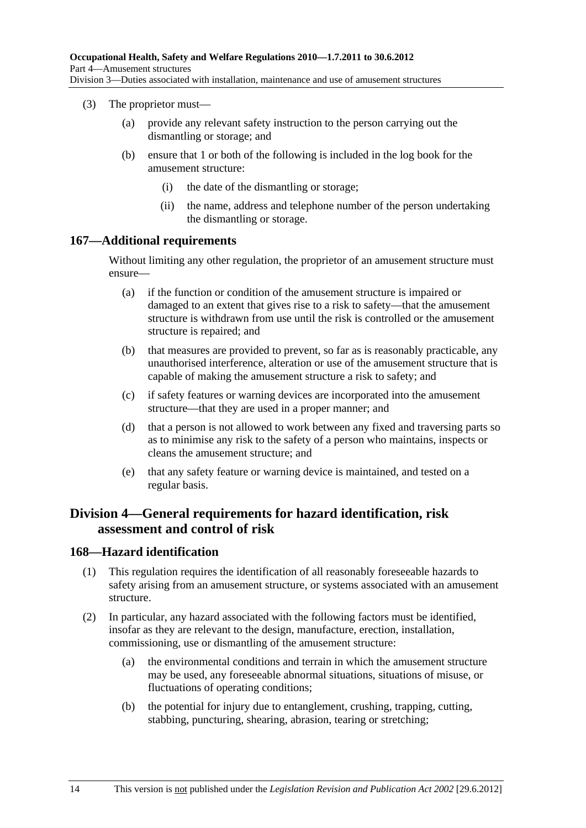- (3) The proprietor must—
	- (a) provide any relevant safety instruction to the person carrying out the dismantling or storage; and
	- (b) ensure that 1 or both of the following is included in the log book for the amusement structure:
		- (i) the date of the dismantling or storage;
		- (ii) the name, address and telephone number of the person undertaking the dismantling or storage.

### **167—Additional requirements**

Without limiting any other regulation, the proprietor of an amusement structure must ensure—

- (a) if the function or condition of the amusement structure is impaired or damaged to an extent that gives rise to a risk to safety—that the amusement structure is withdrawn from use until the risk is controlled or the amusement structure is repaired; and
- (b) that measures are provided to prevent, so far as is reasonably practicable, any unauthorised interference, alteration or use of the amusement structure that is capable of making the amusement structure a risk to safety; and
- (c) if safety features or warning devices are incorporated into the amusement structure—that they are used in a proper manner; and
- (d) that a person is not allowed to work between any fixed and traversing parts so as to minimise any risk to the safety of a person who maintains, inspects or cleans the amusement structure; and
- (e) that any safety feature or warning device is maintained, and tested on a regular basis.

## **Division 4—General requirements for hazard identification, risk assessment and control of risk**

## **168—Hazard identification**

- (1) This regulation requires the identification of all reasonably foreseeable hazards to safety arising from an amusement structure, or systems associated with an amusement structure.
- (2) In particular, any hazard associated with the following factors must be identified, insofar as they are relevant to the design, manufacture, erection, installation, commissioning, use or dismantling of the amusement structure:
	- (a) the environmental conditions and terrain in which the amusement structure may be used, any foreseeable abnormal situations, situations of misuse, or fluctuations of operating conditions;
	- (b) the potential for injury due to entanglement, crushing, trapping, cutting, stabbing, puncturing, shearing, abrasion, tearing or stretching;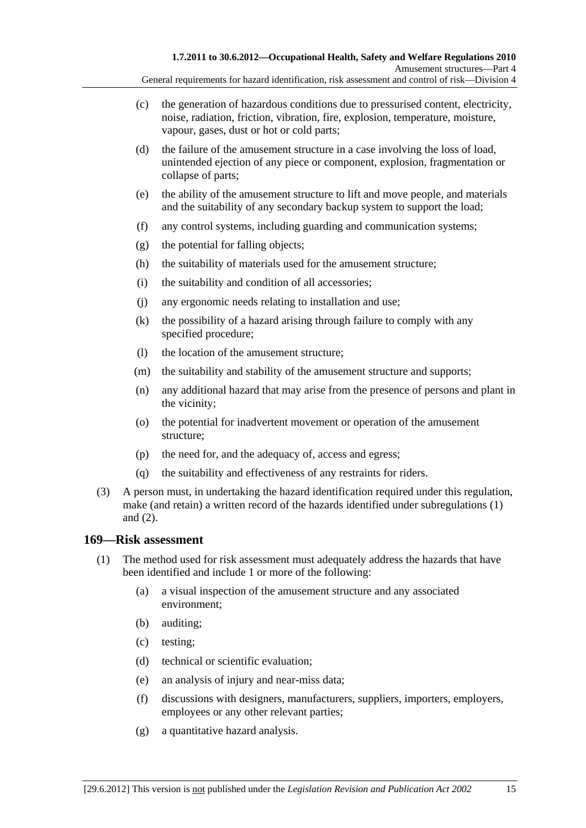- (c) the generation of hazardous conditions due to pressurised content, electricity, noise, radiation, friction, vibration, fire, explosion, temperature, moisture, vapour, gases, dust or hot or cold parts;
- (d) the failure of the amusement structure in a case involving the loss of load, unintended ejection of any piece or component, explosion, fragmentation or collapse of parts;
- (e) the ability of the amusement structure to lift and move people, and materials and the suitability of any secondary backup system to support the load;
- (f) any control systems, including guarding and communication systems;
- (g) the potential for falling objects;
- (h) the suitability of materials used for the amusement structure;
- (i) the suitability and condition of all accessories;
- (j) any ergonomic needs relating to installation and use;
- (k) the possibility of a hazard arising through failure to comply with any specified procedure;
- (l) the location of the amusement structure;
- (m) the suitability and stability of the amusement structure and supports;
- (n) any additional hazard that may arise from the presence of persons and plant in the vicinity;
- (o) the potential for inadvertent movement or operation of the amusement structure;
- (p) the need for, and the adequacy of, access and egress;
- (q) the suitability and effectiveness of any restraints for riders.
- (3) A person must, in undertaking the hazard identification required under this regulation, make (and retain) a written record of the hazards identified under subregulations (1) and (2).

### **169—Risk assessment**

- (1) The method used for risk assessment must adequately address the hazards that have been identified and include 1 or more of the following:
	- (a) a visual inspection of the amusement structure and any associated environment;
	- (b) auditing;
	- (c) testing;
	- (d) technical or scientific evaluation;
	- (e) an analysis of injury and near-miss data;
	- (f) discussions with designers, manufacturers, suppliers, importers, employers, employees or any other relevant parties;
	- (g) a quantitative hazard analysis.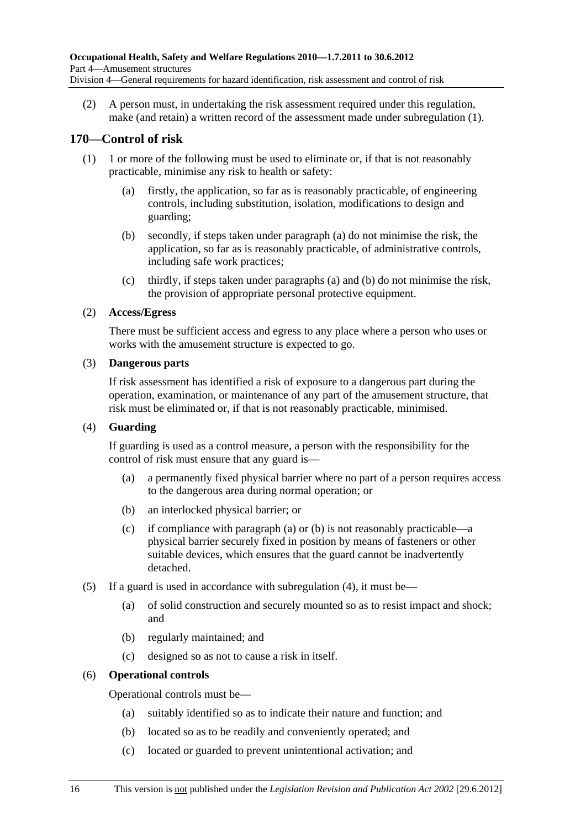(2) A person must, in undertaking the risk assessment required under this regulation, make (and retain) a written record of the assessment made under subregulation (1).

## **170—Control of risk**

- (1) 1 or more of the following must be used to eliminate or, if that is not reasonably practicable, minimise any risk to health or safety:
	- (a) firstly, the application, so far as is reasonably practicable, of engineering controls, including substitution, isolation, modifications to design and guarding;
	- (b) secondly, if steps taken under paragraph (a) do not minimise the risk, the application, so far as is reasonably practicable, of administrative controls, including safe work practices;
	- (c) thirdly, if steps taken under paragraphs (a) and (b) do not minimise the risk, the provision of appropriate personal protective equipment.

## (2) **Access/Egress**

There must be sufficient access and egress to any place where a person who uses or works with the amusement structure is expected to go.

## (3) **Dangerous parts**

If risk assessment has identified a risk of exposure to a dangerous part during the operation, examination, or maintenance of any part of the amusement structure, that risk must be eliminated or, if that is not reasonably practicable, minimised.

### (4) **Guarding**

If guarding is used as a control measure, a person with the responsibility for the control of risk must ensure that any guard is—

- (a) a permanently fixed physical barrier where no part of a person requires access to the dangerous area during normal operation; or
- (b) an interlocked physical barrier; or
- (c) if compliance with paragraph (a) or (b) is not reasonably practicable—a physical barrier securely fixed in position by means of fasteners or other suitable devices, which ensures that the guard cannot be inadvertently detached.
- (5) If a guard is used in accordance with subregulation (4), it must be—
	- (a) of solid construction and securely mounted so as to resist impact and shock; and
	- (b) regularly maintained; and
	- (c) designed so as not to cause a risk in itself.

## (6) **Operational controls**

Operational controls must be—

- (a) suitably identified so as to indicate their nature and function; and
- (b) located so as to be readily and conveniently operated; and
- (c) located or guarded to prevent unintentional activation; and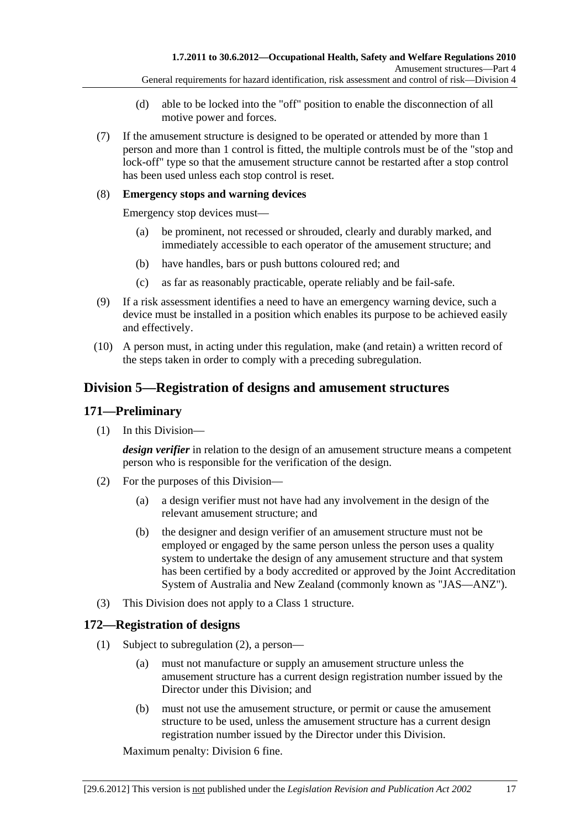- (d) able to be locked into the "off" position to enable the disconnection of all motive power and forces.
- (7) If the amusement structure is designed to be operated or attended by more than 1 person and more than 1 control is fitted, the multiple controls must be of the "stop and lock-off" type so that the amusement structure cannot be restarted after a stop control has been used unless each stop control is reset.

### (8) **Emergency stops and warning devices**

Emergency stop devices must—

- (a) be prominent, not recessed or shrouded, clearly and durably marked, and immediately accessible to each operator of the amusement structure; and
- (b) have handles, bars or push buttons coloured red; and
- (c) as far as reasonably practicable, operate reliably and be fail-safe.
- (9) If a risk assessment identifies a need to have an emergency warning device, such a device must be installed in a position which enables its purpose to be achieved easily and effectively.
- (10) A person must, in acting under this regulation, make (and retain) a written record of the steps taken in order to comply with a preceding subregulation.

## **Division 5—Registration of designs and amusement structures**

### **171—Preliminary**

(1) In this Division—

*design verifier* in relation to the design of an amusement structure means a competent person who is responsible for the verification of the design.

- (2) For the purposes of this Division—
	- (a) a design verifier must not have had any involvement in the design of the relevant amusement structure; and
	- (b) the designer and design verifier of an amusement structure must not be employed or engaged by the same person unless the person uses a quality system to undertake the design of any amusement structure and that system has been certified by a body accredited or approved by the Joint Accreditation System of Australia and New Zealand (commonly known as "JAS—ANZ").
- (3) This Division does not apply to a Class 1 structure.

### **172—Registration of designs**

- (1) Subject to subregulation (2), a person—
	- (a) must not manufacture or supply an amusement structure unless the amusement structure has a current design registration number issued by the Director under this Division; and
	- (b) must not use the amusement structure, or permit or cause the amusement structure to be used, unless the amusement structure has a current design registration number issued by the Director under this Division.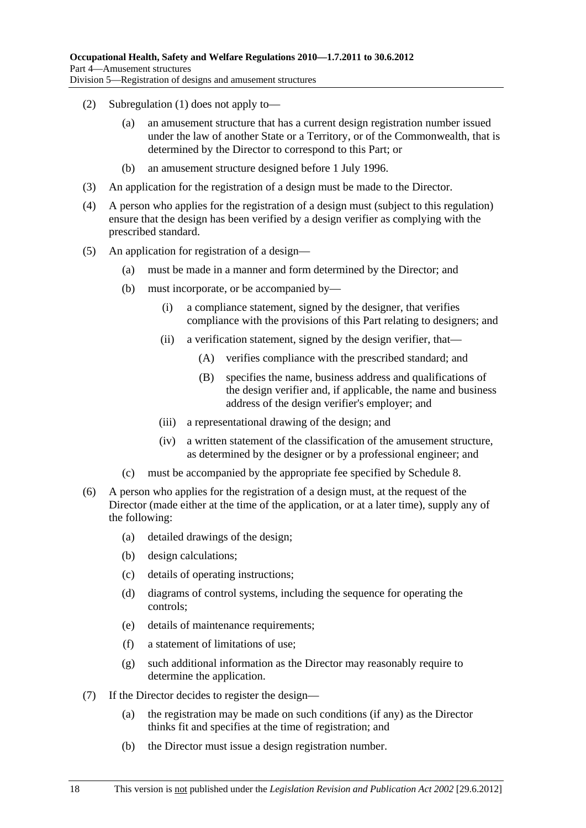- (2) Subregulation (1) does not apply to—
	- (a) an amusement structure that has a current design registration number issued under the law of another State or a Territory, or of the Commonwealth, that is determined by the Director to correspond to this Part; or
	- (b) an amusement structure designed before 1 July 1996.
- (3) An application for the registration of a design must be made to the Director.
- (4) A person who applies for the registration of a design must (subject to this regulation) ensure that the design has been verified by a design verifier as complying with the prescribed standard.
- (5) An application for registration of a design—
	- (a) must be made in a manner and form determined by the Director; and
	- (b) must incorporate, or be accompanied by—
		- (i) a compliance statement, signed by the designer, that verifies compliance with the provisions of this Part relating to designers; and
		- (ii) a verification statement, signed by the design verifier, that—
			- (A) verifies compliance with the prescribed standard; and
			- (B) specifies the name, business address and qualifications of the design verifier and, if applicable, the name and business address of the design verifier's employer; and
		- (iii) a representational drawing of the design; and
		- (iv) a written statement of the classification of the amusement structure, as determined by the designer or by a professional engineer; and
	- (c) must be accompanied by the appropriate fee specified by Schedule 8.
- (6) A person who applies for the registration of a design must, at the request of the Director (made either at the time of the application, or at a later time), supply any of the following:
	- (a) detailed drawings of the design;
	- (b) design calculations;
	- (c) details of operating instructions;
	- (d) diagrams of control systems, including the sequence for operating the controls;
	- (e) details of maintenance requirements;
	- (f) a statement of limitations of use;
	- (g) such additional information as the Director may reasonably require to determine the application.
- (7) If the Director decides to register the design—
	- (a) the registration may be made on such conditions (if any) as the Director thinks fit and specifies at the time of registration; and
	- (b) the Director must issue a design registration number.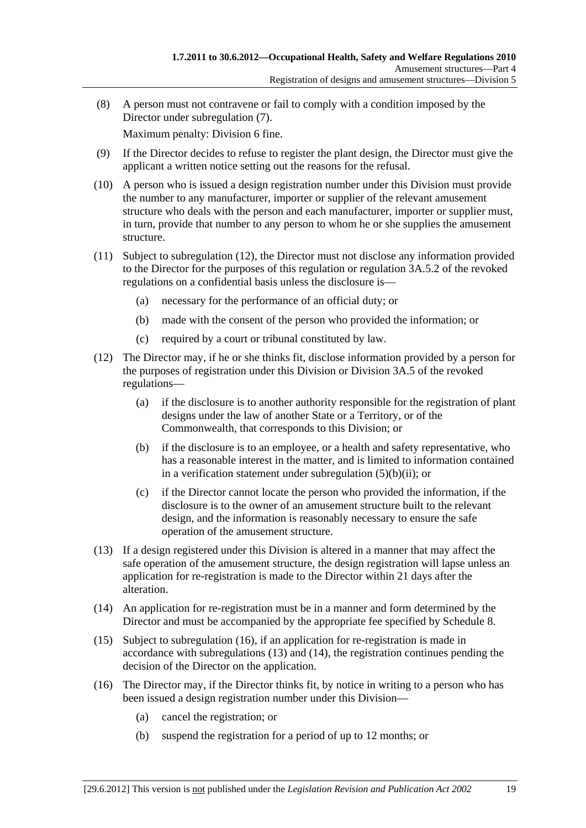(8) A person must not contravene or fail to comply with a condition imposed by the Director under subregulation (7).

- (9) If the Director decides to refuse to register the plant design, the Director must give the applicant a written notice setting out the reasons for the refusal.
- (10) A person who is issued a design registration number under this Division must provide the number to any manufacturer, importer or supplier of the relevant amusement structure who deals with the person and each manufacturer, importer or supplier must, in turn, provide that number to any person to whom he or she supplies the amusement structure.
- (11) Subject to subregulation (12), the Director must not disclose any information provided to the Director for the purposes of this regulation or regulation 3A.5.2 of the revoked regulations on a confidential basis unless the disclosure is—
	- (a) necessary for the performance of an official duty; or
	- (b) made with the consent of the person who provided the information; or
	- (c) required by a court or tribunal constituted by law.
- (12) The Director may, if he or she thinks fit, disclose information provided by a person for the purposes of registration under this Division or Division 3A.5 of the revoked regulations—
	- (a) if the disclosure is to another authority responsible for the registration of plant designs under the law of another State or a Territory, or of the Commonwealth, that corresponds to this Division; or
	- (b) if the disclosure is to an employee, or a health and safety representative, who has a reasonable interest in the matter, and is limited to information contained in a verification statement under subregulation  $(5)(b)(ii)$ ; or
	- (c) if the Director cannot locate the person who provided the information, if the disclosure is to the owner of an amusement structure built to the relevant design, and the information is reasonably necessary to ensure the safe operation of the amusement structure.
- (13) If a design registered under this Division is altered in a manner that may affect the safe operation of the amusement structure, the design registration will lapse unless an application for re-registration is made to the Director within 21 days after the alteration.
- (14) An application for re-registration must be in a manner and form determined by the Director and must be accompanied by the appropriate fee specified by Schedule 8.
- (15) Subject to subregulation (16), if an application for re-registration is made in accordance with subregulations (13) and (14), the registration continues pending the decision of the Director on the application.
- (16) The Director may, if the Director thinks fit, by notice in writing to a person who has been issued a design registration number under this Division—
	- (a) cancel the registration; or
	- (b) suspend the registration for a period of up to 12 months; or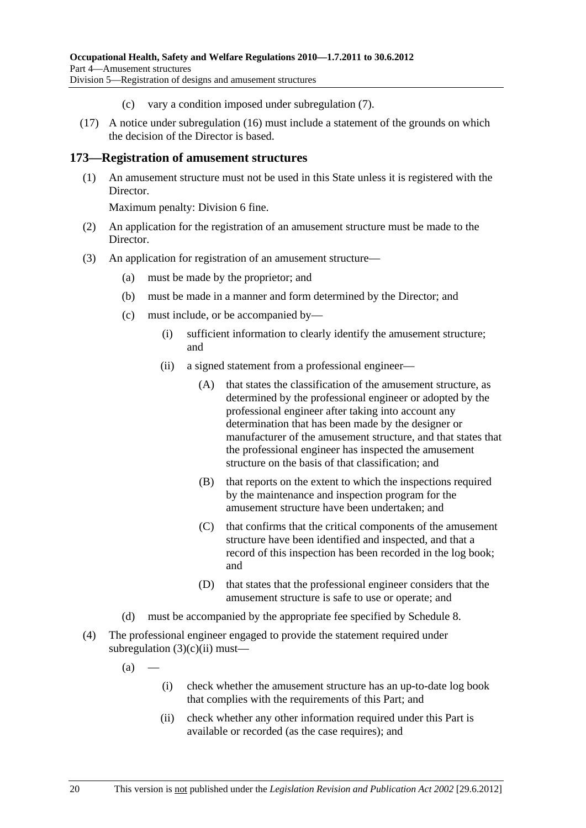- (c) vary a condition imposed under subregulation (7).
- (17) A notice under subregulation (16) must include a statement of the grounds on which the decision of the Director is based.

### **173—Registration of amusement structures**

 (1) An amusement structure must not be used in this State unless it is registered with the Director.

- (2) An application for the registration of an amusement structure must be made to the Director.
- (3) An application for registration of an amusement structure—
	- (a) must be made by the proprietor; and
	- (b) must be made in a manner and form determined by the Director; and
	- (c) must include, or be accompanied by—
		- (i) sufficient information to clearly identify the amusement structure; and
		- (ii) a signed statement from a professional engineer—
			- (A) that states the classification of the amusement structure, as determined by the professional engineer or adopted by the professional engineer after taking into account any determination that has been made by the designer or manufacturer of the amusement structure, and that states that the professional engineer has inspected the amusement structure on the basis of that classification; and
			- (B) that reports on the extent to which the inspections required by the maintenance and inspection program for the amusement structure have been undertaken; and
			- (C) that confirms that the critical components of the amusement structure have been identified and inspected, and that a record of this inspection has been recorded in the log book; and
			- (D) that states that the professional engineer considers that the amusement structure is safe to use or operate; and
	- (d) must be accompanied by the appropriate fee specified by Schedule 8.
- (4) The professional engineer engaged to provide the statement required under subregulation  $(3)(c)(ii)$  must—
	- $(a)$
- (i) check whether the amusement structure has an up-to-date log book that complies with the requirements of this Part; and
- (ii) check whether any other information required under this Part is available or recorded (as the case requires); and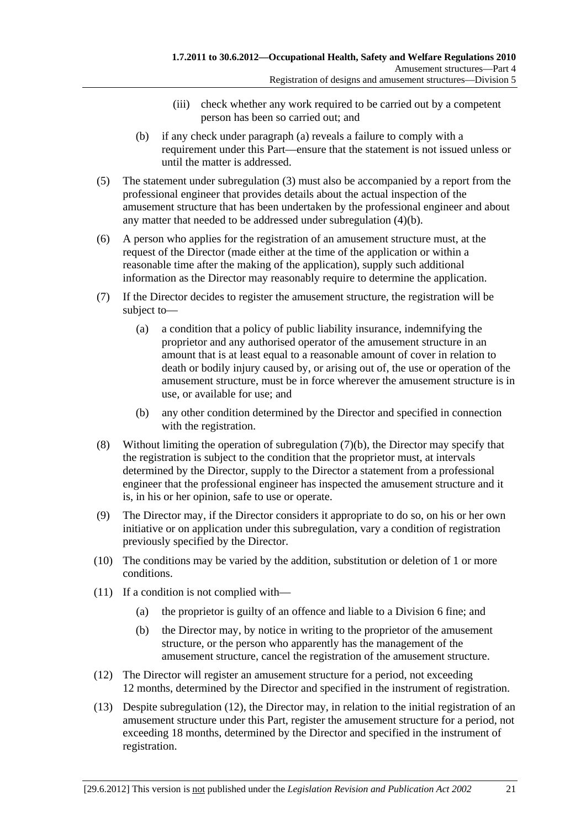- (iii) check whether any work required to be carried out by a competent person has been so carried out; and
- (b) if any check under paragraph (a) reveals a failure to comply with a requirement under this Part—ensure that the statement is not issued unless or until the matter is addressed.
- (5) The statement under subregulation (3) must also be accompanied by a report from the professional engineer that provides details about the actual inspection of the amusement structure that has been undertaken by the professional engineer and about any matter that needed to be addressed under subregulation (4)(b).
- (6) A person who applies for the registration of an amusement structure must, at the request of the Director (made either at the time of the application or within a reasonable time after the making of the application), supply such additional information as the Director may reasonably require to determine the application.
- (7) If the Director decides to register the amusement structure, the registration will be subject to—
	- (a) a condition that a policy of public liability insurance, indemnifying the proprietor and any authorised operator of the amusement structure in an amount that is at least equal to a reasonable amount of cover in relation to death or bodily injury caused by, or arising out of, the use or operation of the amusement structure, must be in force wherever the amusement structure is in use, or available for use; and
	- (b) any other condition determined by the Director and specified in connection with the registration.
- (8) Without limiting the operation of subregulation (7)(b), the Director may specify that the registration is subject to the condition that the proprietor must, at intervals determined by the Director, supply to the Director a statement from a professional engineer that the professional engineer has inspected the amusement structure and it is, in his or her opinion, safe to use or operate.
- (9) The Director may, if the Director considers it appropriate to do so, on his or her own initiative or on application under this subregulation, vary a condition of registration previously specified by the Director.
- (10) The conditions may be varied by the addition, substitution or deletion of 1 or more conditions.
- (11) If a condition is not complied with—
	- (a) the proprietor is guilty of an offence and liable to a Division 6 fine; and
	- (b) the Director may, by notice in writing to the proprietor of the amusement structure, or the person who apparently has the management of the amusement structure, cancel the registration of the amusement structure.
- (12) The Director will register an amusement structure for a period, not exceeding 12 months, determined by the Director and specified in the instrument of registration.
- (13) Despite subregulation (12), the Director may, in relation to the initial registration of an amusement structure under this Part, register the amusement structure for a period, not exceeding 18 months, determined by the Director and specified in the instrument of registration.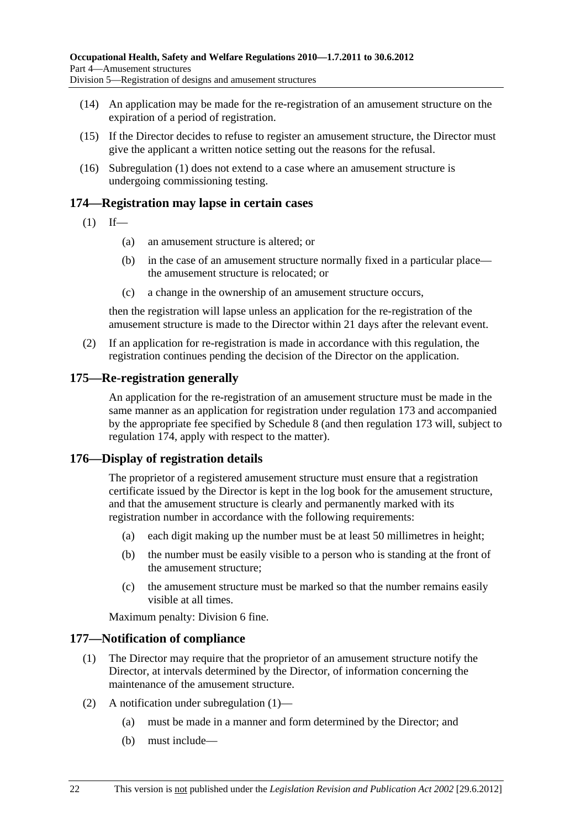- (14) An application may be made for the re-registration of an amusement structure on the expiration of a period of registration.
- (15) If the Director decides to refuse to register an amusement structure, the Director must give the applicant a written notice setting out the reasons for the refusal.
- (16) Subregulation (1) does not extend to a case where an amusement structure is undergoing commissioning testing.

## **174—Registration may lapse in certain cases**

- $(1)$  If—
	- (a) an amusement structure is altered; or
	- (b) in the case of an amusement structure normally fixed in a particular place the amusement structure is relocated; or
	- (c) a change in the ownership of an amusement structure occurs,

then the registration will lapse unless an application for the re-registration of the amusement structure is made to the Director within 21 days after the relevant event.

 (2) If an application for re-registration is made in accordance with this regulation, the registration continues pending the decision of the Director on the application.

### **175—Re-registration generally**

An application for the re-registration of an amusement structure must be made in the same manner as an application for registration under regulation 173 and accompanied by the appropriate fee specified by Schedule 8 (and then regulation 173 will, subject to regulation 174, apply with respect to the matter).

## **176—Display of registration details**

The proprietor of a registered amusement structure must ensure that a registration certificate issued by the Director is kept in the log book for the amusement structure, and that the amusement structure is clearly and permanently marked with its registration number in accordance with the following requirements:

- (a) each digit making up the number must be at least 50 millimetres in height;
- (b) the number must be easily visible to a person who is standing at the front of the amusement structure;
- (c) the amusement structure must be marked so that the number remains easily visible at all times.

Maximum penalty: Division 6 fine.

### **177—Notification of compliance**

- (1) The Director may require that the proprietor of an amusement structure notify the Director, at intervals determined by the Director, of information concerning the maintenance of the amusement structure.
- (2) A notification under subregulation (1)—
	- (a) must be made in a manner and form determined by the Director; and
	- (b) must include—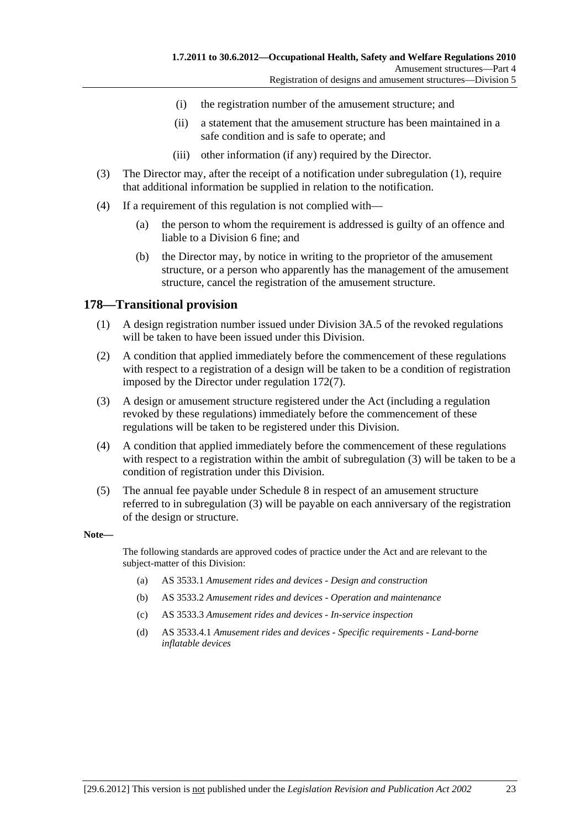- (i) the registration number of the amusement structure; and
- (ii) a statement that the amusement structure has been maintained in a safe condition and is safe to operate; and
- (iii) other information (if any) required by the Director.
- (3) The Director may, after the receipt of a notification under subregulation (1), require that additional information be supplied in relation to the notification.
- (4) If a requirement of this regulation is not complied with—
	- (a) the person to whom the requirement is addressed is guilty of an offence and liable to a Division 6 fine; and
	- (b) the Director may, by notice in writing to the proprietor of the amusement structure, or a person who apparently has the management of the amusement structure, cancel the registration of the amusement structure.

### **178—Transitional provision**

- (1) A design registration number issued under Division 3A.5 of the revoked regulations will be taken to have been issued under this Division.
- (2) A condition that applied immediately before the commencement of these regulations with respect to a registration of a design will be taken to be a condition of registration imposed by the Director under regulation 172(7).
- (3) A design or amusement structure registered under the Act (including a regulation revoked by these regulations) immediately before the commencement of these regulations will be taken to be registered under this Division.
- (4) A condition that applied immediately before the commencement of these regulations with respect to a registration within the ambit of subregulation (3) will be taken to be a condition of registration under this Division.
- (5) The annual fee payable under Schedule 8 in respect of an amusement structure referred to in subregulation (3) will be payable on each anniversary of the registration of the design or structure.

#### **Note—**

The following standards are approved codes of practice under the Act and are relevant to the subject-matter of this Division:

- (a) AS 3533.1 *Amusement rides and devices Design and construction*
- (b) AS 3533.2 *Amusement rides and devices Operation and maintenance*
- (c) AS 3533.3 *Amusement rides and devices In-service inspection*
- (d) AS 3533.4.1 *Amusement rides and devices Specific requirements Land-borne inflatable devices*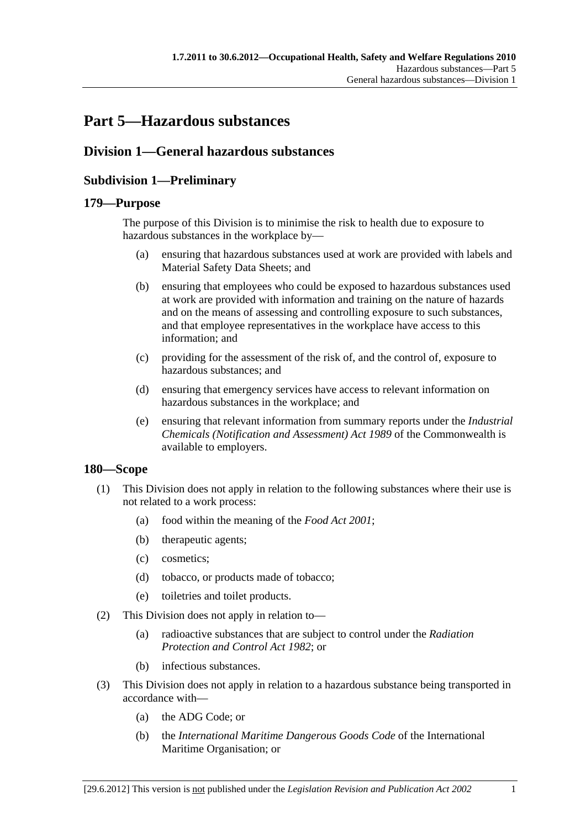# **Part 5—Hazardous substances**

## **Division 1—General hazardous substances**

## **Subdivision 1—Preliminary**

### **179—Purpose**

The purpose of this Division is to minimise the risk to health due to exposure to hazardous substances in the workplace by—

- (a) ensuring that hazardous substances used at work are provided with labels and Material Safety Data Sheets; and
- (b) ensuring that employees who could be exposed to hazardous substances used at work are provided with information and training on the nature of hazards and on the means of assessing and controlling exposure to such substances, and that employee representatives in the workplace have access to this information; and
- (c) providing for the assessment of the risk of, and the control of, exposure to hazardous substances; and
- (d) ensuring that emergency services have access to relevant information on hazardous substances in the workplace; and
- (e) ensuring that relevant information from summary reports under the *Industrial Chemicals (Notification and Assessment) Act 1989* of the Commonwealth is available to employers.

## **180—Scope**

- (1) This Division does not apply in relation to the following substances where their use is not related to a work process:
	- (a) food within the meaning of the *Food Act 2001*;
	- (b) therapeutic agents;
	- (c) cosmetics;
	- (d) tobacco, or products made of tobacco;
	- (e) toiletries and toilet products.
- (2) This Division does not apply in relation to—
	- (a) radioactive substances that are subject to control under the *Radiation Protection and Control Act 1982*; or
	- (b) infectious substances.
- (3) This Division does not apply in relation to a hazardous substance being transported in accordance with—
	- (a) the ADG Code; or
	- (b) the *International Maritime Dangerous Goods Code* of the International Maritime Organisation; or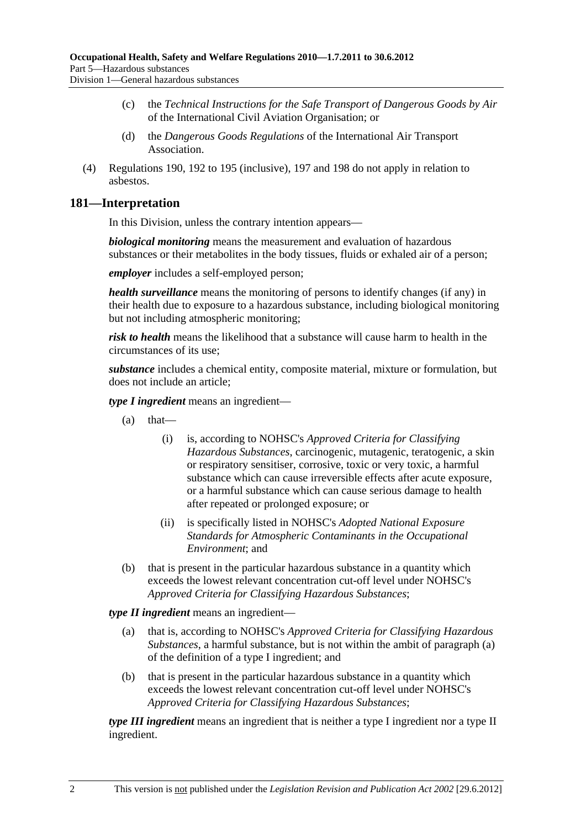- (c) the *Technical Instructions for the Safe Transport of Dangerous Goods by Air* of the International Civil Aviation Organisation; or
- (d) the *Dangerous Goods Regulations* of the International Air Transport Association.
- (4) Regulations 190, 192 to 195 (inclusive), 197 and 198 do not apply in relation to asbestos.

## **181—Interpretation**

In this Division, unless the contrary intention appears—

*biological monitoring* means the measurement and evaluation of hazardous substances or their metabolites in the body tissues, fluids or exhaled air of a person;

*employer* includes a self-employed person;

*health surveillance* means the monitoring of persons to identify changes (if any) in their health due to exposure to a hazardous substance, including biological monitoring but not including atmospheric monitoring;

*risk to health* means the likelihood that a substance will cause harm to health in the circumstances of its use;

*substance* includes a chemical entity, composite material, mixture or formulation, but does not include an article;

*type I ingredient* means an ingredient—

- $(a)$  that—
	- (i) is, according to NOHSC's *Approved Criteria for Classifying Hazardous Substances*, carcinogenic, mutagenic, teratogenic, a skin or respiratory sensitiser, corrosive, toxic or very toxic, a harmful substance which can cause irreversible effects after acute exposure, or a harmful substance which can cause serious damage to health after repeated or prolonged exposure; or
	- (ii) is specifically listed in NOHSC's *Adopted National Exposure Standards for Atmospheric Contaminants in the Occupational Environment*; and
- (b) that is present in the particular hazardous substance in a quantity which exceeds the lowest relevant concentration cut-off level under NOHSC's *Approved Criteria for Classifying Hazardous Substances*;

*type II ingredient* means an ingredient—

- (a) that is, according to NOHSC's *Approved Criteria for Classifying Hazardous Substances*, a harmful substance, but is not within the ambit of paragraph (a) of the definition of a type I ingredient; and
- (b) that is present in the particular hazardous substance in a quantity which exceeds the lowest relevant concentration cut-off level under NOHSC's *Approved Criteria for Classifying Hazardous Substances*;

*type III ingredient* means an ingredient that is neither a type I ingredient nor a type II ingredient.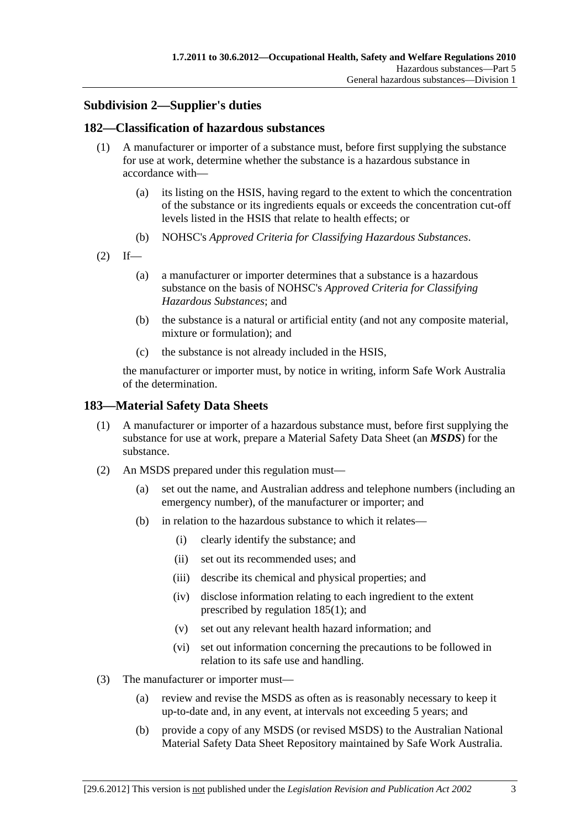## **Subdivision 2—Supplier's duties**

## **182—Classification of hazardous substances**

- (1) A manufacturer or importer of a substance must, before first supplying the substance for use at work, determine whether the substance is a hazardous substance in accordance with—
	- (a) its listing on the HSIS, having regard to the extent to which the concentration of the substance or its ingredients equals or exceeds the concentration cut-off levels listed in the HSIS that relate to health effects; or
	- (b) NOHSC's *Approved Criteria for Classifying Hazardous Substances*.
- $(2)$  If—
	- (a) a manufacturer or importer determines that a substance is a hazardous substance on the basis of NOHSC's *Approved Criteria for Classifying Hazardous Substances*; and
	- (b) the substance is a natural or artificial entity (and not any composite material, mixture or formulation); and
	- (c) the substance is not already included in the HSIS,

the manufacturer or importer must, by notice in writing, inform Safe Work Australia of the determination.

## **183—Material Safety Data Sheets**

- (1) A manufacturer or importer of a hazardous substance must, before first supplying the substance for use at work, prepare a Material Safety Data Sheet (an *MSDS*) for the substance.
- (2) An MSDS prepared under this regulation must—
	- (a) set out the name, and Australian address and telephone numbers (including an emergency number), of the manufacturer or importer; and
	- (b) in relation to the hazardous substance to which it relates—
		- (i) clearly identify the substance; and
		- (ii) set out its recommended uses; and
		- (iii) describe its chemical and physical properties; and
		- (iv) disclose information relating to each ingredient to the extent prescribed by regulation 185(1); and
		- (v) set out any relevant health hazard information; and
		- (vi) set out information concerning the precautions to be followed in relation to its safe use and handling.
- (3) The manufacturer or importer must—
	- (a) review and revise the MSDS as often as is reasonably necessary to keep it up-to-date and, in any event, at intervals not exceeding 5 years; and
	- (b) provide a copy of any MSDS (or revised MSDS) to the Australian National Material Safety Data Sheet Repository maintained by Safe Work Australia.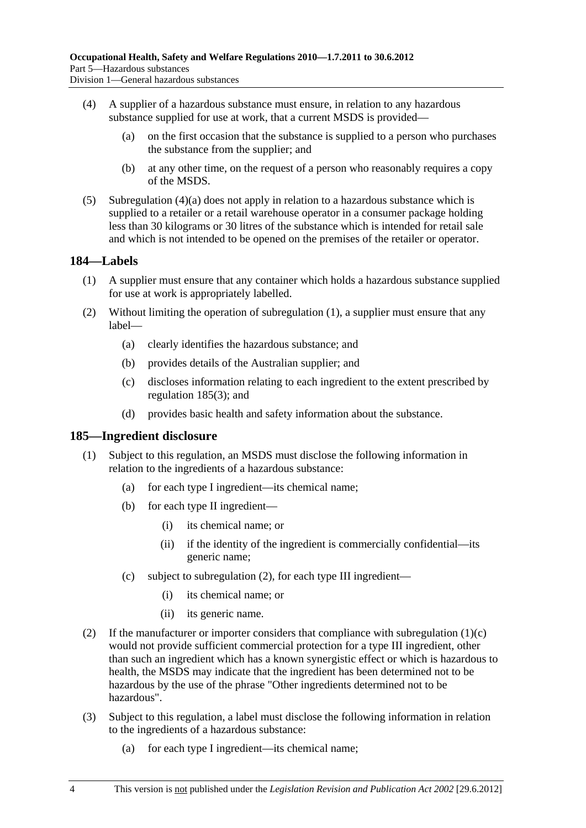- (4) A supplier of a hazardous substance must ensure, in relation to any hazardous substance supplied for use at work, that a current MSDS is provided—
	- (a) on the first occasion that the substance is supplied to a person who purchases the substance from the supplier; and
	- (b) at any other time, on the request of a person who reasonably requires a copy of the MSDS.
- $(5)$  Subregulation  $(4)(a)$  does not apply in relation to a hazardous substance which is supplied to a retailer or a retail warehouse operator in a consumer package holding less than 30 kilograms or 30 litres of the substance which is intended for retail sale and which is not intended to be opened on the premises of the retailer or operator.

## **184—Labels**

- (1) A supplier must ensure that any container which holds a hazardous substance supplied for use at work is appropriately labelled.
- (2) Without limiting the operation of subregulation (1), a supplier must ensure that any label—
	- (a) clearly identifies the hazardous substance; and
	- (b) provides details of the Australian supplier; and
	- (c) discloses information relating to each ingredient to the extent prescribed by regulation 185(3); and
	- (d) provides basic health and safety information about the substance.

### **185—Ingredient disclosure**

- (1) Subject to this regulation, an MSDS must disclose the following information in relation to the ingredients of a hazardous substance:
	- (a) for each type I ingredient—its chemical name;
	- (b) for each type II ingredient—
		- (i) its chemical name; or
		- (ii) if the identity of the ingredient is commercially confidential—its generic name;
	- (c) subject to subregulation (2), for each type III ingredient—
		- (i) its chemical name; or
		- (ii) its generic name.
- (2) If the manufacturer or importer considers that compliance with subregulation  $(1)(c)$ would not provide sufficient commercial protection for a type III ingredient, other than such an ingredient which has a known synergistic effect or which is hazardous to health, the MSDS may indicate that the ingredient has been determined not to be hazardous by the use of the phrase "Other ingredients determined not to be hazardous".
- (3) Subject to this regulation, a label must disclose the following information in relation to the ingredients of a hazardous substance:
	- (a) for each type I ingredient—its chemical name;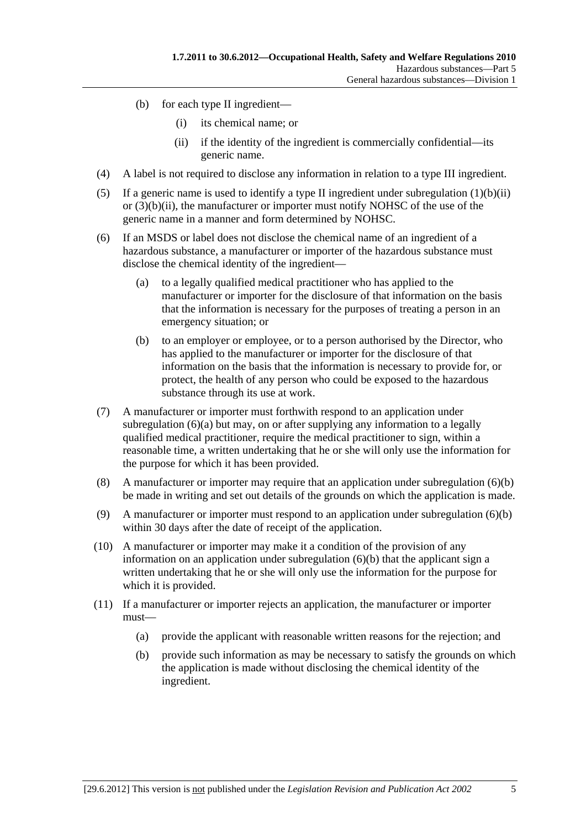- (b) for each type II ingredient—
	- (i) its chemical name; or
	- (ii) if the identity of the ingredient is commercially confidential—its generic name.
- (4) A label is not required to disclose any information in relation to a type III ingredient.
- (5) If a generic name is used to identify a type II ingredient under subregulation  $(1)(b)(ii)$ or  $(3)(b)(ii)$ , the manufacturer or importer must notify NOHSC of the use of the generic name in a manner and form determined by NOHSC.
- (6) If an MSDS or label does not disclose the chemical name of an ingredient of a hazardous substance, a manufacturer or importer of the hazardous substance must disclose the chemical identity of the ingredient—
	- (a) to a legally qualified medical practitioner who has applied to the manufacturer or importer for the disclosure of that information on the basis that the information is necessary for the purposes of treating a person in an emergency situation; or
	- (b) to an employer or employee, or to a person authorised by the Director, who has applied to the manufacturer or importer for the disclosure of that information on the basis that the information is necessary to provide for, or protect, the health of any person who could be exposed to the hazardous substance through its use at work.
- (7) A manufacturer or importer must forthwith respond to an application under subregulation  $(6)(a)$  but may, on or after supplying any information to a legally qualified medical practitioner, require the medical practitioner to sign, within a reasonable time, a written undertaking that he or she will only use the information for the purpose for which it has been provided.
- (8) A manufacturer or importer may require that an application under subregulation (6)(b) be made in writing and set out details of the grounds on which the application is made.
- (9) A manufacturer or importer must respond to an application under subregulation (6)(b) within 30 days after the date of receipt of the application.
- (10) A manufacturer or importer may make it a condition of the provision of any information on an application under subregulation  $(6)(b)$  that the applicant sign a written undertaking that he or she will only use the information for the purpose for which it is provided.
- (11) If a manufacturer or importer rejects an application, the manufacturer or importer must—
	- (a) provide the applicant with reasonable written reasons for the rejection; and
	- (b) provide such information as may be necessary to satisfy the grounds on which the application is made without disclosing the chemical identity of the ingredient.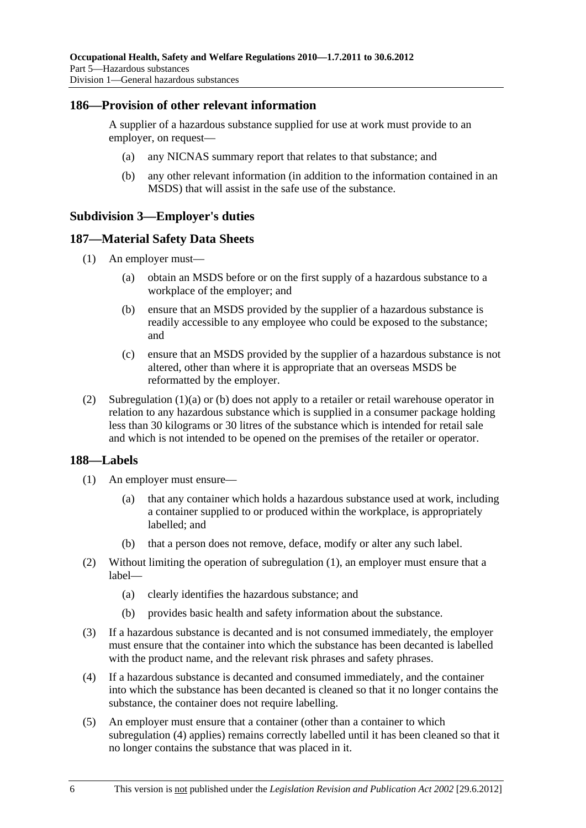## **186—Provision of other relevant information**

A supplier of a hazardous substance supplied for use at work must provide to an employer, on request—

- (a) any NICNAS summary report that relates to that substance; and
- (b) any other relevant information (in addition to the information contained in an MSDS) that will assist in the safe use of the substance.

## **Subdivision 3—Employer's duties**

## **187—Material Safety Data Sheets**

- (1) An employer must—
	- (a) obtain an MSDS before or on the first supply of a hazardous substance to a workplace of the employer; and
	- (b) ensure that an MSDS provided by the supplier of a hazardous substance is readily accessible to any employee who could be exposed to the substance; and
	- (c) ensure that an MSDS provided by the supplier of a hazardous substance is not altered, other than where it is appropriate that an overseas MSDS be reformatted by the employer.
- (2) Subregulation (1)(a) or (b) does not apply to a retailer or retail warehouse operator in relation to any hazardous substance which is supplied in a consumer package holding less than 30 kilograms or 30 litres of the substance which is intended for retail sale and which is not intended to be opened on the premises of the retailer or operator.

### **188—Labels**

- (1) An employer must ensure—
	- (a) that any container which holds a hazardous substance used at work, including a container supplied to or produced within the workplace, is appropriately labelled; and
	- (b) that a person does not remove, deface, modify or alter any such label.
- (2) Without limiting the operation of subregulation (1), an employer must ensure that a label—
	- (a) clearly identifies the hazardous substance; and
	- (b) provides basic health and safety information about the substance.
- (3) If a hazardous substance is decanted and is not consumed immediately, the employer must ensure that the container into which the substance has been decanted is labelled with the product name, and the relevant risk phrases and safety phrases.
- (4) If a hazardous substance is decanted and consumed immediately, and the container into which the substance has been decanted is cleaned so that it no longer contains the substance, the container does not require labelling.
- (5) An employer must ensure that a container (other than a container to which subregulation (4) applies) remains correctly labelled until it has been cleaned so that it no longer contains the substance that was placed in it.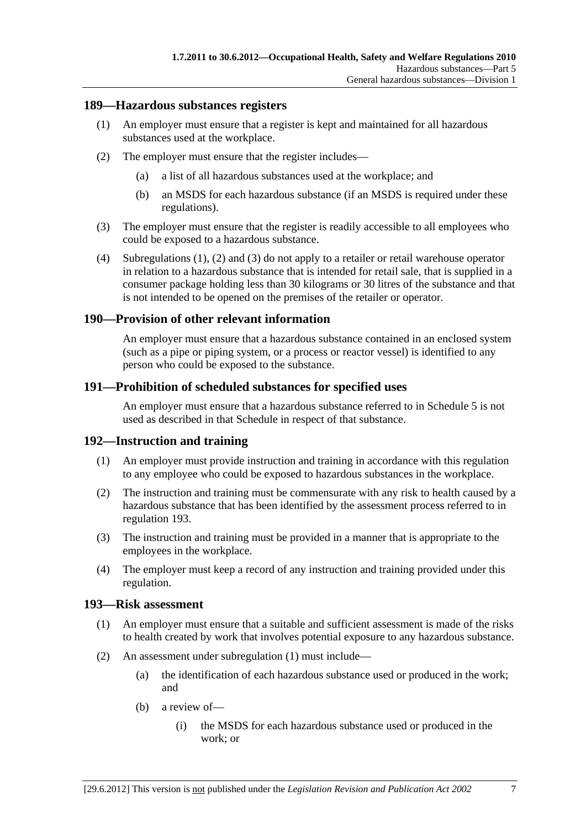## **189—Hazardous substances registers**

- (1) An employer must ensure that a register is kept and maintained for all hazardous substances used at the workplace.
- (2) The employer must ensure that the register includes—
	- (a) a list of all hazardous substances used at the workplace; and
	- (b) an MSDS for each hazardous substance (if an MSDS is required under these regulations).
- (3) The employer must ensure that the register is readily accessible to all employees who could be exposed to a hazardous substance.
- (4) Subregulations (1), (2) and (3) do not apply to a retailer or retail warehouse operator in relation to a hazardous substance that is intended for retail sale, that is supplied in a consumer package holding less than 30 kilograms or 30 litres of the substance and that is not intended to be opened on the premises of the retailer or operator.

## **190—Provision of other relevant information**

An employer must ensure that a hazardous substance contained in an enclosed system (such as a pipe or piping system, or a process or reactor vessel) is identified to any person who could be exposed to the substance.

## **191—Prohibition of scheduled substances for specified uses**

An employer must ensure that a hazardous substance referred to in Schedule 5 is not used as described in that Schedule in respect of that substance.

## **192—Instruction and training**

- (1) An employer must provide instruction and training in accordance with this regulation to any employee who could be exposed to hazardous substances in the workplace.
- (2) The instruction and training must be commensurate with any risk to health caused by a hazardous substance that has been identified by the assessment process referred to in regulation 193.
- (3) The instruction and training must be provided in a manner that is appropriate to the employees in the workplace.
- (4) The employer must keep a record of any instruction and training provided under this regulation.

### **193—Risk assessment**

- (1) An employer must ensure that a suitable and sufficient assessment is made of the risks to health created by work that involves potential exposure to any hazardous substance.
- (2) An assessment under subregulation (1) must include—
	- (a) the identification of each hazardous substance used or produced in the work; and
	- (b) a review of—
		- (i) the MSDS for each hazardous substance used or produced in the work; or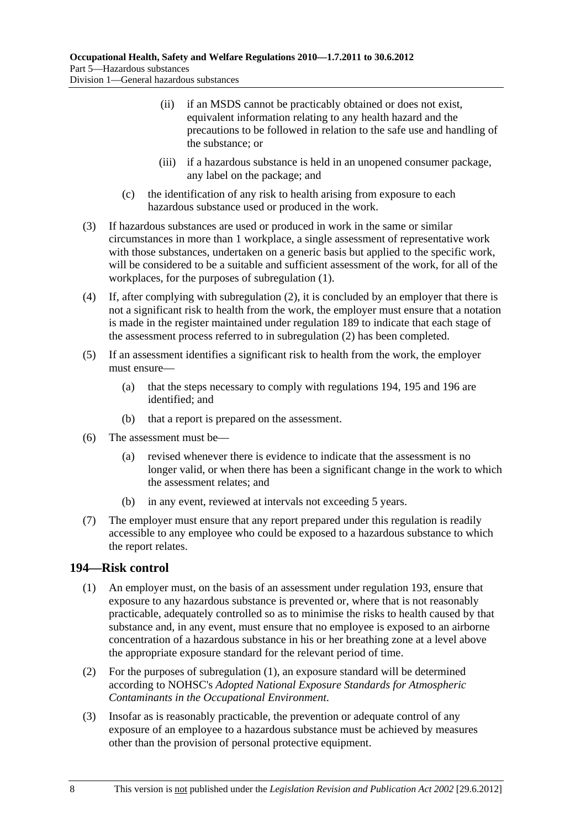- (ii) if an MSDS cannot be practicably obtained or does not exist, equivalent information relating to any health hazard and the precautions to be followed in relation to the safe use and handling of the substance; or
- (iii) if a hazardous substance is held in an unopened consumer package, any label on the package; and
- (c) the identification of any risk to health arising from exposure to each hazardous substance used or produced in the work.
- (3) If hazardous substances are used or produced in work in the same or similar circumstances in more than 1 workplace, a single assessment of representative work with those substances, undertaken on a generic basis but applied to the specific work, will be considered to be a suitable and sufficient assessment of the work, for all of the workplaces, for the purposes of subregulation (1).
- (4) If, after complying with subregulation (2), it is concluded by an employer that there is not a significant risk to health from the work, the employer must ensure that a notation is made in the register maintained under regulation 189 to indicate that each stage of the assessment process referred to in subregulation (2) has been completed.
- (5) If an assessment identifies a significant risk to health from the work, the employer must ensure—
	- (a) that the steps necessary to comply with regulations 194, 195 and 196 are identified; and
	- (b) that a report is prepared on the assessment.
- (6) The assessment must be—
	- (a) revised whenever there is evidence to indicate that the assessment is no longer valid, or when there has been a significant change in the work to which the assessment relates; and
	- (b) in any event, reviewed at intervals not exceeding 5 years.
- (7) The employer must ensure that any report prepared under this regulation is readily accessible to any employee who could be exposed to a hazardous substance to which the report relates.

## **194—Risk control**

- (1) An employer must, on the basis of an assessment under regulation 193, ensure that exposure to any hazardous substance is prevented or, where that is not reasonably practicable, adequately controlled so as to minimise the risks to health caused by that substance and, in any event, must ensure that no employee is exposed to an airborne concentration of a hazardous substance in his or her breathing zone at a level above the appropriate exposure standard for the relevant period of time.
- (2) For the purposes of subregulation (1), an exposure standard will be determined according to NOHSC's *Adopted National Exposure Standards for Atmospheric Contaminants in the Occupational Environment*.
- (3) Insofar as is reasonably practicable, the prevention or adequate control of any exposure of an employee to a hazardous substance must be achieved by measures other than the provision of personal protective equipment.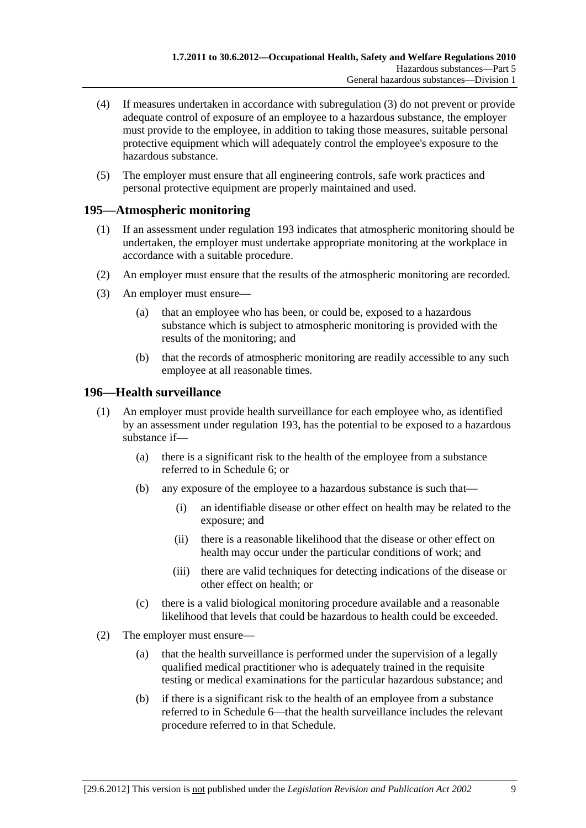- (4) If measures undertaken in accordance with subregulation (3) do not prevent or provide adequate control of exposure of an employee to a hazardous substance, the employer must provide to the employee, in addition to taking those measures, suitable personal protective equipment which will adequately control the employee's exposure to the hazardous substance.
- (5) The employer must ensure that all engineering controls, safe work practices and personal protective equipment are properly maintained and used.

## **195—Atmospheric monitoring**

- (1) If an assessment under regulation 193 indicates that atmospheric monitoring should be undertaken, the employer must undertake appropriate monitoring at the workplace in accordance with a suitable procedure.
- (2) An employer must ensure that the results of the atmospheric monitoring are recorded.
- (3) An employer must ensure—
	- (a) that an employee who has been, or could be, exposed to a hazardous substance which is subject to atmospheric monitoring is provided with the results of the monitoring; and
	- (b) that the records of atmospheric monitoring are readily accessible to any such employee at all reasonable times.

## **196—Health surveillance**

- (1) An employer must provide health surveillance for each employee who, as identified by an assessment under regulation 193, has the potential to be exposed to a hazardous substance if—
	- (a) there is a significant risk to the health of the employee from a substance referred to in Schedule 6; or
	- (b) any exposure of the employee to a hazardous substance is such that—
		- (i) an identifiable disease or other effect on health may be related to the exposure; and
		- (ii) there is a reasonable likelihood that the disease or other effect on health may occur under the particular conditions of work; and
		- (iii) there are valid techniques for detecting indications of the disease or other effect on health; or
	- (c) there is a valid biological monitoring procedure available and a reasonable likelihood that levels that could be hazardous to health could be exceeded.
- (2) The employer must ensure—
	- (a) that the health surveillance is performed under the supervision of a legally qualified medical practitioner who is adequately trained in the requisite testing or medical examinations for the particular hazardous substance; and
	- (b) if there is a significant risk to the health of an employee from a substance referred to in Schedule 6—that the health surveillance includes the relevant procedure referred to in that Schedule.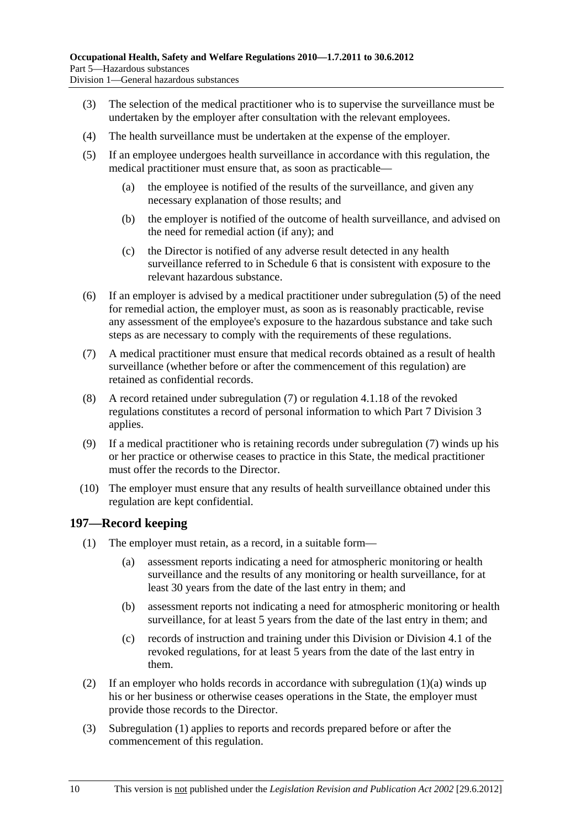- (3) The selection of the medical practitioner who is to supervise the surveillance must be undertaken by the employer after consultation with the relevant employees.
- (4) The health surveillance must be undertaken at the expense of the employer.
- (5) If an employee undergoes health surveillance in accordance with this regulation, the medical practitioner must ensure that, as soon as practicable—
	- (a) the employee is notified of the results of the surveillance, and given any necessary explanation of those results; and
	- (b) the employer is notified of the outcome of health surveillance, and advised on the need for remedial action (if any); and
	- (c) the Director is notified of any adverse result detected in any health surveillance referred to in Schedule 6 that is consistent with exposure to the relevant hazardous substance.
- (6) If an employer is advised by a medical practitioner under subregulation (5) of the need for remedial action, the employer must, as soon as is reasonably practicable, revise any assessment of the employee's exposure to the hazardous substance and take such steps as are necessary to comply with the requirements of these regulations.
- (7) A medical practitioner must ensure that medical records obtained as a result of health surveillance (whether before or after the commencement of this regulation) are retained as confidential records.
- (8) A record retained under subregulation (7) or regulation 4.1.18 of the revoked regulations constitutes a record of personal information to which Part 7 Division 3 applies.
- (9) If a medical practitioner who is retaining records under subregulation (7) winds up his or her practice or otherwise ceases to practice in this State, the medical practitioner must offer the records to the Director.
- (10) The employer must ensure that any results of health surveillance obtained under this regulation are kept confidential.

## **197—Record keeping**

- (1) The employer must retain, as a record, in a suitable form—
	- (a) assessment reports indicating a need for atmospheric monitoring or health surveillance and the results of any monitoring or health surveillance, for at least 30 years from the date of the last entry in them; and
	- (b) assessment reports not indicating a need for atmospheric monitoring or health surveillance, for at least 5 years from the date of the last entry in them; and
	- (c) records of instruction and training under this Division or Division 4.1 of the revoked regulations, for at least 5 years from the date of the last entry in them.
- (2) If an employer who holds records in accordance with subregulation  $(1)(a)$  winds up his or her business or otherwise ceases operations in the State, the employer must provide those records to the Director.
- (3) Subregulation (1) applies to reports and records prepared before or after the commencement of this regulation.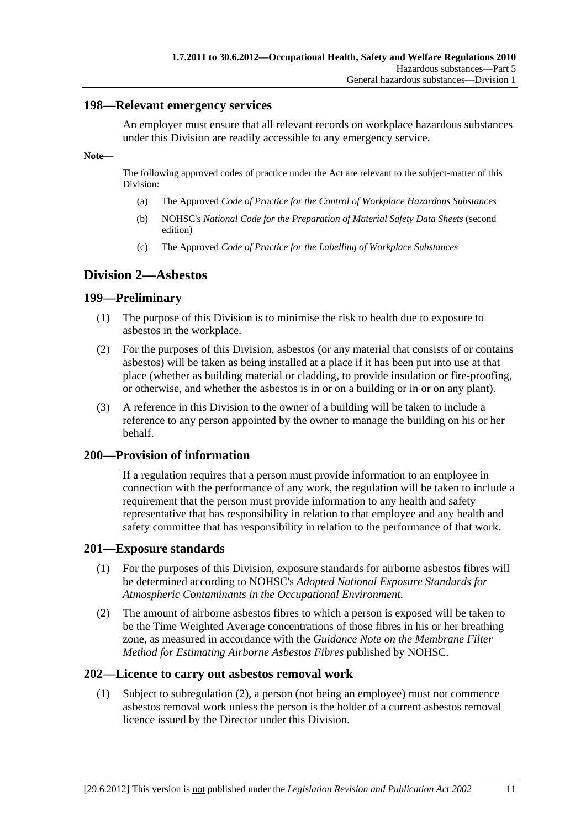### **198—Relevant emergency services**

An employer must ensure that all relevant records on workplace hazardous substances under this Division are readily accessible to any emergency service.

**Note—** 

The following approved codes of practice under the Act are relevant to the subject-matter of this Division:

- (a) The Approved *Code of Practice for the Control of Workplace Hazardous Substances*
- (b) NOHSC's *National Code for the Preparation of Material Safety Data Sheets* (second edition)
- (c) The Approved *Code of Practice for the Labelling of Workplace Substances*

## **Division 2—Asbestos**

## **199—Preliminary**

- (1) The purpose of this Division is to minimise the risk to health due to exposure to asbestos in the workplace.
- (2) For the purposes of this Division, asbestos (or any material that consists of or contains asbestos) will be taken as being installed at a place if it has been put into use at that place (whether as building material or cladding, to provide insulation or fire-proofing, or otherwise, and whether the asbestos is in or on a building or in or on any plant).
- (3) A reference in this Division to the owner of a building will be taken to include a reference to any person appointed by the owner to manage the building on his or her behalf.

### **200—Provision of information**

If a regulation requires that a person must provide information to an employee in connection with the performance of any work, the regulation will be taken to include a requirement that the person must provide information to any health and safety representative that has responsibility in relation to that employee and any health and safety committee that has responsibility in relation to the performance of that work.

### **201—Exposure standards**

- (1) For the purposes of this Division, exposure standards for airborne asbestos fibres will be determined according to NOHSC's *Adopted National Exposure Standards for Atmospheric Contaminants in the Occupational Environment*.
- (2) The amount of airborne asbestos fibres to which a person is exposed will be taken to be the Time Weighted Average concentrations of those fibres in his or her breathing zone, as measured in accordance with the *Guidance Note on the Membrane Filter Method for Estimating Airborne Asbestos Fibres* published by NOHSC.

### **202—Licence to carry out asbestos removal work**

 (1) Subject to subregulation (2), a person (not being an employee) must not commence asbestos removal work unless the person is the holder of a current asbestos removal licence issued by the Director under this Division.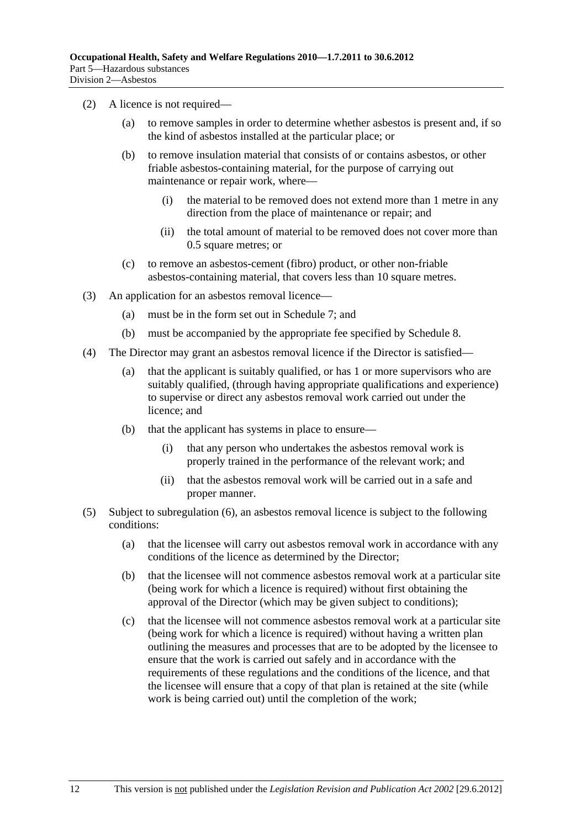- (2) A licence is not required—
	- (a) to remove samples in order to determine whether asbestos is present and, if so the kind of asbestos installed at the particular place; or
	- (b) to remove insulation material that consists of or contains asbestos, or other friable asbestos-containing material, for the purpose of carrying out maintenance or repair work, where—
		- (i) the material to be removed does not extend more than 1 metre in any direction from the place of maintenance or repair; and
		- (ii) the total amount of material to be removed does not cover more than 0.5 square metres; or
	- (c) to remove an asbestos-cement (fibro) product, or other non-friable asbestos-containing material, that covers less than 10 square metres.
- (3) An application for an asbestos removal licence—
	- (a) must be in the form set out in Schedule 7; and
	- (b) must be accompanied by the appropriate fee specified by Schedule 8.
- (4) The Director may grant an asbestos removal licence if the Director is satisfied—
	- (a) that the applicant is suitably qualified, or has 1 or more supervisors who are suitably qualified, (through having appropriate qualifications and experience) to supervise or direct any asbestos removal work carried out under the licence; and
	- (b) that the applicant has systems in place to ensure—
		- (i) that any person who undertakes the asbestos removal work is properly trained in the performance of the relevant work; and
		- (ii) that the asbestos removal work will be carried out in a safe and proper manner.
- (5) Subject to subregulation (6), an asbestos removal licence is subject to the following conditions:
	- (a) that the licensee will carry out asbestos removal work in accordance with any conditions of the licence as determined by the Director;
	- (b) that the licensee will not commence asbestos removal work at a particular site (being work for which a licence is required) without first obtaining the approval of the Director (which may be given subject to conditions);
	- (c) that the licensee will not commence asbestos removal work at a particular site (being work for which a licence is required) without having a written plan outlining the measures and processes that are to be adopted by the licensee to ensure that the work is carried out safely and in accordance with the requirements of these regulations and the conditions of the licence, and that the licensee will ensure that a copy of that plan is retained at the site (while work is being carried out) until the completion of the work;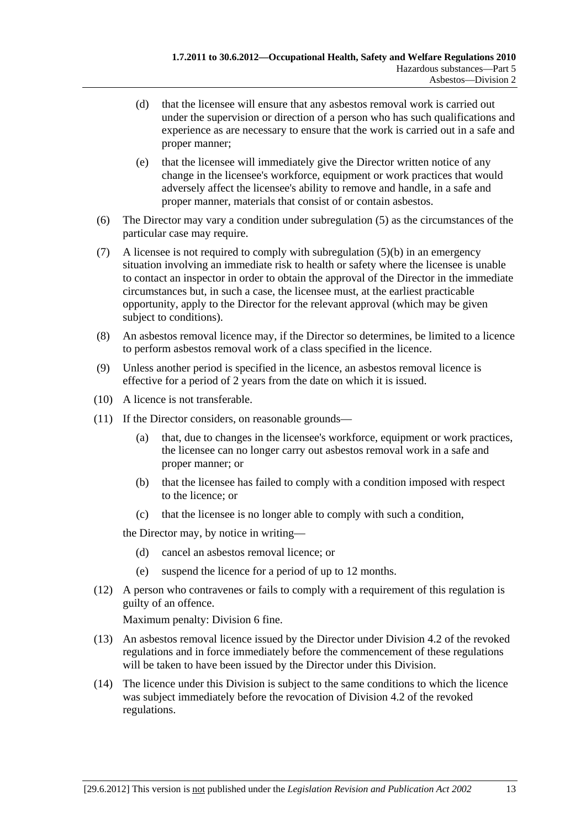- (d) that the licensee will ensure that any asbestos removal work is carried out under the supervision or direction of a person who has such qualifications and experience as are necessary to ensure that the work is carried out in a safe and proper manner;
- (e) that the licensee will immediately give the Director written notice of any change in the licensee's workforce, equipment or work practices that would adversely affect the licensee's ability to remove and handle, in a safe and proper manner, materials that consist of or contain asbestos.
- (6) The Director may vary a condition under subregulation (5) as the circumstances of the particular case may require.
- (7) A licensee is not required to comply with subregulation (5)(b) in an emergency situation involving an immediate risk to health or safety where the licensee is unable to contact an inspector in order to obtain the approval of the Director in the immediate circumstances but, in such a case, the licensee must, at the earliest practicable opportunity, apply to the Director for the relevant approval (which may be given subject to conditions).
- (8) An asbestos removal licence may, if the Director so determines, be limited to a licence to perform asbestos removal work of a class specified in the licence.
- (9) Unless another period is specified in the licence, an asbestos removal licence is effective for a period of 2 years from the date on which it is issued.
- (10) A licence is not transferable.
- (11) If the Director considers, on reasonable grounds—
	- (a) that, due to changes in the licensee's workforce, equipment or work practices, the licensee can no longer carry out asbestos removal work in a safe and proper manner; or
	- (b) that the licensee has failed to comply with a condition imposed with respect to the licence; or
	- (c) that the licensee is no longer able to comply with such a condition,

the Director may, by notice in writing—

- (d) cancel an asbestos removal licence; or
- (e) suspend the licence for a period of up to 12 months.
- (12) A person who contravenes or fails to comply with a requirement of this regulation is guilty of an offence.

- (13) An asbestos removal licence issued by the Director under Division 4.2 of the revoked regulations and in force immediately before the commencement of these regulations will be taken to have been issued by the Director under this Division.
- (14) The licence under this Division is subject to the same conditions to which the licence was subject immediately before the revocation of Division 4.2 of the revoked regulations.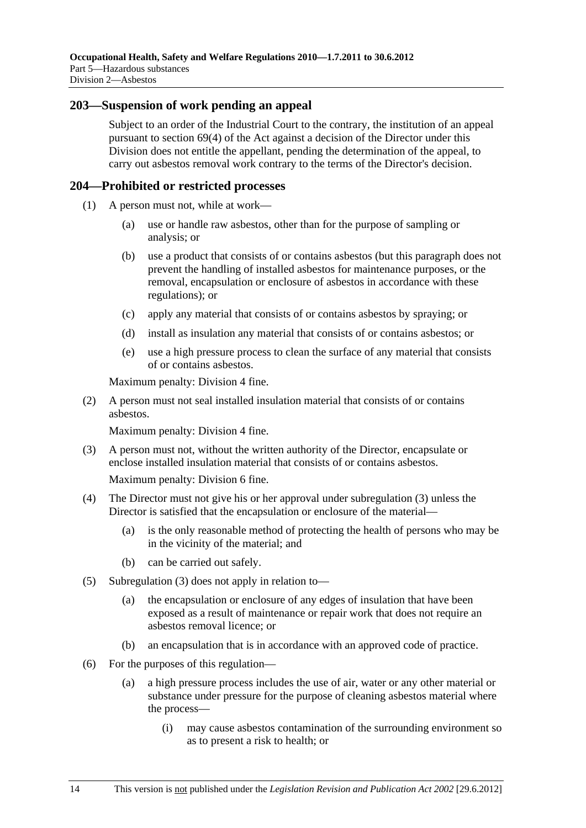### **203—Suspension of work pending an appeal**

Subject to an order of the Industrial Court to the contrary, the institution of an appeal pursuant to section 69(4) of the Act against a decision of the Director under this Division does not entitle the appellant, pending the determination of the appeal, to carry out asbestos removal work contrary to the terms of the Director's decision.

## **204—Prohibited or restricted processes**

- (1) A person must not, while at work—
	- (a) use or handle raw asbestos, other than for the purpose of sampling or analysis; or
	- (b) use a product that consists of or contains asbestos (but this paragraph does not prevent the handling of installed asbestos for maintenance purposes, or the removal, encapsulation or enclosure of asbestos in accordance with these regulations); or
	- (c) apply any material that consists of or contains asbestos by spraying; or
	- (d) install as insulation any material that consists of or contains asbestos; or
	- (e) use a high pressure process to clean the surface of any material that consists of or contains asbestos.

Maximum penalty: Division 4 fine.

 (2) A person must not seal installed insulation material that consists of or contains asbestos.

Maximum penalty: Division 4 fine.

 (3) A person must not, without the written authority of the Director, encapsulate or enclose installed insulation material that consists of or contains asbestos.

- (4) The Director must not give his or her approval under subregulation (3) unless the Director is satisfied that the encapsulation or enclosure of the material—
	- (a) is the only reasonable method of protecting the health of persons who may be in the vicinity of the material; and
	- (b) can be carried out safely.
- (5) Subregulation (3) does not apply in relation to—
	- (a) the encapsulation or enclosure of any edges of insulation that have been exposed as a result of maintenance or repair work that does not require an asbestos removal licence; or
	- (b) an encapsulation that is in accordance with an approved code of practice.
- (6) For the purposes of this regulation—
	- (a) a high pressure process includes the use of air, water or any other material or substance under pressure for the purpose of cleaning asbestos material where the process—
		- (i) may cause asbestos contamination of the surrounding environment so as to present a risk to health; or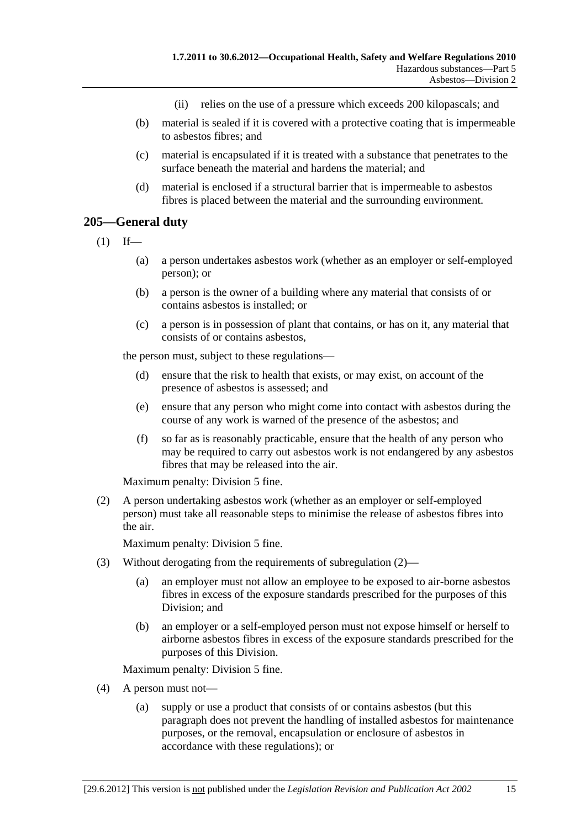- (ii) relies on the use of a pressure which exceeds 200 kilopascals; and
- (b) material is sealed if it is covered with a protective coating that is impermeable to asbestos fibres; and
- (c) material is encapsulated if it is treated with a substance that penetrates to the surface beneath the material and hardens the material; and
- (d) material is enclosed if a structural barrier that is impermeable to asbestos fibres is placed between the material and the surrounding environment.

#### **205—General duty**

- $(1)$  If—
	- (a) a person undertakes asbestos work (whether as an employer or self-employed person); or
	- (b) a person is the owner of a building where any material that consists of or contains asbestos is installed; or
	- (c) a person is in possession of plant that contains, or has on it, any material that consists of or contains asbestos,

the person must, subject to these regulations—

- (d) ensure that the risk to health that exists, or may exist, on account of the presence of asbestos is assessed; and
- (e) ensure that any person who might come into contact with asbestos during the course of any work is warned of the presence of the asbestos; and
- (f) so far as is reasonably practicable, ensure that the health of any person who may be required to carry out asbestos work is not endangered by any asbestos fibres that may be released into the air.

Maximum penalty: Division 5 fine.

 (2) A person undertaking asbestos work (whether as an employer or self-employed person) must take all reasonable steps to minimise the release of asbestos fibres into the air.

Maximum penalty: Division 5 fine.

- (3) Without derogating from the requirements of subregulation (2)—
	- (a) an employer must not allow an employee to be exposed to air-borne asbestos fibres in excess of the exposure standards prescribed for the purposes of this Division; and
	- (b) an employer or a self-employed person must not expose himself or herself to airborne asbestos fibres in excess of the exposure standards prescribed for the purposes of this Division.

Maximum penalty: Division 5 fine.

- (4) A person must not—
	- (a) supply or use a product that consists of or contains asbestos (but this paragraph does not prevent the handling of installed asbestos for maintenance purposes, or the removal, encapsulation or enclosure of asbestos in accordance with these regulations); or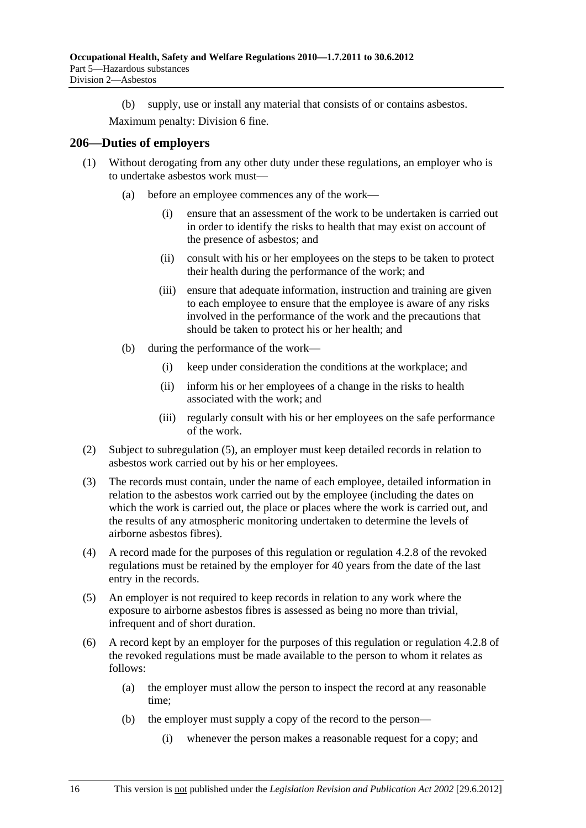(b) supply, use or install any material that consists of or contains asbestos.

Maximum penalty: Division 6 fine.

#### **206—Duties of employers**

- (1) Without derogating from any other duty under these regulations, an employer who is to undertake asbestos work must—
	- (a) before an employee commences any of the work—
		- (i) ensure that an assessment of the work to be undertaken is carried out in order to identify the risks to health that may exist on account of the presence of asbestos; and
		- (ii) consult with his or her employees on the steps to be taken to protect their health during the performance of the work; and
		- (iii) ensure that adequate information, instruction and training are given to each employee to ensure that the employee is aware of any risks involved in the performance of the work and the precautions that should be taken to protect his or her health; and
	- (b) during the performance of the work—
		- (i) keep under consideration the conditions at the workplace; and
		- (ii) inform his or her employees of a change in the risks to health associated with the work; and
		- (iii) regularly consult with his or her employees on the safe performance of the work.
- (2) Subject to subregulation (5), an employer must keep detailed records in relation to asbestos work carried out by his or her employees.
- (3) The records must contain, under the name of each employee, detailed information in relation to the asbestos work carried out by the employee (including the dates on which the work is carried out, the place or places where the work is carried out, and the results of any atmospheric monitoring undertaken to determine the levels of airborne asbestos fibres).
- (4) A record made for the purposes of this regulation or regulation 4.2.8 of the revoked regulations must be retained by the employer for 40 years from the date of the last entry in the records.
- (5) An employer is not required to keep records in relation to any work where the exposure to airborne asbestos fibres is assessed as being no more than trivial, infrequent and of short duration.
- (6) A record kept by an employer for the purposes of this regulation or regulation 4.2.8 of the revoked regulations must be made available to the person to whom it relates as follows:
	- (a) the employer must allow the person to inspect the record at any reasonable time;
	- (b) the employer must supply a copy of the record to the person—
		- (i) whenever the person makes a reasonable request for a copy; and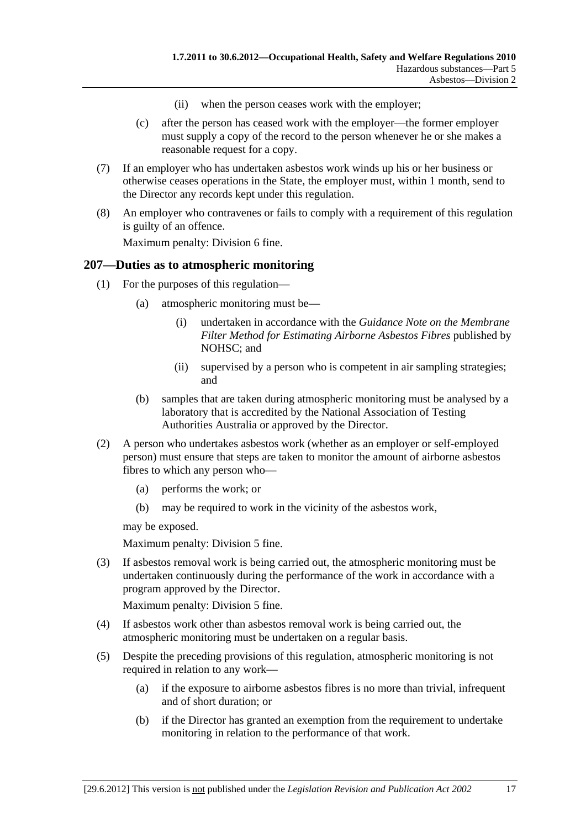- (ii) when the person ceases work with the employer;
- (c) after the person has ceased work with the employer—the former employer must supply a copy of the record to the person whenever he or she makes a reasonable request for a copy.
- (7) If an employer who has undertaken asbestos work winds up his or her business or otherwise ceases operations in the State, the employer must, within 1 month, send to the Director any records kept under this regulation.
- (8) An employer who contravenes or fails to comply with a requirement of this regulation is guilty of an offence.

## **207—Duties as to atmospheric monitoring**

- (1) For the purposes of this regulation—
	- (a) atmospheric monitoring must be—
		- (i) undertaken in accordance with the *Guidance Note on the Membrane Filter Method for Estimating Airborne Asbestos Fibres* published by NOHSC; and
		- (ii) supervised by a person who is competent in air sampling strategies; and
	- (b) samples that are taken during atmospheric monitoring must be analysed by a laboratory that is accredited by the National Association of Testing Authorities Australia or approved by the Director.
- (2) A person who undertakes asbestos work (whether as an employer or self-employed person) must ensure that steps are taken to monitor the amount of airborne asbestos fibres to which any person who—
	- (a) performs the work; or
	- (b) may be required to work in the vicinity of the asbestos work,

may be exposed.

Maximum penalty: Division 5 fine.

 (3) If asbestos removal work is being carried out, the atmospheric monitoring must be undertaken continuously during the performance of the work in accordance with a program approved by the Director.

Maximum penalty: Division 5 fine.

- (4) If asbestos work other than asbestos removal work is being carried out, the atmospheric monitoring must be undertaken on a regular basis.
- (5) Despite the preceding provisions of this regulation, atmospheric monitoring is not required in relation to any work—
	- (a) if the exposure to airborne asbestos fibres is no more than trivial, infrequent and of short duration; or
	- (b) if the Director has granted an exemption from the requirement to undertake monitoring in relation to the performance of that work.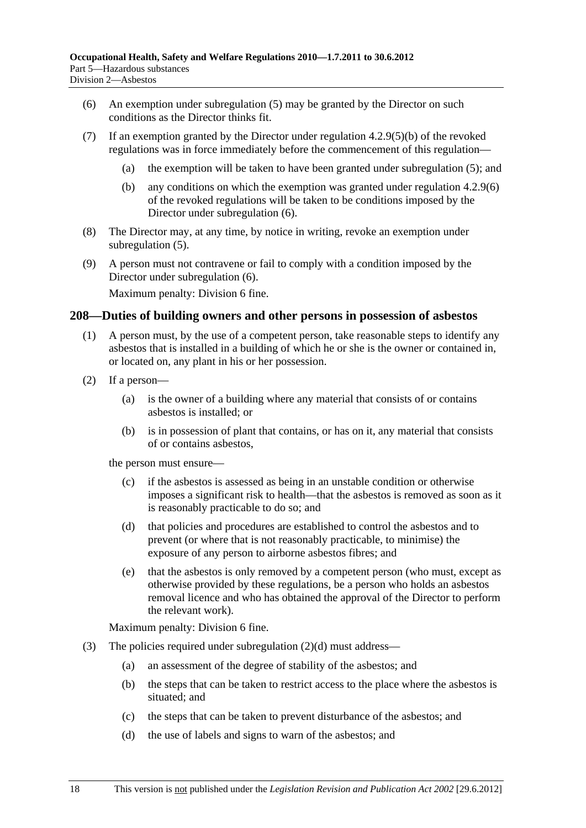- (6) An exemption under subregulation (5) may be granted by the Director on such conditions as the Director thinks fit.
- (7) If an exemption granted by the Director under regulation 4.2.9(5)(b) of the revoked regulations was in force immediately before the commencement of this regulation—
	- (a) the exemption will be taken to have been granted under subregulation (5); and
	- (b) any conditions on which the exemption was granted under regulation 4.2.9(6) of the revoked regulations will be taken to be conditions imposed by the Director under subregulation (6).
- (8) The Director may, at any time, by notice in writing, revoke an exemption under subregulation  $(5)$ .
- (9) A person must not contravene or fail to comply with a condition imposed by the Director under subregulation (6).

#### **208—Duties of building owners and other persons in possession of asbestos**

- (1) A person must, by the use of a competent person, take reasonable steps to identify any asbestos that is installed in a building of which he or she is the owner or contained in, or located on, any plant in his or her possession.
- (2) If a person—
	- (a) is the owner of a building where any material that consists of or contains asbestos is installed; or
	- (b) is in possession of plant that contains, or has on it, any material that consists of or contains asbestos,

the person must ensure—

- (c) if the asbestos is assessed as being in an unstable condition or otherwise imposes a significant risk to health—that the asbestos is removed as soon as it is reasonably practicable to do so; and
- (d) that policies and procedures are established to control the asbestos and to prevent (or where that is not reasonably practicable, to minimise) the exposure of any person to airborne asbestos fibres; and
- (e) that the asbestos is only removed by a competent person (who must, except as otherwise provided by these regulations, be a person who holds an asbestos removal licence and who has obtained the approval of the Director to perform the relevant work).

Maximum penalty: Division 6 fine.

- (3) The policies required under subregulation (2)(d) must address—
	- (a) an assessment of the degree of stability of the asbestos; and
	- (b) the steps that can be taken to restrict access to the place where the asbestos is situated; and
	- (c) the steps that can be taken to prevent disturbance of the asbestos; and
	- (d) the use of labels and signs to warn of the asbestos; and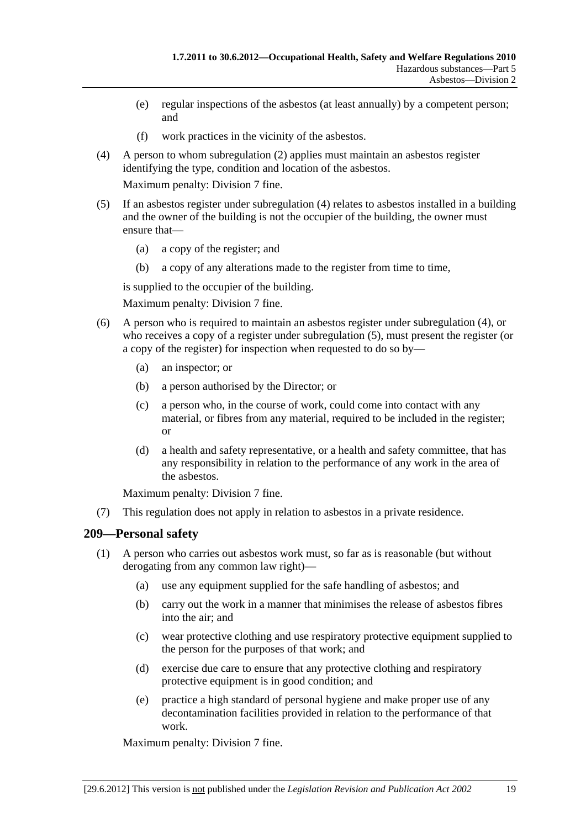- (e) regular inspections of the asbestos (at least annually) by a competent person; and
- (f) work practices in the vicinity of the asbestos.
- (4) A person to whom subregulation (2) applies must maintain an asbestos register identifying the type, condition and location of the asbestos.

- (5) If an asbestos register under subregulation (4) relates to asbestos installed in a building and the owner of the building is not the occupier of the building, the owner must ensure that—
	- (a) a copy of the register; and
	- (b) a copy of any alterations made to the register from time to time,

is supplied to the occupier of the building.

Maximum penalty: Division 7 fine.

- (6) A person who is required to maintain an asbestos register under subregulation (4), or who receives a copy of a register under subregulation (5), must present the register (or a copy of the register) for inspection when requested to do so by—
	- (a) an inspector; or
	- (b) a person authorised by the Director; or
	- (c) a person who, in the course of work, could come into contact with any material, or fibres from any material, required to be included in the register; or
	- (d) a health and safety representative, or a health and safety committee, that has any responsibility in relation to the performance of any work in the area of the asbestos.

Maximum penalty: Division 7 fine.

(7) This regulation does not apply in relation to asbestos in a private residence.

## **209—Personal safety**

- (1) A person who carries out asbestos work must, so far as is reasonable (but without derogating from any common law right)—
	- (a) use any equipment supplied for the safe handling of asbestos; and
	- (b) carry out the work in a manner that minimises the release of asbestos fibres into the air; and
	- (c) wear protective clothing and use respiratory protective equipment supplied to the person for the purposes of that work; and
	- (d) exercise due care to ensure that any protective clothing and respiratory protective equipment is in good condition; and
	- (e) practice a high standard of personal hygiene and make proper use of any decontamination facilities provided in relation to the performance of that work.

Maximum penalty: Division 7 fine.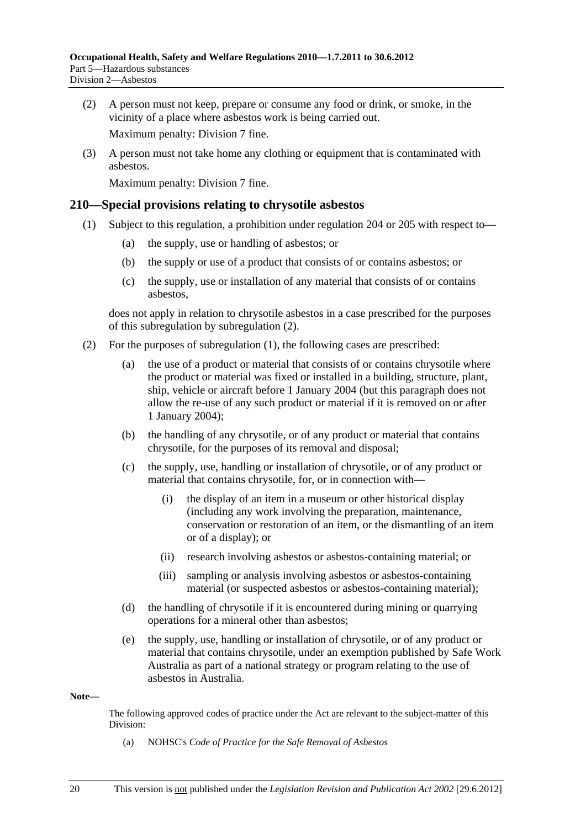(2) A person must not keep, prepare or consume any food or drink, or smoke, in the vicinity of a place where asbestos work is being carried out.

Maximum penalty: Division 7 fine.

 (3) A person must not take home any clothing or equipment that is contaminated with asbestos.

Maximum penalty: Division 7 fine.

#### **210—Special provisions relating to chrysotile asbestos**

- (1) Subject to this regulation, a prohibition under regulation 204 or 205 with respect to—
	- (a) the supply, use or handling of asbestos; or
	- (b) the supply or use of a product that consists of or contains asbestos; or
	- (c) the supply, use or installation of any material that consists of or contains asbestos,

does not apply in relation to chrysotile asbestos in a case prescribed for the purposes of this subregulation by subregulation (2).

- (2) For the purposes of subregulation (1), the following cases are prescribed:
	- (a) the use of a product or material that consists of or contains chrysotile where the product or material was fixed or installed in a building, structure, plant, ship, vehicle or aircraft before 1 January 2004 (but this paragraph does not allow the re-use of any such product or material if it is removed on or after 1 January 2004);
	- (b) the handling of any chrysotile, or of any product or material that contains chrysotile, for the purposes of its removal and disposal;
	- (c) the supply, use, handling or installation of chrysotile, or of any product or material that contains chrysotile, for, or in connection with—
		- (i) the display of an item in a museum or other historical display (including any work involving the preparation, maintenance, conservation or restoration of an item, or the dismantling of an item or of a display); or
		- (ii) research involving asbestos or asbestos-containing material; or
		- (iii) sampling or analysis involving asbestos or asbestos-containing material (or suspected asbestos or asbestos-containing material);
	- (d) the handling of chrysotile if it is encountered during mining or quarrying operations for a mineral other than asbestos;
	- (e) the supply, use, handling or installation of chrysotile, or of any product or material that contains chrysotile, under an exemption published by Safe Work Australia as part of a national strategy or program relating to the use of asbestos in Australia.

#### **Note—**

The following approved codes of practice under the Act are relevant to the subject-matter of this Division:

(a) NOHSC's *Code of Practice for the Safe Removal of Asbestos*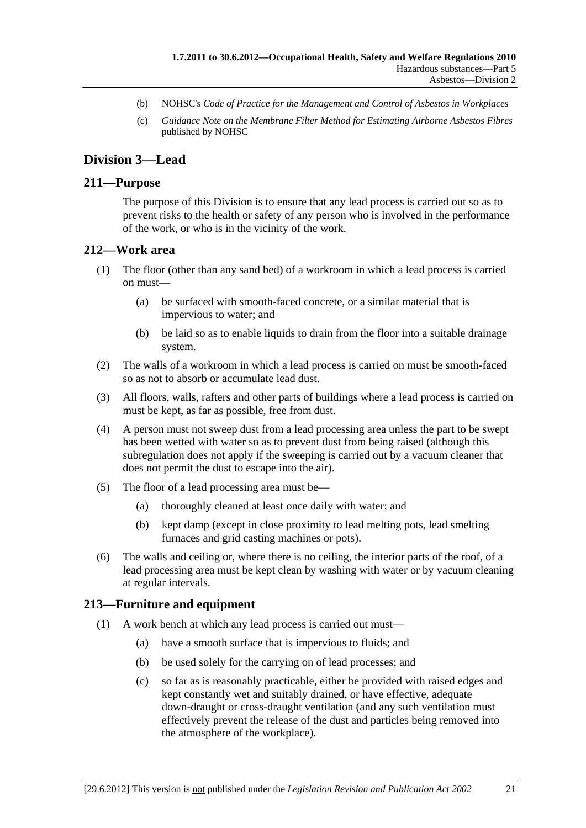- (b) NOHSC's *Code of Practice for the Management and Control of Asbestos in Workplaces*
- (c) *Guidance Note on the Membrane Filter Method for Estimating Airborne Asbestos Fibres* published by NOHSC

# **Division 3—Lead**

#### **211—Purpose**

The purpose of this Division is to ensure that any lead process is carried out so as to prevent risks to the health or safety of any person who is involved in the performance of the work, or who is in the vicinity of the work.

#### **212—Work area**

- (1) The floor (other than any sand bed) of a workroom in which a lead process is carried on must—
	- (a) be surfaced with smooth-faced concrete, or a similar material that is impervious to water; and
	- (b) be laid so as to enable liquids to drain from the floor into a suitable drainage system.
- (2) The walls of a workroom in which a lead process is carried on must be smooth-faced so as not to absorb or accumulate lead dust.
- (3) All floors, walls, rafters and other parts of buildings where a lead process is carried on must be kept, as far as possible, free from dust.
- (4) A person must not sweep dust from a lead processing area unless the part to be swept has been wetted with water so as to prevent dust from being raised (although this subregulation does not apply if the sweeping is carried out by a vacuum cleaner that does not permit the dust to escape into the air).
- (5) The floor of a lead processing area must be—
	- (a) thoroughly cleaned at least once daily with water; and
	- (b) kept damp (except in close proximity to lead melting pots, lead smelting furnaces and grid casting machines or pots).
- (6) The walls and ceiling or, where there is no ceiling, the interior parts of the roof, of a lead processing area must be kept clean by washing with water or by vacuum cleaning at regular intervals.

#### **213—Furniture and equipment**

- (1) A work bench at which any lead process is carried out must—
	- (a) have a smooth surface that is impervious to fluids; and
	- (b) be used solely for the carrying on of lead processes; and
	- (c) so far as is reasonably practicable, either be provided with raised edges and kept constantly wet and suitably drained, or have effective, adequate down-draught or cross-draught ventilation (and any such ventilation must effectively prevent the release of the dust and particles being removed into the atmosphere of the workplace).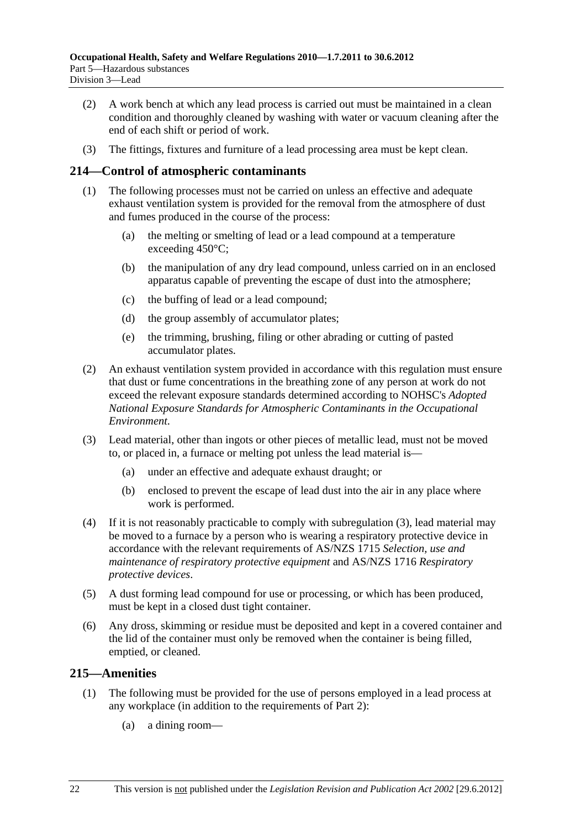- (2) A work bench at which any lead process is carried out must be maintained in a clean condition and thoroughly cleaned by washing with water or vacuum cleaning after the end of each shift or period of work.
- (3) The fittings, fixtures and furniture of a lead processing area must be kept clean.

# **214—Control of atmospheric contaminants**

- (1) The following processes must not be carried on unless an effective and adequate exhaust ventilation system is provided for the removal from the atmosphere of dust and fumes produced in the course of the process:
	- (a) the melting or smelting of lead or a lead compound at a temperature exceeding 450°C;
	- (b) the manipulation of any dry lead compound, unless carried on in an enclosed apparatus capable of preventing the escape of dust into the atmosphere;
	- (c) the buffing of lead or a lead compound;
	- (d) the group assembly of accumulator plates;
	- (e) the trimming, brushing, filing or other abrading or cutting of pasted accumulator plates.
- (2) An exhaust ventilation system provided in accordance with this regulation must ensure that dust or fume concentrations in the breathing zone of any person at work do not exceed the relevant exposure standards determined according to NOHSC's *Adopted National Exposure Standards for Atmospheric Contaminants in the Occupational Environment*.
- (3) Lead material, other than ingots or other pieces of metallic lead, must not be moved to, or placed in, a furnace or melting pot unless the lead material is—
	- (a) under an effective and adequate exhaust draught; or
	- (b) enclosed to prevent the escape of lead dust into the air in any place where work is performed.
- (4) If it is not reasonably practicable to comply with subregulation (3), lead material may be moved to a furnace by a person who is wearing a respiratory protective device in accordance with the relevant requirements of AS/NZS 1715 *Selection, use and maintenance of respiratory protective equipment* and AS/NZS 1716 *Respiratory protective devices*.
- (5) A dust forming lead compound for use or processing, or which has been produced, must be kept in a closed dust tight container.
- (6) Any dross, skimming or residue must be deposited and kept in a covered container and the lid of the container must only be removed when the container is being filled, emptied, or cleaned.

## **215—Amenities**

- (1) The following must be provided for the use of persons employed in a lead process at any workplace (in addition to the requirements of Part 2):
	- (a) a dining room—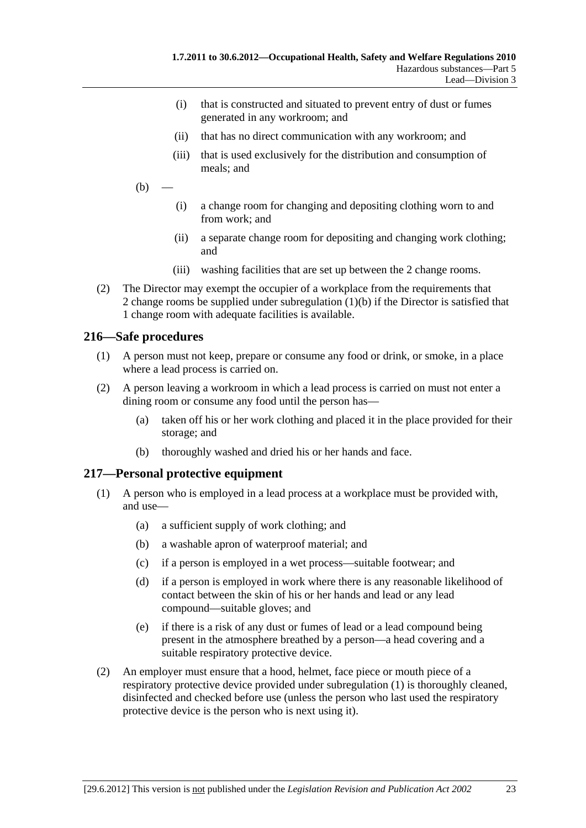- (i) that is constructed and situated to prevent entry of dust or fumes generated in any workroom; and
- (ii) that has no direct communication with any workroom; and
- (iii) that is used exclusively for the distribution and consumption of meals; and
- $(b)$
- (i) a change room for changing and depositing clothing worn to and from work; and
- (ii) a separate change room for depositing and changing work clothing; and
- (iii) washing facilities that are set up between the 2 change rooms.
- (2) The Director may exempt the occupier of a workplace from the requirements that 2 change rooms be supplied under subregulation (1)(b) if the Director is satisfied that 1 change room with adequate facilities is available.

## **216—Safe procedures**

- (1) A person must not keep, prepare or consume any food or drink, or smoke, in a place where a lead process is carried on.
- (2) A person leaving a workroom in which a lead process is carried on must not enter a dining room or consume any food until the person has—
	- (a) taken off his or her work clothing and placed it in the place provided for their storage; and
	- (b) thoroughly washed and dried his or her hands and face.

## **217—Personal protective equipment**

- (1) A person who is employed in a lead process at a workplace must be provided with, and use—
	- (a) a sufficient supply of work clothing; and
	- (b) a washable apron of waterproof material; and
	- (c) if a person is employed in a wet process—suitable footwear; and
	- (d) if a person is employed in work where there is any reasonable likelihood of contact between the skin of his or her hands and lead or any lead compound—suitable gloves; and
	- (e) if there is a risk of any dust or fumes of lead or a lead compound being present in the atmosphere breathed by a person—a head covering and a suitable respiratory protective device.
- (2) An employer must ensure that a hood, helmet, face piece or mouth piece of a respiratory protective device provided under subregulation (1) is thoroughly cleaned, disinfected and checked before use (unless the person who last used the respiratory protective device is the person who is next using it).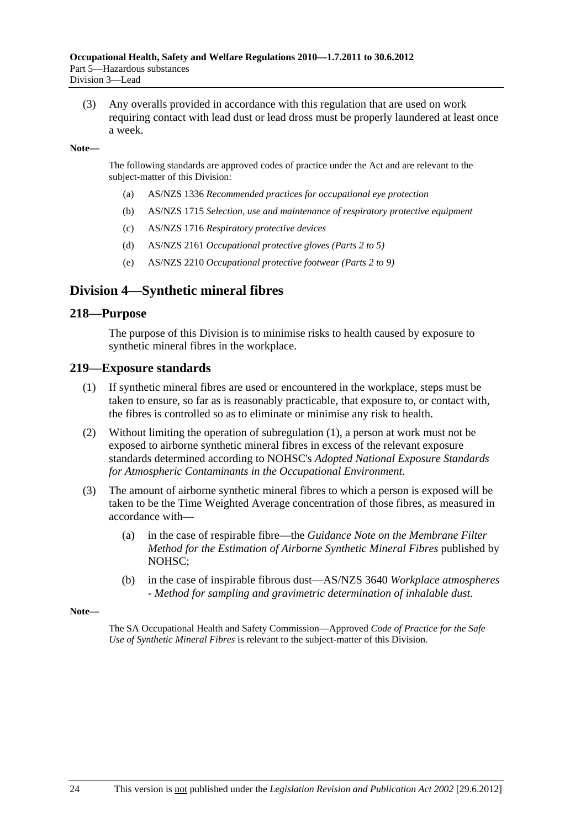(3) Any overalls provided in accordance with this regulation that are used on work requiring contact with lead dust or lead dross must be properly laundered at least once a week.

#### **Note—**

The following standards are approved codes of practice under the Act and are relevant to the subject-matter of this Division:

- (a) AS/NZS 1336 *Recommended practices for occupational eye protection*
- (b) AS/NZS 1715 *Selection, use and maintenance of respiratory protective equipment*
- (c) AS/NZS 1716 *Respiratory protective devices*
- (d) AS/NZS 2161 *Occupational protective gloves (Parts 2 to 5)*
- (e) AS/NZS 2210 *Occupational protective footwear (Parts 2 to 9)*

# **Division 4—Synthetic mineral fibres**

#### **218—Purpose**

The purpose of this Division is to minimise risks to health caused by exposure to synthetic mineral fibres in the workplace.

#### **219—Exposure standards**

- (1) If synthetic mineral fibres are used or encountered in the workplace, steps must be taken to ensure, so far as is reasonably practicable, that exposure to, or contact with, the fibres is controlled so as to eliminate or minimise any risk to health.
- (2) Without limiting the operation of subregulation (1), a person at work must not be exposed to airborne synthetic mineral fibres in excess of the relevant exposure standards determined according to NOHSC's *Adopted National Exposure Standards for Atmospheric Contaminants in the Occupational Environment*.
- (3) The amount of airborne synthetic mineral fibres to which a person is exposed will be taken to be the Time Weighted Average concentration of those fibres, as measured in accordance with—
	- (a) in the case of respirable fibre—the *Guidance Note on the Membrane Filter Method for the Estimation of Airborne Synthetic Mineral Fibres* published by NOHSC;
	- (b) in the case of inspirable fibrous dust—AS/NZS 3640 *Workplace atmospheres - Method for sampling and gravimetric determination of inhalable dust*.

**Note—** 

The SA Occupational Health and Safety Commission—Approved *Code of Practice for the Safe Use of Synthetic Mineral Fibres* is relevant to the subject-matter of this Division.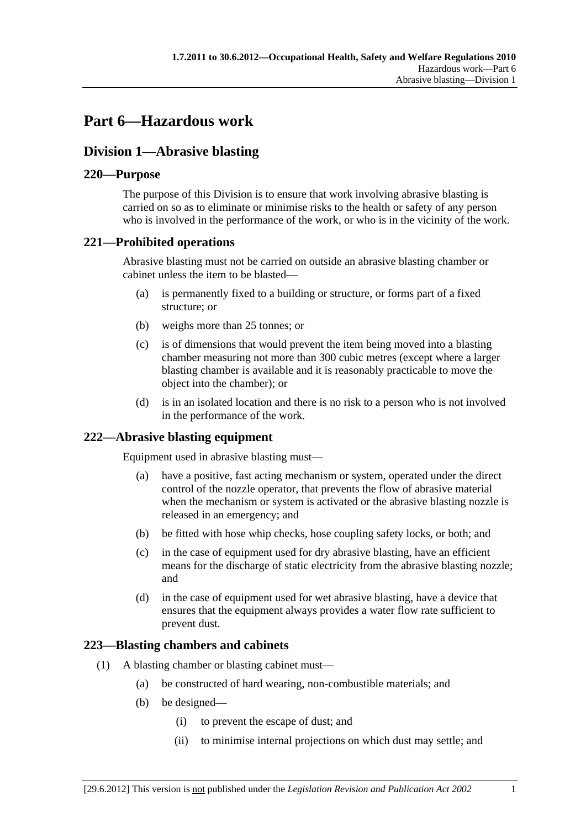# **Part 6—Hazardous work**

# **Division 1—Abrasive blasting**

# **220—Purpose**

The purpose of this Division is to ensure that work involving abrasive blasting is carried on so as to eliminate or minimise risks to the health or safety of any person who is involved in the performance of the work, or who is in the vicinity of the work.

# **221—Prohibited operations**

Abrasive blasting must not be carried on outside an abrasive blasting chamber or cabinet unless the item to be blasted—

- (a) is permanently fixed to a building or structure, or forms part of a fixed structure; or
- (b) weighs more than 25 tonnes; or
- (c) is of dimensions that would prevent the item being moved into a blasting chamber measuring not more than 300 cubic metres (except where a larger blasting chamber is available and it is reasonably practicable to move the object into the chamber); or
- (d) is in an isolated location and there is no risk to a person who is not involved in the performance of the work.

# **222—Abrasive blasting equipment**

Equipment used in abrasive blasting must—

- (a) have a positive, fast acting mechanism or system, operated under the direct control of the nozzle operator, that prevents the flow of abrasive material when the mechanism or system is activated or the abrasive blasting nozzle is released in an emergency; and
- (b) be fitted with hose whip checks, hose coupling safety locks, or both; and
- (c) in the case of equipment used for dry abrasive blasting, have an efficient means for the discharge of static electricity from the abrasive blasting nozzle; and
- (d) in the case of equipment used for wet abrasive blasting, have a device that ensures that the equipment always provides a water flow rate sufficient to prevent dust.

# **223—Blasting chambers and cabinets**

- (1) A blasting chamber or blasting cabinet must—
	- (a) be constructed of hard wearing, non-combustible materials; and
	- (b) be designed—
		- (i) to prevent the escape of dust; and
		- (ii) to minimise internal projections on which dust may settle; and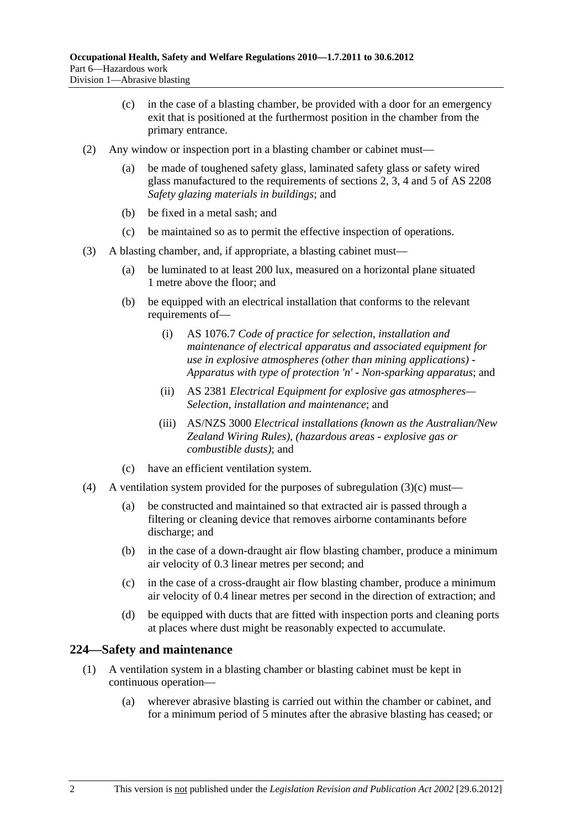- (c) in the case of a blasting chamber, be provided with a door for an emergency exit that is positioned at the furthermost position in the chamber from the primary entrance.
- (2) Any window or inspection port in a blasting chamber or cabinet must
	- be made of toughened safety glass, laminated safety glass or safety wired glass manufactured to the requirements of sections 2, 3, 4 and 5 of AS 2208 *Safety glazing materials in buildings*; and
	- (b) be fixed in a metal sash; and
	- (c) be maintained so as to permit the effective inspection of operations.
- (3) A blasting chamber, and, if appropriate, a blasting cabinet must—
	- (a) be luminated to at least 200 lux, measured on a horizontal plane situated 1 metre above the floor; and
	- (b) be equipped with an electrical installation that conforms to the relevant requirements of—
		- (i) AS 1076.7 *Code of practice for selection, installation and maintenance of electrical apparatus and associated equipment for use in explosive atmospheres (other than mining applications) - Apparatus with type of protection 'n' - Non-sparking apparatus*; and
		- (ii) AS 2381 *Electrical Equipment for explosive gas atmospheres— Selection, installation and maintenance*; and
		- (iii) AS/NZS 3000 *Electrical installations (known as the Australian/New Zealand Wiring Rules), (hazardous areas - explosive gas or combustible dusts)*; and
	- (c) have an efficient ventilation system.
- (4) A ventilation system provided for the purposes of subregulation  $(3)(c)$  must—
	- (a) be constructed and maintained so that extracted air is passed through a filtering or cleaning device that removes airborne contaminants before discharge; and
	- (b) in the case of a down-draught air flow blasting chamber, produce a minimum air velocity of 0.3 linear metres per second; and
	- (c) in the case of a cross-draught air flow blasting chamber, produce a minimum air velocity of 0.4 linear metres per second in the direction of extraction; and
	- (d) be equipped with ducts that are fitted with inspection ports and cleaning ports at places where dust might be reasonably expected to accumulate.

## **224—Safety and maintenance**

- (1) A ventilation system in a blasting chamber or blasting cabinet must be kept in continuous operation—
	- (a) wherever abrasive blasting is carried out within the chamber or cabinet, and for a minimum period of 5 minutes after the abrasive blasting has ceased; or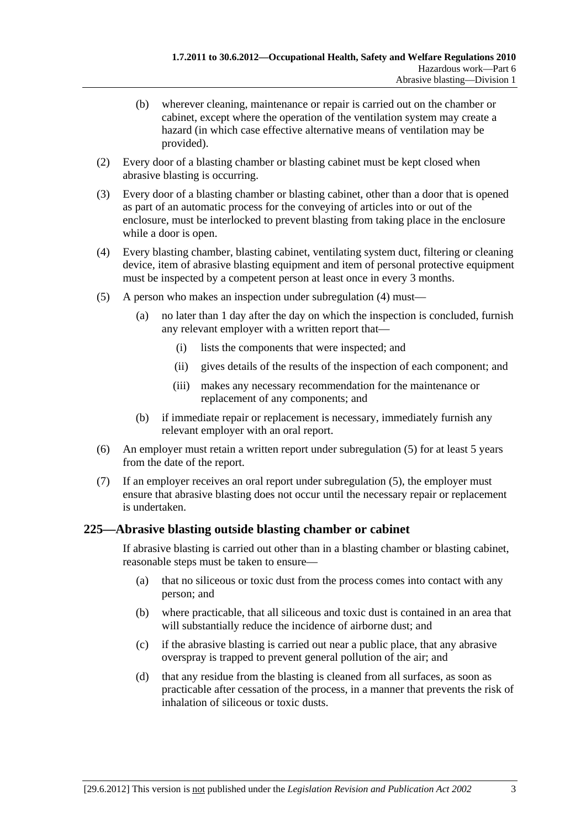- (b) wherever cleaning, maintenance or repair is carried out on the chamber or cabinet, except where the operation of the ventilation system may create a hazard (in which case effective alternative means of ventilation may be provided).
- (2) Every door of a blasting chamber or blasting cabinet must be kept closed when abrasive blasting is occurring.
- (3) Every door of a blasting chamber or blasting cabinet, other than a door that is opened as part of an automatic process for the conveying of articles into or out of the enclosure, must be interlocked to prevent blasting from taking place in the enclosure while a door is open.
- (4) Every blasting chamber, blasting cabinet, ventilating system duct, filtering or cleaning device, item of abrasive blasting equipment and item of personal protective equipment must be inspected by a competent person at least once in every 3 months.
- (5) A person who makes an inspection under subregulation (4) must—
	- (a) no later than 1 day after the day on which the inspection is concluded, furnish any relevant employer with a written report that—
		- (i) lists the components that were inspected; and
		- (ii) gives details of the results of the inspection of each component; and
		- (iii) makes any necessary recommendation for the maintenance or replacement of any components; and
	- (b) if immediate repair or replacement is necessary, immediately furnish any relevant employer with an oral report.
- (6) An employer must retain a written report under subregulation (5) for at least 5 years from the date of the report.
- (7) If an employer receives an oral report under subregulation (5), the employer must ensure that abrasive blasting does not occur until the necessary repair or replacement is undertaken.

# **225—Abrasive blasting outside blasting chamber or cabinet**

If abrasive blasting is carried out other than in a blasting chamber or blasting cabinet, reasonable steps must be taken to ensure—

- (a) that no siliceous or toxic dust from the process comes into contact with any person; and
- (b) where practicable, that all siliceous and toxic dust is contained in an area that will substantially reduce the incidence of airborne dust; and
- (c) if the abrasive blasting is carried out near a public place, that any abrasive overspray is trapped to prevent general pollution of the air; and
- (d) that any residue from the blasting is cleaned from all surfaces, as soon as practicable after cessation of the process, in a manner that prevents the risk of inhalation of siliceous or toxic dusts.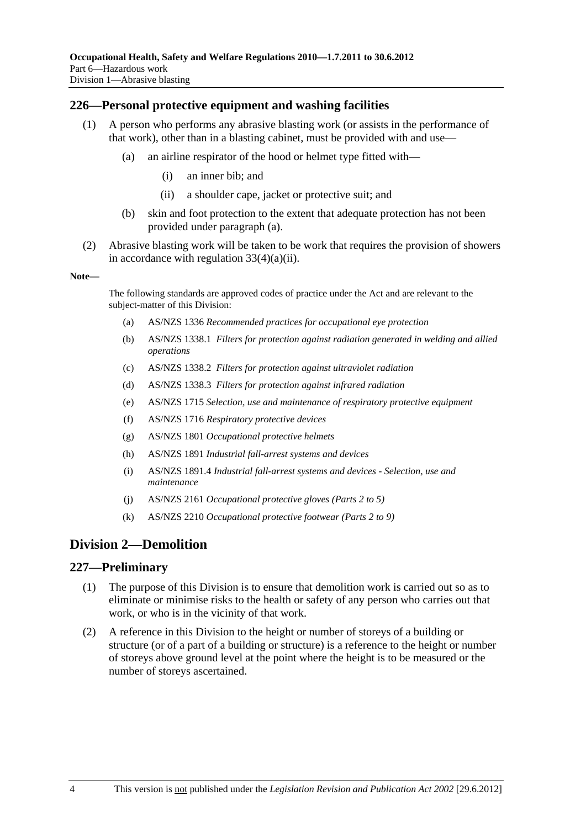#### **226—Personal protective equipment and washing facilities**

- (1) A person who performs any abrasive blasting work (or assists in the performance of that work), other than in a blasting cabinet, must be provided with and use—
	- (a) an airline respirator of the hood or helmet type fitted with—
		- (i) an inner bib; and
		- (ii) a shoulder cape, jacket or protective suit; and
	- (b) skin and foot protection to the extent that adequate protection has not been provided under paragraph (a).
- (2) Abrasive blasting work will be taken to be work that requires the provision of showers in accordance with regulation  $33(4)(a)(ii)$ .

#### **Note—**

The following standards are approved codes of practice under the Act and are relevant to the subject-matter of this Division:

- (a) AS/NZS 1336 *Recommended practices for occupational eye protection*
- (b) AS/NZS 1338.1 *Filters for protection against radiation generated in welding and allied operations*
- (c) AS/NZS 1338.2 *Filters for protection against ultraviolet radiation*
- (d) AS/NZS 1338.3 *Filters for protection against infrared radiation*
- (e) AS/NZS 1715 *Selection, use and maintenance of respiratory protective equipment*
- (f) AS/NZS 1716 *Respiratory protective devices*
- (g) AS/NZS 1801 *Occupational protective helmets*
- (h) AS/NZS 1891 *Industrial fall-arrest systems and devices*
- (i) AS/NZS 1891.4 *Industrial fall-arrest systems and devices Selection, use and maintenance*
- (j) AS/NZS 2161 *Occupational protective gloves (Parts 2 to 5)*
- (k) AS/NZS 2210 *Occupational protective footwear (Parts 2 to 9)*

# **Division 2—Demolition**

#### **227—Preliminary**

- (1) The purpose of this Division is to ensure that demolition work is carried out so as to eliminate or minimise risks to the health or safety of any person who carries out that work, or who is in the vicinity of that work.
- (2) A reference in this Division to the height or number of storeys of a building or structure (or of a part of a building or structure) is a reference to the height or number of storeys above ground level at the point where the height is to be measured or the number of storeys ascertained.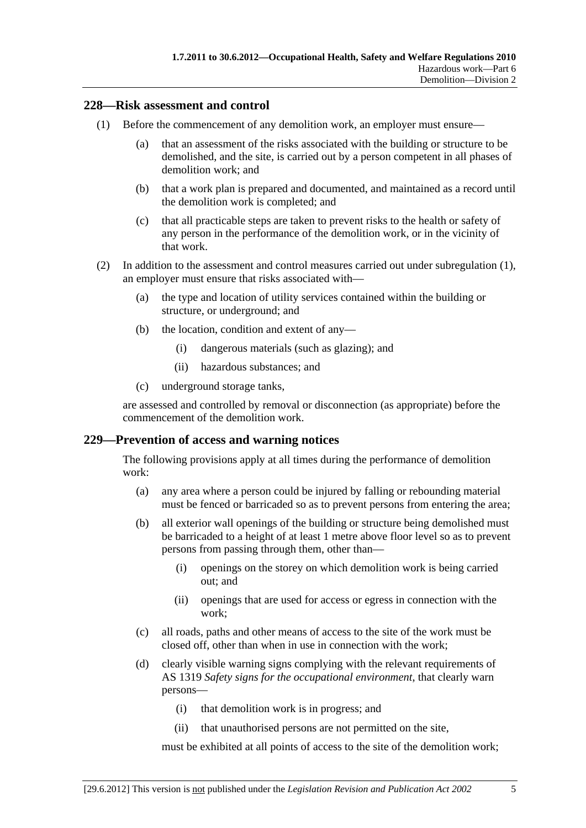#### **228—Risk assessment and control**

- (1) Before the commencement of any demolition work, an employer must ensure—
	- (a) that an assessment of the risks associated with the building or structure to be demolished, and the site, is carried out by a person competent in all phases of demolition work; and
	- (b) that a work plan is prepared and documented, and maintained as a record until the demolition work is completed; and
	- (c) that all practicable steps are taken to prevent risks to the health or safety of any person in the performance of the demolition work, or in the vicinity of that work.
- (2) In addition to the assessment and control measures carried out under subregulation (1), an employer must ensure that risks associated with—
	- (a) the type and location of utility services contained within the building or structure, or underground; and
	- (b) the location, condition and extent of any—
		- (i) dangerous materials (such as glazing); and
		- (ii) hazardous substances; and
	- (c) underground storage tanks,

are assessed and controlled by removal or disconnection (as appropriate) before the commencement of the demolition work.

## **229—Prevention of access and warning notices**

The following provisions apply at all times during the performance of demolition work:

- (a) any area where a person could be injured by falling or rebounding material must be fenced or barricaded so as to prevent persons from entering the area;
- (b) all exterior wall openings of the building or structure being demolished must be barricaded to a height of at least 1 metre above floor level so as to prevent persons from passing through them, other than—
	- (i) openings on the storey on which demolition work is being carried out; and
	- (ii) openings that are used for access or egress in connection with the work;
- (c) all roads, paths and other means of access to the site of the work must be closed off, other than when in use in connection with the work;
- (d) clearly visible warning signs complying with the relevant requirements of AS 1319 *Safety signs for the occupational environment*, that clearly warn persons—
	- (i) that demolition work is in progress; and
	- (ii) that unauthorised persons are not permitted on the site,

must be exhibited at all points of access to the site of the demolition work;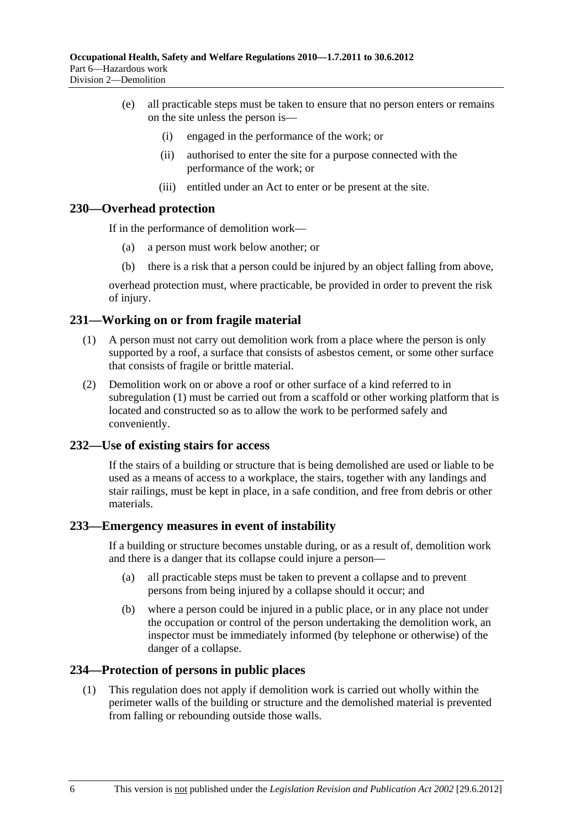- (e) all practicable steps must be taken to ensure that no person enters or remains on the site unless the person is—
	- (i) engaged in the performance of the work; or
	- (ii) authorised to enter the site for a purpose connected with the performance of the work; or
	- (iii) entitled under an Act to enter or be present at the site.

#### **230—Overhead protection**

If in the performance of demolition work—

- (a) a person must work below another; or
- (b) there is a risk that a person could be injured by an object falling from above,

overhead protection must, where practicable, be provided in order to prevent the risk of injury.

## **231—Working on or from fragile material**

- (1) A person must not carry out demolition work from a place where the person is only supported by a roof, a surface that consists of asbestos cement, or some other surface that consists of fragile or brittle material.
- (2) Demolition work on or above a roof or other surface of a kind referred to in subregulation (1) must be carried out from a scaffold or other working platform that is located and constructed so as to allow the work to be performed safely and conveniently.

#### **232—Use of existing stairs for access**

If the stairs of a building or structure that is being demolished are used or liable to be used as a means of access to a workplace, the stairs, together with any landings and stair railings, must be kept in place, in a safe condition, and free from debris or other materials.

## **233—Emergency measures in event of instability**

If a building or structure becomes unstable during, or as a result of, demolition work and there is a danger that its collapse could injure a person—

- (a) all practicable steps must be taken to prevent a collapse and to prevent persons from being injured by a collapse should it occur; and
- (b) where a person could be injured in a public place, or in any place not under the occupation or control of the person undertaking the demolition work, an inspector must be immediately informed (by telephone or otherwise) of the danger of a collapse.

## **234—Protection of persons in public places**

 (1) This regulation does not apply if demolition work is carried out wholly within the perimeter walls of the building or structure and the demolished material is prevented from falling or rebounding outside those walls.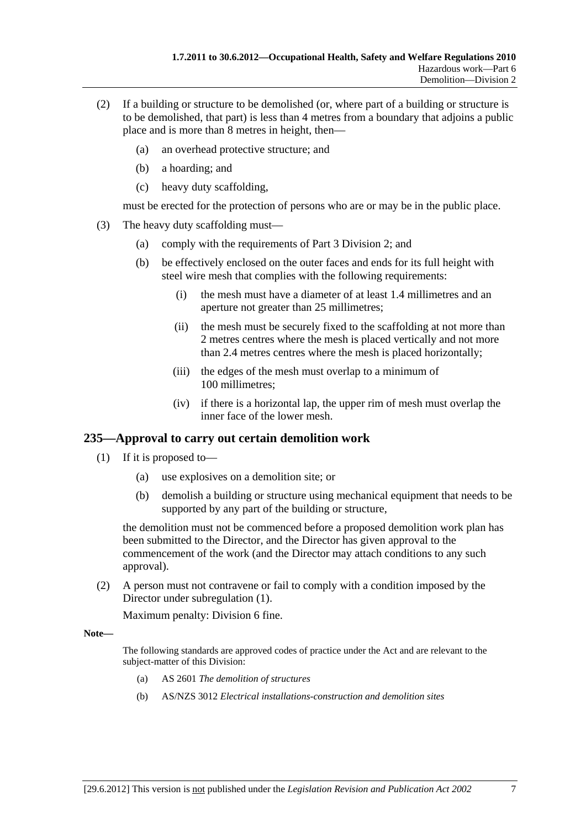- (2) If a building or structure to be demolished (or, where part of a building or structure is to be demolished, that part) is less than 4 metres from a boundary that adjoins a public place and is more than 8 metres in height, then—
	- (a) an overhead protective structure; and
	- (b) a hoarding; and
	- (c) heavy duty scaffolding,

must be erected for the protection of persons who are or may be in the public place.

- (3) The heavy duty scaffolding must—
	- (a) comply with the requirements of Part 3 Division 2; and
	- (b) be effectively enclosed on the outer faces and ends for its full height with steel wire mesh that complies with the following requirements:
		- (i) the mesh must have a diameter of at least 1.4 millimetres and an aperture not greater than 25 millimetres;
		- (ii) the mesh must be securely fixed to the scaffolding at not more than 2 metres centres where the mesh is placed vertically and not more than 2.4 metres centres where the mesh is placed horizontally;
		- (iii) the edges of the mesh must overlap to a minimum of 100 millimetres;
		- (iv) if there is a horizontal lap, the upper rim of mesh must overlap the inner face of the lower mesh.

# **235—Approval to carry out certain demolition work**

- (1) If it is proposed to—
	- (a) use explosives on a demolition site; or
	- (b) demolish a building or structure using mechanical equipment that needs to be supported by any part of the building or structure,

the demolition must not be commenced before a proposed demolition work plan has been submitted to the Director, and the Director has given approval to the commencement of the work (and the Director may attach conditions to any such approval).

 (2) A person must not contravene or fail to comply with a condition imposed by the Director under subregulation (1).

Maximum penalty: Division 6 fine.

#### **Note—**

The following standards are approved codes of practice under the Act and are relevant to the subject-matter of this Division:

- (a) AS 2601 *The demolition of structures*
- (b) AS/NZS 3012 *Electrical installations-construction and demolition sites*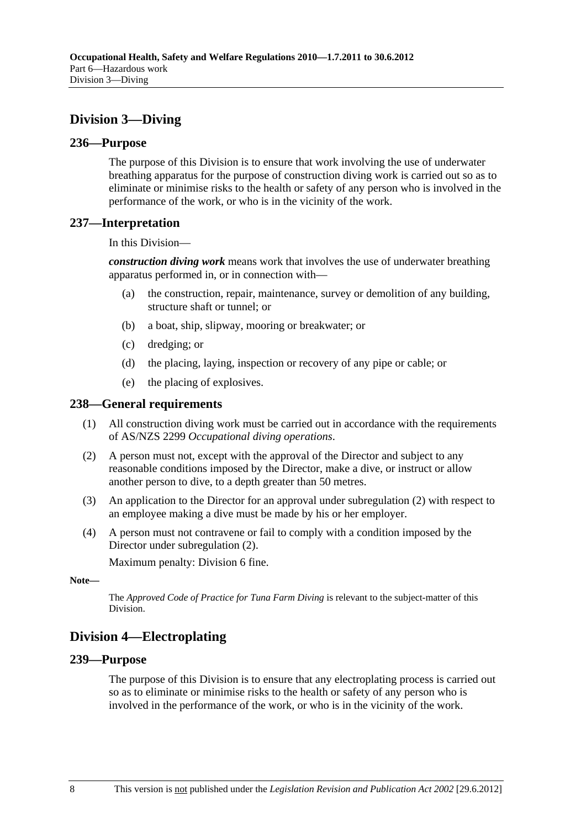# **Division 3—Diving**

## **236—Purpose**

The purpose of this Division is to ensure that work involving the use of underwater breathing apparatus for the purpose of construction diving work is carried out so as to eliminate or minimise risks to the health or safety of any person who is involved in the performance of the work, or who is in the vicinity of the work.

# **237—Interpretation**

In this Division—

*construction diving work* means work that involves the use of underwater breathing apparatus performed in, or in connection with—

- (a) the construction, repair, maintenance, survey or demolition of any building, structure shaft or tunnel; or
- (b) a boat, ship, slipway, mooring or breakwater; or
- (c) dredging; or
- (d) the placing, laying, inspection or recovery of any pipe or cable; or
- (e) the placing of explosives.

# **238—General requirements**

- (1) All construction diving work must be carried out in accordance with the requirements of AS/NZS 2299 *Occupational diving operations*.
- (2) A person must not, except with the approval of the Director and subject to any reasonable conditions imposed by the Director, make a dive, or instruct or allow another person to dive, to a depth greater than 50 metres.
- (3) An application to the Director for an approval under subregulation (2) with respect to an employee making a dive must be made by his or her employer.
- (4) A person must not contravene or fail to comply with a condition imposed by the Director under subregulation (2).

Maximum penalty: Division 6 fine.

```
Note—
```
The *Approved Code of Practice for Tuna Farm Diving* is relevant to the subject-matter of this Division.

# **Division 4—Electroplating**

## **239—Purpose**

The purpose of this Division is to ensure that any electroplating process is carried out so as to eliminate or minimise risks to the health or safety of any person who is involved in the performance of the work, or who is in the vicinity of the work.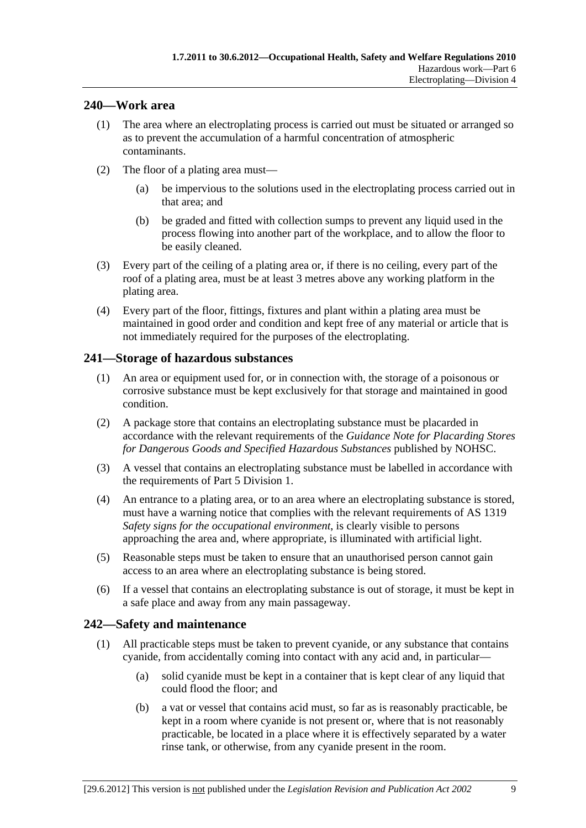## **240—Work area**

- (1) The area where an electroplating process is carried out must be situated or arranged so as to prevent the accumulation of a harmful concentration of atmospheric contaminants.
- (2) The floor of a plating area must—
	- (a) be impervious to the solutions used in the electroplating process carried out in that area; and
	- (b) be graded and fitted with collection sumps to prevent any liquid used in the process flowing into another part of the workplace, and to allow the floor to be easily cleaned.
- (3) Every part of the ceiling of a plating area or, if there is no ceiling, every part of the roof of a plating area, must be at least 3 metres above any working platform in the plating area.
- (4) Every part of the floor, fittings, fixtures and plant within a plating area must be maintained in good order and condition and kept free of any material or article that is not immediately required for the purposes of the electroplating.

# **241—Storage of hazardous substances**

- (1) An area or equipment used for, or in connection with, the storage of a poisonous or corrosive substance must be kept exclusively for that storage and maintained in good condition.
- (2) A package store that contains an electroplating substance must be placarded in accordance with the relevant requirements of the *Guidance Note for Placarding Stores for Dangerous Goods and Specified Hazardous Substances* published by NOHSC.
- (3) A vessel that contains an electroplating substance must be labelled in accordance with the requirements of Part 5 Division 1.
- (4) An entrance to a plating area, or to an area where an electroplating substance is stored, must have a warning notice that complies with the relevant requirements of AS 1319 *Safety signs for the occupational environment*, is clearly visible to persons approaching the area and, where appropriate, is illuminated with artificial light.
- (5) Reasonable steps must be taken to ensure that an unauthorised person cannot gain access to an area where an electroplating substance is being stored.
- (6) If a vessel that contains an electroplating substance is out of storage, it must be kept in a safe place and away from any main passageway.

# **242—Safety and maintenance**

- (1) All practicable steps must be taken to prevent cyanide, or any substance that contains cyanide, from accidentally coming into contact with any acid and, in particular—
	- (a) solid cyanide must be kept in a container that is kept clear of any liquid that could flood the floor; and
	- (b) a vat or vessel that contains acid must, so far as is reasonably practicable, be kept in a room where cyanide is not present or, where that is not reasonably practicable, be located in a place where it is effectively separated by a water rinse tank, or otherwise, from any cyanide present in the room.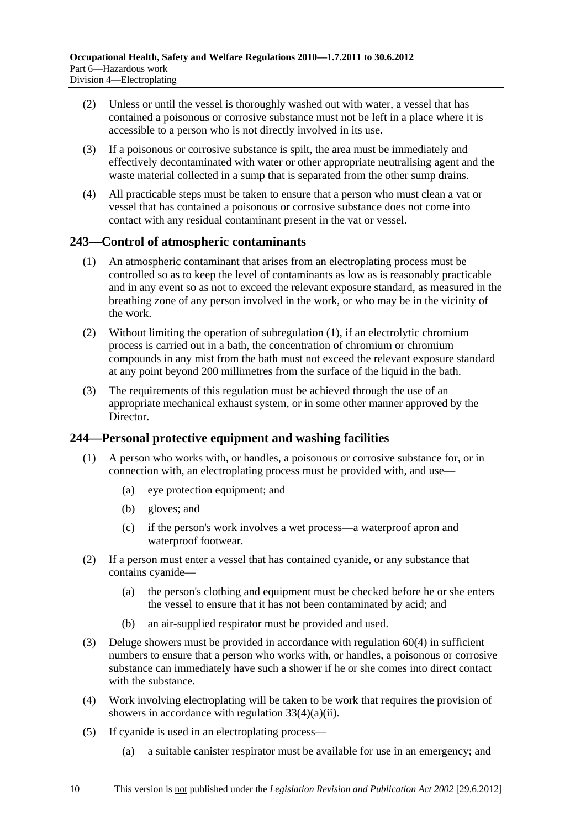- (2) Unless or until the vessel is thoroughly washed out with water, a vessel that has contained a poisonous or corrosive substance must not be left in a place where it is accessible to a person who is not directly involved in its use.
- (3) If a poisonous or corrosive substance is spilt, the area must be immediately and effectively decontaminated with water or other appropriate neutralising agent and the waste material collected in a sump that is separated from the other sump drains.
- (4) All practicable steps must be taken to ensure that a person who must clean a vat or vessel that has contained a poisonous or corrosive substance does not come into contact with any residual contaminant present in the vat or vessel.

# **243—Control of atmospheric contaminants**

- (1) An atmospheric contaminant that arises from an electroplating process must be controlled so as to keep the level of contaminants as low as is reasonably practicable and in any event so as not to exceed the relevant exposure standard, as measured in the breathing zone of any person involved in the work, or who may be in the vicinity of the work.
- (2) Without limiting the operation of subregulation (1), if an electrolytic chromium process is carried out in a bath, the concentration of chromium or chromium compounds in any mist from the bath must not exceed the relevant exposure standard at any point beyond 200 millimetres from the surface of the liquid in the bath.
- (3) The requirements of this regulation must be achieved through the use of an appropriate mechanical exhaust system, or in some other manner approved by the Director.

## **244—Personal protective equipment and washing facilities**

- (1) A person who works with, or handles, a poisonous or corrosive substance for, or in connection with, an electroplating process must be provided with, and use—
	- (a) eye protection equipment; and
	- (b) gloves; and
	- (c) if the person's work involves a wet process—a waterproof apron and waterproof footwear.
- (2) If a person must enter a vessel that has contained cyanide, or any substance that contains cyanide—
	- (a) the person's clothing and equipment must be checked before he or she enters the vessel to ensure that it has not been contaminated by acid; and
	- (b) an air-supplied respirator must be provided and used.
- (3) Deluge showers must be provided in accordance with regulation 60(4) in sufficient numbers to ensure that a person who works with, or handles, a poisonous or corrosive substance can immediately have such a shower if he or she comes into direct contact with the substance.
- (4) Work involving electroplating will be taken to be work that requires the provision of showers in accordance with regulation 33(4)(a)(ii).
- (5) If cyanide is used in an electroplating process—
	- (a) a suitable canister respirator must be available for use in an emergency; and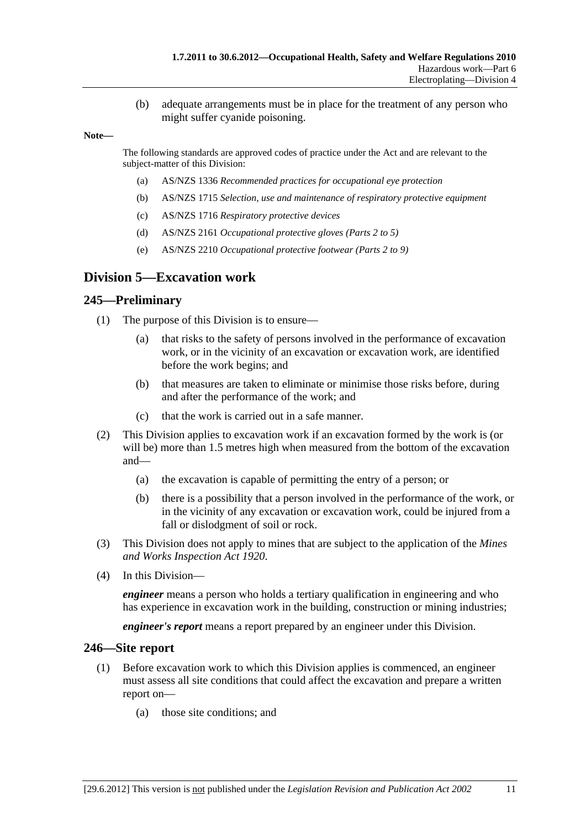(b) adequate arrangements must be in place for the treatment of any person who might suffer cyanide poisoning.

#### **Note—**

The following standards are approved codes of practice under the Act and are relevant to the subject-matter of this Division:

- (a) AS/NZS 1336 *Recommended practices for occupational eye protection*
- (b) AS/NZS 1715 *Selection, use and maintenance of respiratory protective equipment*
- (c) AS/NZS 1716 *Respiratory protective devices*
- (d) AS/NZS 2161 *Occupational protective gloves (Parts 2 to 5)*
- (e) AS/NZS 2210 *Occupational protective footwear (Parts 2 to 9)*

# **Division 5—Excavation work**

#### **245—Preliminary**

- (1) The purpose of this Division is to ensure—
	- (a) that risks to the safety of persons involved in the performance of excavation work, or in the vicinity of an excavation or excavation work, are identified before the work begins; and
	- (b) that measures are taken to eliminate or minimise those risks before, during and after the performance of the work; and
	- (c) that the work is carried out in a safe manner.
- (2) This Division applies to excavation work if an excavation formed by the work is (or will be) more than 1.5 metres high when measured from the bottom of the excavation and—
	- (a) the excavation is capable of permitting the entry of a person; or
	- (b) there is a possibility that a person involved in the performance of the work, or in the vicinity of any excavation or excavation work, could be injured from a fall or dislodgment of soil or rock.
- (3) This Division does not apply to mines that are subject to the application of the *Mines and Works Inspection Act 1920*.
- (4) In this Division—

*engineer* means a person who holds a tertiary qualification in engineering and who has experience in excavation work in the building, construction or mining industries;

*engineer's report* means a report prepared by an engineer under this Division.

#### **246—Site report**

- (1) Before excavation work to which this Division applies is commenced, an engineer must assess all site conditions that could affect the excavation and prepare a written report on—
	- (a) those site conditions; and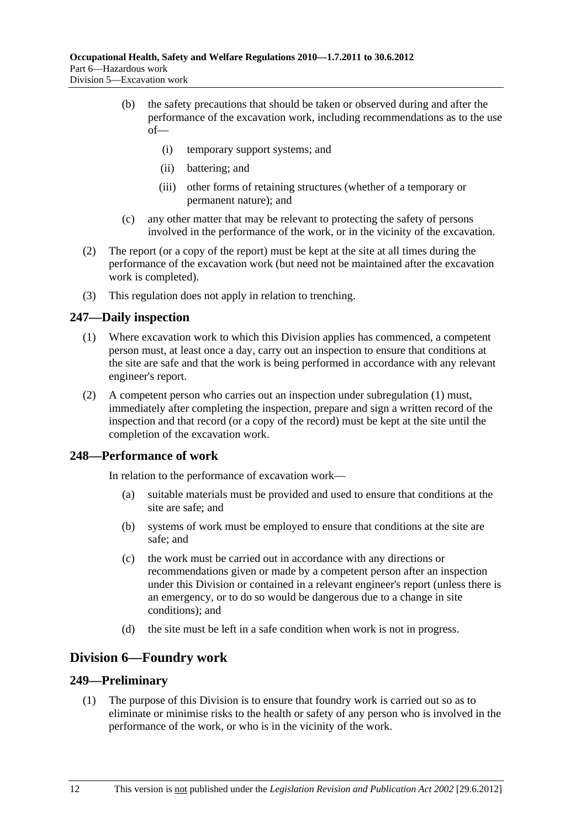- (b) the safety precautions that should be taken or observed during and after the performance of the excavation work, including recommendations as to the use of—
	- (i) temporary support systems; and
	- (ii) battering; and
	- (iii) other forms of retaining structures (whether of a temporary or permanent nature); and
- (c) any other matter that may be relevant to protecting the safety of persons involved in the performance of the work, or in the vicinity of the excavation.
- (2) The report (or a copy of the report) must be kept at the site at all times during the performance of the excavation work (but need not be maintained after the excavation work is completed).
- (3) This regulation does not apply in relation to trenching.

# **247—Daily inspection**

- (1) Where excavation work to which this Division applies has commenced, a competent person must, at least once a day, carry out an inspection to ensure that conditions at the site are safe and that the work is being performed in accordance with any relevant engineer's report.
- (2) A competent person who carries out an inspection under subregulation (1) must, immediately after completing the inspection, prepare and sign a written record of the inspection and that record (or a copy of the record) must be kept at the site until the completion of the excavation work.

## **248—Performance of work**

In relation to the performance of excavation work—

- (a) suitable materials must be provided and used to ensure that conditions at the site are safe; and
- (b) systems of work must be employed to ensure that conditions at the site are safe; and
- (c) the work must be carried out in accordance with any directions or recommendations given or made by a competent person after an inspection under this Division or contained in a relevant engineer's report (unless there is an emergency, or to do so would be dangerous due to a change in site conditions); and
- (d) the site must be left in a safe condition when work is not in progress.

# **Division 6—Foundry work**

## **249—Preliminary**

 (1) The purpose of this Division is to ensure that foundry work is carried out so as to eliminate or minimise risks to the health or safety of any person who is involved in the performance of the work, or who is in the vicinity of the work.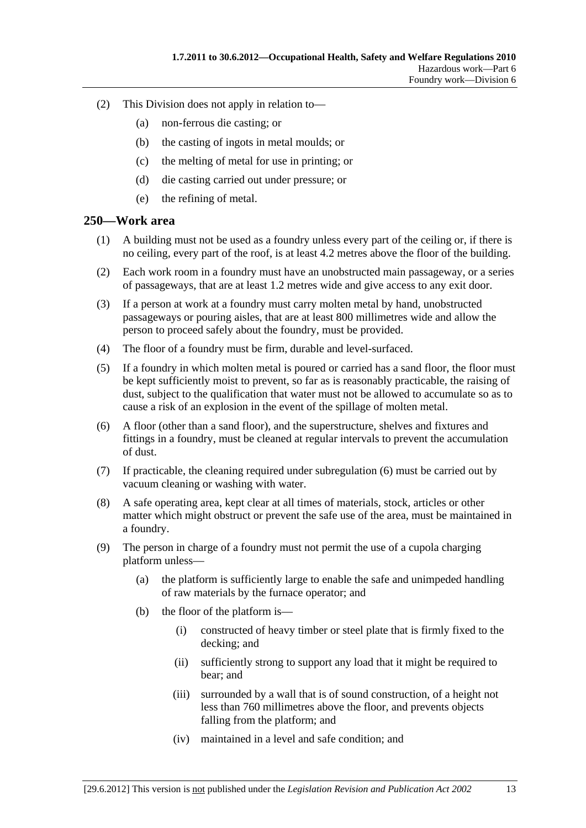- (2) This Division does not apply in relation to—
	- (a) non-ferrous die casting; or
	- (b) the casting of ingots in metal moulds; or
	- (c) the melting of metal for use in printing; or
	- (d) die casting carried out under pressure; or
	- (e) the refining of metal.

#### **250—Work area**

- (1) A building must not be used as a foundry unless every part of the ceiling or, if there is no ceiling, every part of the roof, is at least 4.2 metres above the floor of the building.
- (2) Each work room in a foundry must have an unobstructed main passageway, or a series of passageways, that are at least 1.2 metres wide and give access to any exit door.
- (3) If a person at work at a foundry must carry molten metal by hand, unobstructed passageways or pouring aisles, that are at least 800 millimetres wide and allow the person to proceed safely about the foundry, must be provided.
- (4) The floor of a foundry must be firm, durable and level-surfaced.
- (5) If a foundry in which molten metal is poured or carried has a sand floor, the floor must be kept sufficiently moist to prevent, so far as is reasonably practicable, the raising of dust, subject to the qualification that water must not be allowed to accumulate so as to cause a risk of an explosion in the event of the spillage of molten metal.
- (6) A floor (other than a sand floor), and the superstructure, shelves and fixtures and fittings in a foundry, must be cleaned at regular intervals to prevent the accumulation of dust.
- (7) If practicable, the cleaning required under subregulation (6) must be carried out by vacuum cleaning or washing with water.
- (8) A safe operating area, kept clear at all times of materials, stock, articles or other matter which might obstruct or prevent the safe use of the area, must be maintained in a foundry.
- (9) The person in charge of a foundry must not permit the use of a cupola charging platform unless—
	- (a) the platform is sufficiently large to enable the safe and unimpeded handling of raw materials by the furnace operator; and
	- (b) the floor of the platform is—
		- (i) constructed of heavy timber or steel plate that is firmly fixed to the decking; and
		- (ii) sufficiently strong to support any load that it might be required to bear; and
		- (iii) surrounded by a wall that is of sound construction, of a height not less than 760 millimetres above the floor, and prevents objects falling from the platform; and
		- (iv) maintained in a level and safe condition; and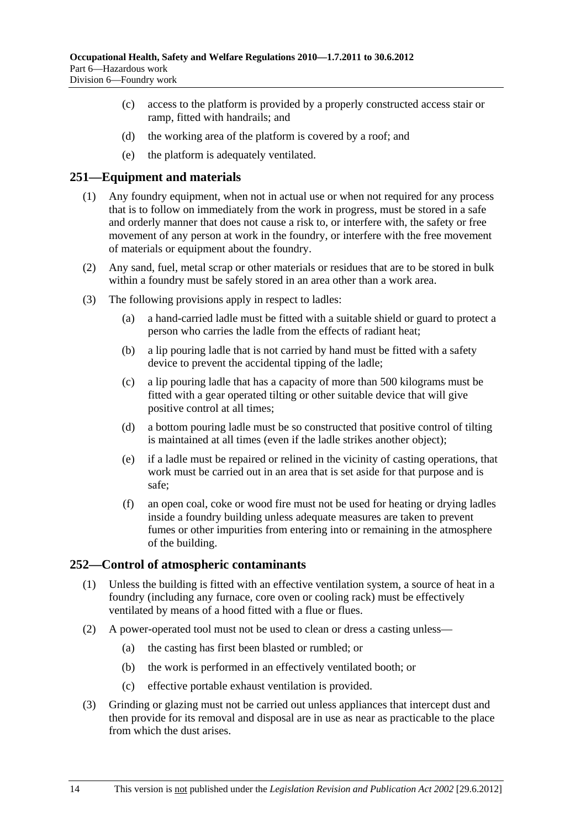- (c) access to the platform is provided by a properly constructed access stair or ramp, fitted with handrails; and
- (d) the working area of the platform is covered by a roof; and
- (e) the platform is adequately ventilated.

#### **251—Equipment and materials**

- (1) Any foundry equipment, when not in actual use or when not required for any process that is to follow on immediately from the work in progress, must be stored in a safe and orderly manner that does not cause a risk to, or interfere with, the safety or free movement of any person at work in the foundry, or interfere with the free movement of materials or equipment about the foundry.
- (2) Any sand, fuel, metal scrap or other materials or residues that are to be stored in bulk within a foundry must be safely stored in an area other than a work area.
- (3) The following provisions apply in respect to ladles:
	- (a) a hand-carried ladle must be fitted with a suitable shield or guard to protect a person who carries the ladle from the effects of radiant heat;
	- (b) a lip pouring ladle that is not carried by hand must be fitted with a safety device to prevent the accidental tipping of the ladle;
	- (c) a lip pouring ladle that has a capacity of more than 500 kilograms must be fitted with a gear operated tilting or other suitable device that will give positive control at all times;
	- (d) a bottom pouring ladle must be so constructed that positive control of tilting is maintained at all times (even if the ladle strikes another object);
	- (e) if a ladle must be repaired or relined in the vicinity of casting operations, that work must be carried out in an area that is set aside for that purpose and is safe;
	- (f) an open coal, coke or wood fire must not be used for heating or drying ladles inside a foundry building unless adequate measures are taken to prevent fumes or other impurities from entering into or remaining in the atmosphere of the building.

#### **252—Control of atmospheric contaminants**

- (1) Unless the building is fitted with an effective ventilation system, a source of heat in a foundry (including any furnace, core oven or cooling rack) must be effectively ventilated by means of a hood fitted with a flue or flues.
- (2) A power-operated tool must not be used to clean or dress a casting unless—
	- (a) the casting has first been blasted or rumbled; or
	- (b) the work is performed in an effectively ventilated booth; or
	- (c) effective portable exhaust ventilation is provided.
- (3) Grinding or glazing must not be carried out unless appliances that intercept dust and then provide for its removal and disposal are in use as near as practicable to the place from which the dust arises.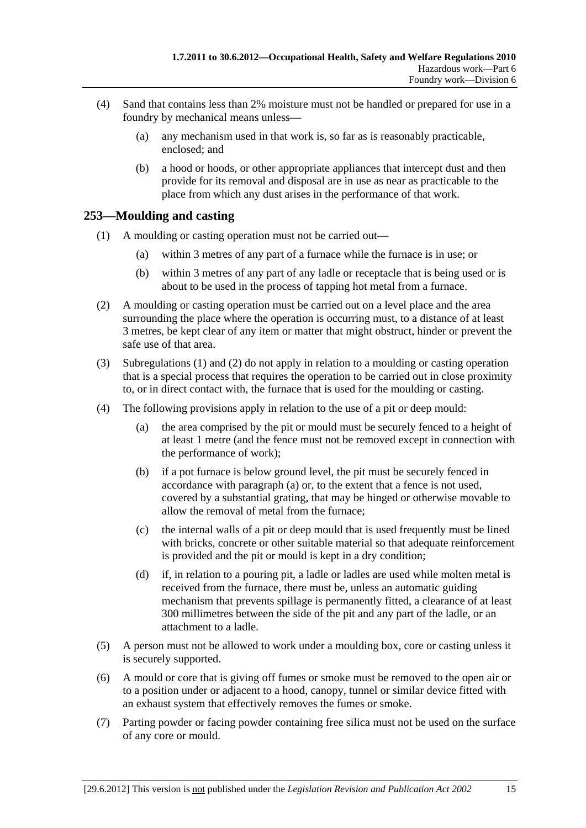- (4) Sand that contains less than 2% moisture must not be handled or prepared for use in a foundry by mechanical means unless—
	- (a) any mechanism used in that work is, so far as is reasonably practicable, enclosed; and
	- (b) a hood or hoods, or other appropriate appliances that intercept dust and then provide for its removal and disposal are in use as near as practicable to the place from which any dust arises in the performance of that work.

# **253—Moulding and casting**

- (1) A moulding or casting operation must not be carried out—
	- (a) within 3 metres of any part of a furnace while the furnace is in use; or
	- (b) within 3 metres of any part of any ladle or receptacle that is being used or is about to be used in the process of tapping hot metal from a furnace.
- (2) A moulding or casting operation must be carried out on a level place and the area surrounding the place where the operation is occurring must, to a distance of at least 3 metres, be kept clear of any item or matter that might obstruct, hinder or prevent the safe use of that area.
- (3) Subregulations (1) and (2) do not apply in relation to a moulding or casting operation that is a special process that requires the operation to be carried out in close proximity to, or in direct contact with, the furnace that is used for the moulding or casting.
- (4) The following provisions apply in relation to the use of a pit or deep mould:
	- (a) the area comprised by the pit or mould must be securely fenced to a height of at least 1 metre (and the fence must not be removed except in connection with the performance of work);
	- (b) if a pot furnace is below ground level, the pit must be securely fenced in accordance with paragraph (a) or, to the extent that a fence is not used, covered by a substantial grating, that may be hinged or otherwise movable to allow the removal of metal from the furnace;
	- (c) the internal walls of a pit or deep mould that is used frequently must be lined with bricks, concrete or other suitable material so that adequate reinforcement is provided and the pit or mould is kept in a dry condition;
	- (d) if, in relation to a pouring pit, a ladle or ladles are used while molten metal is received from the furnace, there must be, unless an automatic guiding mechanism that prevents spillage is permanently fitted, a clearance of at least 300 millimetres between the side of the pit and any part of the ladle, or an attachment to a ladle.
- (5) A person must not be allowed to work under a moulding box, core or casting unless it is securely supported.
- (6) A mould or core that is giving off fumes or smoke must be removed to the open air or to a position under or adjacent to a hood, canopy, tunnel or similar device fitted with an exhaust system that effectively removes the fumes or smoke.
- (7) Parting powder or facing powder containing free silica must not be used on the surface of any core or mould.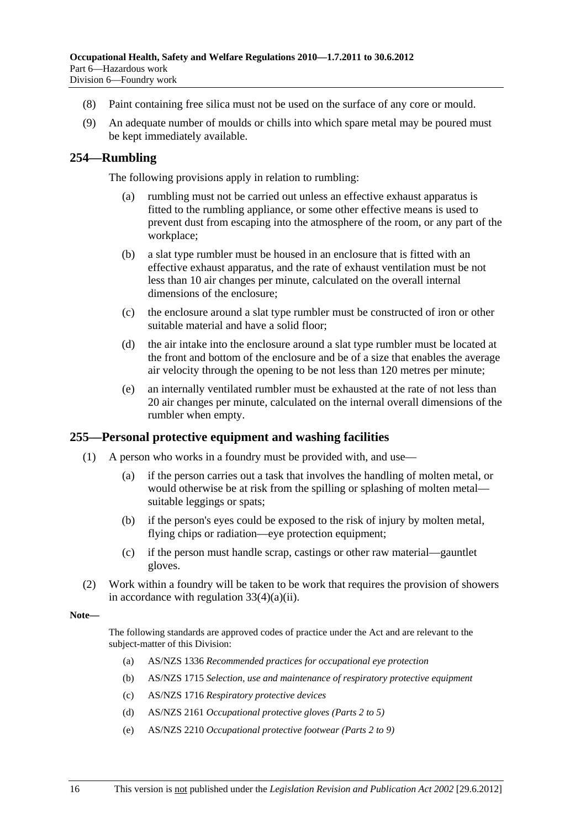- (8) Paint containing free silica must not be used on the surface of any core or mould.
- (9) An adequate number of moulds or chills into which spare metal may be poured must be kept immediately available.

#### **254—Rumbling**

The following provisions apply in relation to rumbling:

- (a) rumbling must not be carried out unless an effective exhaust apparatus is fitted to the rumbling appliance, or some other effective means is used to prevent dust from escaping into the atmosphere of the room, or any part of the workplace;
- (b) a slat type rumbler must be housed in an enclosure that is fitted with an effective exhaust apparatus, and the rate of exhaust ventilation must be not less than 10 air changes per minute, calculated on the overall internal dimensions of the enclosure;
- (c) the enclosure around a slat type rumbler must be constructed of iron or other suitable material and have a solid floor;
- (d) the air intake into the enclosure around a slat type rumbler must be located at the front and bottom of the enclosure and be of a size that enables the average air velocity through the opening to be not less than 120 metres per minute;
- (e) an internally ventilated rumbler must be exhausted at the rate of not less than 20 air changes per minute, calculated on the internal overall dimensions of the rumbler when empty.

#### **255—Personal protective equipment and washing facilities**

- (1) A person who works in a foundry must be provided with, and use—
	- (a) if the person carries out a task that involves the handling of molten metal, or would otherwise be at risk from the spilling or splashing of molten metal suitable leggings or spats;
	- (b) if the person's eyes could be exposed to the risk of injury by molten metal, flying chips or radiation—eye protection equipment;
	- (c) if the person must handle scrap, castings or other raw material—gauntlet gloves.
- (2) Work within a foundry will be taken to be work that requires the provision of showers in accordance with regulation 33(4)(a)(ii).

**Note—** 

The following standards are approved codes of practice under the Act and are relevant to the subject-matter of this Division:

- (a) AS/NZS 1336 *Recommended practices for occupational eye protection*
- (b) AS/NZS 1715 *Selection, use and maintenance of respiratory protective equipment*
- (c) AS/NZS 1716 *Respiratory protective devices*
- (d) AS/NZS 2161 *Occupational protective gloves (Parts 2 to 5)*
- (e) AS/NZS 2210 *Occupational protective footwear (Parts 2 to 9)*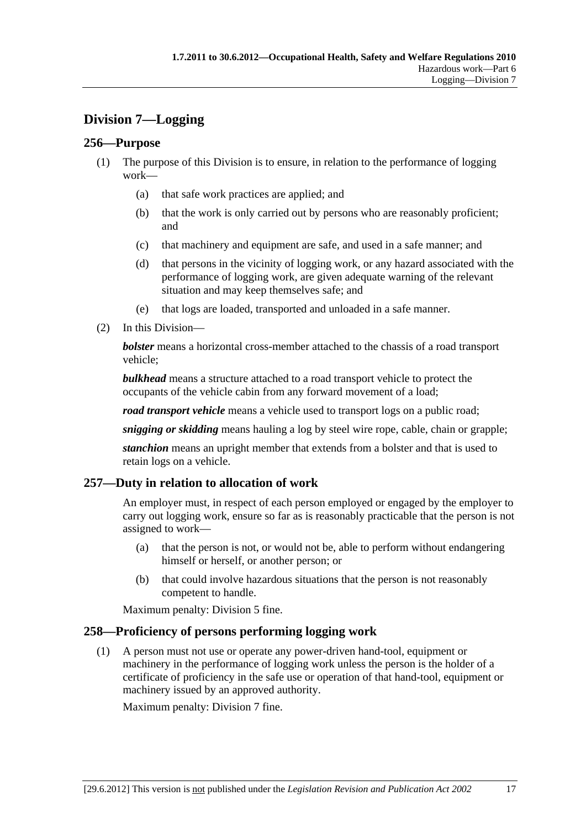# **Division 7—Logging**

# **256—Purpose**

- (1) The purpose of this Division is to ensure, in relation to the performance of logging work—
	- (a) that safe work practices are applied; and
	- (b) that the work is only carried out by persons who are reasonably proficient; and
	- (c) that machinery and equipment are safe, and used in a safe manner; and
	- (d) that persons in the vicinity of logging work, or any hazard associated with the performance of logging work, are given adequate warning of the relevant situation and may keep themselves safe; and
	- (e) that logs are loaded, transported and unloaded in a safe manner.
- (2) In this Division—

*bolster* means a horizontal cross-member attached to the chassis of a road transport vehicle;

*bulkhead* means a structure attached to a road transport vehicle to protect the occupants of the vehicle cabin from any forward movement of a load;

*road transport vehicle* means a vehicle used to transport logs on a public road;

*snigging or skidding* means hauling a log by steel wire rope, cable, chain or grapple;

*stanchion* means an upright member that extends from a bolster and that is used to retain logs on a vehicle.

## **257—Duty in relation to allocation of work**

An employer must, in respect of each person employed or engaged by the employer to carry out logging work, ensure so far as is reasonably practicable that the person is not assigned to work—

- (a) that the person is not, or would not be, able to perform without endangering himself or herself, or another person; or
- (b) that could involve hazardous situations that the person is not reasonably competent to handle.

Maximum penalty: Division 5 fine.

## **258—Proficiency of persons performing logging work**

 (1) A person must not use or operate any power-driven hand-tool, equipment or machinery in the performance of logging work unless the person is the holder of a certificate of proficiency in the safe use or operation of that hand-tool, equipment or machinery issued by an approved authority.

Maximum penalty: Division 7 fine.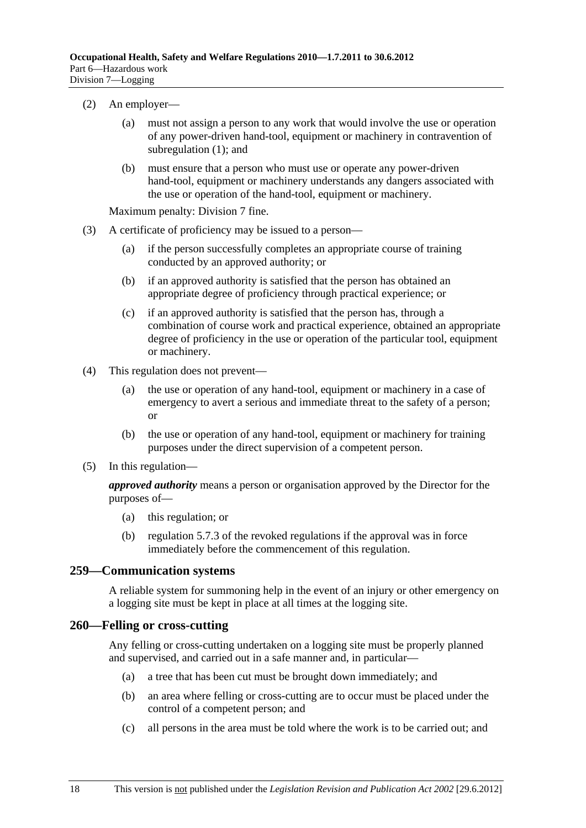- (2) An employer—
	- (a) must not assign a person to any work that would involve the use or operation of any power-driven hand-tool, equipment or machinery in contravention of subregulation (1); and
	- (b) must ensure that a person who must use or operate any power-driven hand-tool, equipment or machinery understands any dangers associated with the use or operation of the hand-tool, equipment or machinery.

- (3) A certificate of proficiency may be issued to a person—
	- (a) if the person successfully completes an appropriate course of training conducted by an approved authority; or
	- (b) if an approved authority is satisfied that the person has obtained an appropriate degree of proficiency through practical experience; or
	- (c) if an approved authority is satisfied that the person has, through a combination of course work and practical experience, obtained an appropriate degree of proficiency in the use or operation of the particular tool, equipment or machinery.
- (4) This regulation does not prevent—
	- (a) the use or operation of any hand-tool, equipment or machinery in a case of emergency to avert a serious and immediate threat to the safety of a person; or
	- (b) the use or operation of any hand-tool, equipment or machinery for training purposes under the direct supervision of a competent person.
- (5) In this regulation—

*approved authority* means a person or organisation approved by the Director for the purposes of—

- (a) this regulation; or
- (b) regulation 5.7.3 of the revoked regulations if the approval was in force immediately before the commencement of this regulation.

#### **259—Communication systems**

A reliable system for summoning help in the event of an injury or other emergency on a logging site must be kept in place at all times at the logging site.

#### **260—Felling or cross-cutting**

Any felling or cross-cutting undertaken on a logging site must be properly planned and supervised, and carried out in a safe manner and, in particular—

- (a) a tree that has been cut must be brought down immediately; and
- (b) an area where felling or cross-cutting are to occur must be placed under the control of a competent person; and
- (c) all persons in the area must be told where the work is to be carried out; and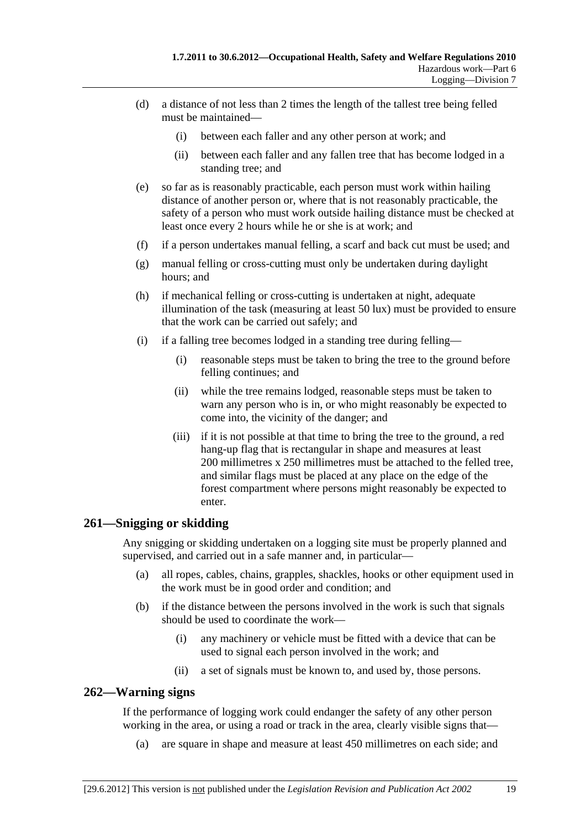- (d) a distance of not less than 2 times the length of the tallest tree being felled must be maintained—
	- (i) between each faller and any other person at work; and
	- (ii) between each faller and any fallen tree that has become lodged in a standing tree; and
- (e) so far as is reasonably practicable, each person must work within hailing distance of another person or, where that is not reasonably practicable, the safety of a person who must work outside hailing distance must be checked at least once every 2 hours while he or she is at work; and
- (f) if a person undertakes manual felling, a scarf and back cut must be used; and
- (g) manual felling or cross-cutting must only be undertaken during daylight hours; and
- (h) if mechanical felling or cross-cutting is undertaken at night, adequate illumination of the task (measuring at least 50 lux) must be provided to ensure that the work can be carried out safely; and
- (i) if a falling tree becomes lodged in a standing tree during felling—
	- (i) reasonable steps must be taken to bring the tree to the ground before felling continues; and
	- (ii) while the tree remains lodged, reasonable steps must be taken to warn any person who is in, or who might reasonably be expected to come into, the vicinity of the danger; and
	- (iii) if it is not possible at that time to bring the tree to the ground, a red hang-up flag that is rectangular in shape and measures at least 200 millimetres x 250 millimetres must be attached to the felled tree, and similar flags must be placed at any place on the edge of the forest compartment where persons might reasonably be expected to enter.

## **261—Snigging or skidding**

Any snigging or skidding undertaken on a logging site must be properly planned and supervised, and carried out in a safe manner and, in particular—

- (a) all ropes, cables, chains, grapples, shackles, hooks or other equipment used in the work must be in good order and condition; and
- (b) if the distance between the persons involved in the work is such that signals should be used to coordinate the work—
	- (i) any machinery or vehicle must be fitted with a device that can be used to signal each person involved in the work; and
	- (ii) a set of signals must be known to, and used by, those persons.

## **262—Warning signs**

If the performance of logging work could endanger the safety of any other person working in the area, or using a road or track in the area, clearly visible signs that—

(a) are square in shape and measure at least 450 millimetres on each side; and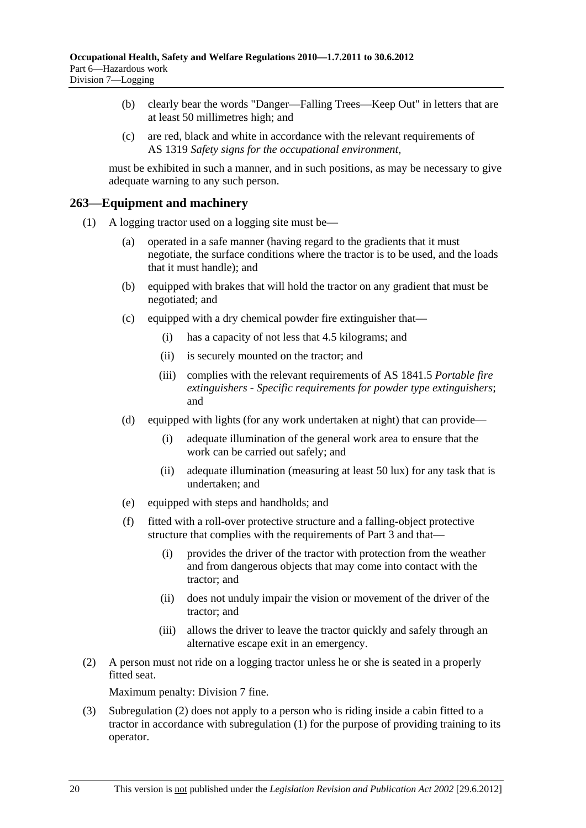- (b) clearly bear the words "Danger—Falling Trees—Keep Out" in letters that are at least 50 millimetres high; and
- (c) are red, black and white in accordance with the relevant requirements of AS 1319 *Safety signs for the occupational environment*,

must be exhibited in such a manner, and in such positions, as may be necessary to give adequate warning to any such person.

#### **263—Equipment and machinery**

- (1) A logging tractor used on a logging site must be—
	- (a) operated in a safe manner (having regard to the gradients that it must negotiate, the surface conditions where the tractor is to be used, and the loads that it must handle); and
	- (b) equipped with brakes that will hold the tractor on any gradient that must be negotiated; and
	- (c) equipped with a dry chemical powder fire extinguisher that—
		- (i) has a capacity of not less that 4.5 kilograms; and
		- (ii) is securely mounted on the tractor; and
		- (iii) complies with the relevant requirements of AS 1841.5 *Portable fire extinguishers - Specific requirements for powder type extinguishers*; and
	- (d) equipped with lights (for any work undertaken at night) that can provide—
		- (i) adequate illumination of the general work area to ensure that the work can be carried out safely; and
		- (ii) adequate illumination (measuring at least 50 lux) for any task that is undertaken; and
	- (e) equipped with steps and handholds; and
	- (f) fitted with a roll-over protective structure and a falling-object protective structure that complies with the requirements of Part 3 and that—
		- (i) provides the driver of the tractor with protection from the weather and from dangerous objects that may come into contact with the tractor; and
		- (ii) does not unduly impair the vision or movement of the driver of the tractor; and
		- (iii) allows the driver to leave the tractor quickly and safely through an alternative escape exit in an emergency.
- (2) A person must not ride on a logging tractor unless he or she is seated in a properly fitted seat.

Maximum penalty: Division 7 fine.

 (3) Subregulation (2) does not apply to a person who is riding inside a cabin fitted to a tractor in accordance with subregulation (1) for the purpose of providing training to its operator.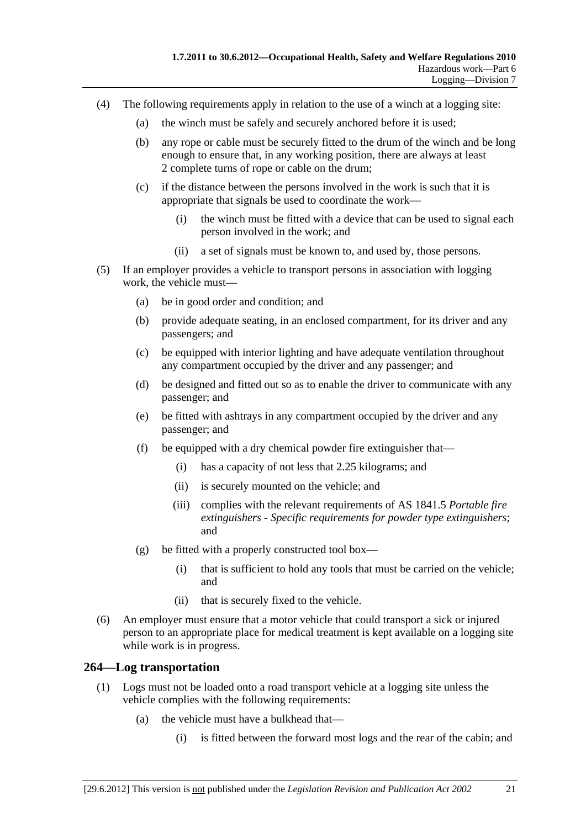- (4) The following requirements apply in relation to the use of a winch at a logging site:
	- (a) the winch must be safely and securely anchored before it is used;
	- (b) any rope or cable must be securely fitted to the drum of the winch and be long enough to ensure that, in any working position, there are always at least 2 complete turns of rope or cable on the drum;
	- (c) if the distance between the persons involved in the work is such that it is appropriate that signals be used to coordinate the work—
		- (i) the winch must be fitted with a device that can be used to signal each person involved in the work; and
		- (ii) a set of signals must be known to, and used by, those persons.
- (5) If an employer provides a vehicle to transport persons in association with logging work, the vehicle must—
	- (a) be in good order and condition; and
	- (b) provide adequate seating, in an enclosed compartment, for its driver and any passengers; and
	- (c) be equipped with interior lighting and have adequate ventilation throughout any compartment occupied by the driver and any passenger; and
	- (d) be designed and fitted out so as to enable the driver to communicate with any passenger; and
	- (e) be fitted with ashtrays in any compartment occupied by the driver and any passenger; and
	- (f) be equipped with a dry chemical powder fire extinguisher that—
		- (i) has a capacity of not less that 2.25 kilograms; and
		- (ii) is securely mounted on the vehicle; and
		- (iii) complies with the relevant requirements of AS 1841.5 *Portable fire extinguishers - Specific requirements for powder type extinguishers*; and
	- (g) be fitted with a properly constructed tool box—
		- (i) that is sufficient to hold any tools that must be carried on the vehicle; and
		- (ii) that is securely fixed to the vehicle.
- (6) An employer must ensure that a motor vehicle that could transport a sick or injured person to an appropriate place for medical treatment is kept available on a logging site while work is in progress.

#### **264—Log transportation**

- (1) Logs must not be loaded onto a road transport vehicle at a logging site unless the vehicle complies with the following requirements:
	- (a) the vehicle must have a bulkhead that—
		- (i) is fitted between the forward most logs and the rear of the cabin; and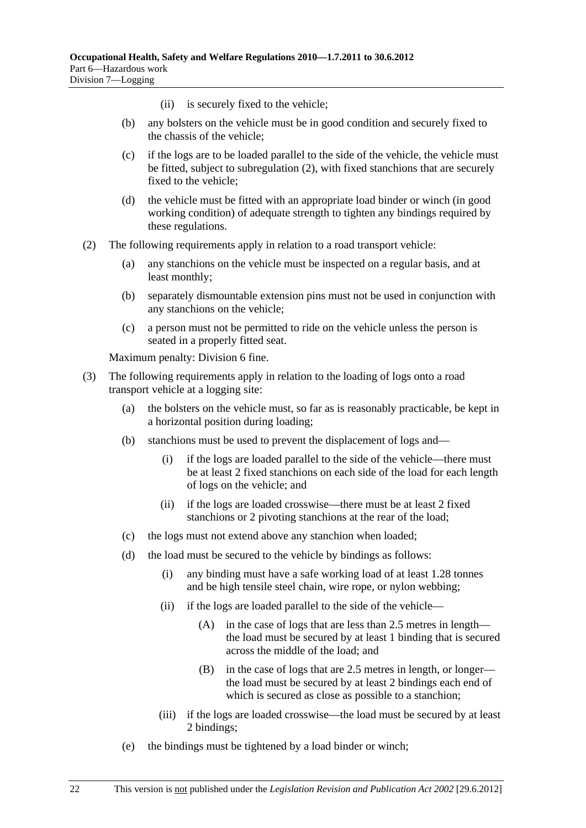- (ii) is securely fixed to the vehicle;
- (b) any bolsters on the vehicle must be in good condition and securely fixed to the chassis of the vehicle;
- (c) if the logs are to be loaded parallel to the side of the vehicle, the vehicle must be fitted, subject to subregulation (2), with fixed stanchions that are securely fixed to the vehicle;
- (d) the vehicle must be fitted with an appropriate load binder or winch (in good working condition) of adequate strength to tighten any bindings required by these regulations.
- (2) The following requirements apply in relation to a road transport vehicle:
	- (a) any stanchions on the vehicle must be inspected on a regular basis, and at least monthly;
	- (b) separately dismountable extension pins must not be used in conjunction with any stanchions on the vehicle;
	- (c) a person must not be permitted to ride on the vehicle unless the person is seated in a properly fitted seat.

- (3) The following requirements apply in relation to the loading of logs onto a road transport vehicle at a logging site:
	- (a) the bolsters on the vehicle must, so far as is reasonably practicable, be kept in a horizontal position during loading;
	- (b) stanchions must be used to prevent the displacement of logs and—
		- (i) if the logs are loaded parallel to the side of the vehicle—there must be at least 2 fixed stanchions on each side of the load for each length of logs on the vehicle; and
		- (ii) if the logs are loaded crosswise—there must be at least 2 fixed stanchions or 2 pivoting stanchions at the rear of the load;
	- (c) the logs must not extend above any stanchion when loaded;
	- (d) the load must be secured to the vehicle by bindings as follows:
		- (i) any binding must have a safe working load of at least 1.28 tonnes and be high tensile steel chain, wire rope, or nylon webbing;
		- (ii) if the logs are loaded parallel to the side of the vehicle—
			- (A) in the case of logs that are less than 2.5 metres in length the load must be secured by at least 1 binding that is secured across the middle of the load; and
			- (B) in the case of logs that are 2.5 metres in length, or longer the load must be secured by at least 2 bindings each end of which is secured as close as possible to a stanchion;
		- (iii) if the logs are loaded crosswise—the load must be secured by at least 2 bindings;
	- (e) the bindings must be tightened by a load binder or winch;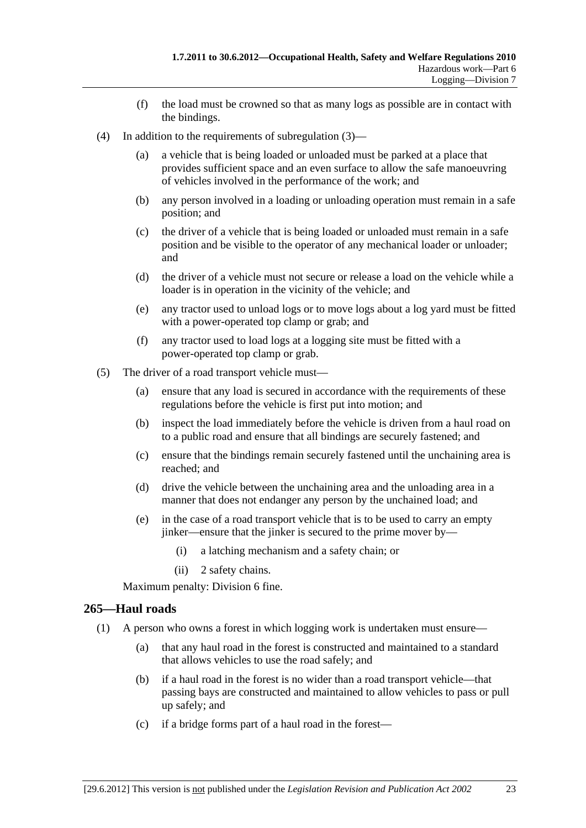- (f) the load must be crowned so that as many logs as possible are in contact with the bindings.
- (4) In addition to the requirements of subregulation (3)—
	- (a) a vehicle that is being loaded or unloaded must be parked at a place that provides sufficient space and an even surface to allow the safe manoeuvring of vehicles involved in the performance of the work; and
	- (b) any person involved in a loading or unloading operation must remain in a safe position; and
	- (c) the driver of a vehicle that is being loaded or unloaded must remain in a safe position and be visible to the operator of any mechanical loader or unloader; and
	- (d) the driver of a vehicle must not secure or release a load on the vehicle while a loader is in operation in the vicinity of the vehicle; and
	- (e) any tractor used to unload logs or to move logs about a log yard must be fitted with a power-operated top clamp or grab; and
	- (f) any tractor used to load logs at a logging site must be fitted with a power-operated top clamp or grab.
- (5) The driver of a road transport vehicle must—
	- (a) ensure that any load is secured in accordance with the requirements of these regulations before the vehicle is first put into motion; and
	- (b) inspect the load immediately before the vehicle is driven from a haul road on to a public road and ensure that all bindings are securely fastened; and
	- (c) ensure that the bindings remain securely fastened until the unchaining area is reached; and
	- (d) drive the vehicle between the unchaining area and the unloading area in a manner that does not endanger any person by the unchained load; and
	- (e) in the case of a road transport vehicle that is to be used to carry an empty jinker—ensure that the jinker is secured to the prime mover by—
		- (i) a latching mechanism and a safety chain; or
		- (ii) 2 safety chains.

#### **265—Haul roads**

- (1) A person who owns a forest in which logging work is undertaken must ensure—
	- (a) that any haul road in the forest is constructed and maintained to a standard that allows vehicles to use the road safely; and
	- (b) if a haul road in the forest is no wider than a road transport vehicle—that passing bays are constructed and maintained to allow vehicles to pass or pull up safely; and
	- (c) if a bridge forms part of a haul road in the forest—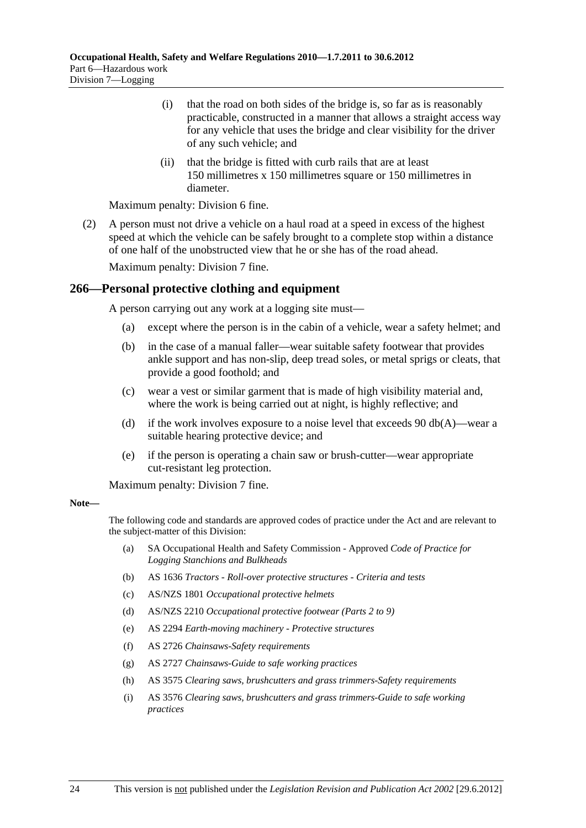- (i) that the road on both sides of the bridge is, so far as is reasonably practicable, constructed in a manner that allows a straight access way for any vehicle that uses the bridge and clear visibility for the driver of any such vehicle; and
- (ii) that the bridge is fitted with curb rails that are at least 150 millimetres x 150 millimetres square or 150 millimetres in diameter.

 (2) A person must not drive a vehicle on a haul road at a speed in excess of the highest speed at which the vehicle can be safely brought to a complete stop within a distance of one half of the unobstructed view that he or she has of the road ahead.

Maximum penalty: Division 7 fine.

## **266—Personal protective clothing and equipment**

A person carrying out any work at a logging site must—

- (a) except where the person is in the cabin of a vehicle, wear a safety helmet; and
- (b) in the case of a manual faller—wear suitable safety footwear that provides ankle support and has non-slip, deep tread soles, or metal sprigs or cleats, that provide a good foothold; and
- (c) wear a vest or similar garment that is made of high visibility material and, where the work is being carried out at night, is highly reflective; and
- (d) if the work involves exposure to a noise level that exceeds 90 db( $A$ )—wear a suitable hearing protective device; and
- (e) if the person is operating a chain saw or brush-cutter—wear appropriate cut-resistant leg protection.

Maximum penalty: Division 7 fine.

#### **Note—**

The following code and standards are approved codes of practice under the Act and are relevant to the subject-matter of this Division:

- (a) SA Occupational Health and Safety Commission Approved *Code of Practice for Logging Stanchions and Bulkheads*
- (b) AS 1636 *Tractors Roll-over protective structures Criteria and tests*
- (c) AS/NZS 1801 *Occupational protective helmets*
- (d) AS/NZS 2210 *Occupational protective footwear (Parts 2 to 9)*
- (e) AS 2294 *Earth-moving machinery Protective structures*
- (f) AS 2726 *Chainsaws-Safety requirements*
- (g) AS 2727 *Chainsaws-Guide to safe working practices*
- (h) AS 3575 *Clearing saws, brushcutters and grass trimmers-Safety requirements*
- (i) AS 3576 *Clearing saws, brushcutters and grass trimmers-Guide to safe working practices*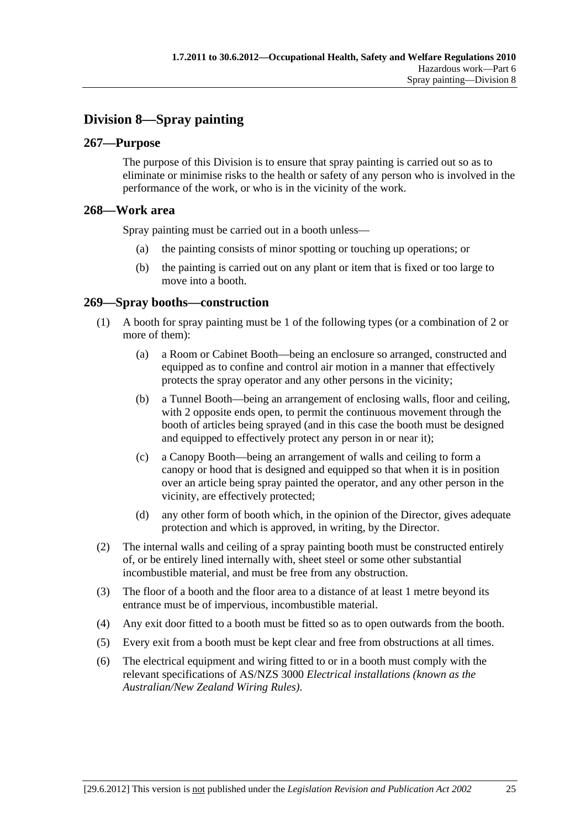# **Division 8—Spray painting**

## **267—Purpose**

The purpose of this Division is to ensure that spray painting is carried out so as to eliminate or minimise risks to the health or safety of any person who is involved in the performance of the work, or who is in the vicinity of the work.

#### **268—Work area**

Spray painting must be carried out in a booth unless—

- (a) the painting consists of minor spotting or touching up operations; or
- (b) the painting is carried out on any plant or item that is fixed or too large to move into a booth.

## **269—Spray booths—construction**

- (1) A booth for spray painting must be 1 of the following types (or a combination of 2 or more of them):
	- (a) a Room or Cabinet Booth—being an enclosure so arranged, constructed and equipped as to confine and control air motion in a manner that effectively protects the spray operator and any other persons in the vicinity;
	- (b) a Tunnel Booth—being an arrangement of enclosing walls, floor and ceiling, with 2 opposite ends open, to permit the continuous movement through the booth of articles being sprayed (and in this case the booth must be designed and equipped to effectively protect any person in or near it);
	- (c) a Canopy Booth—being an arrangement of walls and ceiling to form a canopy or hood that is designed and equipped so that when it is in position over an article being spray painted the operator, and any other person in the vicinity, are effectively protected;
	- (d) any other form of booth which, in the opinion of the Director, gives adequate protection and which is approved, in writing, by the Director.
- (2) The internal walls and ceiling of a spray painting booth must be constructed entirely of, or be entirely lined internally with, sheet steel or some other substantial incombustible material, and must be free from any obstruction.
- (3) The floor of a booth and the floor area to a distance of at least 1 metre beyond its entrance must be of impervious, incombustible material.
- (4) Any exit door fitted to a booth must be fitted so as to open outwards from the booth.
- (5) Every exit from a booth must be kept clear and free from obstructions at all times.
- (6) The electrical equipment and wiring fitted to or in a booth must comply with the relevant specifications of AS/NZS 3000 *Electrical installations (known as the Australian/New Zealand Wiring Rules)*.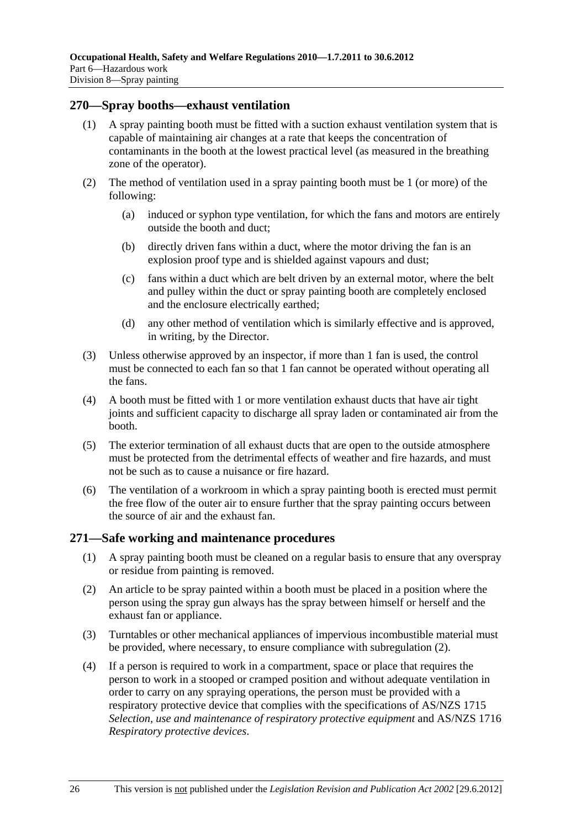#### **270—Spray booths—exhaust ventilation**

- (1) A spray painting booth must be fitted with a suction exhaust ventilation system that is capable of maintaining air changes at a rate that keeps the concentration of contaminants in the booth at the lowest practical level (as measured in the breathing zone of the operator).
- (2) The method of ventilation used in a spray painting booth must be 1 (or more) of the following:
	- (a) induced or syphon type ventilation, for which the fans and motors are entirely outside the booth and duct;
	- (b) directly driven fans within a duct, where the motor driving the fan is an explosion proof type and is shielded against vapours and dust;
	- (c) fans within a duct which are belt driven by an external motor, where the belt and pulley within the duct or spray painting booth are completely enclosed and the enclosure electrically earthed;
	- (d) any other method of ventilation which is similarly effective and is approved, in writing, by the Director.
- (3) Unless otherwise approved by an inspector, if more than 1 fan is used, the control must be connected to each fan so that 1 fan cannot be operated without operating all the fans.
- (4) A booth must be fitted with 1 or more ventilation exhaust ducts that have air tight joints and sufficient capacity to discharge all spray laden or contaminated air from the booth.
- (5) The exterior termination of all exhaust ducts that are open to the outside atmosphere must be protected from the detrimental effects of weather and fire hazards, and must not be such as to cause a nuisance or fire hazard.
- (6) The ventilation of a workroom in which a spray painting booth is erected must permit the free flow of the outer air to ensure further that the spray painting occurs between the source of air and the exhaust fan.

#### **271—Safe working and maintenance procedures**

- (1) A spray painting booth must be cleaned on a regular basis to ensure that any overspray or residue from painting is removed.
- (2) An article to be spray painted within a booth must be placed in a position where the person using the spray gun always has the spray between himself or herself and the exhaust fan or appliance.
- (3) Turntables or other mechanical appliances of impervious incombustible material must be provided, where necessary, to ensure compliance with subregulation (2).
- (4) If a person is required to work in a compartment, space or place that requires the person to work in a stooped or cramped position and without adequate ventilation in order to carry on any spraying operations, the person must be provided with a respiratory protective device that complies with the specifications of AS/NZS 1715 *Selection, use and maintenance of respiratory protective equipment* and AS/NZS 1716 *Respiratory protective devices*.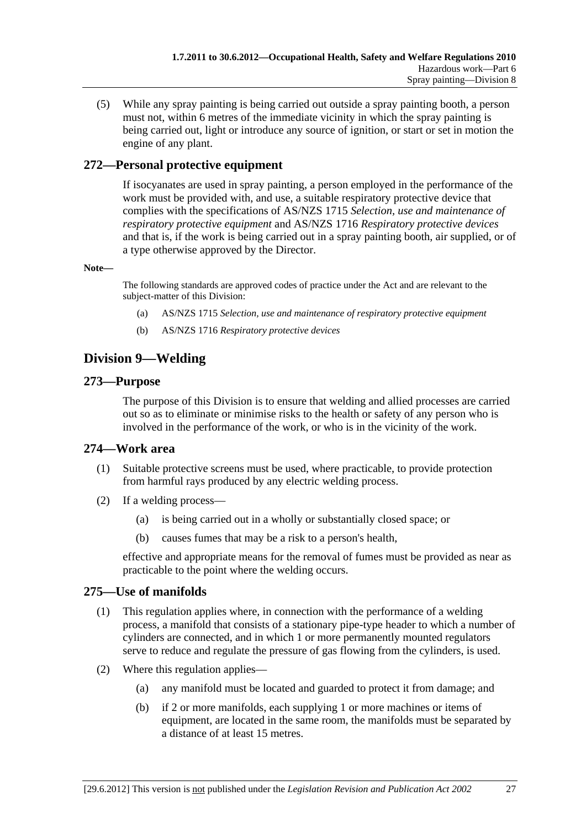(5) While any spray painting is being carried out outside a spray painting booth, a person must not, within 6 metres of the immediate vicinity in which the spray painting is being carried out, light or introduce any source of ignition, or start or set in motion the engine of any plant.

# **272—Personal protective equipment**

If isocyanates are used in spray painting, a person employed in the performance of the work must be provided with, and use, a suitable respiratory protective device that complies with the specifications of AS/NZS 1715 *Selection, use and maintenance of respiratory protective equipment* and AS/NZS 1716 *Respiratory protective devices* and that is, if the work is being carried out in a spray painting booth, air supplied, or of a type otherwise approved by the Director.

#### **Note—**

The following standards are approved codes of practice under the Act and are relevant to the subject-matter of this Division:

- (a) AS/NZS 1715 *Selection, use and maintenance of respiratory protective equipment*
- (b) AS/NZS 1716 *Respiratory protective devices*

# **Division 9—Welding**

### **273—Purpose**

The purpose of this Division is to ensure that welding and allied processes are carried out so as to eliminate or minimise risks to the health or safety of any person who is involved in the performance of the work, or who is in the vicinity of the work.

### **274—Work area**

- (1) Suitable protective screens must be used, where practicable, to provide protection from harmful rays produced by any electric welding process.
- (2) If a welding process—
	- (a) is being carried out in a wholly or substantially closed space; or
	- (b) causes fumes that may be a risk to a person's health,

effective and appropriate means for the removal of fumes must be provided as near as practicable to the point where the welding occurs.

### **275—Use of manifolds**

- (1) This regulation applies where, in connection with the performance of a welding process, a manifold that consists of a stationary pipe-type header to which a number of cylinders are connected, and in which 1 or more permanently mounted regulators serve to reduce and regulate the pressure of gas flowing from the cylinders, is used.
- (2) Where this regulation applies—
	- (a) any manifold must be located and guarded to protect it from damage; and
	- (b) if 2 or more manifolds, each supplying 1 or more machines or items of equipment, are located in the same room, the manifolds must be separated by a distance of at least 15 metres.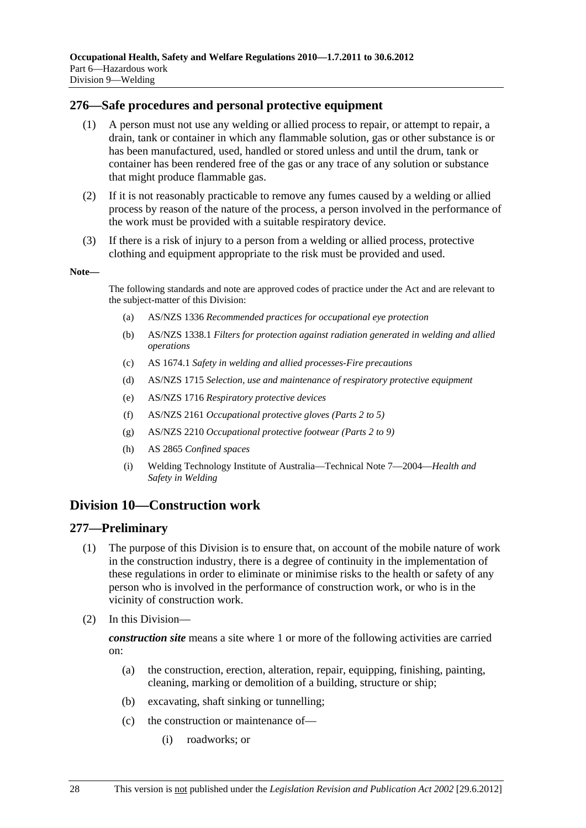### **276—Safe procedures and personal protective equipment**

- (1) A person must not use any welding or allied process to repair, or attempt to repair, a drain, tank or container in which any flammable solution, gas or other substance is or has been manufactured, used, handled or stored unless and until the drum, tank or container has been rendered free of the gas or any trace of any solution or substance that might produce flammable gas.
- (2) If it is not reasonably practicable to remove any fumes caused by a welding or allied process by reason of the nature of the process, a person involved in the performance of the work must be provided with a suitable respiratory device.
- (3) If there is a risk of injury to a person from a welding or allied process, protective clothing and equipment appropriate to the risk must be provided and used.

#### **Note—**

The following standards and note are approved codes of practice under the Act and are relevant to the subject-matter of this Division:

- (a) AS/NZS 1336 *Recommended practices for occupational eye protection*
- (b) AS/NZS 1338.1 *Filters for protection against radiation generated in welding and allied operations*
- (c) AS 1674.1 *Safety in welding and allied processes-Fire precautions*
- (d) AS/NZS 1715 *Selection, use and maintenance of respiratory protective equipment*
- (e) AS/NZS 1716 *Respiratory protective devices*
- (f) AS/NZS 2161 *Occupational protective gloves (Parts 2 to 5)*
- (g) AS/NZS 2210 *Occupational protective footwear (Parts 2 to 9)*
- (h) AS 2865 *Confined spaces*
- (i) Welding Technology Institute of Australia—Technical Note 7—2004—*Health and Safety in Welding*

# **Division 10—Construction work**

#### **277—Preliminary**

- (1) The purpose of this Division is to ensure that, on account of the mobile nature of work in the construction industry, there is a degree of continuity in the implementation of these regulations in order to eliminate or minimise risks to the health or safety of any person who is involved in the performance of construction work, or who is in the vicinity of construction work.
- (2) In this Division—

*construction site* means a site where 1 or more of the following activities are carried on:

- (a) the construction, erection, alteration, repair, equipping, finishing, painting, cleaning, marking or demolition of a building, structure or ship;
- (b) excavating, shaft sinking or tunnelling;
- (c) the construction or maintenance of—
	- (i) roadworks; or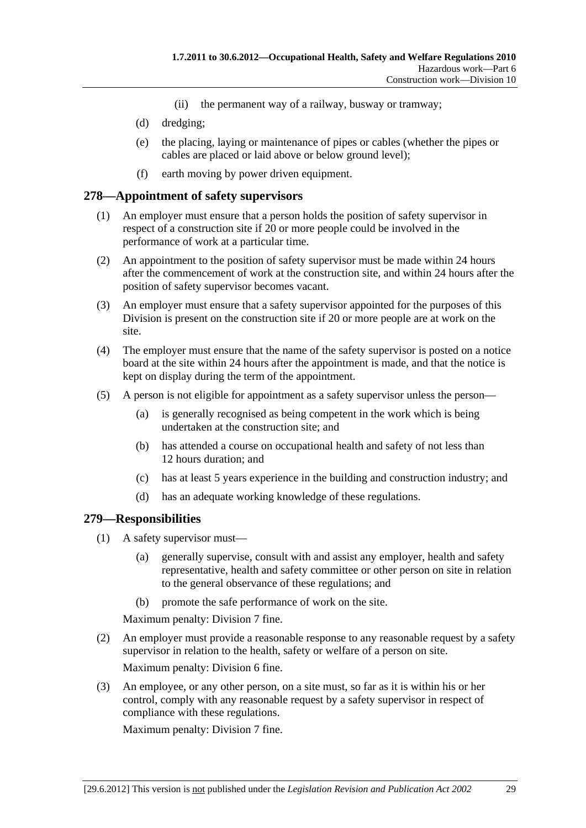- (ii) the permanent way of a railway, busway or tramway;
- (d) dredging;
- (e) the placing, laying or maintenance of pipes or cables (whether the pipes or cables are placed or laid above or below ground level);
- (f) earth moving by power driven equipment.

#### **278—Appointment of safety supervisors**

- (1) An employer must ensure that a person holds the position of safety supervisor in respect of a construction site if 20 or more people could be involved in the performance of work at a particular time.
- (2) An appointment to the position of safety supervisor must be made within 24 hours after the commencement of work at the construction site, and within 24 hours after the position of safety supervisor becomes vacant.
- (3) An employer must ensure that a safety supervisor appointed for the purposes of this Division is present on the construction site if 20 or more people are at work on the site.
- (4) The employer must ensure that the name of the safety supervisor is posted on a notice board at the site within 24 hours after the appointment is made, and that the notice is kept on display during the term of the appointment.
- (5) A person is not eligible for appointment as a safety supervisor unless the person—
	- (a) is generally recognised as being competent in the work which is being undertaken at the construction site; and
	- (b) has attended a course on occupational health and safety of not less than 12 hours duration; and
	- (c) has at least 5 years experience in the building and construction industry; and
	- (d) has an adequate working knowledge of these regulations.

#### **279—Responsibilities**

- (1) A safety supervisor must—
	- (a) generally supervise, consult with and assist any employer, health and safety representative, health and safety committee or other person on site in relation to the general observance of these regulations; and
	- (b) promote the safe performance of work on the site.

Maximum penalty: Division 7 fine.

- (2) An employer must provide a reasonable response to any reasonable request by a safety supervisor in relation to the health, safety or welfare of a person on site. Maximum penalty: Division 6 fine.
- (3) An employee, or any other person, on a site must, so far as it is within his or her control, comply with any reasonable request by a safety supervisor in respect of compliance with these regulations.

Maximum penalty: Division 7 fine.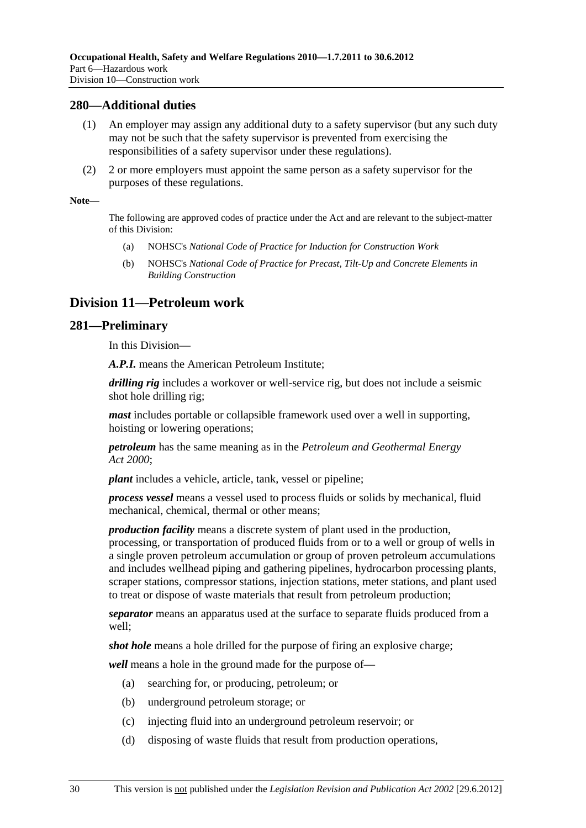#### **280—Additional duties**

- (1) An employer may assign any additional duty to a safety supervisor (but any such duty may not be such that the safety supervisor is prevented from exercising the responsibilities of a safety supervisor under these regulations).
- (2) 2 or more employers must appoint the same person as a safety supervisor for the purposes of these regulations.

#### **Note—**

The following are approved codes of practice under the Act and are relevant to the subject-matter of this Division:

- (a) NOHSC's *National Code of Practice for Induction for Construction Work*
- (b) NOHSC's *National Code of Practice for Precast, Tilt-Up and Concrete Elements in Building Construction*

# **Division 11—Petroleum work**

#### **281—Preliminary**

In this Division—

*A.P.I.* means the American Petroleum Institute;

*drilling rig* includes a workover or well-service rig, but does not include a seismic shot hole drilling rig;

*mast* includes portable or collapsible framework used over a well in supporting, hoisting or lowering operations;

*petroleum* has the same meaning as in the *Petroleum and Geothermal Energy Act 2000*;

*plant* includes a vehicle, article, tank, vessel or pipeline;

*process vessel* means a vessel used to process fluids or solids by mechanical, fluid mechanical, chemical, thermal or other means;

*production facility* means a discrete system of plant used in the production,

processing, or transportation of produced fluids from or to a well or group of wells in a single proven petroleum accumulation or group of proven petroleum accumulations and includes wellhead piping and gathering pipelines, hydrocarbon processing plants, scraper stations, compressor stations, injection stations, meter stations, and plant used to treat or dispose of waste materials that result from petroleum production;

*separator* means an apparatus used at the surface to separate fluids produced from a well;

*shot hole* means a hole drilled for the purpose of firing an explosive charge;

*well* means a hole in the ground made for the purpose of—

- (a) searching for, or producing, petroleum; or
- (b) underground petroleum storage; or
- (c) injecting fluid into an underground petroleum reservoir; or
- (d) disposing of waste fluids that result from production operations,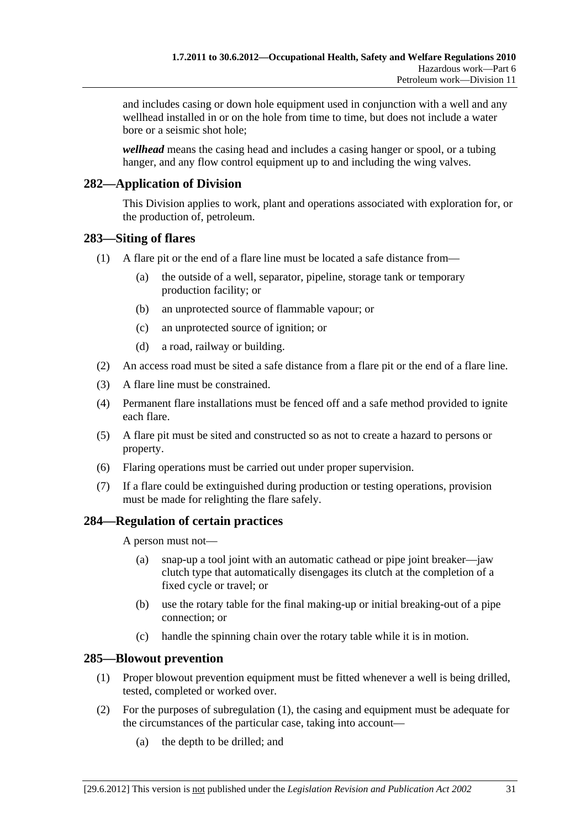and includes casing or down hole equipment used in conjunction with a well and any wellhead installed in or on the hole from time to time, but does not include a water bore or a seismic shot hole;

*wellhead* means the casing head and includes a casing hanger or spool, or a tubing hanger, and any flow control equipment up to and including the wing valves.

# **282—Application of Division**

This Division applies to work, plant and operations associated with exploration for, or the production of, petroleum.

### **283—Siting of flares**

- (1) A flare pit or the end of a flare line must be located a safe distance from—
	- (a) the outside of a well, separator, pipeline, storage tank or temporary production facility; or
	- (b) an unprotected source of flammable vapour; or
	- (c) an unprotected source of ignition; or
	- (d) a road, railway or building.
- (2) An access road must be sited a safe distance from a flare pit or the end of a flare line.
- (3) A flare line must be constrained.
- (4) Permanent flare installations must be fenced off and a safe method provided to ignite each flare.
- (5) A flare pit must be sited and constructed so as not to create a hazard to persons or property.
- (6) Flaring operations must be carried out under proper supervision.
- (7) If a flare could be extinguished during production or testing operations, provision must be made for relighting the flare safely.

### **284—Regulation of certain practices**

A person must not—

- (a) snap-up a tool joint with an automatic cathead or pipe joint breaker—jaw clutch type that automatically disengages its clutch at the completion of a fixed cycle or travel; or
- (b) use the rotary table for the final making-up or initial breaking-out of a pipe connection; or
- (c) handle the spinning chain over the rotary table while it is in motion.

### **285—Blowout prevention**

- (1) Proper blowout prevention equipment must be fitted whenever a well is being drilled, tested, completed or worked over.
- (2) For the purposes of subregulation (1), the casing and equipment must be adequate for the circumstances of the particular case, taking into account—
	- (a) the depth to be drilled; and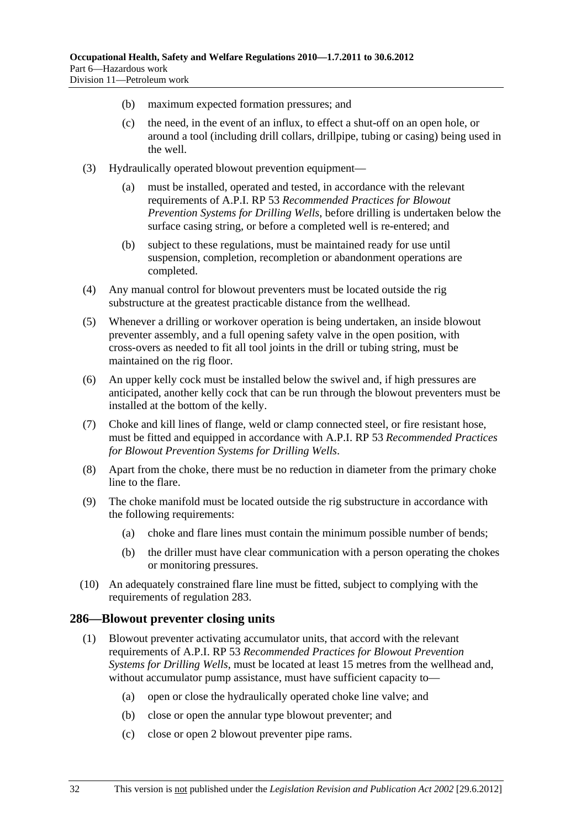- (b) maximum expected formation pressures; and
- (c) the need, in the event of an influx, to effect a shut-off on an open hole, or around a tool (including drill collars, drillpipe, tubing or casing) being used in the well.
- (3) Hydraulically operated blowout prevention equipment—
	- (a) must be installed, operated and tested, in accordance with the relevant requirements of A.P.I. RP 53 *Recommended Practices for Blowout Prevention Systems for Drilling Wells*, before drilling is undertaken below the surface casing string, or before a completed well is re-entered; and
	- (b) subject to these regulations, must be maintained ready for use until suspension, completion, recompletion or abandonment operations are completed.
- (4) Any manual control for blowout preventers must be located outside the rig substructure at the greatest practicable distance from the wellhead.
- (5) Whenever a drilling or workover operation is being undertaken, an inside blowout preventer assembly, and a full opening safety valve in the open position, with cross-overs as needed to fit all tool joints in the drill or tubing string, must be maintained on the rig floor.
- (6) An upper kelly cock must be installed below the swivel and, if high pressures are anticipated, another kelly cock that can be run through the blowout preventers must be installed at the bottom of the kelly.
- (7) Choke and kill lines of flange, weld or clamp connected steel, or fire resistant hose, must be fitted and equipped in accordance with A.P.I. RP 53 *Recommended Practices for Blowout Prevention Systems for Drilling Wells*.
- (8) Apart from the choke, there must be no reduction in diameter from the primary choke line to the flare.
- (9) The choke manifold must be located outside the rig substructure in accordance with the following requirements:
	- (a) choke and flare lines must contain the minimum possible number of bends;
	- (b) the driller must have clear communication with a person operating the chokes or monitoring pressures.
- (10) An adequately constrained flare line must be fitted, subject to complying with the requirements of regulation 283.

#### **286—Blowout preventer closing units**

- (1) Blowout preventer activating accumulator units, that accord with the relevant requirements of A.P.I. RP 53 *Recommended Practices for Blowout Prevention Systems for Drilling Wells*, must be located at least 15 metres from the wellhead and, without accumulator pump assistance, must have sufficient capacity to—
	- (a) open or close the hydraulically operated choke line valve; and
	- (b) close or open the annular type blowout preventer; and
	- (c) close or open 2 blowout preventer pipe rams.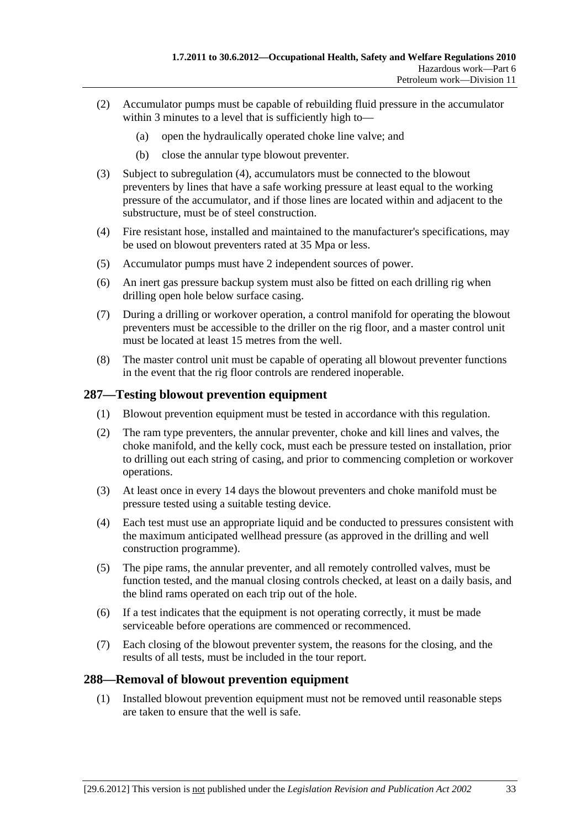- (2) Accumulator pumps must be capable of rebuilding fluid pressure in the accumulator within 3 minutes to a level that is sufficiently high to-
	- (a) open the hydraulically operated choke line valve; and
	- (b) close the annular type blowout preventer.
- (3) Subject to subregulation (4), accumulators must be connected to the blowout preventers by lines that have a safe working pressure at least equal to the working pressure of the accumulator, and if those lines are located within and adjacent to the substructure, must be of steel construction.
- (4) Fire resistant hose, installed and maintained to the manufacturer's specifications, may be used on blowout preventers rated at 35 Mpa or less.
- (5) Accumulator pumps must have 2 independent sources of power.
- (6) An inert gas pressure backup system must also be fitted on each drilling rig when drilling open hole below surface casing.
- (7) During a drilling or workover operation, a control manifold for operating the blowout preventers must be accessible to the driller on the rig floor, and a master control unit must be located at least 15 metres from the well.
- (8) The master control unit must be capable of operating all blowout preventer functions in the event that the rig floor controls are rendered inoperable.

### **287—Testing blowout prevention equipment**

- (1) Blowout prevention equipment must be tested in accordance with this regulation.
- (2) The ram type preventers, the annular preventer, choke and kill lines and valves, the choke manifold, and the kelly cock, must each be pressure tested on installation, prior to drilling out each string of casing, and prior to commencing completion or workover operations.
- (3) At least once in every 14 days the blowout preventers and choke manifold must be pressure tested using a suitable testing device.
- (4) Each test must use an appropriate liquid and be conducted to pressures consistent with the maximum anticipated wellhead pressure (as approved in the drilling and well construction programme).
- (5) The pipe rams, the annular preventer, and all remotely controlled valves, must be function tested, and the manual closing controls checked, at least on a daily basis, and the blind rams operated on each trip out of the hole.
- (6) If a test indicates that the equipment is not operating correctly, it must be made serviceable before operations are commenced or recommenced.
- (7) Each closing of the blowout preventer system, the reasons for the closing, and the results of all tests, must be included in the tour report.

### **288—Removal of blowout prevention equipment**

 (1) Installed blowout prevention equipment must not be removed until reasonable steps are taken to ensure that the well is safe.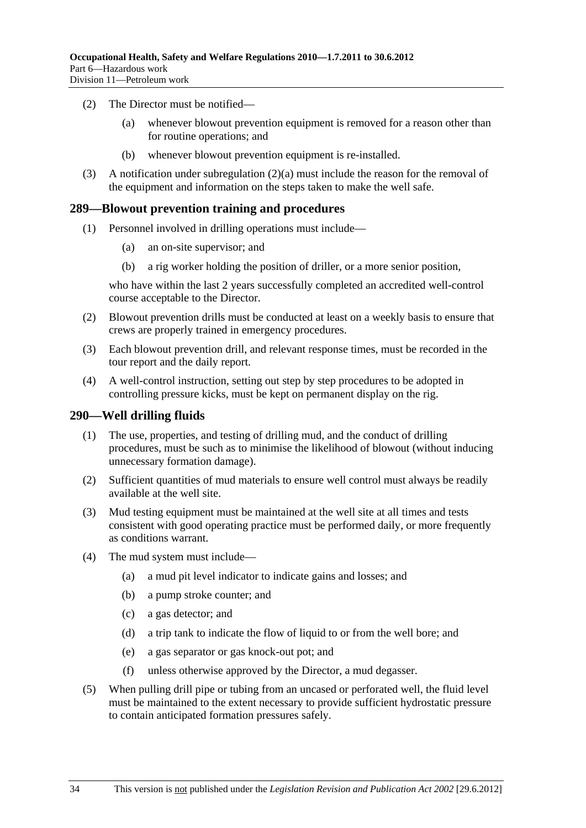- (2) The Director must be notified—
	- (a) whenever blowout prevention equipment is removed for a reason other than for routine operations; and
	- (b) whenever blowout prevention equipment is re-installed.
- (3) A notification under subregulation (2)(a) must include the reason for the removal of the equipment and information on the steps taken to make the well safe.

#### **289—Blowout prevention training and procedures**

- (1) Personnel involved in drilling operations must include—
	- (a) an on-site supervisor; and
	- (b) a rig worker holding the position of driller, or a more senior position,

who have within the last 2 years successfully completed an accredited well-control course acceptable to the Director.

- (2) Blowout prevention drills must be conducted at least on a weekly basis to ensure that crews are properly trained in emergency procedures.
- (3) Each blowout prevention drill, and relevant response times, must be recorded in the tour report and the daily report.
- (4) A well-control instruction, setting out step by step procedures to be adopted in controlling pressure kicks, must be kept on permanent display on the rig.

#### **290—Well drilling fluids**

- (1) The use, properties, and testing of drilling mud, and the conduct of drilling procedures, must be such as to minimise the likelihood of blowout (without inducing unnecessary formation damage).
- (2) Sufficient quantities of mud materials to ensure well control must always be readily available at the well site.
- (3) Mud testing equipment must be maintained at the well site at all times and tests consistent with good operating practice must be performed daily, or more frequently as conditions warrant.
- (4) The mud system must include—
	- (a) a mud pit level indicator to indicate gains and losses; and
	- (b) a pump stroke counter; and
	- (c) a gas detector; and
	- (d) a trip tank to indicate the flow of liquid to or from the well bore; and
	- (e) a gas separator or gas knock-out pot; and
	- (f) unless otherwise approved by the Director, a mud degasser.
- (5) When pulling drill pipe or tubing from an uncased or perforated well, the fluid level must be maintained to the extent necessary to provide sufficient hydrostatic pressure to contain anticipated formation pressures safely.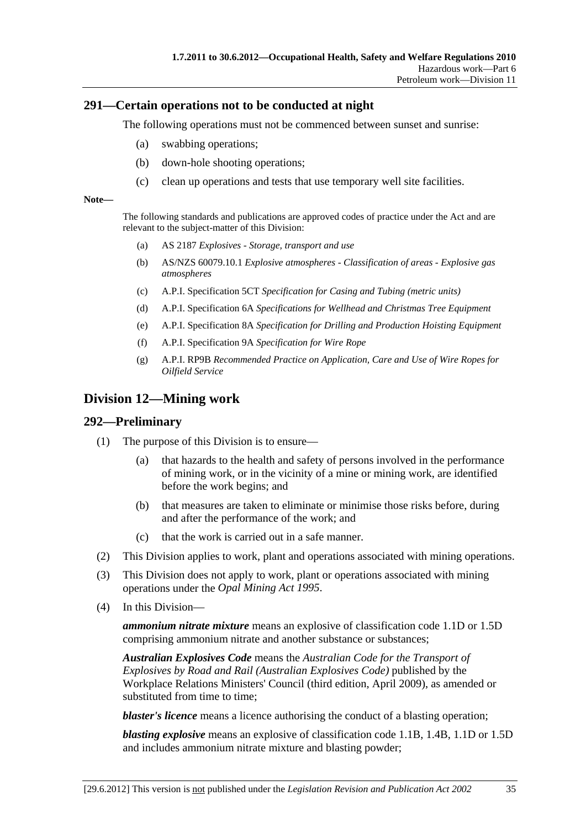#### **291—Certain operations not to be conducted at night**

The following operations must not be commenced between sunset and sunrise:

- (a) swabbing operations;
- (b) down-hole shooting operations;
- (c) clean up operations and tests that use temporary well site facilities.

#### **Note—**

The following standards and publications are approved codes of practice under the Act and are relevant to the subject-matter of this Division:

- (a) AS 2187 *Explosives Storage, transport and use*
- (b) AS/NZS 60079.10.1 *Explosive atmospheres Classification of areas Explosive gas atmospheres*
- (c) A.P.I. Specification 5CT *Specification for Casing and Tubing (metric units)*
- (d) A.P.I. Specification 6A *Specifications for Wellhead and Christmas Tree Equipment*
- (e) A.P.I. Specification 8A *Specification for Drilling and Production Hoisting Equipment*
- (f) A.P.I. Specification 9A *Specification for Wire Rope*
- (g) A.P.I. RP9B *Recommended Practice on Application, Care and Use of Wire Ropes for Oilfield Service*

# **Division 12—Mining work**

#### **292—Preliminary**

- (1) The purpose of this Division is to ensure—
	- (a) that hazards to the health and safety of persons involved in the performance of mining work, or in the vicinity of a mine or mining work, are identified before the work begins; and
	- (b) that measures are taken to eliminate or minimise those risks before, during and after the performance of the work; and
	- (c) that the work is carried out in a safe manner.
- (2) This Division applies to work, plant and operations associated with mining operations.
- (3) This Division does not apply to work, plant or operations associated with mining operations under the *Opal Mining Act 1995*.
- (4) In this Division—

*ammonium nitrate mixture* means an explosive of classification code 1.1D or 1.5D comprising ammonium nitrate and another substance or substances;

*Australian Explosives Code* means the *Australian Code for the Transport of Explosives by Road and Rail (Australian Explosives Code)* published by the Workplace Relations Ministers' Council (third edition, April 2009), as amended or substituted from time to time;

*blaster's licence* means a licence authorising the conduct of a blasting operation;

*blasting explosive* means an explosive of classification code 1.1B, 1.4B, 1.1D or 1.5D and includes ammonium nitrate mixture and blasting powder;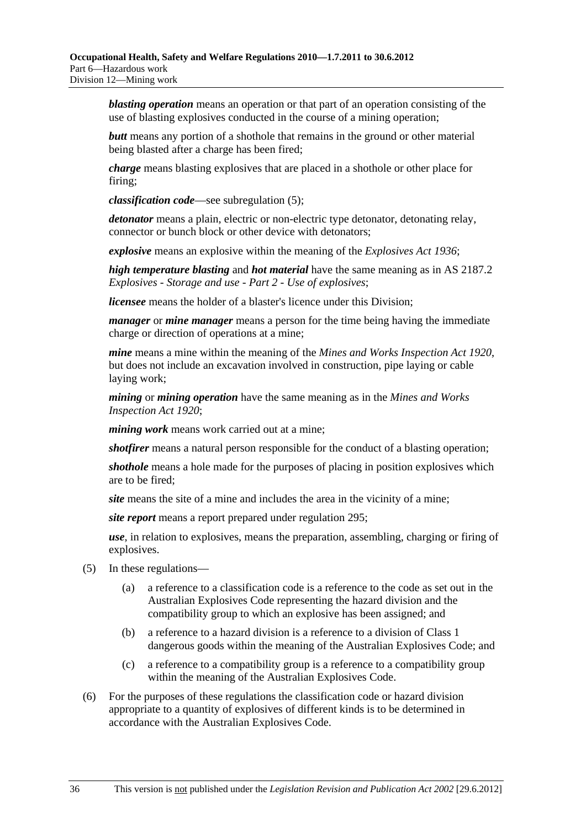*blasting operation* means an operation or that part of an operation consisting of the use of blasting explosives conducted in the course of a mining operation;

*butt* means any portion of a shothole that remains in the ground or other material being blasted after a charge has been fired;

*charge* means blasting explosives that are placed in a shothole or other place for firing;

*classification code*—see subregulation (5);

*detonator* means a plain, electric or non-electric type detonator, detonating relay, connector or bunch block or other device with detonators;

*explosive* means an explosive within the meaning of the *Explosives Act 1936*;

*high temperature blasting* and *hot material* have the same meaning as in AS 2187.2 *Explosives - Storage and use - Part 2 - Use of explosives*;

*licensee* means the holder of a blaster's licence under this Division;

*manager* or *mine manager* means a person for the time being having the immediate charge or direction of operations at a mine;

*mine* means a mine within the meaning of the *Mines and Works Inspection Act 1920*, but does not include an excavation involved in construction, pipe laying or cable laying work;

*mining* or *mining operation* have the same meaning as in the *Mines and Works Inspection Act 1920*;

*mining work* means work carried out at a mine;

*shotfirer* means a natural person responsible for the conduct of a blasting operation;

*shothole* means a hole made for the purposes of placing in position explosives which are to be fired;

*site* means the site of a mine and includes the area in the vicinity of a mine;

*site report* means a report prepared under regulation 295;

*use*, in relation to explosives, means the preparation, assembling, charging or firing of explosives.

- (5) In these regulations—
	- (a) a reference to a classification code is a reference to the code as set out in the Australian Explosives Code representing the hazard division and the compatibility group to which an explosive has been assigned; and
	- (b) a reference to a hazard division is a reference to a division of Class 1 dangerous goods within the meaning of the Australian Explosives Code; and
	- (c) a reference to a compatibility group is a reference to a compatibility group within the meaning of the Australian Explosives Code.
- (6) For the purposes of these regulations the classification code or hazard division appropriate to a quantity of explosives of different kinds is to be determined in accordance with the Australian Explosives Code.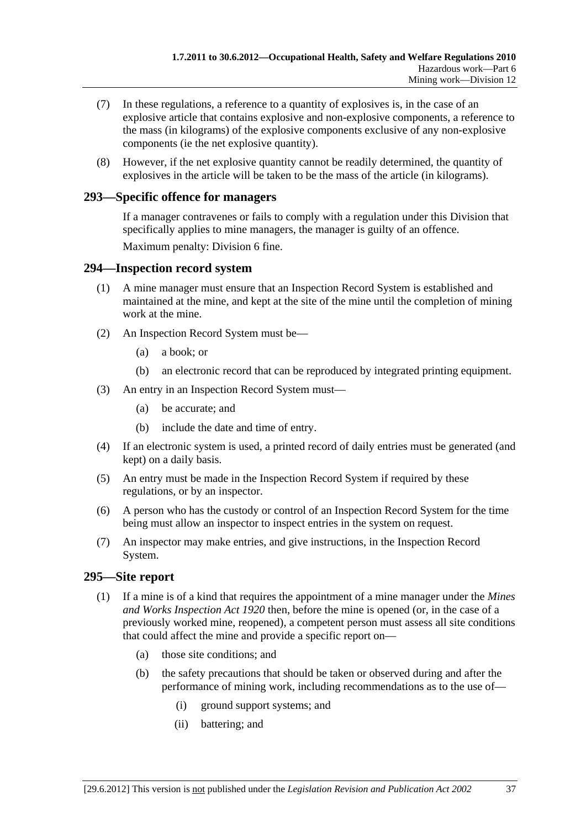- (7) In these regulations, a reference to a quantity of explosives is, in the case of an explosive article that contains explosive and non-explosive components, a reference to the mass (in kilograms) of the explosive components exclusive of any non-explosive components (ie the net explosive quantity).
- (8) However, if the net explosive quantity cannot be readily determined, the quantity of explosives in the article will be taken to be the mass of the article (in kilograms).

### **293—Specific offence for managers**

If a manager contravenes or fails to comply with a regulation under this Division that specifically applies to mine managers, the manager is guilty of an offence.

Maximum penalty: Division 6 fine.

#### **294—Inspection record system**

- (1) A mine manager must ensure that an Inspection Record System is established and maintained at the mine, and kept at the site of the mine until the completion of mining work at the mine.
- (2) An Inspection Record System must be—
	- (a) a book; or
	- (b) an electronic record that can be reproduced by integrated printing equipment.
- (3) An entry in an Inspection Record System must—
	- (a) be accurate; and
	- (b) include the date and time of entry.
- (4) If an electronic system is used, a printed record of daily entries must be generated (and kept) on a daily basis.
- (5) An entry must be made in the Inspection Record System if required by these regulations, or by an inspector.
- (6) A person who has the custody or control of an Inspection Record System for the time being must allow an inspector to inspect entries in the system on request.
- (7) An inspector may make entries, and give instructions, in the Inspection Record System.

### **295—Site report**

- (1) If a mine is of a kind that requires the appointment of a mine manager under the *Mines and Works Inspection Act 1920* then, before the mine is opened (or, in the case of a previously worked mine, reopened), a competent person must assess all site conditions that could affect the mine and provide a specific report on—
	- (a) those site conditions; and
	- (b) the safety precautions that should be taken or observed during and after the performance of mining work, including recommendations as to the use of—
		- (i) ground support systems; and
		- (ii) battering; and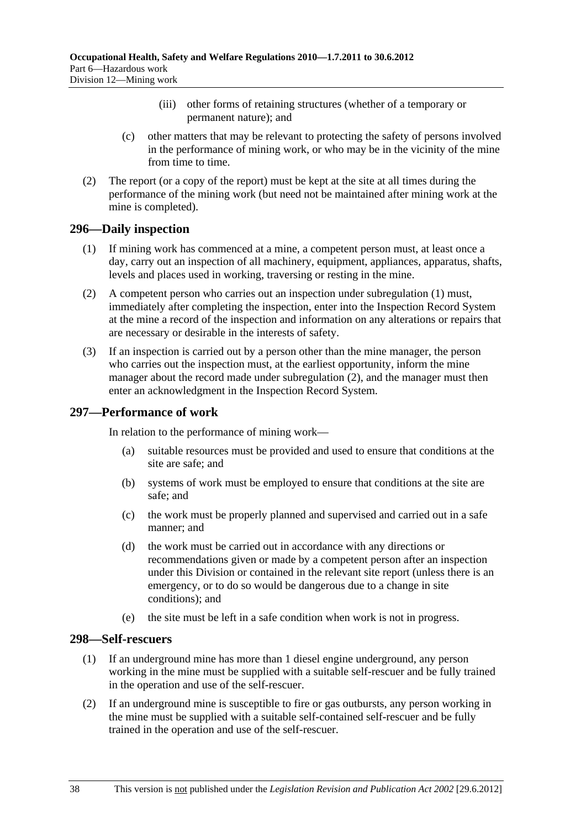- (iii) other forms of retaining structures (whether of a temporary or permanent nature); and
- (c) other matters that may be relevant to protecting the safety of persons involved in the performance of mining work, or who may be in the vicinity of the mine from time to time.
- (2) The report (or a copy of the report) must be kept at the site at all times during the performance of the mining work (but need not be maintained after mining work at the mine is completed).

#### **296—Daily inspection**

- (1) If mining work has commenced at a mine, a competent person must, at least once a day, carry out an inspection of all machinery, equipment, appliances, apparatus, shafts, levels and places used in working, traversing or resting in the mine.
- (2) A competent person who carries out an inspection under subregulation (1) must, immediately after completing the inspection, enter into the Inspection Record System at the mine a record of the inspection and information on any alterations or repairs that are necessary or desirable in the interests of safety.
- (3) If an inspection is carried out by a person other than the mine manager, the person who carries out the inspection must, at the earliest opportunity, inform the mine manager about the record made under subregulation (2), and the manager must then enter an acknowledgment in the Inspection Record System.

### **297—Performance of work**

In relation to the performance of mining work—

- (a) suitable resources must be provided and used to ensure that conditions at the site are safe; and
- (b) systems of work must be employed to ensure that conditions at the site are safe; and
- (c) the work must be properly planned and supervised and carried out in a safe manner; and
- (d) the work must be carried out in accordance with any directions or recommendations given or made by a competent person after an inspection under this Division or contained in the relevant site report (unless there is an emergency, or to do so would be dangerous due to a change in site conditions); and
- (e) the site must be left in a safe condition when work is not in progress.

#### **298—Self-rescuers**

- (1) If an underground mine has more than 1 diesel engine underground, any person working in the mine must be supplied with a suitable self-rescuer and be fully trained in the operation and use of the self-rescuer.
- (2) If an underground mine is susceptible to fire or gas outbursts, any person working in the mine must be supplied with a suitable self-contained self-rescuer and be fully trained in the operation and use of the self-rescuer.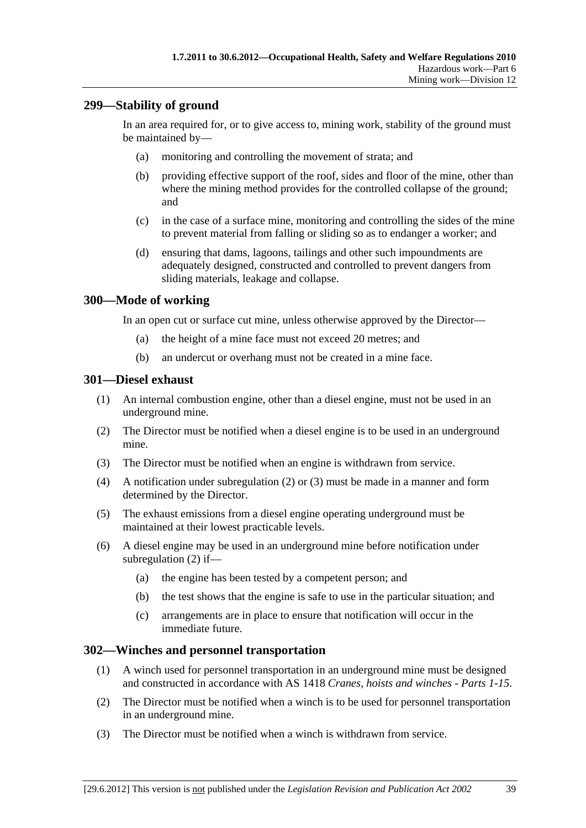# **299—Stability of ground**

In an area required for, or to give access to, mining work, stability of the ground must be maintained by—

- (a) monitoring and controlling the movement of strata; and
- (b) providing effective support of the roof, sides and floor of the mine, other than where the mining method provides for the controlled collapse of the ground; and
- (c) in the case of a surface mine, monitoring and controlling the sides of the mine to prevent material from falling or sliding so as to endanger a worker; and
- (d) ensuring that dams, lagoons, tailings and other such impoundments are adequately designed, constructed and controlled to prevent dangers from sliding materials, leakage and collapse.

#### **300—Mode of working**

In an open cut or surface cut mine, unless otherwise approved by the Director—

- (a) the height of a mine face must not exceed 20 metres; and
- (b) an undercut or overhang must not be created in a mine face.

#### **301—Diesel exhaust**

- (1) An internal combustion engine, other than a diesel engine, must not be used in an underground mine.
- (2) The Director must be notified when a diesel engine is to be used in an underground mine.
- (3) The Director must be notified when an engine is withdrawn from service.
- (4) A notification under subregulation (2) or (3) must be made in a manner and form determined by the Director.
- (5) The exhaust emissions from a diesel engine operating underground must be maintained at their lowest practicable levels.
- (6) A diesel engine may be used in an underground mine before notification under subregulation (2) if—
	- (a) the engine has been tested by a competent person; and
	- (b) the test shows that the engine is safe to use in the particular situation; and
	- (c) arrangements are in place to ensure that notification will occur in the immediate future.

#### **302—Winches and personnel transportation**

- (1) A winch used for personnel transportation in an underground mine must be designed and constructed in accordance with AS 1418 *Cranes, hoists and winches - Parts 1-15*.
- (2) The Director must be notified when a winch is to be used for personnel transportation in an underground mine.
- (3) The Director must be notified when a winch is withdrawn from service.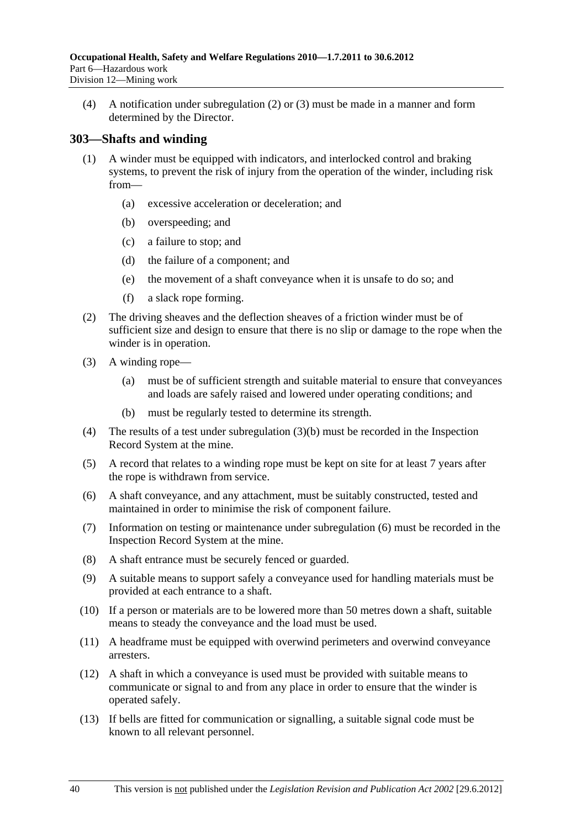(4) A notification under subregulation (2) or (3) must be made in a manner and form determined by the Director.

### **303—Shafts and winding**

- (1) A winder must be equipped with indicators, and interlocked control and braking systems, to prevent the risk of injury from the operation of the winder, including risk from—
	- (a) excessive acceleration or deceleration; and
	- (b) overspeeding; and
	- (c) a failure to stop; and
	- (d) the failure of a component; and
	- (e) the movement of a shaft conveyance when it is unsafe to do so; and
	- (f) a slack rope forming.
- (2) The driving sheaves and the deflection sheaves of a friction winder must be of sufficient size and design to ensure that there is no slip or damage to the rope when the winder is in operation.
- (3) A winding rope—
	- (a) must be of sufficient strength and suitable material to ensure that conveyances and loads are safely raised and lowered under operating conditions; and
	- (b) must be regularly tested to determine its strength.
- (4) The results of a test under subregulation (3)(b) must be recorded in the Inspection Record System at the mine.
- (5) A record that relates to a winding rope must be kept on site for at least 7 years after the rope is withdrawn from service.
- (6) A shaft conveyance, and any attachment, must be suitably constructed, tested and maintained in order to minimise the risk of component failure.
- (7) Information on testing or maintenance under subregulation (6) must be recorded in the Inspection Record System at the mine.
- (8) A shaft entrance must be securely fenced or guarded.
- (9) A suitable means to support safely a conveyance used for handling materials must be provided at each entrance to a shaft.
- (10) If a person or materials are to be lowered more than 50 metres down a shaft, suitable means to steady the conveyance and the load must be used.
- (11) A headframe must be equipped with overwind perimeters and overwind conveyance arresters.
- (12) A shaft in which a conveyance is used must be provided with suitable means to communicate or signal to and from any place in order to ensure that the winder is operated safely.
- (13) If bells are fitted for communication or signalling, a suitable signal code must be known to all relevant personnel.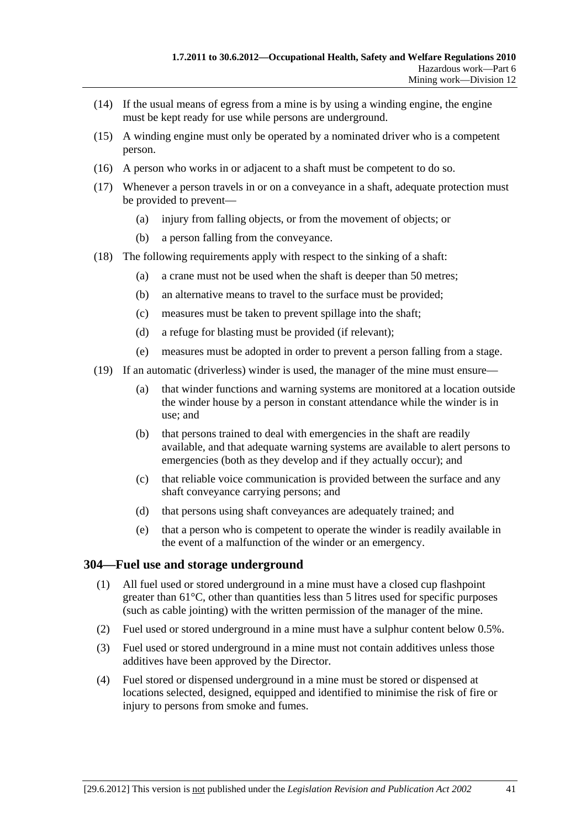- (14) If the usual means of egress from a mine is by using a winding engine, the engine must be kept ready for use while persons are underground.
- (15) A winding engine must only be operated by a nominated driver who is a competent person.
- (16) A person who works in or adjacent to a shaft must be competent to do so.
- (17) Whenever a person travels in or on a conveyance in a shaft, adequate protection must be provided to prevent—
	- (a) injury from falling objects, or from the movement of objects; or
	- (b) a person falling from the conveyance.
- (18) The following requirements apply with respect to the sinking of a shaft:
	- (a) a crane must not be used when the shaft is deeper than 50 metres;
	- (b) an alternative means to travel to the surface must be provided;
	- (c) measures must be taken to prevent spillage into the shaft;
	- (d) a refuge for blasting must be provided (if relevant);
	- (e) measures must be adopted in order to prevent a person falling from a stage.
- (19) If an automatic (driverless) winder is used, the manager of the mine must ensure—
	- (a) that winder functions and warning systems are monitored at a location outside the winder house by a person in constant attendance while the winder is in use; and
	- (b) that persons trained to deal with emergencies in the shaft are readily available, and that adequate warning systems are available to alert persons to emergencies (both as they develop and if they actually occur); and
	- (c) that reliable voice communication is provided between the surface and any shaft conveyance carrying persons; and
	- (d) that persons using shaft conveyances are adequately trained; and
	- (e) that a person who is competent to operate the winder is readily available in the event of a malfunction of the winder or an emergency.

#### **304—Fuel use and storage underground**

- (1) All fuel used or stored underground in a mine must have a closed cup flashpoint greater than 61°C, other than quantities less than 5 litres used for specific purposes (such as cable jointing) with the written permission of the manager of the mine.
- (2) Fuel used or stored underground in a mine must have a sulphur content below 0.5%.
- (3) Fuel used or stored underground in a mine must not contain additives unless those additives have been approved by the Director.
- (4) Fuel stored or dispensed underground in a mine must be stored or dispensed at locations selected, designed, equipped and identified to minimise the risk of fire or injury to persons from smoke and fumes.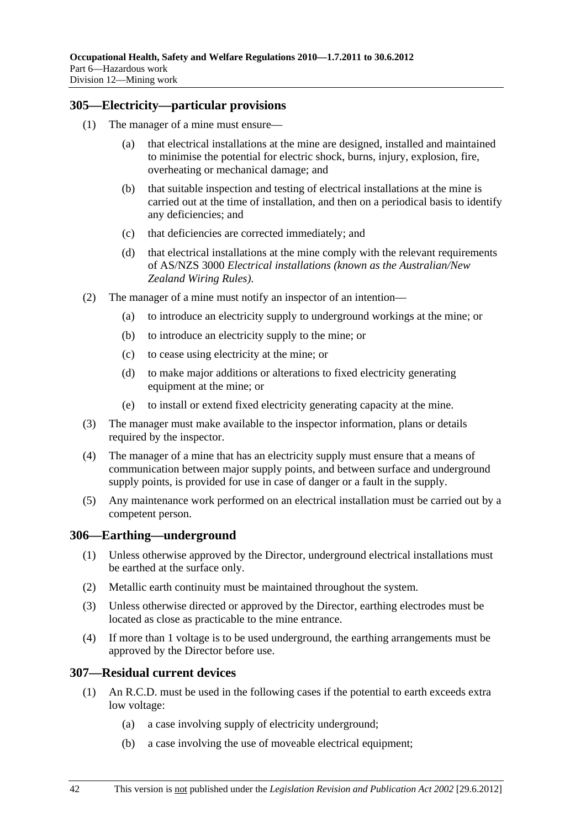### **305—Electricity—particular provisions**

- (1) The manager of a mine must ensure
	- that electrical installations at the mine are designed, installed and maintained to minimise the potential for electric shock, burns, injury, explosion, fire, overheating or mechanical damage; and
	- (b) that suitable inspection and testing of electrical installations at the mine is carried out at the time of installation, and then on a periodical basis to identify any deficiencies; and
	- (c) that deficiencies are corrected immediately; and
	- (d) that electrical installations at the mine comply with the relevant requirements of AS/NZS 3000 *Electrical installations (known as the Australian/New Zealand Wiring Rules)*.
- (2) The manager of a mine must notify an inspector of an intention—
	- (a) to introduce an electricity supply to underground workings at the mine; or
	- (b) to introduce an electricity supply to the mine; or
	- (c) to cease using electricity at the mine; or
	- (d) to make major additions or alterations to fixed electricity generating equipment at the mine; or
	- (e) to install or extend fixed electricity generating capacity at the mine.
- (3) The manager must make available to the inspector information, plans or details required by the inspector.
- (4) The manager of a mine that has an electricity supply must ensure that a means of communication between major supply points, and between surface and underground supply points, is provided for use in case of danger or a fault in the supply.
- (5) Any maintenance work performed on an electrical installation must be carried out by a competent person.

#### **306—Earthing—underground**

- (1) Unless otherwise approved by the Director, underground electrical installations must be earthed at the surface only.
- (2) Metallic earth continuity must be maintained throughout the system.
- (3) Unless otherwise directed or approved by the Director, earthing electrodes must be located as close as practicable to the mine entrance.
- (4) If more than 1 voltage is to be used underground, the earthing arrangements must be approved by the Director before use.

#### **307—Residual current devices**

- (1) An R.C.D. must be used in the following cases if the potential to earth exceeds extra low voltage:
	- (a) a case involving supply of electricity underground;
	- (b) a case involving the use of moveable electrical equipment;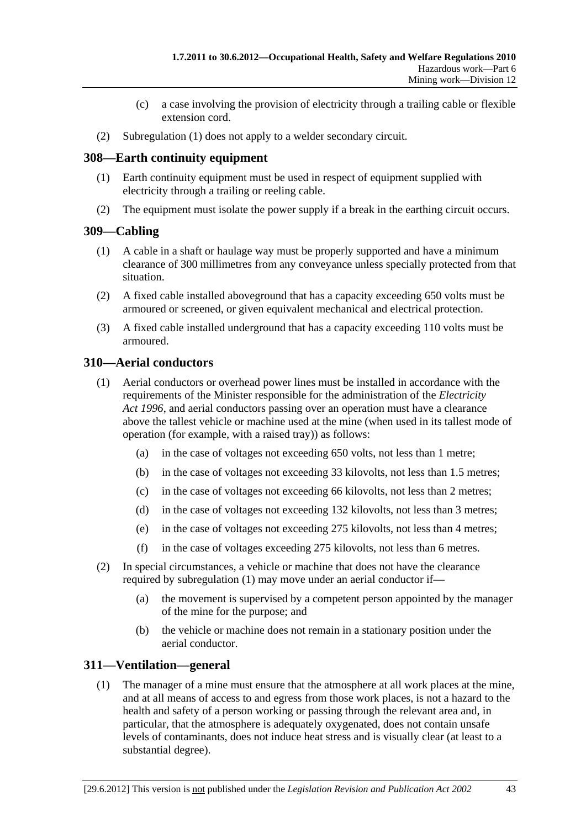- (c) a case involving the provision of electricity through a trailing cable or flexible extension cord.
- (2) Subregulation (1) does not apply to a welder secondary circuit.

### **308—Earth continuity equipment**

- (1) Earth continuity equipment must be used in respect of equipment supplied with electricity through a trailing or reeling cable.
- (2) The equipment must isolate the power supply if a break in the earthing circuit occurs.

### **309—Cabling**

- (1) A cable in a shaft or haulage way must be properly supported and have a minimum clearance of 300 millimetres from any conveyance unless specially protected from that situation.
- (2) A fixed cable installed aboveground that has a capacity exceeding 650 volts must be armoured or screened, or given equivalent mechanical and electrical protection.
- (3) A fixed cable installed underground that has a capacity exceeding 110 volts must be armoured.

### **310—Aerial conductors**

- (1) Aerial conductors or overhead power lines must be installed in accordance with the requirements of the Minister responsible for the administration of the *Electricity Act 1996*, and aerial conductors passing over an operation must have a clearance above the tallest vehicle or machine used at the mine (when used in its tallest mode of operation (for example, with a raised tray)) as follows:
	- (a) in the case of voltages not exceeding 650 volts, not less than 1 metre;
	- (b) in the case of voltages not exceeding 33 kilovolts, not less than 1.5 metres;
	- (c) in the case of voltages not exceeding 66 kilovolts, not less than 2 metres;
	- (d) in the case of voltages not exceeding 132 kilovolts, not less than 3 metres;
	- (e) in the case of voltages not exceeding 275 kilovolts, not less than 4 metres;
	- (f) in the case of voltages exceeding 275 kilovolts, not less than 6 metres.
- (2) In special circumstances, a vehicle or machine that does not have the clearance required by subregulation (1) may move under an aerial conductor if—
	- (a) the movement is supervised by a competent person appointed by the manager of the mine for the purpose; and
	- (b) the vehicle or machine does not remain in a stationary position under the aerial conductor.

### **311—Ventilation—general**

 (1) The manager of a mine must ensure that the atmosphere at all work places at the mine, and at all means of access to and egress from those work places, is not a hazard to the health and safety of a person working or passing through the relevant area and, in particular, that the atmosphere is adequately oxygenated, does not contain unsafe levels of contaminants, does not induce heat stress and is visually clear (at least to a substantial degree).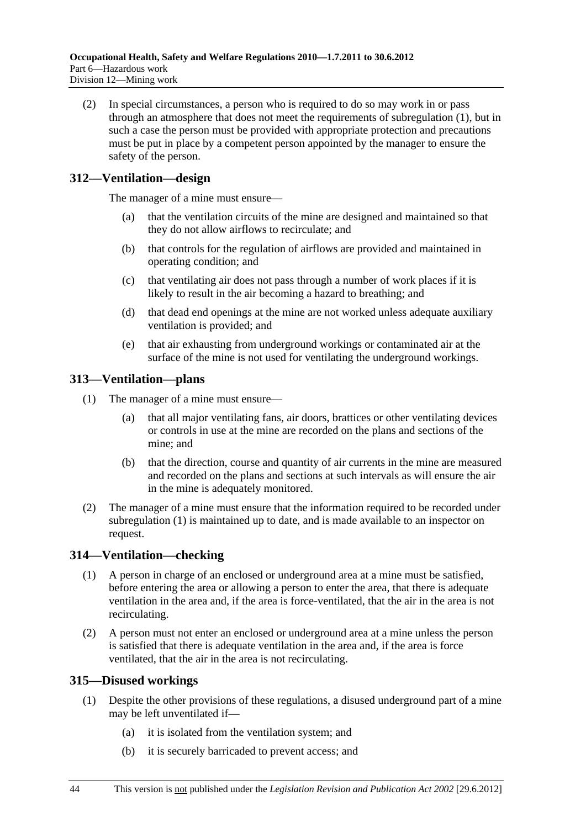(2) In special circumstances, a person who is required to do so may work in or pass through an atmosphere that does not meet the requirements of subregulation (1), but in such a case the person must be provided with appropriate protection and precautions must be put in place by a competent person appointed by the manager to ensure the safety of the person.

# **312—Ventilation—design**

The manager of a mine must ensure—

- (a) that the ventilation circuits of the mine are designed and maintained so that they do not allow airflows to recirculate; and
- (b) that controls for the regulation of airflows are provided and maintained in operating condition; and
- (c) that ventilating air does not pass through a number of work places if it is likely to result in the air becoming a hazard to breathing; and
- (d) that dead end openings at the mine are not worked unless adequate auxiliary ventilation is provided; and
- (e) that air exhausting from underground workings or contaminated air at the surface of the mine is not used for ventilating the underground workings.

# **313—Ventilation—plans**

- (1) The manager of a mine must ensure—
	- (a) that all major ventilating fans, air doors, brattices or other ventilating devices or controls in use at the mine are recorded on the plans and sections of the mine; and
	- (b) that the direction, course and quantity of air currents in the mine are measured and recorded on the plans and sections at such intervals as will ensure the air in the mine is adequately monitored.
- (2) The manager of a mine must ensure that the information required to be recorded under subregulation (1) is maintained up to date, and is made available to an inspector on request.

# **314—Ventilation—checking**

- (1) A person in charge of an enclosed or underground area at a mine must be satisfied, before entering the area or allowing a person to enter the area, that there is adequate ventilation in the area and, if the area is force-ventilated, that the air in the area is not recirculating.
- (2) A person must not enter an enclosed or underground area at a mine unless the person is satisfied that there is adequate ventilation in the area and, if the area is force ventilated, that the air in the area is not recirculating.

# **315—Disused workings**

- (1) Despite the other provisions of these regulations, a disused underground part of a mine may be left unventilated if—
	- (a) it is isolated from the ventilation system; and
	- (b) it is securely barricaded to prevent access; and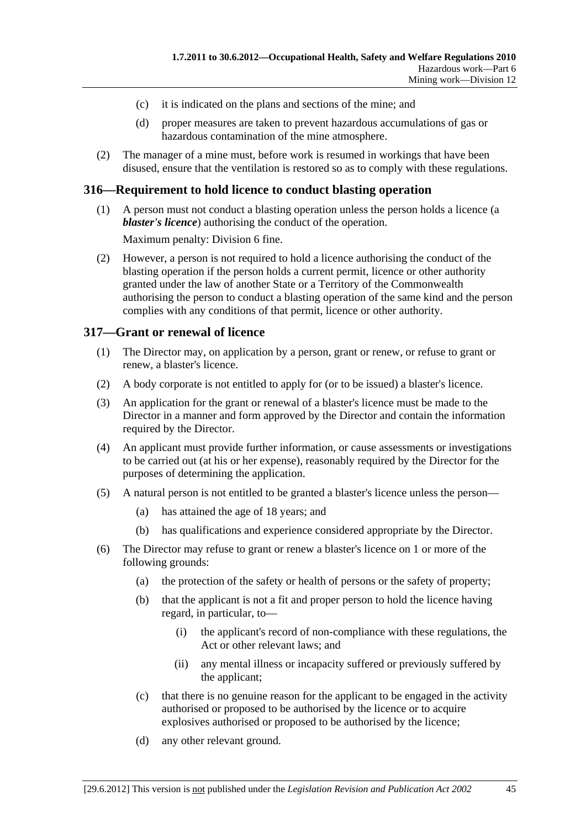- (c) it is indicated on the plans and sections of the mine; and
- (d) proper measures are taken to prevent hazardous accumulations of gas or hazardous contamination of the mine atmosphere.
- (2) The manager of a mine must, before work is resumed in workings that have been disused, ensure that the ventilation is restored so as to comply with these regulations.

#### **316—Requirement to hold licence to conduct blasting operation**

 (1) A person must not conduct a blasting operation unless the person holds a licence (a *blaster's licence*) authorising the conduct of the operation.

Maximum penalty: Division 6 fine.

 (2) However, a person is not required to hold a licence authorising the conduct of the blasting operation if the person holds a current permit, licence or other authority granted under the law of another State or a Territory of the Commonwealth authorising the person to conduct a blasting operation of the same kind and the person complies with any conditions of that permit, licence or other authority.

#### **317—Grant or renewal of licence**

- (1) The Director may, on application by a person, grant or renew, or refuse to grant or renew, a blaster's licence.
- (2) A body corporate is not entitled to apply for (or to be issued) a blaster's licence.
- (3) An application for the grant or renewal of a blaster's licence must be made to the Director in a manner and form approved by the Director and contain the information required by the Director.
- (4) An applicant must provide further information, or cause assessments or investigations to be carried out (at his or her expense), reasonably required by the Director for the purposes of determining the application.
- (5) A natural person is not entitled to be granted a blaster's licence unless the person—
	- (a) has attained the age of 18 years; and
	- (b) has qualifications and experience considered appropriate by the Director.
- (6) The Director may refuse to grant or renew a blaster's licence on 1 or more of the following grounds:
	- (a) the protection of the safety or health of persons or the safety of property;
	- (b) that the applicant is not a fit and proper person to hold the licence having regard, in particular, to—
		- (i) the applicant's record of non-compliance with these regulations, the Act or other relevant laws; and
		- (ii) any mental illness or incapacity suffered or previously suffered by the applicant;
	- (c) that there is no genuine reason for the applicant to be engaged in the activity authorised or proposed to be authorised by the licence or to acquire explosives authorised or proposed to be authorised by the licence;
	- (d) any other relevant ground.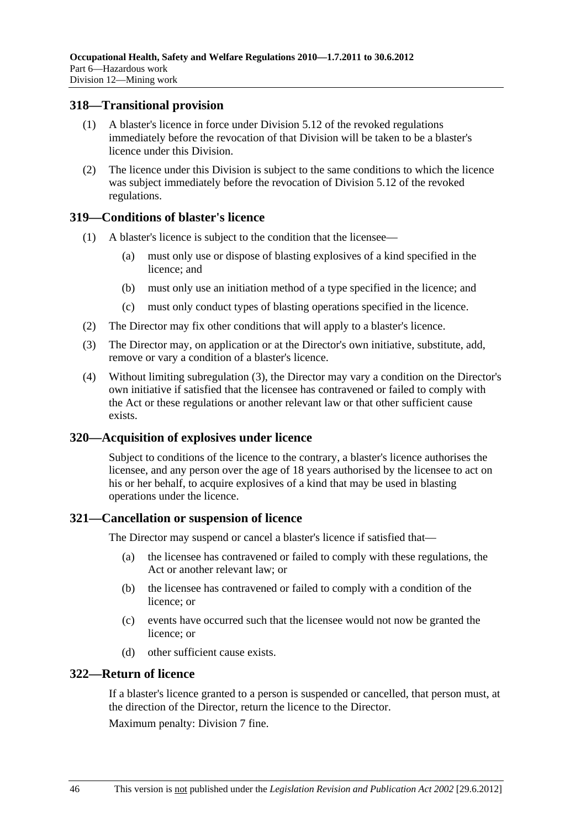#### **318—Transitional provision**

- (1) A blaster's licence in force under Division 5.12 of the revoked regulations immediately before the revocation of that Division will be taken to be a blaster's licence under this Division.
- (2) The licence under this Division is subject to the same conditions to which the licence was subject immediately before the revocation of Division 5.12 of the revoked regulations.

#### **319—Conditions of blaster's licence**

- (1) A blaster's licence is subject to the condition that the licensee—
	- (a) must only use or dispose of blasting explosives of a kind specified in the licence; and
	- (b) must only use an initiation method of a type specified in the licence; and
	- (c) must only conduct types of blasting operations specified in the licence.
- (2) The Director may fix other conditions that will apply to a blaster's licence.
- (3) The Director may, on application or at the Director's own initiative, substitute, add, remove or vary a condition of a blaster's licence.
- (4) Without limiting subregulation (3), the Director may vary a condition on the Director's own initiative if satisfied that the licensee has contravened or failed to comply with the Act or these regulations or another relevant law or that other sufficient cause exists.

### **320—Acquisition of explosives under licence**

Subject to conditions of the licence to the contrary, a blaster's licence authorises the licensee, and any person over the age of 18 years authorised by the licensee to act on his or her behalf, to acquire explosives of a kind that may be used in blasting operations under the licence.

#### **321—Cancellation or suspension of licence**

The Director may suspend or cancel a blaster's licence if satisfied that—

- (a) the licensee has contravened or failed to comply with these regulations, the Act or another relevant law; or
- (b) the licensee has contravened or failed to comply with a condition of the licence; or
- (c) events have occurred such that the licensee would not now be granted the licence; or
- (d) other sufficient cause exists.

#### **322—Return of licence**

If a blaster's licence granted to a person is suspended or cancelled, that person must, at the direction of the Director, return the licence to the Director.

Maximum penalty: Division 7 fine.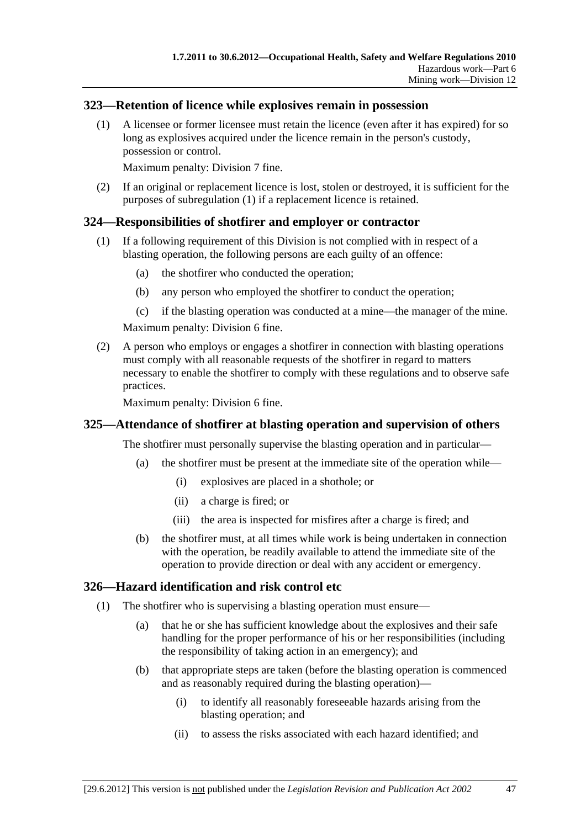### **323—Retention of licence while explosives remain in possession**

 (1) A licensee or former licensee must retain the licence (even after it has expired) for so long as explosives acquired under the licence remain in the person's custody, possession or control.

Maximum penalty: Division 7 fine.

 (2) If an original or replacement licence is lost, stolen or destroyed, it is sufficient for the purposes of subregulation (1) if a replacement licence is retained.

#### **324—Responsibilities of shotfirer and employer or contractor**

- (1) If a following requirement of this Division is not complied with in respect of a blasting operation, the following persons are each guilty of an offence:
	- (a) the shotfirer who conducted the operation;
	- (b) any person who employed the shotfirer to conduct the operation;
	- (c) if the blasting operation was conducted at a mine—the manager of the mine.

Maximum penalty: Division 6 fine.

 (2) A person who employs or engages a shotfirer in connection with blasting operations must comply with all reasonable requests of the shotfirer in regard to matters necessary to enable the shotfirer to comply with these regulations and to observe safe practices.

Maximum penalty: Division 6 fine.

#### **325—Attendance of shotfirer at blasting operation and supervision of others**

The shotfirer must personally supervise the blasting operation and in particular—

- (a) the shotfirer must be present at the immediate site of the operation while—
	- (i) explosives are placed in a shothole; or
	- (ii) a charge is fired; or
	- (iii) the area is inspected for misfires after a charge is fired; and
- (b) the shotfirer must, at all times while work is being undertaken in connection with the operation, be readily available to attend the immediate site of the operation to provide direction or deal with any accident or emergency.

### **326—Hazard identification and risk control etc**

- (1) The shotfirer who is supervising a blasting operation must ensure—
	- (a) that he or she has sufficient knowledge about the explosives and their safe handling for the proper performance of his or her responsibilities (including the responsibility of taking action in an emergency); and
	- (b) that appropriate steps are taken (before the blasting operation is commenced and as reasonably required during the blasting operation)—
		- (i) to identify all reasonably foreseeable hazards arising from the blasting operation; and
		- (ii) to assess the risks associated with each hazard identified; and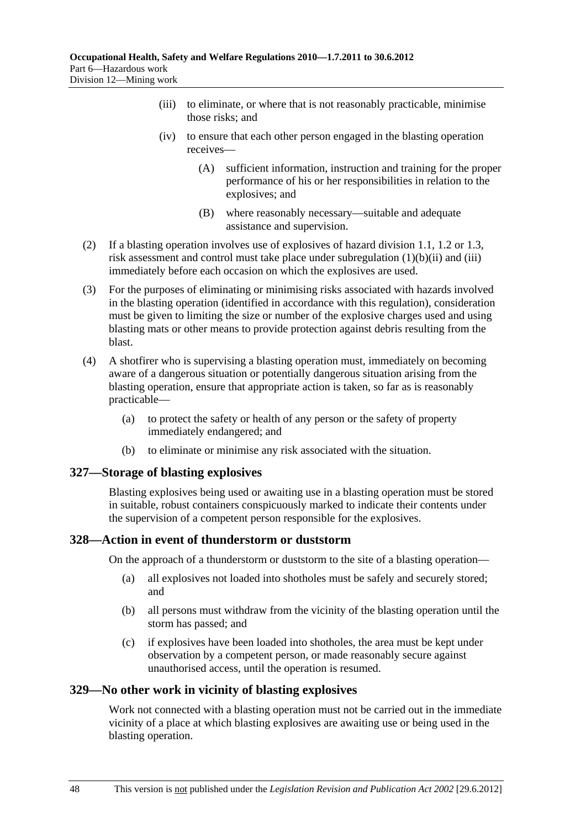- (iii) to eliminate, or where that is not reasonably practicable, minimise those risks; and
- (iv) to ensure that each other person engaged in the blasting operation receives—
	- (A) sufficient information, instruction and training for the proper performance of his or her responsibilities in relation to the explosives; and
	- (B) where reasonably necessary—suitable and adequate assistance and supervision.
- (2) If a blasting operation involves use of explosives of hazard division 1.1, 1.2 or 1.3, risk assessment and control must take place under subregulation (1)(b)(ii) and (iii) immediately before each occasion on which the explosives are used.
- (3) For the purposes of eliminating or minimising risks associated with hazards involved in the blasting operation (identified in accordance with this regulation), consideration must be given to limiting the size or number of the explosive charges used and using blasting mats or other means to provide protection against debris resulting from the blast.
- (4) A shotfirer who is supervising a blasting operation must, immediately on becoming aware of a dangerous situation or potentially dangerous situation arising from the blasting operation, ensure that appropriate action is taken, so far as is reasonably practicable—
	- (a) to protect the safety or health of any person or the safety of property immediately endangered; and
	- (b) to eliminate or minimise any risk associated with the situation.

### **327—Storage of blasting explosives**

Blasting explosives being used or awaiting use in a blasting operation must be stored in suitable, robust containers conspicuously marked to indicate their contents under the supervision of a competent person responsible for the explosives.

### **328—Action in event of thunderstorm or duststorm**

On the approach of a thunderstorm or duststorm to the site of a blasting operation—

- (a) all explosives not loaded into shotholes must be safely and securely stored; and
- (b) all persons must withdraw from the vicinity of the blasting operation until the storm has passed; and
- (c) if explosives have been loaded into shotholes, the area must be kept under observation by a competent person, or made reasonably secure against unauthorised access, until the operation is resumed.

### **329—No other work in vicinity of blasting explosives**

Work not connected with a blasting operation must not be carried out in the immediate vicinity of a place at which blasting explosives are awaiting use or being used in the blasting operation.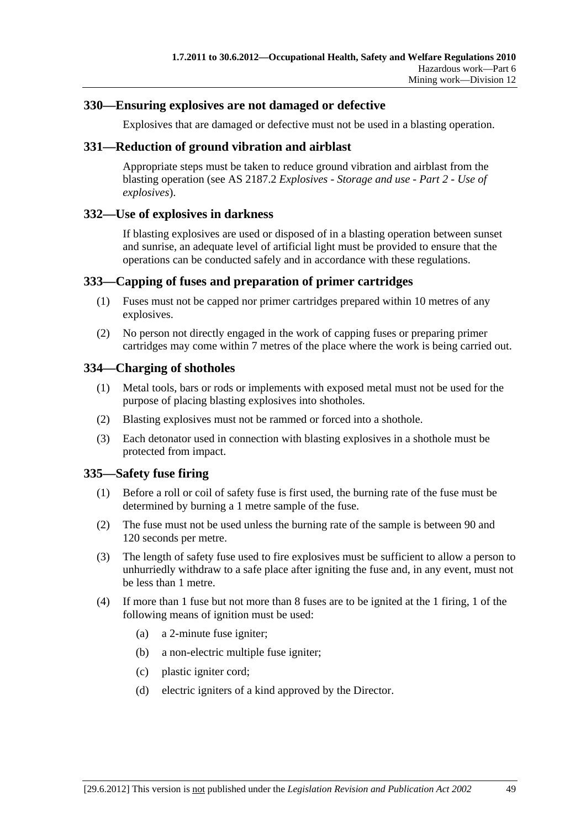### **330—Ensuring explosives are not damaged or defective**

Explosives that are damaged or defective must not be used in a blasting operation.

#### **331—Reduction of ground vibration and airblast**

Appropriate steps must be taken to reduce ground vibration and airblast from the blasting operation (see AS 2187.2 *Explosives - Storage and use - Part 2 - Use of explosives*).

### **332—Use of explosives in darkness**

If blasting explosives are used or disposed of in a blasting operation between sunset and sunrise, an adequate level of artificial light must be provided to ensure that the operations can be conducted safely and in accordance with these regulations.

### **333—Capping of fuses and preparation of primer cartridges**

- (1) Fuses must not be capped nor primer cartridges prepared within 10 metres of any explosives.
- (2) No person not directly engaged in the work of capping fuses or preparing primer cartridges may come within 7 metres of the place where the work is being carried out.

### **334—Charging of shotholes**

- (1) Metal tools, bars or rods or implements with exposed metal must not be used for the purpose of placing blasting explosives into shotholes.
- (2) Blasting explosives must not be rammed or forced into a shothole.
- (3) Each detonator used in connection with blasting explosives in a shothole must be protected from impact.

### **335—Safety fuse firing**

- (1) Before a roll or coil of safety fuse is first used, the burning rate of the fuse must be determined by burning a 1 metre sample of the fuse.
- (2) The fuse must not be used unless the burning rate of the sample is between 90 and 120 seconds per metre.
- (3) The length of safety fuse used to fire explosives must be sufficient to allow a person to unhurriedly withdraw to a safe place after igniting the fuse and, in any event, must not be less than 1 metre.
- (4) If more than 1 fuse but not more than 8 fuses are to be ignited at the 1 firing, 1 of the following means of ignition must be used:
	- (a) a 2-minute fuse igniter;
	- (b) a non-electric multiple fuse igniter;
	- (c) plastic igniter cord;
	- (d) electric igniters of a kind approved by the Director.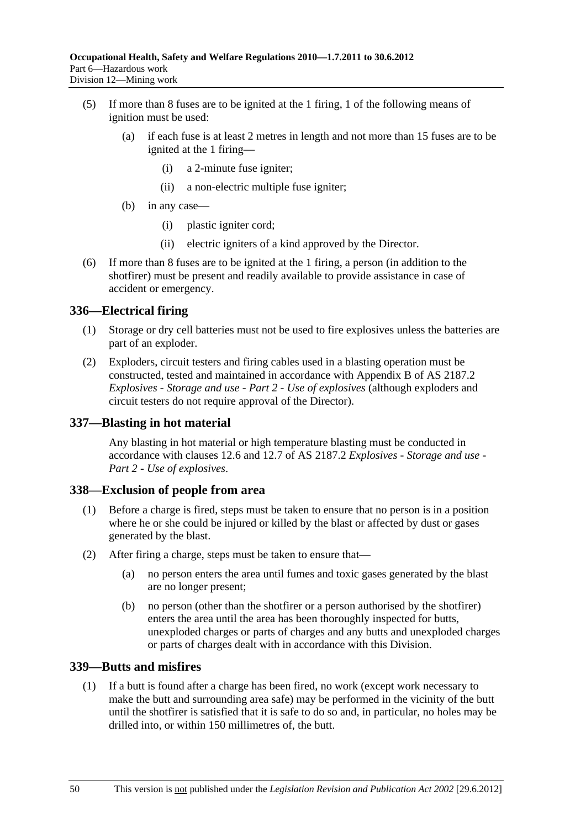- (5) If more than 8 fuses are to be ignited at the 1 firing, 1 of the following means of ignition must be used:
	- (a) if each fuse is at least 2 metres in length and not more than 15 fuses are to be ignited at the 1 firing—
		- (i) a 2-minute fuse igniter;
		- (ii) a non-electric multiple fuse igniter;
	- (b) in any case—
		- (i) plastic igniter cord;
		- (ii) electric igniters of a kind approved by the Director.
- (6) If more than 8 fuses are to be ignited at the 1 firing, a person (in addition to the shotfirer) must be present and readily available to provide assistance in case of accident or emergency.

### **336—Electrical firing**

- (1) Storage or dry cell batteries must not be used to fire explosives unless the batteries are part of an exploder.
- (2) Exploders, circuit testers and firing cables used in a blasting operation must be constructed, tested and maintained in accordance with Appendix B of AS 2187.2 *Explosives - Storage and use - Part 2 - Use of explosives* (although exploders and circuit testers do not require approval of the Director).

### **337—Blasting in hot material**

Any blasting in hot material or high temperature blasting must be conducted in accordance with clauses 12.6 and 12.7 of AS 2187.2 *Explosives - Storage and use - Part 2 - Use of explosives*.

### **338—Exclusion of people from area**

- (1) Before a charge is fired, steps must be taken to ensure that no person is in a position where he or she could be injured or killed by the blast or affected by dust or gases generated by the blast.
- (2) After firing a charge, steps must be taken to ensure that—
	- (a) no person enters the area until fumes and toxic gases generated by the blast are no longer present;
	- (b) no person (other than the shotfirer or a person authorised by the shotfirer) enters the area until the area has been thoroughly inspected for butts, unexploded charges or parts of charges and any butts and unexploded charges or parts of charges dealt with in accordance with this Division.

# **339—Butts and misfires**

 (1) If a butt is found after a charge has been fired, no work (except work necessary to make the butt and surrounding area safe) may be performed in the vicinity of the butt until the shotfirer is satisfied that it is safe to do so and, in particular, no holes may be drilled into, or within 150 millimetres of, the butt.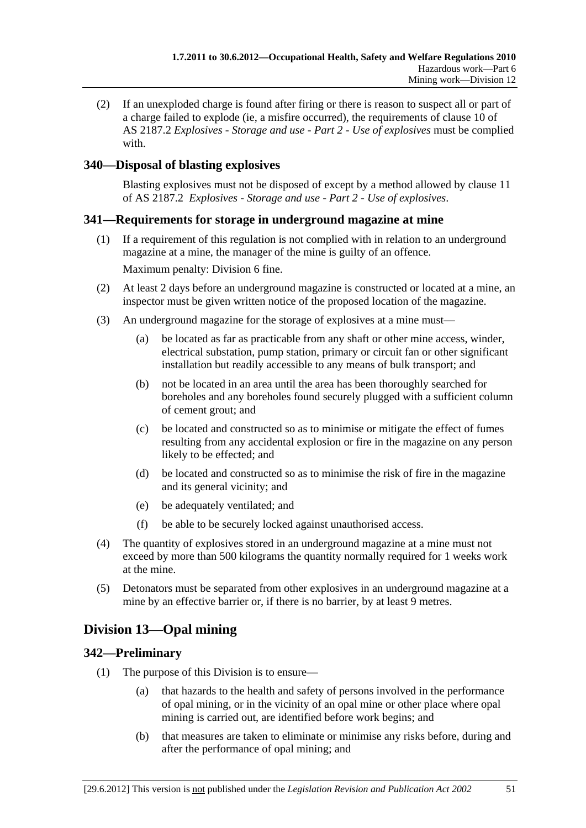(2) If an unexploded charge is found after firing or there is reason to suspect all or part of a charge failed to explode (ie, a misfire occurred), the requirements of clause 10 of AS 2187.2 *Explosives - Storage and use - Part 2 - Use of explosives* must be complied with.

# **340—Disposal of blasting explosives**

Blasting explosives must not be disposed of except by a method allowed by clause 11 of AS 2187.2 *Explosives - Storage and use - Part 2 - Use of explosives*.

# **341—Requirements for storage in underground magazine at mine**

- (1) If a requirement of this regulation is not complied with in relation to an underground magazine at a mine, the manager of the mine is guilty of an offence. Maximum penalty: Division 6 fine.
- (2) At least 2 days before an underground magazine is constructed or located at a mine, an inspector must be given written notice of the proposed location of the magazine.
- (3) An underground magazine for the storage of explosives at a mine must—
	- (a) be located as far as practicable from any shaft or other mine access, winder, electrical substation, pump station, primary or circuit fan or other significant installation but readily accessible to any means of bulk transport; and
	- (b) not be located in an area until the area has been thoroughly searched for boreholes and any boreholes found securely plugged with a sufficient column of cement grout; and
	- (c) be located and constructed so as to minimise or mitigate the effect of fumes resulting from any accidental explosion or fire in the magazine on any person likely to be effected; and
	- (d) be located and constructed so as to minimise the risk of fire in the magazine and its general vicinity; and
	- (e) be adequately ventilated; and
	- (f) be able to be securely locked against unauthorised access.
- (4) The quantity of explosives stored in an underground magazine at a mine must not exceed by more than 500 kilograms the quantity normally required for 1 weeks work at the mine.
- (5) Detonators must be separated from other explosives in an underground magazine at a mine by an effective barrier or, if there is no barrier, by at least 9 metres.

# **Division 13—Opal mining**

# **342—Preliminary**

- (1) The purpose of this Division is to ensure—
	- (a) that hazards to the health and safety of persons involved in the performance of opal mining, or in the vicinity of an opal mine or other place where opal mining is carried out, are identified before work begins; and
	- (b) that measures are taken to eliminate or minimise any risks before, during and after the performance of opal mining; and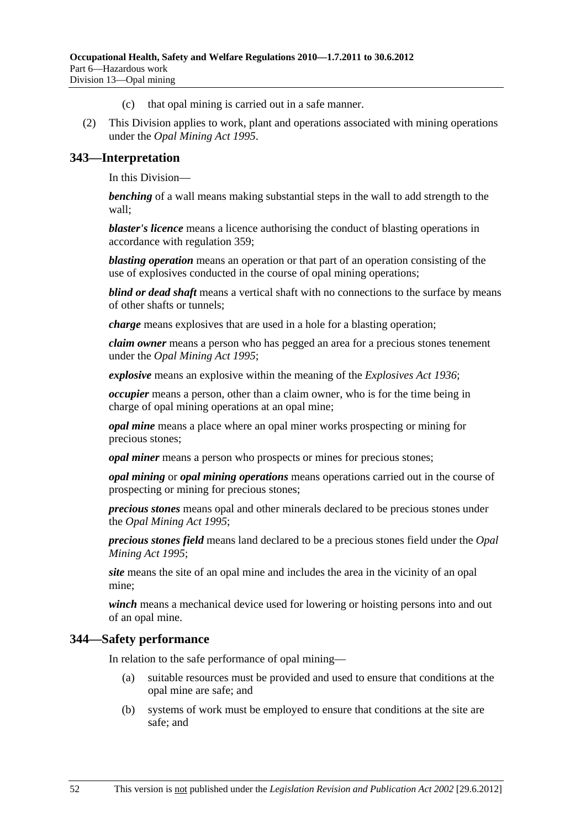- (c) that opal mining is carried out in a safe manner.
- (2) This Division applies to work, plant and operations associated with mining operations under the *Opal Mining Act 1995*.

### **343—Interpretation**

In this Division—

*benching* of a wall means making substantial steps in the wall to add strength to the wall;

*blaster's licence* means a licence authorising the conduct of blasting operations in accordance with regulation 359;

*blasting operation* means an operation or that part of an operation consisting of the use of explosives conducted in the course of opal mining operations;

*blind or dead shaft* means a vertical shaft with no connections to the surface by means of other shafts or tunnels;

*charge* means explosives that are used in a hole for a blasting operation;

*claim owner* means a person who has pegged an area for a precious stones tenement under the *Opal Mining Act 1995*;

*explosive* means an explosive within the meaning of the *Explosives Act 1936*;

*occupier* means a person, other than a claim owner, who is for the time being in charge of opal mining operations at an opal mine;

*opal mine* means a place where an opal miner works prospecting or mining for precious stones;

*opal miner* means a person who prospects or mines for precious stones;

*opal mining* or *opal mining operations* means operations carried out in the course of prospecting or mining for precious stones;

*precious stones* means opal and other minerals declared to be precious stones under the *Opal Mining Act 1995*;

*precious stones field* means land declared to be a precious stones field under the *Opal Mining Act 1995*;

*site* means the site of an opal mine and includes the area in the vicinity of an opal mine;

*winch* means a mechanical device used for lowering or hoisting persons into and out of an opal mine.

#### **344—Safety performance**

In relation to the safe performance of opal mining—

- (a) suitable resources must be provided and used to ensure that conditions at the opal mine are safe; and
- (b) systems of work must be employed to ensure that conditions at the site are safe; and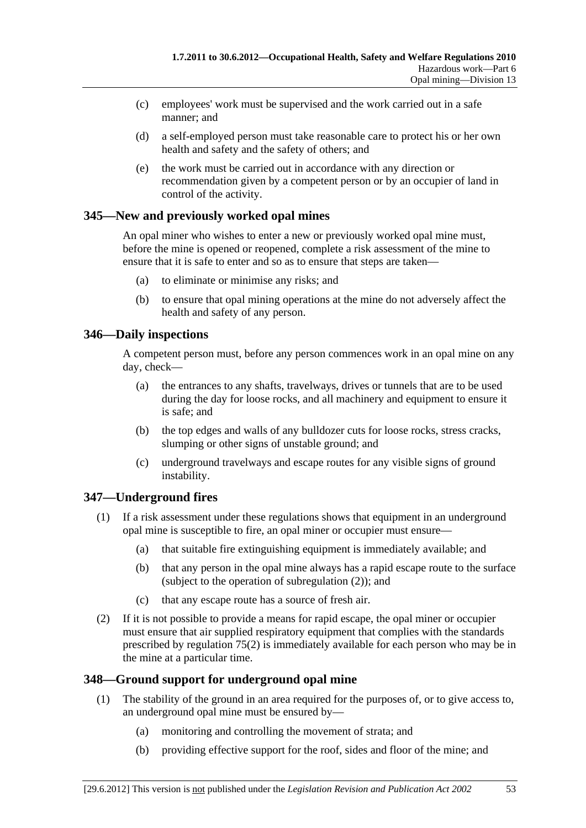- (c) employees' work must be supervised and the work carried out in a safe manner; and
- (d) a self-employed person must take reasonable care to protect his or her own health and safety and the safety of others; and
- (e) the work must be carried out in accordance with any direction or recommendation given by a competent person or by an occupier of land in control of the activity.

# **345—New and previously worked opal mines**

An opal miner who wishes to enter a new or previously worked opal mine must, before the mine is opened or reopened, complete a risk assessment of the mine to ensure that it is safe to enter and so as to ensure that steps are taken—

- (a) to eliminate or minimise any risks; and
- (b) to ensure that opal mining operations at the mine do not adversely affect the health and safety of any person.

# **346—Daily inspections**

A competent person must, before any person commences work in an opal mine on any day, check—

- (a) the entrances to any shafts, travelways, drives or tunnels that are to be used during the day for loose rocks, and all machinery and equipment to ensure it is safe; and
- (b) the top edges and walls of any bulldozer cuts for loose rocks, stress cracks, slumping or other signs of unstable ground; and
- (c) underground travelways and escape routes for any visible signs of ground instability.

# **347—Underground fires**

- (1) If a risk assessment under these regulations shows that equipment in an underground opal mine is susceptible to fire, an opal miner or occupier must ensure—
	- (a) that suitable fire extinguishing equipment is immediately available; and
	- (b) that any person in the opal mine always has a rapid escape route to the surface (subject to the operation of subregulation (2)); and
	- (c) that any escape route has a source of fresh air.
- (2) If it is not possible to provide a means for rapid escape, the opal miner or occupier must ensure that air supplied respiratory equipment that complies with the standards prescribed by regulation 75(2) is immediately available for each person who may be in the mine at a particular time.

# **348—Ground support for underground opal mine**

- (1) The stability of the ground in an area required for the purposes of, or to give access to, an underground opal mine must be ensured by—
	- (a) monitoring and controlling the movement of strata; and
	- (b) providing effective support for the roof, sides and floor of the mine; and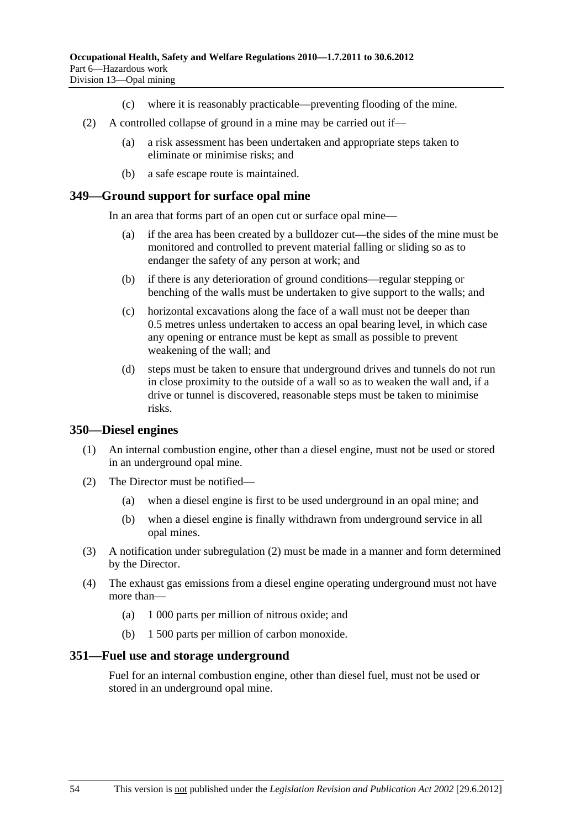- (c) where it is reasonably practicable—preventing flooding of the mine.
- (2) A controlled collapse of ground in a mine may be carried out if—
	- (a) a risk assessment has been undertaken and appropriate steps taken to eliminate or minimise risks; and
	- (b) a safe escape route is maintained.

#### **349—Ground support for surface opal mine**

In an area that forms part of an open cut or surface opal mine—

- if the area has been created by a bulldozer cut—the sides of the mine must be monitored and controlled to prevent material falling or sliding so as to endanger the safety of any person at work; and
- (b) if there is any deterioration of ground conditions—regular stepping or benching of the walls must be undertaken to give support to the walls; and
- (c) horizontal excavations along the face of a wall must not be deeper than 0.5 metres unless undertaken to access an opal bearing level, in which case any opening or entrance must be kept as small as possible to prevent weakening of the wall; and
- (d) steps must be taken to ensure that underground drives and tunnels do not run in close proximity to the outside of a wall so as to weaken the wall and, if a drive or tunnel is discovered, reasonable steps must be taken to minimise risks.

#### **350—Diesel engines**

- (1) An internal combustion engine, other than a diesel engine, must not be used or stored in an underground opal mine.
- (2) The Director must be notified—
	- (a) when a diesel engine is first to be used underground in an opal mine; and
	- (b) when a diesel engine is finally withdrawn from underground service in all opal mines.
- (3) A notification under subregulation (2) must be made in a manner and form determined by the Director.
- (4) The exhaust gas emissions from a diesel engine operating underground must not have more than—
	- (a) 1 000 parts per million of nitrous oxide; and
	- (b) 1 500 parts per million of carbon monoxide.

#### **351—Fuel use and storage underground**

Fuel for an internal combustion engine, other than diesel fuel, must not be used or stored in an underground opal mine.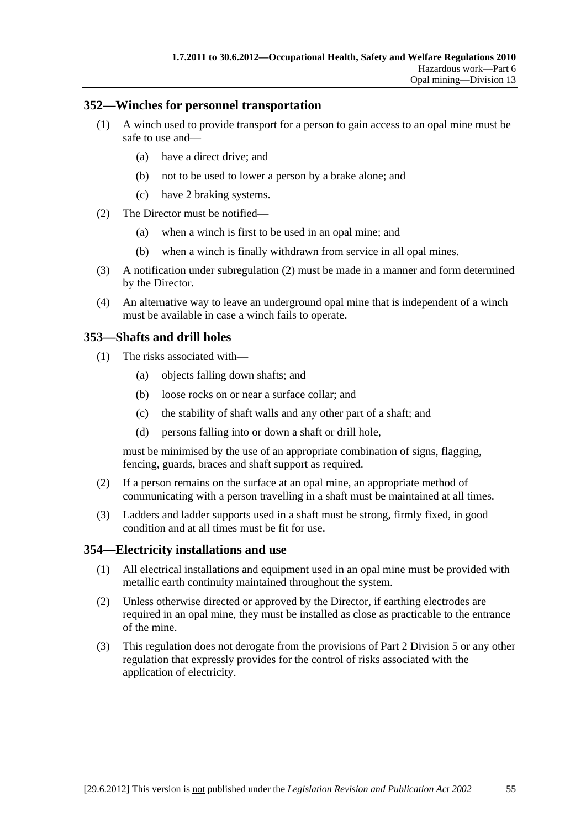### **352—Winches for personnel transportation**

- (1) A winch used to provide transport for a person to gain access to an opal mine must be safe to use and—
	- (a) have a direct drive; and
	- (b) not to be used to lower a person by a brake alone; and
	- (c) have 2 braking systems.
- (2) The Director must be notified—
	- (a) when a winch is first to be used in an opal mine; and
	- (b) when a winch is finally withdrawn from service in all opal mines.
- (3) A notification under subregulation (2) must be made in a manner and form determined by the Director.
- (4) An alternative way to leave an underground opal mine that is independent of a winch must be available in case a winch fails to operate.

### **353—Shafts and drill holes**

- (1) The risks associated with—
	- (a) objects falling down shafts; and
	- (b) loose rocks on or near a surface collar; and
	- (c) the stability of shaft walls and any other part of a shaft; and
	- (d) persons falling into or down a shaft or drill hole,

must be minimised by the use of an appropriate combination of signs, flagging, fencing, guards, braces and shaft support as required.

- (2) If a person remains on the surface at an opal mine, an appropriate method of communicating with a person travelling in a shaft must be maintained at all times.
- (3) Ladders and ladder supports used in a shaft must be strong, firmly fixed, in good condition and at all times must be fit for use.

#### **354—Electricity installations and use**

- (1) All electrical installations and equipment used in an opal mine must be provided with metallic earth continuity maintained throughout the system.
- (2) Unless otherwise directed or approved by the Director, if earthing electrodes are required in an opal mine, they must be installed as close as practicable to the entrance of the mine.
- (3) This regulation does not derogate from the provisions of Part 2 Division 5 or any other regulation that expressly provides for the control of risks associated with the application of electricity.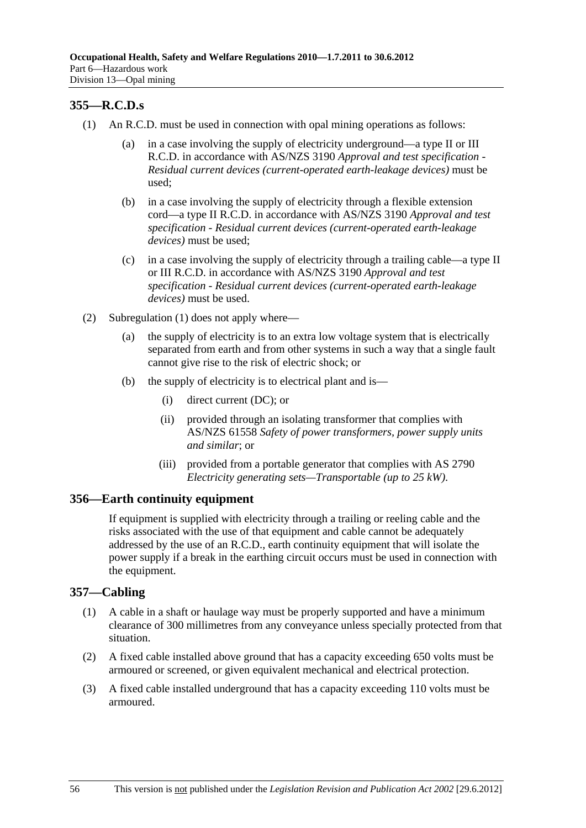# **355—R.C.D.s**

- (1) An R.C.D. must be used in connection with opal mining operations as follows:
	- (a) in a case involving the supply of electricity underground—a type II or III R.C.D. in accordance with AS/NZS 3190 *Approval and test specification - Residual current devices (current-operated earth-leakage devices)* must be used;
	- (b) in a case involving the supply of electricity through a flexible extension cord—a type II R.C.D. in accordance with AS/NZS 3190 *Approval and test specification - Residual current devices (current-operated earth-leakage devices)* must be used;
	- (c) in a case involving the supply of electricity through a trailing cable—a type II or III R.C.D. in accordance with AS/NZS 3190 *Approval and test specification - Residual current devices (current-operated earth-leakage devices)* must be used.
- (2) Subregulation (1) does not apply where—
	- (a) the supply of electricity is to an extra low voltage system that is electrically separated from earth and from other systems in such a way that a single fault cannot give rise to the risk of electric shock; or
	- (b) the supply of electricity is to electrical plant and is—
		- (i) direct current (DC); or
		- (ii) provided through an isolating transformer that complies with AS/NZS 61558 *Safety of power transformers, power supply units and similar*; or
		- (iii) provided from a portable generator that complies with AS 2790 *Electricity generating sets—Transportable (up to 25 kW)*.

### **356—Earth continuity equipment**

If equipment is supplied with electricity through a trailing or reeling cable and the risks associated with the use of that equipment and cable cannot be adequately addressed by the use of an R.C.D., earth continuity equipment that will isolate the power supply if a break in the earthing circuit occurs must be used in connection with the equipment.

### **357—Cabling**

- (1) A cable in a shaft or haulage way must be properly supported and have a minimum clearance of 300 millimetres from any conveyance unless specially protected from that situation.
- (2) A fixed cable installed above ground that has a capacity exceeding 650 volts must be armoured or screened, or given equivalent mechanical and electrical protection.
- (3) A fixed cable installed underground that has a capacity exceeding 110 volts must be armoured.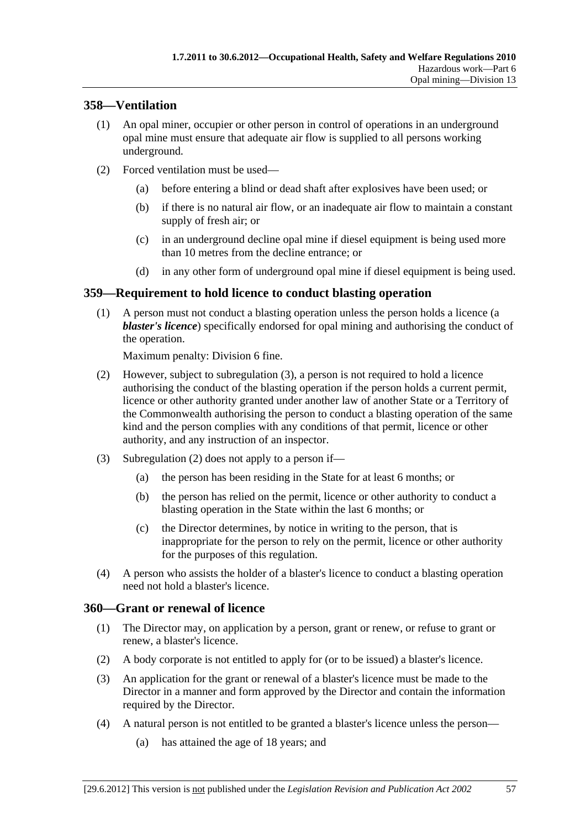# **358—Ventilation**

- (1) An opal miner, occupier or other person in control of operations in an underground opal mine must ensure that adequate air flow is supplied to all persons working underground.
- (2) Forced ventilation must be used—
	- (a) before entering a blind or dead shaft after explosives have been used; or
	- (b) if there is no natural air flow, or an inadequate air flow to maintain a constant supply of fresh air; or
	- (c) in an underground decline opal mine if diesel equipment is being used more than 10 metres from the decline entrance; or
	- (d) in any other form of underground opal mine if diesel equipment is being used.

# **359—Requirement to hold licence to conduct blasting operation**

 (1) A person must not conduct a blasting operation unless the person holds a licence (a *blaster's licence*) specifically endorsed for opal mining and authorising the conduct of the operation.

Maximum penalty: Division 6 fine.

- (2) However, subject to subregulation (3), a person is not required to hold a licence authorising the conduct of the blasting operation if the person holds a current permit, licence or other authority granted under another law of another State or a Territory of the Commonwealth authorising the person to conduct a blasting operation of the same kind and the person complies with any conditions of that permit, licence or other authority, and any instruction of an inspector.
- (3) Subregulation (2) does not apply to a person if—
	- (a) the person has been residing in the State for at least 6 months; or
	- (b) the person has relied on the permit, licence or other authority to conduct a blasting operation in the State within the last 6 months; or
	- (c) the Director determines, by notice in writing to the person, that is inappropriate for the person to rely on the permit, licence or other authority for the purposes of this regulation.
- (4) A person who assists the holder of a blaster's licence to conduct a blasting operation need not hold a blaster's licence.

# **360—Grant or renewal of licence**

- (1) The Director may, on application by a person, grant or renew, or refuse to grant or renew, a blaster's licence.
- (2) A body corporate is not entitled to apply for (or to be issued) a blaster's licence.
- (3) An application for the grant or renewal of a blaster's licence must be made to the Director in a manner and form approved by the Director and contain the information required by the Director.
- (4) A natural person is not entitled to be granted a blaster's licence unless the person—
	- (a) has attained the age of 18 years; and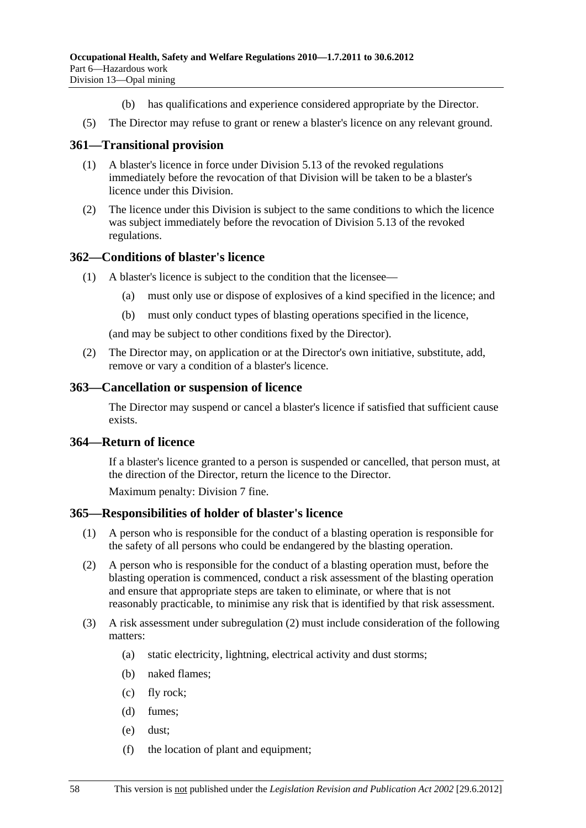- (b) has qualifications and experience considered appropriate by the Director.
- (5) The Director may refuse to grant or renew a blaster's licence on any relevant ground.

#### **361—Transitional provision**

- (1) A blaster's licence in force under Division 5.13 of the revoked regulations immediately before the revocation of that Division will be taken to be a blaster's licence under this Division.
- (2) The licence under this Division is subject to the same conditions to which the licence was subject immediately before the revocation of Division 5.13 of the revoked regulations.

#### **362—Conditions of blaster's licence**

- (1) A blaster's licence is subject to the condition that the licensee—
	- (a) must only use or dispose of explosives of a kind specified in the licence; and
	- (b) must only conduct types of blasting operations specified in the licence,

(and may be subject to other conditions fixed by the Director).

 (2) The Director may, on application or at the Director's own initiative, substitute, add, remove or vary a condition of a blaster's licence.

#### **363—Cancellation or suspension of licence**

The Director may suspend or cancel a blaster's licence if satisfied that sufficient cause exists.

#### **364—Return of licence**

If a blaster's licence granted to a person is suspended or cancelled, that person must, at the direction of the Director, return the licence to the Director.

Maximum penalty: Division 7 fine.

#### **365—Responsibilities of holder of blaster's licence**

- (1) A person who is responsible for the conduct of a blasting operation is responsible for the safety of all persons who could be endangered by the blasting operation.
- (2) A person who is responsible for the conduct of a blasting operation must, before the blasting operation is commenced, conduct a risk assessment of the blasting operation and ensure that appropriate steps are taken to eliminate, or where that is not reasonably practicable, to minimise any risk that is identified by that risk assessment.
- (3) A risk assessment under subregulation (2) must include consideration of the following matters:
	- (a) static electricity, lightning, electrical activity and dust storms;
	- (b) naked flames;
	- (c) fly rock;
	- (d) fumes;
	- (e) dust;
	- (f) the location of plant and equipment;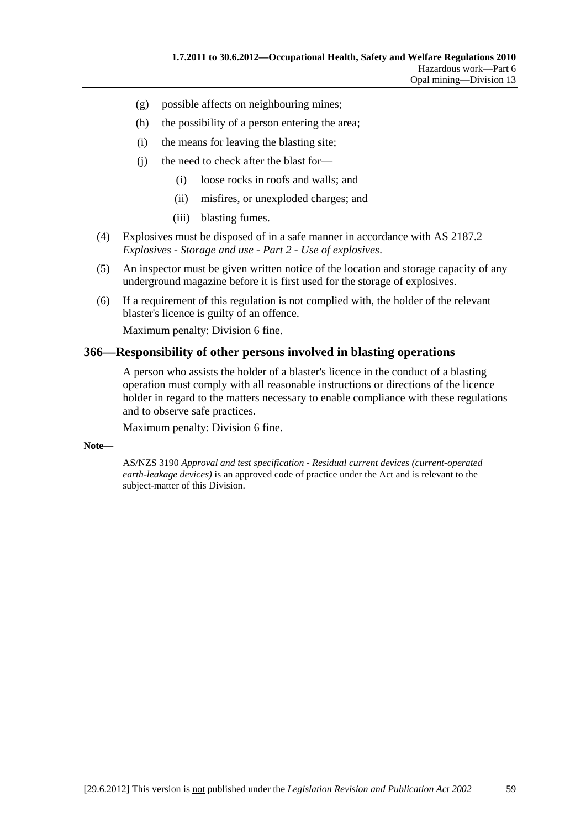- (g) possible affects on neighbouring mines;
- (h) the possibility of a person entering the area;
- (i) the means for leaving the blasting site;
- (j) the need to check after the blast for—
	- (i) loose rocks in roofs and walls; and
	- (ii) misfires, or unexploded charges; and
	- (iii) blasting fumes.
- (4) Explosives must be disposed of in a safe manner in accordance with AS 2187.2 *Explosives - Storage and use - Part 2 - Use of explosives*.
- (5) An inspector must be given written notice of the location and storage capacity of any underground magazine before it is first used for the storage of explosives.
- (6) If a requirement of this regulation is not complied with, the holder of the relevant blaster's licence is guilty of an offence.

Maximum penalty: Division 6 fine.

#### **366—Responsibility of other persons involved in blasting operations**

A person who assists the holder of a blaster's licence in the conduct of a blasting operation must comply with all reasonable instructions or directions of the licence holder in regard to the matters necessary to enable compliance with these regulations and to observe safe practices.

Maximum penalty: Division 6 fine.

#### **Note—**

AS/NZS 3190 *Approval and test specification - Residual current devices (current-operated earth-leakage devices)* is an approved code of practice under the Act and is relevant to the subject-matter of this Division.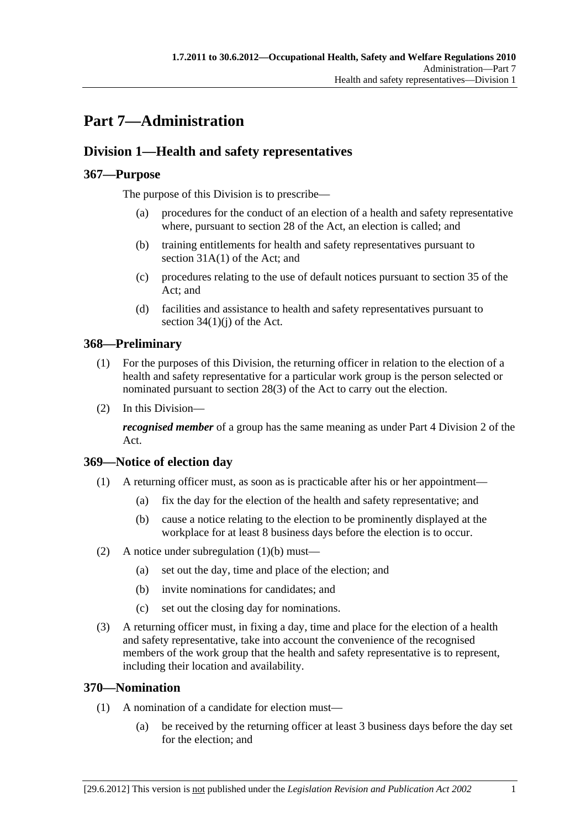# **Part 7—Administration**

# **Division 1—Health and safety representatives**

# **367—Purpose**

The purpose of this Division is to prescribe—

- (a) procedures for the conduct of an election of a health and safety representative where, pursuant to section 28 of the Act, an election is called; and
- (b) training entitlements for health and safety representatives pursuant to section 31A(1) of the Act; and
- (c) procedures relating to the use of default notices pursuant to section 35 of the Act; and
- (d) facilities and assistance to health and safety representatives pursuant to section  $34(1)(i)$  of the Act.

# **368—Preliminary**

- (1) For the purposes of this Division, the returning officer in relation to the election of a health and safety representative for a particular work group is the person selected or nominated pursuant to section 28(3) of the Act to carry out the election.
- (2) In this Division—

*recognised member* of a group has the same meaning as under Part 4 Division 2 of the Act.

# **369—Notice of election day**

- (1) A returning officer must, as soon as is practicable after his or her appointment—
	- (a) fix the day for the election of the health and safety representative; and
	- (b) cause a notice relating to the election to be prominently displayed at the workplace for at least 8 business days before the election is to occur.
- (2) A notice under subregulation (1)(b) must—
	- (a) set out the day, time and place of the election; and
	- (b) invite nominations for candidates; and
	- (c) set out the closing day for nominations.
- (3) A returning officer must, in fixing a day, time and place for the election of a health and safety representative, take into account the convenience of the recognised members of the work group that the health and safety representative is to represent, including their location and availability.

# **370—Nomination**

- (1) A nomination of a candidate for election must—
	- (a) be received by the returning officer at least 3 business days before the day set for the election; and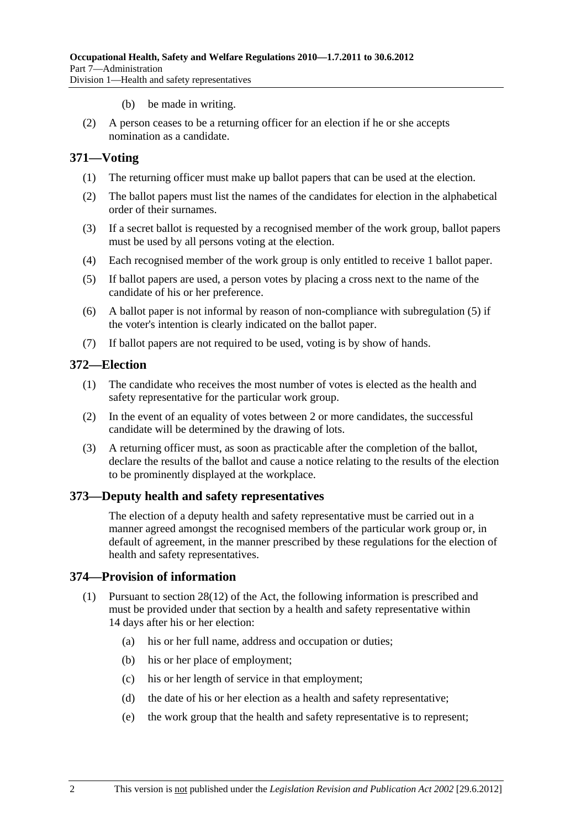- (b) be made in writing.
- (2) A person ceases to be a returning officer for an election if he or she accepts nomination as a candidate.

### **371—Voting**

- (1) The returning officer must make up ballot papers that can be used at the election.
- (2) The ballot papers must list the names of the candidates for election in the alphabetical order of their surnames.
- (3) If a secret ballot is requested by a recognised member of the work group, ballot papers must be used by all persons voting at the election.
- (4) Each recognised member of the work group is only entitled to receive 1 ballot paper.
- (5) If ballot papers are used, a person votes by placing a cross next to the name of the candidate of his or her preference.
- (6) A ballot paper is not informal by reason of non-compliance with subregulation (5) if the voter's intention is clearly indicated on the ballot paper.
- (7) If ballot papers are not required to be used, voting is by show of hands.

#### **372—Election**

- (1) The candidate who receives the most number of votes is elected as the health and safety representative for the particular work group.
- (2) In the event of an equality of votes between 2 or more candidates, the successful candidate will be determined by the drawing of lots.
- (3) A returning officer must, as soon as practicable after the completion of the ballot, declare the results of the ballot and cause a notice relating to the results of the election to be prominently displayed at the workplace.

#### **373—Deputy health and safety representatives**

The election of a deputy health and safety representative must be carried out in a manner agreed amongst the recognised members of the particular work group or, in default of agreement, in the manner prescribed by these regulations for the election of health and safety representatives.

#### **374—Provision of information**

- (1) Pursuant to section 28(12) of the Act, the following information is prescribed and must be provided under that section by a health and safety representative within 14 days after his or her election:
	- (a) his or her full name, address and occupation or duties;
	- (b) his or her place of employment;
	- (c) his or her length of service in that employment;
	- (d) the date of his or her election as a health and safety representative;
	- (e) the work group that the health and safety representative is to represent;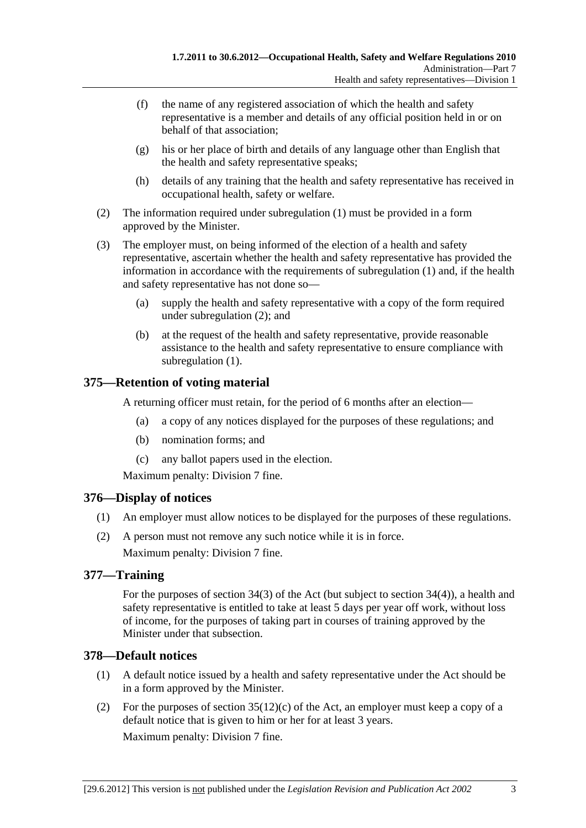- (f) the name of any registered association of which the health and safety representative is a member and details of any official position held in or on behalf of that association;
- (g) his or her place of birth and details of any language other than English that the health and safety representative speaks;
- (h) details of any training that the health and safety representative has received in occupational health, safety or welfare.
- (2) The information required under subregulation (1) must be provided in a form approved by the Minister.
- (3) The employer must, on being informed of the election of a health and safety representative, ascertain whether the health and safety representative has provided the information in accordance with the requirements of subregulation (1) and, if the health and safety representative has not done so—
	- (a) supply the health and safety representative with a copy of the form required under subregulation (2); and
	- (b) at the request of the health and safety representative, provide reasonable assistance to the health and safety representative to ensure compliance with subregulation (1).

# **375—Retention of voting material**

A returning officer must retain, for the period of 6 months after an election—

- (a) a copy of any notices displayed for the purposes of these regulations; and
- (b) nomination forms; and
- (c) any ballot papers used in the election.

Maximum penalty: Division 7 fine.

## **376—Display of notices**

- (1) An employer must allow notices to be displayed for the purposes of these regulations.
- (2) A person must not remove any such notice while it is in force. Maximum penalty: Division 7 fine.

# **377—Training**

For the purposes of section 34(3) of the Act (but subject to section 34(4)), a health and safety representative is entitled to take at least 5 days per year off work, without loss of income, for the purposes of taking part in courses of training approved by the Minister under that subsection.

# **378—Default notices**

- (1) A default notice issued by a health and safety representative under the Act should be in a form approved by the Minister.
- (2) For the purposes of section  $35(12)$ (c) of the Act, an employer must keep a copy of a default notice that is given to him or her for at least 3 years. Maximum penalty: Division 7 fine.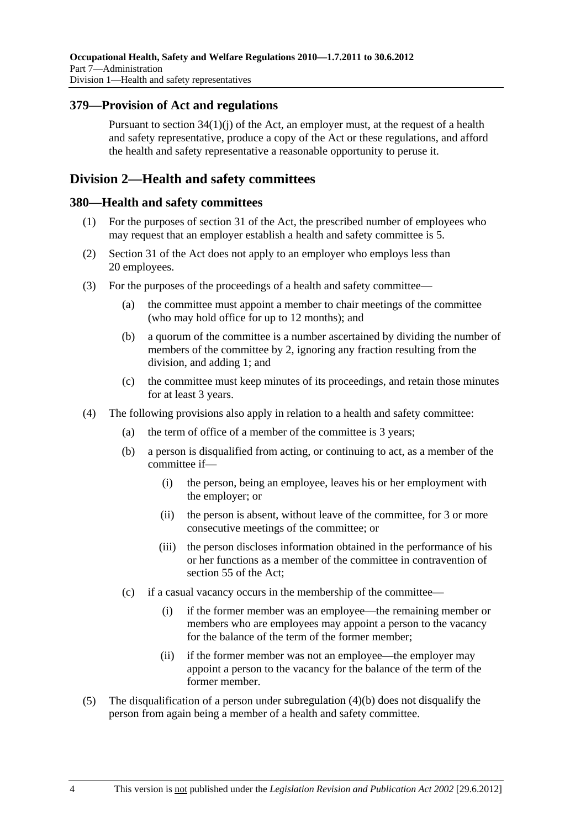## **379—Provision of Act and regulations**

Pursuant to section 34(1)(j) of the Act, an employer must, at the request of a health and safety representative, produce a copy of the Act or these regulations, and afford the health and safety representative a reasonable opportunity to peruse it.

# **Division 2—Health and safety committees**

### **380—Health and safety committees**

- (1) For the purposes of section 31 of the Act, the prescribed number of employees who may request that an employer establish a health and safety committee is 5.
- (2) Section 31 of the Act does not apply to an employer who employs less than 20 employees.
- (3) For the purposes of the proceedings of a health and safety committee—
	- (a) the committee must appoint a member to chair meetings of the committee (who may hold office for up to 12 months); and
	- (b) a quorum of the committee is a number ascertained by dividing the number of members of the committee by 2, ignoring any fraction resulting from the division, and adding 1; and
	- (c) the committee must keep minutes of its proceedings, and retain those minutes for at least 3 years.
- (4) The following provisions also apply in relation to a health and safety committee:
	- (a) the term of office of a member of the committee is 3 years;
	- (b) a person is disqualified from acting, or continuing to act, as a member of the committee if—
		- (i) the person, being an employee, leaves his or her employment with the employer; or
		- (ii) the person is absent, without leave of the committee, for 3 or more consecutive meetings of the committee; or
		- (iii) the person discloses information obtained in the performance of his or her functions as a member of the committee in contravention of section 55 of the Act;
	- (c) if a casual vacancy occurs in the membership of the committee—
		- (i) if the former member was an employee—the remaining member or members who are employees may appoint a person to the vacancy for the balance of the term of the former member;
		- (ii) if the former member was not an employee—the employer may appoint a person to the vacancy for the balance of the term of the former member.
- (5) The disqualification of a person under subregulation (4)(b) does not disqualify the person from again being a member of a health and safety committee.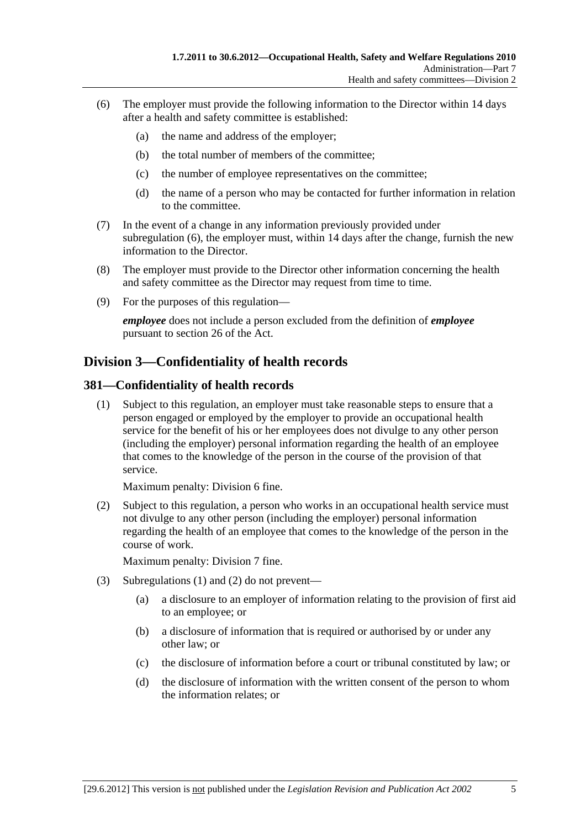- (6) The employer must provide the following information to the Director within 14 days after a health and safety committee is established:
	- (a) the name and address of the employer;
	- (b) the total number of members of the committee;
	- (c) the number of employee representatives on the committee;
	- (d) the name of a person who may be contacted for further information in relation to the committee.
- (7) In the event of a change in any information previously provided under subregulation (6), the employer must, within 14 days after the change, furnish the new information to the Director.
- (8) The employer must provide to the Director other information concerning the health and safety committee as the Director may request from time to time.
- (9) For the purposes of this regulation—

*employee* does not include a person excluded from the definition of *employee* pursuant to section 26 of the Act.

# **Division 3—Confidentiality of health records**

### **381—Confidentiality of health records**

 (1) Subject to this regulation, an employer must take reasonable steps to ensure that a person engaged or employed by the employer to provide an occupational health service for the benefit of his or her employees does not divulge to any other person (including the employer) personal information regarding the health of an employee that comes to the knowledge of the person in the course of the provision of that service.

Maximum penalty: Division 6 fine.

 (2) Subject to this regulation, a person who works in an occupational health service must not divulge to any other person (including the employer) personal information regarding the health of an employee that comes to the knowledge of the person in the course of work.

Maximum penalty: Division 7 fine.

- (3) Subregulations (1) and (2) do not prevent—
	- (a) a disclosure to an employer of information relating to the provision of first aid to an employee; or
	- (b) a disclosure of information that is required or authorised by or under any other law; or
	- (c) the disclosure of information before a court or tribunal constituted by law; or
	- (d) the disclosure of information with the written consent of the person to whom the information relates; or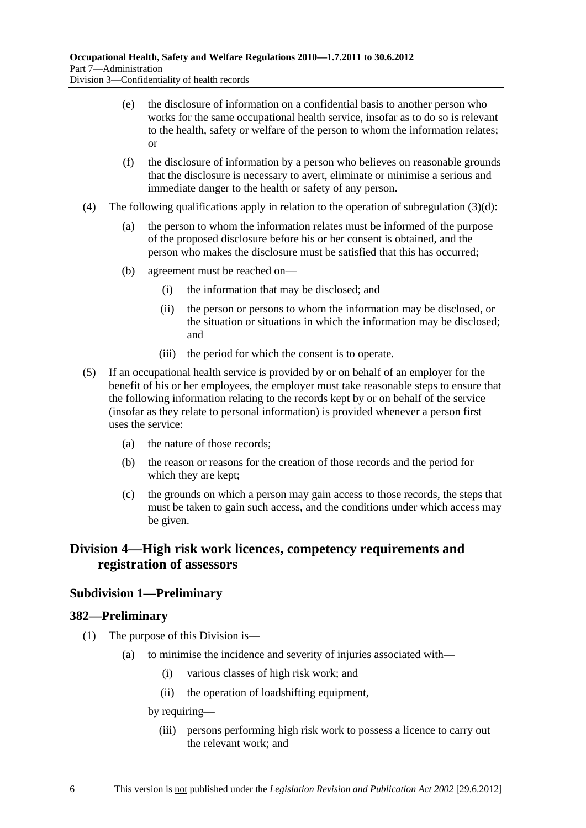(e) the disclosure of information on a confidential basis to another person who works for the same occupational health service, insofar as to do so is relevant to the health, safety or welfare of the person to whom the information relates; or

- (f) the disclosure of information by a person who believes on reasonable grounds that the disclosure is necessary to avert, eliminate or minimise a serious and immediate danger to the health or safety of any person.
- (4) The following qualifications apply in relation to the operation of subregulation  $(3)(d)$ :
	- (a) the person to whom the information relates must be informed of the purpose of the proposed disclosure before his or her consent is obtained, and the person who makes the disclosure must be satisfied that this has occurred;
	- (b) agreement must be reached on—
		- (i) the information that may be disclosed; and
		- (ii) the person or persons to whom the information may be disclosed, or the situation or situations in which the information may be disclosed; and
		- (iii) the period for which the consent is to operate.
- (5) If an occupational health service is provided by or on behalf of an employer for the benefit of his or her employees, the employer must take reasonable steps to ensure that the following information relating to the records kept by or on behalf of the service (insofar as they relate to personal information) is provided whenever a person first uses the service:
	- (a) the nature of those records;
	- (b) the reason or reasons for the creation of those records and the period for which they are kept;
	- (c) the grounds on which a person may gain access to those records, the steps that must be taken to gain such access, and the conditions under which access may be given.

# **Division 4—High risk work licences, competency requirements and registration of assessors**

## **Subdivision 1—Preliminary**

#### **382—Preliminary**

- (1) The purpose of this Division is—
	- (a) to minimise the incidence and severity of injuries associated with—
		- (i) various classes of high risk work; and
		- (ii) the operation of loadshifting equipment,

by requiring—

 (iii) persons performing high risk work to possess a licence to carry out the relevant work; and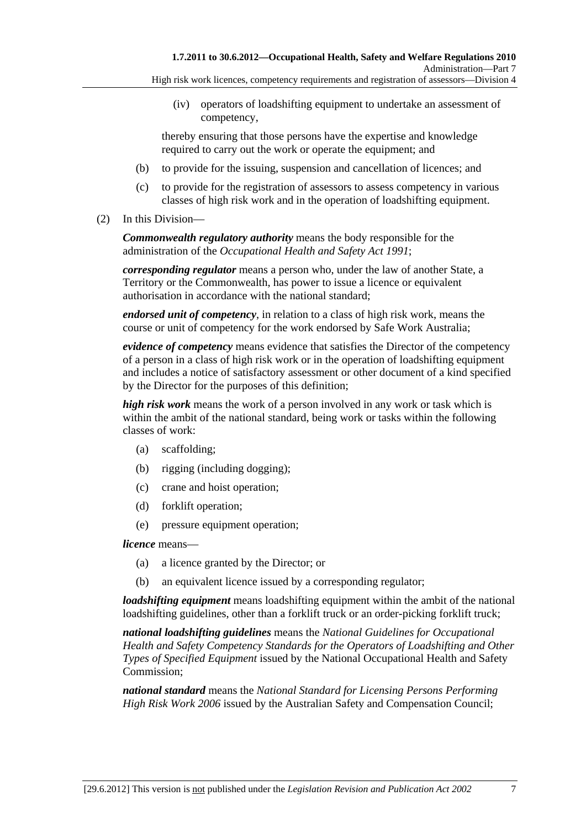- High risk work licences, competency requirements and registration of assessors—Division 4
	- (iv) operators of loadshifting equipment to undertake an assessment of competency,

thereby ensuring that those persons have the expertise and knowledge required to carry out the work or operate the equipment; and

- (b) to provide for the issuing, suspension and cancellation of licences; and
- (c) to provide for the registration of assessors to assess competency in various classes of high risk work and in the operation of loadshifting equipment.
- (2) In this Division—

*Commonwealth regulatory authority* means the body responsible for the administration of the *Occupational Health and Safety Act 1991*;

*corresponding regulator* means a person who, under the law of another State, a Territory or the Commonwealth, has power to issue a licence or equivalent authorisation in accordance with the national standard;

*endorsed unit of competency*, in relation to a class of high risk work, means the course or unit of competency for the work endorsed by Safe Work Australia;

*evidence of competency* means evidence that satisfies the Director of the competency of a person in a class of high risk work or in the operation of loadshifting equipment and includes a notice of satisfactory assessment or other document of a kind specified by the Director for the purposes of this definition;

*high risk work* means the work of a person involved in any work or task which is within the ambit of the national standard, being work or tasks within the following classes of work:

- (a) scaffolding;
- (b) rigging (including dogging);
- (c) crane and hoist operation;
- (d) forklift operation;
- (e) pressure equipment operation;

*licence* means—

- (a) a licence granted by the Director; or
- (b) an equivalent licence issued by a corresponding regulator;

*loadshifting equipment* means loadshifting equipment within the ambit of the national loadshifting guidelines, other than a forklift truck or an order-picking forklift truck;

*national loadshifting guidelines* means the *National Guidelines for Occupational Health and Safety Competency Standards for the Operators of Loadshifting and Other Types of Specified Equipment* issued by the National Occupational Health and Safety Commission;

*national standard* means the *National Standard for Licensing Persons Performing High Risk Work 2006* issued by the Australian Safety and Compensation Council;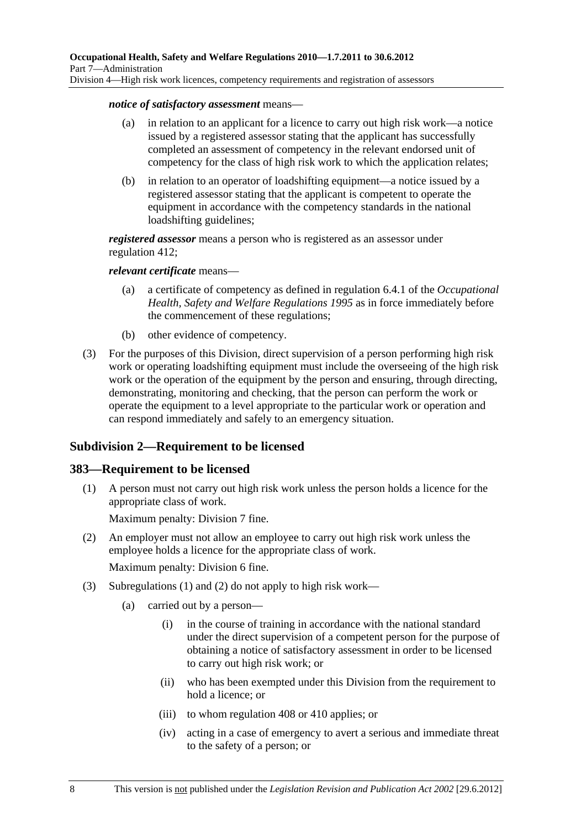#### *notice of satisfactory assessment* means—

- (a) in relation to an applicant for a licence to carry out high risk work—a notice issued by a registered assessor stating that the applicant has successfully completed an assessment of competency in the relevant endorsed unit of competency for the class of high risk work to which the application relates;
- (b) in relation to an operator of loadshifting equipment—a notice issued by a registered assessor stating that the applicant is competent to operate the equipment in accordance with the competency standards in the national loadshifting guidelines;

*registered assessor* means a person who is registered as an assessor under regulation 412;

#### *relevant certificate* means—

- (a) a certificate of competency as defined in regulation 6.4.1 of the *Occupational Health, Safety and Welfare Regulations 1995* as in force immediately before the commencement of these regulations;
- (b) other evidence of competency.
- (3) For the purposes of this Division, direct supervision of a person performing high risk work or operating loadshifting equipment must include the overseeing of the high risk work or the operation of the equipment by the person and ensuring, through directing, demonstrating, monitoring and checking, that the person can perform the work or operate the equipment to a level appropriate to the particular work or operation and can respond immediately and safely to an emergency situation.

## **Subdivision 2—Requirement to be licensed**

#### **383—Requirement to be licensed**

 (1) A person must not carry out high risk work unless the person holds a licence for the appropriate class of work.

Maximum penalty: Division 7 fine.

- (2) An employer must not allow an employee to carry out high risk work unless the employee holds a licence for the appropriate class of work. Maximum penalty: Division 6 fine.
- (3) Subregulations (1) and (2) do not apply to high risk work—
	- (a) carried out by a person—
		- (i) in the course of training in accordance with the national standard under the direct supervision of a competent person for the purpose of obtaining a notice of satisfactory assessment in order to be licensed to carry out high risk work; or
		- (ii) who has been exempted under this Division from the requirement to hold a licence; or
		- (iii) to whom regulation 408 or 410 applies; or
		- (iv) acting in a case of emergency to avert a serious and immediate threat to the safety of a person; or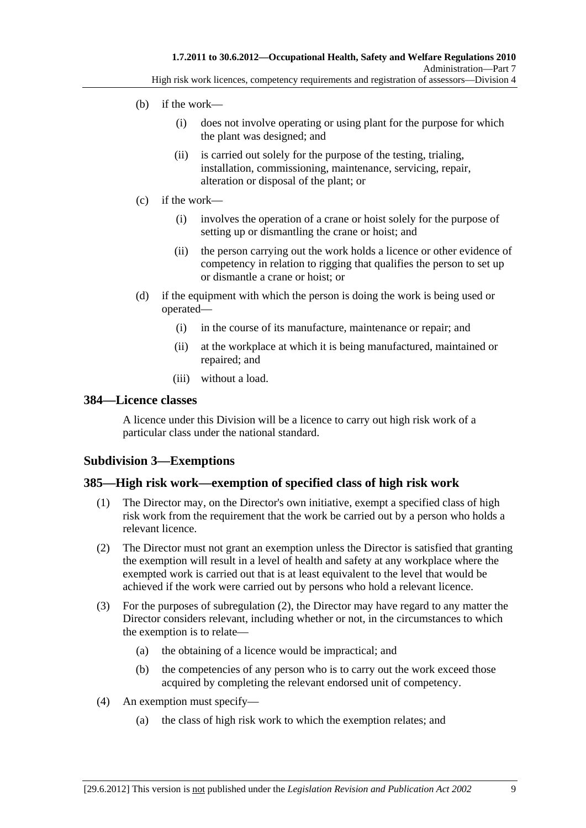- (b) if the work—
	- (i) does not involve operating or using plant for the purpose for which the plant was designed; and
	- (ii) is carried out solely for the purpose of the testing, trialing, installation, commissioning, maintenance, servicing, repair, alteration or disposal of the plant; or
- (c) if the work—
	- (i) involves the operation of a crane or hoist solely for the purpose of setting up or dismantling the crane or hoist; and
	- (ii) the person carrying out the work holds a licence or other evidence of competency in relation to rigging that qualifies the person to set up or dismantle a crane or hoist; or
- (d) if the equipment with which the person is doing the work is being used or operated—
	- (i) in the course of its manufacture, maintenance or repair; and
	- (ii) at the workplace at which it is being manufactured, maintained or repaired; and
	- (iii) without a load.

#### **384—Licence classes**

A licence under this Division will be a licence to carry out high risk work of a particular class under the national standard.

## **Subdivision 3—Exemptions**

#### **385—High risk work—exemption of specified class of high risk work**

- (1) The Director may, on the Director's own initiative, exempt a specified class of high risk work from the requirement that the work be carried out by a person who holds a relevant licence.
- (2) The Director must not grant an exemption unless the Director is satisfied that granting the exemption will result in a level of health and safety at any workplace where the exempted work is carried out that is at least equivalent to the level that would be achieved if the work were carried out by persons who hold a relevant licence.
- (3) For the purposes of subregulation (2), the Director may have regard to any matter the Director considers relevant, including whether or not, in the circumstances to which the exemption is to relate—
	- (a) the obtaining of a licence would be impractical; and
	- (b) the competencies of any person who is to carry out the work exceed those acquired by completing the relevant endorsed unit of competency.
- (4) An exemption must specify—
	- (a) the class of high risk work to which the exemption relates; and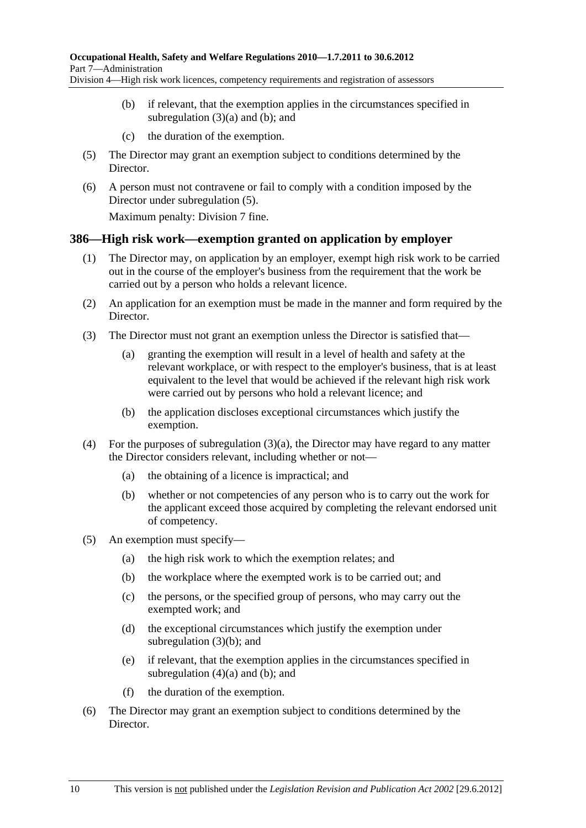- Division 4—High risk work licences, competency requirements and registration of assessors
	- (b) if relevant, that the exemption applies in the circumstances specified in subregulation  $(3)(a)$  and  $(b)$ ; and
	- (c) the duration of the exemption.
	- (5) The Director may grant an exemption subject to conditions determined by the Director.
	- (6) A person must not contravene or fail to comply with a condition imposed by the Director under subregulation (5).

Maximum penalty: Division 7 fine.

## **386—High risk work—exemption granted on application by employer**

- (1) The Director may, on application by an employer, exempt high risk work to be carried out in the course of the employer's business from the requirement that the work be carried out by a person who holds a relevant licence.
- (2) An application for an exemption must be made in the manner and form required by the Director.
- (3) The Director must not grant an exemption unless the Director is satisfied that—
	- (a) granting the exemption will result in a level of health and safety at the relevant workplace, or with respect to the employer's business, that is at least equivalent to the level that would be achieved if the relevant high risk work were carried out by persons who hold a relevant licence; and
	- (b) the application discloses exceptional circumstances which justify the exemption.
- (4) For the purposes of subregulation  $(3)(a)$ , the Director may have regard to any matter the Director considers relevant, including whether or not—
	- (a) the obtaining of a licence is impractical; and
	- (b) whether or not competencies of any person who is to carry out the work for the applicant exceed those acquired by completing the relevant endorsed unit of competency.
- (5) An exemption must specify—
	- (a) the high risk work to which the exemption relates; and
	- (b) the workplace where the exempted work is to be carried out; and
	- (c) the persons, or the specified group of persons, who may carry out the exempted work; and
	- (d) the exceptional circumstances which justify the exemption under subregulation (3)(b); and
	- (e) if relevant, that the exemption applies in the circumstances specified in subregulation  $(4)(a)$  and  $(b)$ ; and
	- (f) the duration of the exemption.
- (6) The Director may grant an exemption subject to conditions determined by the Director.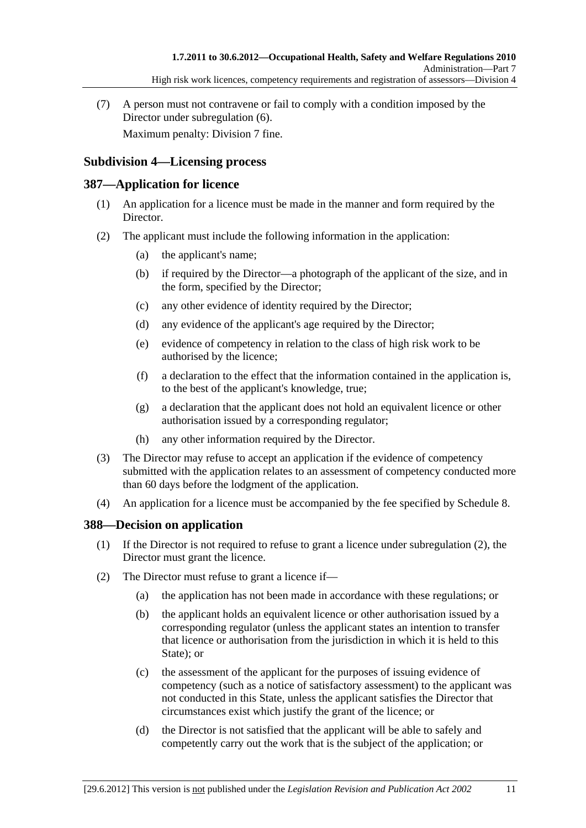(7) A person must not contravene or fail to comply with a condition imposed by the Director under subregulation (6).

Maximum penalty: Division 7 fine.

## **Subdivision 4—Licensing process**

### **387—Application for licence**

- (1) An application for a licence must be made in the manner and form required by the Director.
- (2) The applicant must include the following information in the application:
	- (a) the applicant's name;
	- (b) if required by the Director—a photograph of the applicant of the size, and in the form, specified by the Director;
	- (c) any other evidence of identity required by the Director;
	- (d) any evidence of the applicant's age required by the Director;
	- (e) evidence of competency in relation to the class of high risk work to be authorised by the licence;
	- (f) a declaration to the effect that the information contained in the application is, to the best of the applicant's knowledge, true;
	- (g) a declaration that the applicant does not hold an equivalent licence or other authorisation issued by a corresponding regulator;
	- (h) any other information required by the Director.
- (3) The Director may refuse to accept an application if the evidence of competency submitted with the application relates to an assessment of competency conducted more than 60 days before the lodgment of the application.
- (4) An application for a licence must be accompanied by the fee specified by Schedule 8.

## **388—Decision on application**

- (1) If the Director is not required to refuse to grant a licence under subregulation (2), the Director must grant the licence.
- (2) The Director must refuse to grant a licence if—
	- (a) the application has not been made in accordance with these regulations; or
	- (b) the applicant holds an equivalent licence or other authorisation issued by a corresponding regulator (unless the applicant states an intention to transfer that licence or authorisation from the jurisdiction in which it is held to this State); or
	- (c) the assessment of the applicant for the purposes of issuing evidence of competency (such as a notice of satisfactory assessment) to the applicant was not conducted in this State, unless the applicant satisfies the Director that circumstances exist which justify the grant of the licence; or
	- (d) the Director is not satisfied that the applicant will be able to safely and competently carry out the work that is the subject of the application; or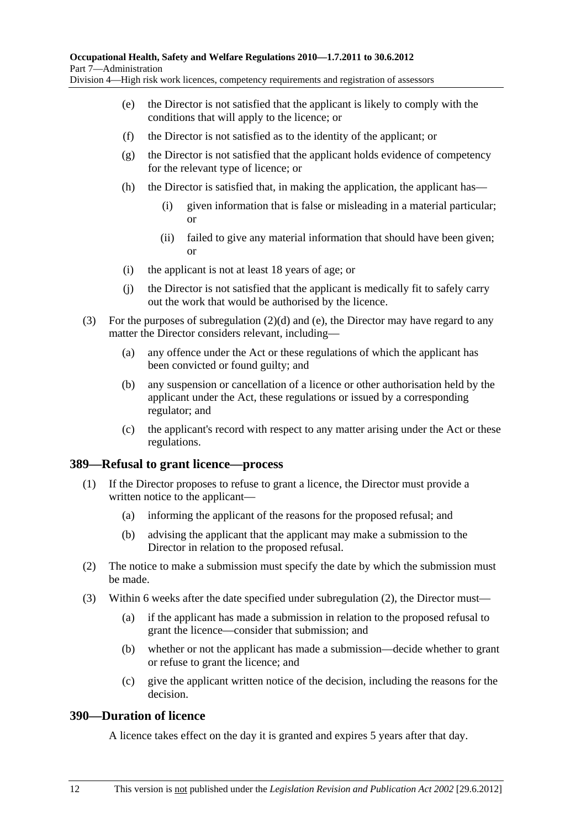- (e) the Director is not satisfied that the applicant is likely to comply with the conditions that will apply to the licence; or
- (f) the Director is not satisfied as to the identity of the applicant; or
- (g) the Director is not satisfied that the applicant holds evidence of competency for the relevant type of licence; or
- (h) the Director is satisfied that, in making the application, the applicant has—
	- (i) given information that is false or misleading in a material particular; or
	- (ii) failed to give any material information that should have been given; or
- (i) the applicant is not at least 18 years of age; or
- (j) the Director is not satisfied that the applicant is medically fit to safely carry out the work that would be authorised by the licence.
- (3) For the purposes of subregulation (2)(d) and (e), the Director may have regard to any matter the Director considers relevant, including—
	- (a) any offence under the Act or these regulations of which the applicant has been convicted or found guilty; and
	- (b) any suspension or cancellation of a licence or other authorisation held by the applicant under the Act, these regulations or issued by a corresponding regulator; and
	- (c) the applicant's record with respect to any matter arising under the Act or these regulations.

#### **389—Refusal to grant licence—process**

- (1) If the Director proposes to refuse to grant a licence, the Director must provide a written notice to the applicant—
	- (a) informing the applicant of the reasons for the proposed refusal; and
	- (b) advising the applicant that the applicant may make a submission to the Director in relation to the proposed refusal.
- (2) The notice to make a submission must specify the date by which the submission must be made.
- (3) Within 6 weeks after the date specified under subregulation (2), the Director must—
	- (a) if the applicant has made a submission in relation to the proposed refusal to grant the licence—consider that submission; and
	- (b) whether or not the applicant has made a submission—decide whether to grant or refuse to grant the licence; and
	- (c) give the applicant written notice of the decision, including the reasons for the decision.

### **390—Duration of licence**

A licence takes effect on the day it is granted and expires 5 years after that day.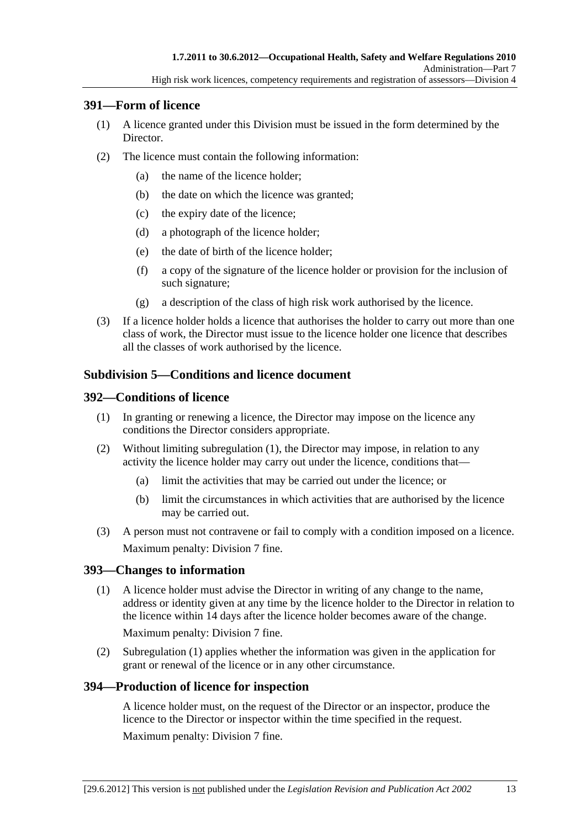### **391—Form of licence**

- (1) A licence granted under this Division must be issued in the form determined by the Director.
- (2) The licence must contain the following information:
	- (a) the name of the licence holder;
	- (b) the date on which the licence was granted;
	- (c) the expiry date of the licence;
	- (d) a photograph of the licence holder;
	- (e) the date of birth of the licence holder;
	- (f) a copy of the signature of the licence holder or provision for the inclusion of such signature;
	- (g) a description of the class of high risk work authorised by the licence.
- (3) If a licence holder holds a licence that authorises the holder to carry out more than one class of work, the Director must issue to the licence holder one licence that describes all the classes of work authorised by the licence.

## **Subdivision 5—Conditions and licence document**

## **392—Conditions of licence**

- (1) In granting or renewing a licence, the Director may impose on the licence any conditions the Director considers appropriate.
- (2) Without limiting subregulation (1), the Director may impose, in relation to any activity the licence holder may carry out under the licence, conditions that—
	- (a) limit the activities that may be carried out under the licence; or
	- (b) limit the circumstances in which activities that are authorised by the licence may be carried out.
- (3) A person must not contravene or fail to comply with a condition imposed on a licence. Maximum penalty: Division 7 fine.

## **393—Changes to information**

 (1) A licence holder must advise the Director in writing of any change to the name, address or identity given at any time by the licence holder to the Director in relation to the licence within 14 days after the licence holder becomes aware of the change.

Maximum penalty: Division 7 fine.

 (2) Subregulation (1) applies whether the information was given in the application for grant or renewal of the licence or in any other circumstance.

## **394—Production of licence for inspection**

A licence holder must, on the request of the Director or an inspector, produce the licence to the Director or inspector within the time specified in the request. Maximum penalty: Division 7 fine.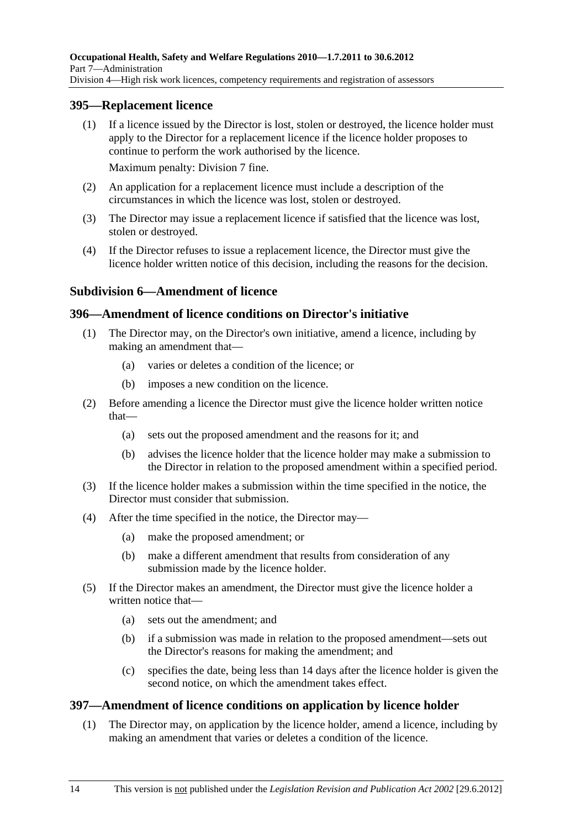#### **395—Replacement licence**

 (1) If a licence issued by the Director is lost, stolen or destroyed, the licence holder must apply to the Director for a replacement licence if the licence holder proposes to continue to perform the work authorised by the licence.

Maximum penalty: Division 7 fine.

- (2) An application for a replacement licence must include a description of the circumstances in which the licence was lost, stolen or destroyed.
- (3) The Director may issue a replacement licence if satisfied that the licence was lost, stolen or destroyed.
- (4) If the Director refuses to issue a replacement licence, the Director must give the licence holder written notice of this decision, including the reasons for the decision.

### **Subdivision 6—Amendment of licence**

### **396—Amendment of licence conditions on Director's initiative**

- (1) The Director may, on the Director's own initiative, amend a licence, including by making an amendment that—
	- (a) varies or deletes a condition of the licence; or
	- (b) imposes a new condition on the licence.
- (2) Before amending a licence the Director must give the licence holder written notice that—
	- (a) sets out the proposed amendment and the reasons for it; and
	- (b) advises the licence holder that the licence holder may make a submission to the Director in relation to the proposed amendment within a specified period.
- (3) If the licence holder makes a submission within the time specified in the notice, the Director must consider that submission.
- (4) After the time specified in the notice, the Director may—
	- (a) make the proposed amendment; or
	- (b) make a different amendment that results from consideration of any submission made by the licence holder.
- (5) If the Director makes an amendment, the Director must give the licence holder a written notice that—
	- (a) sets out the amendment; and
	- (b) if a submission was made in relation to the proposed amendment—sets out the Director's reasons for making the amendment; and
	- (c) specifies the date, being less than 14 days after the licence holder is given the second notice, on which the amendment takes effect.

#### **397—Amendment of licence conditions on application by licence holder**

 (1) The Director may, on application by the licence holder, amend a licence, including by making an amendment that varies or deletes a condition of the licence.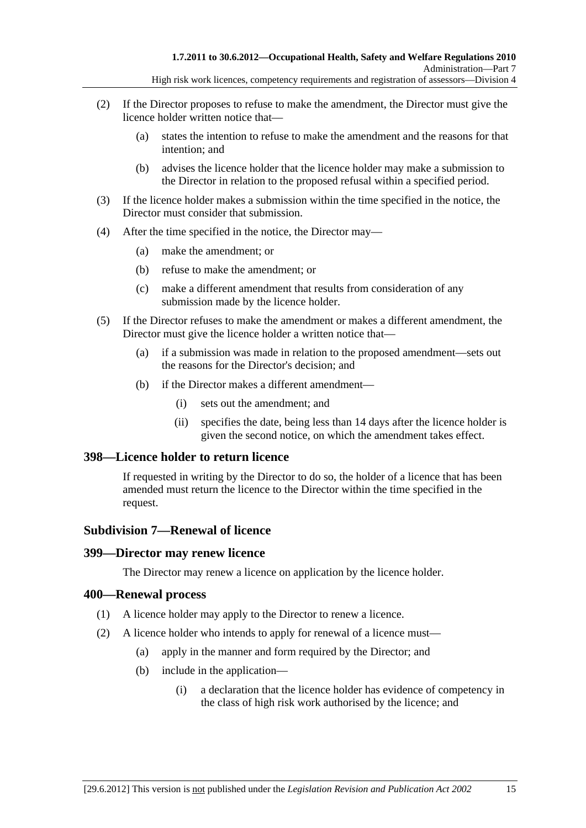- (2) If the Director proposes to refuse to make the amendment, the Director must give the licence holder written notice that—
	- (a) states the intention to refuse to make the amendment and the reasons for that intention; and
	- (b) advises the licence holder that the licence holder may make a submission to the Director in relation to the proposed refusal within a specified period.
- (3) If the licence holder makes a submission within the time specified in the notice, the Director must consider that submission.
- (4) After the time specified in the notice, the Director may—
	- (a) make the amendment; or
	- (b) refuse to make the amendment; or
	- (c) make a different amendment that results from consideration of any submission made by the licence holder.
- (5) If the Director refuses to make the amendment or makes a different amendment, the Director must give the licence holder a written notice that—
	- (a) if a submission was made in relation to the proposed amendment—sets out the reasons for the Director's decision; and
	- (b) if the Director makes a different amendment—
		- (i) sets out the amendment; and
		- (ii) specifies the date, being less than 14 days after the licence holder is given the second notice, on which the amendment takes effect.

#### **398—Licence holder to return licence**

If requested in writing by the Director to do so, the holder of a licence that has been amended must return the licence to the Director within the time specified in the request.

## **Subdivision 7—Renewal of licence**

#### **399—Director may renew licence**

The Director may renew a licence on application by the licence holder.

#### **400—Renewal process**

- (1) A licence holder may apply to the Director to renew a licence.
- (2) A licence holder who intends to apply for renewal of a licence must—
	- (a) apply in the manner and form required by the Director; and
	- (b) include in the application—
		- (i) a declaration that the licence holder has evidence of competency in the class of high risk work authorised by the licence; and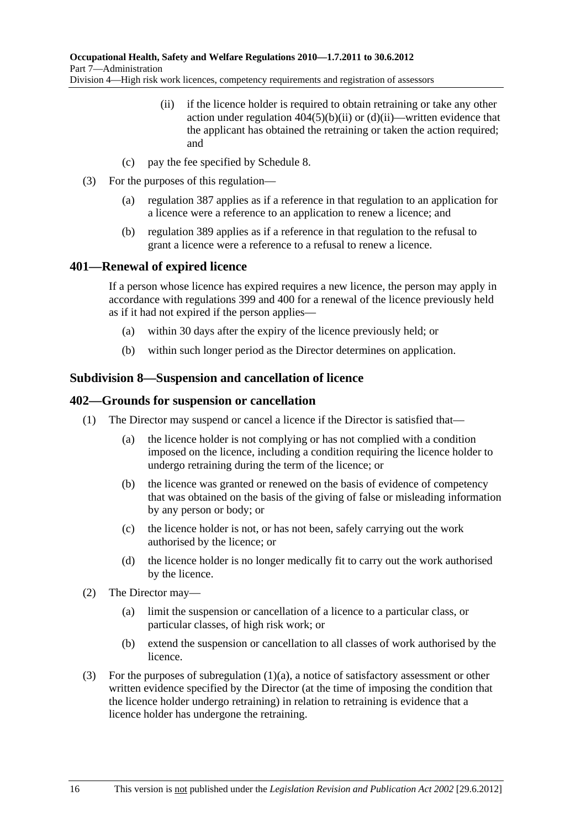- (ii) if the licence holder is required to obtain retraining or take any other action under regulation  $404(5)(b)(ii)$  or  $(d)(ii)$ —written evidence that the applicant has obtained the retraining or taken the action required; and
- (c) pay the fee specified by Schedule 8.
- (3) For the purposes of this regulation—
	- (a) regulation 387 applies as if a reference in that regulation to an application for a licence were a reference to an application to renew a licence; and
	- (b) regulation 389 applies as if a reference in that regulation to the refusal to grant a licence were a reference to a refusal to renew a licence.

## **401—Renewal of expired licence**

If a person whose licence has expired requires a new licence, the person may apply in accordance with regulations 399 and 400 for a renewal of the licence previously held as if it had not expired if the person applies—

- (a) within 30 days after the expiry of the licence previously held; or
- (b) within such longer period as the Director determines on application.

### **Subdivision 8—Suspension and cancellation of licence**

### **402—Grounds for suspension or cancellation**

- (1) The Director may suspend or cancel a licence if the Director is satisfied that—
	- (a) the licence holder is not complying or has not complied with a condition imposed on the licence, including a condition requiring the licence holder to undergo retraining during the term of the licence; or
	- (b) the licence was granted or renewed on the basis of evidence of competency that was obtained on the basis of the giving of false or misleading information by any person or body; or
	- (c) the licence holder is not, or has not been, safely carrying out the work authorised by the licence; or
	- (d) the licence holder is no longer medically fit to carry out the work authorised by the licence.
- (2) The Director may—
	- (a) limit the suspension or cancellation of a licence to a particular class, or particular classes, of high risk work; or
	- (b) extend the suspension or cancellation to all classes of work authorised by the licence.
- (3) For the purposes of subregulation (1)(a), a notice of satisfactory assessment or other written evidence specified by the Director (at the time of imposing the condition that the licence holder undergo retraining) in relation to retraining is evidence that a licence holder has undergone the retraining.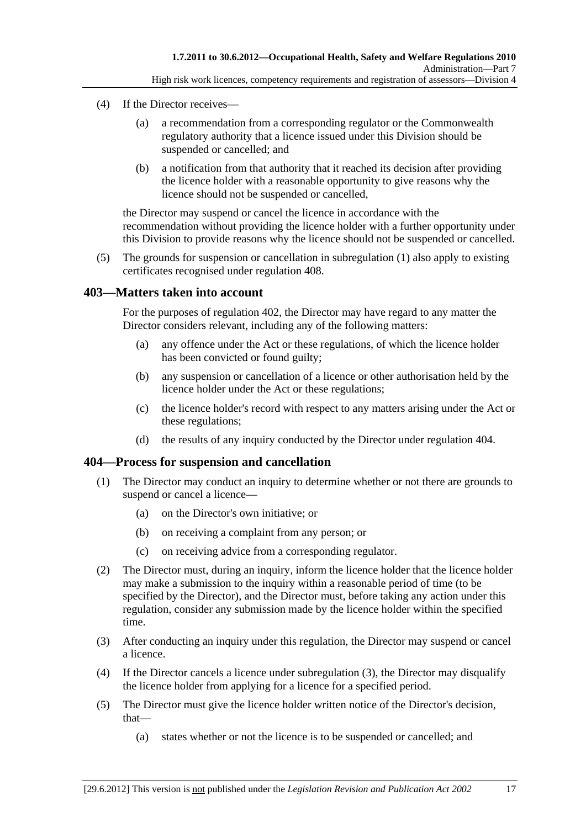- (4) If the Director receives—
	- (a) a recommendation from a corresponding regulator or the Commonwealth regulatory authority that a licence issued under this Division should be suspended or cancelled; and
	- (b) a notification from that authority that it reached its decision after providing the licence holder with a reasonable opportunity to give reasons why the licence should not be suspended or cancelled,

the Director may suspend or cancel the licence in accordance with the recommendation without providing the licence holder with a further opportunity under this Division to provide reasons why the licence should not be suspended or cancelled.

 (5) The grounds for suspension or cancellation in subregulation (1) also apply to existing certificates recognised under regulation 408.

### **403—Matters taken into account**

For the purposes of regulation 402, the Director may have regard to any matter the Director considers relevant, including any of the following matters:

- (a) any offence under the Act or these regulations, of which the licence holder has been convicted or found guilty;
- (b) any suspension or cancellation of a licence or other authorisation held by the licence holder under the Act or these regulations;
- (c) the licence holder's record with respect to any matters arising under the Act or these regulations;
- (d) the results of any inquiry conducted by the Director under regulation 404.

#### **404—Process for suspension and cancellation**

- (1) The Director may conduct an inquiry to determine whether or not there are grounds to suspend or cancel a licence—
	- (a) on the Director's own initiative; or
	- (b) on receiving a complaint from any person; or
	- (c) on receiving advice from a corresponding regulator.
- (2) The Director must, during an inquiry, inform the licence holder that the licence holder may make a submission to the inquiry within a reasonable period of time (to be specified by the Director), and the Director must, before taking any action under this regulation, consider any submission made by the licence holder within the specified time.
- (3) After conducting an inquiry under this regulation, the Director may suspend or cancel a licence.
- (4) If the Director cancels a licence under subregulation (3), the Director may disqualify the licence holder from applying for a licence for a specified period.
- (5) The Director must give the licence holder written notice of the Director's decision, that—
	- (a) states whether or not the licence is to be suspended or cancelled; and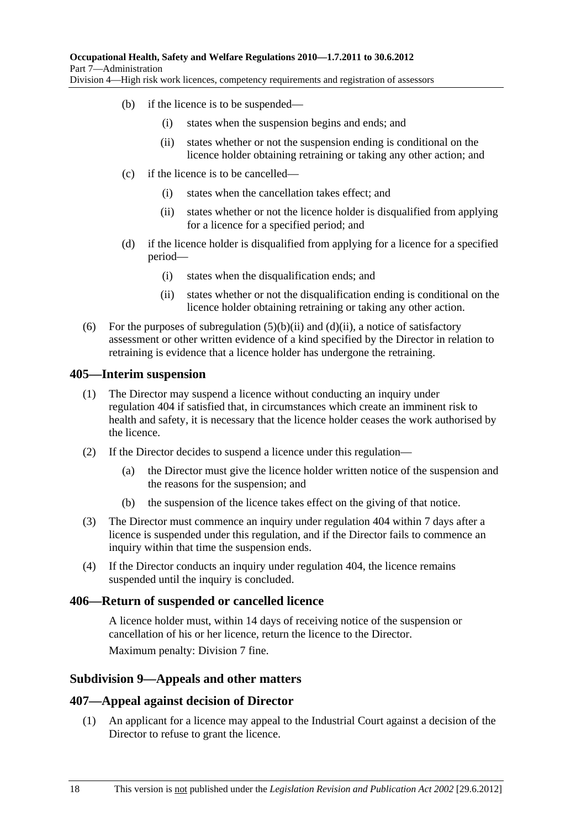- (b) if the licence is to be suspended—
	- (i) states when the suspension begins and ends; and
	- (ii) states whether or not the suspension ending is conditional on the licence holder obtaining retraining or taking any other action; and
	- (c) if the licence is to be cancelled—
		- (i) states when the cancellation takes effect; and
		- (ii) states whether or not the licence holder is disqualified from applying for a licence for a specified period; and
	- (d) if the licence holder is disqualified from applying for a licence for a specified period—
		- (i) states when the disqualification ends; and
		- (ii) states whether or not the disqualification ending is conditional on the licence holder obtaining retraining or taking any other action.
- (6) For the purposes of subregulation  $(5)(b)(ii)$  and  $(d)(ii)$ , a notice of satisfactory assessment or other written evidence of a kind specified by the Director in relation to retraining is evidence that a licence holder has undergone the retraining.

#### **405—Interim suspension**

- (1) The Director may suspend a licence without conducting an inquiry under regulation 404 if satisfied that, in circumstances which create an imminent risk to health and safety, it is necessary that the licence holder ceases the work authorised by the licence.
- (2) If the Director decides to suspend a licence under this regulation—
	- (a) the Director must give the licence holder written notice of the suspension and the reasons for the suspension; and
	- (b) the suspension of the licence takes effect on the giving of that notice.
- (3) The Director must commence an inquiry under regulation 404 within 7 days after a licence is suspended under this regulation, and if the Director fails to commence an inquiry within that time the suspension ends.
- (4) If the Director conducts an inquiry under regulation 404, the licence remains suspended until the inquiry is concluded.

#### **406—Return of suspended or cancelled licence**

A licence holder must, within 14 days of receiving notice of the suspension or cancellation of his or her licence, return the licence to the Director. Maximum penalty: Division 7 fine.

## **Subdivision 9—Appeals and other matters**

#### **407—Appeal against decision of Director**

 (1) An applicant for a licence may appeal to the Industrial Court against a decision of the Director to refuse to grant the licence.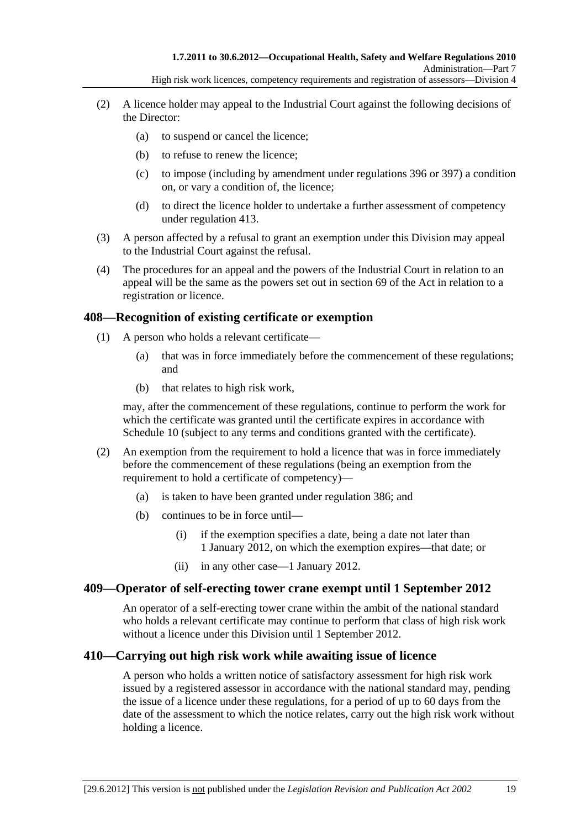- (2) A licence holder may appeal to the Industrial Court against the following decisions of the Director:
	- (a) to suspend or cancel the licence;
	- (b) to refuse to renew the licence;
	- (c) to impose (including by amendment under regulations 396 or 397) a condition on, or vary a condition of, the licence;
	- (d) to direct the licence holder to undertake a further assessment of competency under regulation 413.
- (3) A person affected by a refusal to grant an exemption under this Division may appeal to the Industrial Court against the refusal.
- (4) The procedures for an appeal and the powers of the Industrial Court in relation to an appeal will be the same as the powers set out in section 69 of the Act in relation to a registration or licence.

#### **408—Recognition of existing certificate or exemption**

- (1) A person who holds a relevant certificate—
	- (a) that was in force immediately before the commencement of these regulations; and
	- (b) that relates to high risk work,

may, after the commencement of these regulations, continue to perform the work for which the certificate was granted until the certificate expires in accordance with Schedule 10 (subject to any terms and conditions granted with the certificate).

- (2) An exemption from the requirement to hold a licence that was in force immediately before the commencement of these regulations (being an exemption from the requirement to hold a certificate of competency)—
	- (a) is taken to have been granted under regulation 386; and
	- (b) continues to be in force until—
		- (i) if the exemption specifies a date, being a date not later than 1 January 2012, on which the exemption expires—that date; or
		- (ii) in any other case—1 January 2012.

## **409—Operator of self-erecting tower crane exempt until 1 September 2012**

An operator of a self-erecting tower crane within the ambit of the national standard who holds a relevant certificate may continue to perform that class of high risk work without a licence under this Division until 1 September 2012.

#### **410—Carrying out high risk work while awaiting issue of licence**

A person who holds a written notice of satisfactory assessment for high risk work issued by a registered assessor in accordance with the national standard may, pending the issue of a licence under these regulations, for a period of up to 60 days from the date of the assessment to which the notice relates, carry out the high risk work without holding a licence.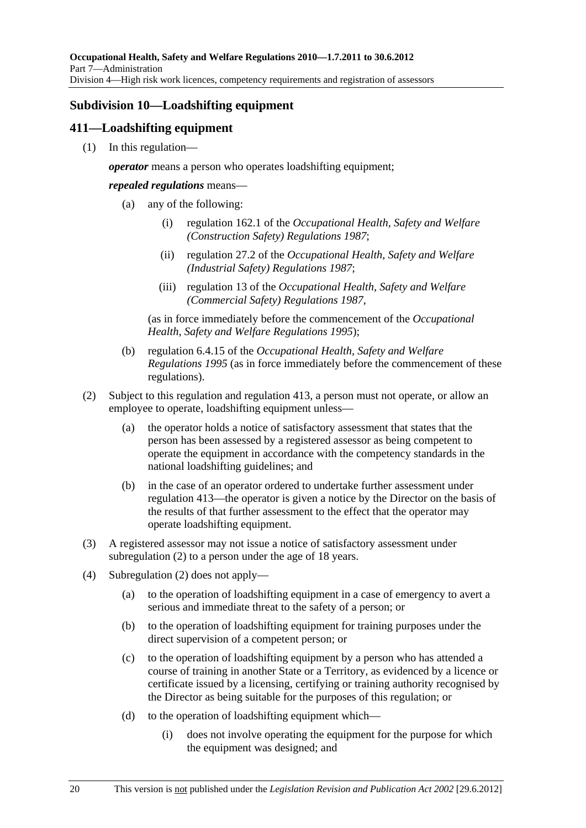# **Subdivision 10—Loadshifting equipment**

## **411—Loadshifting equipment**

(1) In this regulation—

*operator* means a person who operates loadshifting equipment;

*repealed regulations* means—

- (a) any of the following:
	- (i) regulation 162.1 of the *Occupational Health, Safety and Welfare (Construction Safety) Regulations 1987*;
	- (ii) regulation 27.2 of the *Occupational Health, Safety and Welfare (Industrial Safety) Regulations 1987*;
	- (iii) regulation 13 of the *Occupational Health, Safety and Welfare (Commercial Safety) Regulations 1987*,

(as in force immediately before the commencement of the *Occupational Health, Safety and Welfare Regulations 1995*);

- (b) regulation 6.4.15 of the *Occupational Health, Safety and Welfare Regulations 1995* (as in force immediately before the commencement of these regulations).
- (2) Subject to this regulation and regulation 413, a person must not operate, or allow an employee to operate, loadshifting equipment unless—
	- (a) the operator holds a notice of satisfactory assessment that states that the person has been assessed by a registered assessor as being competent to operate the equipment in accordance with the competency standards in the national loadshifting guidelines; and
	- (b) in the case of an operator ordered to undertake further assessment under regulation 413—the operator is given a notice by the Director on the basis of the results of that further assessment to the effect that the operator may operate loadshifting equipment.
- (3) A registered assessor may not issue a notice of satisfactory assessment under subregulation (2) to a person under the age of 18 years.
- (4) Subregulation (2) does not apply—
	- (a) to the operation of loadshifting equipment in a case of emergency to avert a serious and immediate threat to the safety of a person; or
	- (b) to the operation of loadshifting equipment for training purposes under the direct supervision of a competent person; or
	- (c) to the operation of loadshifting equipment by a person who has attended a course of training in another State or a Territory, as evidenced by a licence or certificate issued by a licensing, certifying or training authority recognised by the Director as being suitable for the purposes of this regulation; or
	- (d) to the operation of loadshifting equipment which—
		- (i) does not involve operating the equipment for the purpose for which the equipment was designed; and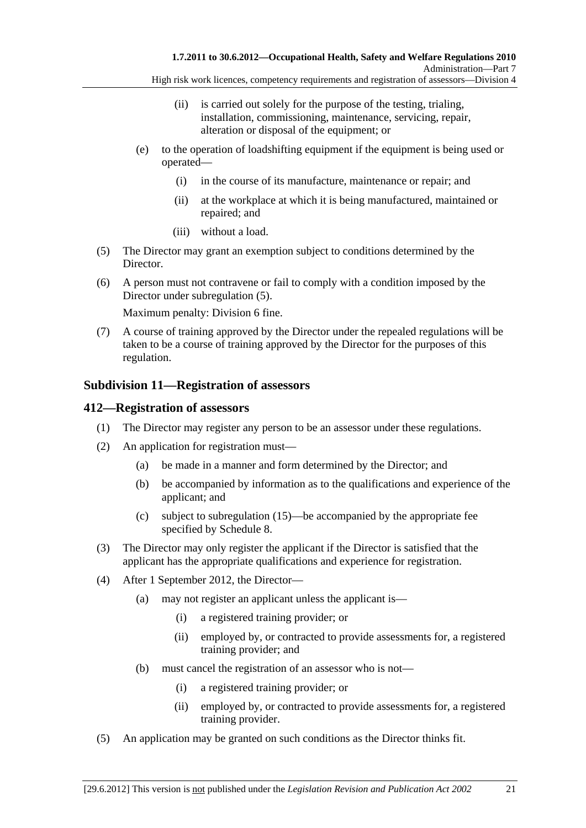- High risk work licences, competency requirements and registration of assessors—Division 4
	- (ii) is carried out solely for the purpose of the testing, trialing, installation, commissioning, maintenance, servicing, repair, alteration or disposal of the equipment; or
- (e) to the operation of loadshifting equipment if the equipment is being used or operated—
	- (i) in the course of its manufacture, maintenance or repair; and
	- (ii) at the workplace at which it is being manufactured, maintained or repaired; and
	- (iii) without a load.
- (5) The Director may grant an exemption subject to conditions determined by the Director.
- (6) A person must not contravene or fail to comply with a condition imposed by the Director under subregulation (5).

Maximum penalty: Division 6 fine.

 (7) A course of training approved by the Director under the repealed regulations will be taken to be a course of training approved by the Director for the purposes of this regulation.

### **Subdivision 11—Registration of assessors**

#### **412—Registration of assessors**

- (1) The Director may register any person to be an assessor under these regulations.
- (2) An application for registration must—
	- (a) be made in a manner and form determined by the Director; and
	- (b) be accompanied by information as to the qualifications and experience of the applicant; and
	- (c) subject to subregulation (15)—be accompanied by the appropriate fee specified by Schedule 8.
- (3) The Director may only register the applicant if the Director is satisfied that the applicant has the appropriate qualifications and experience for registration.
- (4) After 1 September 2012, the Director—
	- (a) may not register an applicant unless the applicant is—
		- (i) a registered training provider; or
		- (ii) employed by, or contracted to provide assessments for, a registered training provider; and
	- (b) must cancel the registration of an assessor who is not—
		- (i) a registered training provider; or
		- (ii) employed by, or contracted to provide assessments for, a registered training provider.
- (5) An application may be granted on such conditions as the Director thinks fit.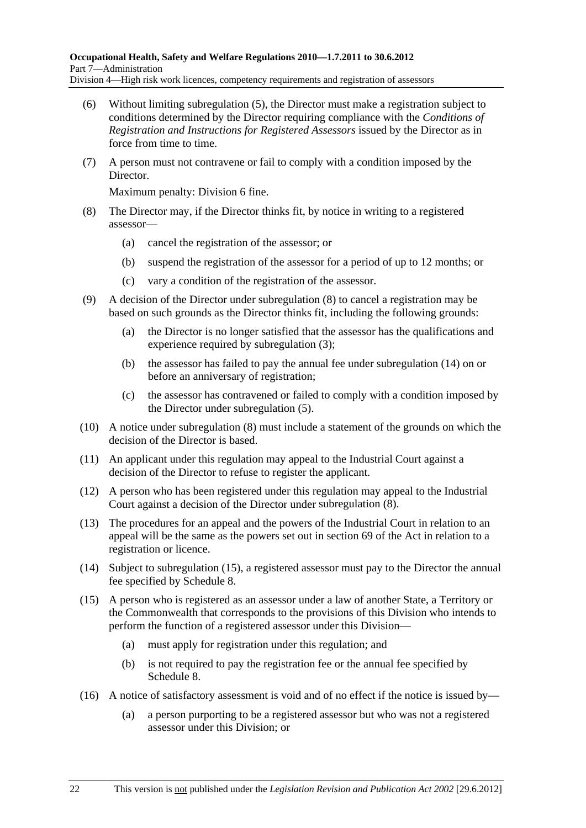- (6) Without limiting subregulation (5), the Director must make a registration subject to conditions determined by the Director requiring compliance with the *Conditions of Registration and Instructions for Registered Assessors* issued by the Director as in force from time to time.
- (7) A person must not contravene or fail to comply with a condition imposed by the Director.

Maximum penalty: Division 6 fine.

- (8) The Director may, if the Director thinks fit, by notice in writing to a registered assessor—
	- (a) cancel the registration of the assessor; or
	- (b) suspend the registration of the assessor for a period of up to 12 months; or
	- (c) vary a condition of the registration of the assessor.
- (9) A decision of the Director under subregulation (8) to cancel a registration may be based on such grounds as the Director thinks fit, including the following grounds:
	- (a) the Director is no longer satisfied that the assessor has the qualifications and experience required by subregulation (3);
	- (b) the assessor has failed to pay the annual fee under subregulation (14) on or before an anniversary of registration;
	- (c) the assessor has contravened or failed to comply with a condition imposed by the Director under subregulation (5).
- (10) A notice under subregulation (8) must include a statement of the grounds on which the decision of the Director is based.
- (11) An applicant under this regulation may appeal to the Industrial Court against a decision of the Director to refuse to register the applicant.
- (12) A person who has been registered under this regulation may appeal to the Industrial Court against a decision of the Director under subregulation (8).
- (13) The procedures for an appeal and the powers of the Industrial Court in relation to an appeal will be the same as the powers set out in section 69 of the Act in relation to a registration or licence.
- (14) Subject to subregulation (15), a registered assessor must pay to the Director the annual fee specified by Schedule 8.
- (15) A person who is registered as an assessor under a law of another State, a Territory or the Commonwealth that corresponds to the provisions of this Division who intends to perform the function of a registered assessor under this Division—
	- (a) must apply for registration under this regulation; and
	- (b) is not required to pay the registration fee or the annual fee specified by Schedule 8.
- (16) A notice of satisfactory assessment is void and of no effect if the notice is issued by—
	- (a) a person purporting to be a registered assessor but who was not a registered assessor under this Division; or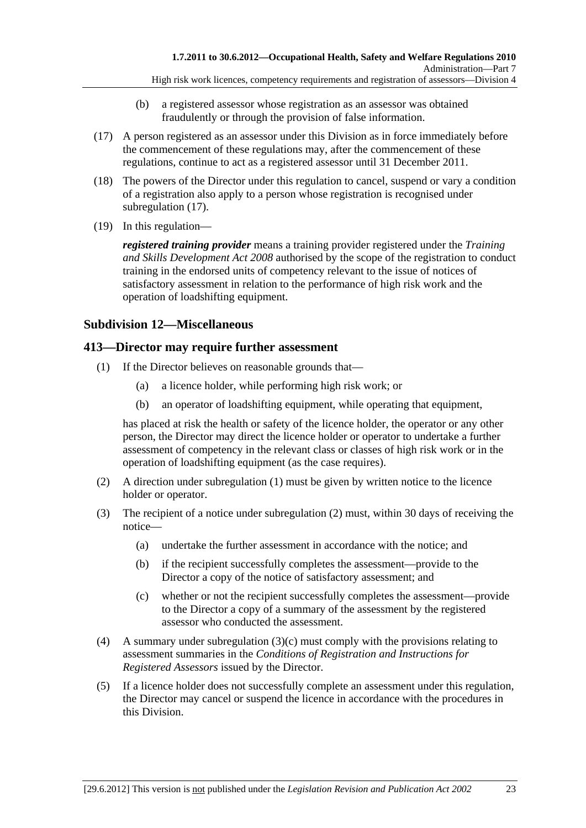- (b) a registered assessor whose registration as an assessor was obtained fraudulently or through the provision of false information.
- (17) A person registered as an assessor under this Division as in force immediately before the commencement of these regulations may, after the commencement of these regulations, continue to act as a registered assessor until 31 December 2011.
- (18) The powers of the Director under this regulation to cancel, suspend or vary a condition of a registration also apply to a person whose registration is recognised under subregulation (17).
- (19) In this regulation—

*registered training provider* means a training provider registered under the *Training and Skills Development Act 2008* authorised by the scope of the registration to conduct training in the endorsed units of competency relevant to the issue of notices of satisfactory assessment in relation to the performance of high risk work and the operation of loadshifting equipment.

## **Subdivision 12—Miscellaneous**

## **413—Director may require further assessment**

- (1) If the Director believes on reasonable grounds that—
	- (a) a licence holder, while performing high risk work; or
	- (b) an operator of loadshifting equipment, while operating that equipment,

has placed at risk the health or safety of the licence holder, the operator or any other person, the Director may direct the licence holder or operator to undertake a further assessment of competency in the relevant class or classes of high risk work or in the operation of loadshifting equipment (as the case requires).

- (2) A direction under subregulation (1) must be given by written notice to the licence holder or operator.
- (3) The recipient of a notice under subregulation (2) must, within 30 days of receiving the notice—
	- (a) undertake the further assessment in accordance with the notice; and
	- (b) if the recipient successfully completes the assessment—provide to the Director a copy of the notice of satisfactory assessment; and
	- (c) whether or not the recipient successfully completes the assessment—provide to the Director a copy of a summary of the assessment by the registered assessor who conducted the assessment.
- (4) A summary under subregulation (3)(c) must comply with the provisions relating to assessment summaries in the *Conditions of Registration and Instructions for Registered Assessors* issued by the Director.
- (5) If a licence holder does not successfully complete an assessment under this regulation, the Director may cancel or suspend the licence in accordance with the procedures in this Division.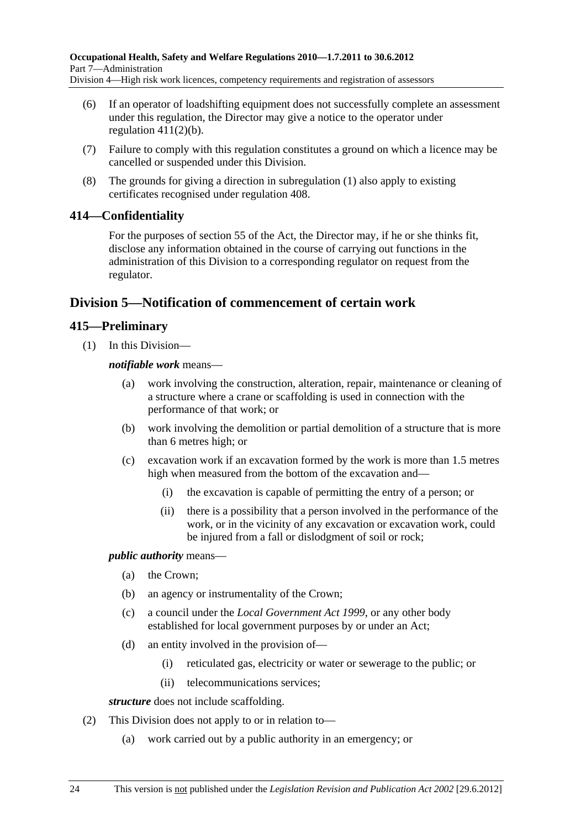- (6) If an operator of loadshifting equipment does not successfully complete an assessment under this regulation, the Director may give a notice to the operator under regulation  $411(2)(b)$ .
- (7) Failure to comply with this regulation constitutes a ground on which a licence may be cancelled or suspended under this Division.
- (8) The grounds for giving a direction in subregulation (1) also apply to existing certificates recognised under regulation 408.

## **414—Confidentiality**

For the purposes of section 55 of the Act, the Director may, if he or she thinks fit, disclose any information obtained in the course of carrying out functions in the administration of this Division to a corresponding regulator on request from the regulator.

# **Division 5—Notification of commencement of certain work**

## **415—Preliminary**

(1) In this Division—

*notifiable work* means—

- work involving the construction, alteration, repair, maintenance or cleaning of a structure where a crane or scaffolding is used in connection with the performance of that work; or
- (b) work involving the demolition or partial demolition of a structure that is more than 6 metres high; or
- (c) excavation work if an excavation formed by the work is more than 1.5 metres high when measured from the bottom of the excavation and—
	- (i) the excavation is capable of permitting the entry of a person; or
	- (ii) there is a possibility that a person involved in the performance of the work, or in the vicinity of any excavation or excavation work, could be injured from a fall or dislodgment of soil or rock;

*public authority* means—

- (a) the Crown;
- (b) an agency or instrumentality of the Crown;
- (c) a council under the *Local Government Act 1999*, or any other body established for local government purposes by or under an Act;
- (d) an entity involved in the provision of—
	- (i) reticulated gas, electricity or water or sewerage to the public; or
	- (ii) telecommunications services;

*structure* does not include scaffolding.

- (2) This Division does not apply to or in relation to—
	- (a) work carried out by a public authority in an emergency; or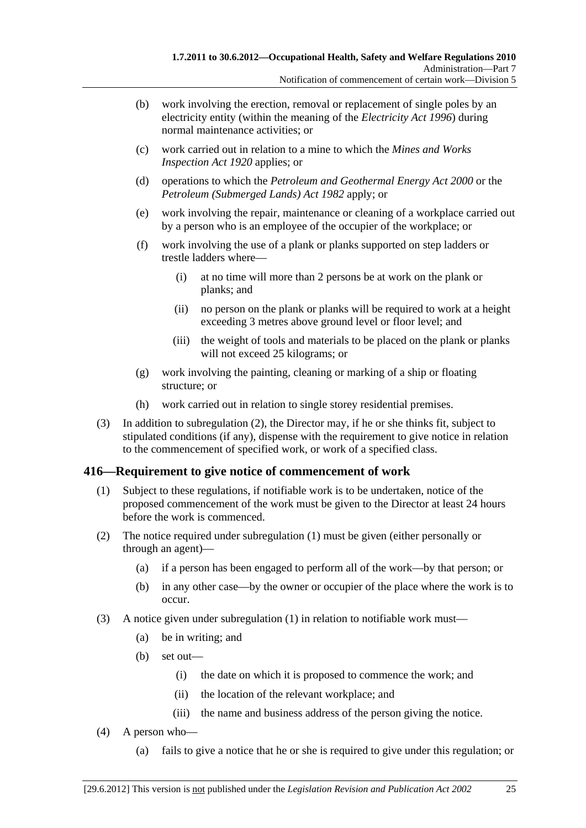- (b) work involving the erection, removal or replacement of single poles by an electricity entity (within the meaning of the *Electricity Act 1996*) during normal maintenance activities; or
- (c) work carried out in relation to a mine to which the *Mines and Works Inspection Act 1920* applies; or
- (d) operations to which the *Petroleum and Geothermal Energy Act 2000* or the *Petroleum (Submerged Lands) Act 1982* apply; or
- (e) work involving the repair, maintenance or cleaning of a workplace carried out by a person who is an employee of the occupier of the workplace; or
- (f) work involving the use of a plank or planks supported on step ladders or trestle ladders where—
	- (i) at no time will more than 2 persons be at work on the plank or planks; and
	- (ii) no person on the plank or planks will be required to work at a height exceeding 3 metres above ground level or floor level; and
	- (iii) the weight of tools and materials to be placed on the plank or planks will not exceed 25 kilograms; or
- (g) work involving the painting, cleaning or marking of a ship or floating structure; or
- (h) work carried out in relation to single storey residential premises.
- (3) In addition to subregulation (2), the Director may, if he or she thinks fit, subject to stipulated conditions (if any), dispense with the requirement to give notice in relation to the commencement of specified work, or work of a specified class.

## **416—Requirement to give notice of commencement of work**

- (1) Subject to these regulations, if notifiable work is to be undertaken, notice of the proposed commencement of the work must be given to the Director at least 24 hours before the work is commenced.
- (2) The notice required under subregulation (1) must be given (either personally or through an agent)—
	- (a) if a person has been engaged to perform all of the work—by that person; or
	- (b) in any other case—by the owner or occupier of the place where the work is to occur.
- (3) A notice given under subregulation (1) in relation to notifiable work must—
	- (a) be in writing; and
	- (b) set out—
		- (i) the date on which it is proposed to commence the work; and
		- (ii) the location of the relevant workplace; and
		- (iii) the name and business address of the person giving the notice.
- (4) A person who—
	- (a) fails to give a notice that he or she is required to give under this regulation; or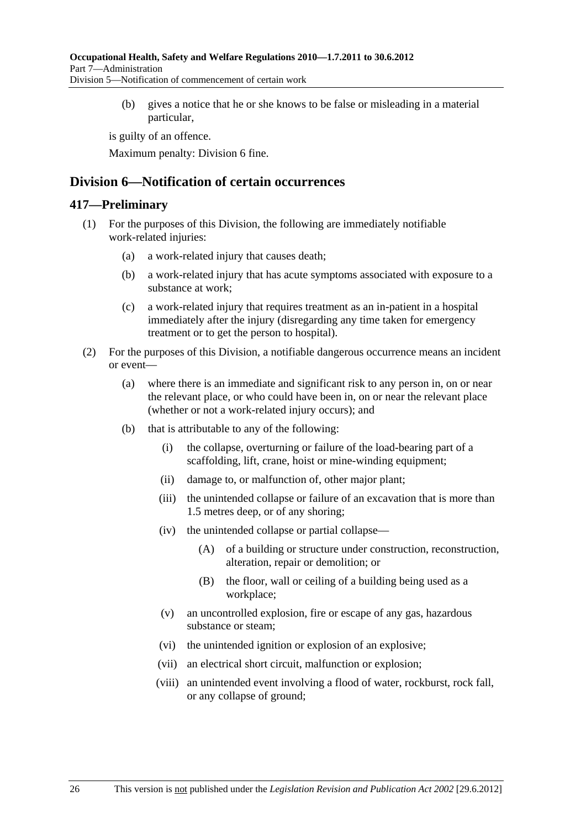(b) gives a notice that he or she knows to be false or misleading in a material particular,

is guilty of an offence.

Maximum penalty: Division 6 fine.

# **Division 6—Notification of certain occurrences**

### **417—Preliminary**

- (1) For the purposes of this Division, the following are immediately notifiable work-related injuries:
	- (a) a work-related injury that causes death;
	- (b) a work-related injury that has acute symptoms associated with exposure to a substance at work;
	- (c) a work-related injury that requires treatment as an in-patient in a hospital immediately after the injury (disregarding any time taken for emergency treatment or to get the person to hospital).
- (2) For the purposes of this Division, a notifiable dangerous occurrence means an incident or event—
	- (a) where there is an immediate and significant risk to any person in, on or near the relevant place, or who could have been in, on or near the relevant place (whether or not a work-related injury occurs); and
	- (b) that is attributable to any of the following:
		- (i) the collapse, overturning or failure of the load-bearing part of a scaffolding, lift, crane, hoist or mine-winding equipment;
		- (ii) damage to, or malfunction of, other major plant;
		- (iii) the unintended collapse or failure of an excavation that is more than 1.5 metres deep, or of any shoring;
		- (iv) the unintended collapse or partial collapse—
			- (A) of a building or structure under construction, reconstruction, alteration, repair or demolition; or
			- (B) the floor, wall or ceiling of a building being used as a workplace;
		- (v) an uncontrolled explosion, fire or escape of any gas, hazardous substance or steam;
		- (vi) the unintended ignition or explosion of an explosive;
		- (vii) an electrical short circuit, malfunction or explosion;
		- (viii) an unintended event involving a flood of water, rockburst, rock fall, or any collapse of ground;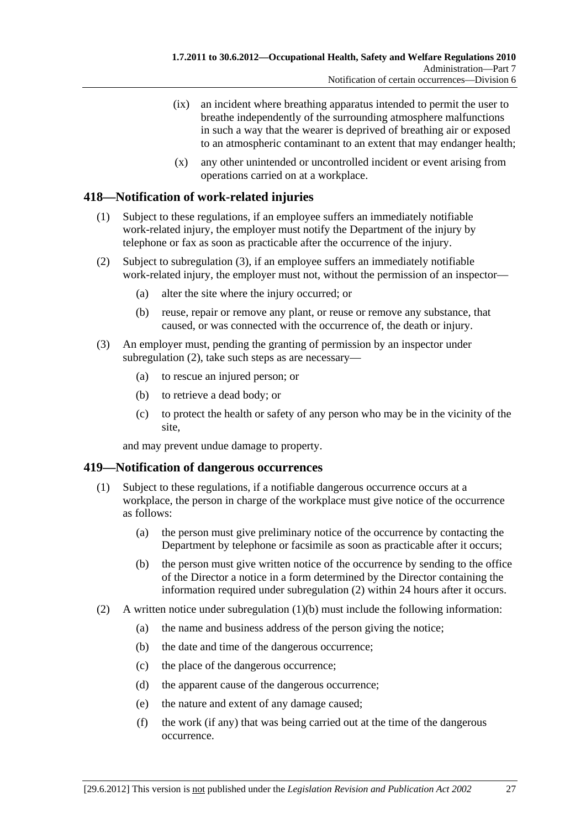- (ix) an incident where breathing apparatus intended to permit the user to breathe independently of the surrounding atmosphere malfunctions in such a way that the wearer is deprived of breathing air or exposed to an atmospheric contaminant to an extent that may endanger health;
- (x) any other unintended or uncontrolled incident or event arising from operations carried on at a workplace.

## **418—Notification of work-related injuries**

- (1) Subject to these regulations, if an employee suffers an immediately notifiable work-related injury, the employer must notify the Department of the injury by telephone or fax as soon as practicable after the occurrence of the injury.
- (2) Subject to subregulation (3), if an employee suffers an immediately notifiable work-related injury, the employer must not, without the permission of an inspector—
	- (a) alter the site where the injury occurred; or
	- (b) reuse, repair or remove any plant, or reuse or remove any substance, that caused, or was connected with the occurrence of, the death or injury.
- (3) An employer must, pending the granting of permission by an inspector under subregulation (2), take such steps as are necessary—
	- (a) to rescue an injured person; or
	- (b) to retrieve a dead body; or
	- (c) to protect the health or safety of any person who may be in the vicinity of the site,

and may prevent undue damage to property.

#### **419—Notification of dangerous occurrences**

- (1) Subject to these regulations, if a notifiable dangerous occurrence occurs at a workplace, the person in charge of the workplace must give notice of the occurrence as follows:
	- (a) the person must give preliminary notice of the occurrence by contacting the Department by telephone or facsimile as soon as practicable after it occurs;
	- (b) the person must give written notice of the occurrence by sending to the office of the Director a notice in a form determined by the Director containing the information required under subregulation (2) within 24 hours after it occurs.
- (2) A written notice under subregulation (1)(b) must include the following information:
	- (a) the name and business address of the person giving the notice;
	- (b) the date and time of the dangerous occurrence;
	- (c) the place of the dangerous occurrence;
	- (d) the apparent cause of the dangerous occurrence;
	- (e) the nature and extent of any damage caused;
	- (f) the work (if any) that was being carried out at the time of the dangerous occurrence.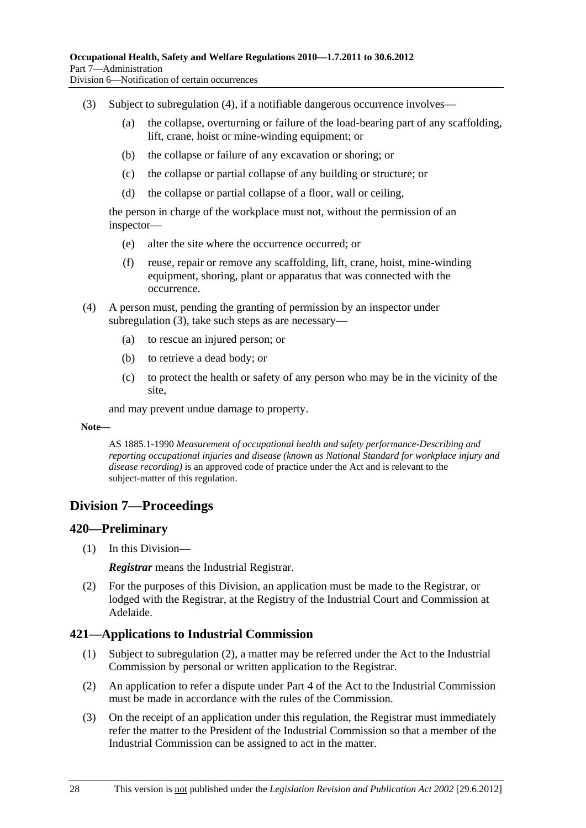- (3) Subject to subregulation (4), if a notifiable dangerous occurrence involves—
	- (a) the collapse, overturning or failure of the load-bearing part of any scaffolding, lift, crane, hoist or mine-winding equipment; or
	- (b) the collapse or failure of any excavation or shoring; or
	- (c) the collapse or partial collapse of any building or structure; or
	- (d) the collapse or partial collapse of a floor, wall or ceiling,

the person in charge of the workplace must not, without the permission of an inspector—

- (e) alter the site where the occurrence occurred; or
- (f) reuse, repair or remove any scaffolding, lift, crane, hoist, mine-winding equipment, shoring, plant or apparatus that was connected with the occurrence.
- (4) A person must, pending the granting of permission by an inspector under subregulation (3), take such steps as are necessary—
	- (a) to rescue an injured person; or
	- (b) to retrieve a dead body; or
	- (c) to protect the health or safety of any person who may be in the vicinity of the site,

and may prevent undue damage to property.

#### **Note—**

AS 1885.1-1990 *Measurement of occupational health and safety performance-Describing and reporting occupational injuries and disease (known as National Standard for workplace injury and disease recording)* is an approved code of practice under the Act and is relevant to the subject-matter of this regulation.

# **Division 7—Proceedings**

#### **420—Preliminary**

(1) In this Division—

*Registrar* means the Industrial Registrar.

 (2) For the purposes of this Division, an application must be made to the Registrar, or lodged with the Registrar, at the Registry of the Industrial Court and Commission at Adelaide.

## **421—Applications to Industrial Commission**

- (1) Subject to subregulation (2), a matter may be referred under the Act to the Industrial Commission by personal or written application to the Registrar.
- (2) An application to refer a dispute under Part 4 of the Act to the Industrial Commission must be made in accordance with the rules of the Commission.
- (3) On the receipt of an application under this regulation, the Registrar must immediately refer the matter to the President of the Industrial Commission so that a member of the Industrial Commission can be assigned to act in the matter.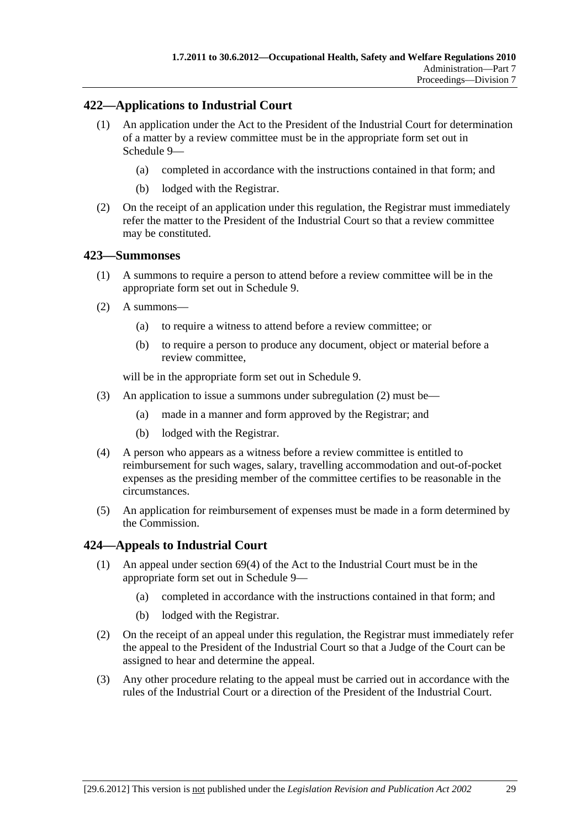## **422—Applications to Industrial Court**

- (1) An application under the Act to the President of the Industrial Court for determination of a matter by a review committee must be in the appropriate form set out in Schedule 9—
	- (a) completed in accordance with the instructions contained in that form; and
	- (b) lodged with the Registrar.
- (2) On the receipt of an application under this regulation, the Registrar must immediately refer the matter to the President of the Industrial Court so that a review committee may be constituted.

### **423—Summonses**

- (1) A summons to require a person to attend before a review committee will be in the appropriate form set out in Schedule 9.
- (2) A summons—
	- (a) to require a witness to attend before a review committee; or
	- (b) to require a person to produce any document, object or material before a review committee,

will be in the appropriate form set out in Schedule 9.

- (3) An application to issue a summons under subregulation (2) must be—
	- (a) made in a manner and form approved by the Registrar; and
	- (b) lodged with the Registrar.
- (4) A person who appears as a witness before a review committee is entitled to reimbursement for such wages, salary, travelling accommodation and out-of-pocket expenses as the presiding member of the committee certifies to be reasonable in the circumstances.
- (5) An application for reimbursement of expenses must be made in a form determined by the Commission.

## **424—Appeals to Industrial Court**

- (1) An appeal under section 69(4) of the Act to the Industrial Court must be in the appropriate form set out in Schedule 9—
	- (a) completed in accordance with the instructions contained in that form; and
	- (b) lodged with the Registrar.
- (2) On the receipt of an appeal under this regulation, the Registrar must immediately refer the appeal to the President of the Industrial Court so that a Judge of the Court can be assigned to hear and determine the appeal.
- (3) Any other procedure relating to the appeal must be carried out in accordance with the rules of the Industrial Court or a direction of the President of the Industrial Court.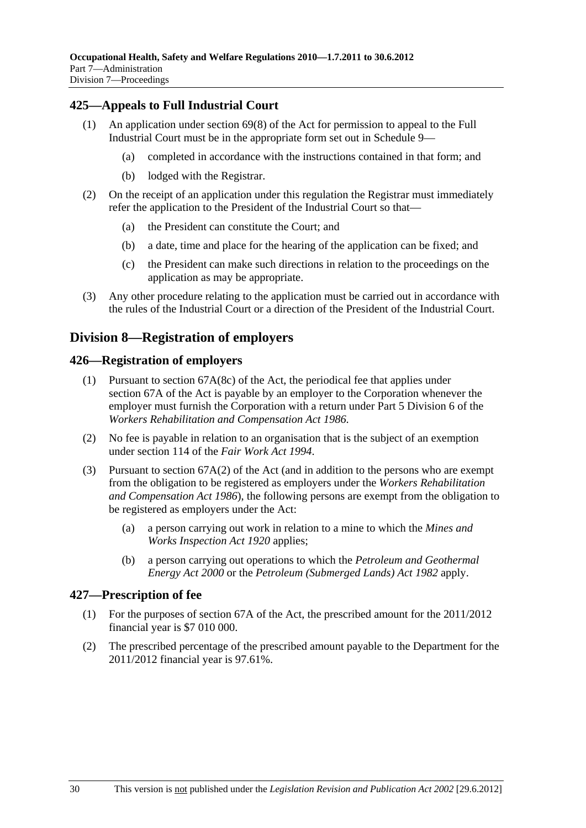## **425—Appeals to Full Industrial Court**

- (1) An application under section 69(8) of the Act for permission to appeal to the Full Industrial Court must be in the appropriate form set out in Schedule 9—
	- (a) completed in accordance with the instructions contained in that form; and
	- (b) lodged with the Registrar.
- (2) On the receipt of an application under this regulation the Registrar must immediately refer the application to the President of the Industrial Court so that—
	- (a) the President can constitute the Court; and
	- (b) a date, time and place for the hearing of the application can be fixed; and
	- (c) the President can make such directions in relation to the proceedings on the application as may be appropriate.
- (3) Any other procedure relating to the application must be carried out in accordance with the rules of the Industrial Court or a direction of the President of the Industrial Court.

# **Division 8—Registration of employers**

### **426—Registration of employers**

- (1) Pursuant to section 67A(8c) of the Act, the periodical fee that applies under section 67A of the Act is payable by an employer to the Corporation whenever the employer must furnish the Corporation with a return under Part 5 Division 6 of the *Workers Rehabilitation and Compensation Act 1986*.
- (2) No fee is payable in relation to an organisation that is the subject of an exemption under section 114 of the *Fair Work Act 1994*.
- (3) Pursuant to section 67A(2) of the Act (and in addition to the persons who are exempt from the obligation to be registered as employers under the *Workers Rehabilitation and Compensation Act 1986*), the following persons are exempt from the obligation to be registered as employers under the Act:
	- (a) a person carrying out work in relation to a mine to which the *Mines and Works Inspection Act 1920* applies;
	- (b) a person carrying out operations to which the *Petroleum and Geothermal Energy Act 2000* or the *Petroleum (Submerged Lands) Act 1982* apply.

## **427—Prescription of fee**

- (1) For the purposes of section 67A of the Act, the prescribed amount for the 2011/2012 financial year is \$7 010 000.
- (2) The prescribed percentage of the prescribed amount payable to the Department for the 2011/2012 financial year is 97.61%.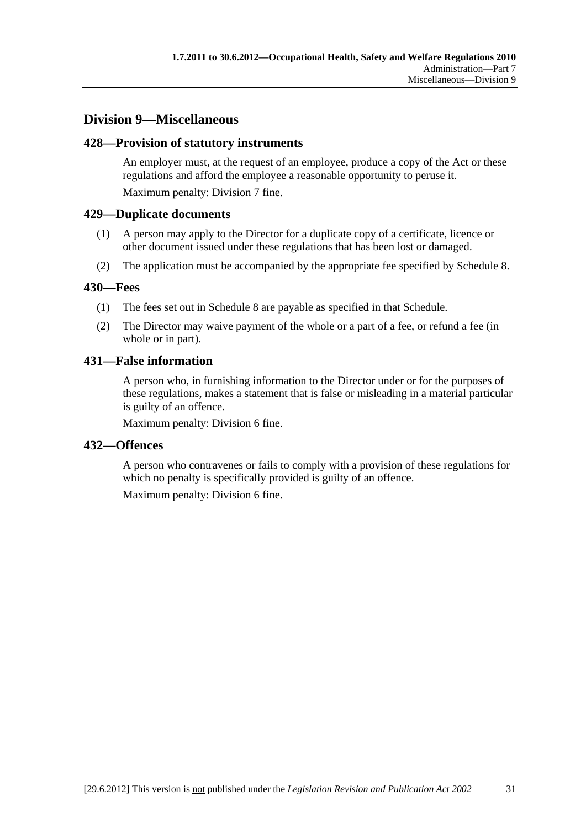# **Division 9—Miscellaneous**

### **428—Provision of statutory instruments**

An employer must, at the request of an employee, produce a copy of the Act or these regulations and afford the employee a reasonable opportunity to peruse it. Maximum penalty: Division 7 fine.

### **429—Duplicate documents**

- (1) A person may apply to the Director for a duplicate copy of a certificate, licence or other document issued under these regulations that has been lost or damaged.
- (2) The application must be accompanied by the appropriate fee specified by Schedule 8.

#### **430—Fees**

- (1) The fees set out in Schedule 8 are payable as specified in that Schedule.
- (2) The Director may waive payment of the whole or a part of a fee, or refund a fee (in whole or in part).

### **431—False information**

A person who, in furnishing information to the Director under or for the purposes of these regulations, makes a statement that is false or misleading in a material particular is guilty of an offence.

Maximum penalty: Division 6 fine.

#### **432—Offences**

A person who contravenes or fails to comply with a provision of these regulations for which no penalty is specifically provided is guilty of an offence.

Maximum penalty: Division 6 fine.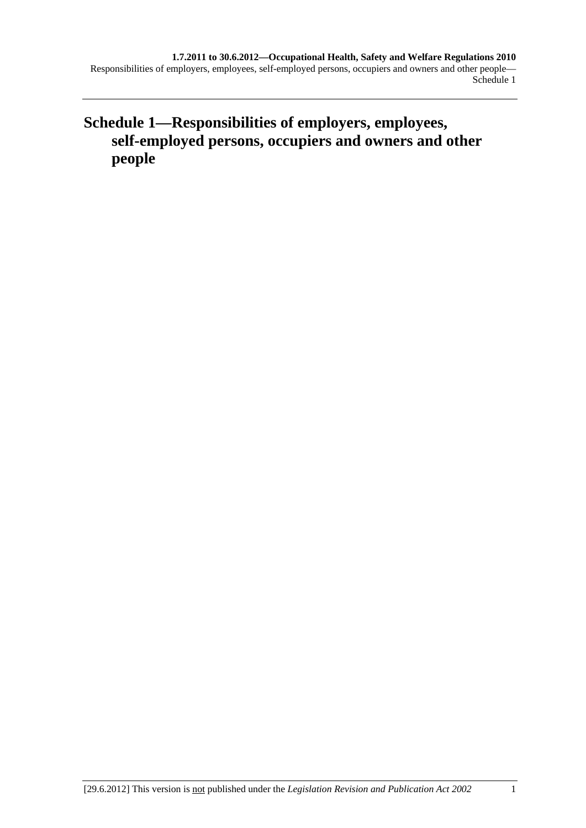**Schedule 1—Responsibilities of employers, employees, self-employed persons, occupiers and owners and other people**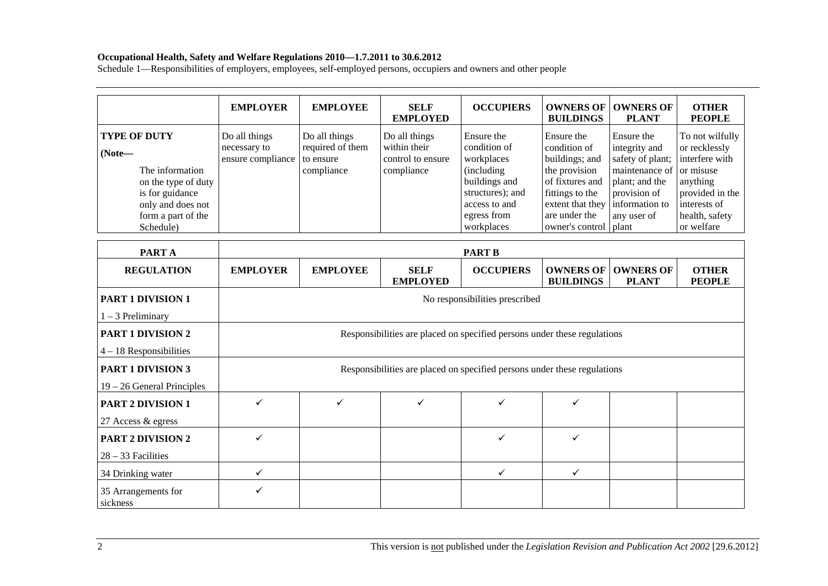#### **Occupational Health, Safety and Welfare Regulations 2010—1.7.2011 to 30.6.2012**

Schedule 1—Responsibilities of employers, employees, self-employed persons, occupiers and owners and other people

|                                                                                                                                                      | <b>EMPLOYER</b>                                                          | <b>EMPLOYEE</b>                                                          | <b>SELF</b><br><b>EMPLOYED</b>                                   | <b>OCCUPIERS</b>                                                                                                                          | <b>OWNERS OF</b><br><b>BUILDINGS</b>                                                                                                                                | <b>OWNERS OF</b><br><b>PLANT</b>                                                                                                     | <b>OTHER</b><br><b>PEOPLE</b>                                                                                                                  |  |
|------------------------------------------------------------------------------------------------------------------------------------------------------|--------------------------------------------------------------------------|--------------------------------------------------------------------------|------------------------------------------------------------------|-------------------------------------------------------------------------------------------------------------------------------------------|---------------------------------------------------------------------------------------------------------------------------------------------------------------------|--------------------------------------------------------------------------------------------------------------------------------------|------------------------------------------------------------------------------------------------------------------------------------------------|--|
| <b>TYPE OF DUTY</b><br>$(Note-$<br>The information<br>on the type of duty<br>is for guidance<br>only and does not<br>form a part of the<br>Schedule) | Do all things<br>necessary to<br>ensure compliance                       | Do all things<br>required of them<br>to ensure<br>compliance             | Do all things<br>within their<br>control to ensure<br>compliance | Ensure the<br>condition of<br>workplaces<br>(including<br>buildings and<br>structures); and<br>access to and<br>egress from<br>workplaces | Ensure the<br>condition of<br>buildings; and<br>the provision<br>of fixtures and<br>fittings to the<br>extent that they<br>are under the<br>owner's control   plant | Ensure the<br>integrity and<br>safety of plant;<br>maintenance of<br>plant; and the<br>provision of<br>information to<br>any user of | To not wilfully<br>or recklessly<br>interfere with<br>or misuse<br>anything<br>provided in the<br>interests of<br>health, safety<br>or welfare |  |
| <b>PARTA</b>                                                                                                                                         |                                                                          | <b>PART B</b>                                                            |                                                                  |                                                                                                                                           |                                                                                                                                                                     |                                                                                                                                      |                                                                                                                                                |  |
| <b>REGULATION</b>                                                                                                                                    | <b>EMPLOYER</b>                                                          | <b>EMPLOYEE</b>                                                          | <b>SELF</b><br><b>EMPLOYED</b>                                   | <b>OCCUPIERS</b>                                                                                                                          | <b>OWNERS OF</b><br><b>BUILDINGS</b>                                                                                                                                | <b>OWNERS OF</b><br><b>PLANT</b>                                                                                                     | <b>OTHER</b><br><b>PEOPLE</b>                                                                                                                  |  |
| <b>PART 1 DIVISION 1</b>                                                                                                                             |                                                                          |                                                                          |                                                                  | No responsibilities prescribed                                                                                                            |                                                                                                                                                                     |                                                                                                                                      |                                                                                                                                                |  |
| $1 - 3$ Preliminary                                                                                                                                  |                                                                          |                                                                          |                                                                  |                                                                                                                                           |                                                                                                                                                                     |                                                                                                                                      |                                                                                                                                                |  |
| <b>PART 1 DIVISION 2</b><br>$4 - 18$ Responsibilities                                                                                                |                                                                          | Responsibilities are placed on specified persons under these regulations |                                                                  |                                                                                                                                           |                                                                                                                                                                     |                                                                                                                                      |                                                                                                                                                |  |
| <b>PART 1 DIVISION 3</b><br>$19 - 26$ General Principles                                                                                             | Responsibilities are placed on specified persons under these regulations |                                                                          |                                                                  |                                                                                                                                           |                                                                                                                                                                     |                                                                                                                                      |                                                                                                                                                |  |
| <b>PART 2 DIVISION 1</b><br>27 Access & egress                                                                                                       | $\checkmark$                                                             | ✓                                                                        | ✓                                                                | ✓                                                                                                                                         | ✓                                                                                                                                                                   |                                                                                                                                      |                                                                                                                                                |  |
| <b>PART 2 DIVISION 2</b><br>$28 - 33$ Facilities                                                                                                     | $\checkmark$                                                             |                                                                          |                                                                  | ✓                                                                                                                                         | ✓                                                                                                                                                                   |                                                                                                                                      |                                                                                                                                                |  |
| 34 Drinking water                                                                                                                                    | $\checkmark$                                                             |                                                                          |                                                                  | ✓                                                                                                                                         | ✓                                                                                                                                                                   |                                                                                                                                      |                                                                                                                                                |  |
| 35 Arrangements for                                                                                                                                  | ✓                                                                        |                                                                          |                                                                  |                                                                                                                                           |                                                                                                                                                                     |                                                                                                                                      |                                                                                                                                                |  |

sickness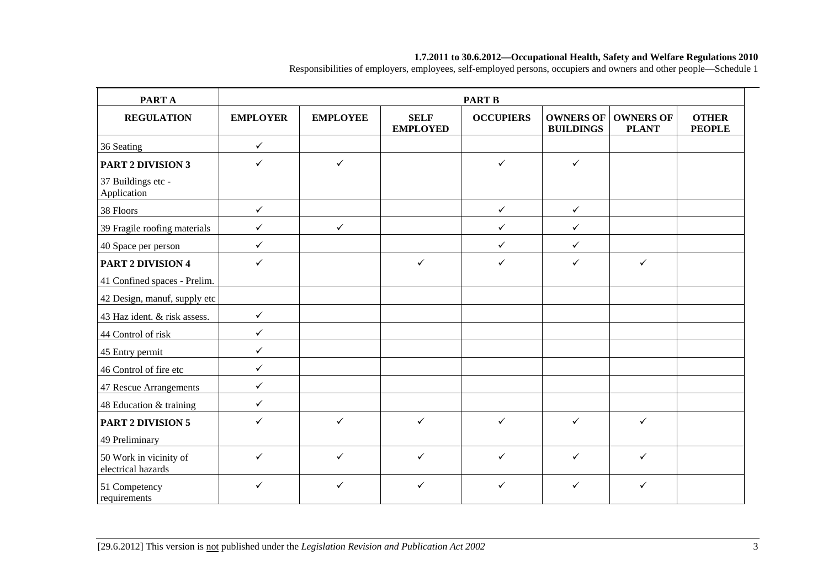#### **1.7.2011 to 30.6.2012—Occupational Health, Safety and Welfare Regulations 2010**

Responsibilities of employers, employees, self-employed persons, occupiers and owners and other people—Schedule 1

| PART A                                       | <b>PART B</b>   |                 |                                |                  |                                      |                                  |                               |
|----------------------------------------------|-----------------|-----------------|--------------------------------|------------------|--------------------------------------|----------------------------------|-------------------------------|
| <b>REGULATION</b>                            | <b>EMPLOYER</b> | <b>EMPLOYEE</b> | <b>SELF</b><br><b>EMPLOYED</b> | <b>OCCUPIERS</b> | <b>OWNERS OF</b><br><b>BUILDINGS</b> | <b>OWNERS OF</b><br><b>PLANT</b> | <b>OTHER</b><br><b>PEOPLE</b> |
| 36 Seating                                   | $\checkmark$    |                 |                                |                  |                                      |                                  |                               |
| <b>PART 2 DIVISION 3</b>                     | $\checkmark$    | $\checkmark$    |                                | $\checkmark$     | $\checkmark$                         |                                  |                               |
| 37 Buildings etc -<br>Application            |                 |                 |                                |                  |                                      |                                  |                               |
| 38 Floors                                    | $\checkmark$    |                 |                                | $\checkmark$     | $\checkmark$                         |                                  |                               |
| 39 Fragile roofing materials                 | $\checkmark$    | $\checkmark$    |                                | $\checkmark$     | $\checkmark$                         |                                  |                               |
| 40 Space per person                          | $\checkmark$    |                 |                                | $\checkmark$     | $\checkmark$                         |                                  |                               |
| PART 2 DIVISION 4                            | $\checkmark$    |                 | $\checkmark$                   | $\checkmark$     | $\checkmark$                         | $\checkmark$                     |                               |
| 41 Confined spaces - Prelim.                 |                 |                 |                                |                  |                                      |                                  |                               |
| 42 Design, manuf, supply etc                 |                 |                 |                                |                  |                                      |                                  |                               |
| 43 Haz ident. & risk assess.                 | $\checkmark$    |                 |                                |                  |                                      |                                  |                               |
| 44 Control of risk                           | $\checkmark$    |                 |                                |                  |                                      |                                  |                               |
| 45 Entry permit                              | $\checkmark$    |                 |                                |                  |                                      |                                  |                               |
| 46 Control of fire etc                       | $\checkmark$    |                 |                                |                  |                                      |                                  |                               |
| 47 Rescue Arrangements                       | $\checkmark$    |                 |                                |                  |                                      |                                  |                               |
| 48 Education & training                      | $\checkmark$    |                 |                                |                  |                                      |                                  |                               |
| <b>PART 2 DIVISION 5</b>                     | $\checkmark$    | $\checkmark$    | $\checkmark$                   | $\checkmark$     | $\checkmark$                         | $\checkmark$                     |                               |
| 49 Preliminary                               |                 |                 |                                |                  |                                      |                                  |                               |
| 50 Work in vicinity of<br>electrical hazards | $\checkmark$    | $\checkmark$    | $\checkmark$                   | $\checkmark$     | $\checkmark$                         | $\checkmark$                     |                               |
| 51 Competency<br>requirements                | $\checkmark$    | ✓               | $\checkmark$                   | $\checkmark$     | $\checkmark$                         | $\checkmark$                     |                               |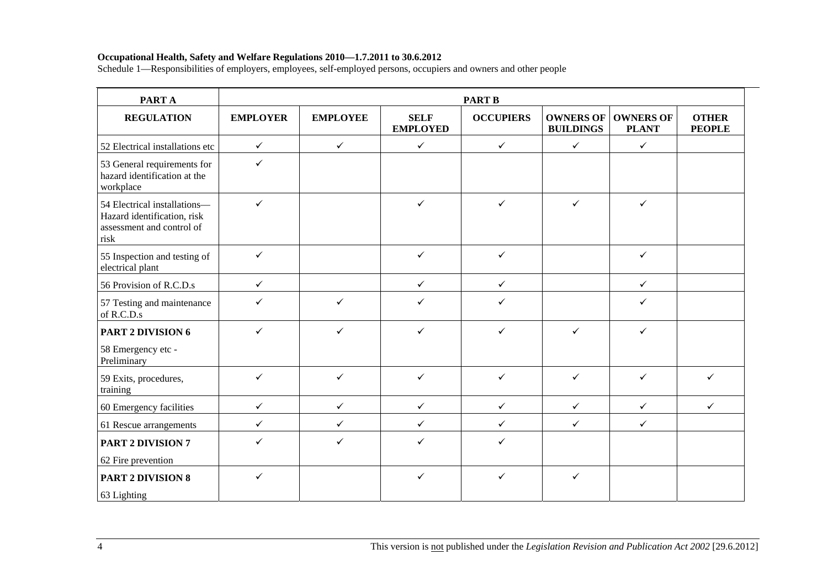#### **Occupational Health, Safety and Welfare Regulations 2010—1.7.2011 to 30.6.2012**

Schedule 1—Responsibilities of employers, employees, self-employed persons, occupiers and owners and other people

| PART A                                                                                           | <b>PART B</b>   |                 |                                |                  |                                      |                                  |                               |
|--------------------------------------------------------------------------------------------------|-----------------|-----------------|--------------------------------|------------------|--------------------------------------|----------------------------------|-------------------------------|
| <b>REGULATION</b>                                                                                | <b>EMPLOYER</b> | <b>EMPLOYEE</b> | <b>SELF</b><br><b>EMPLOYED</b> | <b>OCCUPIERS</b> | <b>OWNERS OF</b><br><b>BUILDINGS</b> | <b>OWNERS OF</b><br><b>PLANT</b> | <b>OTHER</b><br><b>PEOPLE</b> |
| 52 Electrical installations etc                                                                  | $\checkmark$    | $\checkmark$    | $\checkmark$                   | $\checkmark$     | $\checkmark$                         | $\checkmark$                     |                               |
| 53 General requirements for<br>hazard identification at the<br>workplace                         | $\checkmark$    |                 |                                |                  |                                      |                                  |                               |
| 54 Electrical installations-<br>Hazard identification, risk<br>assessment and control of<br>risk | $\checkmark$    |                 | $\checkmark$                   | $\checkmark$     | $\checkmark$                         | $\checkmark$                     |                               |
| 55 Inspection and testing of<br>electrical plant                                                 | $\checkmark$    |                 | $\checkmark$                   | $\checkmark$     |                                      | $\checkmark$                     |                               |
| 56 Provision of R.C.D.s                                                                          | $\checkmark$    |                 | $\checkmark$                   | $\checkmark$     |                                      | $\checkmark$                     |                               |
| 57 Testing and maintenance<br>of R.C.D.s                                                         | $\checkmark$    | ✓               | $\checkmark$                   | $\checkmark$     |                                      | $\checkmark$                     |                               |
| PART 2 DIVISION 6                                                                                | $\checkmark$    | $\checkmark$    | $\checkmark$                   | $\checkmark$     | $\checkmark$                         | $\checkmark$                     |                               |
| 58 Emergency etc -<br>Preliminary                                                                |                 |                 |                                |                  |                                      |                                  |                               |
| 59 Exits, procedures,<br>training                                                                | $\checkmark$    | $\checkmark$    | $\checkmark$                   | $\checkmark$     | $\checkmark$                         | $\checkmark$                     | ✓                             |
| 60 Emergency facilities                                                                          | $\checkmark$    | $\checkmark$    | $\checkmark$                   | $\checkmark$     | $\checkmark$                         | $\checkmark$                     | $\checkmark$                  |
| 61 Rescue arrangements                                                                           | $\checkmark$    | $\checkmark$    | $\checkmark$                   | $\checkmark$     | $\checkmark$                         | $\checkmark$                     |                               |
| <b>PART 2 DIVISION 7</b>                                                                         | $\checkmark$    | ✓               | $\checkmark$                   | $\checkmark$     |                                      |                                  |                               |
| 62 Fire prevention                                                                               |                 |                 |                                |                  |                                      |                                  |                               |
| <b>PART 2 DIVISION 8</b>                                                                         | $\checkmark$    |                 | $\checkmark$                   | $\checkmark$     | $\checkmark$                         |                                  |                               |
| 63 Lighting                                                                                      |                 |                 |                                |                  |                                      |                                  |                               |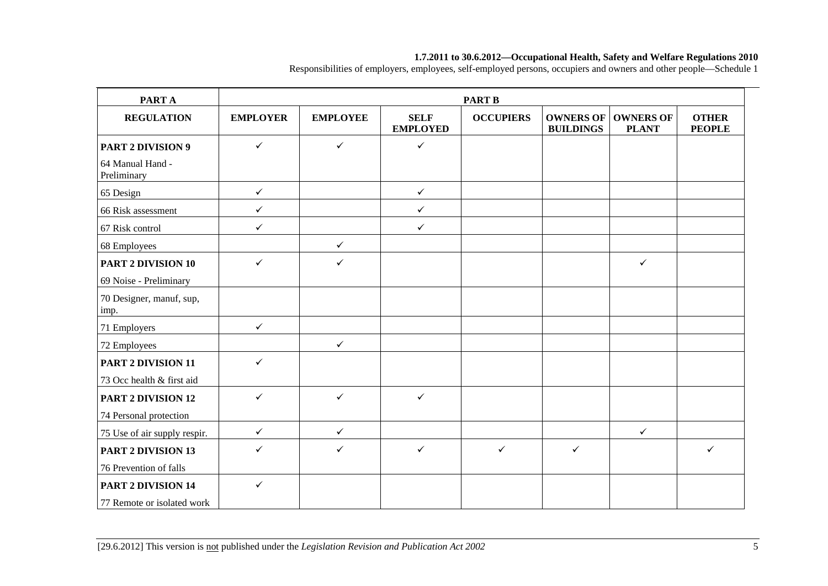#### **1.7.2011 to 30.6.2012—Occupational Health, Safety and Welfare Regulations 2010**

Responsibilities of employers, employees, self-employed persons, occupiers and owners and other people—Schedule 1

| <b>PARTA</b>                     | <b>PART B</b>   |                 |                                |                  |                                      |                                  |                               |  |
|----------------------------------|-----------------|-----------------|--------------------------------|------------------|--------------------------------------|----------------------------------|-------------------------------|--|
| <b>REGULATION</b>                | <b>EMPLOYER</b> | <b>EMPLOYEE</b> | <b>SELF</b><br><b>EMPLOYED</b> | <b>OCCUPIERS</b> | <b>OWNERS OF</b><br><b>BUILDINGS</b> | <b>OWNERS OF</b><br><b>PLANT</b> | <b>OTHER</b><br><b>PEOPLE</b> |  |
| <b>PART 2 DIVISION 9</b>         | $\checkmark$    | $\checkmark$    | $\checkmark$                   |                  |                                      |                                  |                               |  |
| 64 Manual Hand -<br>Preliminary  |                 |                 |                                |                  |                                      |                                  |                               |  |
| 65 Design                        | $\checkmark$    |                 | $\checkmark$                   |                  |                                      |                                  |                               |  |
| 66 Risk assessment               | $\checkmark$    |                 | $\checkmark$                   |                  |                                      |                                  |                               |  |
| 67 Risk control                  | $\checkmark$    |                 | $\checkmark$                   |                  |                                      |                                  |                               |  |
| 68 Employees                     |                 | $\checkmark$    |                                |                  |                                      |                                  |                               |  |
| <b>PART 2 DIVISION 10</b>        | $\checkmark$    | $\checkmark$    |                                |                  |                                      | $\checkmark$                     |                               |  |
| 69 Noise - Preliminary           |                 |                 |                                |                  |                                      |                                  |                               |  |
| 70 Designer, manuf, sup,<br>imp. |                 |                 |                                |                  |                                      |                                  |                               |  |
| 71 Employers                     | $\checkmark$    |                 |                                |                  |                                      |                                  |                               |  |
| 72 Employees                     |                 | $\checkmark$    |                                |                  |                                      |                                  |                               |  |
| PART 2 DIVISION 11               | $\checkmark$    |                 |                                |                  |                                      |                                  |                               |  |
| 73 Occ health & first aid        |                 |                 |                                |                  |                                      |                                  |                               |  |
| <b>PART 2 DIVISION 12</b>        | $\checkmark$    | $\checkmark$    | $\checkmark$                   |                  |                                      |                                  |                               |  |
| 74 Personal protection           |                 |                 |                                |                  |                                      |                                  |                               |  |
| 75 Use of air supply respir.     | $\checkmark$    | $\checkmark$    |                                |                  |                                      | $\checkmark$                     |                               |  |
| <b>PART 2 DIVISION 13</b>        | ✓               | $\checkmark$    | $\checkmark$                   | $\checkmark$     | $\checkmark$                         |                                  | $\checkmark$                  |  |
| 76 Prevention of falls           |                 |                 |                                |                  |                                      |                                  |                               |  |
| <b>PART 2 DIVISION 14</b>        | $\checkmark$    |                 |                                |                  |                                      |                                  |                               |  |
| 77 Remote or isolated work       |                 |                 |                                |                  |                                      |                                  |                               |  |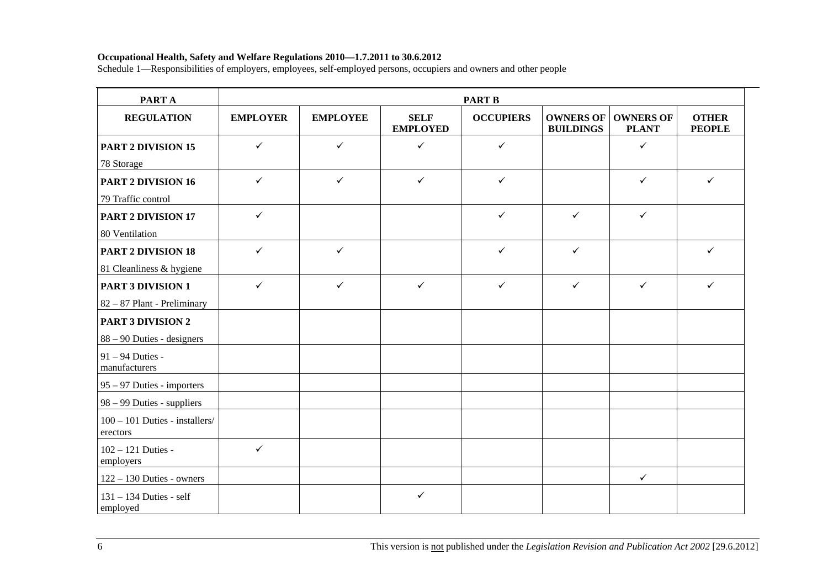#### **Occupational Health, Safety and Welfare Regulations 2010—1.7.2011 to 30.6.2012**

Schedule 1—Responsibilities of employers, employees, self-employed persons, occupiers and owners and other people

| <b>PARTA</b>                               | <b>PART B</b>   |                 |                                |                  |                                      |                                  |                               |  |
|--------------------------------------------|-----------------|-----------------|--------------------------------|------------------|--------------------------------------|----------------------------------|-------------------------------|--|
| <b>REGULATION</b>                          | <b>EMPLOYER</b> | <b>EMPLOYEE</b> | <b>SELF</b><br><b>EMPLOYED</b> | <b>OCCUPIERS</b> | <b>OWNERS OF</b><br><b>BUILDINGS</b> | <b>OWNERS OF</b><br><b>PLANT</b> | <b>OTHER</b><br><b>PEOPLE</b> |  |
| <b>PART 2 DIVISION 15</b>                  | $\checkmark$    | $\checkmark$    | $\checkmark$                   | $\checkmark$     |                                      | $\checkmark$                     |                               |  |
| 78 Storage                                 |                 |                 |                                |                  |                                      |                                  |                               |  |
| PART 2 DIVISION 16                         | $\checkmark$    | $\checkmark$    | $\checkmark$                   | $\checkmark$     |                                      | $\checkmark$                     | $\checkmark$                  |  |
| 79 Traffic control                         |                 |                 |                                |                  |                                      |                                  |                               |  |
| <b>PART 2 DIVISION 17</b>                  | $\checkmark$    |                 |                                | $\checkmark$     | $\checkmark$                         | $\checkmark$                     |                               |  |
| 80 Ventilation                             |                 |                 |                                |                  |                                      |                                  |                               |  |
| <b>PART 2 DIVISION 18</b>                  | $\checkmark$    | $\checkmark$    |                                | $\checkmark$     | $\checkmark$                         |                                  | $\checkmark$                  |  |
| 81 Cleanliness & hygiene                   |                 |                 |                                |                  |                                      |                                  |                               |  |
| <b>PART 3 DIVISION 1</b>                   | $\checkmark$    | $\checkmark$    | $\checkmark$                   | $\checkmark$     | $\checkmark$                         | $\checkmark$                     | $\checkmark$                  |  |
| 82 - 87 Plant - Preliminary                |                 |                 |                                |                  |                                      |                                  |                               |  |
| <b>PART 3 DIVISION 2</b>                   |                 |                 |                                |                  |                                      |                                  |                               |  |
| $88 - 90$ Duties - designers               |                 |                 |                                |                  |                                      |                                  |                               |  |
| 91 - 94 Duties -<br>manufacturers          |                 |                 |                                |                  |                                      |                                  |                               |  |
| 95 – 97 Duties - importers                 |                 |                 |                                |                  |                                      |                                  |                               |  |
| 98 – 99 Duties - suppliers                 |                 |                 |                                |                  |                                      |                                  |                               |  |
| 100 - 101 Duties - installers/<br>erectors |                 |                 |                                |                  |                                      |                                  |                               |  |
| 102 - 121 Duties -<br>employers            | $\checkmark$    |                 |                                |                  |                                      |                                  |                               |  |
| $122 - 130$ Duties - owners                |                 |                 |                                |                  |                                      | $\checkmark$                     |                               |  |
| $131 - 134$ Duties - self<br>employed      |                 |                 | $\checkmark$                   |                  |                                      |                                  |                               |  |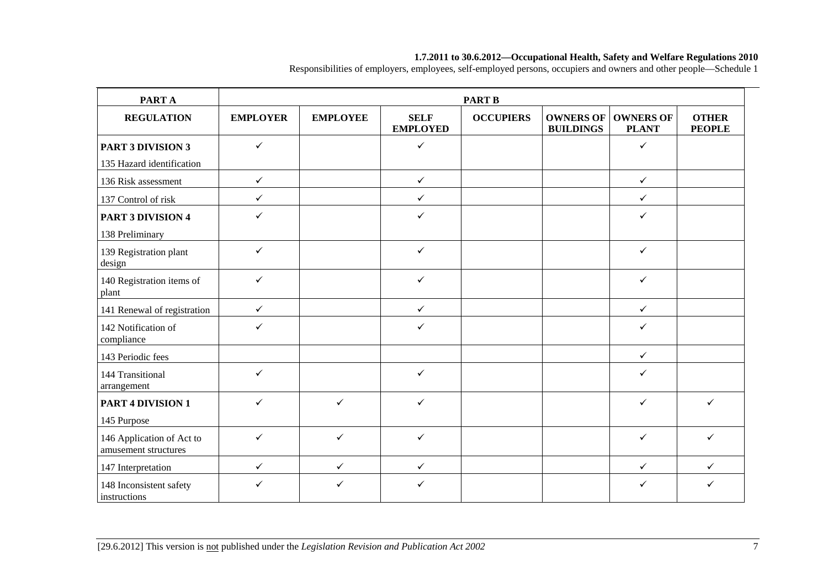| PART A                                            |                 |                 |                                | <b>PART B</b>    |                                      |                                  |                               |
|---------------------------------------------------|-----------------|-----------------|--------------------------------|------------------|--------------------------------------|----------------------------------|-------------------------------|
| <b>REGULATION</b>                                 | <b>EMPLOYER</b> | <b>EMPLOYEE</b> | <b>SELF</b><br><b>EMPLOYED</b> | <b>OCCUPIERS</b> | <b>OWNERS OF</b><br><b>BUILDINGS</b> | <b>OWNERS OF</b><br><b>PLANT</b> | <b>OTHER</b><br><b>PEOPLE</b> |
| <b>PART 3 DIVISION 3</b>                          | $\checkmark$    |                 | $\checkmark$                   |                  |                                      | $\checkmark$                     |                               |
| 135 Hazard identification                         |                 |                 |                                |                  |                                      |                                  |                               |
| 136 Risk assessment                               | $\checkmark$    |                 | $\checkmark$                   |                  |                                      | $\checkmark$                     |                               |
| 137 Control of risk                               | $\checkmark$    |                 | $\checkmark$                   |                  |                                      | $\checkmark$                     |                               |
| <b>PART 3 DIVISION 4</b>                          | ✓               |                 | $\checkmark$                   |                  |                                      | ✓                                |                               |
| 138 Preliminary                                   |                 |                 |                                |                  |                                      |                                  |                               |
| 139 Registration plant<br>design                  | $\checkmark$    |                 | $\checkmark$                   |                  |                                      | ✓                                |                               |
| 140 Registration items of<br>plant                | $\checkmark$    |                 | $\checkmark$                   |                  |                                      | $\checkmark$                     |                               |
| 141 Renewal of registration                       | $\checkmark$    |                 | $\checkmark$                   |                  |                                      | $\checkmark$                     |                               |
| 142 Notification of<br>compliance                 | ✓               |                 | $\checkmark$                   |                  |                                      | ✓                                |                               |
| 143 Periodic fees                                 |                 |                 |                                |                  |                                      | $\checkmark$                     |                               |
| 144 Transitional<br>arrangement                   | ✓               |                 | $\checkmark$                   |                  |                                      | ✓                                |                               |
| <b>PART 4 DIVISION 1</b>                          | ✓               | ✓               | $\checkmark$                   |                  |                                      | ✓                                | $\checkmark$                  |
| 145 Purpose                                       |                 |                 |                                |                  |                                      |                                  |                               |
| 146 Application of Act to<br>amusement structures | $\checkmark$    | $\checkmark$    | $\checkmark$                   |                  |                                      | $\checkmark$                     | $\checkmark$                  |
| 147 Interpretation                                | $\checkmark$    | $\checkmark$    | $\checkmark$                   |                  |                                      | $\checkmark$                     | $\checkmark$                  |
| 148 Inconsistent safety<br>instructions           | ✓               | ✓               | $\checkmark$                   |                  |                                      | ✓                                | $\checkmark$                  |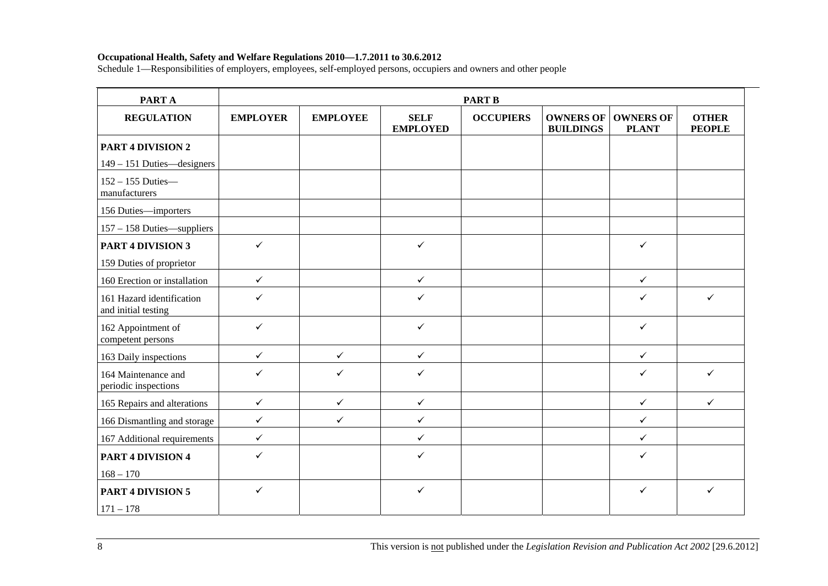| PART A                                           | <b>PART B</b>   |                 |                                |                  |                                      |                                  |                               |  |  |
|--------------------------------------------------|-----------------|-----------------|--------------------------------|------------------|--------------------------------------|----------------------------------|-------------------------------|--|--|
| <b>REGULATION</b>                                | <b>EMPLOYER</b> | <b>EMPLOYEE</b> | <b>SELF</b><br><b>EMPLOYED</b> | <b>OCCUPIERS</b> | <b>OWNERS OF</b><br><b>BUILDINGS</b> | <b>OWNERS OF</b><br><b>PLANT</b> | <b>OTHER</b><br><b>PEOPLE</b> |  |  |
| <b>PART 4 DIVISION 2</b>                         |                 |                 |                                |                  |                                      |                                  |                               |  |  |
| 149 - 151 Duties—designers                       |                 |                 |                                |                  |                                      |                                  |                               |  |  |
| $152 - 155$ Duties-<br>manufacturers             |                 |                 |                                |                  |                                      |                                  |                               |  |  |
| 156 Duties-importers                             |                 |                 |                                |                  |                                      |                                  |                               |  |  |
| 157 - 158 Duties—suppliers                       |                 |                 |                                |                  |                                      |                                  |                               |  |  |
| <b>PART 4 DIVISION 3</b>                         | $\checkmark$    |                 | $\checkmark$                   |                  |                                      | $\checkmark$                     |                               |  |  |
| 159 Duties of proprietor                         |                 |                 |                                |                  |                                      |                                  |                               |  |  |
| 160 Erection or installation                     | $\checkmark$    |                 | $\checkmark$                   |                  |                                      | $\checkmark$                     |                               |  |  |
| 161 Hazard identification<br>and initial testing | $\checkmark$    |                 | $\checkmark$                   |                  |                                      | $\checkmark$                     | $\checkmark$                  |  |  |
| 162 Appointment of<br>competent persons          | $\checkmark$    |                 | $\checkmark$                   |                  |                                      | $\checkmark$                     |                               |  |  |
| 163 Daily inspections                            | $\checkmark$    | $\checkmark$    | $\checkmark$                   |                  |                                      | $\checkmark$                     |                               |  |  |
| 164 Maintenance and<br>periodic inspections      | $\checkmark$    | ✓               | $\checkmark$                   |                  |                                      | $\checkmark$                     | $\checkmark$                  |  |  |
| 165 Repairs and alterations                      | $\checkmark$    | $\checkmark$    | $\checkmark$                   |                  |                                      | $\checkmark$                     | $\checkmark$                  |  |  |
| 166 Dismantling and storage                      | $\checkmark$    | $\checkmark$    | $\checkmark$                   |                  |                                      | $\checkmark$                     |                               |  |  |
| 167 Additional requirements                      | $\checkmark$    |                 | $\checkmark$                   |                  |                                      | $\checkmark$                     |                               |  |  |
| <b>PART 4 DIVISION 4</b>                         | $\checkmark$    |                 | $\checkmark$                   |                  |                                      | $\checkmark$                     |                               |  |  |
| $168 - 170$                                      |                 |                 |                                |                  |                                      |                                  |                               |  |  |
| <b>PART 4 DIVISION 5</b>                         | $\checkmark$    |                 | $\checkmark$                   |                  |                                      | $\checkmark$                     | $\checkmark$                  |  |  |
| $171 - 178$                                      |                 |                 |                                |                  |                                      |                                  |                               |  |  |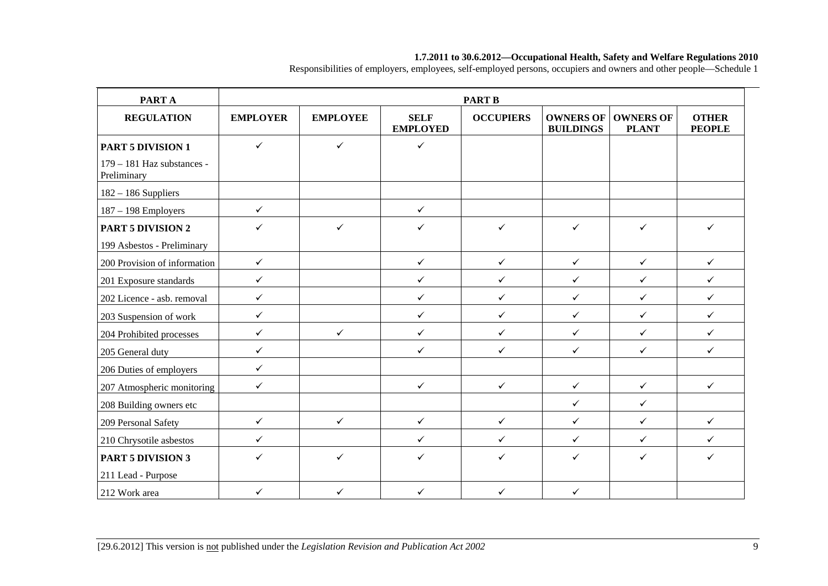| <b>PARTA</b>                                |                 |                 |                                | <b>PART B</b>    |                                      |                                  |                               |
|---------------------------------------------|-----------------|-----------------|--------------------------------|------------------|--------------------------------------|----------------------------------|-------------------------------|
| <b>REGULATION</b>                           | <b>EMPLOYER</b> | <b>EMPLOYEE</b> | <b>SELF</b><br><b>EMPLOYED</b> | <b>OCCUPIERS</b> | <b>OWNERS OF</b><br><b>BUILDINGS</b> | <b>OWNERS OF</b><br><b>PLANT</b> | <b>OTHER</b><br><b>PEOPLE</b> |
| <b>PART 5 DIVISION 1</b>                    | $\checkmark$    | $\checkmark$    | $\checkmark$                   |                  |                                      |                                  |                               |
| $179 - 181$ Haz substances -<br>Preliminary |                 |                 |                                |                  |                                      |                                  |                               |
| $182 - 186$ Suppliers                       |                 |                 |                                |                  |                                      |                                  |                               |
| $187 - 198$ Employers                       | $\checkmark$    |                 | $\checkmark$                   |                  |                                      |                                  |                               |
| <b>PART 5 DIVISION 2</b>                    | ✓               | ✓               | ✓                              | $\checkmark$     | $\checkmark$                         | ✓                                | $\checkmark$                  |
| 199 Asbestos - Preliminary                  |                 |                 |                                |                  |                                      |                                  |                               |
| 200 Provision of information                | $\checkmark$    |                 | $\checkmark$                   | $\checkmark$     | $\checkmark$                         | $\checkmark$                     | $\checkmark$                  |
| 201 Exposure standards                      | $\checkmark$    |                 | $\checkmark$                   | $\checkmark$     | $\checkmark$                         | $\checkmark$                     | $\checkmark$                  |
| 202 Licence - asb. removal                  | $\checkmark$    |                 | $\checkmark$                   | $\checkmark$     | $\checkmark$                         | $\checkmark$                     | $\checkmark$                  |
| 203 Suspension of work                      | $\checkmark$    |                 | $\checkmark$                   | $\checkmark$     | $\checkmark$                         | $\checkmark$                     | $\checkmark$                  |
| 204 Prohibited processes                    | $\checkmark$    | $\checkmark$    | $\checkmark$                   | $\checkmark$     | $\checkmark$                         | $\checkmark$                     | $\checkmark$                  |
| 205 General duty                            | $\checkmark$    |                 | $\checkmark$                   | $\checkmark$     | $\checkmark$                         | $\checkmark$                     | $\checkmark$                  |
| 206 Duties of employers                     | $\checkmark$    |                 |                                |                  |                                      |                                  |                               |
| 207 Atmospheric monitoring                  | $\checkmark$    |                 | $\checkmark$                   | $\checkmark$     | $\checkmark$                         | $\checkmark$                     | $\checkmark$                  |
| 208 Building owners etc                     |                 |                 |                                |                  | $\checkmark$                         | $\checkmark$                     |                               |
| 209 Personal Safety                         | $\checkmark$    | $\checkmark$    | $\checkmark$                   | $\checkmark$     | $\checkmark$                         | $\checkmark$                     | $\checkmark$                  |
| 210 Chrysotile asbestos                     | $\checkmark$    |                 | $\checkmark$                   | $\checkmark$     | $\checkmark$                         | $\checkmark$                     | $\checkmark$                  |
| <b>PART 5 DIVISION 3</b>                    | ✓               | ✓               | ✓                              | ✓                | $\checkmark$                         | ✓                                | $\checkmark$                  |
| 211 Lead - Purpose                          |                 |                 |                                |                  |                                      |                                  |                               |
| 212 Work area                               | $\checkmark$    | $\checkmark$    | $\checkmark$                   | $\checkmark$     | $\checkmark$                         |                                  |                               |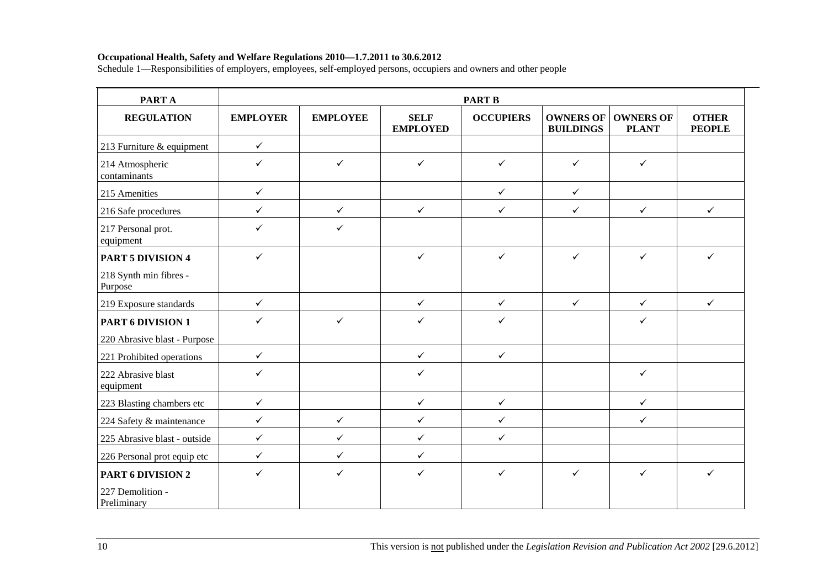| PART A                            | <b>PART B</b>   |                 |                                |                  |                                      |                                  |                               |  |  |
|-----------------------------------|-----------------|-----------------|--------------------------------|------------------|--------------------------------------|----------------------------------|-------------------------------|--|--|
| <b>REGULATION</b>                 | <b>EMPLOYER</b> | <b>EMPLOYEE</b> | <b>SELF</b><br><b>EMPLOYED</b> | <b>OCCUPIERS</b> | <b>OWNERS OF</b><br><b>BUILDINGS</b> | <b>OWNERS OF</b><br><b>PLANT</b> | <b>OTHER</b><br><b>PEOPLE</b> |  |  |
| 213 Furniture & equipment         | $\checkmark$    |                 |                                |                  |                                      |                                  |                               |  |  |
| 214 Atmospheric<br>contaminants   | $\checkmark$    | $\checkmark$    | $\checkmark$                   | $\checkmark$     | $\checkmark$                         | $\checkmark$                     |                               |  |  |
| 215 Amenities                     | $\checkmark$    |                 |                                | $\checkmark$     | $\checkmark$                         |                                  |                               |  |  |
| 216 Safe procedures               | $\checkmark$    | $\checkmark$    | $\checkmark$                   | $\checkmark$     | $\checkmark$                         | $\checkmark$                     | $\checkmark$                  |  |  |
| 217 Personal prot.<br>equipment   | $\checkmark$    | ✓               |                                |                  |                                      |                                  |                               |  |  |
| <b>PART 5 DIVISION 4</b>          | $\checkmark$    |                 | $\checkmark$                   | $\checkmark$     | $\checkmark$                         | $\checkmark$                     | ✓                             |  |  |
| 218 Synth min fibres -<br>Purpose |                 |                 |                                |                  |                                      |                                  |                               |  |  |
| 219 Exposure standards            | $\checkmark$    |                 | $\checkmark$                   | $\checkmark$     | $\checkmark$                         | $\checkmark$                     | $\checkmark$                  |  |  |
| PART 6 DIVISION 1                 | $\checkmark$    | $\checkmark$    | $\checkmark$                   | $\checkmark$     |                                      | $\checkmark$                     |                               |  |  |
| 220 Abrasive blast - Purpose      |                 |                 |                                |                  |                                      |                                  |                               |  |  |
| 221 Prohibited operations         | $\checkmark$    |                 | $\checkmark$                   | $\checkmark$     |                                      |                                  |                               |  |  |
| 222 Abrasive blast<br>equipment   | $\checkmark$    |                 | $\checkmark$                   |                  |                                      | $\checkmark$                     |                               |  |  |
| 223 Blasting chambers etc         | $\checkmark$    |                 | $\checkmark$                   | $\checkmark$     |                                      | $\checkmark$                     |                               |  |  |
| 224 Safety & maintenance          | $\checkmark$    | $\checkmark$    | $\checkmark$                   | $\checkmark$     |                                      | $\checkmark$                     |                               |  |  |
| 225 Abrasive blast - outside      | $\checkmark$    | $\checkmark$    | $\checkmark$                   | $\checkmark$     |                                      |                                  |                               |  |  |
| 226 Personal prot equip etc       | $\checkmark$    | $\checkmark$    | $\checkmark$                   |                  |                                      |                                  |                               |  |  |
| <b>PART 6 DIVISION 2</b>          | $\checkmark$    | $\checkmark$    | $\checkmark$                   | $\checkmark$     | $\checkmark$                         | $\checkmark$                     | $\checkmark$                  |  |  |
| 227 Demolition -<br>Preliminary   |                 |                 |                                |                  |                                      |                                  |                               |  |  |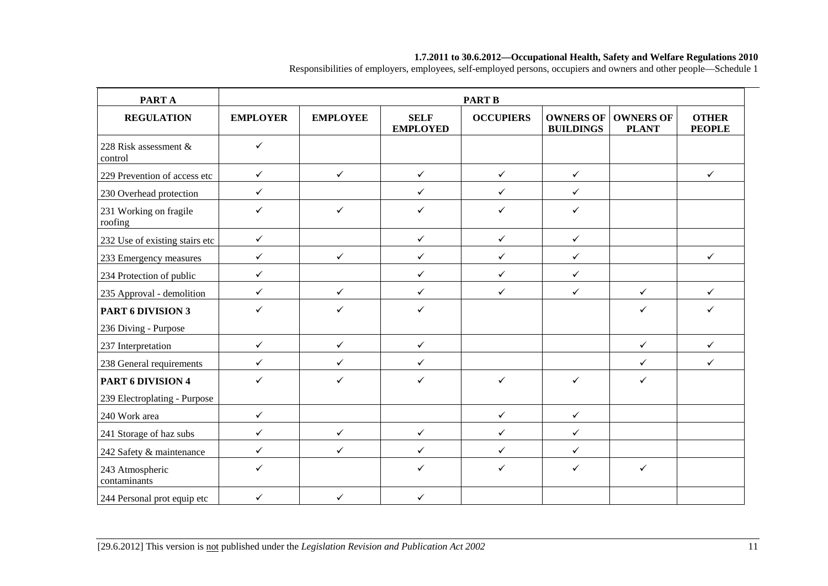| <b>PARTA</b>                      |                 |                 |                                | <b>PART B</b>    |                                      |                                  |                               |
|-----------------------------------|-----------------|-----------------|--------------------------------|------------------|--------------------------------------|----------------------------------|-------------------------------|
| <b>REGULATION</b>                 | <b>EMPLOYER</b> | <b>EMPLOYEE</b> | <b>SELF</b><br><b>EMPLOYED</b> | <b>OCCUPIERS</b> | <b>OWNERS OF</b><br><b>BUILDINGS</b> | <b>OWNERS OF</b><br><b>PLANT</b> | <b>OTHER</b><br><b>PEOPLE</b> |
| 228 Risk assessment &<br>control  | $\checkmark$    |                 |                                |                  |                                      |                                  |                               |
| 229 Prevention of access etc      | $\checkmark$    | $\checkmark$    | $\checkmark$                   | $\checkmark$     | $\checkmark$                         |                                  | $\checkmark$                  |
| 230 Overhead protection           | $\checkmark$    |                 | $\checkmark$                   | $\checkmark$     | $\checkmark$                         |                                  |                               |
| 231 Working on fragile<br>roofing | $\checkmark$    | $\checkmark$    | $\checkmark$                   | $\checkmark$     | $\checkmark$                         |                                  |                               |
| 232 Use of existing stairs etc    | $\checkmark$    |                 | $\checkmark$                   | $\checkmark$     | $\checkmark$                         |                                  |                               |
| 233 Emergency measures            | $\checkmark$    | $\checkmark$    | $\checkmark$                   | $\checkmark$     | $\checkmark$                         |                                  | $\checkmark$                  |
| 234 Protection of public          | $\checkmark$    |                 | $\checkmark$                   | $\checkmark$     | $\checkmark$                         |                                  |                               |
| 235 Approval - demolition         | $\checkmark$    | ✓               | $\checkmark$                   | $\checkmark$     | $\checkmark$                         | $\checkmark$                     | $\checkmark$                  |
| PART 6 DIVISION 3                 | $\checkmark$    | $\checkmark$    | $\checkmark$                   |                  |                                      | $\checkmark$                     | $\checkmark$                  |
| 236 Diving - Purpose              |                 |                 |                                |                  |                                      |                                  |                               |
| 237 Interpretation                | $\checkmark$    | $\checkmark$    | $\checkmark$                   |                  |                                      | $\checkmark$                     | $\checkmark$                  |
| 238 General requirements          | $\checkmark$    | $\checkmark$    | $\checkmark$                   |                  |                                      | $\checkmark$                     | $\checkmark$                  |
| PART 6 DIVISION 4                 | $\checkmark$    | $\checkmark$    | $\checkmark$                   | $\checkmark$     | $\checkmark$                         | $\checkmark$                     |                               |
| 239 Electroplating - Purpose      |                 |                 |                                |                  |                                      |                                  |                               |
| 240 Work area                     | $\checkmark$    |                 |                                | $\checkmark$     | $\checkmark$                         |                                  |                               |
| 241 Storage of haz subs           | $\checkmark$    | $\checkmark$    | $\checkmark$                   | $\checkmark$     | $\checkmark$                         |                                  |                               |
| 242 Safety & maintenance          | $\checkmark$    | ✓               | $\checkmark$                   | $\checkmark$     | $\checkmark$                         |                                  |                               |
| 243 Atmospheric<br>contaminants   | ✓               |                 | $\checkmark$                   | $\checkmark$     | $\checkmark$                         | $\checkmark$                     |                               |
| 244 Personal prot equip etc       | $\checkmark$    | $\checkmark$    | $\checkmark$                   |                  |                                      |                                  |                               |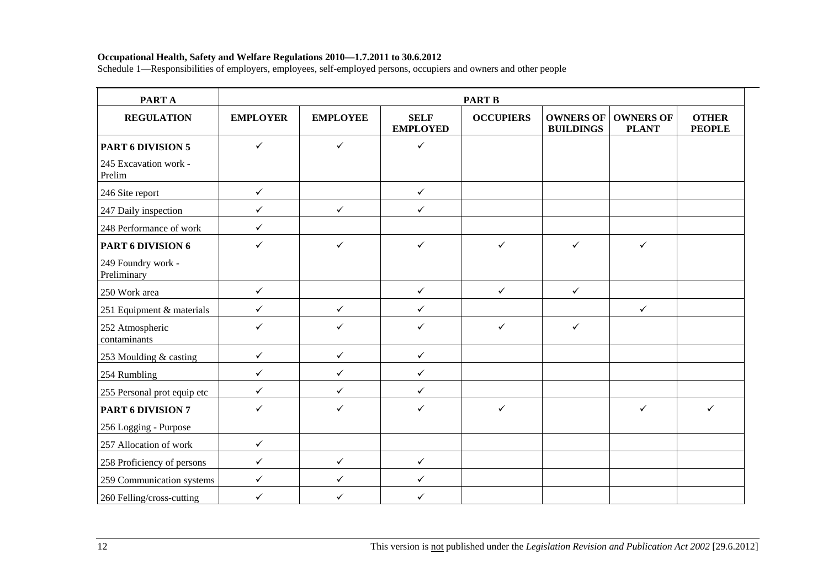| <b>PARTA</b>                      |                 |                 |                                | <b>PART B</b>    |                                      |                                  |                               |
|-----------------------------------|-----------------|-----------------|--------------------------------|------------------|--------------------------------------|----------------------------------|-------------------------------|
| <b>REGULATION</b>                 | <b>EMPLOYER</b> | <b>EMPLOYEE</b> | <b>SELF</b><br><b>EMPLOYED</b> | <b>OCCUPIERS</b> | <b>OWNERS OF</b><br><b>BUILDINGS</b> | <b>OWNERS OF</b><br><b>PLANT</b> | <b>OTHER</b><br><b>PEOPLE</b> |
| <b>PART 6 DIVISION 5</b>          | $\checkmark$    | $\checkmark$    | $\checkmark$                   |                  |                                      |                                  |                               |
| 245 Excavation work -<br>Prelim   |                 |                 |                                |                  |                                      |                                  |                               |
| 246 Site report                   | $\checkmark$    |                 | $\checkmark$                   |                  |                                      |                                  |                               |
| 247 Daily inspection              | $\checkmark$    | $\checkmark$    | $\checkmark$                   |                  |                                      |                                  |                               |
| 248 Performance of work           | $\checkmark$    |                 |                                |                  |                                      |                                  |                               |
| PART 6 DIVISION 6                 | $\checkmark$    | $\checkmark$    | $\checkmark$                   | $\checkmark$     | $\checkmark$                         | $\checkmark$                     |                               |
| 249 Foundry work -<br>Preliminary |                 |                 |                                |                  |                                      |                                  |                               |
| 250 Work area                     | $\checkmark$    |                 | $\checkmark$                   | $\checkmark$     | $\checkmark$                         |                                  |                               |
| 251 Equipment & materials         | $\checkmark$    | $\checkmark$    | $\checkmark$                   |                  |                                      | $\checkmark$                     |                               |
| 252 Atmospheric<br>contaminants   | $\checkmark$    | ✓               | $\checkmark$                   | $\checkmark$     | $\checkmark$                         |                                  |                               |
| 253 Moulding & casting            | $\checkmark$    | $\checkmark$    | $\checkmark$                   |                  |                                      |                                  |                               |
| 254 Rumbling                      | $\checkmark$    | $\checkmark$    | $\checkmark$                   |                  |                                      |                                  |                               |
| 255 Personal prot equip etc       | $\checkmark$    | $\checkmark$    | $\checkmark$                   |                  |                                      |                                  |                               |
| <b>PART 6 DIVISION 7</b>          | $\checkmark$    | ✓               | $\checkmark$                   | $\checkmark$     |                                      | $\checkmark$                     | $\checkmark$                  |
| 256 Logging - Purpose             |                 |                 |                                |                  |                                      |                                  |                               |
| 257 Allocation of work            | $\checkmark$    |                 |                                |                  |                                      |                                  |                               |
| 258 Proficiency of persons        | $\checkmark$    | $\checkmark$    | $\checkmark$                   |                  |                                      |                                  |                               |
| 259 Communication systems         | $\checkmark$    | $\checkmark$    | $\checkmark$                   |                  |                                      |                                  |                               |
| 260 Felling/cross-cutting         | $\checkmark$    | ✓               | $\checkmark$                   |                  |                                      |                                  |                               |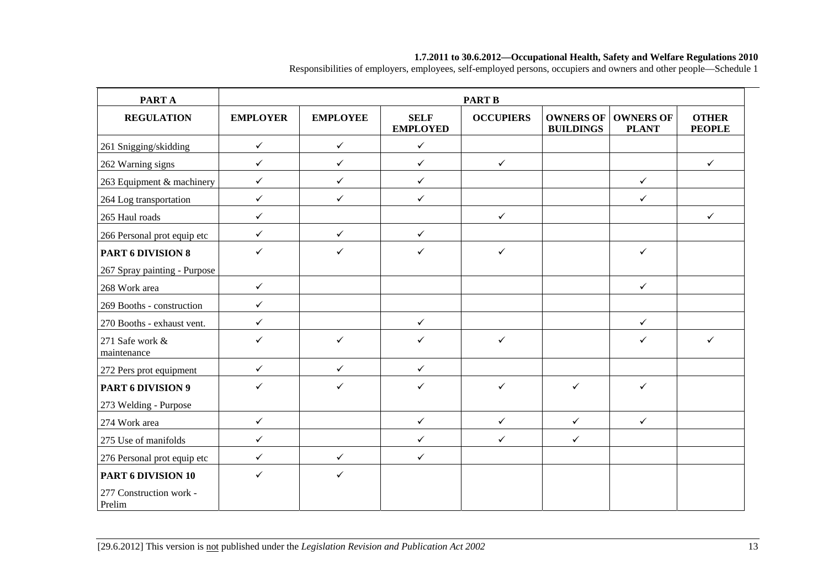| PART A                                                  |                 |                 |                                | <b>PART B</b>    |                                      |                                  |                               |
|---------------------------------------------------------|-----------------|-----------------|--------------------------------|------------------|--------------------------------------|----------------------------------|-------------------------------|
| <b>REGULATION</b>                                       | <b>EMPLOYER</b> | <b>EMPLOYEE</b> | <b>SELF</b><br><b>EMPLOYED</b> | <b>OCCUPIERS</b> | <b>OWNERS OF</b><br><b>BUILDINGS</b> | <b>OWNERS OF</b><br><b>PLANT</b> | <b>OTHER</b><br><b>PEOPLE</b> |
| 261 Snigging/skidding                                   | $\checkmark$    | $\checkmark$    | $\checkmark$                   |                  |                                      |                                  |                               |
| 262 Warning signs                                       | $\checkmark$    | $\checkmark$    | $\checkmark$                   | $\checkmark$     |                                      |                                  | $\checkmark$                  |
| 263 Equipment & machinery                               | $\checkmark$    | $\checkmark$    | $\checkmark$                   |                  |                                      | $\checkmark$                     |                               |
| 264 Log transportation                                  | $\checkmark$    | $\checkmark$    | $\checkmark$                   |                  |                                      | $\checkmark$                     |                               |
| 265 Haul roads                                          | $\checkmark$    |                 |                                | $\checkmark$     |                                      |                                  | $\checkmark$                  |
| 266 Personal prot equip etc                             | $\checkmark$    | $\checkmark$    | $\checkmark$                   |                  |                                      |                                  |                               |
| <b>PART 6 DIVISION 8</b>                                | $\checkmark$    | ✓               | $\checkmark$                   | $\checkmark$     |                                      | $\checkmark$                     |                               |
| 267 Spray painting - Purpose                            |                 |                 |                                |                  |                                      |                                  |                               |
| 268 Work area                                           | $\checkmark$    |                 |                                |                  |                                      | $\checkmark$                     |                               |
| 269 Booths - construction                               | $\checkmark$    |                 |                                |                  |                                      |                                  |                               |
| 270 Booths - exhaust vent.                              | $\checkmark$    |                 | $\checkmark$                   |                  |                                      | $\checkmark$                     |                               |
| 271 Safe work &<br>maintenance                          | $\checkmark$    | $\checkmark$    | ✓                              | $\checkmark$     |                                      | $\checkmark$                     | $\checkmark$                  |
| 272 Pers prot equipment                                 | $\checkmark$    | $\checkmark$    | $\checkmark$                   |                  |                                      |                                  |                               |
| PART 6 DIVISION 9<br>273 Welding - Purpose              | $\checkmark$    | ✓               | $\checkmark$                   | $\checkmark$     | $\checkmark$                         | $\checkmark$                     |                               |
| 274 Work area                                           | $\checkmark$    |                 | $\checkmark$                   | $\checkmark$     | $\checkmark$                         | $\checkmark$                     |                               |
| 275 Use of manifolds                                    | $\checkmark$    |                 | $\checkmark$                   | $\checkmark$     | $\checkmark$                         |                                  |                               |
| 276 Personal prot equip etc                             | $\checkmark$    | $\checkmark$    | $\checkmark$                   |                  |                                      |                                  |                               |
| PART 6 DIVISION 10<br>277 Construction work -<br>Prelim | $\checkmark$    | $\checkmark$    |                                |                  |                                      |                                  |                               |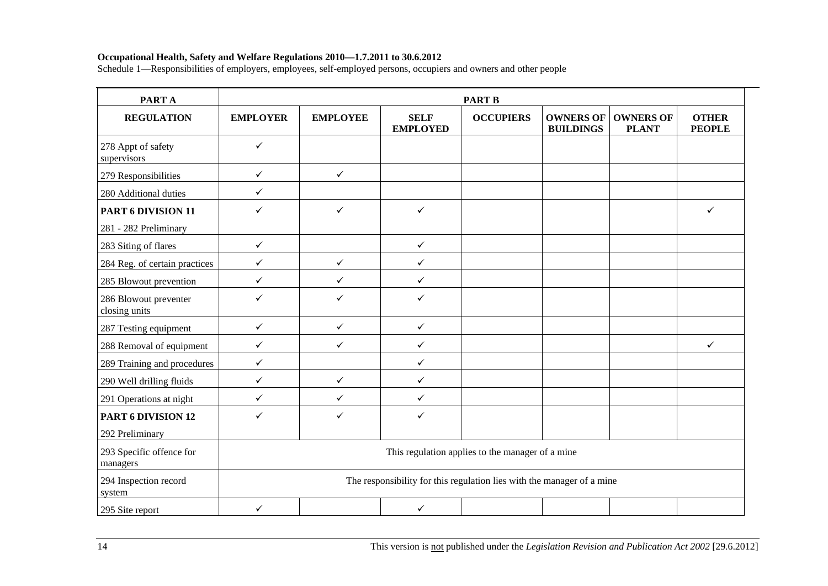| PART A                                 | <b>PART B</b>   |                 |                                                                        |                                                  |                                      |                                  |                               |  |  |  |
|----------------------------------------|-----------------|-----------------|------------------------------------------------------------------------|--------------------------------------------------|--------------------------------------|----------------------------------|-------------------------------|--|--|--|
| <b>REGULATION</b>                      | <b>EMPLOYER</b> | <b>EMPLOYEE</b> | <b>SELF</b><br><b>EMPLOYED</b>                                         | <b>OCCUPIERS</b>                                 | <b>OWNERS OF</b><br><b>BUILDINGS</b> | <b>OWNERS OF</b><br><b>PLANT</b> | <b>OTHER</b><br><b>PEOPLE</b> |  |  |  |
| 278 Appt of safety<br>supervisors      | $\checkmark$    |                 |                                                                        |                                                  |                                      |                                  |                               |  |  |  |
| 279 Responsibilities                   | $\checkmark$    | $\checkmark$    |                                                                        |                                                  |                                      |                                  |                               |  |  |  |
| 280 Additional duties                  | $\checkmark$    |                 |                                                                        |                                                  |                                      |                                  |                               |  |  |  |
| PART 6 DIVISION 11                     | ✓               | $\checkmark$    | $\checkmark$                                                           |                                                  |                                      |                                  | ✓                             |  |  |  |
| 281 - 282 Preliminary                  |                 |                 |                                                                        |                                                  |                                      |                                  |                               |  |  |  |
| 283 Siting of flares                   | $\checkmark$    |                 | $\checkmark$                                                           |                                                  |                                      |                                  |                               |  |  |  |
| 284 Reg. of certain practices          | $\checkmark$    | $\checkmark$    | $\checkmark$                                                           |                                                  |                                      |                                  |                               |  |  |  |
| 285 Blowout prevention                 | $\checkmark$    | $\checkmark$    | $\checkmark$                                                           |                                                  |                                      |                                  |                               |  |  |  |
| 286 Blowout preventer<br>closing units | $\checkmark$    | ✓               | ✓                                                                      |                                                  |                                      |                                  |                               |  |  |  |
| 287 Testing equipment                  | $\checkmark$    | $\checkmark$    | $\checkmark$                                                           |                                                  |                                      |                                  |                               |  |  |  |
| 288 Removal of equipment               | $\checkmark$    | ✓               | $\checkmark$                                                           |                                                  |                                      |                                  | ✓                             |  |  |  |
| 289 Training and procedures            | $\checkmark$    |                 | $\checkmark$                                                           |                                                  |                                      |                                  |                               |  |  |  |
| 290 Well drilling fluids               | $\checkmark$    | $\checkmark$    | $\checkmark$                                                           |                                                  |                                      |                                  |                               |  |  |  |
| 291 Operations at night                | $\checkmark$    | $\checkmark$    | $\checkmark$                                                           |                                                  |                                      |                                  |                               |  |  |  |
| PART 6 DIVISION 12                     | $\checkmark$    | ✓               | ✓                                                                      |                                                  |                                      |                                  |                               |  |  |  |
| 292 Preliminary                        |                 |                 |                                                                        |                                                  |                                      |                                  |                               |  |  |  |
| 293 Specific offence for<br>managers   |                 |                 |                                                                        | This regulation applies to the manager of a mine |                                      |                                  |                               |  |  |  |
| 294 Inspection record<br>system        |                 |                 | The responsibility for this regulation lies with the manager of a mine |                                                  |                                      |                                  |                               |  |  |  |
| 295 Site report                        | $\checkmark$    |                 | $\checkmark$                                                           |                                                  |                                      |                                  |                               |  |  |  |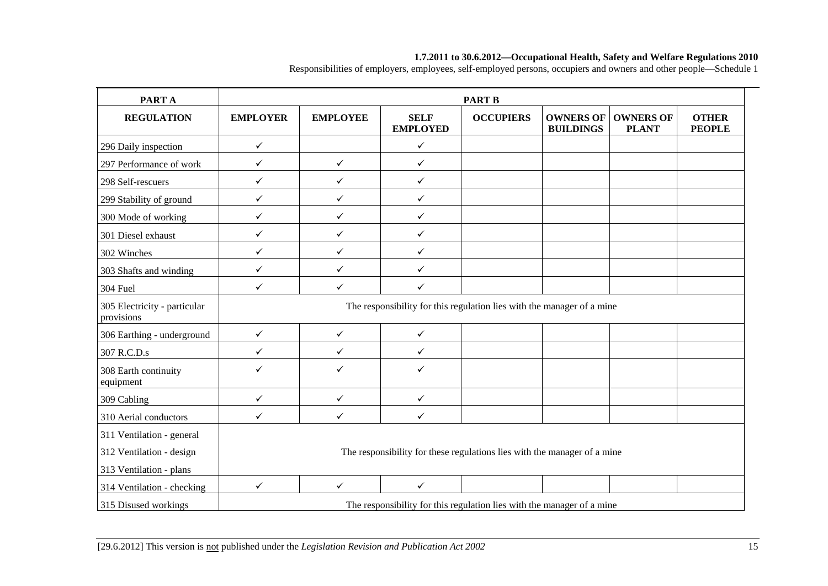| <b>PARTA</b>                               |                 |                 |                                                                          | <b>PART B</b>    |                                      |                                  |                               |
|--------------------------------------------|-----------------|-----------------|--------------------------------------------------------------------------|------------------|--------------------------------------|----------------------------------|-------------------------------|
| <b>REGULATION</b>                          | <b>EMPLOYER</b> | <b>EMPLOYEE</b> | <b>SELF</b><br><b>EMPLOYED</b>                                           | <b>OCCUPIERS</b> | <b>OWNERS OF</b><br><b>BUILDINGS</b> | <b>OWNERS OF</b><br><b>PLANT</b> | <b>OTHER</b><br><b>PEOPLE</b> |
| 296 Daily inspection                       | $\checkmark$    |                 | $\checkmark$                                                             |                  |                                      |                                  |                               |
| 297 Performance of work                    | $\checkmark$    | $\checkmark$    | $\checkmark$                                                             |                  |                                      |                                  |                               |
| 298 Self-rescuers                          | $\checkmark$    | $\checkmark$    | $\checkmark$                                                             |                  |                                      |                                  |                               |
| 299 Stability of ground                    | ✓               | $\checkmark$    | $\checkmark$                                                             |                  |                                      |                                  |                               |
| 300 Mode of working                        | $\checkmark$    | $\checkmark$    | $\checkmark$                                                             |                  |                                      |                                  |                               |
| 301 Diesel exhaust                         | $\checkmark$    | $\checkmark$    | $\checkmark$                                                             |                  |                                      |                                  |                               |
| 302 Winches                                | ✓               | $\checkmark$    | $\checkmark$                                                             |                  |                                      |                                  |                               |
| 303 Shafts and winding                     | ✓               | $\checkmark$    | $\checkmark$                                                             |                  |                                      |                                  |                               |
| 304 Fuel                                   | $\checkmark$    | $\checkmark$    | $\checkmark$                                                             |                  |                                      |                                  |                               |
| 305 Electricity - particular<br>provisions |                 |                 | The responsibility for this regulation lies with the manager of a mine   |                  |                                      |                                  |                               |
| 306 Earthing - underground                 | $\checkmark$    | $\checkmark$    | $\checkmark$                                                             |                  |                                      |                                  |                               |
| 307 R.C.D.s                                | ✓               | ✓               | $\checkmark$                                                             |                  |                                      |                                  |                               |
| 308 Earth continuity<br>equipment          | ✓               | ✓               | $\checkmark$                                                             |                  |                                      |                                  |                               |
| 309 Cabling                                | $\checkmark$    | $\checkmark$    | $\checkmark$                                                             |                  |                                      |                                  |                               |
| 310 Aerial conductors                      | ✓               | ✓               | $\checkmark$                                                             |                  |                                      |                                  |                               |
| 311 Ventilation - general                  |                 |                 |                                                                          |                  |                                      |                                  |                               |
| 312 Ventilation - design                   |                 |                 | The responsibility for these regulations lies with the manager of a mine |                  |                                      |                                  |                               |
| 313 Ventilation - plans                    |                 |                 |                                                                          |                  |                                      |                                  |                               |
| 314 Ventilation - checking                 | $\checkmark$    | $\checkmark$    | $\checkmark$                                                             |                  |                                      |                                  |                               |
| 315 Disused workings                       |                 |                 | The responsibility for this regulation lies with the manager of a mine   |                  |                                      |                                  |                               |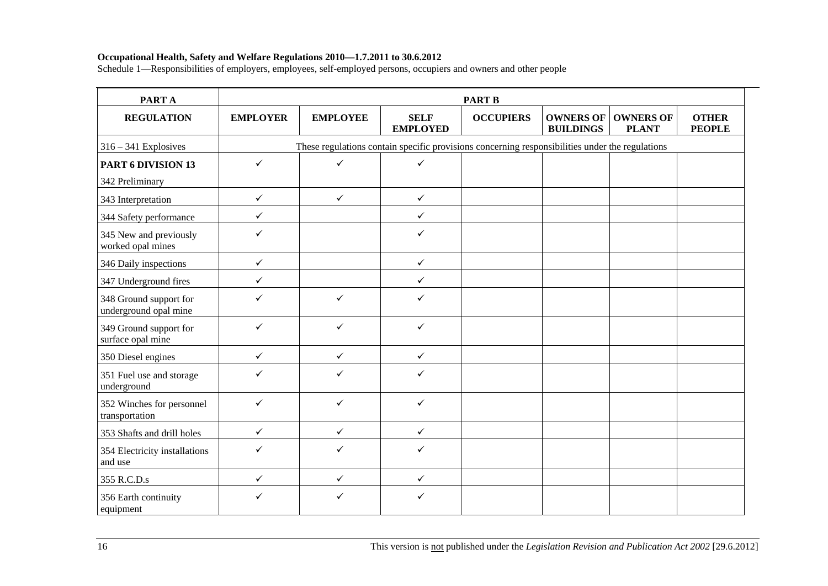| <b>PARTA</b>                                    |                 |                                                                                                 |                                | <b>PART B</b>    |                                      |                                  |                               |  |  |
|-------------------------------------------------|-----------------|-------------------------------------------------------------------------------------------------|--------------------------------|------------------|--------------------------------------|----------------------------------|-------------------------------|--|--|
| <b>REGULATION</b>                               | <b>EMPLOYER</b> | <b>EMPLOYEE</b>                                                                                 | <b>SELF</b><br><b>EMPLOYED</b> | <b>OCCUPIERS</b> | <b>OWNERS OF</b><br><b>BUILDINGS</b> | <b>OWNERS OF</b><br><b>PLANT</b> | <b>OTHER</b><br><b>PEOPLE</b> |  |  |
| $316 - 341$ Explosives                          |                 | These regulations contain specific provisions concerning responsibilities under the regulations |                                |                  |                                      |                                  |                               |  |  |
| <b>PART 6 DIVISION 13</b>                       | $\checkmark$    | ✓                                                                                               | $\checkmark$                   |                  |                                      |                                  |                               |  |  |
| 342 Preliminary                                 |                 |                                                                                                 |                                |                  |                                      |                                  |                               |  |  |
| 343 Interpretation                              | $\checkmark$    | $\checkmark$                                                                                    | $\checkmark$                   |                  |                                      |                                  |                               |  |  |
| 344 Safety performance                          | $\checkmark$    |                                                                                                 | $\checkmark$                   |                  |                                      |                                  |                               |  |  |
| 345 New and previously<br>worked opal mines     | ✓               |                                                                                                 | $\checkmark$                   |                  |                                      |                                  |                               |  |  |
| 346 Daily inspections                           | $\checkmark$    |                                                                                                 | $\checkmark$                   |                  |                                      |                                  |                               |  |  |
| 347 Underground fires                           | $\checkmark$    |                                                                                                 | $\checkmark$                   |                  |                                      |                                  |                               |  |  |
| 348 Ground support for<br>underground opal mine | ✓               | ✓                                                                                               | $\checkmark$                   |                  |                                      |                                  |                               |  |  |
| 349 Ground support for<br>surface opal mine     | $\checkmark$    | ✓                                                                                               | $\checkmark$                   |                  |                                      |                                  |                               |  |  |
| 350 Diesel engines                              | $\checkmark$    | $\checkmark$                                                                                    | $\checkmark$                   |                  |                                      |                                  |                               |  |  |
| 351 Fuel use and storage<br>underground         | $\checkmark$    | ✓                                                                                               | $\checkmark$                   |                  |                                      |                                  |                               |  |  |
| 352 Winches for personnel<br>transportation     | $\checkmark$    | ✓                                                                                               | ✓                              |                  |                                      |                                  |                               |  |  |
| 353 Shafts and drill holes                      | $\checkmark$    | $\checkmark$                                                                                    | $\checkmark$                   |                  |                                      |                                  |                               |  |  |
| 354 Electricity installations<br>and use        | ✓               | ✓                                                                                               | $\checkmark$                   |                  |                                      |                                  |                               |  |  |
| 355 R.C.D.s                                     | $\checkmark$    | $\checkmark$                                                                                    | $\checkmark$                   |                  |                                      |                                  |                               |  |  |
| 356 Earth continuity<br>equipment               | ✓               | $\checkmark$                                                                                    | ✓                              |                  |                                      |                                  |                               |  |  |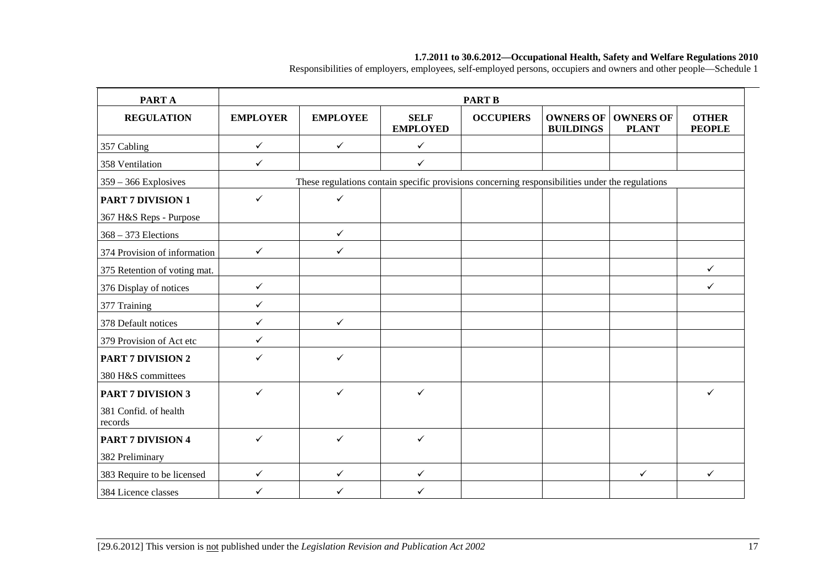| PART A                           |                 |                                                                                                 |                                | <b>PART B</b>    |                                      |                                  |                               |
|----------------------------------|-----------------|-------------------------------------------------------------------------------------------------|--------------------------------|------------------|--------------------------------------|----------------------------------|-------------------------------|
| <b>REGULATION</b>                | <b>EMPLOYER</b> | <b>EMPLOYEE</b>                                                                                 | <b>SELF</b><br><b>EMPLOYED</b> | <b>OCCUPIERS</b> | <b>OWNERS OF</b><br><b>BUILDINGS</b> | <b>OWNERS OF</b><br><b>PLANT</b> | <b>OTHER</b><br><b>PEOPLE</b> |
| 357 Cabling                      | $\checkmark$    | $\checkmark$                                                                                    | $\checkmark$                   |                  |                                      |                                  |                               |
| 358 Ventilation                  | $\checkmark$    |                                                                                                 | $\checkmark$                   |                  |                                      |                                  |                               |
| $359 - 366$ Explosives           |                 | These regulations contain specific provisions concerning responsibilities under the regulations |                                |                  |                                      |                                  |                               |
| <b>PART 7 DIVISION 1</b>         | $\checkmark$    | $\checkmark$                                                                                    |                                |                  |                                      |                                  |                               |
| 367 H&S Reps - Purpose           |                 |                                                                                                 |                                |                  |                                      |                                  |                               |
| $368 - 373$ Elections            |                 | $\checkmark$                                                                                    |                                |                  |                                      |                                  |                               |
| 374 Provision of information     | $\checkmark$    | $\checkmark$                                                                                    |                                |                  |                                      |                                  |                               |
| 375 Retention of voting mat.     |                 |                                                                                                 |                                |                  |                                      |                                  | $\checkmark$                  |
| 376 Display of notices           | $\checkmark$    |                                                                                                 |                                |                  |                                      |                                  | $\checkmark$                  |
| 377 Training                     | ✓               |                                                                                                 |                                |                  |                                      |                                  |                               |
| 378 Default notices              | $\checkmark$    | $\checkmark$                                                                                    |                                |                  |                                      |                                  |                               |
| 379 Provision of Act etc         | $\checkmark$    |                                                                                                 |                                |                  |                                      |                                  |                               |
| <b>PART 7 DIVISION 2</b>         | ✓               | ✓                                                                                               |                                |                  |                                      |                                  |                               |
| 380 H&S committees               |                 |                                                                                                 |                                |                  |                                      |                                  |                               |
| <b>PART 7 DIVISION 3</b>         | ✓               | ✓                                                                                               | ✓                              |                  |                                      |                                  | $\checkmark$                  |
| 381 Confid. of health<br>records |                 |                                                                                                 |                                |                  |                                      |                                  |                               |
| <b>PART 7 DIVISION 4</b>         | $\checkmark$    | $\checkmark$                                                                                    | $\checkmark$                   |                  |                                      |                                  |                               |
| 382 Preliminary                  |                 |                                                                                                 |                                |                  |                                      |                                  |                               |
| 383 Require to be licensed       | $\checkmark$    | $\checkmark$                                                                                    | $\checkmark$                   |                  |                                      | $\checkmark$                     | $\checkmark$                  |
| 384 Licence classes              | ✓               | ✓                                                                                               | ✓                              |                  |                                      |                                  |                               |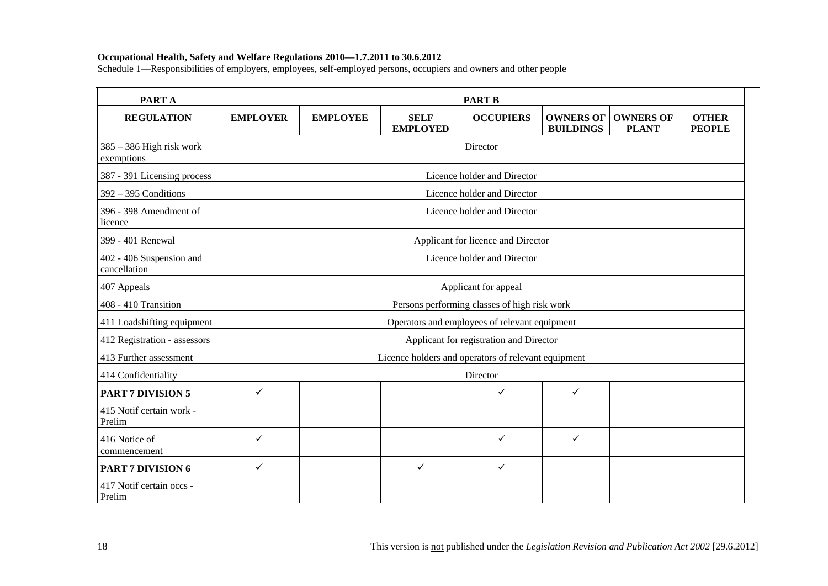| PART A                                   |                 |                                    |                                                     | <b>PART B</b>                                 |                                      |                                  |                               |  |  |
|------------------------------------------|-----------------|------------------------------------|-----------------------------------------------------|-----------------------------------------------|--------------------------------------|----------------------------------|-------------------------------|--|--|
| <b>REGULATION</b>                        | <b>EMPLOYER</b> | <b>EMPLOYEE</b>                    | <b>SELF</b><br><b>EMPLOYED</b>                      | <b>OCCUPIERS</b>                              | <b>OWNERS OF</b><br><b>BUILDINGS</b> | <b>OWNERS OF</b><br><b>PLANT</b> | <b>OTHER</b><br><b>PEOPLE</b> |  |  |
| $385 - 386$ High risk work<br>exemptions |                 |                                    |                                                     | Director                                      |                                      |                                  |                               |  |  |
| 387 - 391 Licensing process              |                 |                                    |                                                     | Licence holder and Director                   |                                      |                                  |                               |  |  |
| $392 - 395$ Conditions                   |                 | Licence holder and Director        |                                                     |                                               |                                      |                                  |                               |  |  |
| 396 - 398 Amendment of<br>licence        |                 | Licence holder and Director        |                                                     |                                               |                                      |                                  |                               |  |  |
| 399 - 401 Renewal                        |                 | Applicant for licence and Director |                                                     |                                               |                                      |                                  |                               |  |  |
| 402 - 406 Suspension and<br>cancellation |                 | Licence holder and Director        |                                                     |                                               |                                      |                                  |                               |  |  |
| 407 Appeals                              |                 | Applicant for appeal               |                                                     |                                               |                                      |                                  |                               |  |  |
| 408 - 410 Transition                     |                 |                                    |                                                     | Persons performing classes of high risk work  |                                      |                                  |                               |  |  |
| 411 Loadshifting equipment               |                 |                                    |                                                     | Operators and employees of relevant equipment |                                      |                                  |                               |  |  |
| 412 Registration - assessors             |                 |                                    |                                                     | Applicant for registration and Director       |                                      |                                  |                               |  |  |
| 413 Further assessment                   |                 |                                    | Licence holders and operators of relevant equipment |                                               |                                      |                                  |                               |  |  |
| 414 Confidentiality                      |                 |                                    |                                                     | Director                                      |                                      |                                  |                               |  |  |
| <b>PART 7 DIVISION 5</b>                 | ✓               |                                    |                                                     | $\checkmark$                                  | $\checkmark$                         |                                  |                               |  |  |
| 415 Notif certain work -<br>Prelim       |                 |                                    |                                                     |                                               |                                      |                                  |                               |  |  |
| 416 Notice of<br>commencement            | ✓               |                                    |                                                     | $\checkmark$                                  | $\checkmark$                         |                                  |                               |  |  |
| <b>PART 7 DIVISION 6</b>                 | ✓               |                                    | ✓                                                   | $\checkmark$                                  |                                      |                                  |                               |  |  |
| 417 Notif certain occs -<br>Prelim       |                 |                                    |                                                     |                                               |                                      |                                  |                               |  |  |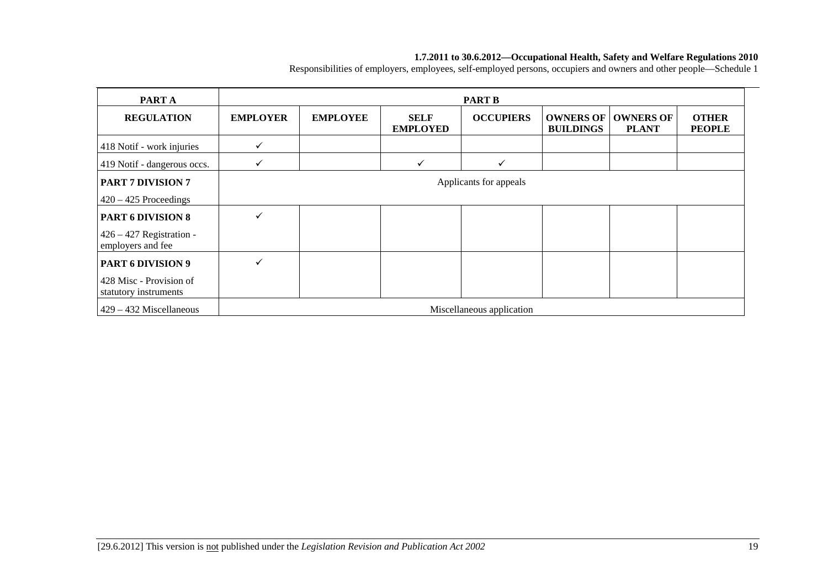| PART A                                              |                 | <b>PART B</b>   |                                |                           |                  |                                              |                               |  |  |  |  |  |  |
|-----------------------------------------------------|-----------------|-----------------|--------------------------------|---------------------------|------------------|----------------------------------------------|-------------------------------|--|--|--|--|--|--|
| <b>REGULATION</b>                                   | <b>EMPLOYER</b> | <b>EMPLOYEE</b> | <b>SELF</b><br><b>EMPLOYED</b> | <b>OCCUPIERS</b>          | <b>BUILDINGS</b> | <b>OWNERS OF   OWNERS OF</b><br><b>PLANT</b> | <b>OTHER</b><br><b>PEOPLE</b> |  |  |  |  |  |  |
| 418 Notif - work injuries                           | ✓               |                 |                                |                           |                  |                                              |                               |  |  |  |  |  |  |
| 419 Notif - dangerous occs.                         | ✓               |                 |                                | $\checkmark$              |                  |                                              |                               |  |  |  |  |  |  |
| <b>PART 7 DIVISION 7</b><br>$420 - 425$ Proceedings |                 |                 |                                | Applicants for appeals    |                  |                                              |                               |  |  |  |  |  |  |
| <b>PART 6 DIVISION 8</b>                            | ✓               |                 |                                |                           |                  |                                              |                               |  |  |  |  |  |  |
| $426 - 427$ Registration -<br>employers and fee     |                 |                 |                                |                           |                  |                                              |                               |  |  |  |  |  |  |
| <b>PART 6 DIVISION 9</b>                            |                 |                 |                                |                           |                  |                                              |                               |  |  |  |  |  |  |
| 428 Misc - Provision of<br>statutory instruments    |                 |                 |                                |                           |                  |                                              |                               |  |  |  |  |  |  |
| $429 - 432$ Miscellaneous                           |                 |                 |                                | Miscellaneous application |                  |                                              |                               |  |  |  |  |  |  |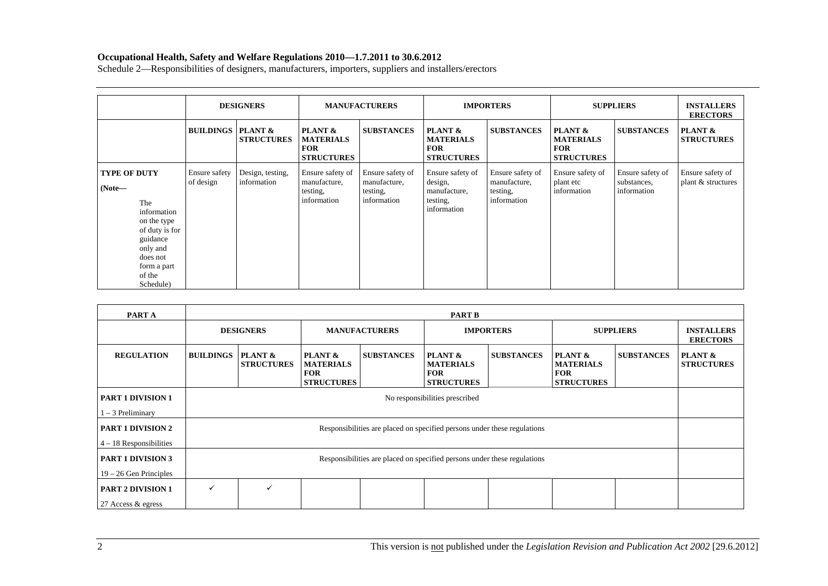|                                                                                                                                                                  | <b>DESIGNERS</b>               |                                 | <b>MANUFACTURERS</b>                                           |                                                             | <b>IMPORTERS</b>                                                       |                                                             | <b>SUPPLIERS</b>                                               |                                                | <b>INSTALLERS</b><br><b>ERECTORS</b>   |
|------------------------------------------------------------------------------------------------------------------------------------------------------------------|--------------------------------|---------------------------------|----------------------------------------------------------------|-------------------------------------------------------------|------------------------------------------------------------------------|-------------------------------------------------------------|----------------------------------------------------------------|------------------------------------------------|----------------------------------------|
|                                                                                                                                                                  | <b>BUILDINGS   PLANT &amp;</b> | <b>STRUCTURES</b>               | PLANT &<br><b>MATERIALS</b><br><b>FOR</b><br><b>STRUCTURES</b> | <b>SUBSTANCES</b>                                           | PLANT &<br><b>MATERIALS</b><br><b>FOR</b><br><b>STRUCTURES</b>         | <b>SUBSTANCES</b>                                           | PLANT &<br><b>MATERIALS</b><br><b>FOR</b><br><b>STRUCTURES</b> | <b>SUBSTANCES</b>                              | PLANT &<br><b>STRUCTURES</b>           |
| <b>TYPE OF DUTY</b><br>$(Note-$<br>The<br>information<br>on the type<br>of duty is for<br>guidance<br>only and<br>does not<br>form a part<br>of the<br>Schedule) | Ensure safety<br>of design     | Design, testing,<br>information | Ensure safety of<br>manufacture,<br>testing,<br>information    | Ensure safety of<br>manufacture,<br>testing,<br>information | Ensure safety of<br>design,<br>manufacture,<br>testing,<br>information | Ensure safety of<br>manufacture,<br>testing,<br>information | Ensure safety of<br>plant etc<br>information                   | Ensure safety of<br>substances,<br>information | Ensure safety of<br>plant & structures |

| PART A                                         |                  | <b>PART B</b>                  |                                                                |                      |                                                                          |                   |                                                                           |                   |                                      |  |  |  |
|------------------------------------------------|------------------|--------------------------------|----------------------------------------------------------------|----------------------|--------------------------------------------------------------------------|-------------------|---------------------------------------------------------------------------|-------------------|--------------------------------------|--|--|--|
|                                                |                  | <b>DESIGNERS</b>               |                                                                | <b>MANUFACTURERS</b> |                                                                          | <b>IMPORTERS</b>  |                                                                           | <b>SUPPLIERS</b>  | <b>INSTALLERS</b><br><b>ERECTORS</b> |  |  |  |
| <b>REGULATION</b>                              | <b>BUILDINGS</b> | PLANT &<br><b>STRUCTURES</b>   | PLANT &<br><b>MATERIALS</b><br><b>FOR</b><br><b>STRUCTURES</b> | <b>SUBSTANCES</b>    | PLANT &<br><b>MATERIALS</b><br><b>FOR</b><br><b>STRUCTURES</b>           | <b>SUBSTANCES</b> | <b>PLANT &amp;</b><br><b>MATERIALS</b><br><b>FOR</b><br><b>STRUCTURES</b> | <b>SUBSTANCES</b> | PLANT &<br><b>STRUCTURES</b>         |  |  |  |
| <b>PART 1 DIVISION 1</b>                       |                  | No responsibilities prescribed |                                                                |                      |                                                                          |                   |                                                                           |                   |                                      |  |  |  |
| l – 3 Preliminary                              |                  |                                |                                                                |                      |                                                                          |                   |                                                                           |                   |                                      |  |  |  |
| <b>PART 1 DIVISION 2</b>                       |                  |                                |                                                                |                      | Responsibilities are placed on specified persons under these regulations |                   |                                                                           |                   |                                      |  |  |  |
| $4 - 18$ Responsibilities                      |                  |                                |                                                                |                      |                                                                          |                   |                                                                           |                   |                                      |  |  |  |
| <b>PART 1 DIVISION 3</b>                       |                  |                                |                                                                |                      | Responsibilities are placed on specified persons under these regulations |                   |                                                                           |                   |                                      |  |  |  |
| $19 - 26$ Gen Principles                       |                  |                                |                                                                |                      |                                                                          |                   |                                                                           |                   |                                      |  |  |  |
| <b>PART 2 DIVISION 1</b><br>27 Access & egress | ✓                |                                |                                                                |                      |                                                                          |                   |                                                                           |                   |                                      |  |  |  |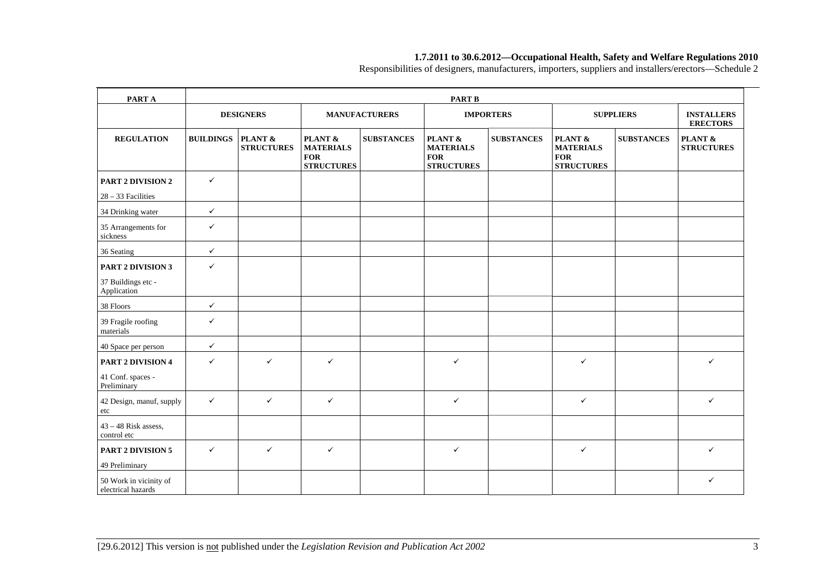Responsibilities of designers, manufacturers, importers, suppliers and installers/erectors—Schedule 2

| PART A                                       |                  | <b>PART B</b>                |                                                                |                      |                                                                |                   |                                                                |                   |                                      |  |  |
|----------------------------------------------|------------------|------------------------------|----------------------------------------------------------------|----------------------|----------------------------------------------------------------|-------------------|----------------------------------------------------------------|-------------------|--------------------------------------|--|--|
|                                              |                  | <b>DESIGNERS</b>             |                                                                | <b>MANUFACTURERS</b> |                                                                | <b>IMPORTERS</b>  |                                                                | <b>SUPPLIERS</b>  | <b>INSTALLERS</b><br><b>ERECTORS</b> |  |  |
| <b>REGULATION</b>                            | <b>BUILDINGS</b> | PLANT &<br><b>STRUCTURES</b> | PLANT &<br><b>MATERIALS</b><br><b>FOR</b><br><b>STRUCTURES</b> | <b>SUBSTANCES</b>    | PLANT &<br><b>MATERIALS</b><br><b>FOR</b><br><b>STRUCTURES</b> | <b>SUBSTANCES</b> | PLANT &<br><b>MATERIALS</b><br><b>FOR</b><br><b>STRUCTURES</b> | <b>SUBSTANCES</b> | PLANT &<br><b>STRUCTURES</b>         |  |  |
| <b>PART 2 DIVISION 2</b>                     | $\checkmark$     |                              |                                                                |                      |                                                                |                   |                                                                |                   |                                      |  |  |
| $28 - 33$ Facilities                         |                  |                              |                                                                |                      |                                                                |                   |                                                                |                   |                                      |  |  |
| 34 Drinking water                            | $\checkmark$     |                              |                                                                |                      |                                                                |                   |                                                                |                   |                                      |  |  |
| 35 Arrangements for<br>sickness              | $\checkmark$     |                              |                                                                |                      |                                                                |                   |                                                                |                   |                                      |  |  |
| 36 Seating                                   | $\checkmark$     |                              |                                                                |                      |                                                                |                   |                                                                |                   |                                      |  |  |
| <b>PART 2 DIVISION 3</b>                     | $\checkmark$     |                              |                                                                |                      |                                                                |                   |                                                                |                   |                                      |  |  |
| 37 Buildings etc -<br>Application            |                  |                              |                                                                |                      |                                                                |                   |                                                                |                   |                                      |  |  |
| 38 Floors                                    | $\checkmark$     |                              |                                                                |                      |                                                                |                   |                                                                |                   |                                      |  |  |
| 39 Fragile roofing<br>materials              | $\checkmark$     |                              |                                                                |                      |                                                                |                   |                                                                |                   |                                      |  |  |
| 40 Space per person                          | $\checkmark$     |                              |                                                                |                      |                                                                |                   |                                                                |                   |                                      |  |  |
| PART 2 DIVISION 4                            | $\checkmark$     | $\checkmark$                 | $\checkmark$                                                   |                      | $\checkmark$                                                   |                   | $\checkmark$                                                   |                   | $\checkmark$                         |  |  |
| 41 Conf. spaces -<br>Preliminary             |                  |                              |                                                                |                      |                                                                |                   |                                                                |                   |                                      |  |  |
| 42 Design, manuf, supply<br>etc              | $\checkmark$     | $\checkmark$                 | $\checkmark$                                                   |                      | $\checkmark$                                                   |                   | $\checkmark$                                                   |                   | $\checkmark$                         |  |  |
| $43 - 48$ Risk assess,<br>control etc        |                  |                              |                                                                |                      |                                                                |                   |                                                                |                   |                                      |  |  |
| <b>PART 2 DIVISION 5</b><br>49 Preliminary   | $\checkmark$     | $\checkmark$                 | $\checkmark$                                                   |                      | $\checkmark$                                                   |                   | $\checkmark$                                                   |                   | $\checkmark$                         |  |  |
| 50 Work in vicinity of<br>electrical hazards |                  |                              |                                                                |                      |                                                                |                   |                                                                |                   | $\checkmark$                         |  |  |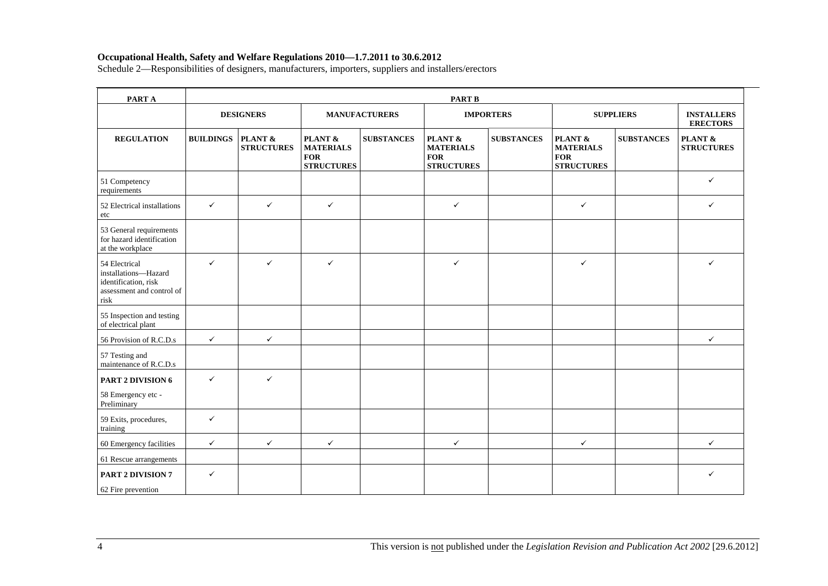| PART A                                                                                             |                  | <b>PART B</b>                |                                                                |                      |                                                                |                   |                                                                |                   |                                      |  |  |  |
|----------------------------------------------------------------------------------------------------|------------------|------------------------------|----------------------------------------------------------------|----------------------|----------------------------------------------------------------|-------------------|----------------------------------------------------------------|-------------------|--------------------------------------|--|--|--|
|                                                                                                    |                  | <b>DESIGNERS</b>             |                                                                | <b>MANUFACTURERS</b> |                                                                | <b>IMPORTERS</b>  |                                                                | <b>SUPPLIERS</b>  | <b>INSTALLERS</b><br><b>ERECTORS</b> |  |  |  |
| <b>REGULATION</b>                                                                                  | <b>BUILDINGS</b> | PLANT &<br><b>STRUCTURES</b> | PLANT &<br><b>MATERIALS</b><br><b>FOR</b><br><b>STRUCTURES</b> | <b>SUBSTANCES</b>    | PLANT &<br><b>MATERIALS</b><br><b>FOR</b><br><b>STRUCTURES</b> | <b>SUBSTANCES</b> | PLANT &<br><b>MATERIALS</b><br><b>FOR</b><br><b>STRUCTURES</b> | <b>SUBSTANCES</b> | PLANT &<br><b>STRUCTURES</b>         |  |  |  |
| 51 Competency<br>requirements                                                                      |                  |                              |                                                                |                      |                                                                |                   |                                                                |                   | $\checkmark$                         |  |  |  |
| 52 Electrical installations<br>etc                                                                 | $\checkmark$     | $\checkmark$                 | $\checkmark$                                                   |                      | $\checkmark$                                                   |                   | $\checkmark$                                                   |                   | $\checkmark$                         |  |  |  |
| 53 General requirements<br>for hazard identification<br>at the workplace                           |                  |                              |                                                                |                      |                                                                |                   |                                                                |                   |                                      |  |  |  |
| 54 Electrical<br>installations-Hazard<br>identification, risk<br>assessment and control of<br>risk | $\checkmark$     | $\checkmark$                 | $\checkmark$                                                   |                      | $\checkmark$                                                   |                   | $\checkmark$                                                   |                   | $\checkmark$                         |  |  |  |
| 55 Inspection and testing<br>of electrical plant                                                   |                  |                              |                                                                |                      |                                                                |                   |                                                                |                   |                                      |  |  |  |
| 56 Provision of R.C.D.s                                                                            | $\checkmark$     | $\checkmark$                 |                                                                |                      |                                                                |                   |                                                                |                   | $\checkmark$                         |  |  |  |
| 57 Testing and<br>maintenance of R.C.D.s                                                           |                  |                              |                                                                |                      |                                                                |                   |                                                                |                   |                                      |  |  |  |
| PART 2 DIVISION 6<br>58 Emergency etc -<br>Preliminary                                             | $\checkmark$     | $\checkmark$                 |                                                                |                      |                                                                |                   |                                                                |                   |                                      |  |  |  |
| 59 Exits, procedures,<br>training                                                                  | $\checkmark$     |                              |                                                                |                      |                                                                |                   |                                                                |                   |                                      |  |  |  |
| 60 Emergency facilities                                                                            | $\checkmark$     | $\checkmark$                 | $\checkmark$                                                   |                      | $\checkmark$                                                   |                   | $\checkmark$                                                   |                   | $\checkmark$                         |  |  |  |
| 61 Rescue arrangements                                                                             |                  |                              |                                                                |                      |                                                                |                   |                                                                |                   |                                      |  |  |  |
| <b>PART 2 DIVISION 7</b><br>62 Fire prevention                                                     | $\checkmark$     |                              |                                                                |                      |                                                                |                   |                                                                |                   | ✓                                    |  |  |  |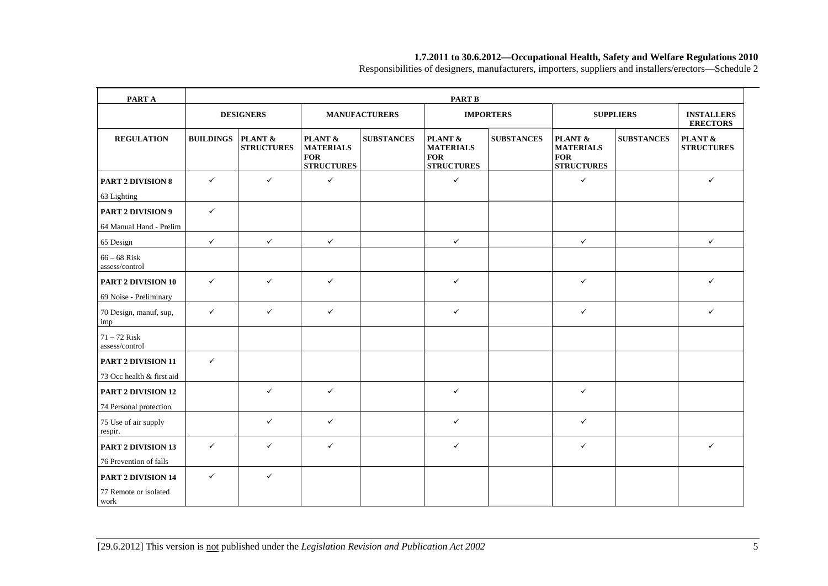Responsibilities of designers, manufacturers, importers, suppliers and installers/erectors—Schedule 2

| PART A                           | <b>PART B</b>    |                              |                                                                |                      |                                                                |                   |                                                                |                   |                                      |  |
|----------------------------------|------------------|------------------------------|----------------------------------------------------------------|----------------------|----------------------------------------------------------------|-------------------|----------------------------------------------------------------|-------------------|--------------------------------------|--|
|                                  |                  | <b>DESIGNERS</b>             |                                                                | <b>MANUFACTURERS</b> |                                                                | <b>IMPORTERS</b>  |                                                                | <b>SUPPLIERS</b>  | <b>INSTALLERS</b><br><b>ERECTORS</b> |  |
| <b>REGULATION</b>                | <b>BUILDINGS</b> | PLANT &<br><b>STRUCTURES</b> | PLANT &<br><b>MATERIALS</b><br><b>FOR</b><br><b>STRUCTURES</b> | <b>SUBSTANCES</b>    | PLANT &<br><b>MATERIALS</b><br><b>FOR</b><br><b>STRUCTURES</b> | <b>SUBSTANCES</b> | PLANT &<br><b>MATERIALS</b><br><b>FOR</b><br><b>STRUCTURES</b> | <b>SUBSTANCES</b> | PLANT &<br><b>STRUCTURES</b>         |  |
| <b>PART 2 DIVISION 8</b>         | $\checkmark$     | $\checkmark$                 | $\checkmark$                                                   |                      | $\checkmark$                                                   |                   | $\checkmark$                                                   |                   | $\checkmark$                         |  |
| 63 Lighting                      |                  |                              |                                                                |                      |                                                                |                   |                                                                |                   |                                      |  |
| <b>PART 2 DIVISION 9</b>         | $\checkmark$     |                              |                                                                |                      |                                                                |                   |                                                                |                   |                                      |  |
| 64 Manual Hand - Prelim          |                  |                              |                                                                |                      |                                                                |                   |                                                                |                   |                                      |  |
| 65 Design                        | $\checkmark$     | $\checkmark$                 | $\checkmark$                                                   |                      | $\checkmark$                                                   |                   | $\checkmark$                                                   |                   | ✓                                    |  |
| $66-68$ Risk<br>assess/control   |                  |                              |                                                                |                      |                                                                |                   |                                                                |                   |                                      |  |
| PART 2 DIVISION 10               | $\checkmark$     | $\checkmark$                 | $\checkmark$                                                   |                      | $\checkmark$                                                   |                   | $\checkmark$                                                   |                   | $\checkmark$                         |  |
| 69 Noise - Preliminary           |                  |                              |                                                                |                      |                                                                |                   |                                                                |                   |                                      |  |
| 70 Design, manuf, sup,<br>imp    | $\checkmark$     | $\checkmark$                 | $\checkmark$                                                   |                      | $\checkmark$                                                   |                   | $\checkmark$                                                   |                   | $\checkmark$                         |  |
| $71 - 72$ Risk<br>assess/control |                  |                              |                                                                |                      |                                                                |                   |                                                                |                   |                                      |  |
| PART 2 DIVISION 11               | $\checkmark$     |                              |                                                                |                      |                                                                |                   |                                                                |                   |                                      |  |
| 73 Occ health & first aid        |                  |                              |                                                                |                      |                                                                |                   |                                                                |                   |                                      |  |
| <b>PART 2 DIVISION 12</b>        |                  | ✓                            | $\checkmark$                                                   |                      | $\checkmark$                                                   |                   | $\checkmark$                                                   |                   |                                      |  |
| 74 Personal protection           |                  |                              |                                                                |                      |                                                                |                   |                                                                |                   |                                      |  |
| 75 Use of air supply<br>respir.  |                  | $\checkmark$                 | $\checkmark$                                                   |                      | $\checkmark$                                                   |                   | $\checkmark$                                                   |                   |                                      |  |
| PART 2 DIVISION 13               | $\checkmark$     | ✓                            | $\checkmark$                                                   |                      | $\checkmark$                                                   |                   | $\checkmark$                                                   |                   | $\checkmark$                         |  |
| 76 Prevention of falls           |                  |                              |                                                                |                      |                                                                |                   |                                                                |                   |                                      |  |
| <b>PART 2 DIVISION 14</b>        | $\checkmark$     | $\checkmark$                 |                                                                |                      |                                                                |                   |                                                                |                   |                                      |  |
| 77 Remote or isolated<br>work    |                  |                              |                                                                |                      |                                                                |                   |                                                                |                   |                                      |  |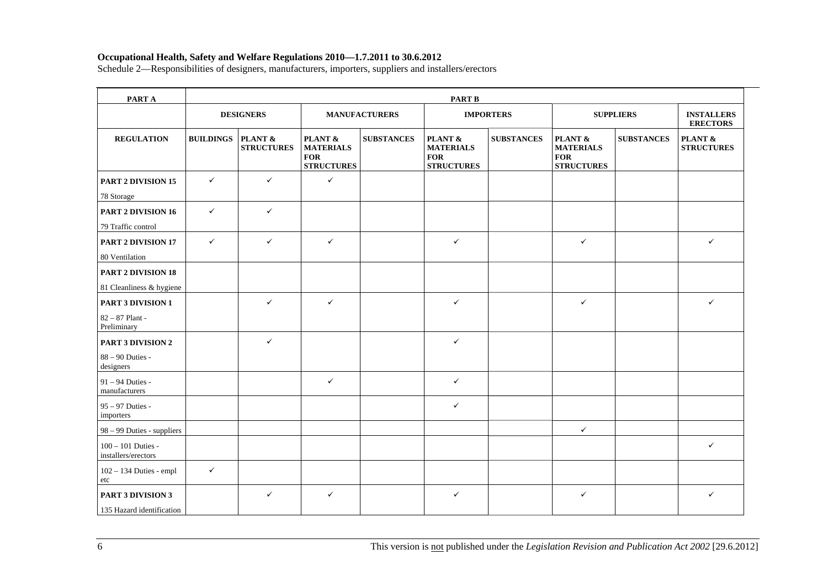| PART A                                      |                  | <b>PART B</b>                |                                                                |                      |                                                                |                   |                                                                |                   |                                      |  |  |  |
|---------------------------------------------|------------------|------------------------------|----------------------------------------------------------------|----------------------|----------------------------------------------------------------|-------------------|----------------------------------------------------------------|-------------------|--------------------------------------|--|--|--|
|                                             |                  | <b>DESIGNERS</b>             |                                                                | <b>MANUFACTURERS</b> |                                                                | <b>IMPORTERS</b>  |                                                                | <b>SUPPLIERS</b>  | <b>INSTALLERS</b><br><b>ERECTORS</b> |  |  |  |
| <b>REGULATION</b>                           | <b>BUILDINGS</b> | PLANT &<br><b>STRUCTURES</b> | PLANT &<br><b>MATERIALS</b><br><b>FOR</b><br><b>STRUCTURES</b> | <b>SUBSTANCES</b>    | PLANT &<br><b>MATERIALS</b><br><b>FOR</b><br><b>STRUCTURES</b> | <b>SUBSTANCES</b> | PLANT &<br><b>MATERIALS</b><br><b>FOR</b><br><b>STRUCTURES</b> | <b>SUBSTANCES</b> | PLANT &<br><b>STRUCTURES</b>         |  |  |  |
| PART 2 DIVISION 15                          | $\checkmark$     | $\checkmark$                 | $\checkmark$                                                   |                      |                                                                |                   |                                                                |                   |                                      |  |  |  |
| 78 Storage                                  |                  |                              |                                                                |                      |                                                                |                   |                                                                |                   |                                      |  |  |  |
| <b>PART 2 DIVISION 16</b>                   | $\checkmark$     | $\checkmark$                 |                                                                |                      |                                                                |                   |                                                                |                   |                                      |  |  |  |
| 79 Traffic control                          |                  |                              |                                                                |                      |                                                                |                   |                                                                |                   |                                      |  |  |  |
| PART 2 DIVISION 17                          | $\checkmark$     | $\checkmark$                 | $\checkmark$                                                   |                      | $\checkmark$                                                   |                   | $\checkmark$                                                   |                   | $\checkmark$                         |  |  |  |
| 80 Ventilation                              |                  |                              |                                                                |                      |                                                                |                   |                                                                |                   |                                      |  |  |  |
| <b>PART 2 DIVISION 18</b>                   |                  |                              |                                                                |                      |                                                                |                   |                                                                |                   |                                      |  |  |  |
| 81 Cleanliness & hygiene                    |                  |                              |                                                                |                      |                                                                |                   |                                                                |                   |                                      |  |  |  |
| PART 3 DIVISION 1                           |                  | $\checkmark$                 | $\checkmark$                                                   |                      | $\checkmark$                                                   |                   | $\checkmark$                                                   |                   | $\checkmark$                         |  |  |  |
| 82 - 87 Plant -<br>Preliminary              |                  |                              |                                                                |                      |                                                                |                   |                                                                |                   |                                      |  |  |  |
| <b>PART 3 DIVISION 2</b>                    |                  | $\checkmark$                 |                                                                |                      | $\checkmark$                                                   |                   |                                                                |                   |                                      |  |  |  |
| 88 - 90 Duties -<br>designers               |                  |                              |                                                                |                      |                                                                |                   |                                                                |                   |                                      |  |  |  |
| 91 - 94 Duties -<br>manufacturers           |                  |                              | $\checkmark$                                                   |                      | $\checkmark$                                                   |                   |                                                                |                   |                                      |  |  |  |
| 95 - 97 Duties -<br>importers               |                  |                              |                                                                |                      | $\checkmark$                                                   |                   |                                                                |                   |                                      |  |  |  |
| 98 – 99 Duties - suppliers                  |                  |                              |                                                                |                      |                                                                |                   | $\checkmark$                                                   |                   |                                      |  |  |  |
| $100 - 101$ Duties -<br>installers/erectors |                  |                              |                                                                |                      |                                                                |                   |                                                                |                   | $\checkmark$                         |  |  |  |
| 102 - 134 Duties - empl<br>etc              | $\checkmark$     |                              |                                                                |                      |                                                                |                   |                                                                |                   |                                      |  |  |  |
| <b>PART 3 DIVISION 3</b>                    |                  | $\checkmark$                 | $\checkmark$                                                   |                      | $\checkmark$                                                   |                   | $\checkmark$                                                   |                   | $\checkmark$                         |  |  |  |
| 135 Hazard identification                   |                  |                              |                                                                |                      |                                                                |                   |                                                                |                   |                                      |  |  |  |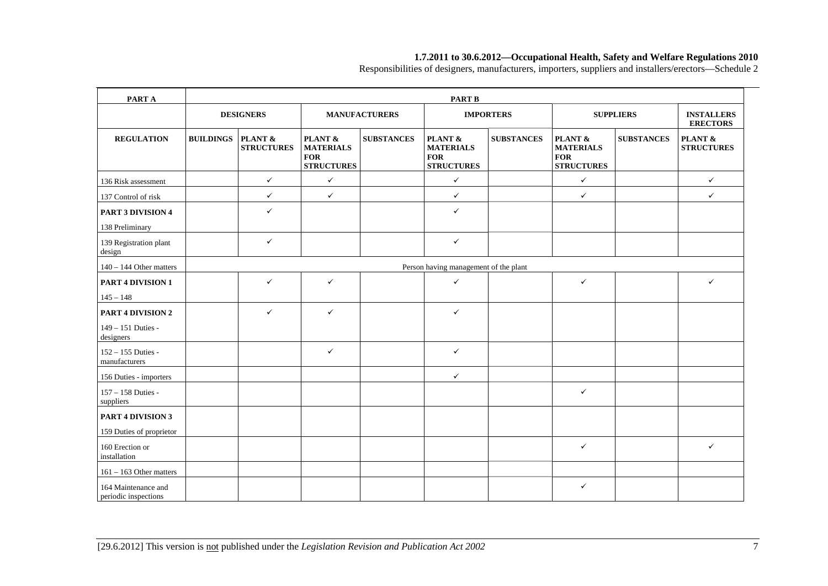Responsibilities of designers, manufacturers, importers, suppliers and installers/erectors—Schedule 2

| PART A                                      |                  | <b>PART B</b>                         |                                                                |                      |                                                                |                   |                                                                |                   |                                      |  |  |
|---------------------------------------------|------------------|---------------------------------------|----------------------------------------------------------------|----------------------|----------------------------------------------------------------|-------------------|----------------------------------------------------------------|-------------------|--------------------------------------|--|--|
|                                             |                  | <b>DESIGNERS</b>                      |                                                                | <b>MANUFACTURERS</b> |                                                                | <b>IMPORTERS</b>  |                                                                | <b>SUPPLIERS</b>  | <b>INSTALLERS</b><br><b>ERECTORS</b> |  |  |
| <b>REGULATION</b>                           | <b>BUILDINGS</b> | PLANT &<br><b>STRUCTURES</b>          | PLANT &<br><b>MATERIALS</b><br><b>FOR</b><br><b>STRUCTURES</b> | <b>SUBSTANCES</b>    | PLANT &<br><b>MATERIALS</b><br><b>FOR</b><br><b>STRUCTURES</b> | <b>SUBSTANCES</b> | PLANT &<br><b>MATERIALS</b><br><b>FOR</b><br><b>STRUCTURES</b> | <b>SUBSTANCES</b> | PLANT &<br><b>STRUCTURES</b>         |  |  |
| 136 Risk assessment                         |                  | $\checkmark$                          | $\checkmark$                                                   |                      | $\checkmark$                                                   |                   | $\checkmark$                                                   |                   | $\checkmark$                         |  |  |
| 137 Control of risk                         |                  | $\checkmark$                          | $\checkmark$                                                   |                      | $\checkmark$                                                   |                   | $\checkmark$                                                   |                   | $\checkmark$                         |  |  |
| PART 3 DIVISION 4                           |                  | $\checkmark$                          |                                                                |                      | $\checkmark$                                                   |                   |                                                                |                   |                                      |  |  |
| 138 Preliminary                             |                  |                                       |                                                                |                      |                                                                |                   |                                                                |                   |                                      |  |  |
| 139 Registration plant<br>design            |                  | $\checkmark$                          |                                                                |                      | $\checkmark$                                                   |                   |                                                                |                   |                                      |  |  |
| $140 - 144$ Other matters                   |                  | Person having management of the plant |                                                                |                      |                                                                |                   |                                                                |                   |                                      |  |  |
| <b>PART 4 DIVISION 1</b>                    |                  | $\checkmark$                          | ✓                                                              |                      | $\checkmark$                                                   |                   | $\checkmark$                                                   |                   | $\checkmark$                         |  |  |
| $145 - 148$                                 |                  |                                       |                                                                |                      |                                                                |                   |                                                                |                   |                                      |  |  |
| <b>PART 4 DIVISION 2</b>                    |                  | $\checkmark$                          | ✓                                                              |                      | $\checkmark$                                                   |                   |                                                                |                   |                                      |  |  |
| 149 - 151 Duties -<br>designers             |                  |                                       |                                                                |                      |                                                                |                   |                                                                |                   |                                      |  |  |
| 152 - 155 Duties -<br>manufacturers         |                  |                                       | $\checkmark$                                                   |                      | $\checkmark$                                                   |                   |                                                                |                   |                                      |  |  |
| 156 Duties - importers                      |                  |                                       |                                                                |                      | $\checkmark$                                                   |                   |                                                                |                   |                                      |  |  |
| 157 - 158 Duties -<br>suppliers             |                  |                                       |                                                                |                      |                                                                |                   | $\checkmark$                                                   |                   |                                      |  |  |
| PART 4 DIVISION 3                           |                  |                                       |                                                                |                      |                                                                |                   |                                                                |                   |                                      |  |  |
| 159 Duties of proprietor                    |                  |                                       |                                                                |                      |                                                                |                   |                                                                |                   |                                      |  |  |
| 160 Erection or<br>installation             |                  |                                       |                                                                |                      |                                                                |                   | $\checkmark$                                                   |                   | $\checkmark$                         |  |  |
| $161 - 163$ Other matters                   |                  |                                       |                                                                |                      |                                                                |                   |                                                                |                   |                                      |  |  |
| 164 Maintenance and<br>periodic inspections |                  |                                       |                                                                |                      |                                                                |                   | $\checkmark$                                                   |                   |                                      |  |  |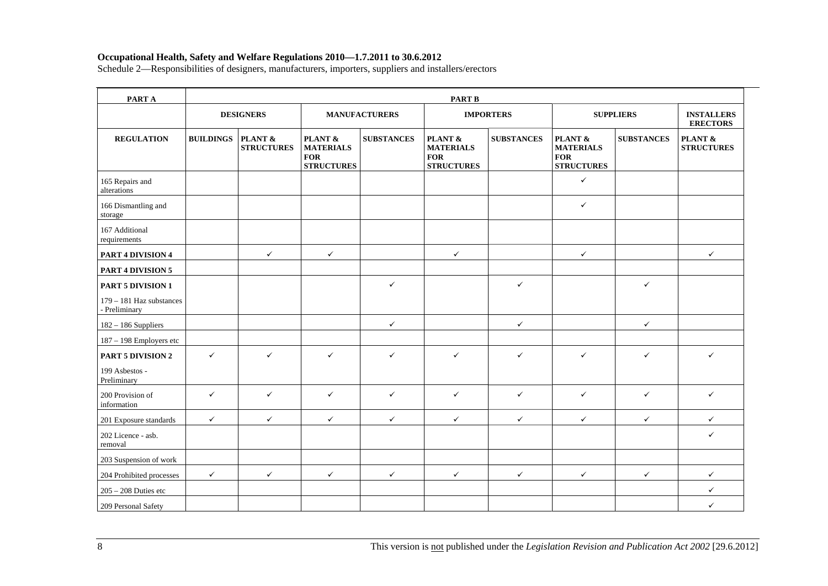| PART A                                    | <b>PART B</b>    |                              |                                                                           |                      |                                                                |                   |                                                                |                   |                                      |  |  |
|-------------------------------------------|------------------|------------------------------|---------------------------------------------------------------------------|----------------------|----------------------------------------------------------------|-------------------|----------------------------------------------------------------|-------------------|--------------------------------------|--|--|
|                                           |                  | <b>DESIGNERS</b>             |                                                                           | <b>MANUFACTURERS</b> |                                                                | <b>IMPORTERS</b>  |                                                                | <b>SUPPLIERS</b>  | <b>INSTALLERS</b><br><b>ERECTORS</b> |  |  |
| <b>REGULATION</b>                         | <b>BUILDINGS</b> | PLANT &<br><b>STRUCTURES</b> | <b>PLANT &amp;</b><br><b>MATERIALS</b><br><b>FOR</b><br><b>STRUCTURES</b> | <b>SUBSTANCES</b>    | PLANT &<br><b>MATERIALS</b><br><b>FOR</b><br><b>STRUCTURES</b> | <b>SUBSTANCES</b> | PLANT &<br><b>MATERIALS</b><br><b>FOR</b><br><b>STRUCTURES</b> | <b>SUBSTANCES</b> | PLANT &<br><b>STRUCTURES</b>         |  |  |
| 165 Repairs and<br>alterations            |                  |                              |                                                                           |                      |                                                                |                   | $\checkmark$                                                   |                   |                                      |  |  |
| 166 Dismantling and<br>storage            |                  |                              |                                                                           |                      |                                                                |                   | $\checkmark$                                                   |                   |                                      |  |  |
| 167 Additional<br>requirements            |                  |                              |                                                                           |                      |                                                                |                   |                                                                |                   |                                      |  |  |
| PART 4 DIVISION 4                         |                  | $\checkmark$                 | $\checkmark$                                                              |                      | $\checkmark$                                                   |                   | $\checkmark$                                                   |                   | $\checkmark$                         |  |  |
| <b>PART 4 DIVISION 5</b>                  |                  |                              |                                                                           |                      |                                                                |                   |                                                                |                   |                                      |  |  |
| <b>PART 5 DIVISION 1</b>                  |                  |                              |                                                                           | $\checkmark$         |                                                                | $\checkmark$      |                                                                | ✓                 |                                      |  |  |
| 179 - 181 Haz substances<br>- Preliminary |                  |                              |                                                                           |                      |                                                                |                   |                                                                |                   |                                      |  |  |
| $182 - 186$ Suppliers                     |                  |                              |                                                                           | $\checkmark$         |                                                                | $\checkmark$      |                                                                | ✓                 |                                      |  |  |
| 187 - 198 Employers etc                   |                  |                              |                                                                           |                      |                                                                |                   |                                                                |                   |                                      |  |  |
| <b>PART 5 DIVISION 2</b>                  | $\checkmark$     | $\checkmark$                 | $\checkmark$                                                              | $\checkmark$         | ✓                                                              | $\checkmark$      | $\checkmark$                                                   | ✓                 | ✓                                    |  |  |
| 199 Asbestos -<br>Preliminary             |                  |                              |                                                                           |                      |                                                                |                   |                                                                |                   |                                      |  |  |
| 200 Provision of<br>information           | $\checkmark$     | $\checkmark$                 | $\checkmark$                                                              | $\checkmark$         | $\checkmark$                                                   | $\checkmark$      | $\checkmark$                                                   | $\checkmark$      | $\checkmark$                         |  |  |
| 201 Exposure standards                    | $\checkmark$     | $\checkmark$                 | $\checkmark$                                                              | $\checkmark$         | $\checkmark$                                                   | $\checkmark$      | $\checkmark$                                                   | $\checkmark$      | $\checkmark$                         |  |  |
| 202 Licence - asb.<br>removal             |                  |                              |                                                                           |                      |                                                                |                   |                                                                |                   | $\checkmark$                         |  |  |
| 203 Suspension of work                    |                  |                              |                                                                           |                      |                                                                |                   |                                                                |                   |                                      |  |  |
| 204 Prohibited processes                  | $\checkmark$     | $\checkmark$                 | $\checkmark$                                                              | $\checkmark$         | $\checkmark$                                                   | $\checkmark$      | $\checkmark$                                                   | $\checkmark$      | $\checkmark$                         |  |  |
| $205 - 208$ Duties etc                    |                  |                              |                                                                           |                      |                                                                |                   |                                                                |                   | $\checkmark$                         |  |  |
| 209 Personal Safety                       |                  |                              |                                                                           |                      |                                                                |                   |                                                                |                   | $\checkmark$                         |  |  |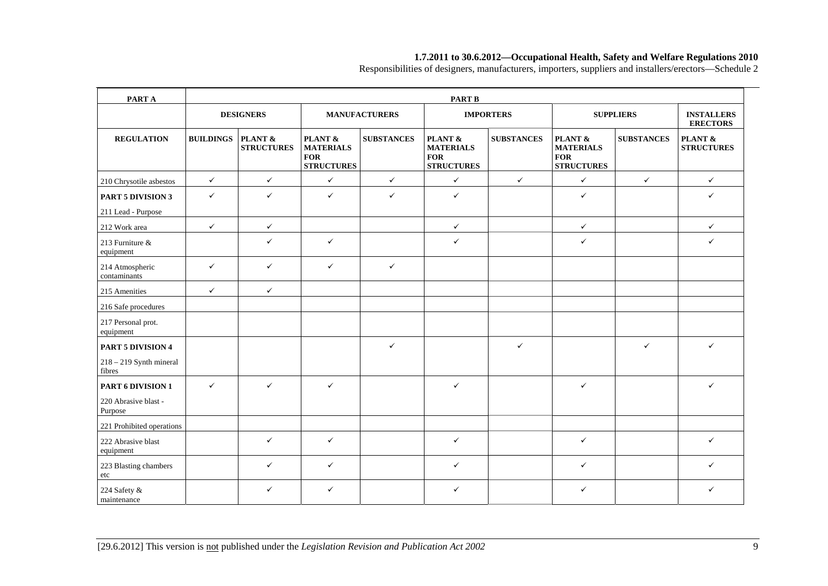Responsibilities of designers, manufacturers, importers, suppliers and installers/erectors—Schedule 2

| PART A                                         | <b>PART B</b>    |                              |                                                                |                      |                                                                |                   |                                                                |                   |                                      |  |
|------------------------------------------------|------------------|------------------------------|----------------------------------------------------------------|----------------------|----------------------------------------------------------------|-------------------|----------------------------------------------------------------|-------------------|--------------------------------------|--|
|                                                |                  | <b>DESIGNERS</b>             |                                                                | <b>MANUFACTURERS</b> |                                                                | <b>IMPORTERS</b>  |                                                                | <b>SUPPLIERS</b>  | <b>INSTALLERS</b><br><b>ERECTORS</b> |  |
| <b>REGULATION</b>                              | <b>BUILDINGS</b> | PLANT &<br><b>STRUCTURES</b> | PLANT &<br><b>MATERIALS</b><br><b>FOR</b><br><b>STRUCTURES</b> | <b>SUBSTANCES</b>    | PLANT &<br><b>MATERIALS</b><br><b>FOR</b><br><b>STRUCTURES</b> | <b>SUBSTANCES</b> | PLANT &<br><b>MATERIALS</b><br><b>FOR</b><br><b>STRUCTURES</b> | <b>SUBSTANCES</b> | PLANT &<br><b>STRUCTURES</b>         |  |
| 210 Chrysotile asbestos                        | $\checkmark$     | $\checkmark$                 | $\checkmark$                                                   | $\checkmark$         | $\checkmark$                                                   | $\checkmark$      | $\checkmark$                                                   | $\checkmark$      | $\checkmark$                         |  |
| <b>PART 5 DIVISION 3</b><br>211 Lead - Purpose | $\checkmark$     | ✓                            | $\checkmark$                                                   | $\checkmark$         | $\checkmark$                                                   |                   | $\checkmark$                                                   |                   | $\checkmark$                         |  |
| 212 Work area                                  | $\checkmark$     | $\checkmark$                 |                                                                |                      | $\checkmark$                                                   |                   | $\checkmark$                                                   |                   | $\checkmark$                         |  |
| 213 Furniture &<br>equipment                   |                  | $\checkmark$                 | $\checkmark$                                                   |                      | $\checkmark$                                                   |                   | $\checkmark$                                                   |                   | $\checkmark$                         |  |
| 214 Atmospheric<br>contaminants                | $\checkmark$     | $\checkmark$                 | $\checkmark$                                                   | $\checkmark$         |                                                                |                   |                                                                |                   |                                      |  |
| 215 Amenities                                  | $\checkmark$     | $\checkmark$                 |                                                                |                      |                                                                |                   |                                                                |                   |                                      |  |
| 216 Safe procedures                            |                  |                              |                                                                |                      |                                                                |                   |                                                                |                   |                                      |  |
| 217 Personal prot.<br>equipment                |                  |                              |                                                                |                      |                                                                |                   |                                                                |                   |                                      |  |
| <b>PART 5 DIVISION 4</b>                       |                  |                              |                                                                | $\checkmark$         |                                                                | $\checkmark$      |                                                                | $\checkmark$      | $\checkmark$                         |  |
| $218 - 219$ Synth mineral<br>fibres            |                  |                              |                                                                |                      |                                                                |                   |                                                                |                   |                                      |  |
| PART 6 DIVISION 1                              | $\checkmark$     | ✓                            | $\checkmark$                                                   |                      | $\checkmark$                                                   |                   | $\checkmark$                                                   |                   | $\checkmark$                         |  |
| 220 Abrasive blast -<br>Purpose                |                  |                              |                                                                |                      |                                                                |                   |                                                                |                   |                                      |  |
| 221 Prohibited operations                      |                  |                              |                                                                |                      |                                                                |                   |                                                                |                   |                                      |  |
| 222 Abrasive blast<br>equipment                |                  | ✓                            | $\checkmark$                                                   |                      | $\checkmark$                                                   |                   | $\checkmark$                                                   |                   | ✓                                    |  |
| 223 Blasting chambers<br>etc                   |                  | $\checkmark$                 | $\checkmark$                                                   |                      | $\checkmark$                                                   |                   | $\checkmark$                                                   |                   | $\checkmark$                         |  |
| 224 Safety &<br>maintenance                    |                  | $\checkmark$                 | $\checkmark$                                                   |                      | $\checkmark$                                                   |                   | $\checkmark$                                                   |                   | $\checkmark$                         |  |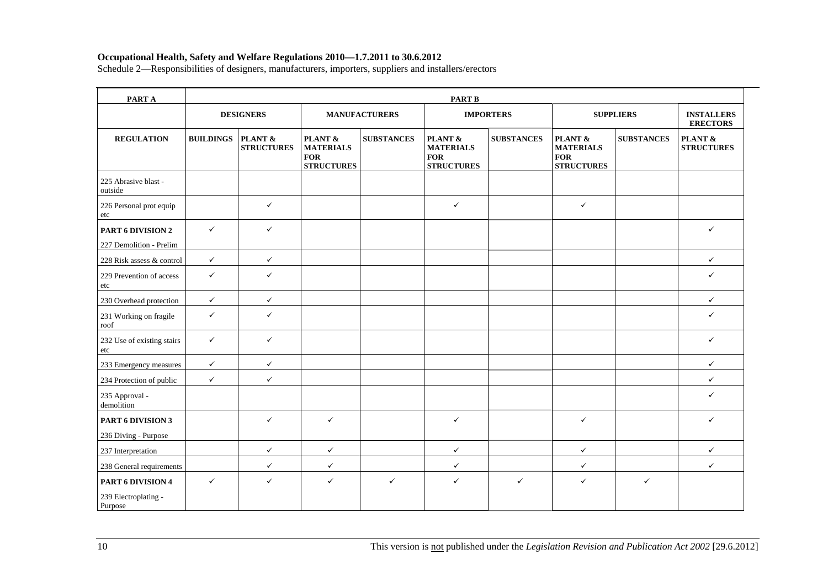| PART A                                               | <b>PART B</b>    |                              |                                                                           |                      |                                                                |                   |                                                                |                   |                                         |  |  |
|------------------------------------------------------|------------------|------------------------------|---------------------------------------------------------------------------|----------------------|----------------------------------------------------------------|-------------------|----------------------------------------------------------------|-------------------|-----------------------------------------|--|--|
|                                                      |                  | <b>DESIGNERS</b>             |                                                                           | <b>MANUFACTURERS</b> |                                                                | <b>IMPORTERS</b>  |                                                                | <b>SUPPLIERS</b>  | <b>INSTALLERS</b><br><b>ERECTORS</b>    |  |  |
| <b>REGULATION</b>                                    | <b>BUILDINGS</b> | PLANT &<br><b>STRUCTURES</b> | <b>PLANT &amp;</b><br><b>MATERIALS</b><br><b>FOR</b><br><b>STRUCTURES</b> | <b>SUBSTANCES</b>    | PLANT &<br><b>MATERIALS</b><br><b>FOR</b><br><b>STRUCTURES</b> | <b>SUBSTANCES</b> | PLANT &<br><b>MATERIALS</b><br><b>FOR</b><br><b>STRUCTURES</b> | <b>SUBSTANCES</b> | <b>PLANT &amp;</b><br><b>STRUCTURES</b> |  |  |
| 225 Abrasive blast -<br>outside                      |                  |                              |                                                                           |                      |                                                                |                   |                                                                |                   |                                         |  |  |
| 226 Personal prot equip<br>etc                       |                  | $\checkmark$                 |                                                                           |                      | $\checkmark$                                                   |                   | $\checkmark$                                                   |                   |                                         |  |  |
| PART 6 DIVISION 2                                    | $\checkmark$     | $\checkmark$                 |                                                                           |                      |                                                                |                   |                                                                |                   | ✓                                       |  |  |
| 227 Demolition - Prelim                              |                  |                              |                                                                           |                      |                                                                |                   |                                                                |                   |                                         |  |  |
| 228 Risk assess & control                            | $\checkmark$     | $\checkmark$                 |                                                                           |                      |                                                                |                   |                                                                |                   | $\checkmark$                            |  |  |
| 229 Prevention of access<br>etc                      | $\checkmark$     | $\checkmark$                 |                                                                           |                      |                                                                |                   |                                                                |                   | $\checkmark$                            |  |  |
| 230 Overhead protection                              | $\checkmark$     | $\checkmark$                 |                                                                           |                      |                                                                |                   |                                                                |                   | $\checkmark$                            |  |  |
| 231 Working on fragile<br>roof                       | $\checkmark$     | $\checkmark$                 |                                                                           |                      |                                                                |                   |                                                                |                   | $\checkmark$                            |  |  |
| 232 Use of existing stairs<br>etc                    | $\checkmark$     | $\checkmark$                 |                                                                           |                      |                                                                |                   |                                                                |                   | $\checkmark$                            |  |  |
| 233 Emergency measures                               | $\checkmark$     | $\checkmark$                 |                                                                           |                      |                                                                |                   |                                                                |                   | $\checkmark$                            |  |  |
| 234 Protection of public                             | $\checkmark$     | $\checkmark$                 |                                                                           |                      |                                                                |                   |                                                                |                   | $\checkmark$                            |  |  |
| 235 Approval -<br>demolition                         |                  |                              |                                                                           |                      |                                                                |                   |                                                                |                   | $\checkmark$                            |  |  |
| PART 6 DIVISION 3                                    |                  | $\checkmark$                 | $\checkmark$                                                              |                      | ✓                                                              |                   | $\checkmark$                                                   |                   | $\checkmark$                            |  |  |
| 236 Diving - Purpose                                 |                  |                              |                                                                           |                      |                                                                |                   |                                                                |                   |                                         |  |  |
| 237 Interpretation                                   |                  | $\checkmark$                 | $\checkmark$                                                              |                      | $\checkmark$                                                   |                   | $\checkmark$                                                   |                   | $\checkmark$                            |  |  |
| 238 General requirements                             |                  | $\checkmark$                 | $\checkmark$                                                              |                      | $\checkmark$                                                   |                   | $\checkmark$                                                   |                   | $\checkmark$                            |  |  |
| PART 6 DIVISION 4<br>239 Electroplating -<br>Purpose | $\checkmark$     | $\checkmark$                 | $\checkmark$                                                              | $\checkmark$         | $\checkmark$                                                   | $\checkmark$      | $\checkmark$                                                   | $\checkmark$      |                                         |  |  |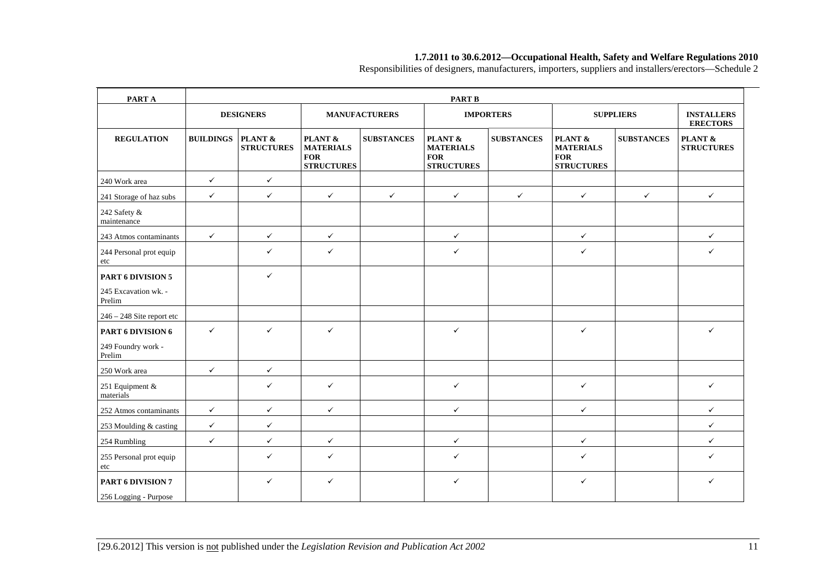Responsibilities of designers, manufacturers, importers, suppliers and installers/erectors—Schedule 2

| PART A                                     | <b>PART B</b>    |                              |                                                                |                      |                                                                |                   |                                                                |                   |                                      |  |  |
|--------------------------------------------|------------------|------------------------------|----------------------------------------------------------------|----------------------|----------------------------------------------------------------|-------------------|----------------------------------------------------------------|-------------------|--------------------------------------|--|--|
|                                            |                  | <b>DESIGNERS</b>             |                                                                | <b>MANUFACTURERS</b> |                                                                | <b>IMPORTERS</b>  |                                                                | <b>SUPPLIERS</b>  | <b>INSTALLERS</b><br><b>ERECTORS</b> |  |  |
| <b>REGULATION</b>                          | <b>BUILDINGS</b> | PLANT &<br><b>STRUCTURES</b> | PLANT &<br><b>MATERIALS</b><br><b>FOR</b><br><b>STRUCTURES</b> | <b>SUBSTANCES</b>    | PLANT &<br><b>MATERIALS</b><br><b>FOR</b><br><b>STRUCTURES</b> | <b>SUBSTANCES</b> | PLANT &<br><b>MATERIALS</b><br><b>FOR</b><br><b>STRUCTURES</b> | <b>SUBSTANCES</b> | PLANT &<br><b>STRUCTURES</b>         |  |  |
| 240 Work area                              | $\checkmark$     | $\checkmark$                 |                                                                |                      |                                                                |                   |                                                                |                   |                                      |  |  |
| 241 Storage of haz subs                    | $\checkmark$     | $\checkmark$                 | $\checkmark$                                                   | $\checkmark$         | $\checkmark$                                                   | $\checkmark$      | $\checkmark$                                                   | $\checkmark$      | $\checkmark$                         |  |  |
| 242 Safety &<br>maintenance                |                  |                              |                                                                |                      |                                                                |                   |                                                                |                   |                                      |  |  |
| 243 Atmos contaminants                     | $\checkmark$     | $\checkmark$                 | $\checkmark$                                                   |                      | $\checkmark$                                                   |                   | $\checkmark$                                                   |                   | $\checkmark$                         |  |  |
| 244 Personal prot equip<br>etc             |                  | ✓                            | $\checkmark$                                                   |                      | $\checkmark$                                                   |                   | ✓                                                              |                   | $\checkmark$                         |  |  |
| PART 6 DIVISION 5                          |                  | $\checkmark$                 |                                                                |                      |                                                                |                   |                                                                |                   |                                      |  |  |
| 245 Excavation wk. -<br>Prelim             |                  |                              |                                                                |                      |                                                                |                   |                                                                |                   |                                      |  |  |
| $246 - 248$ Site report etc                |                  |                              |                                                                |                      |                                                                |                   |                                                                |                   |                                      |  |  |
| PART 6 DIVISION 6                          | $\checkmark$     | $\checkmark$                 | $\checkmark$                                                   |                      | $\checkmark$                                                   |                   | ✓                                                              |                   | $\checkmark$                         |  |  |
| 249 Foundry work -<br>Prelim               |                  |                              |                                                                |                      |                                                                |                   |                                                                |                   |                                      |  |  |
| 250 Work area                              | $\checkmark$     | $\checkmark$                 |                                                                |                      |                                                                |                   |                                                                |                   |                                      |  |  |
| 251 Equipment &<br>materials               |                  | $\checkmark$                 | $\checkmark$                                                   |                      | $\checkmark$                                                   |                   | $\checkmark$                                                   |                   | $\checkmark$                         |  |  |
| 252 Atmos contaminants                     | $\checkmark$     | $\checkmark$                 | $\checkmark$                                                   |                      | $\checkmark$                                                   |                   | $\checkmark$                                                   |                   | $\checkmark$                         |  |  |
| 253 Moulding & casting                     | $\checkmark$     | $\checkmark$                 |                                                                |                      |                                                                |                   |                                                                |                   | $\checkmark$                         |  |  |
| 254 Rumbling                               | $\checkmark$     | $\checkmark$                 | $\checkmark$                                                   |                      | $\checkmark$                                                   |                   | ✓                                                              |                   | $\checkmark$                         |  |  |
| 255 Personal prot equip<br>etc             |                  | ✓                            | $\checkmark$                                                   |                      | $\checkmark$                                                   |                   | ✓                                                              |                   | $\checkmark$                         |  |  |
| PART 6 DIVISION 7<br>256 Logging - Purpose |                  | ✓                            | $\checkmark$                                                   |                      | $\checkmark$                                                   |                   | $\checkmark$                                                   |                   | $\checkmark$                         |  |  |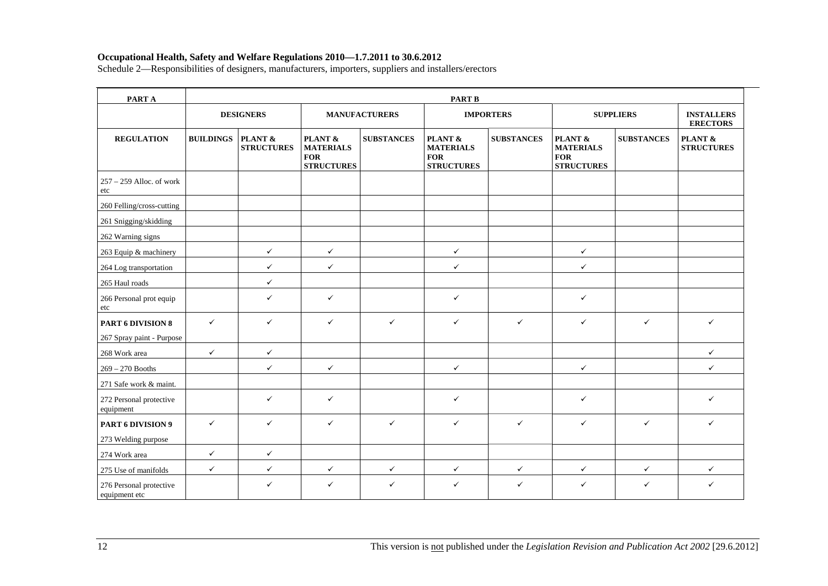| PART A                                         | <b>PART B</b>    |                              |                                                                |                   |                                                                |                   |                                                                |                   |                                      |  |
|------------------------------------------------|------------------|------------------------------|----------------------------------------------------------------|-------------------|----------------------------------------------------------------|-------------------|----------------------------------------------------------------|-------------------|--------------------------------------|--|
|                                                | <b>DESIGNERS</b> |                              | <b>MANUFACTURERS</b>                                           |                   | <b>IMPORTERS</b>                                               |                   | <b>SUPPLIERS</b>                                               |                   | <b>INSTALLERS</b><br><b>ERECTORS</b> |  |
| <b>REGULATION</b>                              | <b>BUILDINGS</b> | PLANT &<br><b>STRUCTURES</b> | PLANT &<br><b>MATERIALS</b><br><b>FOR</b><br><b>STRUCTURES</b> | <b>SUBSTANCES</b> | PLANT &<br><b>MATERIALS</b><br><b>FOR</b><br><b>STRUCTURES</b> | <b>SUBSTANCES</b> | PLANT &<br><b>MATERIALS</b><br><b>FOR</b><br><b>STRUCTURES</b> | <b>SUBSTANCES</b> | PLANT &<br><b>STRUCTURES</b>         |  |
| $257 - 259$ Alloc. of work<br>etc              |                  |                              |                                                                |                   |                                                                |                   |                                                                |                   |                                      |  |
| 260 Felling/cross-cutting                      |                  |                              |                                                                |                   |                                                                |                   |                                                                |                   |                                      |  |
| 261 Snigging/skidding                          |                  |                              |                                                                |                   |                                                                |                   |                                                                |                   |                                      |  |
| 262 Warning signs                              |                  |                              |                                                                |                   |                                                                |                   |                                                                |                   |                                      |  |
| 263 Equip & machinery                          |                  | $\checkmark$                 | $\checkmark$                                                   |                   | $\checkmark$                                                   |                   | $\checkmark$                                                   |                   |                                      |  |
| 264 Log transportation                         |                  | $\checkmark$                 | $\checkmark$                                                   |                   | $\checkmark$                                                   |                   | $\checkmark$                                                   |                   |                                      |  |
| 265 Haul roads                                 |                  | $\checkmark$                 |                                                                |                   |                                                                |                   |                                                                |                   |                                      |  |
| 266 Personal prot equip<br>etc                 |                  | $\checkmark$                 | $\checkmark$                                                   |                   | $\checkmark$                                                   |                   | $\checkmark$                                                   |                   |                                      |  |
| PART 6 DIVISION 8<br>267 Spray paint - Purpose | $\checkmark$     | $\checkmark$                 | $\checkmark$                                                   | $\checkmark$      | $\checkmark$                                                   | $\checkmark$      | $\checkmark$                                                   | $\checkmark$      | $\checkmark$                         |  |
| 268 Work area                                  | $\checkmark$     | $\checkmark$                 |                                                                |                   |                                                                |                   |                                                                |                   | $\checkmark$                         |  |
| $269 - 270$ Booths                             |                  | $\checkmark$                 | $\checkmark$                                                   |                   | $\checkmark$                                                   |                   | $\checkmark$                                                   |                   | $\checkmark$                         |  |
| 271 Safe work & maint.                         |                  |                              |                                                                |                   |                                                                |                   |                                                                |                   |                                      |  |
| 272 Personal protective<br>equipment           |                  | $\checkmark$                 | $\checkmark$                                                   |                   | $\checkmark$                                                   |                   | $\checkmark$                                                   |                   | $\checkmark$                         |  |
| PART 6 DIVISION 9                              | $\checkmark$     | $\checkmark$                 | $\checkmark$                                                   | $\checkmark$      | ✓                                                              | $\checkmark$      | $\checkmark$                                                   | $\checkmark$      | $\checkmark$                         |  |
| 273 Welding purpose                            |                  |                              |                                                                |                   |                                                                |                   |                                                                |                   |                                      |  |
| 274 Work area                                  | $\checkmark$     | $\checkmark$                 |                                                                |                   |                                                                |                   |                                                                |                   |                                      |  |
| 275 Use of manifolds                           | $\checkmark$     | $\checkmark$                 | $\checkmark$                                                   | $\checkmark$      | $\checkmark$                                                   | $\checkmark$      | $\checkmark$                                                   | $\checkmark$      | $\checkmark$                         |  |
| 276 Personal protective<br>equipment etc       |                  | $\checkmark$                 | $\checkmark$                                                   | $\checkmark$      | ✓                                                              | $\checkmark$      | $\checkmark$                                                   | $\checkmark$      | $\checkmark$                         |  |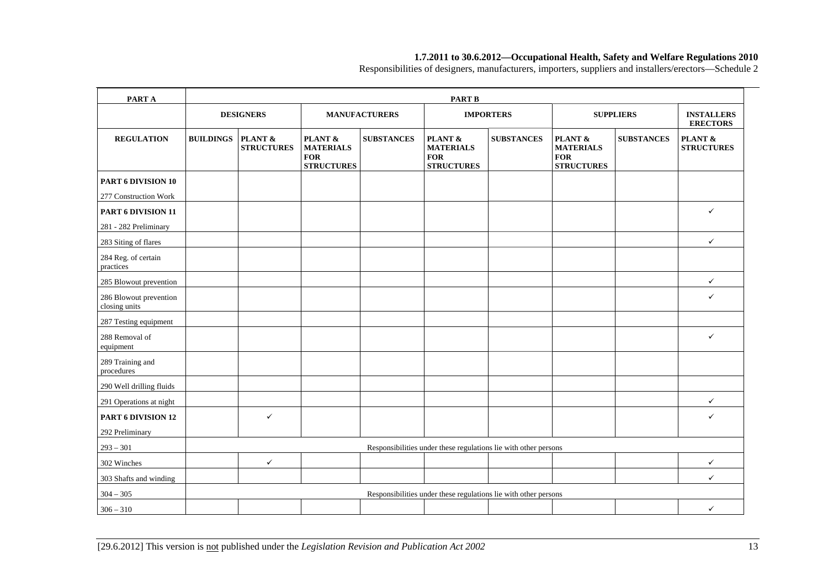Responsibilities of designers, manufacturers, importers, suppliers and installers/erectors—Schedule 2

| PART A                                  |                  |                              |                                                                |                   | <b>PART B</b>                                                   |                   |                                                                |                   |                                      |
|-----------------------------------------|------------------|------------------------------|----------------------------------------------------------------|-------------------|-----------------------------------------------------------------|-------------------|----------------------------------------------------------------|-------------------|--------------------------------------|
|                                         | <b>DESIGNERS</b> |                              | <b>MANUFACTURERS</b>                                           |                   | <b>IMPORTERS</b>                                                |                   | <b>SUPPLIERS</b>                                               |                   | <b>INSTALLERS</b><br><b>ERECTORS</b> |
| <b>REGULATION</b>                       | <b>BUILDINGS</b> | PLANT &<br><b>STRUCTURES</b> | PLANT &<br><b>MATERIALS</b><br><b>FOR</b><br><b>STRUCTURES</b> | <b>SUBSTANCES</b> | PLANT &<br><b>MATERIALS</b><br><b>FOR</b><br><b>STRUCTURES</b>  | <b>SUBSTANCES</b> | PLANT &<br><b>MATERIALS</b><br><b>FOR</b><br><b>STRUCTURES</b> | <b>SUBSTANCES</b> | PLANT &<br><b>STRUCTURES</b>         |
| PART 6 DIVISION 10                      |                  |                              |                                                                |                   |                                                                 |                   |                                                                |                   |                                      |
| 277 Construction Work                   |                  |                              |                                                                |                   |                                                                 |                   |                                                                |                   |                                      |
| PART 6 DIVISION 11                      |                  |                              |                                                                |                   |                                                                 |                   |                                                                |                   | $\checkmark$                         |
| 281 - 282 Preliminary                   |                  |                              |                                                                |                   |                                                                 |                   |                                                                |                   |                                      |
| 283 Siting of flares                    |                  |                              |                                                                |                   |                                                                 |                   |                                                                |                   | $\checkmark$                         |
| 284 Reg. of certain<br>practices        |                  |                              |                                                                |                   |                                                                 |                   |                                                                |                   |                                      |
| 285 Blowout prevention                  |                  |                              |                                                                |                   |                                                                 |                   |                                                                |                   | $\checkmark$                         |
| 286 Blowout prevention<br>closing units |                  |                              |                                                                |                   |                                                                 |                   |                                                                |                   | $\checkmark$                         |
| 287 Testing equipment                   |                  |                              |                                                                |                   |                                                                 |                   |                                                                |                   |                                      |
| 288 Removal of<br>equipment             |                  |                              |                                                                |                   |                                                                 |                   |                                                                |                   | $\checkmark$                         |
| 289 Training and<br>procedures          |                  |                              |                                                                |                   |                                                                 |                   |                                                                |                   |                                      |
| 290 Well drilling fluids                |                  |                              |                                                                |                   |                                                                 |                   |                                                                |                   |                                      |
| 291 Operations at night                 |                  |                              |                                                                |                   |                                                                 |                   |                                                                |                   | $\checkmark$                         |
| PART 6 DIVISION 12                      |                  | $\checkmark$                 |                                                                |                   |                                                                 |                   |                                                                |                   | $\checkmark$                         |
| 292 Preliminary                         |                  |                              |                                                                |                   |                                                                 |                   |                                                                |                   |                                      |
| $293 - 301$                             |                  |                              |                                                                |                   | Responsibilities under these regulations lie with other persons |                   |                                                                |                   |                                      |
| 302 Winches                             |                  | ✓                            |                                                                |                   |                                                                 |                   |                                                                |                   | ✓                                    |
| 303 Shafts and winding                  |                  |                              |                                                                |                   |                                                                 |                   |                                                                |                   | $\checkmark$                         |
| $304 - 305$                             |                  |                              |                                                                |                   | Responsibilities under these regulations lie with other persons |                   |                                                                |                   |                                      |
| $306 - 310$                             |                  |                              |                                                                |                   |                                                                 |                   |                                                                |                   | $\checkmark$                         |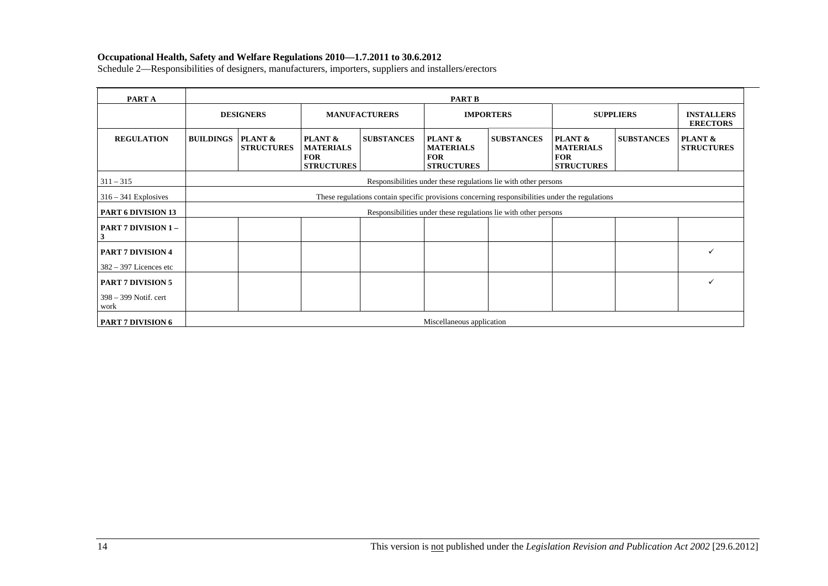| PART A                          | <b>PART B</b>                                                                                   |                                                                 |                                                                |                   |                                                                |                   |                                                                |                   |                                      |
|---------------------------------|-------------------------------------------------------------------------------------------------|-----------------------------------------------------------------|----------------------------------------------------------------|-------------------|----------------------------------------------------------------|-------------------|----------------------------------------------------------------|-------------------|--------------------------------------|
|                                 | <b>DESIGNERS</b>                                                                                |                                                                 | <b>MANUFACTURERS</b>                                           |                   | <b>IMPORTERS</b>                                               |                   | <b>SUPPLIERS</b>                                               |                   | <b>INSTALLERS</b><br><b>ERECTORS</b> |
| <b>REGULATION</b>               | <b>BUILDINGS</b>                                                                                | PLANT &<br><b>STRUCTURES</b>                                    | PLANT &<br><b>MATERIALS</b><br><b>FOR</b><br><b>STRUCTURES</b> | <b>SUBSTANCES</b> | PLANT &<br><b>MATERIALS</b><br><b>FOR</b><br><b>STRUCTURES</b> | <b>SUBSTANCES</b> | PLANT &<br><b>MATERIALS</b><br><b>FOR</b><br><b>STRUCTURES</b> | <b>SUBSTANCES</b> | PLANT &<br><b>STRUCTURES</b>         |
| $311 - 315$                     |                                                                                                 | Responsibilities under these regulations lie with other persons |                                                                |                   |                                                                |                   |                                                                |                   |                                      |
| $316 - 341$ Explosives          | These regulations contain specific provisions concerning responsibilities under the regulations |                                                                 |                                                                |                   |                                                                |                   |                                                                |                   |                                      |
| <b>PART 6 DIVISION 13</b>       |                                                                                                 | Responsibilities under these regulations lie with other persons |                                                                |                   |                                                                |                   |                                                                |                   |                                      |
| <b>PART 7 DIVISION 1 -</b><br>3 |                                                                                                 |                                                                 |                                                                |                   |                                                                |                   |                                                                |                   |                                      |
| <b>PART 7 DIVISION 4</b>        |                                                                                                 |                                                                 |                                                                |                   |                                                                |                   |                                                                |                   | ✓                                    |
| $382 - 397$ Licences etc        |                                                                                                 |                                                                 |                                                                |                   |                                                                |                   |                                                                |                   |                                      |
| <b>PART 7 DIVISION 5</b>        |                                                                                                 |                                                                 |                                                                |                   |                                                                |                   |                                                                |                   | $\checkmark$                         |
| 398 - 399 Notif. cert<br>work   |                                                                                                 |                                                                 |                                                                |                   |                                                                |                   |                                                                |                   |                                      |
| <b>PART 7 DIVISION 6</b>        | Miscellaneous application                                                                       |                                                                 |                                                                |                   |                                                                |                   |                                                                |                   |                                      |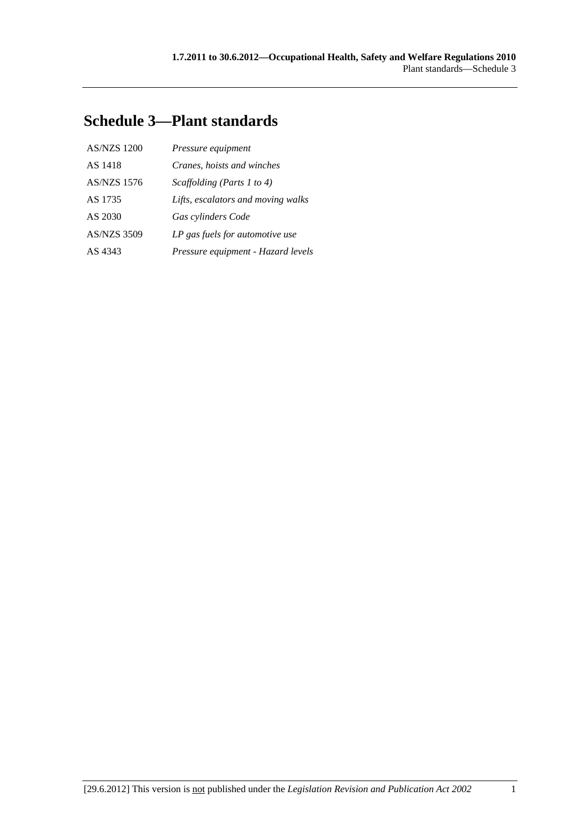## **Schedule 3—Plant standards**

| <b>AS/NZS 1200</b> | Pressure equipment                 |
|--------------------|------------------------------------|
| AS 1418            | Cranes, hoists and winches         |
| AS/NZS 1576        | Scaffolding (Parts 1 to 4)         |
| AS 1735            | Lifts, escalators and moving walks |
| AS 2030            | Gas cylinders Code                 |
| <b>AS/NZS 3509</b> | LP gas fuels for automotive use    |
| AS 4343            | Pressure equipment - Hazard levels |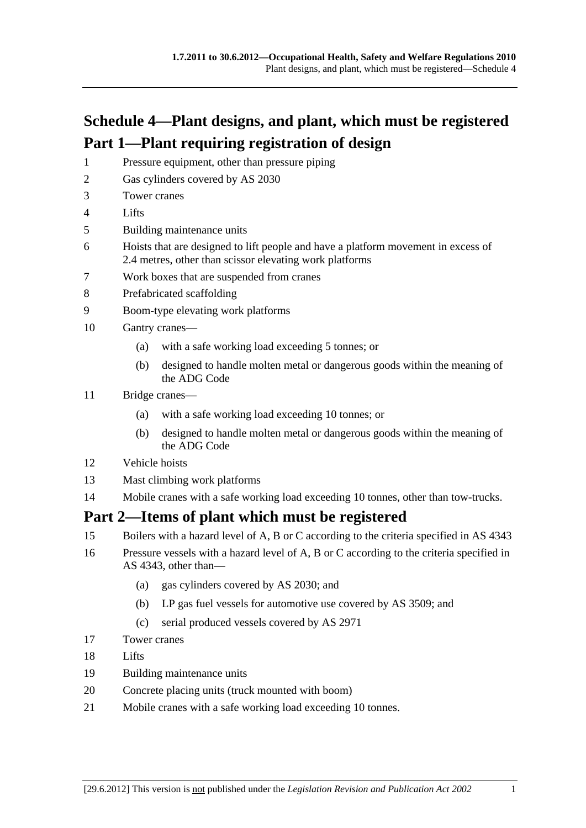# **Schedule 4—Plant designs, and plant, which must be registered Part 1—Plant requiring registration of design**

- 1 Pressure equipment, other than pressure piping
- 2 Gas cylinders covered by AS 2030
- 3 Tower cranes
- 4 Lifts
- 5 Building maintenance units
- 6 Hoists that are designed to lift people and have a platform movement in excess of 2.4 metres, other than scissor elevating work platforms
- 7 Work boxes that are suspended from cranes
- 8 Prefabricated scaffolding
- 9 Boom-type elevating work platforms
- 10 Gantry cranes—
	- (a) with a safe working load exceeding 5 tonnes; or
	- (b) designed to handle molten metal or dangerous goods within the meaning of the ADG Code
- 11 Bridge cranes—
	- (a) with a safe working load exceeding 10 tonnes; or
	- (b) designed to handle molten metal or dangerous goods within the meaning of the ADG Code
- 12 Vehicle hoists
- 13 Mast climbing work platforms
- 14 Mobile cranes with a safe working load exceeding 10 tonnes, other than tow-trucks.

### **Part 2—Items of plant which must be registered**

- 15 Boilers with a hazard level of A, B or C according to the criteria specified in AS 4343
- 16 Pressure vessels with a hazard level of A, B or C according to the criteria specified in AS 4343, other than—
	- (a) gas cylinders covered by AS 2030; and
	- (b) LP gas fuel vessels for automotive use covered by AS 3509; and
	- (c) serial produced vessels covered by AS 2971
- 17 Tower cranes
- 18 Lifts
- 19 Building maintenance units
- 20 Concrete placing units (truck mounted with boom)
- 21 Mobile cranes with a safe working load exceeding 10 tonnes.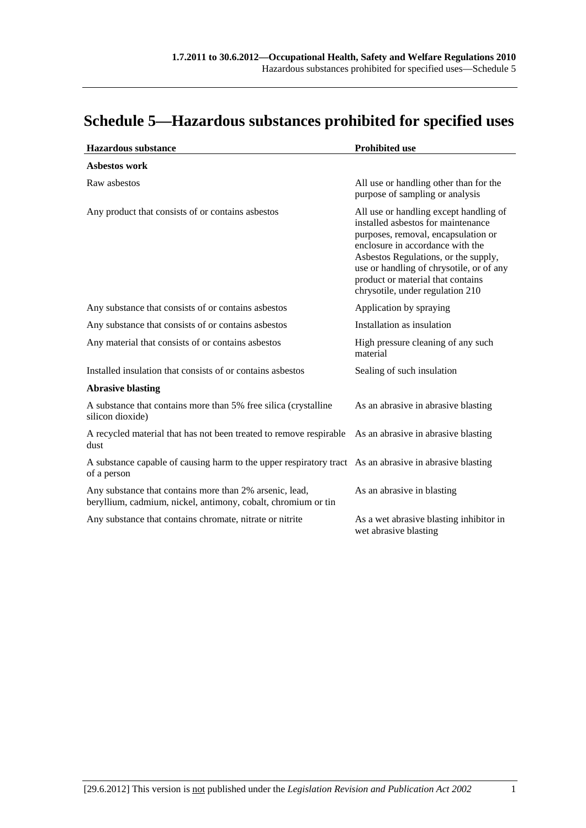# **Schedule 5—Hazardous substances prohibited for specified uses**

| <b>Hazardous</b> substance                                                                                               | <b>Prohibited use</b>                                                                                                                                                                                                                                                                                                |
|--------------------------------------------------------------------------------------------------------------------------|----------------------------------------------------------------------------------------------------------------------------------------------------------------------------------------------------------------------------------------------------------------------------------------------------------------------|
| Asbestos work                                                                                                            |                                                                                                                                                                                                                                                                                                                      |
| Raw asbestos                                                                                                             | All use or handling other than for the<br>purpose of sampling or analysis                                                                                                                                                                                                                                            |
| Any product that consists of or contains asbestos                                                                        | All use or handling except handling of<br>installed asbestos for maintenance<br>purposes, removal, encapsulation or<br>enclosure in accordance with the<br>Asbestos Regulations, or the supply,<br>use or handling of chrysotile, or of any<br>product or material that contains<br>chrysotile, under regulation 210 |
| Any substance that consists of or contains asbestos                                                                      | Application by spraying                                                                                                                                                                                                                                                                                              |
| Any substance that consists of or contains asbestos                                                                      | Installation as insulation                                                                                                                                                                                                                                                                                           |
| Any material that consists of or contains asbestos                                                                       | High pressure cleaning of any such<br>material                                                                                                                                                                                                                                                                       |
| Installed insulation that consists of or contains asbestos                                                               | Sealing of such insulation                                                                                                                                                                                                                                                                                           |
| <b>Abrasive blasting</b>                                                                                                 |                                                                                                                                                                                                                                                                                                                      |
| A substance that contains more than 5% free silica (crystalline<br>silicon dioxide)                                      | As an abrasive in abrasive blasting                                                                                                                                                                                                                                                                                  |
| A recycled material that has not been treated to remove respirable<br>dust                                               | As an abrasive in abrasive blasting                                                                                                                                                                                                                                                                                  |
| A substance capable of causing harm to the upper respiratory tract As an abrasive in abrasive blasting<br>of a person    |                                                                                                                                                                                                                                                                                                                      |
| Any substance that contains more than 2% arsenic, lead,<br>beryllium, cadmium, nickel, antimony, cobalt, chromium or tin | As an abrasive in blasting                                                                                                                                                                                                                                                                                           |
| Any substance that contains chromate, nitrate or nitrite                                                                 | As a wet abrasive blasting inhibitor in<br>wet abrasive blasting                                                                                                                                                                                                                                                     |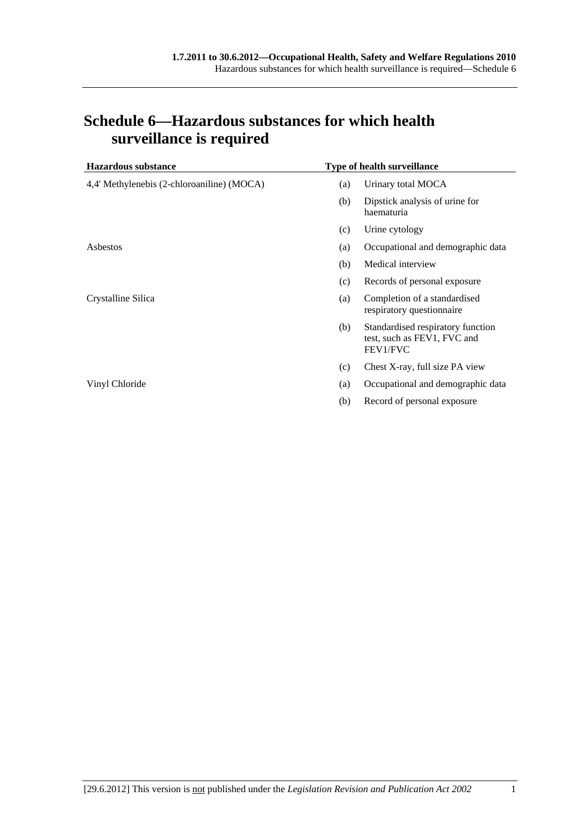| <b>Hazardous substance</b>                 |     | <b>Type of health surveillance</b>                                           |
|--------------------------------------------|-----|------------------------------------------------------------------------------|
| 4,4' Methylenebis (2-chloroaniline) (MOCA) | (a) | Urinary total MOCA                                                           |
|                                            | (b) | Dipstick analysis of urine for<br>haematuria                                 |
|                                            | (c) | Urine cytology                                                               |
| Asbestos                                   | (a) | Occupational and demographic data                                            |
|                                            | (b) | Medical interview                                                            |
|                                            | (c) | Records of personal exposure                                                 |
| Crystalline Silica                         | (a) | Completion of a standardised<br>respiratory questionnaire                    |
|                                            | (b) | Standardised respiratory function<br>test, such as FEV1, FVC and<br>FEV1/FVC |
|                                            | (c) | Chest X-ray, full size PA view                                               |
| Vinyl Chloride                             | (a) | Occupational and demographic data                                            |
|                                            | (b) | Record of personal exposure                                                  |

### **Schedule 6—Hazardous substances for which health surveillance is required**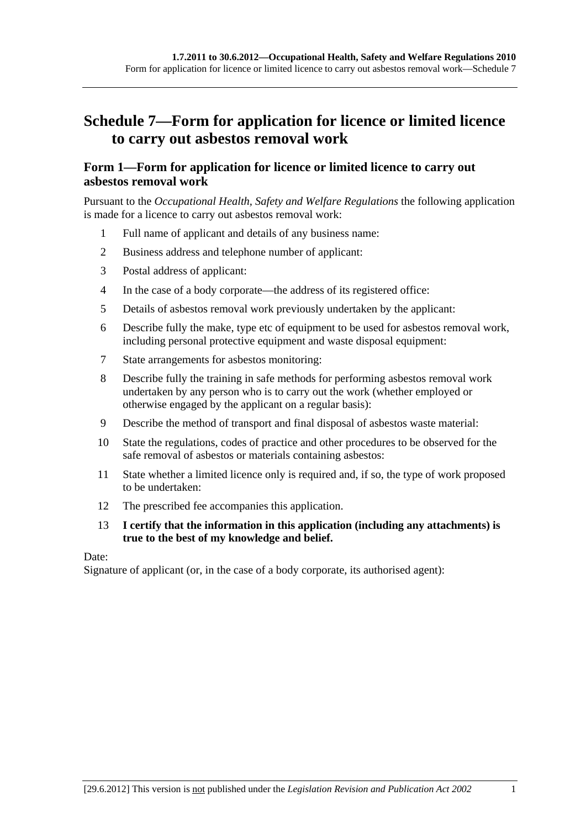## **Schedule 7—Form for application for licence or limited licence to carry out asbestos removal work**

#### **Form 1—Form for application for licence or limited licence to carry out asbestos removal work**

Pursuant to the *Occupational Health, Safety and Welfare Regulations* the following application is made for a licence to carry out asbestos removal work:

- 1 Full name of applicant and details of any business name:
- 2 Business address and telephone number of applicant:
- 3 Postal address of applicant:
- 4 In the case of a body corporate—the address of its registered office:
- 5 Details of asbestos removal work previously undertaken by the applicant:
- 6 Describe fully the make, type etc of equipment to be used for asbestos removal work, including personal protective equipment and waste disposal equipment:
- 7 State arrangements for asbestos monitoring:
- 8 Describe fully the training in safe methods for performing asbestos removal work undertaken by any person who is to carry out the work (whether employed or otherwise engaged by the applicant on a regular basis):
- 9 Describe the method of transport and final disposal of asbestos waste material:
- 10 State the regulations, codes of practice and other procedures to be observed for the safe removal of asbestos or materials containing asbestos:
- 11 State whether a limited licence only is required and, if so, the type of work proposed to be undertaken:
- 12 The prescribed fee accompanies this application.

#### 13 **I certify that the information in this application (including any attachments) is true to the best of my knowledge and belief.**

Date:

Signature of applicant (or, in the case of a body corporate, its authorised agent):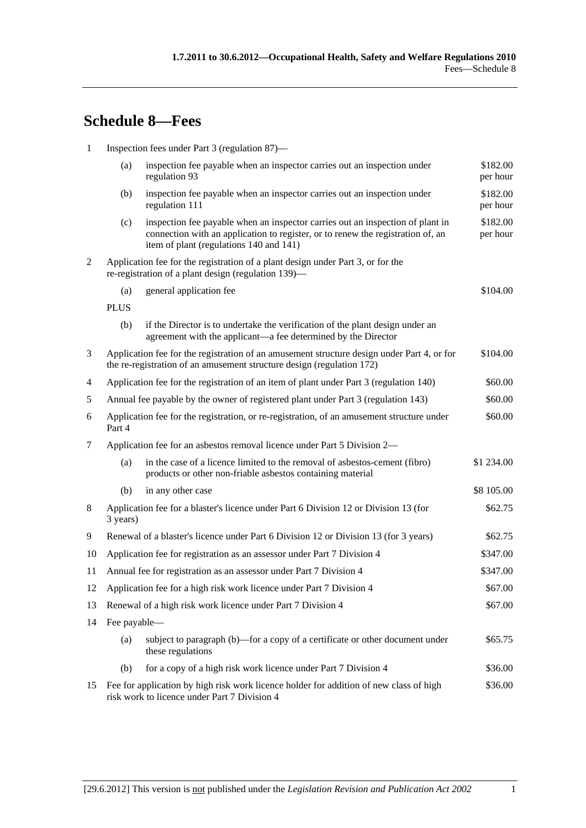# **Schedule 8—Fees**

| $\mathbf{1}$   | Inspection fees under Part 3 (regulation 87)—                                                                                                                       |                                                                                                                                                                                                              |                      |  |
|----------------|---------------------------------------------------------------------------------------------------------------------------------------------------------------------|--------------------------------------------------------------------------------------------------------------------------------------------------------------------------------------------------------------|----------------------|--|
|                | (a)                                                                                                                                                                 | inspection fee payable when an inspector carries out an inspection under<br>regulation 93                                                                                                                    | \$182.00<br>per hour |  |
|                | (b)                                                                                                                                                                 | inspection fee payable when an inspector carries out an inspection under<br>regulation 111                                                                                                                   | \$182.00<br>per hour |  |
|                | (c)                                                                                                                                                                 | inspection fee payable when an inspector carries out an inspection of plant in<br>connection with an application to register, or to renew the registration of, an<br>item of plant (regulations 140 and 141) | \$182.00<br>per hour |  |
| $\overline{2}$ | Application fee for the registration of a plant design under Part 3, or for the<br>re-registration of a plant design (regulation 139)—                              |                                                                                                                                                                                                              |                      |  |
|                | (a)                                                                                                                                                                 | general application fee                                                                                                                                                                                      | \$104.00             |  |
|                | <b>PLUS</b>                                                                                                                                                         |                                                                                                                                                                                                              |                      |  |
|                | (b)                                                                                                                                                                 | if the Director is to undertake the verification of the plant design under an<br>agreement with the applicant—a fee determined by the Director                                                               |                      |  |
| 3              | Application fee for the registration of an amusement structure design under Part 4, or for<br>the re-registration of an amusement structure design (regulation 172) |                                                                                                                                                                                                              | \$104.00             |  |
| 4              | Application fee for the registration of an item of plant under Part 3 (regulation 140)                                                                              |                                                                                                                                                                                                              | \$60.00              |  |
| 5              | Annual fee payable by the owner of registered plant under Part 3 (regulation 143)                                                                                   |                                                                                                                                                                                                              | \$60.00              |  |
| 6              | Application fee for the registration, or re-registration, of an amusement structure under<br>Part 4                                                                 |                                                                                                                                                                                                              | \$60.00              |  |
| 7              | Application fee for an asbestos removal licence under Part 5 Division 2-                                                                                            |                                                                                                                                                                                                              |                      |  |
|                | (a)                                                                                                                                                                 | in the case of a licence limited to the removal of asbestos-cement (fibro)<br>products or other non-friable asbestos containing material                                                                     | \$1 234.00           |  |
|                | (b)                                                                                                                                                                 | in any other case                                                                                                                                                                                            | \$8 105.00           |  |
| 8              | Application fee for a blaster's licence under Part 6 Division 12 or Division 13 (for<br>3 years)                                                                    |                                                                                                                                                                                                              | \$62.75              |  |
| 9              | Renewal of a blaster's licence under Part 6 Division 12 or Division 13 (for 3 years)                                                                                |                                                                                                                                                                                                              | \$62.75              |  |
| 10             | Application fee for registration as an assessor under Part 7 Division 4                                                                                             |                                                                                                                                                                                                              | \$347.00             |  |
| 11             | Annual fee for registration as an assessor under Part 7 Division 4                                                                                                  |                                                                                                                                                                                                              | \$347.00             |  |
| 12             | Application fee for a high risk work licence under Part 7 Division 4                                                                                                |                                                                                                                                                                                                              | \$67.00              |  |
| 13             | Renewal of a high risk work licence under Part 7 Division 4                                                                                                         |                                                                                                                                                                                                              | \$67.00              |  |
| 14             | Fee payable-                                                                                                                                                        |                                                                                                                                                                                                              |                      |  |
|                | (a)                                                                                                                                                                 | subject to paragraph (b)-for a copy of a certificate or other document under<br>these regulations                                                                                                            | \$65.75              |  |
|                | (b)                                                                                                                                                                 | for a copy of a high risk work licence under Part 7 Division 4                                                                                                                                               | \$36.00              |  |
| 15             | Fee for application by high risk work licence holder for addition of new class of high<br>risk work to licence under Part 7 Division 4                              |                                                                                                                                                                                                              | \$36.00              |  |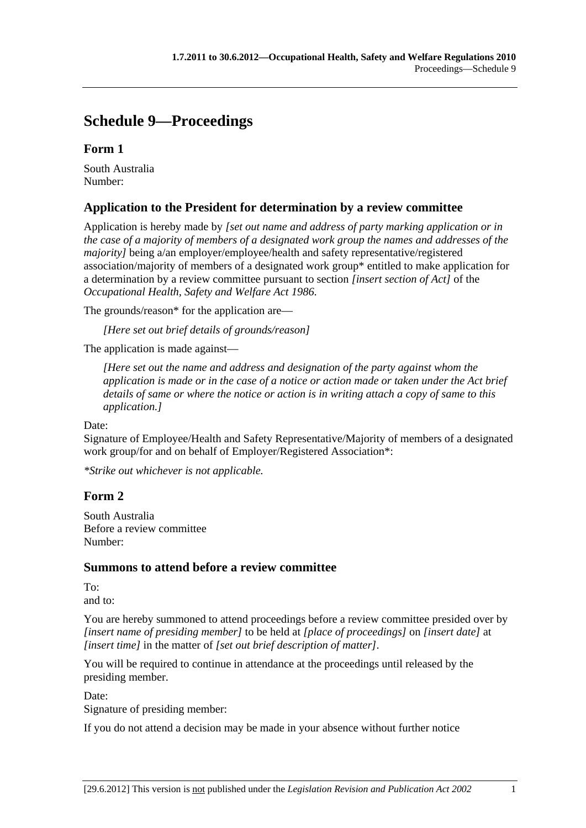## **Schedule 9—Proceedings**

### **Form 1**

South Australia Number:

### **Application to the President for determination by a review committee**

Application is hereby made by *[set out name and address of party marking application or in the case of a majority of members of a designated work group the names and addresses of the majority]* being a/an employer/employee/health and safety representative/registered association/majority of members of a designated work group\* entitled to make application for a determination by a review committee pursuant to section *[insert section of Act]* of the *Occupational Health, Safety and Welfare Act 1986*.

The grounds/reason\* for the application are—

*[Here set out brief details of grounds/reason]*

The application is made against—

*[Here set out the name and address and designation of the party against whom the application is made or in the case of a notice or action made or taken under the Act brief details of same or where the notice or action is in writing attach a copy of same to this application.]*

Date:

Signature of Employee/Health and Safety Representative/Majority of members of a designated work group/for and on behalf of Employer/Registered Association\*:

*\*Strike out whichever is not applicable.*

### **Form 2**

South Australia Before a review committee Number:

#### **Summons to attend before a review committee**

To: and to:

You are hereby summoned to attend proceedings before a review committee presided over by *[insert name of presiding member]* to be held at *[place of proceedings]* on *[insert date]* at *[insert time]* in the matter of *[set out brief description of matter]*.

You will be required to continue in attendance at the proceedings until released by the presiding member.

Date:

Signature of presiding member:

If you do not attend a decision may be made in your absence without further notice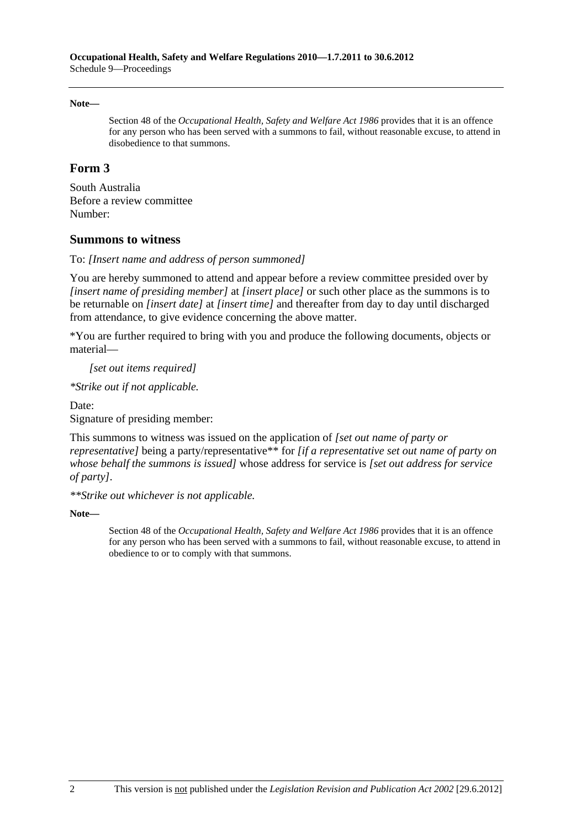#### **Note—**

Section 48 of the *Occupational Health, Safety and Welfare Act 1986* provides that it is an offence for any person who has been served with a summons to fail, without reasonable excuse, to attend in disobedience to that summons.

#### **Form 3**

South Australia Before a review committee Number:

#### **Summons to witness**

To: *[Insert name and address of person summoned]*

You are hereby summoned to attend and appear before a review committee presided over by *[insert name of presiding member]* at *[insert place]* or such other place as the summons is to be returnable on *[insert date]* at *[insert time]* and thereafter from day to day until discharged from attendance, to give evidence concerning the above matter.

\*You are further required to bring with you and produce the following documents, objects or material—

*[set out items required]*

*\*Strike out if not applicable.*

Date: Signature of presiding member:

This summons to witness was issued on the application of *[set out name of party or representative]* being a party/representative\*\* for *[if a representative set out name of party on whose behalf the summons is issued]* whose address for service is *[set out address for service of party]*.

*\*\*Strike out whichever is not applicable.*

**Note—** 

Section 48 of the *Occupational Health, Safety and Welfare Act 1986* provides that it is an offence for any person who has been served with a summons to fail, without reasonable excuse, to attend in obedience to or to comply with that summons.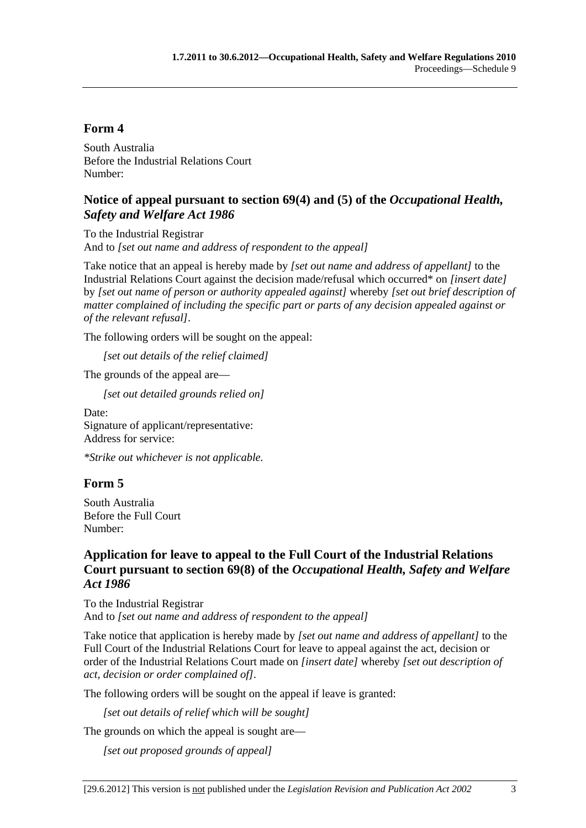#### **Form 4**

South Australia Before the Industrial Relations Court Number:

#### **Notice of appeal pursuant to section 69(4) and (5) of the** *Occupational Health, Safety and Welfare Act 1986*

To the Industrial Registrar And to *[set out name and address of respondent to the appeal]*

Take notice that an appeal is hereby made by *[set out name and address of appellant]* to the Industrial Relations Court against the decision made/refusal which occurred\* on *[insert date]* by *[set out name of person or authority appealed against]* whereby *[set out brief description of matter complained of including the specific part or parts of any decision appealed against or of the relevant refusal]*.

The following orders will be sought on the appeal:

*[set out details of the relief claimed]*

The grounds of the appeal are—

*[set out detailed grounds relied on]*

Date: Signature of applicant/representative: Address for service:

*\*Strike out whichever is not applicable.*

#### **Form 5**

South Australia Before the Full Court Number:

### **Application for leave to appeal to the Full Court of the Industrial Relations Court pursuant to section 69(8) of the** *Occupational Health, Safety and Welfare Act 1986*

To the Industrial Registrar And to *[set out name and address of respondent to the appeal]*

Take notice that application is hereby made by *[set out name and address of appellant]* to the Full Court of the Industrial Relations Court for leave to appeal against the act, decision or order of the Industrial Relations Court made on *[insert date]* whereby *[set out description of act, decision or order complained of]*.

The following orders will be sought on the appeal if leave is granted:

*[set out details of relief which will be sought]*

The grounds on which the appeal is sought are—

*[set out proposed grounds of appeal]*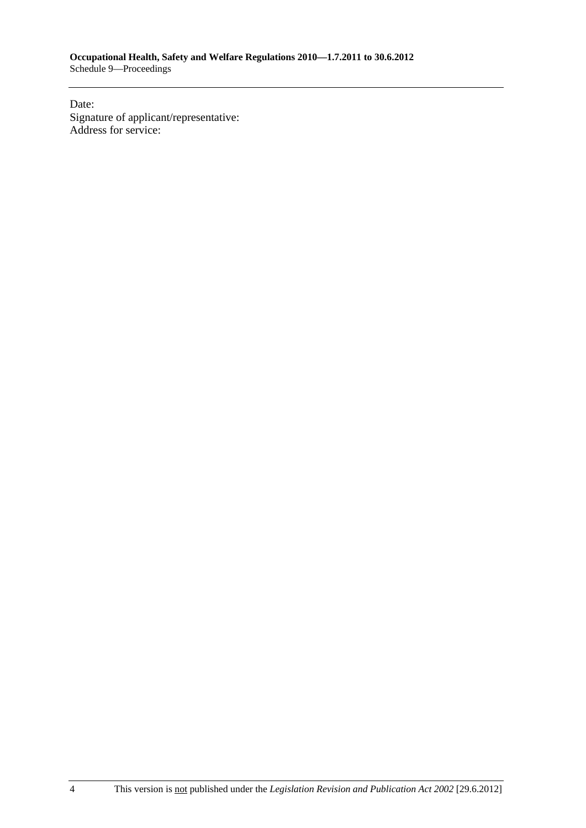Date: Signature of applicant/representative: Address for service: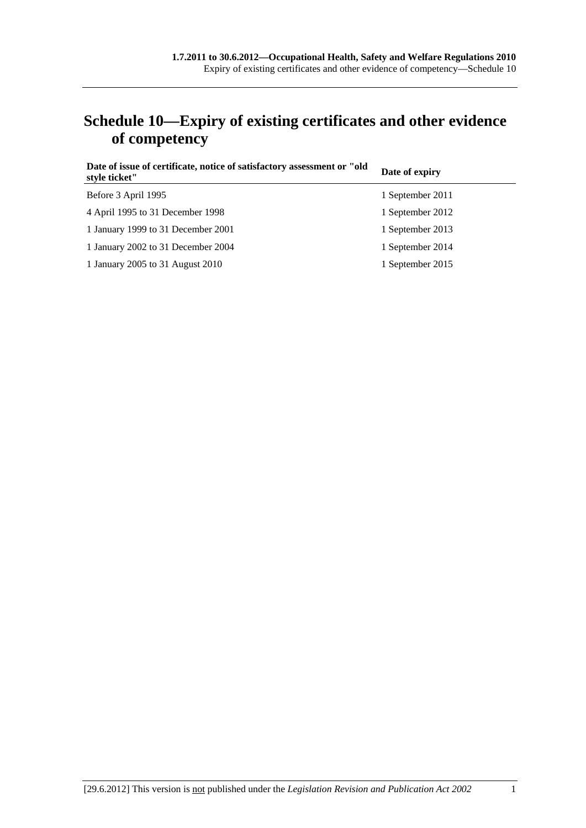## **Schedule 10—Expiry of existing certificates and other evidence of competency**

| Date of issue of certificate, notice of satisfactory assessment or "old<br>style ticket" | Date of expiry   |
|------------------------------------------------------------------------------------------|------------------|
| Before 3 April 1995                                                                      | 1 September 2011 |
| 4 April 1995 to 31 December 1998                                                         | 1 September 2012 |
| 1 January 1999 to 31 December 2001                                                       | 1 September 2013 |
| 1 January 2002 to 31 December 2004                                                       | 1 September 2014 |
| 1 January 2005 to 31 August 2010                                                         | 1 September 2015 |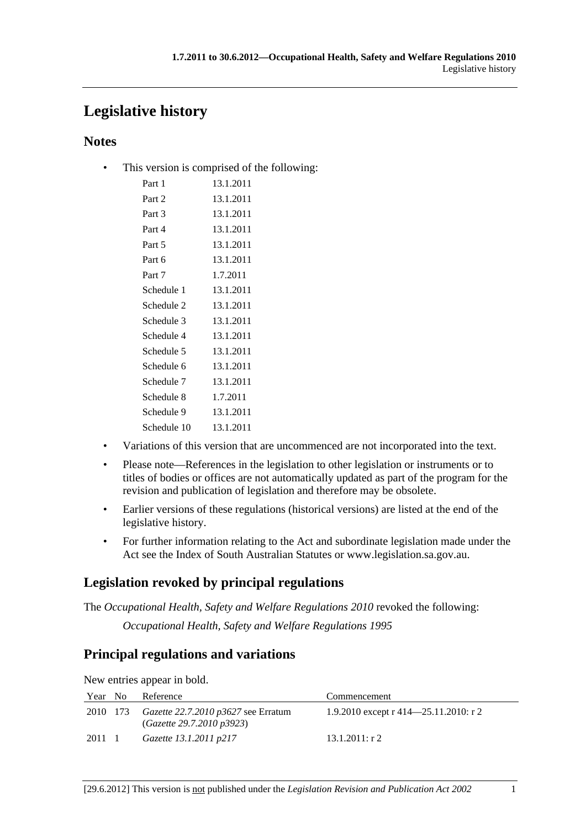## **Legislative history**

### **Notes**

• This version is comprised of the following:

| Part 1      | 13.1.2011 |
|-------------|-----------|
| Part 2      | 13.1.2011 |
| Part 3      | 13.1.2011 |
| Part 4      | 13.1.2011 |
| Part 5      | 13.1.2011 |
| Part 6      | 13.1.2011 |
| Part 7      | 1.7.2011  |
| Schedule 1  | 13.1.2011 |
| Schedule 2  | 13.1.2011 |
| Schedule 3  | 13.1.2011 |
| Schedule 4  | 13.1.2011 |
| Schedule 5  | 13.1.2011 |
| Schedule 6  | 13.1.2011 |
| Schedule 7  | 13.1.2011 |
| Schedule 8  | 1.7.2011  |
| Schedule 9  | 13.1.2011 |
| Schedule 10 | 13.1.2011 |

- Variations of this version that are uncommenced are not incorporated into the text.
- Please note—References in the legislation to other legislation or instruments or to titles of bodies or offices are not automatically updated as part of the program for the revision and publication of legislation and therefore may be obsolete.
- Earlier versions of these regulations (historical versions) are listed at the end of the legislative history.
- For further information relating to the Act and subordinate legislation made under the Act see the Index of South Australian Statutes or www.legislation.sa.gov.au.

## **Legislation revoked by principal regulations**

The *Occupational Health, Safety and Welfare Regulations 2010* revoked the following: *Occupational Health, Safety and Welfare Regulations 1995*

## **Principal regulations and variations**

New entries appear in bold.

| Year No | Reference                                                                        | Commencement                               |
|---------|----------------------------------------------------------------------------------|--------------------------------------------|
|         | 2010 173 <i>Gazette 22.7.2010 p3627</i> see Erratum<br>(Gazette 29.7.2010 p3923) | 1.9.2010 except r $414 - 25.11.2010$ : r 2 |
| 2011 1  | Gazette 13.1.2011 p217                                                           | $13.1.2011:$ r 2                           |